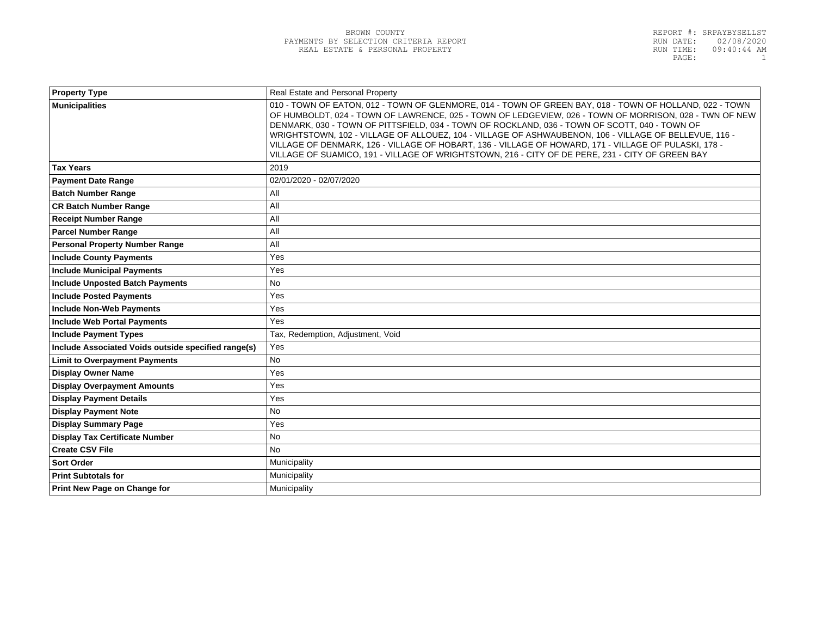| <b>Property Type</b>                                | Real Estate and Personal Property                                                                                                                                                                                                                                                                                                                                                                                                                                                                                                                                                                                                        |
|-----------------------------------------------------|------------------------------------------------------------------------------------------------------------------------------------------------------------------------------------------------------------------------------------------------------------------------------------------------------------------------------------------------------------------------------------------------------------------------------------------------------------------------------------------------------------------------------------------------------------------------------------------------------------------------------------------|
| <b>Municipalities</b>                               | 010 - TOWN OF EATON, 012 - TOWN OF GLENMORE, 014 - TOWN OF GREEN BAY, 018 - TOWN OF HOLLAND, 022 - TOWN<br>OF HUMBOLDT, 024 - TOWN OF LAWRENCE, 025 - TOWN OF LEDGEVIEW, 026 - TOWN OF MORRISON, 028 - TWN OF NEW<br>DENMARK, 030 - TOWN OF PITTSFIELD, 034 - TOWN OF ROCKLAND, 036 - TOWN OF SCOTT, 040 - TOWN OF<br>WRIGHTSTOWN, 102 - VILLAGE OF ALLOUEZ, 104 - VILLAGE OF ASHWAUBENON, 106 - VILLAGE OF BELLEVUE, 116 -<br>VILLAGE OF DENMARK, 126 - VILLAGE OF HOBART, 136 - VILLAGE OF HOWARD, 171 - VILLAGE OF PULASKI, 178 -<br>VILLAGE OF SUAMICO, 191 - VILLAGE OF WRIGHTSTOWN, 216 - CITY OF DE PERE, 231 - CITY OF GREEN BAY |
| <b>Tax Years</b>                                    | 2019                                                                                                                                                                                                                                                                                                                                                                                                                                                                                                                                                                                                                                     |
| <b>Payment Date Range</b>                           | 02/01/2020 - 02/07/2020                                                                                                                                                                                                                                                                                                                                                                                                                                                                                                                                                                                                                  |
| <b>Batch Number Range</b>                           | All                                                                                                                                                                                                                                                                                                                                                                                                                                                                                                                                                                                                                                      |
| <b>CR Batch Number Range</b>                        | All                                                                                                                                                                                                                                                                                                                                                                                                                                                                                                                                                                                                                                      |
| <b>Receipt Number Range</b>                         | All                                                                                                                                                                                                                                                                                                                                                                                                                                                                                                                                                                                                                                      |
| <b>Parcel Number Range</b>                          | All                                                                                                                                                                                                                                                                                                                                                                                                                                                                                                                                                                                                                                      |
| <b>Personal Property Number Range</b>               | All                                                                                                                                                                                                                                                                                                                                                                                                                                                                                                                                                                                                                                      |
| <b>Include County Payments</b>                      | Yes                                                                                                                                                                                                                                                                                                                                                                                                                                                                                                                                                                                                                                      |
| <b>Include Municipal Payments</b>                   | Yes                                                                                                                                                                                                                                                                                                                                                                                                                                                                                                                                                                                                                                      |
| <b>Include Unposted Batch Payments</b>              | <b>No</b>                                                                                                                                                                                                                                                                                                                                                                                                                                                                                                                                                                                                                                |
| <b>Include Posted Payments</b>                      | Yes                                                                                                                                                                                                                                                                                                                                                                                                                                                                                                                                                                                                                                      |
| <b>Include Non-Web Payments</b>                     | Yes                                                                                                                                                                                                                                                                                                                                                                                                                                                                                                                                                                                                                                      |
| <b>Include Web Portal Payments</b>                  | <b>Yes</b>                                                                                                                                                                                                                                                                                                                                                                                                                                                                                                                                                                                                                               |
| <b>Include Payment Types</b>                        | Tax, Redemption, Adjustment, Void                                                                                                                                                                                                                                                                                                                                                                                                                                                                                                                                                                                                        |
| Include Associated Voids outside specified range(s) | Yes                                                                                                                                                                                                                                                                                                                                                                                                                                                                                                                                                                                                                                      |
| <b>Limit to Overpayment Payments</b>                | No                                                                                                                                                                                                                                                                                                                                                                                                                                                                                                                                                                                                                                       |
| <b>Display Owner Name</b>                           | Yes                                                                                                                                                                                                                                                                                                                                                                                                                                                                                                                                                                                                                                      |
| <b>Display Overpayment Amounts</b>                  | Yes                                                                                                                                                                                                                                                                                                                                                                                                                                                                                                                                                                                                                                      |
| <b>Display Payment Details</b>                      | Yes                                                                                                                                                                                                                                                                                                                                                                                                                                                                                                                                                                                                                                      |
| <b>Display Payment Note</b>                         | <b>No</b>                                                                                                                                                                                                                                                                                                                                                                                                                                                                                                                                                                                                                                |
| <b>Display Summary Page</b>                         | Yes                                                                                                                                                                                                                                                                                                                                                                                                                                                                                                                                                                                                                                      |
| <b>Display Tax Certificate Number</b>               | <b>No</b>                                                                                                                                                                                                                                                                                                                                                                                                                                                                                                                                                                                                                                |
| <b>Create CSV File</b>                              | <b>No</b>                                                                                                                                                                                                                                                                                                                                                                                                                                                                                                                                                                                                                                |
| <b>Sort Order</b>                                   | Municipality                                                                                                                                                                                                                                                                                                                                                                                                                                                                                                                                                                                                                             |
| <b>Print Subtotals for</b>                          | Municipality                                                                                                                                                                                                                                                                                                                                                                                                                                                                                                                                                                                                                             |
| Print New Page on Change for                        | Municipality                                                                                                                                                                                                                                                                                                                                                                                                                                                                                                                                                                                                                             |
|                                                     |                                                                                                                                                                                                                                                                                                                                                                                                                                                                                                                                                                                                                                          |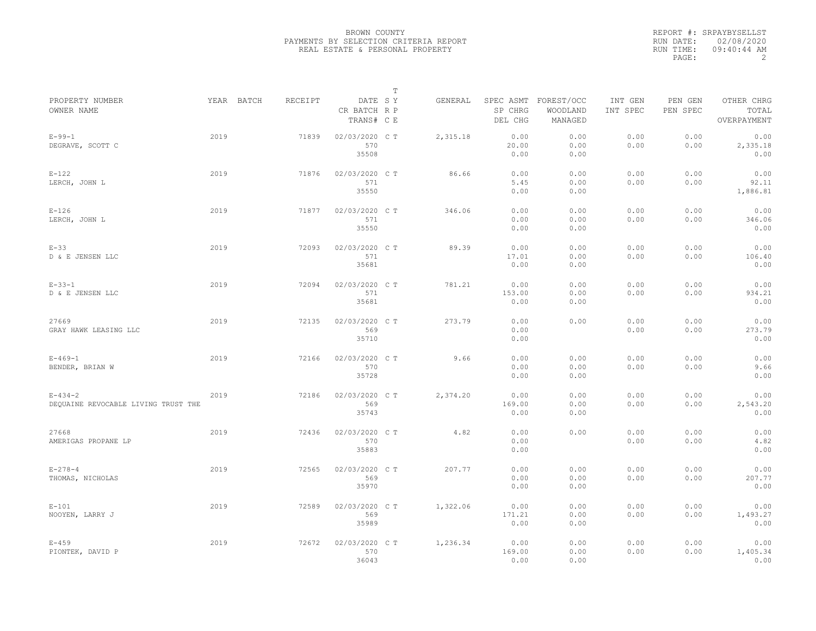|           | REPORT #: SRPAYBYSELLST |
|-----------|-------------------------|
|           | RUN DATE: 02/08/2020    |
| RUN TIME: | $09:40:44$ AM           |
| PAGE:     |                         |

|                                                      |      |            |         |                                       | $\mathbb T$ |          |                        |                                             |                     |                     |                                    |  |
|------------------------------------------------------|------|------------|---------|---------------------------------------|-------------|----------|------------------------|---------------------------------------------|---------------------|---------------------|------------------------------------|--|
| PROPERTY NUMBER<br>OWNER NAME                        |      | YEAR BATCH | RECEIPT | DATE SY<br>CR BATCH R P<br>TRANS# C E |             | GENERAL  | SP CHRG<br>DEL CHG     | SPEC ASMT FOREST/OCC<br>WOODLAND<br>MANAGED | INT GEN<br>INT SPEC | PEN GEN<br>PEN SPEC | OTHER CHRG<br>TOTAL<br>OVERPAYMENT |  |
| $E - 99 - 1$<br>DEGRAVE, SCOTT C                     | 2019 |            | 71839   | 02/03/2020 CT<br>570<br>35508         |             | 2,315.18 | 0.00<br>20.00<br>0.00  | 0.00<br>0.00<br>0.00                        | 0.00<br>0.00        | 0.00<br>0.00        | 0.00<br>2,335.18<br>0.00           |  |
| $E-122$<br>LERCH, JOHN L                             | 2019 |            | 71876   | 02/03/2020 CT<br>571<br>35550         |             | 86.66    | 0.00<br>5.45<br>0.00   | 0.00<br>0.00<br>0.00                        | 0.00<br>0.00        | 0.00<br>0.00        | 0.00<br>92.11<br>1,886.81          |  |
| $E-126$<br>LERCH, JOHN L                             | 2019 |            | 71877   | 02/03/2020 C T<br>571<br>35550        |             | 346.06   | 0.00<br>0.00<br>0.00   | 0.00<br>0.00<br>0.00                        | 0.00<br>0.00        | 0.00<br>0.00        | 0.00<br>346.06<br>0.00             |  |
| $E-33$<br>D & E JENSEN LLC                           | 2019 |            | 72093   | 02/03/2020 CT<br>571<br>35681         |             | 89.39    | 0.00<br>17.01<br>0.00  | 0.00<br>0.00<br>0.00                        | 0.00<br>0.00        | 0.00<br>0.00        | 0.00<br>106.40<br>0.00             |  |
| $E - 33 - 1$<br>D & E JENSEN LLC                     | 2019 |            | 72094   | 02/03/2020 C T<br>571<br>35681        |             | 781.21   | 0.00<br>153.00<br>0.00 | 0.00<br>0.00<br>0.00                        | 0.00<br>0.00        | 0.00<br>0.00        | 0.00<br>934.21<br>0.00             |  |
| 27669<br>GRAY HAWK LEASING LLC                       | 2019 |            | 72135   | 02/03/2020 C T<br>569<br>35710        |             | 273.79   | 0.00<br>0.00<br>0.00   | 0.00                                        | 0.00<br>0.00        | 0.00<br>0.00        | 0.00<br>273.79<br>0.00             |  |
| $E - 469 - 1$<br>BENDER, BRIAN W                     | 2019 |            | 72166   | 02/03/2020 CT<br>570<br>35728         |             | 9.66     | 0.00<br>0.00<br>0.00   | 0.00<br>0.00<br>0.00                        | 0.00<br>0.00        | 0.00<br>0.00        | 0.00<br>9.66<br>0.00               |  |
| $E - 434 - 2$<br>DEQUAINE REVOCABLE LIVING TRUST THE | 2019 |            | 72186   | 02/03/2020 C T<br>569<br>35743        |             | 2,374.20 | 0.00<br>169.00<br>0.00 | 0.00<br>0.00<br>0.00                        | 0.00<br>0.00        | 0.00<br>0.00        | 0.00<br>2,543.20<br>0.00           |  |
| 27668<br>AMERIGAS PROPANE LP                         | 2019 |            | 72436   | 02/03/2020 CT<br>570<br>35883         |             | 4.82     | 0.00<br>0.00<br>0.00   | 0.00                                        | 0.00<br>0.00        | 0.00<br>0.00        | 0.00<br>4.82<br>0.00               |  |
| $E - 278 - 4$<br>THOMAS, NICHOLAS                    | 2019 |            | 72565   | 02/03/2020 C T<br>569<br>35970        |             | 207.77   | 0.00<br>0.00<br>0.00   | 0.00<br>0.00<br>0.00                        | 0.00<br>0.00        | 0.00<br>0.00        | 0.00<br>207.77<br>0.00             |  |
| $E-101$<br>NOOYEN, LARRY J                           | 2019 |            | 72589   | 02/03/2020 CT<br>569<br>35989         |             | 1,322.06 | 0.00<br>171.21<br>0.00 | 0.00<br>0.00<br>0.00                        | 0.00<br>0.00        | 0.00<br>0.00        | 0.00<br>1,493.27<br>0.00           |  |
| $E - 459$<br>PIONTEK, DAVID P                        | 2019 |            | 72672   | 02/03/2020 CT<br>570<br>36043         |             | 1,236.34 | 0.00<br>169.00<br>0.00 | 0.00<br>0.00<br>0.00                        | 0.00<br>0.00        | 0.00<br>0.00        | 0.00<br>1,405.34<br>0.00           |  |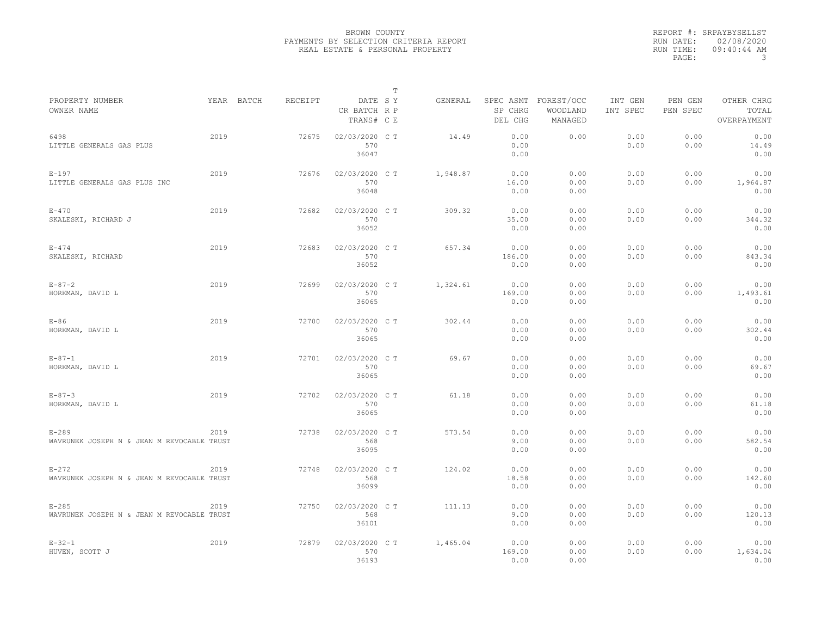|                                                         |      |            |         |                                       | $\mathbb T$ |          |                        |                                             |                     |                     |                                    |
|---------------------------------------------------------|------|------------|---------|---------------------------------------|-------------|----------|------------------------|---------------------------------------------|---------------------|---------------------|------------------------------------|
| PROPERTY NUMBER<br>OWNER NAME                           |      | YEAR BATCH | RECEIPT | DATE SY<br>CR BATCH R P<br>TRANS# C E |             | GENERAL  | SP CHRG<br>DEL CHG     | SPEC ASMT FOREST/OCC<br>WOODLAND<br>MANAGED | INT GEN<br>INT SPEC | PEN GEN<br>PEN SPEC | OTHER CHRG<br>TOTAL<br>OVERPAYMENT |
| 6498<br>LITTLE GENERALS GAS PLUS                        | 2019 |            | 72675   | 02/03/2020 CT<br>570<br>36047         |             | 14.49    | 0.00<br>0.00<br>0.00   | 0.00                                        | 0.00<br>0.00        | 0.00<br>0.00        | 0.00<br>14.49<br>0.00              |
| $E-197$<br>LITTLE GENERALS GAS PLUS INC                 | 2019 |            | 72676   | 02/03/2020 C T<br>570<br>36048        |             | 1,948.87 | 0.00<br>16.00<br>0.00  | 0.00<br>0.00<br>0.00                        | 0.00<br>0.00        | 0.00<br>0.00        | 0.00<br>1,964.87<br>0.00           |
| $E - 470$<br>SKALESKI, RICHARD J                        | 2019 |            | 72682   | 02/03/2020 C T<br>570<br>36052        |             | 309.32   | 0.00<br>35.00<br>0.00  | 0.00<br>0.00<br>0.00                        | 0.00<br>0.00        | 0.00<br>0.00        | 0.00<br>344.32<br>0.00             |
| $E - 474$<br>SKALESKI, RICHARD                          | 2019 |            | 72683   | 02/03/2020 C T<br>570<br>36052        |             | 657.34   | 0.00<br>186.00<br>0.00 | 0.00<br>0.00<br>0.00                        | 0.00<br>0.00        | 0.00<br>0.00        | 0.00<br>843.34<br>0.00             |
| $E - 87 - 2$<br>HORKMAN, DAVID L                        | 2019 |            | 72699   | 02/03/2020 CT<br>570<br>36065         |             | 1,324.61 | 0.00<br>169.00<br>0.00 | 0.00<br>0.00<br>0.00                        | 0.00<br>0.00        | 0.00<br>0.00        | 0.00<br>1,493.61<br>0.00           |
| $E-86$<br>HORKMAN, DAVID L                              | 2019 |            | 72700   | 02/03/2020 C T<br>570<br>36065        |             | 302.44   | 0.00<br>0.00<br>0.00   | 0.00<br>0.00<br>0.00                        | 0.00<br>0.00        | 0.00<br>0.00        | 0.00<br>302.44<br>0.00             |
| $E - 87 - 1$<br>HORKMAN, DAVID L                        | 2019 |            | 72701   | 02/03/2020 C T<br>570<br>36065        |             | 69.67    | 0.00<br>0.00<br>0.00   | 0.00<br>0.00<br>0.00                        | 0.00<br>0.00        | 0.00<br>0.00        | 0.00<br>69.67<br>0.00              |
| $E - 87 - 3$<br>HORKMAN, DAVID L                        | 2019 |            | 72702   | 02/03/2020 C T<br>570<br>36065        |             | 61.18    | 0.00<br>0.00<br>0.00   | 0.00<br>0.00<br>0.00                        | 0.00<br>0.00        | 0.00<br>0.00        | 0.00<br>61.18<br>0.00              |
| $E-289$<br>WAVRUNEK JOSEPH N & JEAN M REVOCABLE TRUST   | 2019 |            | 72738   | 02/03/2020 C T<br>568<br>36095        |             | 573.54   | 0.00<br>9.00<br>0.00   | 0.00<br>0.00<br>0.00                        | 0.00<br>0.00        | 0.00<br>0.00        | 0.00<br>582.54<br>0.00             |
| $E-272$<br>WAVRUNEK JOSEPH N & JEAN M REVOCABLE TRUST   | 2019 |            | 72748   | 02/03/2020 C T<br>568<br>36099        |             | 124.02   | 0.00<br>18.58<br>0.00  | 0.00<br>0.00<br>0.00                        | 0.00<br>0.00        | 0.00<br>0.00        | 0.00<br>142.60<br>0.00             |
| $E - 285$<br>WAVRUNEK JOSEPH N & JEAN M REVOCABLE TRUST | 2019 |            | 72750   | 02/03/2020 C T<br>568<br>36101        |             | 111.13   | 0.00<br>9.00<br>0.00   | 0.00<br>0.00<br>0.00                        | 0.00<br>0.00        | 0.00<br>0.00        | 0.00<br>120.13<br>0.00             |
| $E - 32 - 1$<br>HUVEN, SCOTT J                          | 2019 |            | 72879   | 02/03/2020 C T<br>570<br>36193        |             | 1,465.04 | 0.00<br>169.00<br>0.00 | 0.00<br>0.00<br>0.00                        | 0.00<br>0.00        | 0.00<br>0.00        | 0.00<br>1,634.04<br>0.00           |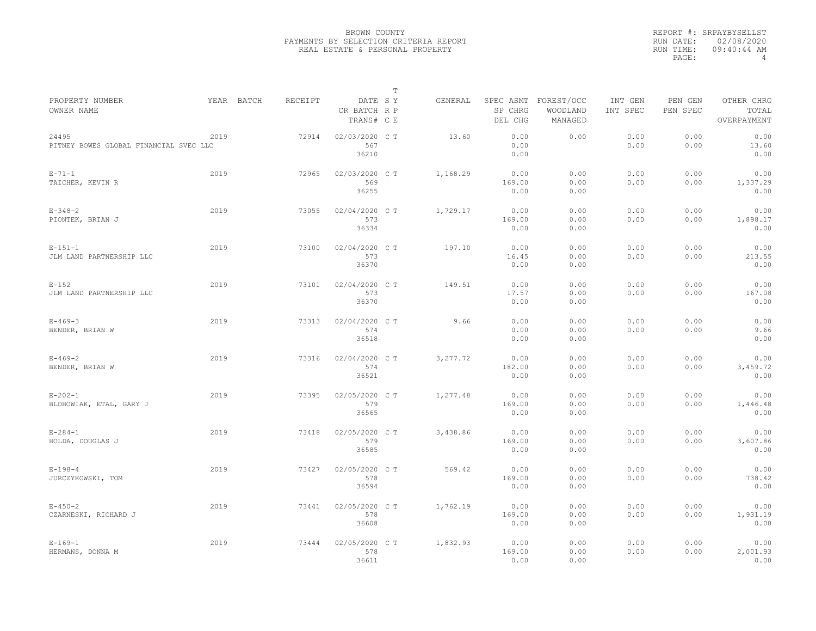|                                                 |            |         |                                       | T |          |                        |                                             |                     |                     |                                    |
|-------------------------------------------------|------------|---------|---------------------------------------|---|----------|------------------------|---------------------------------------------|---------------------|---------------------|------------------------------------|
| PROPERTY NUMBER<br>OWNER NAME                   | YEAR BATCH | RECEIPT | DATE SY<br>CR BATCH R P<br>TRANS# C E |   | GENERAL  | SP CHRG<br>DEL CHG     | SPEC ASMT FOREST/OCC<br>WOODLAND<br>MANAGED | INT GEN<br>INT SPEC | PEN GEN<br>PEN SPEC | OTHER CHRG<br>TOTAL<br>OVERPAYMENT |
| 24495<br>PITNEY BOWES GLOBAL FINANCIAL SVEC LLC | 2019       | 72914   | 02/03/2020 C T<br>567<br>36210        |   | 13.60    | 0.00<br>0.00<br>0.00   | 0.00                                        | 0.00<br>0.00        | 0.00<br>0.00        | 0.00<br>13.60<br>0.00              |
| $E - 71 - 1$<br>TAICHER, KEVIN R                | 2019       | 72965   | 02/03/2020 C T<br>569<br>36255        |   | 1,168.29 | 0.00<br>169.00<br>0.00 | 0.00<br>0.00<br>0.00                        | 0.00<br>0.00        | 0.00<br>0.00        | 0.00<br>1,337.29<br>0.00           |
| $E - 348 - 2$<br>PIONTEK, BRIAN J               | 2019       | 73055   | 02/04/2020 C T<br>573<br>36334        |   | 1,729.17 | 0.00<br>169.00<br>0.00 | 0.00<br>0.00<br>0.00                        | 0.00<br>0.00        | 0.00<br>0.00        | 0.00<br>1,898.17<br>0.00           |
| $E - 151 - 1$<br>JLM LAND PARTNERSHIP LLC       | 2019       | 73100   | 02/04/2020 C T<br>573<br>36370        |   | 197.10   | 0.00<br>16.45<br>0.00  | 0.00<br>0.00<br>0.00                        | 0.00<br>0.00        | 0.00<br>0.00        | 0.00<br>213.55<br>0.00             |
| $E-152$<br>JLM LAND PARTNERSHIP LLC             | 2019       | 73101   | 02/04/2020 C T<br>573<br>36370        |   | 149.51   | 0.00<br>17.57<br>0.00  | 0.00<br>0.00<br>0.00                        | 0.00<br>0.00        | 0.00<br>0.00        | 0.00<br>167.08<br>0.00             |
| $E - 469 - 3$<br>BENDER, BRIAN W                | 2019       | 73313   | 02/04/2020 C T<br>574<br>36518        |   | 9.66     | 0.00<br>0.00<br>0.00   | 0.00<br>0.00<br>0.00                        | 0.00<br>0.00        | 0.00<br>0.00        | 0.00<br>9.66<br>0.00               |
| $E - 469 - 2$<br>BENDER, BRIAN W                | 2019       | 73316   | 02/04/2020 C T<br>574<br>36521        |   | 3,277.72 | 0.00<br>182.00<br>0.00 | 0.00<br>0.00<br>0.00                        | 0.00<br>0.00        | 0.00<br>0.00        | 0.00<br>3,459.72<br>0.00           |
| $E - 202 - 1$<br>BLOHOWIAK, ETAL, GARY J        | 2019       | 73395   | 02/05/2020 C T<br>579<br>36565        |   | 1,277.48 | 0.00<br>169.00<br>0.00 | 0.00<br>0.00<br>0.00                        | 0.00<br>0.00        | 0.00<br>0.00        | 0.00<br>1,446.48<br>0.00           |
| $E - 284 - 1$<br>HOLDA, DOUGLAS J               | 2019       | 73418   | 02/05/2020 C T<br>579<br>36585        |   | 3,438.86 | 0.00<br>169.00<br>0.00 | 0.00<br>0.00<br>0.00                        | 0.00<br>0.00        | 0.00<br>0.00        | 0.00<br>3,607.86<br>0.00           |
| $E - 198 - 4$<br>JURCZYKOWSKI, TOM              | 2019       | 73427   | 02/05/2020 C T<br>578<br>36594        |   | 569.42   | 0.00<br>169.00<br>0.00 | 0.00<br>0.00<br>0.00                        | 0.00<br>0.00        | 0.00<br>0.00        | 0.00<br>738.42<br>0.00             |
| $E - 450 - 2$<br>CZARNESKI, RICHARD J           | 2019       | 73441   | 02/05/2020 C T<br>578<br>36608        |   | 1,762.19 | 0.00<br>169.00<br>0.00 | 0.00<br>0.00<br>0.00                        | 0.00<br>0.00        | 0.00<br>0.00        | 0.00<br>1,931.19<br>0.00           |
| $E - 169 - 1$<br>HERMANS, DONNA M               | 2019       | 73444   | 02/05/2020 C T<br>578<br>36611        |   | 1,832.93 | 0.00<br>169.00<br>0.00 | 0.00<br>0.00<br>0.00                        | 0.00<br>0.00        | 0.00<br>0.00        | 0.00<br>2,001.93<br>0.00           |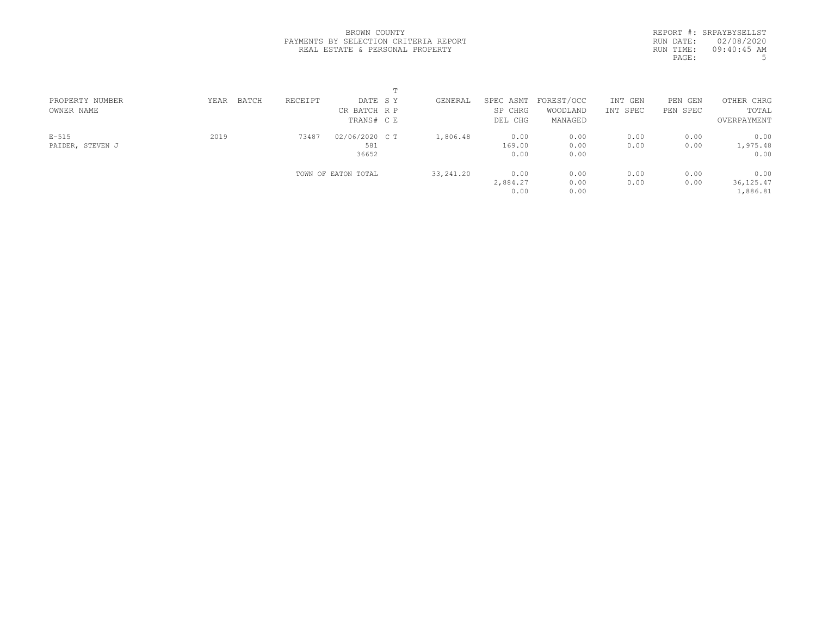|            | REPORT #: SRPAYBYSELLST |
|------------|-------------------------|
|            | RUN DATE: 02/08/2020    |
| RIIN TIME: | $09:40:45$ AM           |
| PAGE:      | 5                       |
|            |                         |

| PROPERTY NUMBER  | BATCH<br>YEAR | RECEIPT | DATE SY             | GENERAL     | SPEC ASMT | FOREST/OCC | INT GEN  | PEN GEN  | OTHER CHRG  |  |
|------------------|---------------|---------|---------------------|-------------|-----------|------------|----------|----------|-------------|--|
| OWNER NAME       |               |         | CR BATCH R P        |             | SP CHRG   | WOODLAND   | INT SPEC | PEN SPEC | TOTAL       |  |
|                  |               |         | TRANS# C E          |             | DEL CHG   | MANAGED    |          |          | OVERPAYMENT |  |
| $E-515$          | 2019          | 73487   | 02/06/2020 C T      | 1,806.48    | 0.00      | 0.00       | 0.00     | 0.00     | 0.00        |  |
| PAIDER, STEVEN J |               |         | 581                 |             | 169.00    | 0.00       | 0.00     | 0.00     | 1,975.48    |  |
|                  |               |         | 36652               |             | 0.00      | 0.00       |          |          | 0.00        |  |
|                  |               |         | TOWN OF EATON TOTAL | 33, 241, 20 | 0.00      | 0.00       | 0.00     | 0.00     | 0.00        |  |
|                  |               |         |                     |             | 2,884.27  | 0.00       | 0.00     | 0.00     | 36, 125.47  |  |
|                  |               |         |                     |             | 0.00      | 0.00       |          |          | 1,886.81    |  |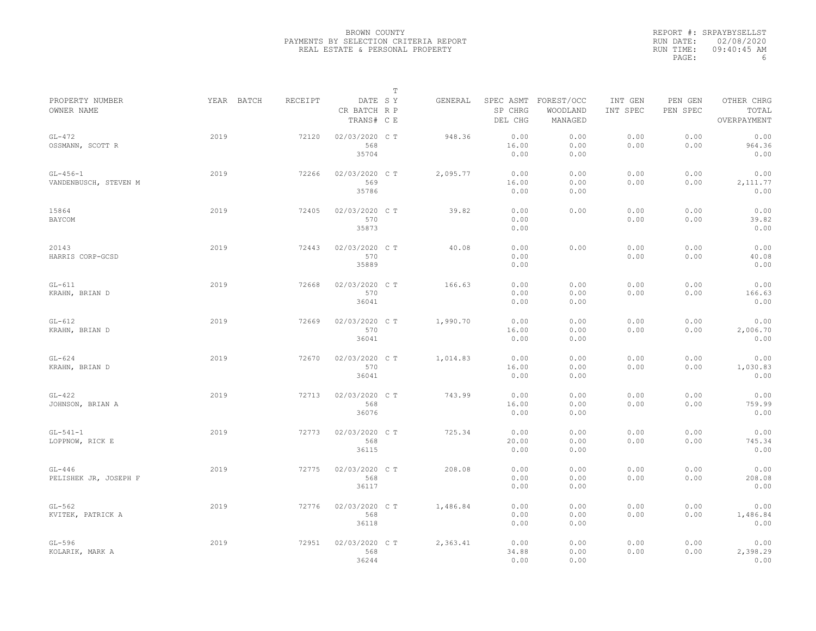|                                     |            |         |                                       | $\mathbb T$ |          |                                 |                                   |                     |                     |                                    |
|-------------------------------------|------------|---------|---------------------------------------|-------------|----------|---------------------------------|-----------------------------------|---------------------|---------------------|------------------------------------|
| PROPERTY NUMBER<br>OWNER NAME       | YEAR BATCH | RECEIPT | DATE SY<br>CR BATCH R P<br>TRANS# C E |             | GENERAL  | SPEC ASMT<br>SP CHRG<br>DEL CHG | FOREST/OCC<br>WOODLAND<br>MANAGED | INT GEN<br>INT SPEC | PEN GEN<br>PEN SPEC | OTHER CHRG<br>TOTAL<br>OVERPAYMENT |
| $GL-472$<br>OSSMANN, SCOTT R        | 2019       | 72120   | 02/03/2020 C T<br>568<br>35704        |             | 948.36   | 0.00<br>16.00<br>0.00           | 0.00<br>0.00<br>0.00              | 0.00<br>0.00        | 0.00<br>0.00        | 0.00<br>964.36<br>0.00             |
| $GL-456-1$<br>VANDENBUSCH, STEVEN M | 2019       | 72266   | 02/03/2020 CT<br>569<br>35786         |             | 2,095.77 | 0.00<br>16.00<br>0.00           | 0.00<br>0.00<br>0.00              | 0.00<br>0.00        | 0.00<br>0.00        | 0.00<br>2, 111.77<br>0.00          |
| 15864<br>BAYCOM                     | 2019       | 72405   | 02/03/2020 C T<br>570<br>35873        |             | 39.82    | 0.00<br>0.00<br>0.00            | 0.00                              | 0.00<br>0.00        | 0.00<br>0.00        | 0.00<br>39.82<br>0.00              |
| 20143<br>HARRIS CORP-GCSD           | 2019       | 72443   | 02/03/2020 C T<br>570<br>35889        |             | 40.08    | 0.00<br>0.00<br>0.00            | 0.00                              | 0.00<br>0.00        | 0.00<br>0.00        | 0.00<br>40.08<br>0.00              |
| $GL-611$<br>KRAHN, BRIAN D          | 2019       | 72668   | 02/03/2020 C T<br>570<br>36041        |             | 166.63   | 0.00<br>0.00<br>0.00            | 0.00<br>0.00<br>0.00              | 0.00<br>0.00        | 0.00<br>0.00        | 0.00<br>166.63<br>0.00             |
| $GL-612$<br>KRAHN, BRIAN D          | 2019       | 72669   | 02/03/2020 CT<br>570<br>36041         |             | 1,990.70 | 0.00<br>16.00<br>0.00           | 0.00<br>0.00<br>0.00              | 0.00<br>0.00        | 0.00<br>0.00        | 0.00<br>2,006.70<br>0.00           |
| $GL-624$<br>KRAHN, BRIAN D          | 2019       | 72670   | 02/03/2020 CT<br>570<br>36041         |             | 1,014.83 | 0.00<br>16.00<br>0.00           | 0.00<br>0.00<br>0.00              | 0.00<br>0.00        | 0.00<br>0.00        | 0.00<br>1,030.83<br>0.00           |
| $GL-422$<br>JOHNSON, BRIAN A        | 2019       | 72713   | 02/03/2020 C T<br>568<br>36076        |             | 743.99   | 0.00<br>16.00<br>0.00           | 0.00<br>0.00<br>0.00              | 0.00<br>0.00        | 0.00<br>0.00        | 0.00<br>759.99<br>0.00             |
| $GL-541-1$<br>LOPPNOW, RICK E       | 2019       | 72773   | 02/03/2020 CT<br>568<br>36115         |             | 725.34   | 0.00<br>20.00<br>0.00           | 0.00<br>0.00<br>0.00              | 0.00<br>0.00        | 0.00<br>0.00        | 0.00<br>745.34<br>0.00             |
| $GL-446$<br>PELISHEK JR, JOSEPH F   | 2019       | 72775   | 02/03/2020 CT<br>568<br>36117         |             | 208.08   | 0.00<br>0.00<br>0.00            | 0.00<br>0.00<br>0.00              | 0.00<br>0.00        | 0.00<br>0.00        | 0.00<br>208.08<br>0.00             |
| $GL-562$<br>KVITEK, PATRICK A       | 2019       | 72776   | 02/03/2020 C T<br>568<br>36118        |             | 1,486.84 | 0.00<br>0.00<br>0.00            | 0.00<br>0.00<br>0.00              | 0.00<br>0.00        | 0.00<br>0.00        | 0.00<br>1,486.84<br>0.00           |
| $GL-596$<br>KOLARIK, MARK A         | 2019       | 72951   | 02/03/2020 CT<br>568<br>36244         |             | 2,363.41 | 0.00<br>34.88<br>0.00           | 0.00<br>0.00<br>0.00              | 0.00<br>0.00        | 0.00<br>0.00        | 0.00<br>2,398.29<br>0.00           |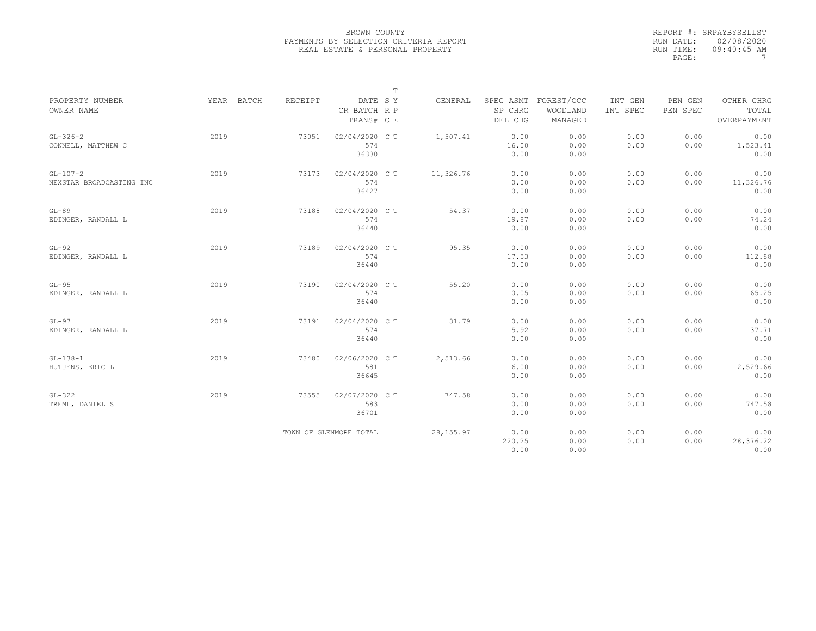| PROPERTY NUMBER<br>OWNER NAME          | YEAR BATCH | RECEIPT | DATE SY<br>CR BATCH R P        | $\mathbb T$ | GENERAL    | SPEC ASMT<br>SP CHRG   | FOREST/OCC<br>WOODLAND | INT GEN<br>INT SPEC | PEN GEN<br>PEN SPEC | OTHER CHRG<br>TOTAL        |
|----------------------------------------|------------|---------|--------------------------------|-------------|------------|------------------------|------------------------|---------------------|---------------------|----------------------------|
|                                        |            |         | TRANS# C E                     |             |            | DEL CHG                | MANAGED                |                     |                     | OVERPAYMENT                |
| $GL-326-2$<br>CONNELL, MATTHEW C       | 2019       | 73051   | 02/04/2020 C T<br>574<br>36330 |             | 1,507.41   | 0.00<br>16.00<br>0.00  | 0.00<br>0.00<br>0.00   | 0.00<br>0.00        | 0.00<br>0.00        | 0.00<br>1,523.41<br>0.00   |
| $GL-107-2$<br>NEXSTAR BROADCASTING INC | 2019       | 73173   | 02/04/2020 C T<br>574<br>36427 |             | 11,326.76  | 0.00<br>0.00<br>0.00   | 0.00<br>0.00<br>0.00   | 0.00<br>0.00        | 0.00<br>0.00        | 0.00<br>11,326.76<br>0.00  |
| $GL-89$<br>EDINGER, RANDALL L          | 2019       | 73188   | 02/04/2020 CT<br>574<br>36440  |             | 54.37      | 0.00<br>19.87<br>0.00  | 0.00<br>0.00<br>0.00   | 0.00<br>0.00        | 0.00<br>0.00        | 0.00<br>74.24<br>0.00      |
| $GL-92$<br>EDINGER, RANDALL L          | 2019       | 73189   | 02/04/2020 C T<br>574<br>36440 |             | 95.35      | 0.00<br>17.53<br>0.00  | 0.00<br>0.00<br>0.00   | 0.00<br>0.00        | 0.00<br>0.00        | 0.00<br>112.88<br>0.00     |
| $GL-95$<br>EDINGER, RANDALL L          | 2019       | 73190   | 02/04/2020 CT<br>574<br>36440  |             | 55.20      | 0.00<br>10.05<br>0.00  | 0.00<br>0.00<br>0.00   | 0.00<br>0.00        | 0.00<br>0.00        | 0.00<br>65.25<br>0.00      |
| $GL-97$<br>EDINGER, RANDALL L          | 2019       | 73191   | 02/04/2020 CT<br>574<br>36440  |             | 31.79      | 0.00<br>5.92<br>0.00   | 0.00<br>0.00<br>0.00   | 0.00<br>0.00        | 0.00<br>0.00        | 0.00<br>37.71<br>0.00      |
| $GL-138-1$<br>HUTJENS, ERIC L          | 2019       | 73480   | 02/06/2020 CT<br>581<br>36645  |             | 2,513.66   | 0.00<br>16.00<br>0.00  | 0.00<br>0.00<br>0.00   | 0.00<br>0.00        | 0.00<br>0.00        | 0.00<br>2,529.66<br>0.00   |
| $GL-322$<br>TREML, DANIEL S            | 2019       | 73555   | 02/07/2020 CT<br>583<br>36701  |             | 747.58     | 0.00<br>0.00<br>0.00   | 0.00<br>0.00<br>0.00   | 0.00<br>0.00        | 0.00<br>0.00        | 0.00<br>747.58<br>0.00     |
|                                        |            |         | TOWN OF GLENMORE TOTAL         |             | 28, 155.97 | 0.00<br>220.25<br>0.00 | 0.00<br>0.00<br>0.00   | 0.00<br>0.00        | 0.00<br>0.00        | 0.00<br>28, 376.22<br>0.00 |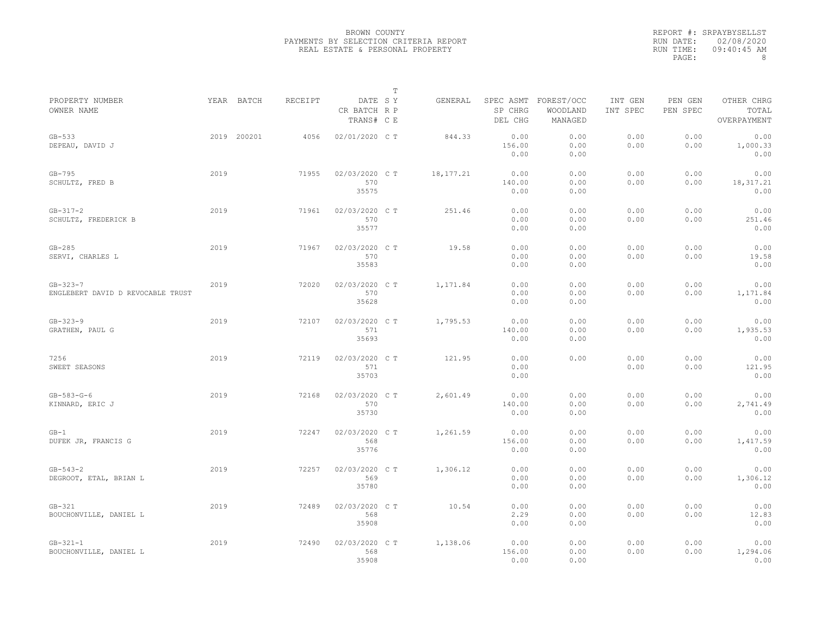|                                                     |      |             |                |                                       | $\mathbb T$ |             |                                 |                                   |                     |                     |                                    |
|-----------------------------------------------------|------|-------------|----------------|---------------------------------------|-------------|-------------|---------------------------------|-----------------------------------|---------------------|---------------------|------------------------------------|
| PROPERTY NUMBER<br>OWNER NAME                       |      | YEAR BATCH  | <b>RECEIPT</b> | DATE SY<br>CR BATCH R P<br>TRANS# C E |             | GENERAL     | SPEC ASMT<br>SP CHRG<br>DEL CHG | FOREST/OCC<br>WOODLAND<br>MANAGED | INT GEN<br>INT SPEC | PEN GEN<br>PEN SPEC | OTHER CHRG<br>TOTAL<br>OVERPAYMENT |
| $GB-533$<br>DEPEAU, DAVID J                         |      | 2019 200201 | 4056           | 02/01/2020 C T                        |             | 844.33      | 0.00<br>156.00<br>0.00          | 0.00<br>0.00<br>0.00              | 0.00<br>0.00        | 0.00<br>0.00        | 0.00<br>1,000.33<br>0.00           |
| $GB-795$<br>SCHULTZ, FRED B                         | 2019 |             | 71955          | 02/03/2020 C T<br>570<br>35575        |             | 18, 177. 21 | 0.00<br>140.00<br>0.00          | 0.00<br>0.00<br>0.00              | 0.00<br>0.00        | 0.00<br>0.00        | 0.00<br>18, 317. 21<br>0.00        |
| $GB - 317 - 2$<br>SCHULTZ, FREDERICK B              | 2019 |             | 71961          | 02/03/2020 CT<br>570<br>35577         |             | 251.46      | 0.00<br>0.00<br>0.00            | 0.00<br>0.00<br>0.00              | 0.00<br>0.00        | 0.00<br>0.00        | 0.00<br>251.46<br>0.00             |
| $GB-285$<br>SERVI, CHARLES L                        | 2019 |             | 71967          | 02/03/2020 CT<br>570<br>35583         |             | 19.58       | 0.00<br>0.00<br>0.00            | 0.00<br>0.00<br>0.00              | 0.00<br>0.00        | 0.00<br>0.00        | 0.00<br>19.58<br>0.00              |
| $GB - 323 - 7$<br>ENGLEBERT DAVID D REVOCABLE TRUST | 2019 |             | 72020          | 02/03/2020 C T<br>570<br>35628        |             | 1,171.84    | 0.00<br>0.00<br>0.00            | 0.00<br>0.00<br>0.00              | 0.00<br>0.00        | 0.00<br>0.00        | 0.00<br>1,171.84<br>0.00           |
| $GB - 323 - 9$<br>GRATHEN, PAUL G                   | 2019 |             | 72107          | 02/03/2020 CT<br>571<br>35693         |             | 1,795.53    | 0.00<br>140.00<br>0.00          | 0.00<br>0.00<br>0.00              | 0.00<br>0.00        | 0.00<br>0.00        | 0.00<br>1,935.53<br>0.00           |
| 7256<br>SWEET SEASONS                               | 2019 |             | 72119          | 02/03/2020 C T<br>571<br>35703        |             | 121.95      | 0.00<br>0.00<br>0.00            | 0.00                              | 0.00<br>0.00        | 0.00<br>0.00        | 0.00<br>121.95<br>0.00             |
| $GB - 583 - G - 6$<br>KINNARD, ERIC J               | 2019 |             | 72168          | 02/03/2020 CT<br>570<br>35730         |             | 2,601.49    | 0.00<br>140.00<br>0.00          | 0.00<br>0.00<br>0.00              | 0.00<br>0.00        | 0.00<br>0.00        | 0.00<br>2,741.49<br>0.00           |
| $GB-1$<br>DUFEK JR, FRANCIS G                       | 2019 |             | 72247          | 02/03/2020 CT<br>568<br>35776         |             | 1,261.59    | 0.00<br>156.00<br>0.00          | 0.00<br>0.00<br>0.00              | 0.00<br>0.00        | 0.00<br>0.00        | 0.00<br>1,417.59<br>0.00           |
| $GB - 543 - 2$<br>DEGROOT, ETAL, BRIAN L            | 2019 |             | 72257          | 02/03/2020 CT<br>569<br>35780         |             | 1,306.12    | 0.00<br>0.00<br>0.00            | 0.00<br>0.00<br>0.00              | 0.00<br>0.00        | 0.00<br>0.00        | 0.00<br>1,306.12<br>0.00           |
| $GB-321$<br>BOUCHONVILLE, DANIEL L                  | 2019 |             | 72489          | 02/03/2020 C T<br>568<br>35908        |             | 10.54       | 0.00<br>2.29<br>0.00            | 0.00<br>0.00<br>0.00              | 0.00<br>0.00        | 0.00<br>0.00        | 0.00<br>12.83<br>0.00              |
| $GB - 321 - 1$<br>BOUCHONVILLE, DANIEL L            | 2019 |             | 72490          | 02/03/2020 C T<br>568<br>35908        |             | 1,138.06    | 0.00<br>156.00<br>0.00          | 0.00<br>0.00<br>0.00              | 0.00<br>0.00        | 0.00<br>0.00        | 0.00<br>1,294.06<br>0.00           |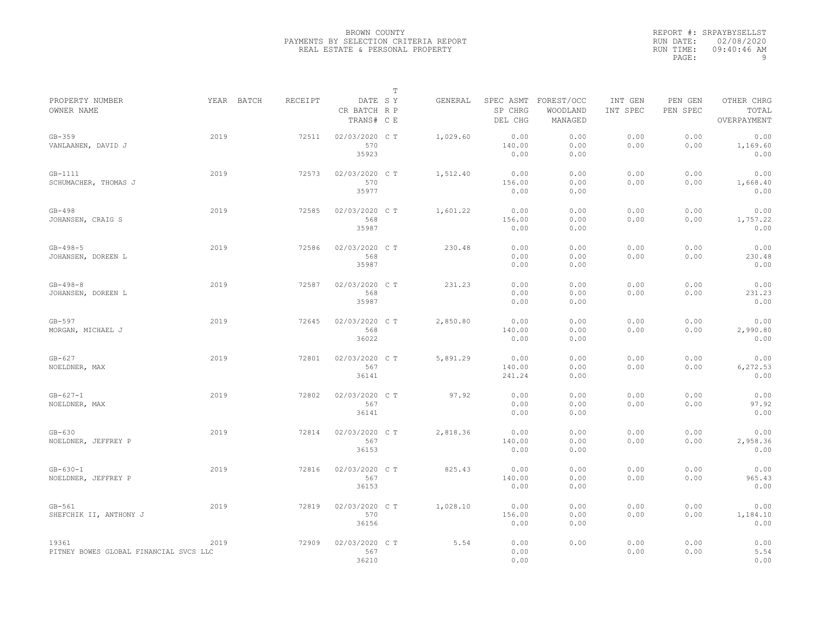|           | REPORT #: SRPAYBYSELLST |
|-----------|-------------------------|
|           | RUN DATE: 02/08/2020    |
| RUN TIME: | $09:40:46$ AM           |
| PAGE:     | q                       |

|                                                 |            |         |                                       | $\mathbb T$ |          |                          |                                             |                     |                     |                                    |
|-------------------------------------------------|------------|---------|---------------------------------------|-------------|----------|--------------------------|---------------------------------------------|---------------------|---------------------|------------------------------------|
| PROPERTY NUMBER<br>OWNER NAME                   | YEAR BATCH | RECEIPT | DATE SY<br>CR BATCH R P<br>TRANS# C E |             | GENERAL  | SP CHRG<br>DEL CHG       | SPEC ASMT FOREST/OCC<br>WOODLAND<br>MANAGED | INT GEN<br>INT SPEC | PEN GEN<br>PEN SPEC | OTHER CHRG<br>TOTAL<br>OVERPAYMENT |
| $GB-359$<br>VANLAANEN, DAVID J                  | 2019       | 72511   | 02/03/2020 CT<br>570<br>35923         |             | 1,029.60 | 0.00<br>140.00<br>0.00   | 0.00<br>0.00<br>0.00                        | 0.00<br>0.00        | 0.00<br>0.00        | 0.00<br>1,169.60<br>0.00           |
| $GB-1111$<br>SCHUMACHER, THOMAS J               | 2019       | 72573   | 02/03/2020 C T<br>570<br>35977        |             | 1,512.40 | 0.00<br>156.00<br>0.00   | 0.00<br>0.00<br>0.00                        | 0.00<br>0.00        | 0.00<br>0.00        | 0.00<br>1,668.40<br>0.00           |
| $GB-498$<br>JOHANSEN, CRAIG S                   | 2019       | 72585   | 02/03/2020 C T<br>568<br>35987        |             | 1,601.22 | 0.00<br>156.00<br>0.00   | 0.00<br>0.00<br>0.00                        | 0.00<br>0.00        | 0.00<br>0.00        | 0.00<br>1,757.22<br>0.00           |
| $GB - 498 - 5$<br>JOHANSEN, DOREEN L            | 2019       | 72586   | 02/03/2020 C T<br>568<br>35987        |             | 230.48   | 0.00<br>0.00<br>0.00     | 0.00<br>0.00<br>0.00                        | 0.00<br>0.00        | 0.00<br>0.00        | 0.00<br>230.48<br>0.00             |
| $GB - 498 - 8$<br>JOHANSEN, DOREEN L            | 2019       | 72587   | 02/03/2020 C T<br>568<br>35987        |             | 231.23   | 0.00<br>0.00<br>0.00     | 0.00<br>0.00<br>0.00                        | 0.00<br>0.00        | 0.00<br>0.00        | 0.00<br>231.23<br>0.00             |
| $GB-597$<br>MORGAN, MICHAEL J                   | 2019       | 72645   | 02/03/2020 C T<br>568<br>36022        |             | 2,850.80 | 0.00<br>140.00<br>0.00   | 0.00<br>0.00<br>0.00                        | 0.00<br>0.00        | 0.00<br>0.00        | 0.00<br>2,990.80<br>0.00           |
| $GB-627$<br>NOELDNER, MAX                       | 2019       | 72801   | 02/03/2020 C T<br>567<br>36141        |             | 5,891.29 | 0.00<br>140.00<br>241.24 | 0.00<br>0.00<br>0.00                        | 0.00<br>0.00        | 0.00<br>0.00        | 0.00<br>6,272.53<br>0.00           |
| $GB - 627 - 1$<br>NOELDNER, MAX                 | 2019       | 72802   | 02/03/2020 C T<br>567<br>36141        |             | 97.92    | 0.00<br>0.00<br>0.00     | 0.00<br>0.00<br>0.00                        | 0.00<br>0.00        | 0.00<br>0.00        | 0.00<br>97.92<br>0.00              |
| $GB-630$<br>NOELDNER, JEFFREY P                 | 2019       | 72814   | 02/03/2020 CT<br>567<br>36153         |             | 2,818.36 | 0.00<br>140.00<br>0.00   | 0.00<br>0.00<br>0.00                        | 0.00<br>0.00        | 0.00<br>0.00        | 0.00<br>2,958.36<br>0.00           |
| $GB - 630 - 1$<br>NOELDNER, JEFFREY P           | 2019       | 72816   | 02/03/2020 CT<br>567<br>36153         |             | 825.43   | 0.00<br>140.00<br>0.00   | 0.00<br>0.00<br>0.00                        | 0.00<br>0.00        | 0.00<br>0.00        | 0.00<br>965.43<br>0.00             |
| $GB-561$<br>SHEFCHIK II, ANTHONY J              | 2019       | 72819   | 02/03/2020 C T<br>570<br>36156        |             | 1,028.10 | 0.00<br>156.00<br>0.00   | 0.00<br>0.00<br>0.00                        | 0.00<br>0.00        | 0.00<br>0.00        | 0.00<br>1,184.10<br>0.00           |
| 19361<br>PITNEY BOWES GLOBAL FINANCIAL SVCS LLC | 2019       | 72909   | 02/03/2020 CT<br>567<br>36210         |             | 5.54     | 0.00<br>0.00<br>0.00     | 0.00                                        | 0.00<br>0.00        | 0.00<br>0.00        | 0.00<br>5.54<br>0.00               |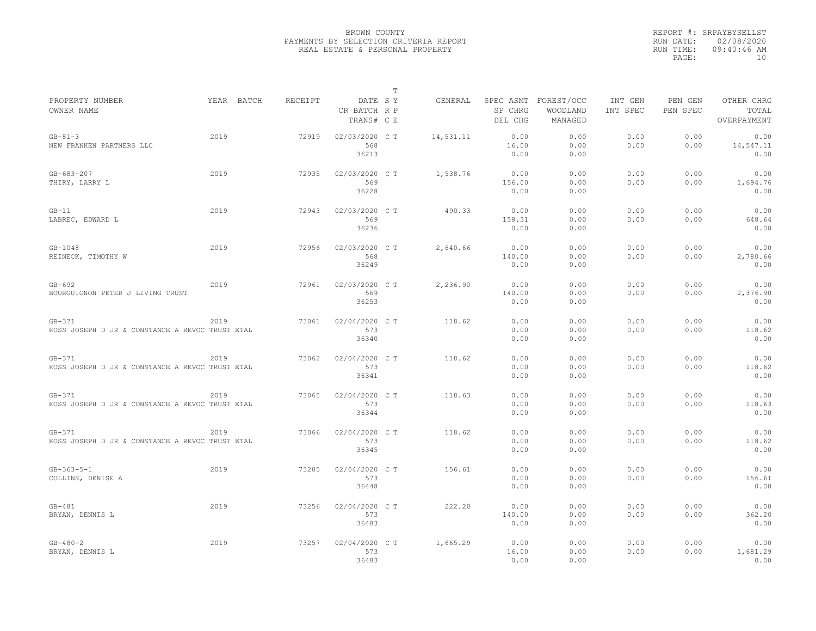|                                                             |            |         |                                       | $\mathbb T$ |           |                        |                                             |                     |                     |                                    |
|-------------------------------------------------------------|------------|---------|---------------------------------------|-------------|-----------|------------------------|---------------------------------------------|---------------------|---------------------|------------------------------------|
| PROPERTY NUMBER<br>OWNER NAME                               | YEAR BATCH | RECEIPT | DATE SY<br>CR BATCH R P<br>TRANS# C E |             | GENERAL   | SP CHRG<br>DEL CHG     | SPEC ASMT FOREST/OCC<br>WOODLAND<br>MANAGED | INT GEN<br>INT SPEC | PEN GEN<br>PEN SPEC | OTHER CHRG<br>TOTAL<br>OVERPAYMENT |
| $GB - 81 - 3$<br>NEW FRANKEN PARTNERS LLC                   | 2019       | 72919   | 02/03/2020 CT<br>568<br>36213         |             | 14,531.11 | 0.00<br>16.00<br>0.00  | 0.00<br>0.00<br>0.00                        | 0.00<br>0.00        | 0.00<br>0.00        | 0.00<br>14,547.11<br>0.00          |
| $GB - 683 - 207$<br>THIRY, LARRY L                          | 2019       | 72935   | 02/03/2020 C T<br>569<br>36228        |             | 1,538.76  | 0.00<br>156.00<br>0.00 | 0.00<br>0.00<br>0.00                        | 0.00<br>0.00        | 0.00<br>0.00        | 0.00<br>1,694.76<br>0.00           |
| $GB-11$<br>LABREC, EDWARD L                                 | 2019       | 72943   | 02/03/2020 C T<br>569<br>36236        |             | 490.33    | 0.00<br>158.31<br>0.00 | 0.00<br>0.00<br>0.00                        | 0.00<br>0.00        | 0.00<br>0.00        | 0.00<br>648.64<br>0.00             |
| $GB-1048$<br>REINECK, TIMOTHY W                             | 2019       | 72956   | 02/03/2020 C T<br>568<br>36249        |             | 2,640.66  | 0.00<br>140.00<br>0.00 | 0.00<br>0.00<br>0.00                        | 0.00<br>0.00        | 0.00<br>0.00        | 0.00<br>2,780.66<br>0.00           |
| $GB-692$<br>BOURGUIGNON PETER J LIVING TRUST                | 2019       | 72961   | 02/03/2020 C T<br>569<br>36253        |             | 2,236.90  | 0.00<br>140.00<br>0.00 | 0.00<br>0.00<br>0.00                        | 0.00<br>0.00        | 0.00<br>0.00        | 0.00<br>2,376.90<br>0.00           |
| $GB-371$<br>KOSS JOSEPH D JR & CONSTANCE A REVOC TRUST ETAL | 2019       | 73061   | 02/04/2020 C T<br>573<br>36340        |             | 118.62    | 0.00<br>0.00<br>0.00   | 0.00<br>0.00<br>0.00                        | 0.00<br>0.00        | 0.00<br>0.00        | 0.00<br>118.62<br>0.00             |
| $GB-371$<br>KOSS JOSEPH D JR & CONSTANCE A REVOC TRUST ETAL | 2019       | 73062   | 02/04/2020 C T<br>573<br>36341        |             | 118.62    | 0.00<br>0.00<br>0.00   | 0.00<br>0.00<br>0.00                        | 0.00<br>0.00        | 0.00<br>0.00        | 0.00<br>118.62<br>0.00             |
| $GB-371$<br>KOSS JOSEPH D JR & CONSTANCE A REVOC TRUST ETAL | 2019       | 73065   | 02/04/2020 C T<br>573<br>36344        |             | 118.63    | 0.00<br>0.00<br>0.00   | 0.00<br>0.00<br>0.00                        | 0.00<br>0.00        | 0.00<br>0.00        | 0.00<br>118.63<br>0.00             |
| $GB-371$<br>KOSS JOSEPH D JR & CONSTANCE A REVOC TRUST ETAL | 2019       | 73066   | 02/04/2020 C T<br>573<br>36345        |             | 118.62    | 0.00<br>0.00<br>0.00   | 0.00<br>0.00<br>0.00                        | 0.00<br>0.00        | 0.00<br>0.00        | 0.00<br>118.62<br>0.00             |
| $GB - 363 - 5 - 1$<br>COLLINS, DENISE A                     | 2019       | 73205   | 02/04/2020 C T<br>573<br>36448        |             | 156.61    | 0.00<br>0.00<br>0.00   | 0.00<br>0.00<br>0.00                        | 0.00<br>0.00        | 0.00<br>0.00        | 0.00<br>156.61<br>0.00             |
| $GB-481$<br>BRYAN, DENNIS L                                 | 2019       | 73256   | 02/04/2020 C T<br>573<br>36483        |             | 222.20    | 0.00<br>140.00<br>0.00 | 0.00<br>0.00<br>0.00                        | 0.00<br>0.00        | 0.00<br>0.00        | 0.00<br>362.20<br>0.00             |
| $GB - 480 - 2$<br>BRYAN, DENNIS L                           | 2019       | 73257   | 02/04/2020 C T<br>573<br>36483        |             | 1,665.29  | 0.00<br>16.00<br>0.00  | 0.00<br>0.00<br>0.00                        | 0.00<br>0.00        | 0.00<br>0.00        | 0.00<br>1,681.29<br>0.00           |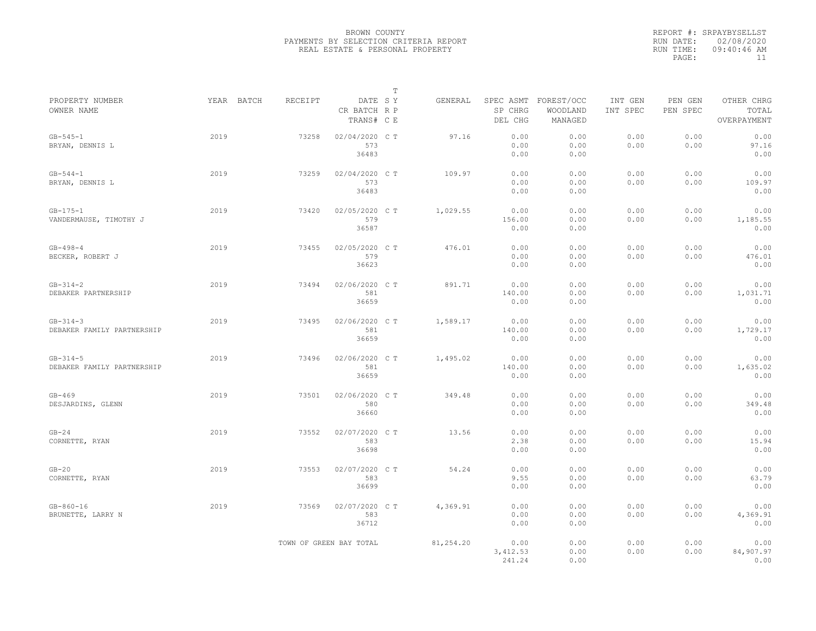|                                              |            |         |                                       | T |           |                                 |                                   |                     |                     |                                    |
|----------------------------------------------|------------|---------|---------------------------------------|---|-----------|---------------------------------|-----------------------------------|---------------------|---------------------|------------------------------------|
| PROPERTY NUMBER<br>OWNER NAME                | YEAR BATCH | RECEIPT | DATE SY<br>CR BATCH R P<br>TRANS# C E |   | GENERAL   | SPEC ASMT<br>SP CHRG<br>DEL CHG | FOREST/OCC<br>WOODLAND<br>MANAGED | INT GEN<br>INT SPEC | PEN GEN<br>PEN SPEC | OTHER CHRG<br>TOTAL<br>OVERPAYMENT |
| $GB - 545 - 1$<br>BRYAN, DENNIS L            | 2019       | 73258   | 02/04/2020 C T<br>573<br>36483        |   | 97.16     | 0.00<br>0.00<br>0.00            | 0.00<br>0.00<br>0.00              | 0.00<br>0.00        | 0.00<br>0.00        | 0.00<br>97.16<br>0.00              |
| $GB - 544 - 1$<br>BRYAN, DENNIS L            | 2019       | 73259   | 02/04/2020 C T<br>573<br>36483        |   | 109.97    | 0.00<br>0.00<br>0.00            | 0.00<br>0.00<br>0.00              | 0.00<br>0.00        | 0.00<br>0.00        | 0.00<br>109.97<br>0.00             |
| $GB - 175 - 1$<br>VANDERMAUSE, TIMOTHY J     | 2019       | 73420   | 02/05/2020 C T<br>579<br>36587        |   | 1,029.55  | 0.00<br>156.00<br>0.00          | 0.00<br>0.00<br>0.00              | 0.00<br>0.00        | 0.00<br>0.00        | 0.00<br>1,185.55<br>0.00           |
| $GB - 498 - 4$<br>BECKER, ROBERT J           | 2019       | 73455   | 02/05/2020 C T<br>579<br>36623        |   | 476.01    | 0.00<br>0.00<br>0.00            | 0.00<br>0.00<br>0.00              | 0.00<br>0.00        | 0.00<br>0.00        | 0.00<br>476.01<br>0.00             |
| $GB - 314 - 2$<br>DEBAKER PARTNERSHIP        | 2019       | 73494   | 02/06/2020 C T<br>581<br>36659        |   | 891.71    | 0.00<br>140.00<br>0.00          | 0.00<br>0.00<br>0.00              | 0.00<br>0.00        | 0.00<br>0.00        | 0.00<br>1,031.71<br>0.00           |
| $GB - 314 - 3$<br>DEBAKER FAMILY PARTNERSHIP | 2019       | 73495   | 02/06/2020 C T<br>581<br>36659        |   | 1,589.17  | 0.00<br>140.00<br>0.00          | 0.00<br>0.00<br>0.00              | 0.00<br>0.00        | 0.00<br>0.00        | 0.00<br>1,729.17<br>0.00           |
| $GB - 314 - 5$<br>DEBAKER FAMILY PARTNERSHIP | 2019       | 73496   | 02/06/2020 C T<br>581<br>36659        |   | 1,495.02  | 0.00<br>140.00<br>0.00          | 0.00<br>0.00<br>0.00              | 0.00<br>0.00        | 0.00<br>0.00        | 0.00<br>1,635.02<br>0.00           |
| $GB-469$<br>DESJARDINS, GLENN                | 2019       | 73501   | 02/06/2020 C T<br>580<br>36660        |   | 349.48    | 0.00<br>0.00<br>0.00            | 0.00<br>0.00<br>0.00              | 0.00<br>0.00        | 0.00<br>0.00        | 0.00<br>349.48<br>0.00             |
| $GB-24$<br>CORNETTE, RYAN                    | 2019       | 73552   | 02/07/2020 C T<br>583<br>36698        |   | 13.56     | 0.00<br>2.38<br>0.00            | 0.00<br>0.00<br>0.00              | 0.00<br>0.00        | 0.00<br>0.00        | 0.00<br>15.94<br>0.00              |
| $GB-20$<br>CORNETTE, RYAN                    | 2019       | 73553   | 02/07/2020 CT<br>583<br>36699         |   | 54.24     | 0.00<br>9.55<br>0.00            | 0.00<br>0.00<br>0.00              | 0.00<br>0.00        | 0.00<br>0.00        | 0.00<br>63.79<br>0.00              |
| $GB - 860 - 16$<br>BRUNETTE, LARRY N         | 2019       | 73569   | 02/07/2020 C T<br>583<br>36712        |   | 4,369.91  | 0.00<br>0.00<br>0.00            | 0.00<br>0.00<br>0.00              | 0.00<br>0.00        | 0.00<br>0.00        | 0.00<br>4,369.91<br>0.00           |
|                                              |            |         | TOWN OF GREEN BAY TOTAL               |   | 81,254.20 | 0.00<br>3,412.53<br>241.24      | 0.00<br>0.00<br>0.00              | 0.00<br>0.00        | 0.00<br>0.00        | 0.00<br>84,907.97<br>0.00          |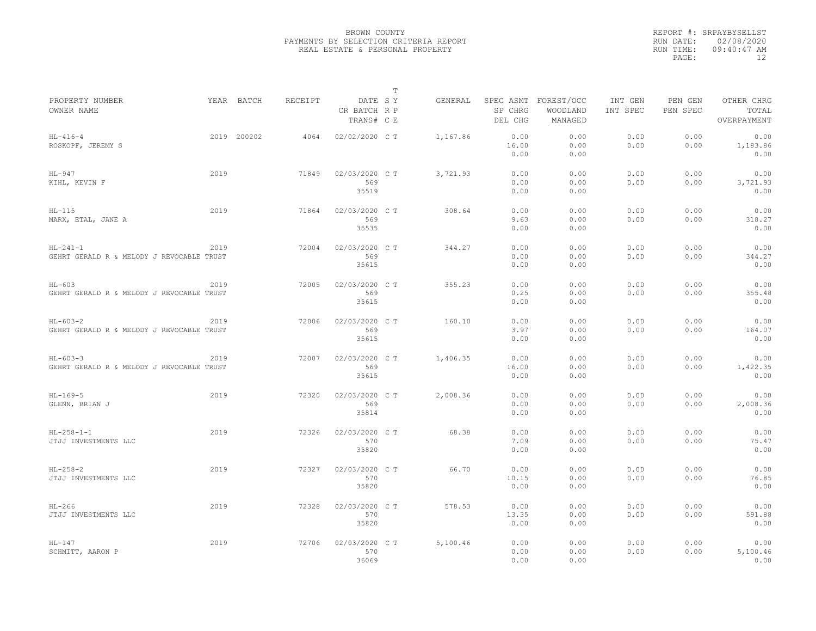|                                                         |      |             |         |                                       | $\mathbb T$ |          |                                 |                                   |                     |                     |                                    |
|---------------------------------------------------------|------|-------------|---------|---------------------------------------|-------------|----------|---------------------------------|-----------------------------------|---------------------|---------------------|------------------------------------|
| PROPERTY NUMBER<br>OWNER NAME                           |      | YEAR BATCH  | RECEIPT | DATE SY<br>CR BATCH R P<br>TRANS# C E |             | GENERAL  | SPEC ASMT<br>SP CHRG<br>DEL CHG | FOREST/OCC<br>WOODLAND<br>MANAGED | INT GEN<br>INT SPEC | PEN GEN<br>PEN SPEC | OTHER CHRG<br>TOTAL<br>OVERPAYMENT |
| $HL-416-4$<br>ROSKOPF, JEREMY S                         |      | 2019 200202 | 4064    | 02/02/2020 C T                        |             | 1,167.86 | 0.00<br>16.00<br>0.00           | 0.00<br>0.00<br>0.00              | 0.00<br>0.00        | 0.00<br>0.00        | 0.00<br>1,183.86<br>0.00           |
| $HL-947$<br>KIHL, KEVIN F                               | 2019 |             | 71849   | 02/03/2020 C T<br>569<br>35519        |             | 3,721.93 | 0.00<br>0.00<br>0.00            | 0.00<br>0.00<br>0.00              | 0.00<br>0.00        | 0.00<br>0.00        | 0.00<br>3,721.93<br>0.00           |
| $HL-115$<br>MARX, ETAL, JANE A                          | 2019 |             | 71864   | 02/03/2020 C T<br>569<br>35535        |             | 308.64   | 0.00<br>9.63<br>0.00            | 0.00<br>0.00<br>0.00              | 0.00<br>0.00        | 0.00<br>0.00        | 0.00<br>318.27<br>0.00             |
| $HL-241-1$<br>GEHRT GERALD R & MELODY J REVOCABLE TRUST | 2019 |             | 72004   | 02/03/2020 C T<br>569<br>35615        |             | 344.27   | 0.00<br>0.00<br>0.00            | 0.00<br>0.00<br>0.00              | 0.00<br>0.00        | 0.00<br>0.00        | 0.00<br>344.27<br>0.00             |
| $HL-603$<br>GEHRT GERALD R & MELODY J REVOCABLE TRUST   | 2019 |             | 72005   | 02/03/2020 C T<br>569<br>35615        |             | 355.23   | 0.00<br>0.25<br>0.00            | 0.00<br>0.00<br>0.00              | 0.00<br>0.00        | 0.00<br>0.00        | 0.00<br>355.48<br>0.00             |
| $HL-603-2$<br>GEHRT GERALD R & MELODY J REVOCABLE TRUST | 2019 |             | 72006   | 02/03/2020 CT<br>569<br>35615         |             | 160.10   | 0.00<br>3.97<br>0.00            | 0.00<br>0.00<br>0.00              | 0.00<br>0.00        | 0.00<br>0.00        | 0.00<br>164.07<br>0.00             |
| $HL-603-3$<br>GEHRT GERALD R & MELODY J REVOCABLE TRUST | 2019 |             | 72007   | 02/03/2020 C T<br>569<br>35615        |             | 1,406.35 | 0.00<br>16.00<br>0.00           | 0.00<br>0.00<br>0.00              | 0.00<br>0.00        | 0.00<br>0.00        | 0.00<br>1,422.35<br>0.00           |
| $HL-169-5$<br>GLENN, BRIAN J                            | 2019 |             | 72320   | 02/03/2020 C T<br>569<br>35814        |             | 2,008.36 | 0.00<br>0.00<br>0.00            | 0.00<br>0.00<br>0.00              | 0.00<br>0.00        | 0.00<br>0.00        | 0.00<br>2,008.36<br>0.00           |
| $HL-258-1-1$<br>JTJJ INVESTMENTS LLC                    | 2019 |             | 72326   | 02/03/2020 CT<br>570<br>35820         |             | 68.38    | 0.00<br>7.09<br>0.00            | 0.00<br>0.00<br>0.00              | 0.00<br>0.00        | 0.00<br>0.00        | 0.00<br>75.47<br>0.00              |
| $HL-258-2$<br>JTJJ INVESTMENTS LLC                      | 2019 |             | 72327   | 02/03/2020 C T<br>570<br>35820        |             | 66.70    | 0.00<br>10.15<br>0.00           | 0.00<br>0.00<br>0.00              | 0.00<br>0.00        | 0.00<br>0.00        | 0.00<br>76.85<br>0.00              |
| $HL-266$<br>JTJJ INVESTMENTS LLC                        | 2019 |             | 72328   | 02/03/2020 C T<br>570<br>35820        |             | 578.53   | 0.00<br>13.35<br>0.00           | 0.00<br>0.00<br>0.00              | 0.00<br>0.00        | 0.00<br>0.00        | 0.00<br>591.88<br>0.00             |
| $HL-147$<br>SCHMITT, AARON P                            | 2019 |             | 72706   | 02/03/2020 CT<br>570<br>36069         |             | 5,100.46 | 0.00<br>0.00<br>0.00            | 0.00<br>0.00<br>0.00              | 0.00<br>0.00        | 0.00<br>0.00        | 0.00<br>5,100.46<br>0.00           |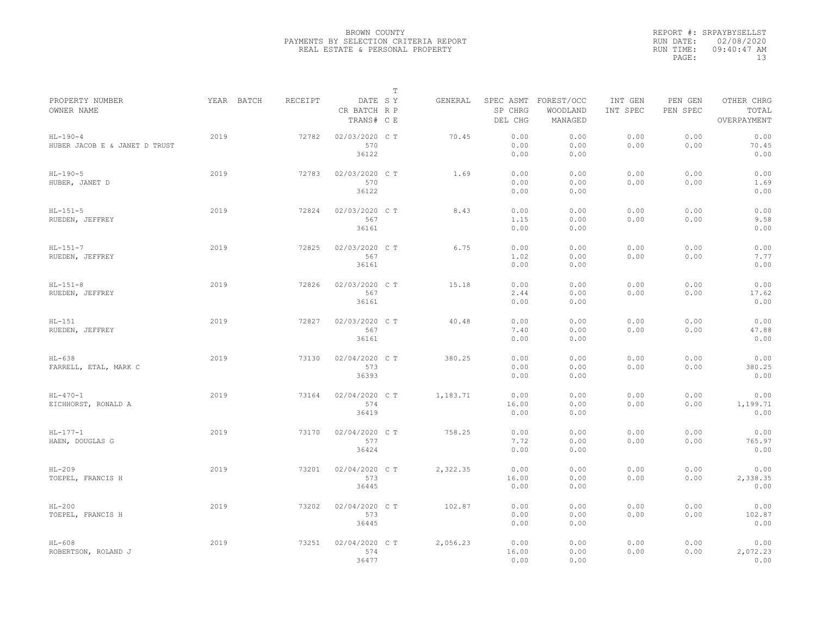|                                             |            |         |                                       | $\mathbb T$ |          |                       |                                             |                     |                     |                                    |
|---------------------------------------------|------------|---------|---------------------------------------|-------------|----------|-----------------------|---------------------------------------------|---------------------|---------------------|------------------------------------|
| PROPERTY NUMBER<br>OWNER NAME               | YEAR BATCH | RECEIPT | DATE SY<br>CR BATCH R P<br>TRANS# C E |             | GENERAL  | SP CHRG<br>DEL CHG    | SPEC ASMT FOREST/OCC<br>WOODLAND<br>MANAGED | INT GEN<br>INT SPEC | PEN GEN<br>PEN SPEC | OTHER CHRG<br>TOTAL<br>OVERPAYMENT |
| $HL-190-4$<br>HUBER JACOB E & JANET D TRUST | 2019       | 72782   | 02/03/2020 CT<br>570<br>36122         |             | 70.45    | 0.00<br>0.00<br>0.00  | 0.00<br>0.00<br>0.00                        | 0.00<br>0.00        | 0.00<br>0.00        | 0.00<br>70.45<br>0.00              |
| $HL-190-5$<br>HUBER, JANET D                | 2019       | 72783   | 02/03/2020 C T<br>570<br>36122        |             | 1.69     | 0.00<br>0.00<br>0.00  | 0.00<br>0.00<br>0.00                        | 0.00<br>0.00        | 0.00<br>0.00        | 0.00<br>1.69<br>0.00               |
| $HL-151-5$<br>RUEDEN, JEFFREY               | 2019       | 72824   | 02/03/2020 C T<br>567<br>36161        |             | 8.43     | 0.00<br>1.15<br>0.00  | 0.00<br>0.00<br>0.00                        | 0.00<br>0.00        | 0.00<br>0.00        | 0.00<br>9.58<br>0.00               |
| $HL-151-7$<br>RUEDEN, JEFFREY               | 2019       | 72825   | 02/03/2020 C T<br>567<br>36161        |             | 6.75     | 0.00<br>1.02<br>0.00  | 0.00<br>0.00<br>0.00                        | 0.00<br>0.00        | 0.00<br>0.00        | 0.00<br>7.77<br>0.00               |
| $HL-151-8$<br>RUEDEN, JEFFREY               | 2019       | 72826   | 02/03/2020 C T<br>567<br>36161        |             | 15.18    | 0.00<br>2.44<br>0.00  | 0.00<br>0.00<br>0.00                        | 0.00<br>0.00        | 0.00<br>0.00        | 0.00<br>17.62<br>0.00              |
| $HL-151$<br>RUEDEN, JEFFREY                 | 2019       | 72827   | 02/03/2020 C T<br>567<br>36161        |             | 40.48    | 0.00<br>7.40<br>0.00  | 0.00<br>0.00<br>0.00                        | 0.00<br>0.00        | 0.00<br>0.00        | 0.00<br>47.88<br>0.00              |
| $HL-638$<br>FARRELL, ETAL, MARK C           | 2019       | 73130   | 02/04/2020 CT<br>573<br>36393         |             | 380.25   | 0.00<br>0.00<br>0.00  | 0.00<br>0.00<br>0.00                        | 0.00<br>0.00        | 0.00<br>0.00        | 0.00<br>380.25<br>0.00             |
| $HL - 470 - 1$<br>EICHHORST, RONALD A       | 2019       | 73164   | 02/04/2020 C T<br>574<br>36419        |             | 1,183.71 | 0.00<br>16.00<br>0.00 | 0.00<br>0.00<br>0.00                        | 0.00<br>0.00        | 0.00<br>0.00        | 0.00<br>1,199.71<br>0.00           |
| $HL-177-1$<br>HAEN, DOUGLAS G               | 2019       | 73170   | 02/04/2020 C T<br>577<br>36424        |             | 758.25   | 0.00<br>7.72<br>0.00  | 0.00<br>0.00<br>0.00                        | 0.00<br>0.00        | 0.00<br>0.00        | 0.00<br>765.97<br>0.00             |
| $HL-209$<br>TOEPEL, FRANCIS H               | 2019       | 73201   | 02/04/2020 C T<br>573<br>36445        |             | 2,322.35 | 0.00<br>16.00<br>0.00 | 0.00<br>0.00<br>0.00                        | 0.00<br>0.00        | 0.00<br>0.00        | 0.00<br>2,338.35<br>0.00           |
| $HL-200$<br>TOEPEL, FRANCIS H               | 2019       | 73202   | 02/04/2020 CT<br>573<br>36445         |             | 102.87   | 0.00<br>0.00<br>0.00  | 0.00<br>0.00<br>0.00                        | 0.00<br>0.00        | 0.00<br>0.00        | 0.00<br>102.87<br>0.00             |
| $HL-608$<br>ROBERTSON, ROLAND J             | 2019       | 73251   | 02/04/2020 C T<br>574<br>36477        |             | 2,056.23 | 0.00<br>16.00<br>0.00 | 0.00<br>0.00<br>0.00                        | 0.00<br>0.00        | 0.00<br>0.00        | 0.00<br>2,072.23<br>0.00           |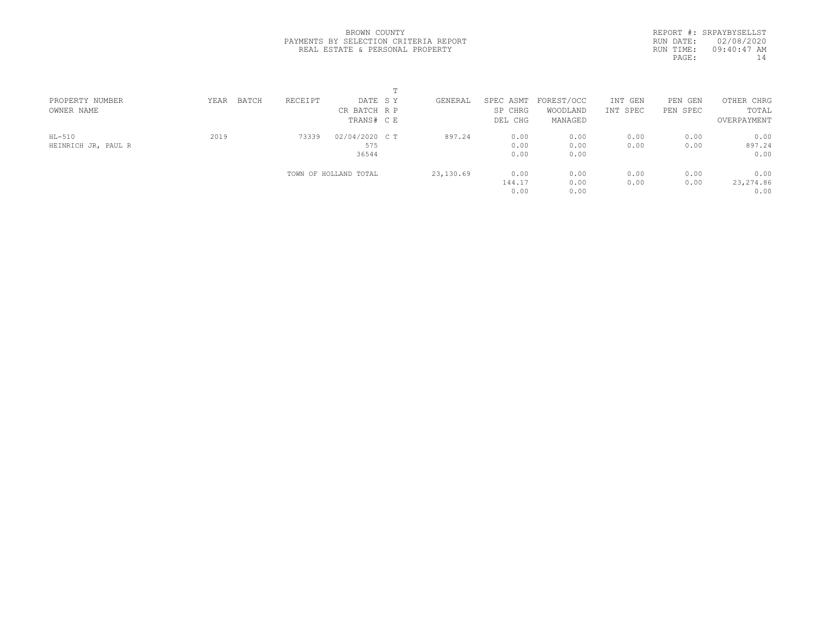REPORT #: SRPAYBYSELLST RUN DATE: 02/08/2020 RUN TIME: 09:40:47 AM PAGE:  $14$ 

| PROPERTY NUMBER                 | BATCH<br>YEAR | RECEIPT | DATE SY                        | GENERAL   | SPEC ASMT              | FOREST/OCC           | INT GEN      | PEN GEN      | OTHER CHRG                 |  |
|---------------------------------|---------------|---------|--------------------------------|-----------|------------------------|----------------------|--------------|--------------|----------------------------|--|
| OWNER NAME                      |               |         | CR BATCH R P<br>TRANS# C E     |           | SP CHRG<br>DEL CHG     | WOODLAND<br>MANAGED  | INT SPEC     | PEN SPEC     | TOTAL<br>OVERPAYMENT       |  |
| $HL-510$<br>HEINRICH JR, PAUL R | 2019          | 73339   | 02/04/2020 C T<br>575<br>36544 | 897.24    | 0.00<br>0.00<br>0.00   | 0.00<br>0.00<br>0.00 | 0.00<br>0.00 | 0.00<br>0.00 | 0.00<br>897.24<br>0.00     |  |
|                                 |               |         | TOWN OF HOLLAND TOTAL          | 23,130.69 | 0.00<br>144.17<br>0.00 | 0.00<br>0.00<br>0.00 | 0.00<br>0.00 | 0.00<br>0.00 | 0.00<br>23, 274.86<br>0.00 |  |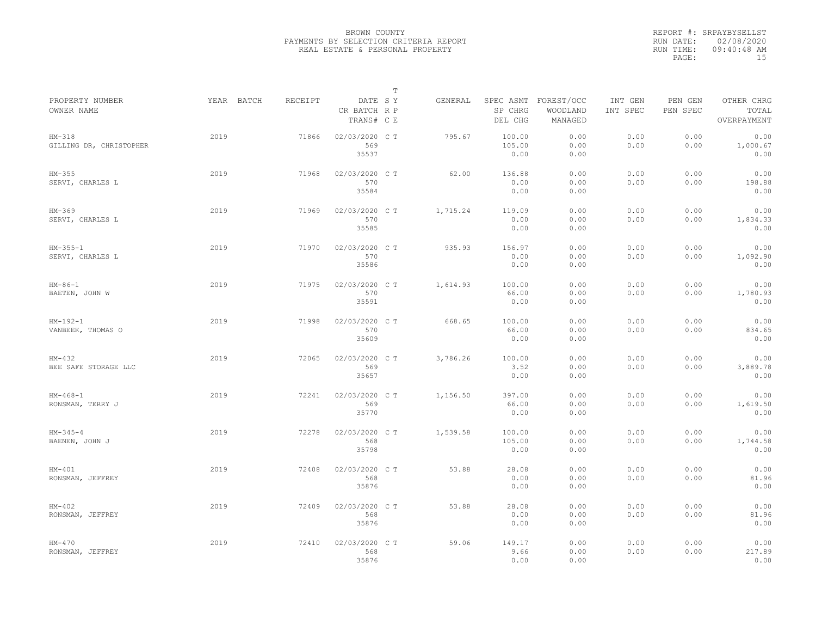|                                     |            |         |                                       | $\mathbb T$ |          |                                 |                                   |                     |                     |                                    |
|-------------------------------------|------------|---------|---------------------------------------|-------------|----------|---------------------------------|-----------------------------------|---------------------|---------------------|------------------------------------|
| PROPERTY NUMBER<br>OWNER NAME       | YEAR BATCH | RECEIPT | DATE SY<br>CR BATCH R P<br>TRANS# C E |             | GENERAL  | SPEC ASMT<br>SP CHRG<br>DEL CHG | FOREST/OCC<br>WOODLAND<br>MANAGED | INT GEN<br>INT SPEC | PEN GEN<br>PEN SPEC | OTHER CHRG<br>TOTAL<br>OVERPAYMENT |
| $HM-318$<br>GILLING DR, CHRISTOPHER | 2019       | 71866   | 02/03/2020 C T<br>569<br>35537        |             | 795.67   | 100.00<br>105.00<br>0.00        | 0.00<br>0.00<br>0.00              | 0.00<br>0.00        | 0.00<br>0.00        | 0.00<br>1,000.67<br>0.00           |
| $HM-355$<br>SERVI, CHARLES L        | 2019       | 71968   | 02/03/2020 C T<br>570<br>35584        |             | 62.00    | 136.88<br>0.00<br>0.00          | 0.00<br>0.00<br>0.00              | 0.00<br>0.00        | 0.00<br>0.00        | 0.00<br>198.88<br>0.00             |
| $HM-369$<br>SERVI, CHARLES L        | 2019       | 71969   | 02/03/2020 C T<br>570<br>35585        |             | 1,715.24 | 119.09<br>0.00<br>0.00          | 0.00<br>0.00<br>0.00              | 0.00<br>0.00        | 0.00<br>0.00        | 0.00<br>1,834.33<br>0.00           |
| $HM-355-1$<br>SERVI, CHARLES L      | 2019       | 71970   | 02/03/2020 CT<br>570<br>35586         |             | 935.93   | 156.97<br>0.00<br>0.00          | 0.00<br>0.00<br>0.00              | 0.00<br>0.00        | 0.00<br>0.00        | 0.00<br>1,092.90<br>0.00           |
| $HM - 86 - 1$<br>BAETEN, JOHN W     | 2019       | 71975   | 02/03/2020 C T<br>570<br>35591        |             | 1,614.93 | 100.00<br>66.00<br>0.00         | 0.00<br>0.00<br>0.00              | 0.00<br>0.00        | 0.00<br>0.00        | 0.00<br>1,780.93<br>0.00           |
| $HM-192-1$<br>VANBEEK, THOMAS O     | 2019       | 71998   | 02/03/2020 C T<br>570<br>35609        |             | 668.65   | 100.00<br>66.00<br>0.00         | 0.00<br>0.00<br>0.00              | 0.00<br>0.00        | 0.00<br>0.00        | 0.00<br>834.65<br>0.00             |
| $HM-432$<br>BEE SAFE STORAGE LLC    | 2019       | 72065   | 02/03/2020 CT<br>569<br>35657         |             | 3,786.26 | 100.00<br>3.52<br>0.00          | 0.00<br>0.00<br>0.00              | 0.00<br>0.00        | 0.00<br>0.00        | 0.00<br>3,889.78<br>0.00           |
| $HM-468-1$<br>RONSMAN, TERRY J      | 2019       | 72241   | 02/03/2020 CT<br>569<br>35770         |             | 1,156.50 | 397.00<br>66.00<br>0.00         | 0.00<br>0.00<br>0.00              | 0.00<br>0.00        | 0.00<br>0.00        | 0.00<br>1,619.50<br>0.00           |
| $HM-345-4$<br>BAENEN, JOHN J        | 2019       | 72278   | 02/03/2020 C T<br>568<br>35798        |             | 1,539.58 | 100.00<br>105.00<br>0.00        | 0.00<br>0.00<br>0.00              | 0.00<br>0.00        | 0.00<br>0.00        | 0.00<br>1,744.58<br>0.00           |
| $HM-401$<br>RONSMAN, JEFFREY        | 2019       | 72408   | 02/03/2020 CT<br>568<br>35876         |             | 53.88    | 28.08<br>0.00<br>0.00           | 0.00<br>0.00<br>0.00              | 0.00<br>0.00        | 0.00<br>0.00        | 0.00<br>81.96<br>0.00              |
| $HM-402$<br>RONSMAN, JEFFREY        | 2019       | 72409   | 02/03/2020 C T<br>568<br>35876        |             | 53.88    | 28.08<br>0.00<br>0.00           | 0.00<br>0.00<br>0.00              | 0.00<br>0.00        | 0.00<br>0.00        | 0.00<br>81.96<br>0.00              |
| $HM-470$<br>RONSMAN, JEFFREY        | 2019       | 72410   | 02/03/2020 CT<br>568<br>35876         |             | 59.06    | 149.17<br>9.66<br>0.00          | 0.00<br>0.00<br>0.00              | 0.00<br>0.00        | 0.00<br>0.00        | 0.00<br>217.89<br>0.00             |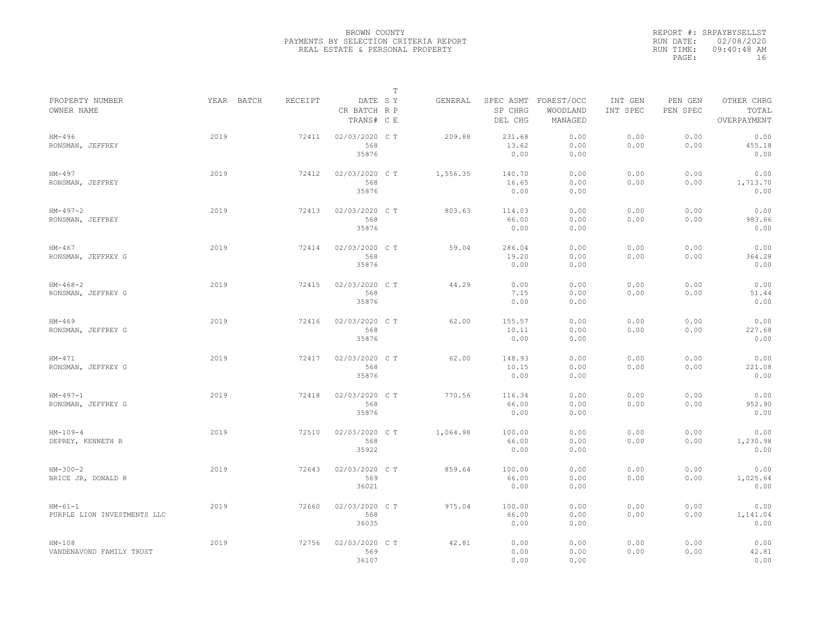|                                          |            |         |                                       | $\mathbb T$ |          |                                 |                                   |                     |                     |                                    |
|------------------------------------------|------------|---------|---------------------------------------|-------------|----------|---------------------------------|-----------------------------------|---------------------|---------------------|------------------------------------|
| PROPERTY NUMBER<br>OWNER NAME            | YEAR BATCH | RECEIPT | DATE SY<br>CR BATCH R P<br>TRANS# C E |             | GENERAL  | SPEC ASMT<br>SP CHRG<br>DEL CHG | FOREST/OCC<br>WOODLAND<br>MANAGED | INT GEN<br>INT SPEC | PEN GEN<br>PEN SPEC | OTHER CHRG<br>TOTAL<br>OVERPAYMENT |
| $HM-496$<br>RONSMAN, JEFFREY             | 2019       | 72411   | 02/03/2020 C T<br>568<br>35876        |             | 209.88   | 231.68<br>13.62<br>0.00         | 0.00<br>0.00<br>0.00              | 0.00<br>0.00        | 0.00<br>0.00        | 0.00<br>455.18<br>0.00             |
| HM-497<br>RONSMAN, JEFFREY               | 2019       | 72412   | 02/03/2020 C T<br>568<br>35876        |             | 1,556.35 | 140.70<br>16.65<br>0.00         | 0.00<br>0.00<br>0.00              | 0.00<br>0.00        | 0.00<br>0.00        | 0.00<br>1,713.70<br>0.00           |
| $HM-497-2$<br>RONSMAN, JEFFREY           | 2019       | 72413   | 02/03/2020 C T<br>568<br>35876        |             | 803.63   | 114.03<br>66.00<br>0.00         | 0.00<br>0.00<br>0.00              | 0.00<br>0.00        | 0.00<br>0.00        | 0.00<br>983.66<br>0.00             |
| $HM-467$<br>RONSMAN, JEFFREY G           | 2019       | 72414   | 02/03/2020 C T<br>568<br>35876        |             | 59.04    | 286.04<br>19.20<br>0.00         | 0.00<br>0.00<br>0.00              | 0.00<br>0.00        | 0.00<br>0.00        | 0.00<br>364.28<br>0.00             |
| $HM-468-2$<br>RONSMAN, JEFFREY G         | 2019       | 72415   | 02/03/2020 C T<br>568<br>35876        |             | 44.29    | 0.00<br>7.15<br>0.00            | 0.00<br>0.00<br>0.00              | 0.00<br>0.00        | 0.00<br>0.00        | 0.00<br>51.44<br>0.00              |
| $HM-469$<br>RONSMAN, JEFFREY G           | 2019       | 72416   | 02/03/2020 CT<br>568<br>35876         |             | 62.00    | 155.57<br>10.11<br>0.00         | 0.00<br>0.00<br>0.00              | 0.00<br>0.00        | 0.00<br>0.00        | 0.00<br>227.68<br>0.00             |
| $HM-471$<br>RONSMAN, JEFFREY G           | 2019       | 72417   | 02/03/2020 C T<br>568<br>35876        |             | 62.00    | 148.93<br>10.15<br>0.00         | 0.00<br>0.00<br>0.00              | 0.00<br>0.00        | 0.00<br>0.00        | 0.00<br>221.08<br>0.00             |
| $HM-497-1$<br>RONSMAN, JEFFREY G         | 2019       | 72418   | 02/03/2020 C T<br>568<br>35876        |             | 770.56   | 116.34<br>66.00<br>0.00         | 0.00<br>0.00<br>0.00              | 0.00<br>0.00        | 0.00<br>0.00        | 0.00<br>952.90<br>0.00             |
| $HM-109-4$<br>DEPREY, KENNETH R          | 2019       | 72510   | 02/03/2020 CT<br>568<br>35922         |             | 1,064.98 | 100.00<br>66.00<br>0.00         | 0.00<br>0.00<br>0.00              | 0.00<br>0.00        | 0.00<br>0.00        | 0.00<br>1,230.98<br>0.00           |
| $HM-300-2$<br>BRICE JR, DONALD R         | 2019       | 72643   | 02/03/2020 CT<br>569<br>36021         |             | 859.64   | 100.00<br>66.00<br>0.00         | 0.00<br>0.00<br>0.00              | 0.00<br>0.00        | 0.00<br>0.00        | 0.00<br>1,025.64<br>0.00           |
| $HM-61-1$<br>PURPLE LION INVESTMENTS LLC | 2019       | 72660   | 02/03/2020 C T<br>568<br>36035        |             | 975.04   | 100.00<br>66.00<br>0.00         | 0.00<br>0.00<br>0.00              | 0.00<br>0.00        | 0.00<br>0.00        | 0.00<br>1,141.04<br>0.00           |
| $HM-108$<br>VANDENAVOND FAMILY TRUST     | 2019       | 72756   | 02/03/2020 CT<br>569<br>36107         |             | 42.81    | 0.00<br>0.00<br>0.00            | 0.00<br>0.00<br>0.00              | 0.00<br>0.00        | 0.00<br>0.00        | 0.00<br>42.81<br>0.00              |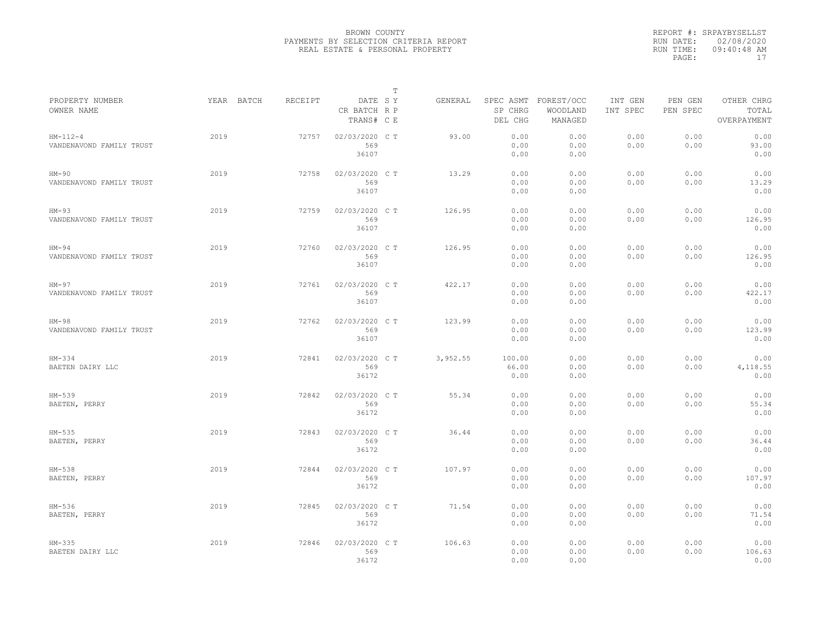|                                        |            |         |                                       | $\mathbb T$ |          |                                 |                                   |                     |                     |                                    |
|----------------------------------------|------------|---------|---------------------------------------|-------------|----------|---------------------------------|-----------------------------------|---------------------|---------------------|------------------------------------|
| PROPERTY NUMBER<br>OWNER NAME          | YEAR BATCH | RECEIPT | DATE SY<br>CR BATCH R P<br>TRANS# C E |             | GENERAL  | SPEC ASMT<br>SP CHRG<br>DEL CHG | FOREST/OCC<br>WOODLAND<br>MANAGED | INT GEN<br>INT SPEC | PEN GEN<br>PEN SPEC | OTHER CHRG<br>TOTAL<br>OVERPAYMENT |
| $HM-112-4$<br>VANDENAVOND FAMILY TRUST | 2019       | 72757   | 02/03/2020 CT<br>569<br>36107         |             | 93.00    | 0.00<br>0.00<br>0.00            | 0.00<br>0.00<br>0.00              | 0.00<br>0.00        | 0.00<br>0.00        | 0.00<br>93.00<br>0.00              |
| $HM-90$<br>VANDENAVOND FAMILY TRUST    | 2019       | 72758   | 02/03/2020 C T<br>569<br>36107        |             | 13.29    | 0.00<br>0.00<br>0.00            | 0.00<br>0.00<br>0.00              | 0.00<br>0.00        | 0.00<br>0.00        | 0.00<br>13.29<br>0.00              |
| $HM-93$<br>VANDENAVOND FAMILY TRUST    | 2019       | 72759   | 02/03/2020 C T<br>569<br>36107        |             | 126.95   | 0.00<br>0.00<br>0.00            | 0.00<br>0.00<br>0.00              | 0.00<br>0.00        | 0.00<br>0.00        | 0.00<br>126.95<br>0.00             |
| $HM-94$<br>VANDENAVOND FAMILY TRUST    | 2019       | 72760   | 02/03/2020 C T<br>569<br>36107        |             | 126.95   | 0.00<br>0.00<br>0.00            | 0.00<br>0.00<br>0.00              | 0.00<br>0.00        | 0.00<br>0.00        | 0.00<br>126.95<br>0.00             |
| $HM-97$<br>VANDENAVOND FAMILY TRUST    | 2019       | 72761   | 02/03/2020 CT<br>569<br>36107         |             | 422.17   | 0.00<br>0.00<br>0.00            | 0.00<br>0.00<br>0.00              | 0.00<br>0.00        | 0.00<br>0.00        | 0.00<br>422.17<br>0.00             |
| $HM-98$<br>VANDENAVOND FAMILY TRUST    | 2019       | 72762   | 02/03/2020 C T<br>569<br>36107        |             | 123.99   | 0.00<br>0.00<br>0.00            | 0.00<br>0.00<br>0.00              | 0.00<br>0.00        | 0.00<br>0.00        | 0.00<br>123.99<br>0.00             |
| $HM-334$<br>BAETEN DAIRY LLC           | 2019       | 72841   | 02/03/2020 CT<br>569<br>36172         |             | 3,952.55 | 100.00<br>66.00<br>0.00         | 0.00<br>0.00<br>0.00              | 0.00<br>0.00        | 0.00<br>0.00        | 0.00<br>4,118.55<br>0.00           |
| HM-539<br>BAETEN, PERRY                | 2019       | 72842   | 02/03/2020 C T<br>569<br>36172        |             | 55.34    | 0.00<br>0.00<br>0.00            | 0.00<br>0.00<br>0.00              | 0.00<br>0.00        | 0.00<br>0.00        | 0.00<br>55.34<br>0.00              |
| $HM-535$<br>BAETEN, PERRY              | 2019       | 72843   | 02/03/2020 C T<br>569<br>36172        |             | 36.44    | 0.00<br>0.00<br>0.00            | 0.00<br>0.00<br>0.00              | 0.00<br>0.00        | 0.00<br>0.00        | 0.00<br>36.44<br>0.00              |
| HM-538<br>BAETEN, PERRY                | 2019       | 72844   | 02/03/2020 CT<br>569<br>36172         |             | 107.97   | 0.00<br>0.00<br>0.00            | 0.00<br>0.00<br>0.00              | 0.00<br>0.00        | 0.00<br>0.00        | 0.00<br>107.97<br>0.00             |
| HM-536<br>BAETEN, PERRY                | 2019       | 72845   | 02/03/2020 C T<br>569<br>36172        |             | 71.54    | 0.00<br>0.00<br>0.00            | 0.00<br>0.00<br>0.00              | 0.00<br>0.00        | 0.00<br>0.00        | 0.00<br>71.54<br>0.00              |
| $HM-335$<br>BAETEN DAIRY LLC           | 2019       | 72846   | 02/03/2020 C T<br>569<br>36172        |             | 106.63   | 0.00<br>0.00<br>0.00            | 0.00<br>0.00<br>0.00              | 0.00<br>0.00        | 0.00<br>0.00        | 0.00<br>106.63<br>0.00             |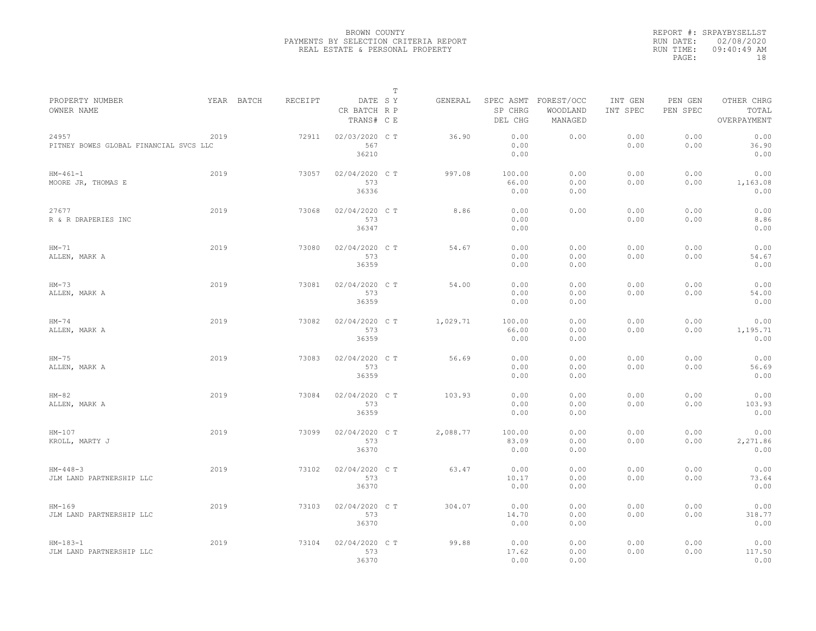|                                                 |            |         |                                       | $\mathbb T$ |          |                                 |                                   |                     |                     |                                    |
|-------------------------------------------------|------------|---------|---------------------------------------|-------------|----------|---------------------------------|-----------------------------------|---------------------|---------------------|------------------------------------|
| PROPERTY NUMBER<br>OWNER NAME                   | YEAR BATCH | RECEIPT | DATE SY<br>CR BATCH R P<br>TRANS# C E |             | GENERAL  | SPEC ASMT<br>SP CHRG<br>DEL CHG | FOREST/OCC<br>WOODLAND<br>MANAGED | INT GEN<br>INT SPEC | PEN GEN<br>PEN SPEC | OTHER CHRG<br>TOTAL<br>OVERPAYMENT |
| 24957<br>PITNEY BOWES GLOBAL FINANCIAL SVCS LLC | 2019       | 72911   | 02/03/2020 C T<br>567<br>36210        |             | 36.90    | 0.00<br>0.00<br>0.00            | 0.00                              | 0.00<br>0.00        | 0.00<br>0.00        | 0.00<br>36.90<br>0.00              |
| $HM-461-1$<br>MOORE JR, THOMAS E                | 2019       | 73057   | 02/04/2020 C T<br>573<br>36336        |             | 997.08   | 100.00<br>66.00<br>0.00         | 0.00<br>0.00<br>0.00              | 0.00<br>0.00        | 0.00<br>0.00        | 0.00<br>1,163.08<br>0.00           |
| 27677<br>R & R DRAPERIES INC                    | 2019       | 73068   | 02/04/2020 C T<br>573<br>36347        |             | 8.86     | 0.00<br>0.00<br>0.00            | 0.00                              | 0.00<br>0.00        | 0.00<br>0.00        | 0.00<br>8.86<br>0.00               |
| $HM-71$<br>ALLEN, MARK A                        | 2019       | 73080   | 02/04/2020 C T<br>573<br>36359        |             | 54.67    | 0.00<br>0.00<br>0.00            | 0.00<br>0.00<br>0.00              | 0.00<br>0.00        | 0.00<br>0.00        | 0.00<br>54.67<br>0.00              |
| $HM-73$<br>ALLEN, MARK A                        | 2019       | 73081   | 02/04/2020 C T<br>573<br>36359        |             | 54.00    | 0.00<br>0.00<br>0.00            | 0.00<br>0.00<br>0.00              | 0.00<br>0.00        | 0.00<br>0.00        | 0.00<br>54.00<br>0.00              |
| $HM-74$<br>ALLEN, MARK A                        | 2019       | 73082   | 02/04/2020 C T<br>573<br>36359        |             | 1,029.71 | 100.00<br>66.00<br>0.00         | 0.00<br>0.00<br>0.00              | 0.00<br>0.00        | 0.00<br>0.00        | 0.00<br>1,195.71<br>0.00           |
| $HM-75$<br>ALLEN, MARK A                        | 2019       | 73083   | 02/04/2020 CT<br>573<br>36359         |             | 56.69    | 0.00<br>0.00<br>0.00            | 0.00<br>0.00<br>0.00              | 0.00<br>0.00        | 0.00<br>0.00        | 0.00<br>56.69<br>0.00              |
| $HM-82$<br>ALLEN, MARK A                        | 2019       | 73084   | 02/04/2020 C T<br>573<br>36359        |             | 103.93   | 0.00<br>0.00<br>0.00            | 0.00<br>0.00<br>0.00              | 0.00<br>0.00        | 0.00<br>0.00        | 0.00<br>103.93<br>0.00             |
| $HM-107$<br>KROLL, MARTY J                      | 2019       | 73099   | 02/04/2020 C T<br>573<br>36370        |             | 2,088.77 | 100.00<br>83.09<br>0.00         | 0.00<br>0.00<br>0.00              | 0.00<br>0.00        | 0.00<br>0.00        | 0.00<br>2,271.86<br>0.00           |
| $HM-448-3$<br>JLM LAND PARTNERSHIP LLC          | 2019       | 73102   | 02/04/2020 CT<br>573<br>36370         |             | 63.47    | 0.00<br>10.17<br>0.00           | 0.00<br>0.00<br>0.00              | 0.00<br>0.00        | 0.00<br>0.00        | 0.00<br>73.64<br>0.00              |
| $HM-169$<br>JLM LAND PARTNERSHIP LLC            | 2019       | 73103   | 02/04/2020 C T<br>573<br>36370        |             | 304.07   | 0.00<br>14.70<br>0.00           | 0.00<br>0.00<br>0.00              | 0.00<br>0.00        | 0.00<br>0.00        | 0.00<br>318.77<br>0.00             |
| $HM-183-1$<br>JLM LAND PARTNERSHIP LLC          | 2019       | 73104   | 02/04/2020 CT<br>573<br>36370         |             | 99.88    | 0.00<br>17.62<br>0.00           | 0.00<br>0.00<br>0.00              | 0.00<br>0.00        | 0.00<br>0.00        | 0.00<br>117.50<br>0.00             |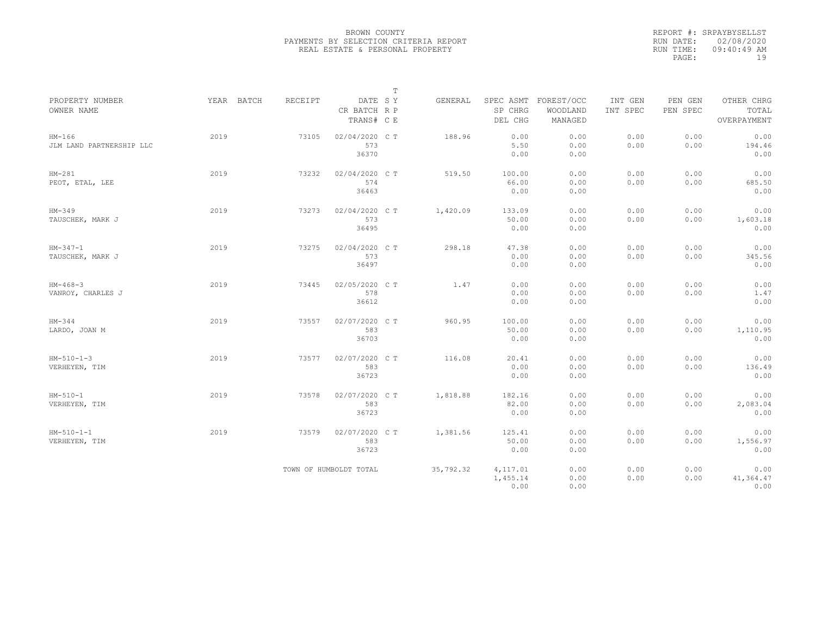|                                      |            |                |                                       | $\mathbb T$ |           |                                 |                                   |                     |                     |                                    |
|--------------------------------------|------------|----------------|---------------------------------------|-------------|-----------|---------------------------------|-----------------------------------|---------------------|---------------------|------------------------------------|
| PROPERTY NUMBER<br>OWNER NAME        | YEAR BATCH | <b>RECEIPT</b> | DATE SY<br>CR BATCH R P<br>TRANS# C E |             | GENERAL   | SPEC ASMT<br>SP CHRG<br>DEL CHG | FOREST/OCC<br>WOODLAND<br>MANAGED | INT GEN<br>INT SPEC | PEN GEN<br>PEN SPEC | OTHER CHRG<br>TOTAL<br>OVERPAYMENT |
| $HM-166$<br>JLM LAND PARTNERSHIP LLC | 2019       | 73105          | 02/04/2020 C T<br>573<br>36370        |             | 188.96    | 0.00<br>5.50<br>0.00            | 0.00<br>0.00<br>0.00              | 0.00<br>0.00        | 0.00<br>0.00        | 0.00<br>194.46<br>0.00             |
| $HM-281$<br>PEOT, ETAL, LEE          | 2019       | 73232          | 02/04/2020 C T<br>574<br>36463        |             | 519.50    | 100.00<br>66.00<br>0.00         | 0.00<br>0.00<br>0.00              | 0.00<br>0.00        | 0.00<br>0.00        | 0.00<br>685.50<br>0.00             |
| $HM-349$<br>TAUSCHEK, MARK J         | 2019       | 73273          | 02/04/2020 C T<br>573<br>36495        |             | 1,420.09  | 133.09<br>50.00<br>0.00         | 0.00<br>0.00<br>0.00              | 0.00<br>0.00        | 0.00<br>0.00        | 0.00<br>1,603.18<br>0.00           |
| $HM-347-1$<br>TAUSCHEK, MARK J       | 2019       | 73275          | 02/04/2020 C T<br>573<br>36497        |             | 298.18    | 47.38<br>0.00<br>0.00           | 0.00<br>0.00<br>0.00              | 0.00<br>0.00        | 0.00<br>0.00        | 0.00<br>345.56<br>0.00             |
| $HM-468-3$<br>VANROY, CHARLES J      | 2019       | 73445          | 02/05/2020 C T<br>578<br>36612        |             | 1.47      | 0.00<br>0.00<br>0.00            | 0.00<br>0.00<br>0.00              | 0.00<br>0.00        | 0.00<br>0.00        | 0.00<br>1.47<br>0.00               |
| $HM-344$<br>LARDO, JOAN M            | 2019       | 73557          | 02/07/2020 C T<br>583<br>36703        |             | 960.95    | 100.00<br>50.00<br>0.00         | 0.00<br>0.00<br>0.00              | 0.00<br>0.00        | 0.00<br>0.00        | 0.00<br>1,110.95<br>0.00           |
| $HM-510-1-3$<br>VERHEYEN, TIM        | 2019       | 73577          | 02/07/2020 C T<br>583<br>36723        |             | 116.08    | 20.41<br>0.00<br>0.00           | 0.00<br>0.00<br>0.00              | 0.00<br>0.00        | 0.00<br>0.00        | 0.00<br>136.49<br>0.00             |
| $HM - 510 - 1$<br>VERHEYEN, TIM      | 2019       | 73578          | 02/07/2020 CT<br>583<br>36723         |             | 1,818.88  | 182.16<br>82.00<br>0.00         | 0.00<br>0.00<br>0.00              | 0.00<br>0.00        | 0.00<br>0.00        | 0.00<br>2,083.04<br>0.00           |
| $HM-510-1-1$<br>VERHEYEN, TIM        | 2019       | 73579          | 02/07/2020 C T<br>583<br>36723        |             | 1,381.56  | 125.41<br>50.00<br>0.00         | 0.00<br>0.00<br>0.00              | 0.00<br>0.00        | 0.00<br>0.00        | 0.00<br>1,556.97<br>0.00           |
|                                      |            |                | TOWN OF HUMBOLDT TOTAL                |             | 35,792.32 | 4,117.01<br>1,455.14<br>0.00    | 0.00<br>0.00<br>0.00              | 0.00<br>0.00        | 0.00<br>0.00        | 0.00<br>41,364.47<br>0.00          |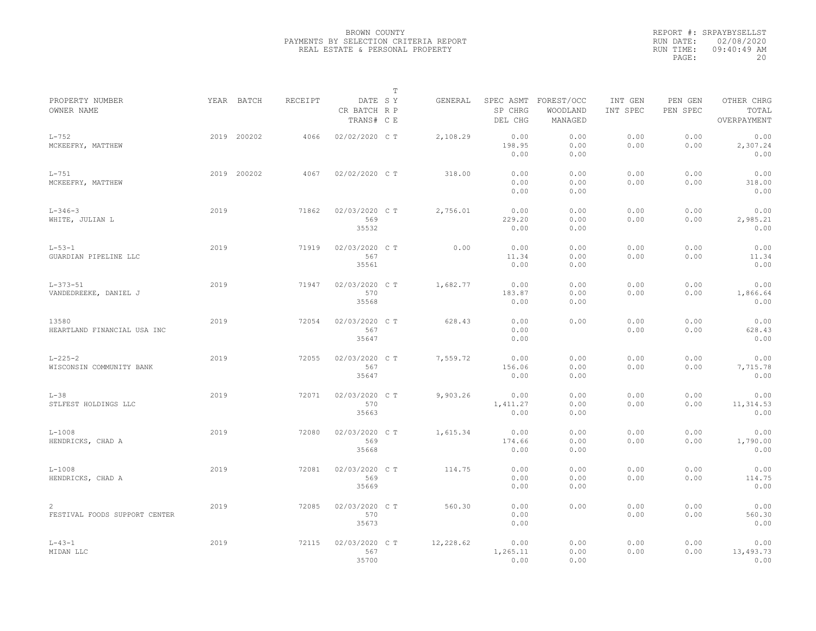|                                           |      |             |                |                                       | $\mathbb T$ |           |                                 |                                   |                     |                     |                                    |
|-------------------------------------------|------|-------------|----------------|---------------------------------------|-------------|-----------|---------------------------------|-----------------------------------|---------------------|---------------------|------------------------------------|
| PROPERTY NUMBER<br>OWNER NAME             |      | YEAR BATCH  | <b>RECEIPT</b> | DATE SY<br>CR BATCH R P<br>TRANS# C E |             | GENERAL   | SPEC ASMT<br>SP CHRG<br>DEL CHG | FOREST/OCC<br>WOODLAND<br>MANAGED | INT GEN<br>INT SPEC | PEN GEN<br>PEN SPEC | OTHER CHRG<br>TOTAL<br>OVERPAYMENT |
| $L-752$<br>MCKEEFRY, MATTHEW              |      | 2019 200202 | 4066           | 02/02/2020 CT                         |             | 2,108.29  | 0.00<br>198.95<br>0.00          | 0.00<br>0.00<br>0.00              | 0.00<br>0.00        | 0.00<br>0.00        | 0.00<br>2,307.24<br>0.00           |
| $L-751$<br>MCKEEFRY, MATTHEW              |      | 2019 200202 | 4067           | 02/02/2020 C T                        |             | 318.00    | 0.00<br>0.00<br>0.00            | 0.00<br>0.00<br>0.00              | 0.00<br>0.00        | 0.00<br>0.00        | 0.00<br>318.00<br>0.00             |
| $L - 346 - 3$<br>WHITE, JULIAN L          | 2019 |             | 71862          | 02/03/2020 CT<br>569<br>35532         |             | 2,756.01  | 0.00<br>229.20<br>0.00          | 0.00<br>0.00<br>0.00              | 0.00<br>0.00        | 0.00<br>0.00        | 0.00<br>2,985.21<br>0.00           |
| $L - 53 - 1$<br>GUARDIAN PIPELINE LLC     | 2019 |             | 71919          | 02/03/2020 C T<br>567<br>35561        |             | 0.00      | 0.00<br>11.34<br>0.00           | 0.00<br>0.00<br>0.00              | 0.00<br>0.00        | 0.00<br>0.00        | 0.00<br>11.34<br>0.00              |
| $L - 373 - 51$<br>VANDEDREEKE, DANIEL J   | 2019 |             | 71947          | 02/03/2020 CT<br>570<br>35568         |             | 1,682.77  | 0.00<br>183.87<br>0.00          | 0.00<br>0.00<br>0.00              | 0.00<br>0.00        | 0.00<br>0.00        | 0.00<br>1,866.64<br>0.00           |
| 13580<br>HEARTLAND FINANCIAL USA INC      | 2019 |             | 72054          | 02/03/2020 C T<br>567<br>35647        |             | 628.43    | 0.00<br>0.00<br>0.00            | 0.00                              | 0.00<br>0.00        | 0.00<br>0.00        | 0.00<br>628.43<br>0.00             |
| $L - 225 - 2$<br>WISCONSIN COMMUNITY BANK | 2019 |             | 72055          | 02/03/2020 C T<br>567<br>35647        |             | 7,559.72  | 0.00<br>156.06<br>0.00          | 0.00<br>0.00<br>0.00              | 0.00<br>0.00        | 0.00<br>0.00        | 0.00<br>7,715.78<br>0.00           |
| $L-38$<br>STLFEST HOLDINGS LLC            | 2019 |             | 72071          | 02/03/2020 C T<br>570<br>35663        |             | 9,903.26  | 0.00<br>1,411.27<br>0.00        | 0.00<br>0.00<br>0.00              | 0.00<br>0.00        | 0.00<br>0.00        | 0.00<br>11, 314.53<br>0.00         |
| $L - 1008$<br>HENDRICKS, CHAD A           | 2019 |             | 72080          | 02/03/2020 CT<br>569<br>35668         |             | 1,615.34  | 0.00<br>174.66<br>0.00          | 0.00<br>0.00<br>0.00              | 0.00<br>0.00        | 0.00<br>0.00        | 0.00<br>1,790.00<br>0.00           |
| $L-1008$<br>HENDRICKS, CHAD A             | 2019 |             | 72081          | 02/03/2020 C T<br>569<br>35669        |             | 114.75    | 0.00<br>0.00<br>0.00            | 0.00<br>0.00<br>0.00              | 0.00<br>0.00        | 0.00<br>0.00        | 0.00<br>114.75<br>0.00             |
| 2<br>FESTIVAL FOODS SUPPORT CENTER        | 2019 |             | 72085          | 02/03/2020 CT<br>570<br>35673         |             | 560.30    | 0.00<br>0.00<br>0.00            | 0.00                              | 0.00<br>0.00        | 0.00<br>0.00        | 0.00<br>560.30<br>0.00             |
| $L - 43 - 1$<br>MIDAN LLC                 | 2019 |             | 72115          | 02/03/2020 C T<br>567<br>35700        |             | 12,228.62 | 0.00<br>1,265.11<br>0.00        | 0.00<br>0.00<br>0.00              | 0.00<br>0.00        | 0.00<br>0.00        | 0.00<br>13,493.73<br>0.00          |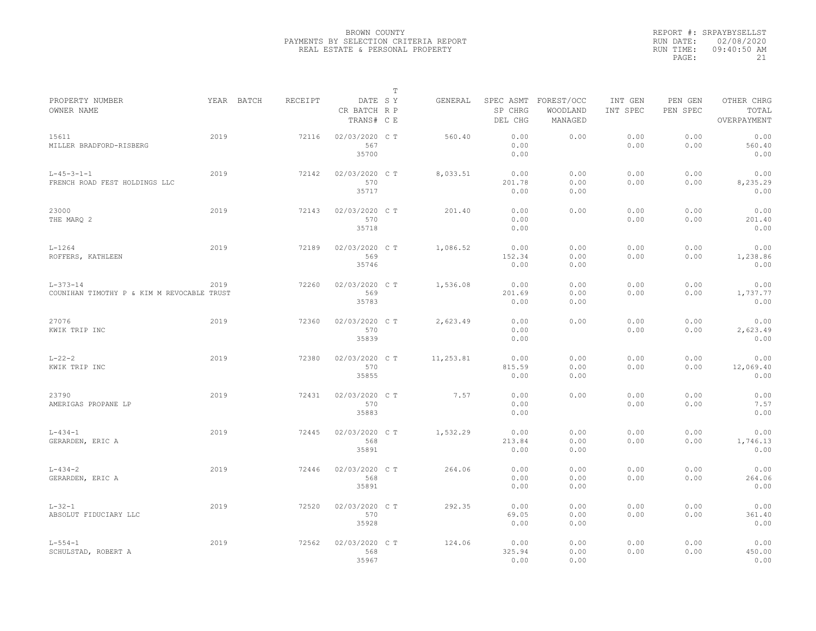|                                                              |      |            |         |                                       | $\mathbb T$ |           |                        |                                             |                     |                     |                                    |
|--------------------------------------------------------------|------|------------|---------|---------------------------------------|-------------|-----------|------------------------|---------------------------------------------|---------------------|---------------------|------------------------------------|
| PROPERTY NUMBER<br>OWNER NAME                                |      | YEAR BATCH | RECEIPT | DATE SY<br>CR BATCH R P<br>TRANS# C E |             | GENERAL   | SP CHRG<br>DEL CHG     | SPEC ASMT FOREST/OCC<br>WOODLAND<br>MANAGED | INT GEN<br>INT SPEC | PEN GEN<br>PEN SPEC | OTHER CHRG<br>TOTAL<br>OVERPAYMENT |
| 15611<br>MILLER BRADFORD-RISBERG                             | 2019 |            | 72116   | 02/03/2020 CT<br>567<br>35700         |             | 560.40    | 0.00<br>0.00<br>0.00   | 0.00                                        | 0.00<br>0.00        | 0.00<br>0.00        | 0.00<br>560.40<br>0.00             |
| $L - 45 - 3 - 1 - 1$<br>FRENCH ROAD FEST HOLDINGS LLC        | 2019 |            | 72142   | 02/03/2020 C T<br>570<br>35717        |             | 8,033.51  | 0.00<br>201.78<br>0.00 | 0.00<br>0.00<br>0.00                        | 0.00<br>0.00        | 0.00<br>0.00        | 0.00<br>8,235.29<br>0.00           |
| 23000<br>THE MARQ 2                                          | 2019 |            | 72143   | 02/03/2020 C T<br>570<br>35718        |             | 201.40    | 0.00<br>0.00<br>0.00   | 0.00                                        | 0.00<br>0.00        | 0.00<br>0.00        | 0.00<br>201.40<br>0.00             |
| $L - 1264$<br>ROFFERS, KATHLEEN                              | 2019 |            | 72189   | 02/03/2020 C T<br>569<br>35746        |             | 1,086.52  | 0.00<br>152.34<br>0.00 | 0.00<br>0.00<br>0.00                        | 0.00<br>0.00        | 0.00<br>0.00        | 0.00<br>1,238.86<br>0.00           |
| $L - 373 - 14$<br>COUNIHAN TIMOTHY P & KIM M REVOCABLE TRUST | 2019 |            | 72260   | 02/03/2020 C T<br>569<br>35783        |             | 1,536.08  | 0.00<br>201.69<br>0.00 | 0.00<br>0.00<br>0.00                        | 0.00<br>0.00        | 0.00<br>0.00        | 0.00<br>1,737.77<br>0.00           |
| 27076<br>KWIK TRIP INC                                       | 2019 |            | 72360   | 02/03/2020 C T<br>570<br>35839        |             | 2,623.49  | 0.00<br>0.00<br>0.00   | 0.00                                        | 0.00<br>0.00        | 0.00<br>0.00        | 0.00<br>2,623.49<br>0.00           |
| $L - 22 - 2$<br>KWIK TRIP INC                                | 2019 |            | 72380   | 02/03/2020 C T<br>570<br>35855        |             | 11,253.81 | 0.00<br>815.59<br>0.00 | 0.00<br>0.00<br>0.00                        | 0.00<br>0.00        | 0.00<br>0.00        | 0.00<br>12,069.40<br>0.00          |
| 23790<br>AMERIGAS PROPANE LP                                 | 2019 |            | 72431   | 02/03/2020 C T<br>570<br>35883        |             | 7.57      | 0.00<br>0.00<br>0.00   | 0.00                                        | 0.00<br>0.00        | 0.00<br>0.00        | 0.00<br>7.57<br>0.00               |
| $L - 434 - 1$<br>GERARDEN, ERIC A                            | 2019 |            | 72445   | 02/03/2020 C T<br>568<br>35891        |             | 1,532.29  | 0.00<br>213.84<br>0.00 | 0.00<br>0.00<br>0.00                        | 0.00<br>0.00        | 0.00<br>0.00        | 0.00<br>1,746.13<br>0.00           |
| $L - 434 - 2$<br>GERARDEN, ERIC A                            | 2019 |            | 72446   | 02/03/2020 C T<br>568<br>35891        |             | 264.06    | 0.00<br>0.00<br>0.00   | 0.00<br>0.00<br>0.00                        | 0.00<br>0.00        | 0.00<br>0.00        | 0.00<br>264.06<br>0.00             |
| $L - 32 - 1$<br>ABSOLUT FIDUCIARY LLC                        | 2019 |            | 72520   | 02/03/2020 C T<br>570<br>35928        |             | 292.35    | 0.00<br>69.05<br>0.00  | 0.00<br>0.00<br>0.00                        | 0.00<br>0.00        | 0.00<br>0.00        | 0.00<br>361.40<br>0.00             |
| $L - 554 - 1$<br>SCHULSTAD, ROBERT A                         | 2019 |            | 72562   | 02/03/2020 C T<br>568<br>35967        |             | 124.06    | 0.00<br>325.94<br>0.00 | 0.00<br>0.00<br>0.00                        | 0.00<br>0.00        | 0.00<br>0.00        | 0.00<br>450.00<br>0.00             |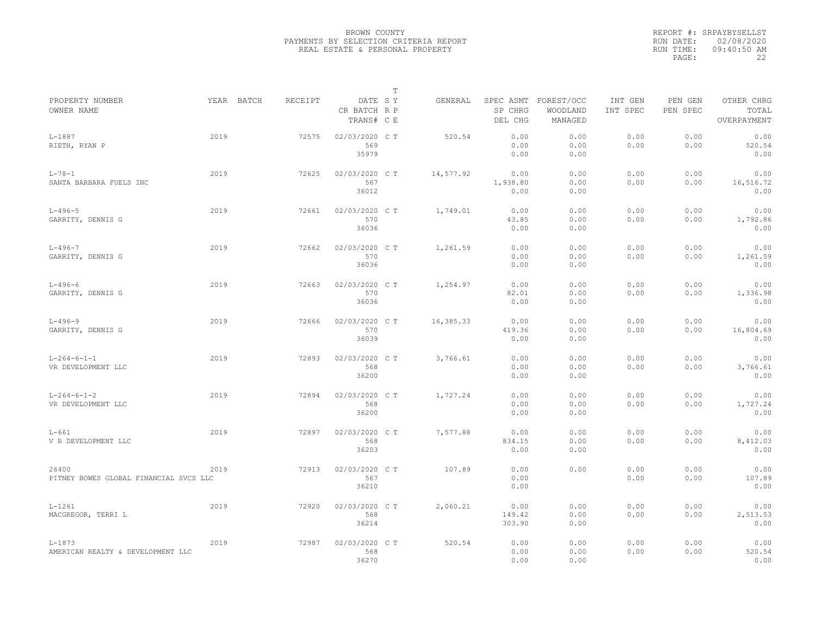|                                                 |      |            |                |                                       | $\mathbb T$ |           |                                 |                                   |                     |                     |                                    |
|-------------------------------------------------|------|------------|----------------|---------------------------------------|-------------|-----------|---------------------------------|-----------------------------------|---------------------|---------------------|------------------------------------|
| PROPERTY NUMBER<br>OWNER NAME                   |      | YEAR BATCH | <b>RECEIPT</b> | DATE SY<br>CR BATCH R P<br>TRANS# C E |             | GENERAL   | SPEC ASMT<br>SP CHRG<br>DEL CHG | FOREST/OCC<br>WOODLAND<br>MANAGED | INT GEN<br>INT SPEC | PEN GEN<br>PEN SPEC | OTHER CHRG<br>TOTAL<br>OVERPAYMENT |
| $L - 1887$<br>RIETH, RYAN P                     | 2019 |            | 72575          | 02/03/2020 C T<br>569<br>35979        |             | 520.54    | 0.00<br>0.00<br>0.00            | 0.00<br>0.00<br>0.00              | 0.00<br>0.00        | 0.00<br>0.00        | 0.00<br>520.54<br>0.00             |
| $L - 78 - 1$<br>SANTA BARBARA FUELS INC         | 2019 |            | 72625          | 02/03/2020 C T<br>567<br>36012        |             | 14,577.92 | 0.00<br>1,938.80<br>0.00        | 0.00<br>0.00<br>0.00              | 0.00<br>0.00        | 0.00<br>0.00        | 0.00<br>16,516.72<br>0.00          |
| $L - 496 - 5$<br>GARRITY, DENNIS G              | 2019 |            | 72661          | 02/03/2020 C T<br>570<br>36036        |             | 1,749.01  | 0.00<br>43.85<br>0.00           | 0.00<br>0.00<br>0.00              | 0.00<br>0.00        | 0.00<br>0.00        | 0.00<br>1,792.86<br>0.00           |
| $L - 496 - 7$<br>GARRITY, DENNIS G              | 2019 |            | 72662          | 02/03/2020 C T<br>570<br>36036        |             | 1,261.59  | 0.00<br>0.00<br>0.00            | 0.00<br>0.00<br>0.00              | 0.00<br>0.00        | 0.00<br>0.00        | 0.00<br>1,261.59<br>0.00           |
| $L - 496 - 6$<br>GARRITY, DENNIS G              | 2019 |            | 72663          | 02/03/2020 CT<br>570<br>36036         |             | 1,254.97  | 0.00<br>82.01<br>0.00           | 0.00<br>0.00<br>0.00              | 0.00<br>0.00        | 0.00<br>0.00        | 0.00<br>1,336.98<br>0.00           |
| $L - 496 - 9$<br>GARRITY, DENNIS G              | 2019 |            | 72666          | 02/03/2020 C T<br>570<br>36039        |             | 16,385.33 | 0.00<br>419.36<br>0.00          | 0.00<br>0.00<br>0.00              | 0.00<br>0.00        | 0.00<br>0.00        | 0.00<br>16,804.69<br>0.00          |
| $L - 264 - 6 - 1 - 1$<br>VR DEVELOPMENT LLC     | 2019 |            | 72893          | 02/03/2020 C T<br>568<br>36200        |             | 3,766.61  | 0.00<br>0.00<br>0.00            | 0.00<br>0.00<br>0.00              | 0.00<br>0.00        | 0.00<br>0.00        | 0.00<br>3,766.61<br>0.00           |
| $L - 264 - 6 - 1 - 2$<br>VR DEVELOPMENT LLC     | 2019 |            | 72894          | 02/03/2020 CT<br>568<br>36200         |             | 1,727.24  | 0.00<br>0.00<br>0.00            | 0.00<br>0.00<br>0.00              | 0.00<br>0.00        | 0.00<br>0.00        | 0.00<br>1,727.24<br>0.00           |
| $L-661$<br>V R DEVELOPMENT LLC                  | 2019 |            | 72897          | 02/03/2020 C T<br>568<br>36203        |             | 7,577.88  | 0.00<br>834.15<br>0.00          | 0.00<br>0.00<br>0.00              | 0.00<br>0.00        | 0.00<br>0.00        | 0.00<br>8,412.03<br>0.00           |
| 26400<br>PITNEY BOWES GLOBAL FINANCIAL SVCS LLC | 2019 |            | 72913          | 02/03/2020 C T<br>567<br>36210        |             | 107.89    | 0.00<br>0.00<br>0.00            | 0.00                              | 0.00<br>0.00        | 0.00<br>0.00        | 0.00<br>107.89<br>0.00             |
| $L-1261$<br>MACGREGOR, TERRI L                  | 2019 |            | 72920          | 02/03/2020 C T<br>568<br>36214        |             | 2,060.21  | 0.00<br>149.42<br>303.90        | 0.00<br>0.00<br>0.00              | 0.00<br>0.00        | 0.00<br>0.00        | 0.00<br>2,513.53<br>0.00           |
| $L - 1873$<br>AMERICAN REALTY & DEVELOPMENT LLC | 2019 |            | 72987          | 02/03/2020 CT<br>568<br>36270         |             | 520.54    | 0.00<br>0.00<br>0.00            | 0.00<br>0.00<br>0.00              | 0.00<br>0.00        | 0.00<br>0.00        | 0.00<br>520.54<br>0.00             |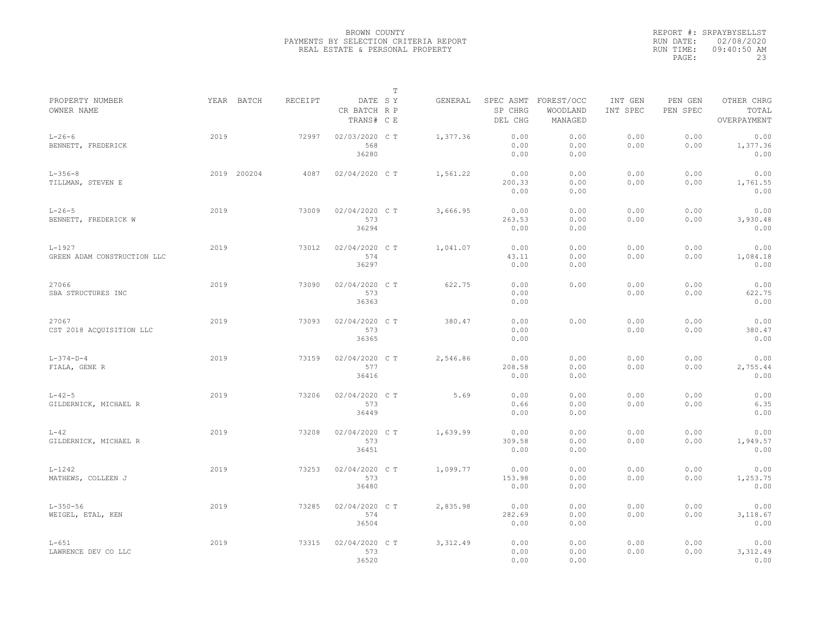|                                           |             |         |                                       | T |           |                        |                                             |                     |                     |                                    |
|-------------------------------------------|-------------|---------|---------------------------------------|---|-----------|------------------------|---------------------------------------------|---------------------|---------------------|------------------------------------|
| PROPERTY NUMBER<br>OWNER NAME             | YEAR BATCH  | RECEIPT | DATE SY<br>CR BATCH R P<br>TRANS# C E |   | GENERAL   | SP CHRG<br>DEL CHG     | SPEC ASMT FOREST/OCC<br>WOODLAND<br>MANAGED | INT GEN<br>INT SPEC | PEN GEN<br>PEN SPEC | OTHER CHRG<br>TOTAL<br>OVERPAYMENT |
| $L - 26 - 6$<br>BENNETT, FREDERICK        | 2019        | 72997   | 02/03/2020 C T<br>568<br>36280        |   | 1,377.36  | 0.00<br>0.00<br>0.00   | 0.00<br>0.00<br>0.00                        | 0.00<br>0.00        | 0.00<br>0.00        | 0.00<br>1,377.36<br>0.00           |
| $L - 356 - 8$<br>TILLMAN, STEVEN E        | 2019 200204 | 4087    | 02/04/2020 C T                        |   | 1,561.22  | 0.00<br>200.33<br>0.00 | 0.00<br>0.00<br>0.00                        | 0.00<br>0.00        | 0.00<br>0.00        | 0.00<br>1,761.55<br>0.00           |
| $L - 26 - 5$<br>BENNETT, FREDERICK W      | 2019        | 73009   | 02/04/2020 CT<br>573<br>36294         |   | 3,666.95  | 0.00<br>263.53<br>0.00 | 0.00<br>0.00<br>0.00                        | 0.00<br>0.00        | 0.00<br>0.00        | 0.00<br>3,930.48<br>0.00           |
| $L - 1927$<br>GREEN ADAM CONSTRUCTION LLC | 2019        | 73012   | 02/04/2020 C T<br>574<br>36297        |   | 1,041.07  | 0.00<br>43.11<br>0.00  | 0.00<br>0.00<br>0.00                        | 0.00<br>0.00        | 0.00<br>0.00        | 0.00<br>1,084.18<br>0.00           |
| 27066<br>SBA STRUCTURES INC               | 2019        | 73090   | 02/04/2020 C T<br>573<br>36363        |   | 622.75    | 0.00<br>0.00<br>0.00   | 0.00                                        | 0.00<br>0.00        | 0.00<br>0.00        | 0.00<br>622.75<br>0.00             |
| 27067<br>CST 2018 ACOUISITION LLC         | 2019        | 73093   | 02/04/2020 C T<br>573<br>36365        |   | 380.47    | 0.00<br>0.00<br>0.00   | 0.00                                        | 0.00<br>0.00        | 0.00<br>0.00        | 0.00<br>380.47<br>0.00             |
| $L - 374 - D - 4$<br>FIALA, GENE R        | 2019        | 73159   | 02/04/2020 CT<br>577<br>36416         |   | 2,546.86  | 0.00<br>208.58<br>0.00 | 0.00<br>0.00<br>0.00                        | 0.00<br>0.00        | 0.00<br>0.00        | 0.00<br>2,755.44<br>0.00           |
| $L - 42 - 5$<br>GILDERNICK, MICHAEL R     | 2019        | 73206   | 02/04/2020 C T<br>573<br>36449        |   | 5.69      | 0.00<br>0.66<br>0.00   | 0.00<br>0.00<br>0.00                        | 0.00<br>0.00        | 0.00<br>0.00        | 0.00<br>6.35<br>0.00               |
| $L-42$<br>GILDERNICK, MICHAEL R           | 2019        | 73208   | 02/04/2020 C T<br>573<br>36451        |   | 1,639.99  | 0.00<br>309.58<br>0.00 | 0.00<br>0.00<br>0.00                        | 0.00<br>0.00        | 0.00<br>0.00        | 0.00<br>1,949.57<br>0.00           |
| $L - 1242$<br>MATHEWS, COLLEEN J          | 2019        | 73253   | 02/04/2020 C T<br>573<br>36480        |   | 1,099.77  | 0.00<br>153.98<br>0.00 | 0.00<br>0.00<br>0.00                        | 0.00<br>0.00        | 0.00<br>0.00        | 0.00<br>1,253.75<br>0.00           |
| $L - 350 - 56$<br>WEIGEL, ETAL, KEN       | 2019        | 73285   | 02/04/2020 CT<br>574<br>36504         |   | 2,835.98  | 0.00<br>282.69<br>0.00 | 0.00<br>0.00<br>0.00                        | 0.00<br>0.00        | 0.00<br>0.00        | 0.00<br>3,118.67<br>0.00           |
| $L-651$<br>LAWRENCE DEV CO LLC            | 2019        | 73315   | 02/04/2020 C T<br>573<br>36520        |   | 3, 312.49 | 0.00<br>0.00<br>0.00   | 0.00<br>0.00<br>0.00                        | 0.00<br>0.00        | 0.00<br>0.00        | 0.00<br>3,312.49<br>0.00           |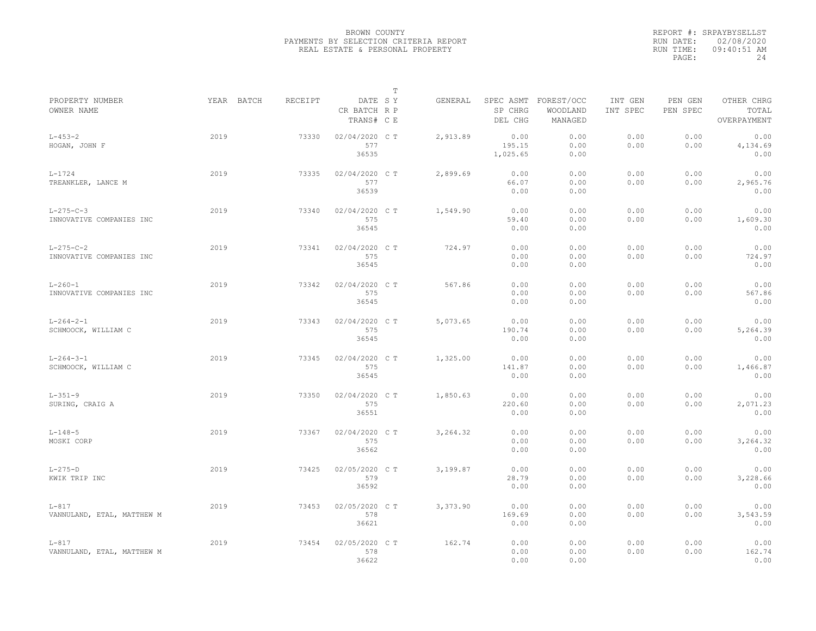|                                               |            |                |                                       | $\mathbb T$ |          |                            |                                             |                     |                     |                                    |
|-----------------------------------------------|------------|----------------|---------------------------------------|-------------|----------|----------------------------|---------------------------------------------|---------------------|---------------------|------------------------------------|
| PROPERTY NUMBER<br>OWNER NAME                 | YEAR BATCH | <b>RECEIPT</b> | DATE SY<br>CR BATCH R P<br>TRANS# C E |             | GENERAL  | SP CHRG<br>DEL CHG         | SPEC ASMT FOREST/OCC<br>WOODLAND<br>MANAGED | INT GEN<br>INT SPEC | PEN GEN<br>PEN SPEC | OTHER CHRG<br>TOTAL<br>OVERPAYMENT |
| $L - 453 - 2$<br>HOGAN, JOHN F                | 2019       | 73330          | 02/04/2020 C T<br>577<br>36535        |             | 2,913.89 | 0.00<br>195.15<br>1,025.65 | 0.00<br>0.00<br>0.00                        | 0.00<br>0.00        | 0.00<br>0.00        | 0.00<br>4,134.69<br>0.00           |
| $L - 1724$<br>TREANKLER, LANCE M              | 2019       | 73335          | 02/04/2020 C T<br>577<br>36539        |             | 2,899.69 | 0.00<br>66.07<br>0.00      | 0.00<br>0.00<br>0.00                        | 0.00<br>0.00        | 0.00<br>0.00        | 0.00<br>2,965.76<br>0.00           |
| $L-275-C-3$<br>INNOVATIVE COMPANIES INC       | 2019       | 73340          | 02/04/2020 C T<br>575<br>36545        |             | 1,549.90 | 0.00<br>59.40<br>0.00      | 0.00<br>0.00<br>0.00                        | 0.00<br>0.00        | 0.00<br>0.00        | 0.00<br>1,609.30<br>0.00           |
| $L - 275 - C - 2$<br>INNOVATIVE COMPANIES INC | 2019       | 73341          | 02/04/2020 C T<br>575<br>36545        |             | 724.97   | 0.00<br>0.00<br>0.00       | 0.00<br>0.00<br>0.00                        | 0.00<br>0.00        | 0.00<br>0.00        | 0.00<br>724.97<br>0.00             |
| $L - 260 - 1$<br>INNOVATIVE COMPANIES INC     | 2019       | 73342          | 02/04/2020 C T<br>575<br>36545        |             | 567.86   | 0.00<br>0.00<br>0.00       | 0.00<br>0.00<br>0.00                        | 0.00<br>0.00        | 0.00<br>0.00        | 0.00<br>567.86<br>0.00             |
| $L - 264 - 2 - 1$<br>SCHMOOCK, WILLIAM C      | 2019       | 73343          | 02/04/2020 C T<br>575<br>36545        |             | 5,073.65 | 0.00<br>190.74<br>0.00     | 0.00<br>0.00<br>0.00                        | 0.00<br>0.00        | 0.00<br>0.00        | 0.00<br>5,264.39<br>0.00           |
| $L - 264 - 3 - 1$<br>SCHMOOCK, WILLIAM C      | 2019       | 73345          | 02/04/2020 C T<br>575<br>36545        |             | 1,325.00 | 0.00<br>141.87<br>0.00     | 0.00<br>0.00<br>0.00                        | 0.00<br>0.00        | 0.00<br>0.00        | 0.00<br>1,466.87<br>0.00           |
| $L - 351 - 9$<br>SURING, CRAIG A              | 2019       | 73350          | 02/04/2020 C T<br>575<br>36551        |             | 1,850.63 | 0.00<br>220.60<br>0.00     | 0.00<br>0.00<br>0.00                        | 0.00<br>0.00        | 0.00<br>0.00        | 0.00<br>2,071.23<br>0.00           |
| $L - 148 - 5$<br>MOSKI CORP                   | 2019       | 73367          | 02/04/2020 C T<br>575<br>36562        |             | 3,264.32 | 0.00<br>0.00<br>0.00       | 0.00<br>0.00<br>0.00                        | 0.00<br>0.00        | 0.00<br>0.00        | 0.00<br>3,264.32<br>0.00           |
| $L-275-D$<br>KWIK TRIP INC                    | 2019       | 73425          | 02/05/2020 C T<br>579<br>36592        |             | 3,199.87 | 0.00<br>28.79<br>0.00      | 0.00<br>0.00<br>0.00                        | 0.00<br>0.00        | 0.00<br>0.00        | 0.00<br>3,228.66<br>0.00           |
| $L-817$<br>VANNULAND, ETAL, MATTHEW M         | 2019       | 73453          | 02/05/2020 C T<br>578<br>36621        |             | 3,373.90 | 0.00<br>169.69<br>0.00     | 0.00<br>0.00<br>0.00                        | 0.00<br>0.00        | 0.00<br>0.00        | 0.00<br>3,543.59<br>0.00           |
| $L - 817$<br>VANNULAND, ETAL, MATTHEW M       | 2019       | 73454          | 02/05/2020 CT<br>578<br>36622         |             | 162.74   | 0.00<br>0.00<br>0.00       | 0.00<br>0.00<br>0.00                        | 0.00<br>0.00        | 0.00<br>0.00        | 0.00<br>162.74<br>0.00             |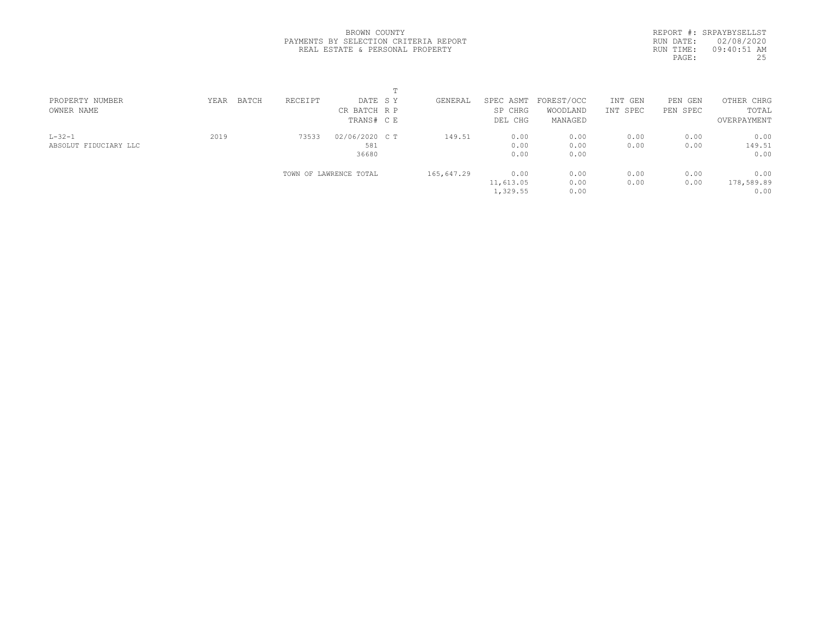|            | REPORT #: SRPAYBYSELLST |
|------------|-------------------------|
|            | RUN DATE: 02/08/2020    |
| RIIN TIME: | $09:40:51$ AM           |
| PAGE:      | 25                      |
|            |                         |

| PROPERTY NUMBER<br>OWNER NAME         | BATCH<br>YEAR | RECEIPT | DATE SY<br>CR BATCH R P<br>TRANS# C E | GENERAL    | SPEC ASMT<br>SP CHRG<br>DEL CHG | FOREST/OCC<br>WOODLAND<br>MANAGED | INT GEN<br>INT SPEC | PEN GEN<br>PEN SPEC | OTHER CHRG<br>TOTAL<br>OVERPAYMENT |  |
|---------------------------------------|---------------|---------|---------------------------------------|------------|---------------------------------|-----------------------------------|---------------------|---------------------|------------------------------------|--|
| $L - 32 - 1$<br>ABSOLUT FIDUCIARY LLC | 2019          | 73533   | 02/06/2020 C T<br>581<br>36680        | 149.51     | 0.00<br>0.00<br>0.00            | 0.00<br>0.00<br>0.00              | 0.00<br>0.00        | 0.00<br>0.00        | 0.00<br>149.51<br>0.00             |  |
|                                       |               |         | TOWN OF LAWRENCE TOTAL                | 165,647.29 | 0.00<br>11,613.05<br>1,329.55   | 0.00<br>0.00<br>0.00              | 0.00<br>0.00        | 0.00<br>0.00        | 0.00<br>178,589.89<br>0.00         |  |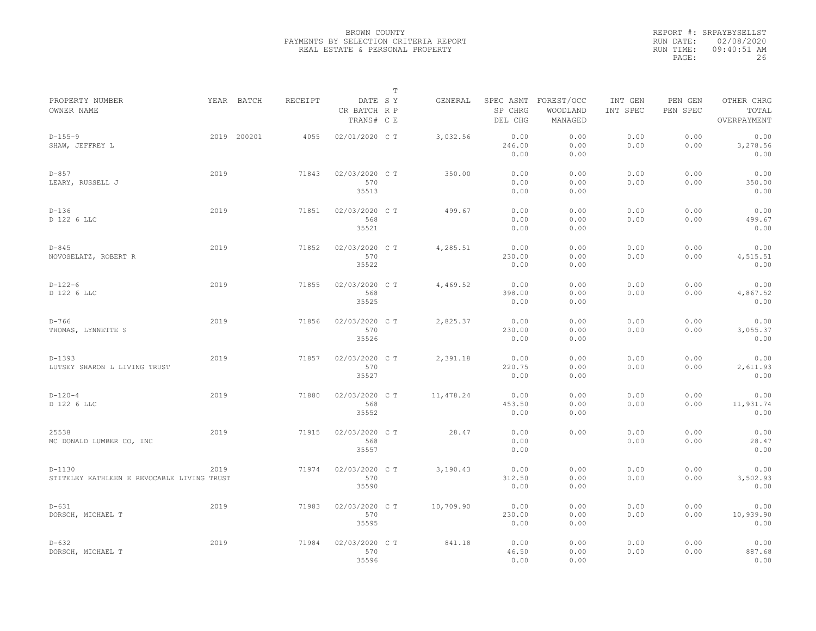|                                                        |      |             |                |                                       | $\mathbb T$ |            |                        |                                             |                     |                     |                                    |  |
|--------------------------------------------------------|------|-------------|----------------|---------------------------------------|-------------|------------|------------------------|---------------------------------------------|---------------------|---------------------|------------------------------------|--|
| PROPERTY NUMBER<br>OWNER NAME                          |      | YEAR BATCH  | <b>RECEIPT</b> | DATE SY<br>CR BATCH R P<br>TRANS# C E |             | GENERAL    | SP CHRG<br>DEL CHG     | SPEC ASMT FOREST/OCC<br>WOODLAND<br>MANAGED | INT GEN<br>INT SPEC | PEN GEN<br>PEN SPEC | OTHER CHRG<br>TOTAL<br>OVERPAYMENT |  |
| $D-155-9$<br>SHAW, JEFFREY L                           |      | 2019 200201 | 4055           | 02/01/2020 C T                        |             | 3,032.56   | 0.00<br>246.00<br>0.00 | 0.00<br>0.00<br>0.00                        | 0.00<br>0.00        | 0.00<br>0.00        | 0.00<br>3,278.56<br>0.00           |  |
| $D-857$<br>LEARY, RUSSELL J                            | 2019 |             | 71843          | 02/03/2020 CT<br>570<br>35513         |             | 350.00     | 0.00<br>0.00<br>0.00   | 0.00<br>0.00<br>0.00                        | 0.00<br>0.00        | 0.00<br>0.00        | 0.00<br>350.00<br>0.00             |  |
| $D-136$<br>D 122 6 LLC                                 | 2019 |             | 71851          | 02/03/2020 C T<br>568<br>35521        |             | 499.67     | 0.00<br>0.00<br>0.00   | 0.00<br>0.00<br>0.00                        | 0.00<br>0.00        | 0.00<br>0.00        | 0.00<br>499.67<br>0.00             |  |
| $D - 845$<br>NOVOSELATZ, ROBERT R                      | 2019 |             | 71852          | 02/03/2020 C T<br>570<br>35522        |             | 4,285.51   | 0.00<br>230.00<br>0.00 | 0.00<br>0.00<br>0.00                        | 0.00<br>0.00        | 0.00<br>0.00        | 0.00<br>4,515.51<br>0.00           |  |
| $D-122-6$<br>D 122 6 LLC                               | 2019 |             | 71855          | 02/03/2020 C T<br>568<br>35525        |             | 4,469.52   | 0.00<br>398.00<br>0.00 | 0.00<br>0.00<br>0.00                        | 0.00<br>0.00        | 0.00<br>0.00        | 0.00<br>4,867.52<br>0.00           |  |
| $D-766$<br>THOMAS, LYNNETTE S                          | 2019 |             | 71856          | 02/03/2020 C T<br>570<br>35526        |             | 2,825.37   | 0.00<br>230.00<br>0.00 | 0.00<br>0.00<br>0.00                        | 0.00<br>0.00        | 0.00<br>0.00        | 0.00<br>3,055.37<br>0.00           |  |
| $D-1393$<br>LUTSEY SHARON L LIVING TRUST               | 2019 |             | 71857          | 02/03/2020 CT<br>570<br>35527         |             | 2,391.18   | 0.00<br>220.75<br>0.00 | 0.00<br>0.00<br>0.00                        | 0.00<br>0.00        | 0.00<br>0.00        | 0.00<br>2,611.93<br>0.00           |  |
| $D-120-4$<br>D 122 6 LLC                               | 2019 |             | 71880          | 02/03/2020 C T<br>568<br>35552        |             | 11, 478.24 | 0.00<br>453.50<br>0.00 | 0.00<br>0.00<br>0.00                        | 0.00<br>0.00        | 0.00<br>0.00        | 0.00<br>11,931.74<br>0.00          |  |
| 25538<br>MC DONALD LUMBER CO, INC                      | 2019 |             | 71915          | 02/03/2020 C T<br>568<br>35557        |             | 28.47      | 0.00<br>0.00<br>0.00   | 0.00                                        | 0.00<br>0.00        | 0.00<br>0.00        | 0.00<br>28.47<br>0.00              |  |
| $D-1130$<br>STITELEY KATHLEEN E REVOCABLE LIVING TRUST | 2019 |             | 71974          | 02/03/2020 C T<br>570<br>35590        |             | 3,190.43   | 0.00<br>312.50<br>0.00 | 0.00<br>0.00<br>0.00                        | 0.00<br>0.00        | 0.00<br>0.00        | 0.00<br>3,502.93<br>0.00           |  |
| $D-631$<br>DORSCH, MICHAEL T                           | 2019 |             | 71983          | 02/03/2020 C T<br>570<br>35595        |             | 10,709.90  | 0.00<br>230.00<br>0.00 | 0.00<br>0.00<br>0.00                        | 0.00<br>0.00        | 0.00<br>0.00        | 0.00<br>10,939.90<br>0.00          |  |
| $D - 632$<br>DORSCH, MICHAEL T                         | 2019 |             | 71984          | 02/03/2020 CT<br>570<br>35596         |             | 841.18     | 0.00<br>46.50<br>0.00  | 0.00<br>0.00<br>0.00                        | 0.00<br>0.00        | 0.00<br>0.00        | 0.00<br>887.68<br>0.00             |  |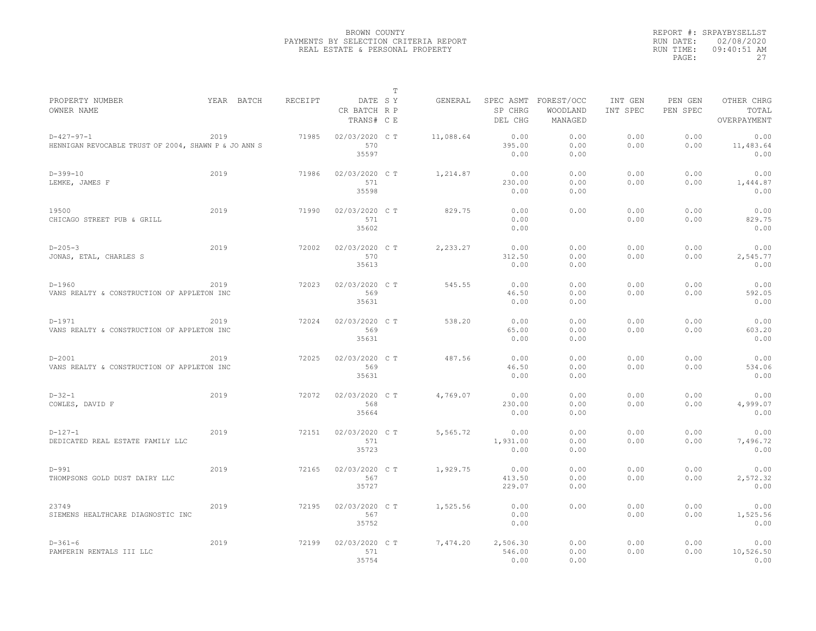|                                                                      |            |         |                                       | T |           |                            |                                             |                     |                     |                                    |
|----------------------------------------------------------------------|------------|---------|---------------------------------------|---|-----------|----------------------------|---------------------------------------------|---------------------|---------------------|------------------------------------|
| PROPERTY NUMBER<br>OWNER NAME                                        | YEAR BATCH | RECEIPT | DATE SY<br>CR BATCH R P<br>TRANS# C E |   | GENERAL   | SP CHRG<br>DEL CHG         | SPEC ASMT FOREST/OCC<br>WOODLAND<br>MANAGED | INT GEN<br>INT SPEC | PEN GEN<br>PEN SPEC | OTHER CHRG<br>TOTAL<br>OVERPAYMENT |
| $D-427-97-1$<br>HENNIGAN REVOCABLE TRUST OF 2004, SHAWN P & JO ANN S | 2019       | 71985   | 02/03/2020 C T<br>570<br>35597        |   | 11,088.64 | 0.00<br>395.00<br>0.00     | 0.00<br>0.00<br>0.00                        | 0.00<br>0.00        | 0.00<br>0.00        | 0.00<br>11,483.64<br>0.00          |
| $D-399-10$<br>LEMKE, JAMES F                                         | 2019       | 71986   | 02/03/2020 C T<br>571<br>35598        |   | 1,214.87  | 0.00<br>230.00<br>0.00     | 0.00<br>0.00<br>0.00                        | 0.00<br>0.00        | 0.00<br>0.00        | 0.00<br>1,444.87<br>0.00           |
| 19500<br>CHICAGO STREET PUB & GRILL                                  | 2019       | 71990   | 02/03/2020 C T<br>571<br>35602        |   | 829.75    | 0.00<br>0.00<br>0.00       | 0.00                                        | 0.00<br>0.00        | 0.00<br>0.00        | 0.00<br>829.75<br>0.00             |
| $D - 205 - 3$<br>JONAS, ETAL, CHARLES S                              | 2019       | 72002   | 02/03/2020 C T<br>570<br>35613        |   | 2,233.27  | 0.00<br>312.50<br>0.00     | 0.00<br>0.00<br>0.00                        | 0.00<br>0.00        | 0.00<br>0.00        | 0.00<br>2,545.77<br>0.00           |
| $D-1960$<br>VANS REALTY & CONSTRUCTION OF APPLETON INC               | 2019       | 72023   | 02/03/2020 C T<br>569<br>35631        |   | 545.55    | 0.00<br>46.50<br>0.00      | 0.00<br>0.00<br>0.00                        | 0.00<br>0.00        | 0.00<br>0.00        | 0.00<br>592.05<br>0.00             |
| $D-1971$<br>VANS REALTY & CONSTRUCTION OF APPLETON INC               | 2019       | 72024   | 02/03/2020 CT<br>569<br>35631         |   | 538.20    | 0.00<br>65.00<br>0.00      | 0.00<br>0.00<br>0.00                        | 0.00<br>0.00        | 0.00<br>0.00        | 0.00<br>603.20<br>0.00             |
| $D - 2001$<br>VANS REALTY & CONSTRUCTION OF APPLETON INC             | 2019       | 72025   | 02/03/2020 C T<br>569<br>35631        |   | 487.56    | 0.00<br>46.50<br>0.00      | 0.00<br>0.00<br>0.00                        | 0.00<br>0.00        | 0.00<br>0.00        | 0.00<br>534.06<br>0.00             |
| $D-32-1$<br>COWLES, DAVID F                                          | 2019       | 72072   | 02/03/2020 C T<br>568<br>35664        |   | 4,769.07  | 0.00<br>230.00<br>0.00     | 0.00<br>0.00<br>0.00                        | 0.00<br>0.00        | 0.00<br>0.00        | 0.00<br>4,999.07<br>0.00           |
| $D-127-1$<br>DEDICATED REAL ESTATE FAMILY LLC                        | 2019       | 72151   | 02/03/2020 C T<br>571<br>35723        |   | 5,565.72  | 0.00<br>1,931.00<br>0.00   | 0.00<br>0.00<br>0.00                        | 0.00<br>0.00        | 0.00<br>0.00        | 0.00<br>7,496.72<br>0.00           |
| $D-991$<br>THOMPSONS GOLD DUST DAIRY LLC                             | 2019       | 72165   | 02/03/2020 C T<br>567<br>35727        |   | 1,929.75  | 0.00<br>413.50<br>229.07   | 0.00<br>0.00<br>0.00                        | 0.00<br>0.00        | 0.00<br>0.00        | 0.00<br>2,572.32<br>0.00           |
| 23749<br>SIEMENS HEALTHCARE DIAGNOSTIC INC                           | 2019       | 72195   | 02/03/2020 C T<br>567<br>35752        |   | 1,525.56  | 0.00<br>0.00<br>0.00       | 0.00                                        | 0.00<br>0.00        | 0.00<br>0.00        | 0.00<br>1,525.56<br>0.00           |
| $D-361-6$<br>PAMPERIN RENTALS III LLC                                | 2019       | 72199   | 02/03/2020 C T<br>571<br>35754        |   | 7,474.20  | 2,506.30<br>546.00<br>0.00 | 0.00<br>0.00<br>0.00                        | 0.00<br>0.00        | 0.00<br>0.00        | 0.00<br>10,526.50<br>0.00          |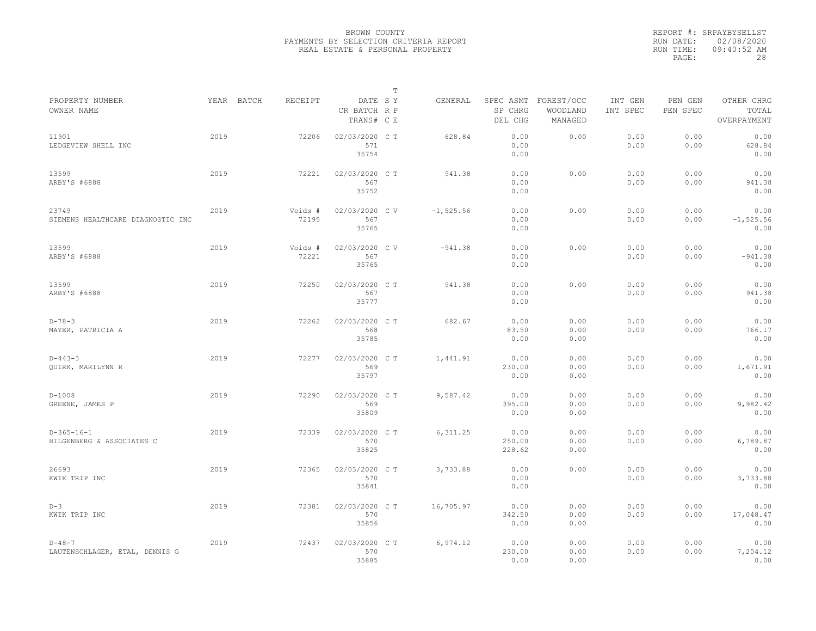|                                                |      |            |                  |                                       | $\mathbb T$ |              |                          |                                             |                     |                     |                                    |
|------------------------------------------------|------|------------|------------------|---------------------------------------|-------------|--------------|--------------------------|---------------------------------------------|---------------------|---------------------|------------------------------------|
| PROPERTY NUMBER<br>OWNER NAME                  |      | YEAR BATCH | RECEIPT          | DATE SY<br>CR BATCH R P<br>TRANS# C E |             | GENERAL      | SP CHRG<br>DEL CHG       | SPEC ASMT FOREST/OCC<br>WOODLAND<br>MANAGED | INT GEN<br>INT SPEC | PEN GEN<br>PEN SPEC | OTHER CHRG<br>TOTAL<br>OVERPAYMENT |
| 11901<br>LEDGEVIEW SHELL INC                   | 2019 |            | 72206            | 02/03/2020 C T<br>571<br>35754        |             | 628.84       | 0.00<br>0.00<br>0.00     | 0.00                                        | 0.00<br>0.00        | 0.00<br>0.00        | 0.00<br>628.84<br>0.00             |
| 13599<br>ARBY'S #6888                          | 2019 |            | 72221            | 02/03/2020 C T<br>567<br>35752        |             | 941.38       | 0.00<br>0.00<br>0.00     | 0.00                                        | 0.00<br>0.00        | 0.00<br>0.00        | 0.00<br>941.38<br>0.00             |
| 23749<br>SIEMENS HEALTHCARE DIAGNOSTIC INC     | 2019 |            | Voids #<br>72195 | 02/03/2020 CV<br>567<br>35765         |             | $-1, 525.56$ | 0.00<br>0.00<br>0.00     | 0.00                                        | 0.00<br>0.00        | 0.00<br>0.00        | 0.00<br>$-1, 525.56$<br>0.00       |
| 13599<br>ARBY'S #6888                          | 2019 |            | Voids #<br>72221 | 02/03/2020 CV<br>567<br>35765         |             | $-941.38$    | 0.00<br>0.00<br>0.00     | 0.00                                        | 0.00<br>0.00        | 0.00<br>0.00        | 0.00<br>$-941.38$<br>0.00          |
| 13599<br>ARBY'S #6888                          | 2019 |            | 72250            | 02/03/2020 CT<br>567<br>35777         |             | 941.38       | 0.00<br>0.00<br>0.00     | 0.00                                        | 0.00<br>0.00        | 0.00<br>0.00        | 0.00<br>941.38<br>0.00             |
| $D - 78 - 3$<br>MAYER, PATRICIA A              | 2019 |            | 72262            | 02/03/2020 C T<br>568<br>35785        |             | 682.67       | 0.00<br>83.50<br>0.00    | 0.00<br>0.00<br>0.00                        | 0.00<br>0.00        | 0.00<br>0.00        | 0.00<br>766.17<br>0.00             |
| $D - 443 - 3$<br>QUIRK, MARILYNN R             | 2019 |            | 72277            | 02/03/2020 C T<br>569<br>35797        |             | 1,441.91     | 0.00<br>230.00<br>0.00   | 0.00<br>0.00<br>0.00                        | 0.00<br>0.00        | 0.00<br>0.00        | 0.00<br>1,671.91<br>0.00           |
| $D-1008$<br>GREENE, JAMES P                    | 2019 |            | 72290            | 02/03/2020 C T<br>569<br>35809        |             | 9,587.42     | 0.00<br>395.00<br>0.00   | 0.00<br>0.00<br>0.00                        | 0.00<br>0.00        | 0.00<br>0.00        | 0.00<br>9,982.42<br>0.00           |
| $D-365-16-1$<br>HILGENBERG & ASSOCIATES C      | 2019 |            | 72339            | 02/03/2020 C T<br>570<br>35825        |             | 6, 311.25    | 0.00<br>250.00<br>228.62 | 0.00<br>0.00<br>0.00                        | 0.00<br>0.00        | 0.00<br>0.00        | 0.00<br>6,789.87<br>0.00           |
| 26693<br>KWIK TRIP INC                         | 2019 |            | 72365            | 02/03/2020 CT<br>570<br>35841         |             | 3,733.88     | 0.00<br>0.00<br>0.00     | 0.00                                        | 0.00<br>0.00        | 0.00<br>0.00        | 0.00<br>3,733.88<br>0.00           |
| $D-3$<br>KWIK TRIP INC                         | 2019 |            | 72381            | 02/03/2020 C T<br>570<br>35856        |             | 16,705.97    | 0.00<br>342.50<br>0.00   | 0.00<br>0.00<br>0.00                        | 0.00<br>0.00        | 0.00<br>0.00        | 0.00<br>17,048.47<br>0.00          |
| $D - 48 - 7$<br>LAUTENSCHLAGER, ETAL, DENNIS G | 2019 |            | 72437            | 02/03/2020 C T<br>570<br>35885        |             | 6,974.12     | 0.00<br>230.00<br>0.00   | 0.00<br>0.00<br>0.00                        | 0.00<br>0.00        | 0.00<br>0.00        | 0.00<br>7,204.12<br>0.00           |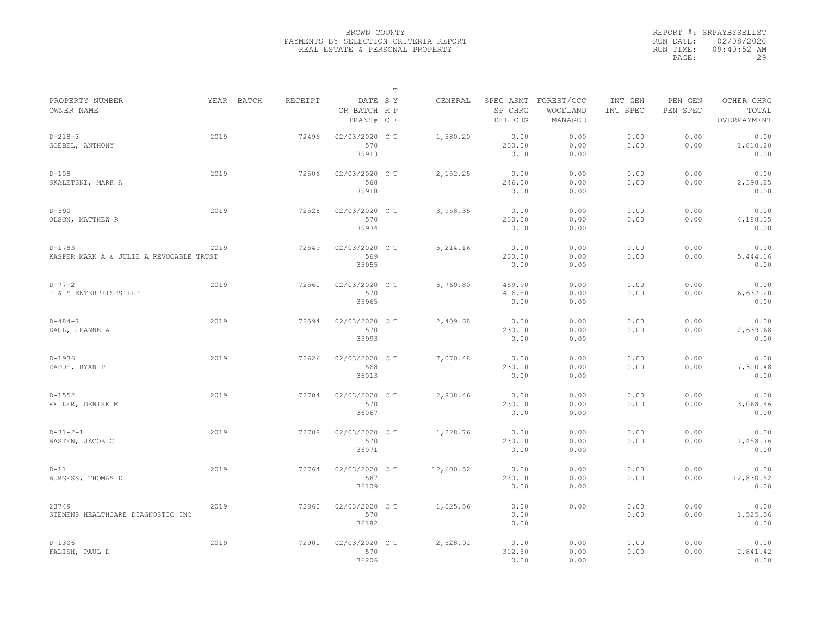|                                                     |      |            |         |                                       | $\mathbb T$ |           |                          |                                             |                     |                     |                                    |
|-----------------------------------------------------|------|------------|---------|---------------------------------------|-------------|-----------|--------------------------|---------------------------------------------|---------------------|---------------------|------------------------------------|
| PROPERTY NUMBER<br>OWNER NAME                       |      | YEAR BATCH | RECEIPT | DATE SY<br>CR BATCH R P<br>TRANS# C E |             | GENERAL   | SP CHRG<br>DEL CHG       | SPEC ASMT FOREST/OCC<br>WOODLAND<br>MANAGED | INT GEN<br>INT SPEC | PEN GEN<br>PEN SPEC | OTHER CHRG<br>TOTAL<br>OVERPAYMENT |
| $D - 218 - 3$<br>GOEBEL, ANTHONY                    | 2019 |            | 72496   | 02/03/2020 CT<br>570<br>35913         |             | 1,580.20  | 0.00<br>230.00<br>0.00   | 0.00<br>0.00<br>0.00                        | 0.00<br>0.00        | 0.00<br>0.00        | 0.00<br>1,810.20<br>0.00           |
| $D-108$<br>SKALETSKI, MARK A                        | 2019 |            | 72506   | 02/03/2020 C T<br>568<br>35918        |             | 2,152.25  | 0.00<br>246.00<br>0.00   | 0.00<br>0.00<br>0.00                        | 0.00<br>0.00        | 0.00<br>0.00        | 0.00<br>2,398.25<br>0.00           |
| $D-590$<br>OLSON, MATTHEW R                         | 2019 |            | 72528   | 02/03/2020 C T<br>570<br>35934        |             | 3,958.35  | 0.00<br>230.00<br>0.00   | 0.00<br>0.00<br>0.00                        | 0.00<br>0.00        | 0.00<br>0.00        | 0.00<br>4,188.35<br>0.00           |
| $D-1783$<br>KASPER MARK A & JULIE A REVOCABLE TRUST | 2019 |            | 72549   | 02/03/2020 C T<br>569<br>35955        |             | 5, 214.16 | 0.00<br>230.00<br>0.00   | 0.00<br>0.00<br>0.00                        | 0.00<br>0.00        | 0.00<br>0.00        | 0.00<br>5,444.16<br>0.00           |
| $D - 77 - 2$<br>J & S ENTERPRISES LLP               | 2019 |            | 72560   | 02/03/2020 C T<br>570<br>35965        |             | 5,760.80  | 459.90<br>416.50<br>0.00 | 0.00<br>0.00<br>0.00                        | 0.00<br>0.00        | 0.00<br>0.00        | 0.00<br>6,637.20<br>0.00           |
| $D - 484 - 7$<br>DAUL, JEANNE A                     | 2019 |            | 72594   | 02/03/2020 C T<br>570<br>35993        |             | 2,409.68  | 0.00<br>230.00<br>0.00   | 0.00<br>0.00<br>0.00                        | 0.00<br>0.00        | 0.00<br>0.00        | 0.00<br>2,639.68<br>0.00           |
| $D-1936$<br>RADUE, RYAN P                           | 2019 |            | 72626   | 02/03/2020 C T<br>568<br>36013        |             | 7,070.48  | 0.00<br>230.00<br>0.00   | 0.00<br>0.00<br>0.00                        | 0.00<br>0.00        | 0.00<br>0.00        | 0.00<br>7,300.48<br>0.00           |
| $D-1552$<br>KELLER, DENISE M                        | 2019 |            | 72704   | 02/03/2020 C T<br>570<br>36067        |             | 2,838.46  | 0.00<br>230.00<br>0.00   | 0.00<br>0.00<br>0.00                        | 0.00<br>0.00        | 0.00<br>0.00        | 0.00<br>3,068.46<br>0.00           |
| $D-31-2-1$<br>BASTEN, JACOB C                       | 2019 |            | 72708   | 02/03/2020 C T<br>570<br>36071        |             | 1,228.76  | 0.00<br>230.00<br>0.00   | 0.00<br>0.00<br>0.00                        | 0.00<br>0.00        | 0.00<br>0.00        | 0.00<br>1,458.76<br>0.00           |
| $D-11$<br>BURGESS, THOMAS D                         | 2019 |            | 72764   | 02/03/2020 C T<br>567<br>36109        |             | 12,600.52 | 0.00<br>230.00<br>0.00   | 0.00<br>0.00<br>0.00                        | 0.00<br>0.00        | 0.00<br>0.00        | 0.00<br>12,830.52<br>0.00          |
| 23749<br>SIEMENS HEALTHCARE DIAGNOSTIC INC          | 2019 |            | 72860   | 02/03/2020 C T<br>570<br>36182        |             | 1,525.56  | 0.00<br>0.00<br>0.00     | 0.00                                        | 0.00<br>0.00        | 0.00<br>0.00        | 0.00<br>1,525.56<br>0.00           |
| $D-1306$<br>FALISH, PAUL D                          | 2019 |            | 72900   | 02/03/2020 C T<br>570<br>36206        |             | 2,528.92  | 0.00<br>312.50<br>0.00   | 0.00<br>0.00<br>0.00                        | 0.00<br>0.00        | 0.00<br>0.00        | 0.00<br>2,841.42<br>0.00           |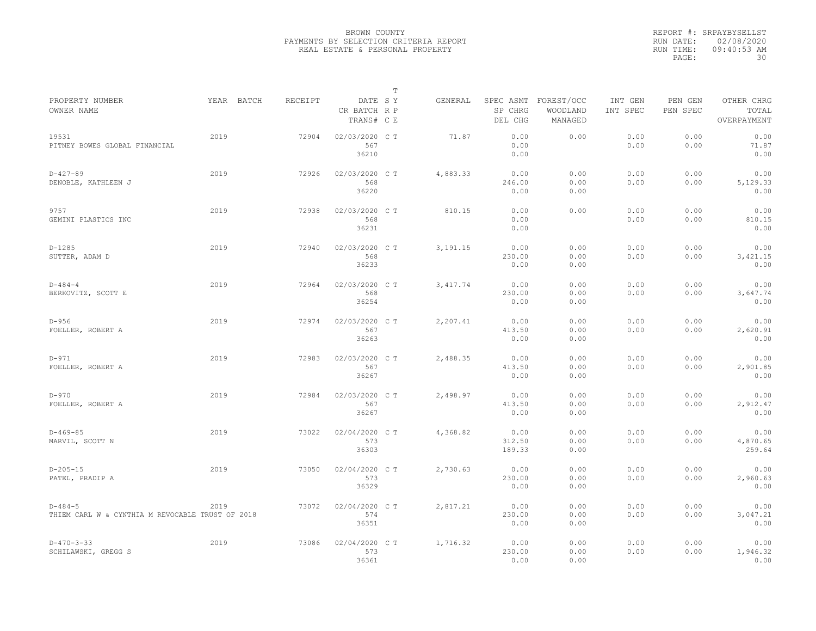|                                                               |            |         |                                       | $\mathbb T$ |            |                                 |                                   |                     |                     |                                    |
|---------------------------------------------------------------|------------|---------|---------------------------------------|-------------|------------|---------------------------------|-----------------------------------|---------------------|---------------------|------------------------------------|
| PROPERTY NUMBER<br>OWNER NAME                                 | YEAR BATCH | RECEIPT | DATE SY<br>CR BATCH R P<br>TRANS# C E |             | GENERAL    | SPEC ASMT<br>SP CHRG<br>DEL CHG | FOREST/OCC<br>WOODLAND<br>MANAGED | INT GEN<br>INT SPEC | PEN GEN<br>PEN SPEC | OTHER CHRG<br>TOTAL<br>OVERPAYMENT |
| 19531<br>PITNEY BOWES GLOBAL FINANCIAL                        | 2019       | 72904   | 02/03/2020 C T<br>567<br>36210        |             | 71.87      | 0.00<br>0.00<br>0.00            | 0.00                              | 0.00<br>0.00        | 0.00<br>0.00        | 0.00<br>71.87<br>0.00              |
| $D-427-89$<br>DENOBLE, KATHLEEN J                             | 2019       | 72926   | 02/03/2020 C T<br>568<br>36220        |             | 4,883.33   | 0.00<br>246.00<br>0.00          | 0.00<br>0.00<br>0.00              | 0.00<br>0.00        | 0.00<br>0.00        | 0.00<br>5,129.33<br>0.00           |
| 9757<br>GEMINI PLASTICS INC                                   | 2019       | 72938   | 02/03/2020 C T<br>568<br>36231        |             | 810.15     | 0.00<br>0.00<br>0.00            | 0.00                              | 0.00<br>0.00        | 0.00<br>0.00        | 0.00<br>810.15<br>0.00             |
| $D-1285$<br>SUTTER, ADAM D                                    | 2019       | 72940   | 02/03/2020 C T<br>568<br>36233        |             | 3, 191. 15 | 0.00<br>230.00<br>0.00          | 0.00<br>0.00<br>0.00              | 0.00<br>0.00        | 0.00<br>0.00        | 0.00<br>3,421.15<br>0.00           |
| $D - 484 - 4$<br>BERKOVITZ, SCOTT E                           | 2019       | 72964   | 02/03/2020 C T<br>568<br>36254        |             | 3, 417.74  | 0.00<br>230.00<br>0.00          | 0.00<br>0.00<br>0.00              | 0.00<br>0.00        | 0.00<br>0.00        | 0.00<br>3,647.74<br>0.00           |
| $D-956$<br>FOELLER, ROBERT A                                  | 2019       | 72974   | 02/03/2020 C T<br>567<br>36263        |             | 2,207.41   | 0.00<br>413.50<br>0.00          | 0.00<br>0.00<br>0.00              | 0.00<br>0.00        | 0.00<br>0.00        | 0.00<br>2,620.91<br>0.00           |
| $D-971$<br>FOELLER, ROBERT A                                  | 2019       | 72983   | 02/03/2020 C T<br>567<br>36267        |             | 2,488.35   | 0.00<br>413.50<br>0.00          | 0.00<br>0.00<br>0.00              | 0.00<br>0.00        | 0.00<br>0.00        | 0.00<br>2,901.85<br>0.00           |
| $D-970$<br>FOELLER, ROBERT A                                  | 2019       | 72984   | 02/03/2020 C T<br>567<br>36267        |             | 2,498.97   | 0.00<br>413.50<br>0.00          | 0.00<br>0.00<br>0.00              | 0.00<br>0.00        | 0.00<br>0.00        | 0.00<br>2,912.47<br>0.00           |
| $D-469-85$<br>MARVIL, SCOTT N                                 | 2019       | 73022   | 02/04/2020 C T<br>573<br>36303        |             | 4,368.82   | 0.00<br>312.50<br>189.33        | 0.00<br>0.00<br>0.00              | 0.00<br>0.00        | 0.00<br>0.00        | 0.00<br>4,870.65<br>259.64         |
| $D-205-15$<br>PATEL, PRADIP A                                 | 2019       | 73050   | 02/04/2020 C T<br>573<br>36329        |             | 2,730.63   | 0.00<br>230.00<br>0.00          | 0.00<br>0.00<br>0.00              | 0.00<br>0.00        | 0.00<br>0.00        | 0.00<br>2,960.63<br>0.00           |
| $D-484-5$<br>THIEM CARL W & CYNTHIA M REVOCABLE TRUST OF 2018 | 2019       | 73072   | 02/04/2020 C T<br>574<br>36351        |             | 2,817.21   | 0.00<br>230.00<br>0.00          | 0.00<br>0.00<br>0.00              | 0.00<br>0.00        | 0.00<br>0.00        | 0.00<br>3,047.21<br>0.00           |
| $D-470-3-33$<br>SCHILAWSKI, GREGG S                           | 2019       | 73086   | 02/04/2020 C T<br>573<br>36361        |             | 1,716.32   | 0.00<br>230.00<br>0.00          | 0.00<br>0.00<br>0.00              | 0.00<br>0.00        | 0.00<br>0.00        | 0.00<br>1,946.32<br>0.00           |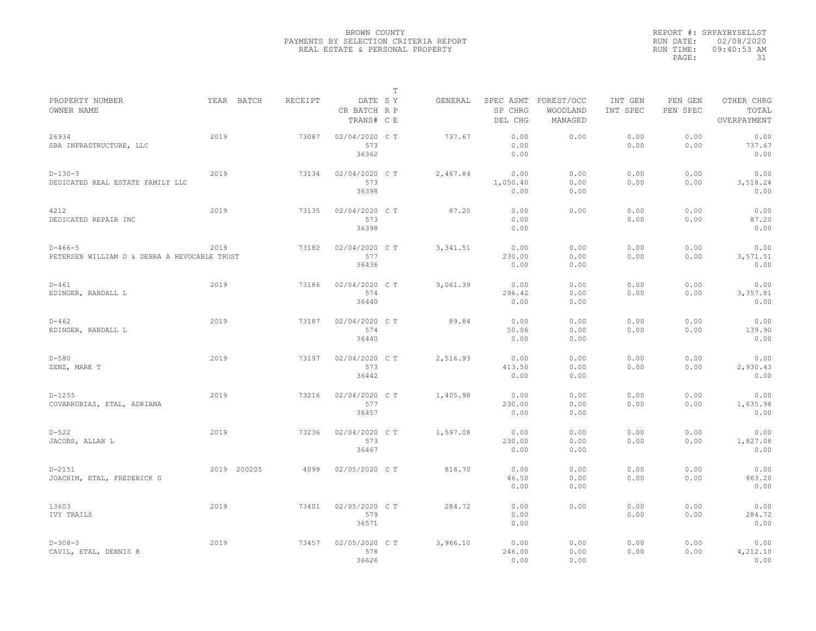|                                                           |             |         |                                       | T |           |                                 |                                   |                     |                     |                                    |
|-----------------------------------------------------------|-------------|---------|---------------------------------------|---|-----------|---------------------------------|-----------------------------------|---------------------|---------------------|------------------------------------|
| PROPERTY NUMBER<br>OWNER NAME                             | YEAR BATCH  | RECEIPT | DATE SY<br>CR BATCH R P<br>TRANS# C E |   | GENERAL   | SPEC ASMT<br>SP CHRG<br>DEL CHG | FOREST/OCC<br>WOODLAND<br>MANAGED | INT GEN<br>INT SPEC | PEN GEN<br>PEN SPEC | OTHER CHRG<br>TOTAL<br>OVERPAYMENT |
| 26934<br>SBA INFRASTRUCTURE, LLC                          | 2019        | 73087   | 02/04/2020 C T<br>573<br>36362        |   | 737.67    | 0.00<br>0.00<br>0.00            | 0.00                              | 0.00<br>0.00        | 0.00<br>0.00        | 0.00<br>737.67<br>0.00             |
| $D-130-3$<br>DEDICATED REAL ESTATE FAMILY LLC             | 2019        | 73134   | 02/04/2020 C T<br>573<br>36398        |   | 2,467.84  | 0.00<br>1,050.40<br>0.00        | 0.00<br>0.00<br>0.00              | 0.00<br>0.00        | 0.00<br>0.00        | 0.00<br>3,518.24<br>0.00           |
| 4212<br>DEDICATED REPAIR INC                              | 2019        | 73135   | 02/04/2020 C T<br>573<br>36398        |   | 87.20     | 0.00<br>0.00<br>0.00            | 0.00                              | 0.00<br>0.00        | 0.00<br>0.00        | 0.00<br>87.20<br>0.00              |
| $D-466-5$<br>PETERSEN WILLIAM D & DEBRA A REVOCABLE TRUST | 2019        | 73182   | $02/04/2020$ C T<br>577<br>36436      |   | 3, 341.51 | 0.00<br>230.00<br>0.00          | 0.00<br>0.00<br>0.00              | 0.00<br>0.00        | 0.00<br>0.00        | 0.00<br>3,571.51<br>0.00           |
| $D-461$<br>EDINGER, RANDALL L                             | 2019        | 73186   | 02/04/2020 C T<br>574<br>36440        |   | 3,061.39  | 0.00<br>296.42<br>0.00          | 0.00<br>0.00<br>0.00              | 0.00<br>0.00        | 0.00<br>0.00        | 0.00<br>3,357.81<br>0.00           |
| $D - 462$<br>EDINGER, RANDALL L                           | 2019        | 73187   | 02/04/2020 C T<br>574<br>36440        |   | 89.84     | 0.00<br>50.06<br>0.00           | 0.00<br>0.00<br>0.00              | 0.00<br>0.00        | 0.00<br>0.00        | 0.00<br>139.90<br>0.00             |
| $D-580$<br>ZENZ, MARK T                                   | 2019        | 73197   | 02/04/2020 C T<br>573<br>36442        |   | 2,516.93  | 0.00<br>413.50<br>0.00          | 0.00<br>0.00<br>0.00              | 0.00<br>0.00        | 0.00<br>0.00        | 0.00<br>2,930.43<br>0.00           |
| $D-1255$<br>COVARRUBIAS, ETAL, ADRIANA                    | 2019        | 73216   | 02/04/2020 C T<br>577<br>36457        |   | 1,405.98  | 0.00<br>230.00<br>0.00          | 0.00<br>0.00<br>0.00              | 0.00<br>0.00        | 0.00<br>0.00        | 0.00<br>1,635.98<br>0.00           |
| $D-522$<br>JACOBS, ALLAN L                                | 2019        | 73236   | 02/04/2020 C T<br>573<br>36467        |   | 1,597.08  | 0.00<br>230.00<br>0.00          | 0.00<br>0.00<br>0.00              | 0.00<br>0.00        | 0.00<br>0.00        | 0.00<br>1,827.08<br>0.00           |
| $D-2151$<br>JOACHIM, ETAL, FREDERICK G                    | 2019 200205 | 4099    | 02/05/2020 C T                        |   | 816.70    | 0.00<br>46.50<br>0.00           | 0.00<br>0.00<br>0.00              | 0.00<br>0.00        | 0.00<br>0.00        | 0.00<br>863.20<br>0.00             |
| 13603<br>IVY TRAILS                                       | 2019        | 73401   | 02/05/2020 C T<br>579<br>36571        |   | 284.72    | 0.00<br>0.00<br>0.00            | 0.00                              | 0.00<br>0.00        | 0.00<br>0.00        | 0.00<br>284.72<br>0.00             |
| $D-308-3$<br>CAVIL, ETAL, DENNIS R                        | 2019        | 73457   | 02/05/2020 C T<br>578<br>36626        |   | 3,966.10  | 0.00<br>246.00<br>0.00          | 0.00<br>0.00<br>0.00              | 0.00<br>0.00        | 0.00<br>0.00        | 0.00<br>4,212.10<br>0.00           |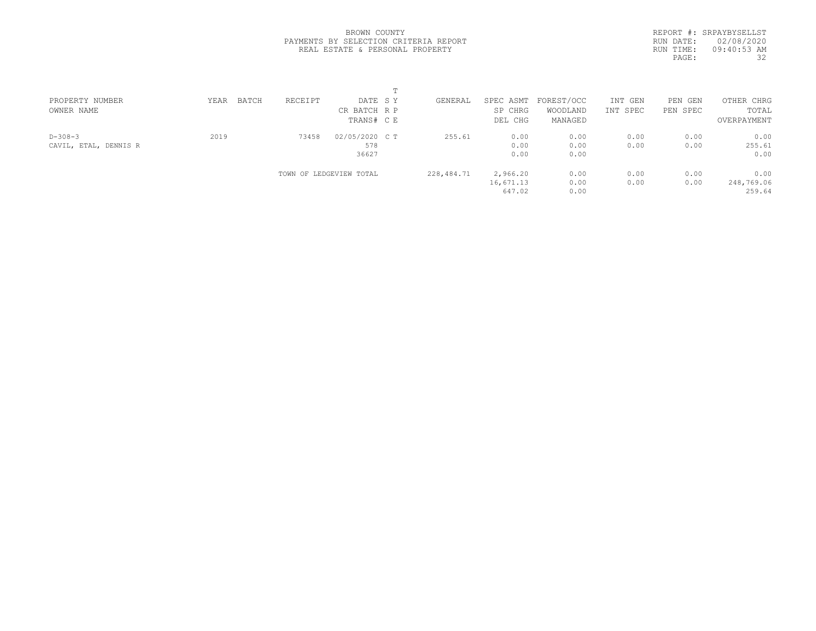|                                       |  | BROWN COUNTY |  |  |
|---------------------------------------|--|--------------|--|--|
| PAYMENTS BY SELECTION CRITERIA REPORT |  |              |  |  |
| REAL ESTATE & PERSONAL PROPERTY       |  |              |  |  |

|            | REPORT #: SRPAYBYSELLST |
|------------|-------------------------|
| RUN DATE:  | 02/08/2020              |
| RIIN TIME: | 09:40:53 AM             |
| PAGE:      | 32                      |
|            |                         |

| PROPERTY NUMBER       | YEAR | BATCH | RECEIPT | DATE SY                 | GENERAL      | SPEC ASMT | FOREST/OCC | INT GEN  | PEN GEN  | OTHER CHRG  |  |
|-----------------------|------|-------|---------|-------------------------|--------------|-----------|------------|----------|----------|-------------|--|
| OWNER NAME            |      |       |         | CR BATCH R P            |              | SP CHRG   | WOODLAND   | INT SPEC | PEN SPEC | TOTAL       |  |
|                       |      |       |         | TRANS# CE               |              | DEL CHG   | MANAGED    |          |          | OVERPAYMENT |  |
| $D-308-3$             | 2019 |       | 73458   | 02/05/2020 C T          | 255.61       | 0.00      | 0.00       | 0.00     | 0.00     | 0.00        |  |
| CAVIL, ETAL, DENNIS R |      |       |         | 578                     |              | 0.00      | 0.00       | 0.00     | 0.00     | 255.61      |  |
|                       |      |       |         | 36627                   |              | 0.00      | 0.00       |          |          | 0.00        |  |
|                       |      |       |         | TOWN OF LEDGEVIEW TOTAL | 228, 484. 71 | 2,966.20  | 0.00       | 0.00     | 0.00     | 0.00        |  |
|                       |      |       |         |                         |              | 16,671.13 | 0.00       | 0.00     | 0.00     | 248,769.06  |  |
|                       |      |       |         |                         |              | 647.02    | 0.00       |          |          | 259.64      |  |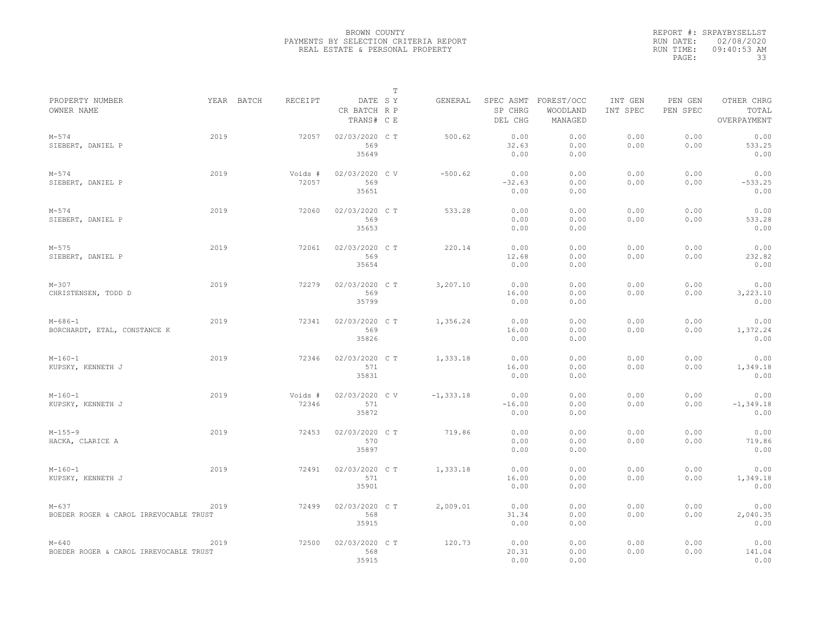| PROPERTY NUMBER<br>YEAR BATCH<br>RECEIPT<br>DATE SY<br>FOREST/OCC<br>GENERAL<br>SPEC ASMT<br>INT GEN<br>PEN GEN<br>SP CHRG<br>PEN SPEC<br>OWNER NAME<br>CR BATCH R P<br>WOODLAND<br>INT SPEC<br>MANAGED<br>TRANS# C E<br>DEL CHG<br>2019<br>02/03/2020 C T<br>0.00<br>0.00<br>0.00<br>$M - 574$<br>72057<br>500.62<br>0.00<br>SIEBERT, DANIEL P<br>569<br>32.63<br>0.00<br>0.00<br>0.00<br>35649<br>0.00<br>0.00 | OTHER CHRG<br>TOTAL<br>OVERPAYMENT<br>0.00<br>533.25<br>0.00<br>0.00<br>$-533.25$ |
|------------------------------------------------------------------------------------------------------------------------------------------------------------------------------------------------------------------------------------------------------------------------------------------------------------------------------------------------------------------------------------------------------------------|-----------------------------------------------------------------------------------|
|                                                                                                                                                                                                                                                                                                                                                                                                                  |                                                                                   |
|                                                                                                                                                                                                                                                                                                                                                                                                                  |                                                                                   |
|                                                                                                                                                                                                                                                                                                                                                                                                                  |                                                                                   |
|                                                                                                                                                                                                                                                                                                                                                                                                                  |                                                                                   |
|                                                                                                                                                                                                                                                                                                                                                                                                                  |                                                                                   |
| $M - 574$<br>2019<br>02/03/2020 CV<br>$-500.62$<br>0.00<br>0.00<br>0.00<br>0.00<br>Voids #                                                                                                                                                                                                                                                                                                                       |                                                                                   |
| 569<br>SIEBERT, DANIEL P<br>72057<br>$-32.63$<br>0.00<br>0.00<br>0.00                                                                                                                                                                                                                                                                                                                                            |                                                                                   |
| 35651<br>0.00<br>0.00                                                                                                                                                                                                                                                                                                                                                                                            | 0.00                                                                              |
| 2019<br>533.28<br>0.00<br>0.00<br>0.00<br>0.00<br>$M - 574$<br>72060<br>02/03/2020 C T                                                                                                                                                                                                                                                                                                                           | 0.00                                                                              |
| 569<br>0.00<br>0.00<br>0.00<br>SIEBERT, DANIEL P<br>0.00                                                                                                                                                                                                                                                                                                                                                         | 533.28                                                                            |
| 35653<br>0.00<br>0.00                                                                                                                                                                                                                                                                                                                                                                                            | 0.00                                                                              |
| 2019<br>02/03/2020 C T<br>0.00<br>0.00<br>0.00<br>0.00<br>$M - 575$<br>72061<br>220.14                                                                                                                                                                                                                                                                                                                           | 0.00                                                                              |
| SIEBERT, DANIEL P<br>569<br>12.68<br>0.00<br>0.00<br>0.00                                                                                                                                                                                                                                                                                                                                                        | 232.82                                                                            |
| 35654<br>0.00<br>0.00                                                                                                                                                                                                                                                                                                                                                                                            | 0.00                                                                              |
| 2019<br>0.00<br>02/03/2020 CT<br>3,207.10<br>0.00<br>0.00<br>0.00<br>$M - 307$<br>72279                                                                                                                                                                                                                                                                                                                          | 0.00                                                                              |
| CHRISTENSEN, TODD D<br>569<br>16.00<br>0.00<br>0.00<br>0.00                                                                                                                                                                                                                                                                                                                                                      | 3,223.10                                                                          |
| 35799<br>0.00<br>0.00                                                                                                                                                                                                                                                                                                                                                                                            | 0.00                                                                              |
| 2019<br>0.00<br>$M - 686 - 1$<br>72341<br>02/03/2020 C T<br>1,356.24<br>0.00<br>0.00<br>0.00                                                                                                                                                                                                                                                                                                                     | 0.00                                                                              |
| BORCHARDT, ETAL, CONSTANCE K<br>569<br>0.00<br>16.00<br>0.00<br>0.00                                                                                                                                                                                                                                                                                                                                             | 1,372.24                                                                          |
| 35826<br>0.00<br>0.00                                                                                                                                                                                                                                                                                                                                                                                            | 0.00                                                                              |
| 2019<br>0.00<br>0.00<br>02/03/2020 CT<br>1,333.18<br>0.00<br>0.00<br>$M-160-1$<br>72346                                                                                                                                                                                                                                                                                                                          | 0.00                                                                              |
| 571<br>KUPSKY, KENNETH J<br>16.00<br>0.00<br>0.00<br>0.00                                                                                                                                                                                                                                                                                                                                                        | 1,349.18                                                                          |
| 35831<br>0.00<br>0.00                                                                                                                                                                                                                                                                                                                                                                                            | 0.00                                                                              |
| 2019<br>0.00<br>$M-160-1$<br>Voids #<br>02/03/2020 CV<br>$-1, 333.18$<br>0.00<br>0.00<br>0.00                                                                                                                                                                                                                                                                                                                    | 0.00                                                                              |
| 72346<br>571<br>0.00<br>0.00<br>KUPSKY, KENNETH J<br>$-16.00$<br>0.00                                                                                                                                                                                                                                                                                                                                            | $-1, 349.18$                                                                      |
| 35872<br>0.00<br>0.00                                                                                                                                                                                                                                                                                                                                                                                            | 0.00                                                                              |
| 2019<br>02/03/2020 C T<br>719.86<br>0.00<br>0.00<br>0.00<br>$M-155-9$<br>72453<br>0.00                                                                                                                                                                                                                                                                                                                           | 0.00                                                                              |
| 570<br>0.00<br>0.00<br>0.00<br>0.00<br>HACKA, CLARICE A                                                                                                                                                                                                                                                                                                                                                          | 719.86                                                                            |
| 35897<br>0.00<br>0.00                                                                                                                                                                                                                                                                                                                                                                                            | 0.00                                                                              |
| $M-160-1$<br>2019<br>72491<br>02/03/2020 CT<br>1,333.18<br>0.00<br>0.00<br>0.00<br>0.00                                                                                                                                                                                                                                                                                                                          | 0.00                                                                              |
| KUPSKY, KENNETH J<br>571<br>16.00<br>0.00<br>0.00<br>0.00                                                                                                                                                                                                                                                                                                                                                        | 1,349.18                                                                          |
| 35901<br>0.00<br>0.00                                                                                                                                                                                                                                                                                                                                                                                            | 0.00                                                                              |
| 02/03/2020 CT<br>2,009.01<br>0.00<br>0.00<br>0.00<br>0.00<br>$M - 637$<br>2019<br>72499                                                                                                                                                                                                                                                                                                                          | 0.00                                                                              |
| 568<br>0.00<br>0.00<br>0.00<br>BOEDER ROGER & CAROL IRREVOCABLE TRUST<br>31.34                                                                                                                                                                                                                                                                                                                                   | 2,040.35                                                                          |
| 35915<br>0.00<br>0.00                                                                                                                                                                                                                                                                                                                                                                                            | 0.00                                                                              |
| 72500<br>02/03/2020 C T<br>120.73<br>0.00<br>0.00<br>0.00<br>0.00<br>$M - 640$<br>2019                                                                                                                                                                                                                                                                                                                           | 0.00                                                                              |
| 568<br>20.31<br>0.00<br>0.00<br>0.00<br>BOEDER ROGER & CAROL IRREVOCABLE TRUST                                                                                                                                                                                                                                                                                                                                   | 141.04                                                                            |
| 35915<br>0.00<br>0.00                                                                                                                                                                                                                                                                                                                                                                                            | 0.00                                                                              |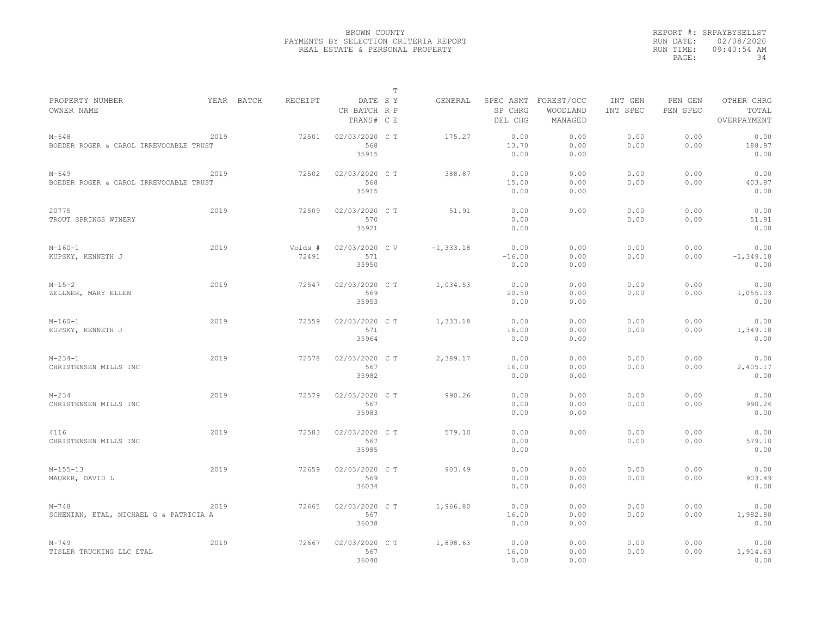|                                                     |      |            |                  |                                       | $\mathbb T$ |              |                                 |                                   |                     |                     |                                    |
|-----------------------------------------------------|------|------------|------------------|---------------------------------------|-------------|--------------|---------------------------------|-----------------------------------|---------------------|---------------------|------------------------------------|
| PROPERTY NUMBER<br>OWNER NAME                       |      | YEAR BATCH | RECEIPT          | DATE SY<br>CR BATCH R P<br>TRANS# C E |             | GENERAL      | SPEC ASMT<br>SP CHRG<br>DEL CHG | FOREST/OCC<br>WOODLAND<br>MANAGED | INT GEN<br>INT SPEC | PEN GEN<br>PEN SPEC | OTHER CHRG<br>TOTAL<br>OVERPAYMENT |
| $M - 648$<br>BOEDER ROGER & CAROL IRREVOCABLE TRUST | 2019 |            | 72501            | 02/03/2020 C T<br>568<br>35915        |             | 175.27       | 0.00<br>13.70<br>0.00           | 0.00<br>0.00<br>0.00              | 0.00<br>0.00        | 0.00<br>0.00        | 0.00<br>188.97<br>0.00             |
| $M - 649$<br>BOEDER ROGER & CAROL IRREVOCABLE TRUST | 2019 |            | 72502            | 02/03/2020 C T<br>568<br>35915        |             | 388.87       | 0.00<br>15.00<br>0.00           | 0.00<br>0.00<br>0.00              | 0.00<br>0.00        | 0.00<br>0.00        | 0.00<br>403.87<br>0.00             |
| 20775<br>TROUT SPRINGS WINERY                       | 2019 |            | 72509            | 02/03/2020 C T<br>570<br>35921        |             | 51.91        | 0.00<br>0.00<br>0.00            | 0.00                              | 0.00<br>0.00        | 0.00<br>0.00        | 0.00<br>51.91<br>0.00              |
| $M-160-1$<br>KUPSKY, KENNETH J                      | 2019 |            | Voids #<br>72491 | 02/03/2020 CV<br>571<br>35950         |             | $-1, 333.18$ | 0.00<br>$-16.00$<br>0.00        | 0.00<br>0.00<br>0.00              | 0.00<br>0.00        | 0.00<br>0.00        | 0.00<br>$-1, 349.18$<br>0.00       |
| $M-15-2$<br>ZELLNER, MARY ELLEN                     | 2019 |            | 72547            | 02/03/2020 C T<br>569<br>35953        |             | 1,034.53     | 0.00<br>20.50<br>0.00           | 0.00<br>0.00<br>0.00              | 0.00<br>0.00        | 0.00<br>0.00        | 0.00<br>1,055.03<br>0.00           |
| $M-160-1$<br>KUPSKY, KENNETH J                      | 2019 |            | 72559            | 02/03/2020 C T<br>571<br>35964        |             | 1,333.18     | 0.00<br>16.00<br>0.00           | 0.00<br>0.00<br>0.00              | 0.00<br>0.00        | 0.00<br>0.00        | 0.00<br>1,349.18<br>0.00           |
| $M - 234 - 1$<br>CHRISTENSEN MILLS INC              | 2019 |            | 72578            | 02/03/2020 CT<br>567<br>35982         |             | 2,389.17     | 0.00<br>16.00<br>0.00           | 0.00<br>0.00<br>0.00              | 0.00<br>0.00        | 0.00<br>0.00        | 0.00<br>2,405.17<br>0.00           |
| $M - 234$<br>CHRISTENSEN MILLS INC                  | 2019 |            | 72579            | 02/03/2020 C T<br>567<br>35983        |             | 990.26       | 0.00<br>0.00<br>0.00            | 0.00<br>0.00<br>0.00              | 0.00<br>0.00        | 0.00<br>0.00        | 0.00<br>990.26<br>0.00             |
| 4116<br>CHRISTENSEN MILLS INC                       | 2019 |            | 72583            | 02/03/2020 C T<br>567<br>35985        |             | 579.10       | 0.00<br>0.00<br>0.00            | 0.00                              | 0.00<br>0.00        | 0.00<br>0.00        | 0.00<br>579.10<br>0.00             |
| $M-155-13$<br>MAURER, DAVID L                       | 2019 |            | 72659            | 02/03/2020 CT<br>569<br>36034         |             | 903.49       | 0.00<br>0.00<br>0.00            | 0.00<br>0.00<br>0.00              | 0.00<br>0.00        | 0.00<br>0.00        | 0.00<br>903.49<br>0.00             |
| $M - 748$<br>SCHENIAN, ETAL, MICHAEL G & PATRICIA A | 2019 |            | 72665            | 02/03/2020 C T<br>567<br>36038        |             | 1,966.80     | 0.00<br>16.00<br>0.00           | 0.00<br>0.00<br>0.00              | 0.00<br>0.00        | 0.00<br>0.00        | 0.00<br>1,982.80<br>0.00           |
| $M - 749$<br>TISLER TRUCKING LLC ETAL               | 2019 |            | 72667            | 02/03/2020 CT<br>567<br>36040         |             | 1,898.63     | 0.00<br>16.00<br>0.00           | 0.00<br>0.00<br>0.00              | 0.00<br>0.00        | 0.00<br>0.00        | 0.00<br>1,914.63<br>0.00           |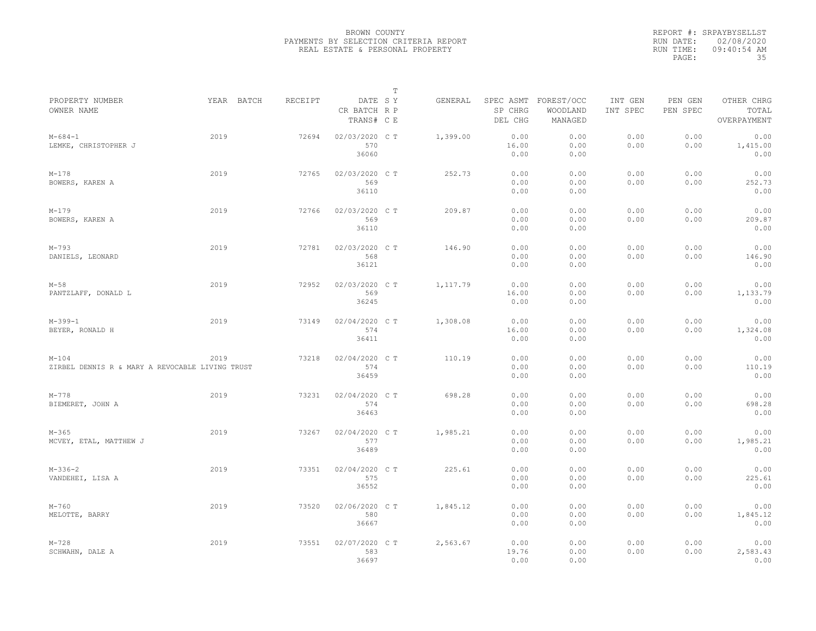|                                                              |            |         |                                       | $\mathbb T$ |          |                                 |                                   |                     |                     |                                    |
|--------------------------------------------------------------|------------|---------|---------------------------------------|-------------|----------|---------------------------------|-----------------------------------|---------------------|---------------------|------------------------------------|
| PROPERTY NUMBER<br>OWNER NAME                                | YEAR BATCH | RECEIPT | DATE SY<br>CR BATCH R P<br>TRANS# C E |             | GENERAL  | SPEC ASMT<br>SP CHRG<br>DEL CHG | FOREST/OCC<br>WOODLAND<br>MANAGED | INT GEN<br>INT SPEC | PEN GEN<br>PEN SPEC | OTHER CHRG<br>TOTAL<br>OVERPAYMENT |
| $M - 684 - 1$<br>LEMKE, CHRISTOPHER J                        | 2019       | 72694   | 02/03/2020 CT<br>570<br>36060         |             | 1,399.00 | 0.00<br>16.00<br>0.00           | 0.00<br>0.00<br>0.00              | 0.00<br>0.00        | 0.00<br>0.00        | 0.00<br>1,415.00<br>0.00           |
| $M - 178$<br>BOWERS, KAREN A                                 | 2019       | 72765   | 02/03/2020 C T<br>569<br>36110        |             | 252.73   | 0.00<br>0.00<br>0.00            | 0.00<br>0.00<br>0.00              | 0.00<br>0.00        | 0.00<br>0.00        | 0.00<br>252.73<br>0.00             |
| $M - 179$<br>BOWERS, KAREN A                                 | 2019       | 72766   | 02/03/2020 C T<br>569<br>36110        |             | 209.87   | 0.00<br>0.00<br>0.00            | 0.00<br>0.00<br>0.00              | 0.00<br>0.00        | 0.00<br>0.00        | 0.00<br>209.87<br>0.00             |
| $M-793$<br>DANIELS, LEONARD                                  | 2019       | 72781   | 02/03/2020 CT<br>568<br>36121         |             | 146.90   | 0.00<br>0.00<br>0.00            | 0.00<br>0.00<br>0.00              | 0.00<br>0.00        | 0.00<br>0.00        | 0.00<br>146.90<br>0.00             |
| $M - 58$<br>PANTZLAFF, DONALD L                              | 2019       | 72952   | 02/03/2020 CT<br>569<br>36245         |             | 1,117.79 | 0.00<br>16.00<br>0.00           | 0.00<br>0.00<br>0.00              | 0.00<br>0.00        | 0.00<br>0.00        | 0.00<br>1,133.79<br>0.00           |
| $M-399-1$<br>BEYER, RONALD H                                 | 2019       | 73149   | 02/04/2020 C T<br>574<br>36411        |             | 1,308.08 | 0.00<br>16.00<br>0.00           | 0.00<br>0.00<br>0.00              | 0.00<br>0.00        | 0.00<br>0.00        | 0.00<br>1,324.08<br>0.00           |
| $M - 104$<br>ZIRBEL DENNIS R & MARY A REVOCABLE LIVING TRUST | 2019       | 73218   | 02/04/2020 CT<br>574<br>36459         |             | 110.19   | 0.00<br>0.00<br>0.00            | 0.00<br>0.00<br>0.00              | 0.00<br>0.00        | 0.00<br>0.00        | 0.00<br>110.19<br>0.00             |
| $M - 778$<br>BIEMERET, JOHN A                                | 2019       | 73231   | 02/04/2020 C T<br>574<br>36463        |             | 698.28   | 0.00<br>0.00<br>0.00            | 0.00<br>0.00<br>0.00              | 0.00<br>0.00        | 0.00<br>0.00        | 0.00<br>698.28<br>0.00             |
| $M - 365$<br>MCVEY, ETAL, MATTHEW J                          | 2019       | 73267   | 02/04/2020 C T<br>577<br>36489        |             | 1,985.21 | 0.00<br>0.00<br>0.00            | 0.00<br>0.00<br>0.00              | 0.00<br>0.00        | 0.00<br>0.00        | 0.00<br>1,985.21<br>0.00           |
| $M-336-2$<br>VANDEHEI, LISA A                                | 2019       | 73351   | 02/04/2020 C T<br>575<br>36552        |             | 225.61   | 0.00<br>0.00<br>0.00            | 0.00<br>0.00<br>0.00              | 0.00<br>0.00        | 0.00<br>0.00        | 0.00<br>225.61<br>0.00             |
| $M - 760$<br>MELOTTE, BARRY                                  | 2019       | 73520   | 02/06/2020 CT<br>580<br>36667         |             | 1,845.12 | 0.00<br>0.00<br>0.00            | 0.00<br>0.00<br>0.00              | 0.00<br>0.00        | 0.00<br>0.00        | 0.00<br>1,845.12<br>0.00           |
| $M - 728$<br>SCHWAHN, DALE A                                 | 2019       | 73551   | 02/07/2020 C T<br>583<br>36697        |             | 2,563.67 | 0.00<br>19.76<br>0.00           | 0.00<br>0.00<br>0.00              | 0.00<br>0.00        | 0.00<br>0.00        | 0.00<br>2,583.43<br>0.00           |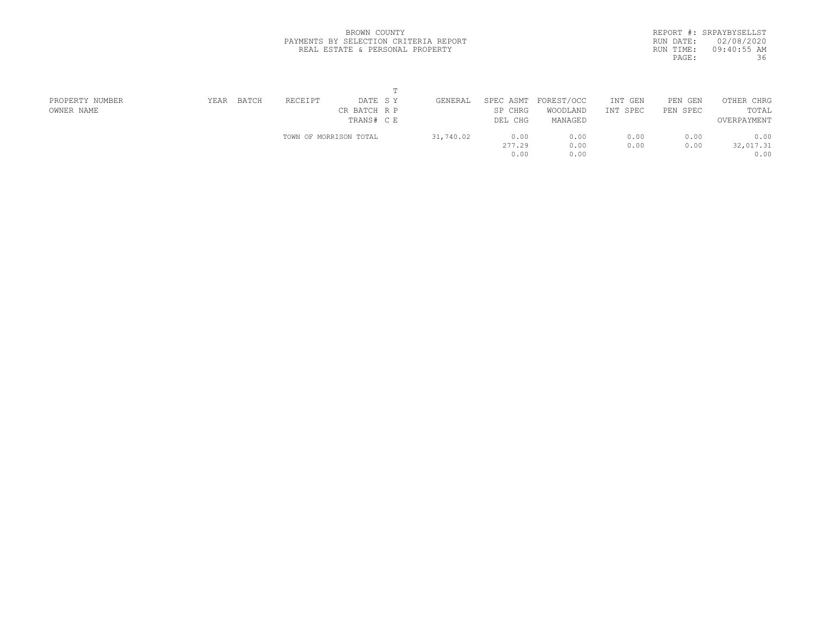|           | REPORT #: SRPAYBYSELLST |
|-----------|-------------------------|
| RUN DATE: | 02/08/2020              |
| RUN TIME: | $09:40:55$ AM           |
| PAGE:     | 36                      |
|           |                         |

| PROPERTY NUMBER | BATCH<br>YEAR | RECEIPT<br>DATE SY     | GENERAL   | SPEC ASMT | FOREST/OCC | INT GEN     | PEN<br>GEN | OTHER CHRG  |  |
|-----------------|---------------|------------------------|-----------|-----------|------------|-------------|------------|-------------|--|
| OWNER NAME      |               | CR BATCH R P           |           | SP CHRG   | WOODLAND   | INT<br>SPEC | PEN SPEC   | TOTAL       |  |
|                 |               | TRANS# C E             |           | DEL CHG   | MANAGED    |             |            | OVERPAYMENT |  |
|                 |               | TOWN OF MORRISON TOTAL | 31,740.02 | 0.00      | 0.00       | 0.00        | 0.00       | 0.00        |  |
|                 |               |                        |           | 277.29    | 0.00       | 0.00        | 0.00       | 32,017.31   |  |
|                 |               |                        |           | 0.00      | 0.00       |             |            | 0.00        |  |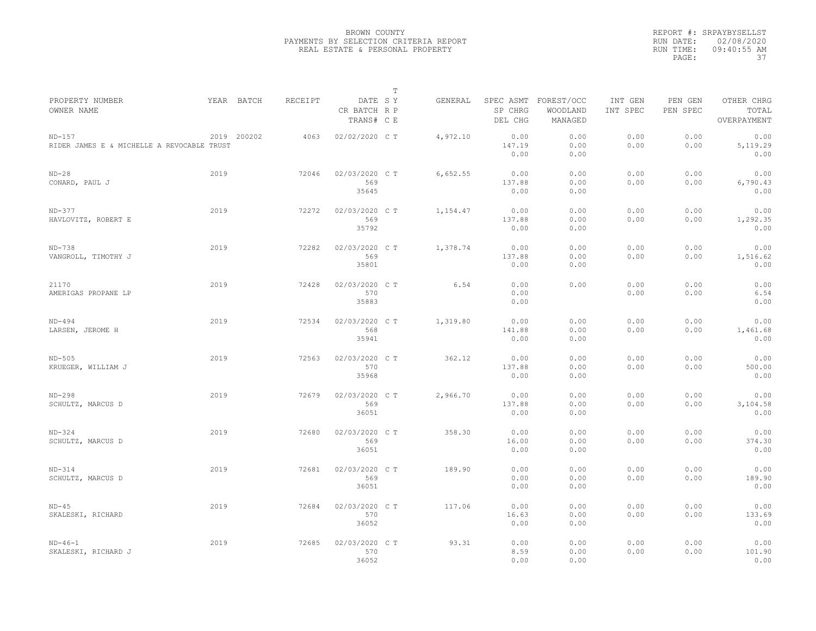|                                                        |      |             |                |                                       | $\mathbb T$ |          |                                 |                                   |                     |                     |                                    |
|--------------------------------------------------------|------|-------------|----------------|---------------------------------------|-------------|----------|---------------------------------|-----------------------------------|---------------------|---------------------|------------------------------------|
| PROPERTY NUMBER<br>OWNER NAME                          |      | YEAR BATCH  | <b>RECEIPT</b> | DATE SY<br>CR BATCH R P<br>TRANS# C E |             | GENERAL  | SPEC ASMT<br>SP CHRG<br>DEL CHG | FOREST/OCC<br>WOODLAND<br>MANAGED | INT GEN<br>INT SPEC | PEN GEN<br>PEN SPEC | OTHER CHRG<br>TOTAL<br>OVERPAYMENT |
| $ND-157$<br>RIDER JAMES E & MICHELLE A REVOCABLE TRUST |      | 2019 200202 | 4063           | 02/02/2020 CT                         |             | 4,972.10 | 0.00<br>147.19<br>0.00          | 0.00<br>0.00<br>0.00              | 0.00<br>0.00        | 0.00<br>0.00        | 0.00<br>5,119.29<br>0.00           |
| $ND-28$<br>CONARD, PAUL J                              | 2019 |             | 72046          | 02/03/2020 C T<br>569<br>35645        |             | 6,652.55 | 0.00<br>137.88<br>0.00          | 0.00<br>0.00<br>0.00              | 0.00<br>0.00        | 0.00<br>0.00        | 0.00<br>6,790.43<br>0.00           |
| $ND-377$<br>HAVLOVITZ, ROBERT E                        | 2019 |             | 72272          | 02/03/2020 CT<br>569<br>35792         |             | 1,154.47 | 0.00<br>137.88<br>0.00          | 0.00<br>0.00<br>0.00              | 0.00<br>0.00        | 0.00<br>0.00        | 0.00<br>1,292.35<br>0.00           |
| $ND-738$<br>VANGROLL, TIMOTHY J                        | 2019 |             | 72282          | 02/03/2020 CT<br>569<br>35801         |             | 1,378.74 | 0.00<br>137.88<br>0.00          | 0.00<br>0.00<br>0.00              | 0.00<br>0.00        | 0.00<br>0.00        | 0.00<br>1,516.62<br>0.00           |
| 21170<br>AMERIGAS PROPANE LP                           | 2019 |             | 72428          | 02/03/2020 C T<br>570<br>35883        |             | 6.54     | 0.00<br>0.00<br>0.00            | 0.00                              | 0.00<br>0.00        | 0.00<br>0.00        | 0.00<br>6.54<br>0.00               |
| $ND-494$<br>LARSEN, JEROME H                           | 2019 |             | 72534          | 02/03/2020 CT<br>568<br>35941         |             | 1,319.80 | 0.00<br>141.88<br>0.00          | 0.00<br>0.00<br>0.00              | 0.00<br>0.00        | 0.00<br>0.00        | 0.00<br>1,461.68<br>0.00           |
| $ND-505$<br>KRUEGER, WILLIAM J                         | 2019 |             | 72563          | 02/03/2020 C T<br>570<br>35968        |             | 362.12   | 0.00<br>137.88<br>0.00          | 0.00<br>0.00<br>0.00              | 0.00<br>0.00        | 0.00<br>0.00        | 0.00<br>500.00<br>0.00             |
| $ND-298$<br>SCHULTZ, MARCUS D                          | 2019 |             | 72679          | 02/03/2020 CT<br>569<br>36051         |             | 2,966.70 | 0.00<br>137.88<br>0.00          | 0.00<br>0.00<br>0.00              | 0.00<br>0.00        | 0.00<br>0.00        | 0.00<br>3,104.58<br>0.00           |
| $ND-324$<br>SCHULTZ, MARCUS D                          | 2019 |             | 72680          | 02/03/2020 C T<br>569<br>36051        |             | 358.30   | 0.00<br>16.00<br>0.00           | 0.00<br>0.00<br>0.00              | 0.00<br>0.00        | 0.00<br>0.00        | 0.00<br>374.30<br>0.00             |
| $ND-314$<br>SCHULTZ, MARCUS D                          | 2019 |             | 72681          | 02/03/2020 CT<br>569<br>36051         |             | 189.90   | 0.00<br>0.00<br>0.00            | 0.00<br>0.00<br>0.00              | 0.00<br>0.00        | 0.00<br>0.00        | 0.00<br>189.90<br>0.00             |
| $ND-45$<br>SKALESKI, RICHARD                           | 2019 |             | 72684          | 02/03/2020 C T<br>570<br>36052        |             | 117.06   | 0.00<br>16.63<br>0.00           | 0.00<br>0.00<br>0.00              | 0.00<br>0.00        | 0.00<br>0.00        | 0.00<br>133.69<br>0.00             |
| $ND-46-1$<br>SKALESKI, RICHARD J                       | 2019 |             | 72685          | 02/03/2020 CT<br>570<br>36052         |             | 93.31    | 0.00<br>8.59<br>0.00            | 0.00<br>0.00<br>0.00              | 0.00<br>0.00        | 0.00<br>0.00        | 0.00<br>101.90<br>0.00             |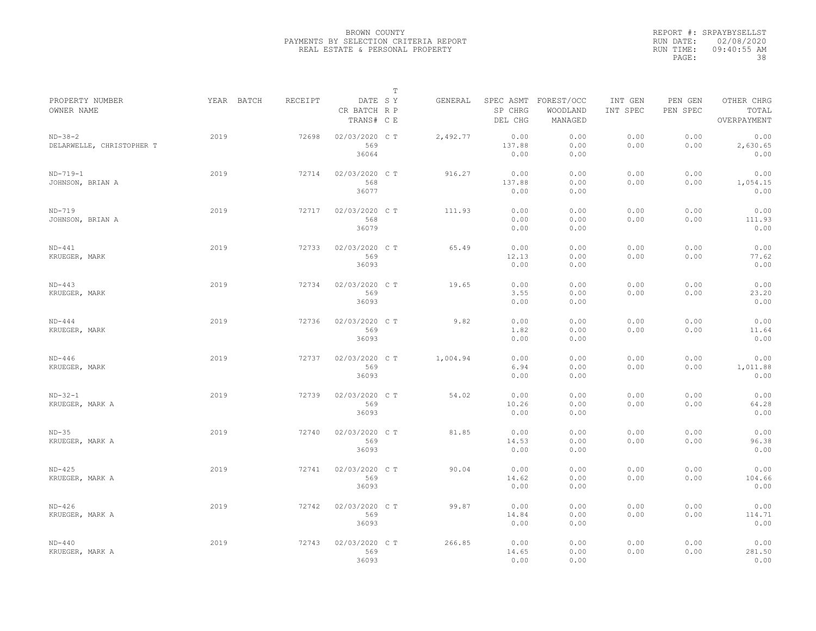|                                        |            |         |                                       | $\mathbb T$ |          |                                 |                                   |                     |                     |                                    |
|----------------------------------------|------------|---------|---------------------------------------|-------------|----------|---------------------------------|-----------------------------------|---------------------|---------------------|------------------------------------|
| PROPERTY NUMBER<br>OWNER NAME          | YEAR BATCH | RECEIPT | DATE SY<br>CR BATCH R P<br>TRANS# C E |             | GENERAL  | SPEC ASMT<br>SP CHRG<br>DEL CHG | FOREST/OCC<br>WOODLAND<br>MANAGED | INT GEN<br>INT SPEC | PEN GEN<br>PEN SPEC | OTHER CHRG<br>TOTAL<br>OVERPAYMENT |
| $ND-38-2$<br>DELARWELLE, CHRISTOPHER T | 2019       | 72698   | 02/03/2020 C T<br>569<br>36064        |             | 2,492.77 | 0.00<br>137.88<br>0.00          | 0.00<br>0.00<br>0.00              | 0.00<br>0.00        | 0.00<br>0.00        | 0.00<br>2,630.65<br>0.00           |
| $ND-719-1$<br>JOHNSON, BRIAN A         | 2019       | 72714   | 02/03/2020 C T<br>568<br>36077        |             | 916.27   | 0.00<br>137.88<br>0.00          | 0.00<br>0.00<br>0.00              | 0.00<br>0.00        | 0.00<br>0.00        | 0.00<br>1,054.15<br>0.00           |
| $ND-719$<br>JOHNSON, BRIAN A           | 2019       | 72717   | 02/03/2020 C T<br>568<br>36079        |             | 111.93   | 0.00<br>0.00<br>0.00            | 0.00<br>0.00<br>0.00              | 0.00<br>0.00        | 0.00<br>0.00        | 0.00<br>111.93<br>0.00             |
| $ND-441$<br>KRUEGER, MARK              | 2019       | 72733   | 02/03/2020 CT<br>569<br>36093         |             | 65.49    | 0.00<br>12.13<br>0.00           | 0.00<br>0.00<br>0.00              | 0.00<br>0.00        | 0.00<br>0.00        | 0.00<br>77.62<br>0.00              |
| $ND-443$<br>KRUEGER, MARK              | 2019       | 72734   | 02/03/2020 CT<br>569<br>36093         |             | 19.65    | 0.00<br>3.55<br>0.00            | 0.00<br>0.00<br>0.00              | 0.00<br>0.00        | 0.00<br>0.00        | 0.00<br>23.20<br>0.00              |
| $ND-444$<br>KRUEGER, MARK              | 2019       | 72736   | 02/03/2020 C T<br>569<br>36093        |             | 9.82     | 0.00<br>1.82<br>0.00            | 0.00<br>0.00<br>0.00              | 0.00<br>0.00        | 0.00<br>0.00        | 0.00<br>11.64<br>0.00              |
| $ND-446$<br>KRUEGER, MARK              | 2019       | 72737   | 02/03/2020 CT<br>569<br>36093         |             | 1,004.94 | 0.00<br>6.94<br>0.00            | 0.00<br>0.00<br>0.00              | 0.00<br>0.00        | 0.00<br>0.00        | 0.00<br>1,011.88<br>0.00           |
| $ND-32-1$<br>KRUEGER, MARK A           | 2019       | 72739   | 02/03/2020 CT<br>569<br>36093         |             | 54.02    | 0.00<br>10.26<br>0.00           | 0.00<br>0.00<br>0.00              | 0.00<br>0.00        | 0.00<br>0.00        | 0.00<br>64.28<br>0.00              |
| $ND-35$<br>KRUEGER, MARK A             | 2019       | 72740   | 02/03/2020 C T<br>569<br>36093        |             | 81.85    | 0.00<br>14.53<br>0.00           | 0.00<br>0.00<br>0.00              | 0.00<br>0.00        | 0.00<br>0.00        | 0.00<br>96.38<br>0.00              |
| $ND-425$<br>KRUEGER, MARK A            | 2019       | 72741   | 02/03/2020 CT<br>569<br>36093         |             | 90.04    | 0.00<br>14.62<br>0.00           | 0.00<br>0.00<br>0.00              | 0.00<br>0.00        | 0.00<br>0.00        | 0.00<br>104.66<br>0.00             |
| $ND-426$<br>KRUEGER, MARK A            | 2019       | 72742   | 02/03/2020 CT<br>569<br>36093         |             | 99.87    | 0.00<br>14.84<br>0.00           | 0.00<br>0.00<br>0.00              | 0.00<br>0.00        | 0.00<br>0.00        | 0.00<br>114.71<br>0.00             |
| $ND-440$<br>KRUEGER, MARK A            | 2019       | 72743   | 02/03/2020 CT<br>569<br>36093         |             | 266.85   | 0.00<br>14.65<br>0.00           | 0.00<br>0.00<br>0.00              | 0.00<br>0.00        | 0.00<br>0.00        | 0.00<br>281.50<br>0.00             |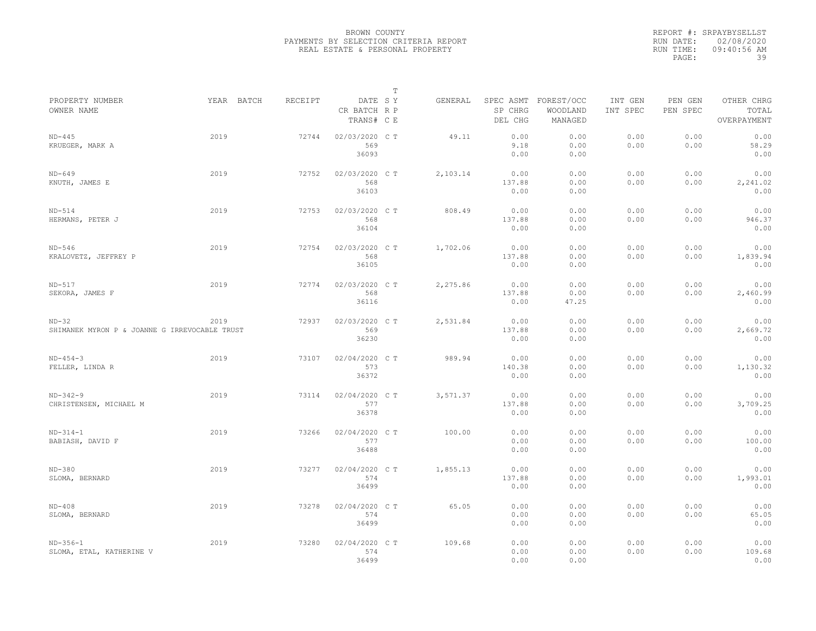|                                                          |            |         |                                       | $\mathbb T$ |          |                                 |                                   |                     |                     |                                    |
|----------------------------------------------------------|------------|---------|---------------------------------------|-------------|----------|---------------------------------|-----------------------------------|---------------------|---------------------|------------------------------------|
| PROPERTY NUMBER<br>OWNER NAME                            | YEAR BATCH | RECEIPT | DATE SY<br>CR BATCH R P<br>TRANS# C E |             | GENERAL  | SPEC ASMT<br>SP CHRG<br>DEL CHG | FOREST/OCC<br>WOODLAND<br>MANAGED | INT GEN<br>INT SPEC | PEN GEN<br>PEN SPEC | OTHER CHRG<br>TOTAL<br>OVERPAYMENT |
| $ND-445$<br>KRUEGER, MARK A                              | 2019       | 72744   | 02/03/2020 CT<br>569<br>36093         |             | 49.11    | 0.00<br>9.18<br>0.00            | 0.00<br>0.00<br>0.00              | 0.00<br>0.00        | 0.00<br>0.00        | 0.00<br>58.29<br>0.00              |
| $ND-649$<br>KNUTH, JAMES E                               | 2019       | 72752   | 02/03/2020 C T<br>568<br>36103        |             | 2,103.14 | 0.00<br>137.88<br>0.00          | 0.00<br>0.00<br>0.00              | 0.00<br>0.00        | 0.00<br>0.00        | 0.00<br>2,241.02<br>0.00           |
| $ND-514$<br>HERMANS, PETER J                             | 2019       | 72753   | 02/03/2020 CT<br>568<br>36104         |             | 808.49   | 0.00<br>137.88<br>0.00          | 0.00<br>0.00<br>0.00              | 0.00<br>0.00        | 0.00<br>0.00        | 0.00<br>946.37<br>0.00             |
| $ND-546$<br>KRALOVETZ, JEFFREY P                         | 2019       | 72754   | 02/03/2020 CT<br>568<br>36105         |             | 1,702.06 | 0.00<br>137.88<br>0.00          | 0.00<br>0.00<br>0.00              | 0.00<br>0.00        | 0.00<br>0.00        | 0.00<br>1,839.94<br>0.00           |
| $ND-517$<br>SEKORA, JAMES F                              | 2019       | 72774   | 02/03/2020 C T<br>568<br>36116        |             | 2,275.86 | 0.00<br>137.88<br>0.00          | 0.00<br>0.00<br>47.25             | 0.00<br>0.00        | 0.00<br>0.00        | 0.00<br>2,460.99<br>0.00           |
| $ND-32$<br>SHIMANEK MYRON P & JOANNE G IRREVOCABLE TRUST | 2019       | 72937   | 02/03/2020 C T<br>569<br>36230        |             | 2,531.84 | 0.00<br>137.88<br>0.00          | 0.00<br>0.00<br>0.00              | 0.00<br>0.00        | 0.00<br>0.00        | 0.00<br>2,669.72<br>0.00           |
| $ND-454-3$<br>FELLER, LINDA R                            | 2019       | 73107   | 02/04/2020 CT<br>573<br>36372         |             | 989.94   | 0.00<br>140.38<br>0.00          | 0.00<br>0.00<br>0.00              | 0.00<br>0.00        | 0.00<br>0.00        | 0.00<br>1,130.32<br>0.00           |
| $ND-342-9$<br>CHRISTENSEN, MICHAEL M                     | 2019       | 73114   | 02/04/2020 C T<br>577<br>36378        |             | 3,571.37 | 0.00<br>137.88<br>0.00          | 0.00<br>0.00<br>0.00              | 0.00<br>0.00        | 0.00<br>0.00        | 0.00<br>3,709.25<br>0.00           |
| $ND-314-1$<br>BABIASH, DAVID F                           | 2019       | 73266   | 02/04/2020 C T<br>577<br>36488        |             | 100.00   | 0.00<br>0.00<br>0.00            | 0.00<br>0.00<br>0.00              | 0.00<br>0.00        | 0.00<br>0.00        | 0.00<br>100.00<br>0.00             |
| $ND-380$<br>SLOMA, BERNARD                               | 2019       | 73277   | 02/04/2020 C T<br>574<br>36499        |             | 1,855.13 | 0.00<br>137.88<br>0.00          | 0.00<br>0.00<br>0.00              | 0.00<br>0.00        | 0.00<br>0.00        | 0.00<br>1,993.01<br>0.00           |
| $ND-408$<br>SLOMA, BERNARD                               | 2019       | 73278   | 02/04/2020 CT<br>574<br>36499         |             | 65.05    | 0.00<br>0.00<br>0.00            | 0.00<br>0.00<br>0.00              | 0.00<br>0.00        | 0.00<br>0.00        | 0.00<br>65.05<br>0.00              |
| $ND-356-1$<br>SLOMA, ETAL, KATHERINE V                   | 2019       | 73280   | 02/04/2020 CT<br>574<br>36499         |             | 109.68   | 0.00<br>0.00<br>0.00            | 0.00<br>0.00<br>0.00              | 0.00<br>0.00        | 0.00<br>0.00        | 0.00<br>109.68<br>0.00             |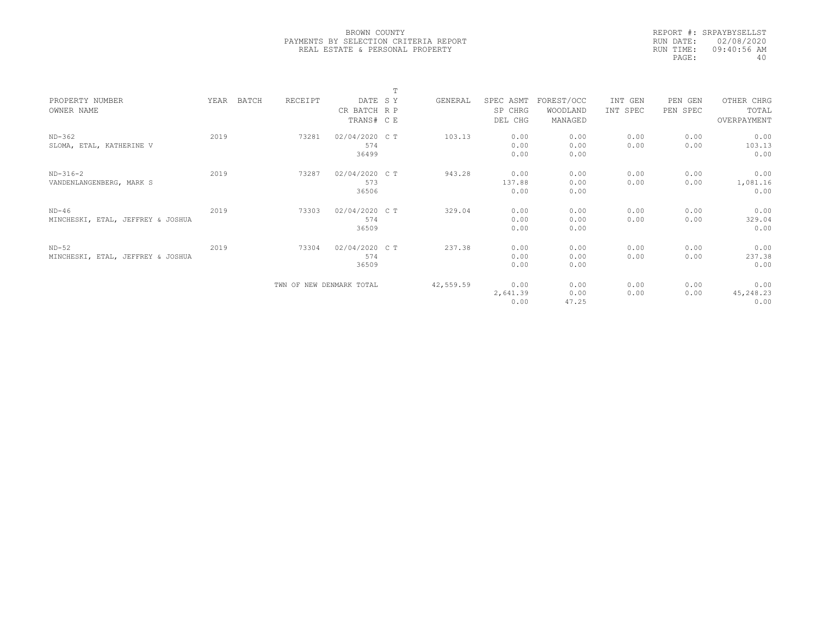|           | REPORT #: SRPAYBYSELLST |
|-----------|-------------------------|
|           | RUN DATE: 02/08/2020    |
| RUN TIME: | 09:40:56 AM             |
| PAGE:     | 40                      |

|                                              |      |       |                          |                                | $\mathbf{r}$ |           |                          |                       |              |              |                           |  |
|----------------------------------------------|------|-------|--------------------------|--------------------------------|--------------|-----------|--------------------------|-----------------------|--------------|--------------|---------------------------|--|
| PROPERTY NUMBER                              | YEAR | BATCH | RECEIPT                  | DATE SY                        |              | GENERAL   | SPEC ASMT                | FOREST/OCC            | INT GEN      | PEN GEN      | OTHER CHRG                |  |
| OWNER NAME                                   |      |       |                          | CR BATCH R P                   |              |           | SP CHRG                  | WOODLAND              | INT SPEC     | PEN SPEC     | TOTAL                     |  |
|                                              |      |       |                          | TRANS# C E                     |              |           | DEL CHG                  | MANAGED               |              |              | OVERPAYMENT               |  |
| $ND-362$<br>SLOMA, ETAL, KATHERINE V         | 2019 |       | 73281                    | 02/04/2020 C T<br>574<br>36499 |              | 103.13    | 0.00<br>0.00<br>0.00     | 0.00<br>0.00<br>0.00  | 0.00<br>0.00 | 0.00<br>0.00 | 0.00<br>103.13<br>0.00    |  |
| $ND-316-2$<br>VANDENLANGENBERG, MARK S       | 2019 |       | 73287                    | 02/04/2020 C T<br>573<br>36506 |              | 943.28    | 0.00<br>137.88<br>0.00   | 0.00<br>0.00<br>0.00  | 0.00<br>0.00 | 0.00<br>0.00 | 0.00<br>1,081.16<br>0.00  |  |
| $ND-46$<br>MINCHESKI, ETAL, JEFFREY & JOSHUA | 2019 |       | 73303                    | 02/04/2020 C T<br>574<br>36509 |              | 329.04    | 0.00<br>0.00<br>0.00     | 0.00<br>0.00<br>0.00  | 0.00<br>0.00 | 0.00<br>0.00 | 0.00<br>329.04<br>0.00    |  |
| $ND-52$<br>MINCHESKI, ETAL, JEFFREY & JOSHUA | 2019 |       | 73304                    | 02/04/2020 C T<br>574<br>36509 |              | 237.38    | 0.00<br>0.00<br>0.00     | 0.00<br>0.00<br>0.00  | 0.00<br>0.00 | 0.00<br>0.00 | 0.00<br>237.38<br>0.00    |  |
|                                              |      |       | TWN OF NEW DENMARK TOTAL |                                |              | 42,559.59 | 0.00<br>2,641.39<br>0.00 | 0.00<br>0.00<br>47.25 | 0.00<br>0.00 | 0.00<br>0.00 | 0.00<br>45,248.23<br>0.00 |  |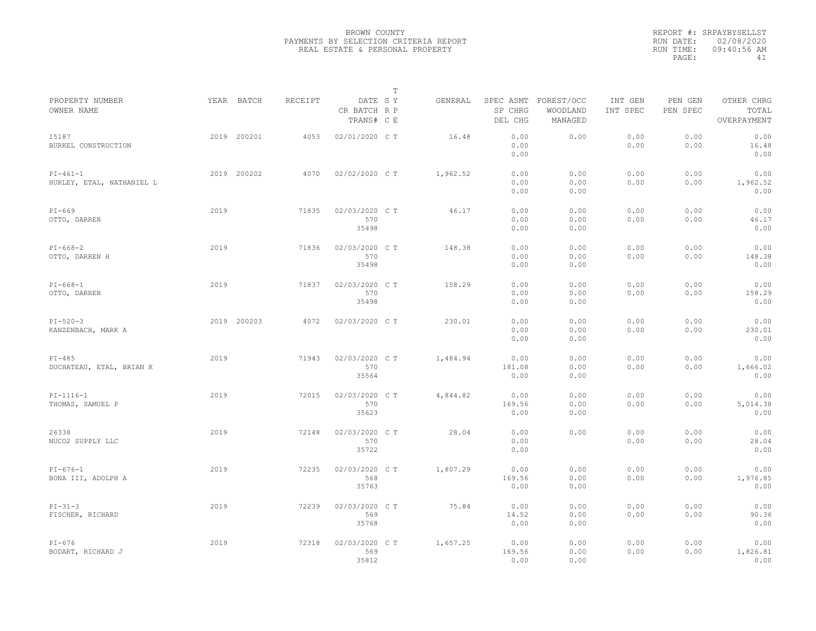|                                         |      |             |         |                                       | $\mathbb T$ |          |                        |                                             |                     |                     |                                    |  |
|-----------------------------------------|------|-------------|---------|---------------------------------------|-------------|----------|------------------------|---------------------------------------------|---------------------|---------------------|------------------------------------|--|
| PROPERTY NUMBER<br>OWNER NAME           |      | YEAR BATCH  | RECEIPT | DATE SY<br>CR BATCH R P<br>TRANS# C E |             | GENERAL  | SP CHRG<br>DEL CHG     | SPEC ASMT FOREST/OCC<br>WOODLAND<br>MANAGED | INT GEN<br>INT SPEC | PEN GEN<br>PEN SPEC | OTHER CHRG<br>TOTAL<br>OVERPAYMENT |  |
| 15187<br>BURKEL CONSTRUCTION            |      | 2019 200201 | 4053    | 02/01/2020 CT                         |             | 16.48    | 0.00<br>0.00<br>0.00   | 0.00                                        | 0.00<br>0.00        | 0.00<br>0.00        | 0.00<br>16.48<br>0.00              |  |
| $PI-461-1$<br>HURLEY, ETAL, NATHANIEL L |      | 2019 200202 | 4070    | 02/02/2020 CT                         |             | 1,962.52 | 0.00<br>0.00<br>0.00   | 0.00<br>0.00<br>0.00                        | 0.00<br>0.00        | 0.00<br>0.00        | 0.00<br>1,962.52<br>0.00           |  |
| $PI-669$<br>OTTO, DARREN                | 2019 |             | 71835   | 02/03/2020 C T<br>570<br>35498        |             | 46.17    | 0.00<br>0.00<br>0.00   | 0.00<br>0.00<br>0.00                        | 0.00<br>0.00        | 0.00<br>0.00        | 0.00<br>46.17<br>0.00              |  |
| $PI-668-2$<br>OTTO, DARREN H            | 2019 |             | 71836   | 02/03/2020 CT<br>570<br>35498         |             | 148.38   | 0.00<br>0.00<br>0.00   | 0.00<br>0.00<br>0.00                        | 0.00<br>0.00        | 0.00<br>0.00        | 0.00<br>148.38<br>0.00             |  |
| $PI-668-1$<br>OTTO, DARREN              | 2019 |             | 71837   | 02/03/2020 C T<br>570<br>35498        |             | 158.29   | 0.00<br>0.00<br>0.00   | 0.00<br>0.00<br>0.00                        | 0.00<br>0.00        | 0.00<br>0.00        | 0.00<br>158.29<br>0.00             |  |
| $PI - 520 - 3$<br>KANZENBACH, MARK A    |      | 2019 200203 | 4072    | 02/03/2020 CT                         |             | 230.01   | 0.00<br>0.00<br>0.00   | 0.00<br>0.00<br>0.00                        | 0.00<br>0.00        | 0.00<br>0.00        | 0.00<br>230.01<br>0.00             |  |
| $PI-485$<br>DUCHATEAU, ETAL, BRIAN K    | 2019 |             | 71943   | 02/03/2020 CT<br>570<br>35564         |             | 1,484.94 | 0.00<br>181.08<br>0.00 | 0.00<br>0.00<br>0.00                        | 0.00<br>0.00        | 0.00<br>0.00        | 0.00<br>1,666.02<br>0.00           |  |
| $PI-1116-1$<br>THOMAS, SAMUEL P         | 2019 |             | 72015   | 02/03/2020 C T<br>570<br>35623        |             | 4,844.82 | 0.00<br>169.56<br>0.00 | 0.00<br>0.00<br>0.00                        | 0.00<br>0.00        | 0.00<br>0.00        | 0.00<br>5,014.38<br>0.00           |  |
| 26338<br>NUCO2 SUPPLY LLC               | 2019 |             | 72148   | 02/03/2020 C T<br>570<br>35722        |             | 28.04    | 0.00<br>0.00<br>0.00   | 0.00                                        | 0.00<br>0.00        | 0.00<br>0.00        | 0.00<br>28.04<br>0.00              |  |
| $PI-676-1$<br>BONA III, ADOLPH A        | 2019 |             | 72235   | 02/03/2020 C T<br>568<br>35763        |             | 1,807.29 | 0.00<br>169.56<br>0.00 | 0.00<br>0.00<br>0.00                        | 0.00<br>0.00        | 0.00<br>0.00        | 0.00<br>1,976.85<br>0.00           |  |
| $PI-31-3$<br>FISCHER, RICHARD           | 2019 |             | 72239   | 02/03/2020 C T<br>569<br>35768        |             | 75.84    | 0.00<br>14.52<br>0.00  | 0.00<br>0.00<br>0.00                        | 0.00<br>0.00        | 0.00<br>0.00        | 0.00<br>90.36<br>0.00              |  |
| $PI-676$<br>BODART, RICHARD J           | 2019 |             | 72318   | 02/03/2020 CT<br>569<br>35812         |             | 1,657.25 | 0.00<br>169.56<br>0.00 | 0.00<br>0.00<br>0.00                        | 0.00<br>0.00        | 0.00<br>0.00        | 0.00<br>1,826.81<br>0.00           |  |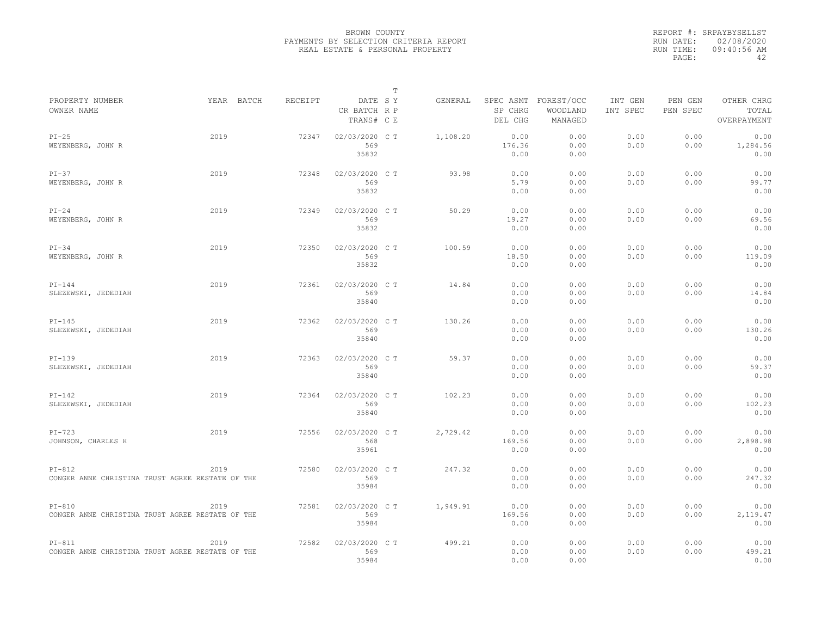|                                                              |            |         |                                       | $\mathbb T$ |          |                                 |                                   |                     |                     |                                    |
|--------------------------------------------------------------|------------|---------|---------------------------------------|-------------|----------|---------------------------------|-----------------------------------|---------------------|---------------------|------------------------------------|
| PROPERTY NUMBER<br>OWNER NAME                                | YEAR BATCH | RECEIPT | DATE SY<br>CR BATCH R P<br>TRANS# C E |             | GENERAL  | SPEC ASMT<br>SP CHRG<br>DEL CHG | FOREST/OCC<br>WOODLAND<br>MANAGED | INT GEN<br>INT SPEC | PEN GEN<br>PEN SPEC | OTHER CHRG<br>TOTAL<br>OVERPAYMENT |
| $PI-25$<br>WEYENBERG, JOHN R                                 | 2019       | 72347   | 02/03/2020 C T<br>569<br>35832        |             | 1,108.20 | 0.00<br>176.36<br>0.00          | 0.00<br>0.00<br>0.00              | 0.00<br>0.00        | 0.00<br>0.00        | 0.00<br>1,284.56<br>0.00           |
| $PI-37$<br>WEYENBERG, JOHN R                                 | 2019       | 72348   | 02/03/2020 C T<br>569<br>35832        |             | 93.98    | 0.00<br>5.79<br>0.00            | 0.00<br>0.00<br>0.00              | 0.00<br>0.00        | 0.00<br>0.00        | 0.00<br>99.77<br>0.00              |
| $PI-24$<br>WEYENBERG, JOHN R                                 | 2019       | 72349   | 02/03/2020 CT<br>569<br>35832         |             | 50.29    | 0.00<br>19.27<br>0.00           | 0.00<br>0.00<br>0.00              | 0.00<br>0.00        | 0.00<br>0.00        | 0.00<br>69.56<br>0.00              |
| $PI-34$<br>WEYENBERG, JOHN R                                 | 2019       | 72350   | 02/03/2020 CT<br>569<br>35832         |             | 100.59   | 0.00<br>18.50<br>0.00           | 0.00<br>0.00<br>0.00              | 0.00<br>0.00        | 0.00<br>0.00        | 0.00<br>119.09<br>0.00             |
| $PI-144$<br>SLEZEWSKI, JEDEDIAH                              | 2019       | 72361   | 02/03/2020 C T<br>569<br>35840        |             | 14.84    | 0.00<br>0.00<br>0.00            | 0.00<br>0.00<br>0.00              | 0.00<br>0.00        | 0.00<br>0.00        | 0.00<br>14.84<br>0.00              |
| $PI-145$<br>SLEZEWSKI, JEDEDIAH                              | 2019       | 72362   | 02/03/2020 C T<br>569<br>35840        |             | 130.26   | 0.00<br>0.00<br>0.00            | 0.00<br>0.00<br>0.00              | 0.00<br>0.00        | 0.00<br>0.00        | 0.00<br>130.26<br>0.00             |
| $PI-139$<br>SLEZEWSKI, JEDEDIAH                              | 2019       | 72363   | 02/03/2020 CT<br>569<br>35840         |             | 59.37    | 0.00<br>0.00<br>0.00            | 0.00<br>0.00<br>0.00              | 0.00<br>0.00        | 0.00<br>0.00        | 0.00<br>59.37<br>0.00              |
| $PI-142$<br>SLEZEWSKI, JEDEDIAH                              | 2019       | 72364   | 02/03/2020 CT<br>569<br>35840         |             | 102.23   | 0.00<br>0.00<br>0.00            | 0.00<br>0.00<br>0.00              | 0.00<br>0.00        | 0.00<br>0.00        | 0.00<br>102.23<br>0.00             |
| $PI-723$<br>JOHNSON, CHARLES H                               | 2019       | 72556   | 02/03/2020 CT<br>568<br>35961         |             | 2,729.42 | 0.00<br>169.56<br>0.00          | 0.00<br>0.00<br>0.00              | 0.00<br>0.00        | 0.00<br>0.00        | 0.00<br>2,898.98<br>0.00           |
| $PI-812$<br>CONGER ANNE CHRISTINA TRUST AGREE RESTATE OF THE | 2019       | 72580   | 02/03/2020 C T<br>569<br>35984        |             | 247.32   | 0.00<br>0.00<br>0.00            | 0.00<br>0.00<br>0.00              | 0.00<br>0.00        | 0.00<br>0.00        | 0.00<br>247.32<br>0.00             |
| $PI-810$<br>CONGER ANNE CHRISTINA TRUST AGREE RESTATE OF THE | 2019       | 72581   | 02/03/2020 CT<br>569<br>35984         |             | 1,949.91 | 0.00<br>169.56<br>0.00          | 0.00<br>0.00<br>0.00              | 0.00<br>0.00        | 0.00<br>0.00        | 0.00<br>2,119.47<br>0.00           |
| $PI-811$<br>CONGER ANNE CHRISTINA TRUST AGREE RESTATE OF THE | 2019       | 72582   | 02/03/2020 CT<br>569<br>35984         |             | 499.21   | 0.00<br>0.00<br>0.00            | 0.00<br>0.00<br>0.00              | 0.00<br>0.00        | 0.00<br>0.00        | 0.00<br>499.21<br>0.00             |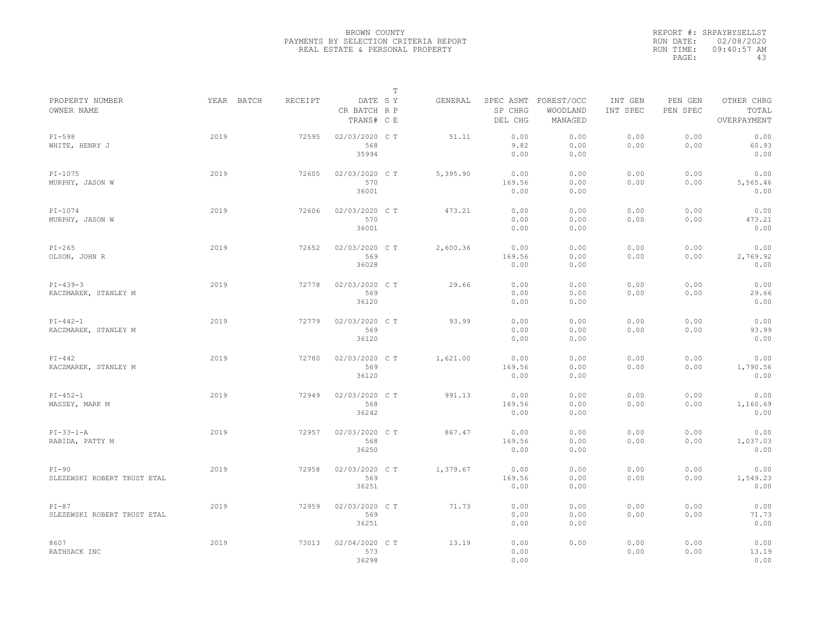|                                        |      |                              |                                       | $\mathbb T$ |          |                        |                                             |                     |                     |                                    |
|----------------------------------------|------|------------------------------|---------------------------------------|-------------|----------|------------------------|---------------------------------------------|---------------------|---------------------|------------------------------------|
| PROPERTY NUMBER<br>OWNER NAME          |      | YEAR BATCH<br><b>RECEIPT</b> | DATE SY<br>CR BATCH R P<br>TRANS# C E |             | GENERAL  | SP CHRG<br>DEL CHG     | SPEC ASMT FOREST/OCC<br>WOODLAND<br>MANAGED | INT GEN<br>INT SPEC | PEN GEN<br>PEN SPEC | OTHER CHRG<br>TOTAL<br>OVERPAYMENT |
| $PI-598$<br>WHITE, HENRY J             | 2019 | 72595                        | 02/03/2020 CT<br>568<br>35994         |             | 51.11    | 0.00<br>9.82<br>0.00   | 0.00<br>0.00<br>0.00                        | 0.00<br>0.00        | 0.00<br>0.00        | 0.00<br>60.93<br>0.00              |
| $PI-1075$<br>MURPHY, JASON W           | 2019 | 72605                        | 02/03/2020 C T<br>570<br>36001        |             | 5,395.90 | 0.00<br>169.56<br>0.00 | 0.00<br>0.00<br>0.00                        | 0.00<br>0.00        | 0.00<br>0.00        | 0.00<br>5,565.46<br>0.00           |
| $PI-1074$<br>MURPHY, JASON W           | 2019 | 72606                        | 02/03/2020 CT<br>570<br>36001         |             | 473.21   | 0.00<br>0.00<br>0.00   | 0.00<br>0.00<br>0.00                        | 0.00<br>0.00        | 0.00<br>0.00        | 0.00<br>473.21<br>0.00             |
| $PI-265$<br>OLSON, JOHN R              | 2019 | 72652                        | 02/03/2020 CT<br>569<br>36028         |             | 2,600.36 | 0.00<br>169.56<br>0.00 | 0.00<br>0.00<br>0.00                        | 0.00<br>0.00        | 0.00<br>0.00        | 0.00<br>2,769.92<br>0.00           |
| $PI-439-3$<br>KACZMAREK, STANLEY M     | 2019 | 72778                        | 02/03/2020 C T<br>569<br>36120        |             | 29.66    | 0.00<br>0.00<br>0.00   | 0.00<br>0.00<br>0.00                        | 0.00<br>0.00        | 0.00<br>0.00        | 0.00<br>29.66<br>0.00              |
| $PI - 442 - 1$<br>KACZMAREK, STANLEY M | 2019 | 72779                        | 02/03/2020 CT<br>569<br>36120         |             | 93.99    | 0.00<br>0.00<br>0.00   | 0.00<br>0.00<br>0.00                        | 0.00<br>0.00        | 0.00<br>0.00        | 0.00<br>93.99<br>0.00              |
| $PI-442$<br>KACZMAREK, STANLEY M       | 2019 | 72780                        | 02/03/2020 C T<br>569<br>36120        |             | 1,621.00 | 0.00<br>169.56<br>0.00 | 0.00<br>0.00<br>0.00                        | 0.00<br>0.00        | 0.00<br>0.00        | 0.00<br>1,790.56<br>0.00           |
| $PI-452-1$<br>MASSEY, MARK M           | 2019 | 72949                        | 02/03/2020 CT<br>568<br>36242         |             | 991.13   | 0.00<br>169.56<br>0.00 | 0.00<br>0.00<br>0.00                        | 0.00<br>0.00        | 0.00<br>0.00        | 0.00<br>1,160.69<br>0.00           |
| $PI-33-1-A$<br>RABIDA, PATTY M         | 2019 | 72957                        | 02/03/2020 CT<br>568<br>36250         |             | 867.47   | 0.00<br>169.56<br>0.00 | 0.00<br>0.00<br>0.00                        | 0.00<br>0.00        | 0.00<br>0.00        | 0.00<br>1,037.03<br>0.00           |
| $PI-90$<br>SLEZEWSKI ROBERT TRUST ETAL | 2019 | 72958                        | 02/03/2020 CT<br>569<br>36251         |             | 1,379.67 | 0.00<br>169.56<br>0.00 | 0.00<br>0.00<br>0.00                        | 0.00<br>0.00        | 0.00<br>0.00        | 0.00<br>1,549.23<br>0.00           |
| $PI-87$<br>SLEZEWSKI ROBERT TRUST ETAL | 2019 | 72959                        | 02/03/2020 C T<br>569<br>36251        |             | 71.73    | 0.00<br>0.00<br>0.00   | 0.00<br>0.00<br>0.00                        | 0.00<br>0.00        | 0.00<br>0.00        | 0.00<br>71.73<br>0.00              |
| 8607<br>RATHSACK INC                   | 2019 | 73013                        | 02/04/2020 CT<br>573<br>36298         |             | 13.19    | 0.00<br>0.00<br>0.00   | 0.00                                        | 0.00<br>0.00        | 0.00<br>0.00        | 0.00<br>13.19<br>0.00              |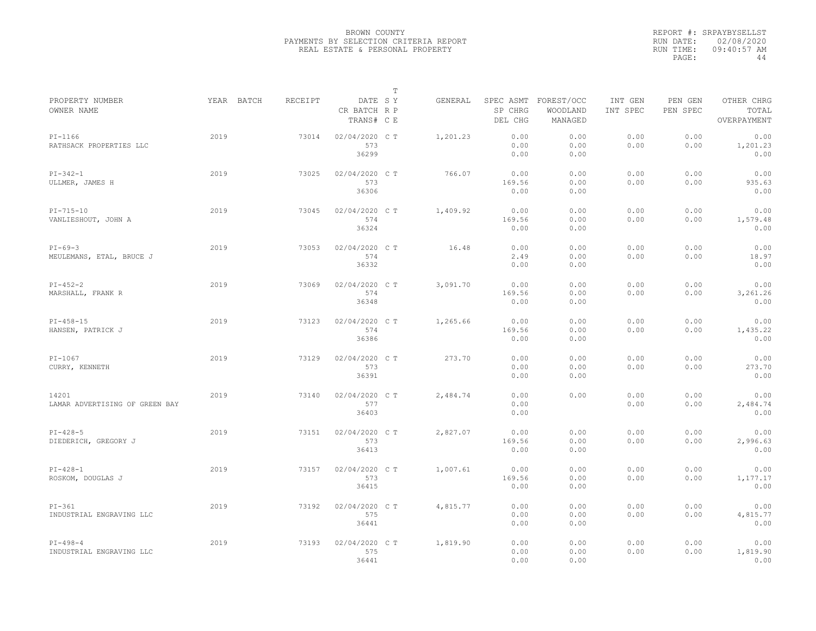|                                         |            |         |                                       | T |          |                        |                                             |                     |                     |                                    |
|-----------------------------------------|------------|---------|---------------------------------------|---|----------|------------------------|---------------------------------------------|---------------------|---------------------|------------------------------------|
| PROPERTY NUMBER<br>OWNER NAME           | YEAR BATCH | RECEIPT | DATE SY<br>CR BATCH R P<br>TRANS# C E |   | GENERAL  | SP CHRG<br>DEL CHG     | SPEC ASMT FOREST/OCC<br>WOODLAND<br>MANAGED | INT GEN<br>INT SPEC | PEN GEN<br>PEN SPEC | OTHER CHRG<br>TOTAL<br>OVERPAYMENT |
| $PI-1166$<br>RATHSACK PROPERTIES LLC    | 2019       | 73014   | 02/04/2020 C T<br>573<br>36299        |   | 1,201.23 | 0.00<br>0.00<br>0.00   | 0.00<br>0.00<br>0.00                        | 0.00<br>0.00        | 0.00<br>0.00        | 0.00<br>1,201.23<br>0.00           |
| $PI-342-1$<br>ULLMER, JAMES H           | 2019       | 73025   | 02/04/2020 C T<br>573<br>36306        |   | 766.07   | 0.00<br>169.56<br>0.00 | 0.00<br>0.00<br>0.00                        | 0.00<br>0.00        | 0.00<br>0.00        | 0.00<br>935.63<br>0.00             |
| $PI-715-10$<br>VANLIESHOUT, JOHN A      | 2019       | 73045   | 02/04/2020 C T<br>574<br>36324        |   | 1,409.92 | 0.00<br>169.56<br>0.00 | 0.00<br>0.00<br>0.00                        | 0.00<br>0.00        | 0.00<br>0.00        | 0.00<br>1,579.48<br>0.00           |
| $PI-69-3$<br>MEULEMANS, ETAL, BRUCE J   | 2019       | 73053   | 02/04/2020 C T<br>574<br>36332        |   | 16.48    | 0.00<br>2.49<br>0.00   | 0.00<br>0.00<br>0.00                        | 0.00<br>0.00        | 0.00<br>0.00        | 0.00<br>18.97<br>0.00              |
| $PI-452-2$<br>MARSHALL, FRANK R         | 2019       | 73069   | 02/04/2020 C T<br>574<br>36348        |   | 3,091.70 | 0.00<br>169.56<br>0.00 | 0.00<br>0.00<br>0.00                        | 0.00<br>0.00        | 0.00<br>0.00        | 0.00<br>3,261.26<br>0.00           |
| $PI-458-15$<br>HANSEN, PATRICK J        | 2019       | 73123   | 02/04/2020 C T<br>574<br>36386        |   | 1,265.66 | 0.00<br>169.56<br>0.00 | 0.00<br>0.00<br>0.00                        | 0.00<br>0.00        | 0.00<br>0.00        | 0.00<br>1,435.22<br>0.00           |
| $PI-1067$<br>CURRY, KENNETH             | 2019       | 73129   | 02/04/2020 C T<br>573<br>36391        |   | 273.70   | 0.00<br>0.00<br>0.00   | 0.00<br>0.00<br>0.00                        | 0.00<br>0.00        | 0.00<br>0.00        | 0.00<br>273.70<br>0.00             |
| 14201<br>LAMAR ADVERTISING OF GREEN BAY | 2019       | 73140   | 02/04/2020 C T<br>577<br>36403        |   | 2,484.74 | 0.00<br>0.00<br>0.00   | 0.00                                        | 0.00<br>0.00        | 0.00<br>0.00        | 0.00<br>2,484.74<br>0.00           |
| $PI-428-5$<br>DIEDERICH, GREGORY J      | 2019       | 73151   | 02/04/2020 C T<br>573<br>36413        |   | 2,827.07 | 0.00<br>169.56<br>0.00 | 0.00<br>0.00<br>0.00                        | 0.00<br>0.00        | 0.00<br>0.00        | 0.00<br>2,996.63<br>0.00           |
| $PI-428-1$<br>ROSKOM, DOUGLAS J         | 2019       | 73157   | 02/04/2020 C T<br>573<br>36415        |   | 1,007.61 | 0.00<br>169.56<br>0.00 | 0.00<br>0.00<br>0.00                        | 0.00<br>0.00        | 0.00<br>0.00        | 0.00<br>1,177.17<br>0.00           |
| $PI-361$<br>INDUSTRIAL ENGRAVING LLC    | 2019       | 73192   | 02/04/2020 C T<br>575<br>36441        |   | 4,815.77 | 0.00<br>0.00<br>0.00   | 0.00<br>0.00<br>0.00                        | 0.00<br>0.00        | 0.00<br>0.00        | 0.00<br>4,815.77<br>0.00           |
| $PI-498-4$<br>INDUSTRIAL ENGRAVING LLC  | 2019       | 73193   | 02/04/2020 C T<br>575<br>36441        |   | 1,819.90 | 0.00<br>0.00<br>0.00   | 0.00<br>0.00<br>0.00                        | 0.00<br>0.00        | 0.00<br>0.00        | 0.00<br>1,819.90<br>0.00           |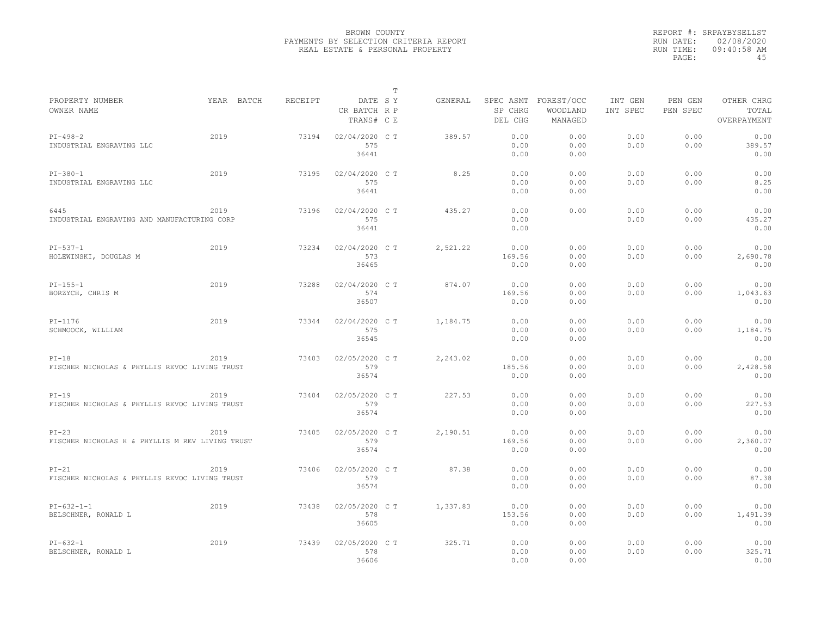|                                                            |            |         |                                       | $\mathbb T$ |          |                        |                                             |                     |                     |                                    |
|------------------------------------------------------------|------------|---------|---------------------------------------|-------------|----------|------------------------|---------------------------------------------|---------------------|---------------------|------------------------------------|
| PROPERTY NUMBER<br>OWNER NAME                              | YEAR BATCH | RECEIPT | DATE SY<br>CR BATCH R P<br>TRANS# C E |             | GENERAL  | SP CHRG<br>DEL CHG     | SPEC ASMT FOREST/OCC<br>WOODLAND<br>MANAGED | INT GEN<br>INT SPEC | PEN GEN<br>PEN SPEC | OTHER CHRG<br>TOTAL<br>OVERPAYMENT |
| $PI-498-2$<br>INDUSTRIAL ENGRAVING LLC                     | 2019       | 73194   | 02/04/2020 C T<br>575<br>36441        |             | 389.57   | 0.00<br>0.00<br>0.00   | 0.00<br>0.00<br>0.00                        | 0.00<br>0.00        | 0.00<br>0.00        | 0.00<br>389.57<br>0.00             |
| $PI - 380 - 1$<br>INDUSTRIAL ENGRAVING LLC                 | 2019       | 73195   | 02/04/2020 C T<br>575<br>36441        |             | 8.25     | 0.00<br>0.00<br>0.00   | 0.00<br>0.00<br>0.00                        | 0.00<br>0.00        | 0.00<br>0.00        | 0.00<br>8.25<br>0.00               |
| 6445<br>INDUSTRIAL ENGRAVING AND MANUFACTURING CORP        | 2019       | 73196   | 02/04/2020 C T<br>575<br>36441        |             | 435.27   | 0.00<br>0.00<br>0.00   | 0.00                                        | 0.00<br>0.00        | 0.00<br>0.00        | 0.00<br>435.27<br>0.00             |
| $PI-537-1$<br>HOLEWINSKI, DOUGLAS M                        | 2019       | 73234   | 02/04/2020 C T<br>573<br>36465        |             | 2,521.22 | 0.00<br>169.56<br>0.00 | 0.00<br>0.00<br>0.00                        | 0.00<br>0.00        | 0.00<br>0.00        | 0.00<br>2,690.78<br>0.00           |
| $PI-155-1$<br>BORZYCH, CHRIS M                             | 2019       | 73288   | 02/04/2020 C T<br>574<br>36507        |             | 874.07   | 0.00<br>169.56<br>0.00 | 0.00<br>0.00<br>0.00                        | 0.00<br>0.00        | 0.00<br>0.00        | 0.00<br>1,043.63<br>0.00           |
| $PI-1176$<br>SCHMOOCK, WILLIAM                             | 2019       | 73344   | 02/04/2020 C T<br>575<br>36545        |             | 1,184.75 | 0.00<br>0.00<br>0.00   | 0.00<br>0.00<br>0.00                        | 0.00<br>0.00        | 0.00<br>0.00        | 0.00<br>1,184.75<br>0.00           |
| $PI-18$<br>FISCHER NICHOLAS & PHYLLIS REVOC LIVING TRUST   | 2019       | 73403   | 02/05/2020 C T<br>579<br>36574        |             | 2,243.02 | 0.00<br>185.56<br>0.00 | 0.00<br>0.00<br>0.00                        | 0.00<br>0.00        | 0.00<br>0.00        | 0.00<br>2,428.58<br>0.00           |
| $PI-19$<br>FISCHER NICHOLAS & PHYLLIS REVOC LIVING TRUST   | 2019       | 73404   | 02/05/2020 C T<br>579<br>36574        |             | 227.53   | 0.00<br>0.00<br>0.00   | 0.00<br>0.00<br>0.00                        | 0.00<br>0.00        | 0.00<br>0.00        | 0.00<br>227.53<br>0.00             |
| $PI-23$<br>FISCHER NICHOLAS H & PHYLLIS M REV LIVING TRUST | 2019       | 73405   | 02/05/2020 C T<br>579<br>36574        |             | 2,190.51 | 0.00<br>169.56<br>0.00 | 0.00<br>0.00<br>0.00                        | 0.00<br>0.00        | 0.00<br>0.00        | 0.00<br>2,360.07<br>0.00           |
| $PI-21$<br>FISCHER NICHOLAS & PHYLLIS REVOC LIVING TRUST   | 2019       | 73406   | 02/05/2020 CT<br>579<br>36574         |             | 87.38    | 0.00<br>0.00<br>0.00   | 0.00<br>0.00<br>0.00                        | 0.00<br>0.00        | 0.00<br>0.00        | 0.00<br>87.38<br>0.00              |
| $PI-632-1-1$<br>BELSCHNER, RONALD L                        | 2019       | 73438   | 02/05/2020 C T<br>578<br>36605        |             | 1,337.83 | 0.00<br>153.56<br>0.00 | 0.00<br>0.00<br>0.00                        | 0.00<br>0.00        | 0.00<br>0.00        | 0.00<br>1,491.39<br>0.00           |
| $PI-632-1$<br>BELSCHNER, RONALD L                          | 2019       | 73439   | 02/05/2020 C T<br>578<br>36606        |             | 325.71   | 0.00<br>0.00<br>0.00   | 0.00<br>0.00<br>0.00                        | 0.00<br>0.00        | 0.00<br>0.00        | 0.00<br>325.71<br>0.00             |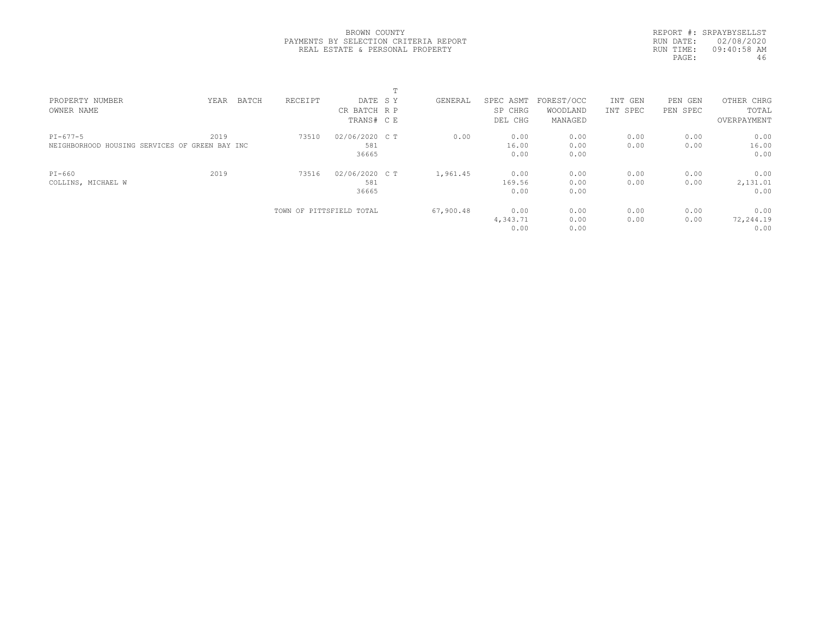|           | REPORT #: SRPAYBYSELLST |
|-----------|-------------------------|
|           | RUN DATE: 02/08/2020    |
| RUN TIME: | 09:40:58 AM             |
| PAGE:     | 46                      |

| PROPERTY NUMBER                                | BATCH<br>YEAR | RECEIPT                  | DATE SY        | GENERAL   | SPEC ASMT | FOREST/OCC | INT GEN  | PEN<br>GEN | OTHER CHRG  |
|------------------------------------------------|---------------|--------------------------|----------------|-----------|-----------|------------|----------|------------|-------------|
| OWNER NAME                                     |               |                          | CR BATCH R P   |           | SP CHRG   | WOODLAND   | INT SPEC | PEN SPEC   | TOTAL       |
|                                                |               |                          | TRANS# C E     |           | DEL CHG   | MANAGED    |          |            | OVERPAYMENT |
| $PI-677-5$                                     | 2019          | 73510                    | 02/06/2020 C T | 0.00      | 0.00      | 0.00       | 0.00     | 0.00       | 0.00        |
| NEIGHBORHOOD HOUSING SERVICES OF GREEN BAY INC |               |                          | 581            |           | 16.00     | 0.00       | 0.00     | 0.00       | 16.00       |
|                                                |               |                          | 36665          |           | 0.00      | 0.00       |          |            | 0.00        |
| PI-660                                         | 2019          | 73516                    | 02/06/2020 C T | 1,961.45  | 0.00      | 0.00       | 0.00     | 0.00       | 0.00        |
| COLLINS, MICHAEL W                             |               |                          | 581            |           | 169.56    | 0.00       | 0.00     | 0.00       | 2,131.01    |
|                                                |               |                          | 36665          |           | 0.00      | 0.00       |          |            | 0.00        |
|                                                |               | TOWN OF PITTSFIELD TOTAL |                | 67,900.48 | 0.00      | 0.00       | 0.00     | 0.00       | 0.00        |
|                                                |               |                          |                |           | 4,343.71  | 0.00       | 0.00     | 0.00       | 72,244.19   |
|                                                |               |                          |                |           | 0.00      | 0.00       |          |            | 0.00        |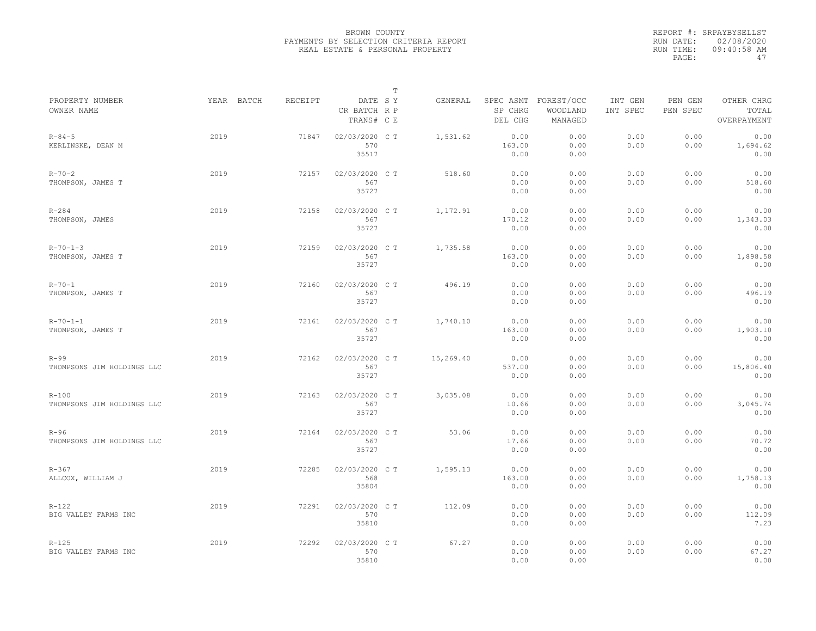|                                         |            |         |                                       | $\mathbb T$ |           |                                 |                                   |                     |                     |                                    |
|-----------------------------------------|------------|---------|---------------------------------------|-------------|-----------|---------------------------------|-----------------------------------|---------------------|---------------------|------------------------------------|
| PROPERTY NUMBER<br>OWNER NAME           | YEAR BATCH | RECEIPT | DATE SY<br>CR BATCH R P<br>TRANS# C E |             | GENERAL   | SPEC ASMT<br>SP CHRG<br>DEL CHG | FOREST/OCC<br>WOODLAND<br>MANAGED | INT GEN<br>INT SPEC | PEN GEN<br>PEN SPEC | OTHER CHRG<br>TOTAL<br>OVERPAYMENT |
| $R - 84 - 5$<br>KERLINSKE, DEAN M       | 2019       | 71847   | 02/03/2020 C T<br>570<br>35517        |             | 1,531.62  | 0.00<br>163.00<br>0.00          | 0.00<br>0.00<br>0.00              | 0.00<br>0.00        | 0.00<br>0.00        | 0.00<br>1,694.62<br>0.00           |
| $R - 70 - 2$<br>THOMPSON, JAMES T       | 2019       | 72157   | 02/03/2020 C T<br>567<br>35727        |             | 518.60    | 0.00<br>0.00<br>0.00            | 0.00<br>0.00<br>0.00              | 0.00<br>0.00        | 0.00<br>0.00        | 0.00<br>518.60<br>0.00             |
| $R - 284$<br>THOMPSON, JAMES            | 2019       | 72158   | 02/03/2020 C T<br>567<br>35727        |             | 1,172.91  | 0.00<br>170.12<br>0.00          | 0.00<br>0.00<br>0.00              | 0.00<br>0.00        | 0.00<br>0.00        | 0.00<br>1,343.03<br>0.00           |
| $R - 70 - 1 - 3$<br>THOMPSON, JAMES T   | 2019       | 72159   | 02/03/2020 C T<br>567<br>35727        |             | 1,735.58  | 0.00<br>163.00<br>0.00          | 0.00<br>0.00<br>0.00              | 0.00<br>0.00        | 0.00<br>0.00        | 0.00<br>1,898.58<br>0.00           |
| $R - 70 - 1$<br>THOMPSON, JAMES T       | 2019       | 72160   | 02/03/2020 C T<br>567<br>35727        |             | 496.19    | 0.00<br>0.00<br>0.00            | 0.00<br>0.00<br>0.00              | 0.00<br>0.00        | 0.00<br>0.00        | 0.00<br>496.19<br>0.00             |
| $R - 70 - 1 - 1$<br>THOMPSON, JAMES T   | 2019       | 72161   | 02/03/2020 C T<br>567<br>35727        |             | 1,740.10  | 0.00<br>163.00<br>0.00          | 0.00<br>0.00<br>0.00              | 0.00<br>0.00        | 0.00<br>0.00        | 0.00<br>1,903.10<br>0.00           |
| $R-99$<br>THOMPSONS JIM HOLDINGS LLC    | 2019       | 72162   | 02/03/2020 CT<br>567<br>35727         |             | 15,269.40 | 0.00<br>537.00<br>0.00          | 0.00<br>0.00<br>0.00              | 0.00<br>0.00        | 0.00<br>0.00        | 0.00<br>15,806.40<br>0.00          |
| $R - 100$<br>THOMPSONS JIM HOLDINGS LLC | 2019       | 72163   | 02/03/2020 C T<br>567<br>35727        |             | 3,035.08  | 0.00<br>10.66<br>0.00           | 0.00<br>0.00<br>0.00              | 0.00<br>0.00        | 0.00<br>0.00        | 0.00<br>3,045.74<br>0.00           |
| $R-96$<br>THOMPSONS JIM HOLDINGS LLC    | 2019       | 72164   | 02/03/2020 C T<br>567<br>35727        |             | 53.06     | 0.00<br>17.66<br>0.00           | 0.00<br>0.00<br>0.00              | 0.00<br>0.00        | 0.00<br>0.00        | 0.00<br>70.72<br>0.00              |
| $R - 367$<br>ALLCOX, WILLIAM J          | 2019       | 72285   | 02/03/2020 C T<br>568<br>35804        |             | 1,595.13  | 0.00<br>163.00<br>0.00          | 0.00<br>0.00<br>0.00              | 0.00<br>0.00        | 0.00<br>0.00        | 0.00<br>1,758.13<br>0.00           |
| $R - 122$<br>BIG VALLEY FARMS INC       | 2019       | 72291   | 02/03/2020 CT<br>570<br>35810         |             | 112.09    | 0.00<br>0.00<br>0.00            | 0.00<br>0.00<br>0.00              | 0.00<br>0.00        | 0.00<br>0.00        | 0.00<br>112.09<br>7.23             |
| $R - 125$<br>BIG VALLEY FARMS INC       | 2019       | 72292   | 02/03/2020 C T<br>570<br>35810        |             | 67.27     | 0.00<br>0.00<br>0.00            | 0.00<br>0.00<br>0.00              | 0.00<br>0.00        | 0.00<br>0.00        | 0.00<br>67.27<br>0.00              |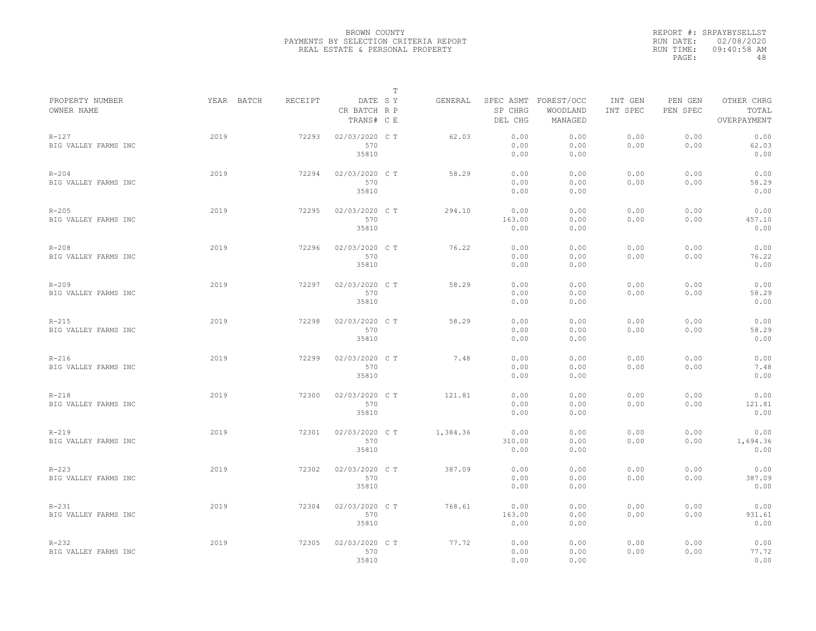|                                   |            |         |                                       | T |          |                        |                                             |                     |                     |                                    |
|-----------------------------------|------------|---------|---------------------------------------|---|----------|------------------------|---------------------------------------------|---------------------|---------------------|------------------------------------|
| PROPERTY NUMBER<br>OWNER NAME     | YEAR BATCH | RECEIPT | DATE SY<br>CR BATCH R P<br>TRANS# C E |   | GENERAL  | SP CHRG<br>DEL CHG     | SPEC ASMT FOREST/OCC<br>WOODLAND<br>MANAGED | INT GEN<br>INT SPEC | PEN GEN<br>PEN SPEC | OTHER CHRG<br>TOTAL<br>OVERPAYMENT |
| $R - 127$<br>BIG VALLEY FARMS INC | 2019       | 72293   | 02/03/2020 CT<br>570<br>35810         |   | 62.03    | 0.00<br>0.00<br>0.00   | 0.00<br>0.00<br>0.00                        | 0.00<br>0.00        | 0.00<br>0.00        | 0.00<br>62.03<br>0.00              |
| $R - 204$<br>BIG VALLEY FARMS INC | 2019       | 72294   | 02/03/2020 C T<br>570<br>35810        |   | 58.29    | 0.00<br>0.00<br>0.00   | 0.00<br>0.00<br>0.00                        | 0.00<br>0.00        | 0.00<br>0.00        | 0.00<br>58.29<br>0.00              |
| $R - 205$<br>BIG VALLEY FARMS INC | 2019       | 72295   | 02/03/2020 C T<br>570<br>35810        |   | 294.10   | 0.00<br>163.00<br>0.00 | 0.00<br>0.00<br>0.00                        | 0.00<br>0.00        | 0.00<br>0.00        | 0.00<br>457.10<br>0.00             |
| $R - 208$<br>BIG VALLEY FARMS INC | 2019       | 72296   | 02/03/2020 C T<br>570<br>35810        |   | 76.22    | 0.00<br>0.00<br>0.00   | 0.00<br>0.00<br>0.00                        | 0.00<br>0.00        | 0.00<br>0.00        | 0.00<br>76.22<br>0.00              |
| $R - 209$<br>BIG VALLEY FARMS INC | 2019       | 72297   | 02/03/2020 C T<br>570<br>35810        |   | 58.29    | 0.00<br>0.00<br>0.00   | 0.00<br>0.00<br>0.00                        | 0.00<br>0.00        | 0.00<br>0.00        | 0.00<br>58.29<br>0.00              |
| $R-215$<br>BIG VALLEY FARMS INC   | 2019       | 72298   | 02/03/2020 CT<br>570<br>35810         |   | 58.29    | 0.00<br>0.00<br>0.00   | 0.00<br>0.00<br>0.00                        | 0.00<br>0.00        | 0.00<br>0.00        | 0.00<br>58.29<br>0.00              |
| $R-216$<br>BIG VALLEY FARMS INC   | 2019       | 72299   | 02/03/2020 C T<br>570<br>35810        |   | 7.48     | 0.00<br>0.00<br>0.00   | 0.00<br>0.00<br>0.00                        | 0.00<br>0.00        | 0.00<br>0.00        | 0.00<br>7.48<br>0.00               |
| $R-218$<br>BIG VALLEY FARMS INC   | 2019       | 72300   | 02/03/2020 C T<br>570<br>35810        |   | 121.81   | 0.00<br>0.00<br>0.00   | 0.00<br>0.00<br>0.00                        | 0.00<br>0.00        | 0.00<br>0.00        | 0.00<br>121.81<br>0.00             |
| $R-219$<br>BIG VALLEY FARMS INC   | 2019       | 72301   | 02/03/2020 CT<br>570<br>35810         |   | 1,384.36 | 0.00<br>310.00<br>0.00 | 0.00<br>0.00<br>0.00                        | 0.00<br>0.00        | 0.00<br>0.00        | 0.00<br>1,694.36<br>0.00           |
| $R - 223$<br>BIG VALLEY FARMS INC | 2019       | 72302   | 02/03/2020 C T<br>570<br>35810        |   | 387.09   | 0.00<br>0.00<br>0.00   | 0.00<br>0.00<br>0.00                        | 0.00<br>0.00        | 0.00<br>0.00        | 0.00<br>387.09<br>0.00             |
| $R - 231$<br>BIG VALLEY FARMS INC | 2019       | 72304   | 02/03/2020 C T<br>570<br>35810        |   | 768.61   | 0.00<br>163.00<br>0.00 | 0.00<br>0.00<br>0.00                        | 0.00<br>0.00        | 0.00<br>0.00        | 0.00<br>931.61<br>0.00             |
| $R - 232$<br>BIG VALLEY FARMS INC | 2019       | 72305   | 02/03/2020 CT<br>570<br>35810         |   | 77.72    | 0.00<br>0.00<br>0.00   | 0.00<br>0.00<br>0.00                        | 0.00<br>0.00        | 0.00<br>0.00        | 0.00<br>77.72<br>0.00              |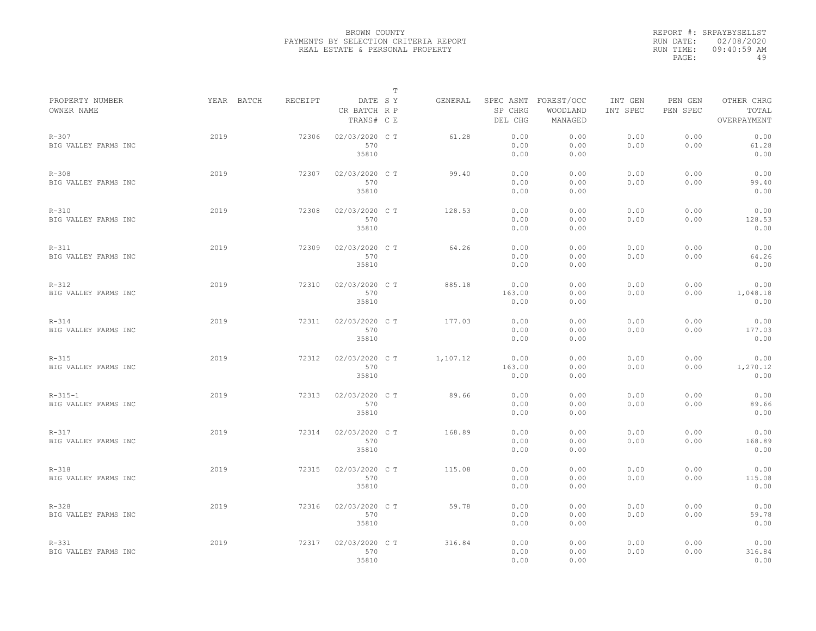|                                       |            |         |                                       | T |          |                        |                                             |                     |                     |                                    |
|---------------------------------------|------------|---------|---------------------------------------|---|----------|------------------------|---------------------------------------------|---------------------|---------------------|------------------------------------|
| PROPERTY NUMBER<br>OWNER NAME         | YEAR BATCH | RECEIPT | DATE SY<br>CR BATCH R P<br>TRANS# C E |   | GENERAL  | SP CHRG<br>DEL CHG     | SPEC ASMT FOREST/OCC<br>WOODLAND<br>MANAGED | INT GEN<br>INT SPEC | PEN GEN<br>PEN SPEC | OTHER CHRG<br>TOTAL<br>OVERPAYMENT |
| $R - 307$<br>BIG VALLEY FARMS INC     | 2019       | 72306   | 02/03/2020 CT<br>570<br>35810         |   | 61.28    | 0.00<br>0.00<br>0.00   | 0.00<br>0.00<br>0.00                        | 0.00<br>0.00        | 0.00<br>0.00        | 0.00<br>61.28<br>0.00              |
| $R - 308$<br>BIG VALLEY FARMS INC     | 2019       | 72307   | 02/03/2020 C T<br>570<br>35810        |   | 99.40    | 0.00<br>0.00<br>0.00   | 0.00<br>0.00<br>0.00                        | 0.00<br>0.00        | 0.00<br>0.00        | 0.00<br>99.40<br>0.00              |
| $R - 310$<br>BIG VALLEY FARMS INC     | 2019       | 72308   | 02/03/2020 C T<br>570<br>35810        |   | 128.53   | 0.00<br>0.00<br>0.00   | 0.00<br>0.00<br>0.00                        | 0.00<br>0.00        | 0.00<br>0.00        | 0.00<br>128.53<br>0.00             |
| $R - 311$<br>BIG VALLEY FARMS INC     | 2019       | 72309   | 02/03/2020 C T<br>570<br>35810        |   | 64.26    | 0.00<br>0.00<br>0.00   | 0.00<br>0.00<br>0.00                        | 0.00<br>0.00        | 0.00<br>0.00        | 0.00<br>64.26<br>0.00              |
| $R - 312$<br>BIG VALLEY FARMS INC     | 2019       | 72310   | 02/03/2020 C T<br>570<br>35810        |   | 885.18   | 0.00<br>163.00<br>0.00 | 0.00<br>0.00<br>0.00                        | 0.00<br>0.00        | 0.00<br>0.00        | 0.00<br>1,048.18<br>0.00           |
| $R - 314$<br>BIG VALLEY FARMS INC     | 2019       | 72311   | 02/03/2020 C T<br>570<br>35810        |   | 177.03   | 0.00<br>0.00<br>0.00   | 0.00<br>0.00<br>0.00                        | 0.00<br>0.00        | 0.00<br>0.00        | 0.00<br>177.03<br>0.00             |
| $R - 315$<br>BIG VALLEY FARMS INC     | 2019       | 72312   | 02/03/2020 C T<br>570<br>35810        |   | 1,107.12 | 0.00<br>163.00<br>0.00 | 0.00<br>0.00<br>0.00                        | 0.00<br>0.00        | 0.00<br>0.00        | 0.00<br>1,270.12<br>0.00           |
| $R - 315 - 1$<br>BIG VALLEY FARMS INC | 2019       | 72313   | 02/03/2020 C T<br>570<br>35810        |   | 89.66    | 0.00<br>0.00<br>0.00   | 0.00<br>0.00<br>0.00                        | 0.00<br>0.00        | 0.00<br>0.00        | 0.00<br>89.66<br>0.00              |
| $R - 317$<br>BIG VALLEY FARMS INC     | 2019       | 72314   | 02/03/2020 CT<br>570<br>35810         |   | 168.89   | 0.00<br>0.00<br>0.00   | 0.00<br>0.00<br>0.00                        | 0.00<br>0.00        | 0.00<br>0.00        | 0.00<br>168.89<br>0.00             |
| $R-318$<br>BIG VALLEY FARMS INC       | 2019       | 72315   | 02/03/2020 C T<br>570<br>35810        |   | 115.08   | 0.00<br>0.00<br>0.00   | 0.00<br>0.00<br>0.00                        | 0.00<br>0.00        | 0.00<br>0.00        | 0.00<br>115.08<br>0.00             |
| $R - 328$<br>BIG VALLEY FARMS INC     | 2019       | 72316   | 02/03/2020 C T<br>570<br>35810        |   | 59.78    | 0.00<br>0.00<br>0.00   | 0.00<br>0.00<br>0.00                        | 0.00<br>0.00        | 0.00<br>0.00        | 0.00<br>59.78<br>0.00              |
| $R - 331$<br>BIG VALLEY FARMS INC     | 2019       | 72317   | 02/03/2020 C T<br>570<br>35810        |   | 316.84   | 0.00<br>0.00<br>0.00   | 0.00<br>0.00<br>0.00                        | 0.00<br>0.00        | 0.00<br>0.00        | 0.00<br>316.84<br>0.00             |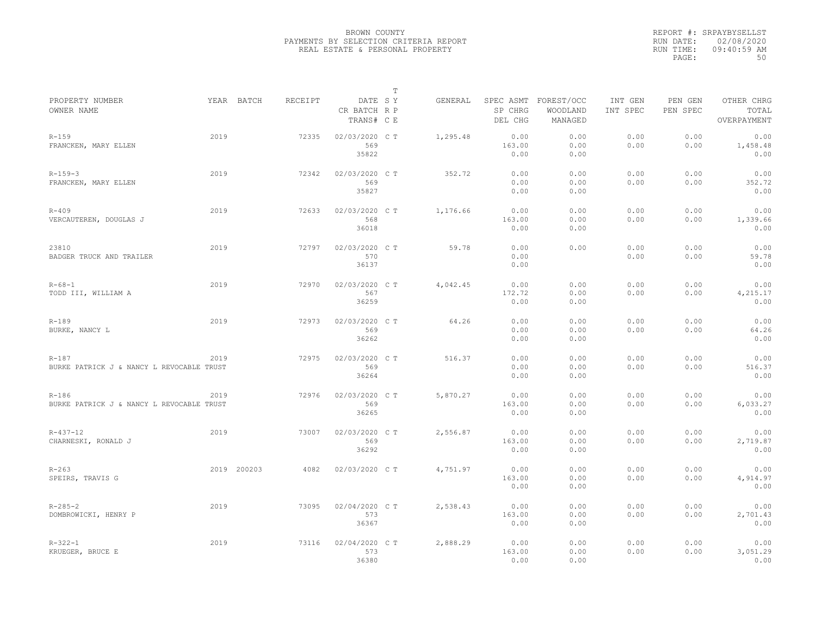|                                                        |      |             |         |                                       | $\mathbb T$ |          |                                 |                                   |                     |                     |                                    |
|--------------------------------------------------------|------|-------------|---------|---------------------------------------|-------------|----------|---------------------------------|-----------------------------------|---------------------|---------------------|------------------------------------|
| PROPERTY NUMBER<br>OWNER NAME                          |      | YEAR BATCH  | RECEIPT | DATE SY<br>CR BATCH R P<br>TRANS# C E |             | GENERAL  | SPEC ASMT<br>SP CHRG<br>DEL CHG | FOREST/OCC<br>WOODLAND<br>MANAGED | INT GEN<br>INT SPEC | PEN GEN<br>PEN SPEC | OTHER CHRG<br>TOTAL<br>OVERPAYMENT |
| $R - 159$<br>FRANCKEN, MARY ELLEN                      | 2019 |             | 72335   | 02/03/2020 C T<br>569<br>35822        |             | 1,295.48 | 0.00<br>163.00<br>0.00          | 0.00<br>0.00<br>0.00              | 0.00<br>0.00        | 0.00<br>0.00        | 0.00<br>1,458.48<br>0.00           |
| $R - 159 - 3$<br>FRANCKEN, MARY ELLEN                  | 2019 |             | 72342   | 02/03/2020 C T<br>569<br>35827        |             | 352.72   | 0.00<br>0.00<br>0.00            | 0.00<br>0.00<br>0.00              | 0.00<br>0.00        | 0.00<br>0.00        | 0.00<br>352.72<br>0.00             |
| $R - 409$<br>VERCAUTEREN, DOUGLAS J                    | 2019 |             | 72633   | 02/03/2020 C T<br>568<br>36018        |             | 1,176.66 | 0.00<br>163.00<br>0.00          | 0.00<br>0.00<br>0.00              | 0.00<br>0.00        | 0.00<br>0.00        | 0.00<br>1,339.66<br>0.00           |
| 23810<br>BADGER TRUCK AND TRAILER                      | 2019 |             | 72797   | 02/03/2020 C T<br>570<br>36137        |             | 59.78    | 0.00<br>0.00<br>0.00            | 0.00                              | 0.00<br>0.00        | 0.00<br>0.00        | 0.00<br>59.78<br>0.00              |
| $R - 68 - 1$<br>TODD III, WILLIAM A                    | 2019 |             | 72970   | 02/03/2020 C T<br>567<br>36259        |             | 4,042.45 | 0.00<br>172.72<br>0.00          | 0.00<br>0.00<br>0.00              | 0.00<br>0.00        | 0.00<br>0.00        | 0.00<br>4,215.17<br>0.00           |
| $R - 189$<br>BURKE, NANCY L                            | 2019 |             | 72973   | 02/03/2020 C T<br>569<br>36262        |             | 64.26    | 0.00<br>0.00<br>0.00            | 0.00<br>0.00<br>0.00              | 0.00<br>0.00        | 0.00<br>0.00        | 0.00<br>64.26<br>0.00              |
| $R - 187$<br>BURKE PATRICK J & NANCY L REVOCABLE TRUST | 2019 |             | 72975   | 02/03/2020 C T<br>569<br>36264        |             | 516.37   | 0.00<br>0.00<br>0.00            | 0.00<br>0.00<br>0.00              | 0.00<br>0.00        | 0.00<br>0.00        | 0.00<br>516.37<br>0.00             |
| $R - 186$<br>BURKE PATRICK J & NANCY L REVOCABLE TRUST | 2019 |             | 72976   | 02/03/2020 C T<br>569<br>36265        |             | 5,870.27 | 0.00<br>163.00<br>0.00          | 0.00<br>0.00<br>0.00              | 0.00<br>0.00        | 0.00<br>0.00        | 0.00<br>6,033.27<br>0.00           |
| $R - 437 - 12$<br>CHARNESKI, RONALD J                  | 2019 |             | 73007   | 02/03/2020 C T<br>569<br>36292        |             | 2,556.87 | 0.00<br>163.00<br>0.00          | 0.00<br>0.00<br>0.00              | 0.00<br>0.00        | 0.00<br>0.00        | 0.00<br>2,719.87<br>0.00           |
| $R - 263$<br>SPEIRS, TRAVIS G                          |      | 2019 200203 | 4082    | 02/03/2020 C T                        |             | 4,751.97 | 0.00<br>163.00<br>0.00          | 0.00<br>0.00<br>0.00              | 0.00<br>0.00        | 0.00<br>0.00        | 0.00<br>4,914.97<br>0.00           |
| $R - 285 - 2$<br>DOMBROWICKI, HENRY P                  | 2019 |             | 73095   | 02/04/2020 C T<br>573<br>36367        |             | 2,538.43 | 0.00<br>163.00<br>0.00          | 0.00<br>0.00<br>0.00              | 0.00<br>0.00        | 0.00<br>0.00        | 0.00<br>2,701.43<br>0.00           |
| $R - 322 - 1$<br>KRUEGER, BRUCE E                      | 2019 |             | 73116   | 02/04/2020 C T<br>573<br>36380        |             | 2,888.29 | 0.00<br>163.00<br>0.00          | 0.00<br>0.00<br>0.00              | 0.00<br>0.00        | 0.00<br>0.00        | 0.00<br>3,051.29<br>0.00           |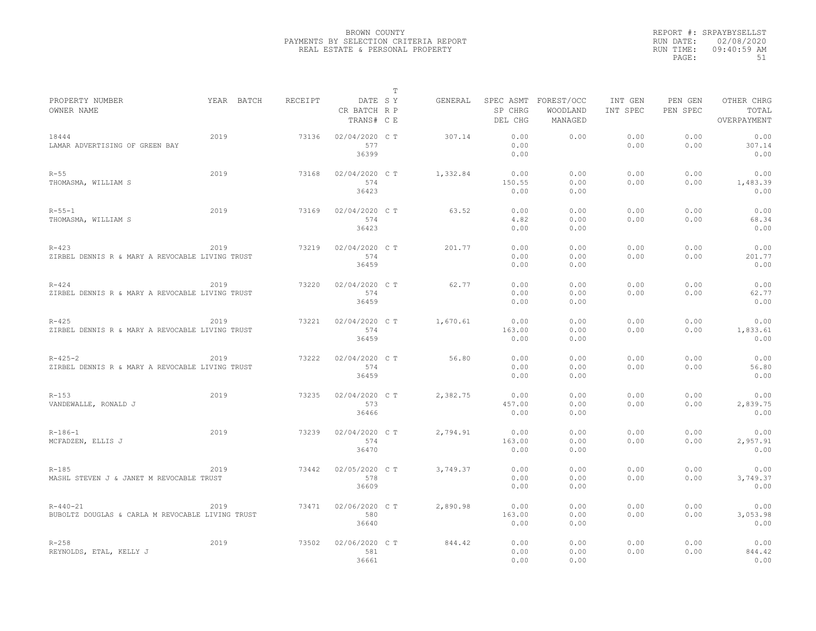|                                                                    |            |         |                                       | T |          |                                 |                                   |                     |                     |                                    |
|--------------------------------------------------------------------|------------|---------|---------------------------------------|---|----------|---------------------------------|-----------------------------------|---------------------|---------------------|------------------------------------|
| PROPERTY NUMBER<br>OWNER NAME                                      | YEAR BATCH | RECEIPT | DATE SY<br>CR BATCH R P<br>TRANS# C E |   | GENERAL  | SPEC ASMT<br>SP CHRG<br>DEL CHG | FOREST/OCC<br>WOODLAND<br>MANAGED | INT GEN<br>INT SPEC | PEN GEN<br>PEN SPEC | OTHER CHRG<br>TOTAL<br>OVERPAYMENT |
| 18444<br>LAMAR ADVERTISING OF GREEN BAY                            | 2019       | 73136   | 02/04/2020 C T<br>577<br>36399        |   | 307.14   | 0.00<br>0.00<br>0.00            | 0.00                              | 0.00<br>0.00        | 0.00<br>0.00        | 0.00<br>307.14<br>0.00             |
| $R - 55$<br>THOMASMA, WILLIAM S                                    | 2019       | 73168   | 02/04/2020 C T<br>574<br>36423        |   | 1,332.84 | 0.00<br>150.55<br>0.00          | 0.00<br>0.00<br>0.00              | 0.00<br>0.00        | 0.00<br>0.00        | 0.00<br>1,483.39<br>0.00           |
| $R - 55 - 1$<br>THOMASMA, WILLIAM S                                | 2019       | 73169   | 02/04/2020 C T<br>574<br>36423        |   | 63.52    | 0.00<br>4.82<br>0.00            | 0.00<br>0.00<br>0.00              | 0.00<br>0.00        | 0.00<br>0.00        | 0.00<br>68.34<br>0.00              |
| $R - 423$<br>ZIRBEL DENNIS R & MARY A REVOCABLE LIVING TRUST       | 2019       | 73219   | 02/04/2020 C T<br>574<br>36459        |   | 201.77   | 0.00<br>0.00<br>0.00            | 0.00<br>0.00<br>0.00              | 0.00<br>0.00        | 0.00<br>0.00        | 0.00<br>201.77<br>0.00             |
| $R - 424$<br>ZIRBEL DENNIS R & MARY A REVOCABLE LIVING TRUST       | 2019       | 73220   | 02/04/2020 C T<br>574<br>36459        |   | 62.77    | 0.00<br>0.00<br>0.00            | 0.00<br>0.00<br>0.00              | 0.00<br>0.00        | 0.00<br>0.00        | 0.00<br>62.77<br>0.00              |
| $R - 425$<br>ZIRBEL DENNIS R & MARY A REVOCABLE LIVING TRUST       | 2019       | 73221   | 02/04/2020 C T<br>574<br>36459        |   | 1,670.61 | 0.00<br>163.00<br>0.00          | 0.00<br>0.00<br>0.00              | 0.00<br>0.00        | 0.00<br>0.00        | 0.00<br>1,833.61<br>0.00           |
| $R - 425 - 2$<br>ZIRBEL DENNIS R & MARY A REVOCABLE LIVING TRUST   | 2019       | 73222   | 02/04/2020 C T<br>574<br>36459        |   | 56.80    | 0.00<br>0.00<br>0.00            | 0.00<br>0.00<br>0.00              | 0.00<br>0.00        | 0.00<br>0.00        | 0.00<br>56.80<br>0.00              |
| $R - 153$<br>VANDEWALLE, RONALD J                                  | 2019       | 73235   | 02/04/2020 C T<br>573<br>36466        |   | 2,382.75 | 0.00<br>457.00<br>0.00          | 0.00<br>0.00<br>0.00              | 0.00<br>0.00        | 0.00<br>0.00        | 0.00<br>2,839.75<br>0.00           |
| $R - 186 - 1$<br>MCFADZEN, ELLIS J                                 | 2019       | 73239   | 02/04/2020 C T<br>574<br>36470        |   | 2,794.91 | 0.00<br>163.00<br>0.00          | 0.00<br>0.00<br>0.00              | 0.00<br>0.00        | 0.00<br>0.00        | 0.00<br>2,957.91<br>0.00           |
| $R - 185$<br>MASHL STEVEN J & JANET M REVOCABLE TRUST              | 2019       | 73442   | 02/05/2020 C T<br>578<br>36609        |   | 3,749.37 | 0.00<br>0.00<br>0.00            | 0.00<br>0.00<br>0.00              | 0.00<br>0.00        | 0.00<br>0.00        | 0.00<br>3,749.37<br>0.00           |
| $R - 440 - 21$<br>BUBOLTZ DOUGLAS & CARLA M REVOCABLE LIVING TRUST | 2019       | 73471   | 02/06/2020 C T<br>580<br>36640        |   | 2,890.98 | 0.00<br>163.00<br>0.00          | 0.00<br>0.00<br>0.00              | 0.00<br>0.00        | 0.00<br>0.00        | 0.00<br>3,053.98<br>0.00           |
| $R - 258$<br>REYNOLDS, ETAL, KELLY J                               | 2019       | 73502   | 02/06/2020 C T<br>581<br>36661        |   | 844.42   | 0.00<br>0.00<br>0.00            | 0.00<br>0.00<br>0.00              | 0.00<br>0.00        | 0.00<br>0.00        | 0.00<br>844.42<br>0.00             |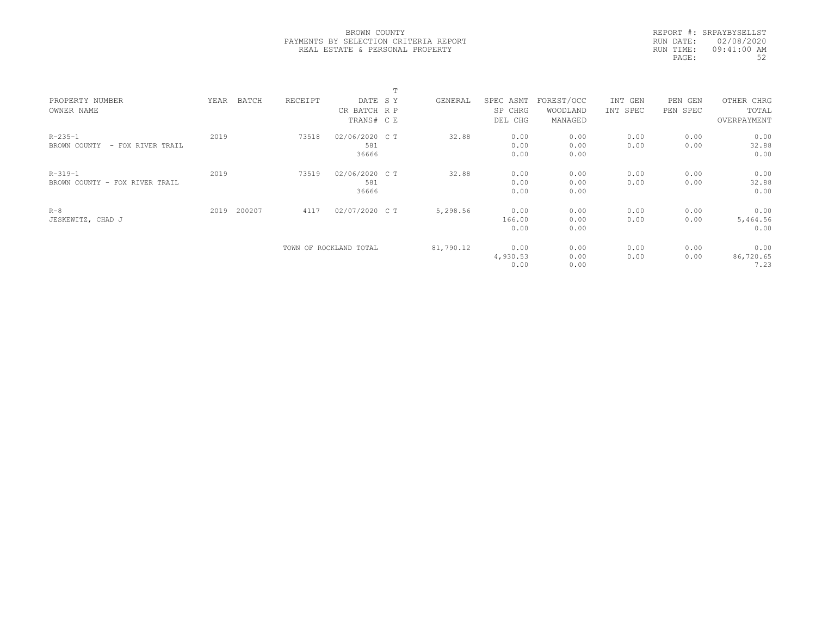|           | REPORT #: SRPAYBYSELLST |
|-----------|-------------------------|
| RUN DATE: | 02/08/2020              |
| RUN TIME: | 09:41:00 AM             |
| PAGE:     | 52                      |
|           |                         |

|                                   |      |        |         |                        | m |           |           |            |          |            |             |  |
|-----------------------------------|------|--------|---------|------------------------|---|-----------|-----------|------------|----------|------------|-------------|--|
| PROPERTY NUMBER                   | YEAR | BATCH  | RECEIPT | DATE SY                |   | GENERAL   | SPEC ASMT | FOREST/OCC | INT GEN  | PEN<br>GEN | OTHER CHRG  |  |
| OWNER NAME                        |      |        |         | CR BATCH R P           |   |           | SP CHRG   | WOODLAND   | INT SPEC | PEN SPEC   | TOTAL       |  |
|                                   |      |        |         | TRANS# C E             |   |           | DEL CHG   | MANAGED    |          |            | OVERPAYMENT |  |
| $R - 235 - 1$                     | 2019 |        | 73518   | 02/06/2020 C T         |   | 32.88     | 0.00      | 0.00       | 0.00     | 0.00       | 0.00        |  |
| BROWN COUNTY<br>- FOX RIVER TRAIL |      |        |         | 581                    |   |           | 0.00      | 0.00       | 0.00     | 0.00       | 32.88       |  |
|                                   |      |        |         | 36666                  |   |           | 0.00      | 0.00       |          |            | 0.00        |  |
| $R - 319 - 1$                     | 2019 |        | 73519   | 02/06/2020 C T         |   | 32.88     | 0.00      | 0.00       | 0.00     | 0.00       | 0.00        |  |
| BROWN COUNTY - FOX RIVER TRAIL    |      |        |         | 581                    |   |           | 0.00      | 0.00       | 0.00     | 0.00       | 32.88       |  |
|                                   |      |        |         | 36666                  |   |           | 0.00      | 0.00       |          |            | 0.00        |  |
| $R - 8$                           | 2019 | 200207 | 4117    | 02/07/2020 C T         |   | 5,298.56  | 0.00      | 0.00       | 0.00     | 0.00       | 0.00        |  |
| JESKEWITZ, CHAD J                 |      |        |         |                        |   |           | 166.00    | 0.00       | 0.00     | 0.00       | 5,464.56    |  |
|                                   |      |        |         |                        |   |           | 0.00      | 0.00       |          |            | 0.00        |  |
|                                   |      |        |         | TOWN OF ROCKLAND TOTAL |   | 81,790.12 | 0.00      | 0.00       | 0.00     | 0.00       | 0.00        |  |
|                                   |      |        |         |                        |   |           | 4,930.53  | 0.00       | 0.00     | 0.00       | 86,720.65   |  |
|                                   |      |        |         |                        |   |           | 0.00      | 0.00       |          |            | 7.23        |  |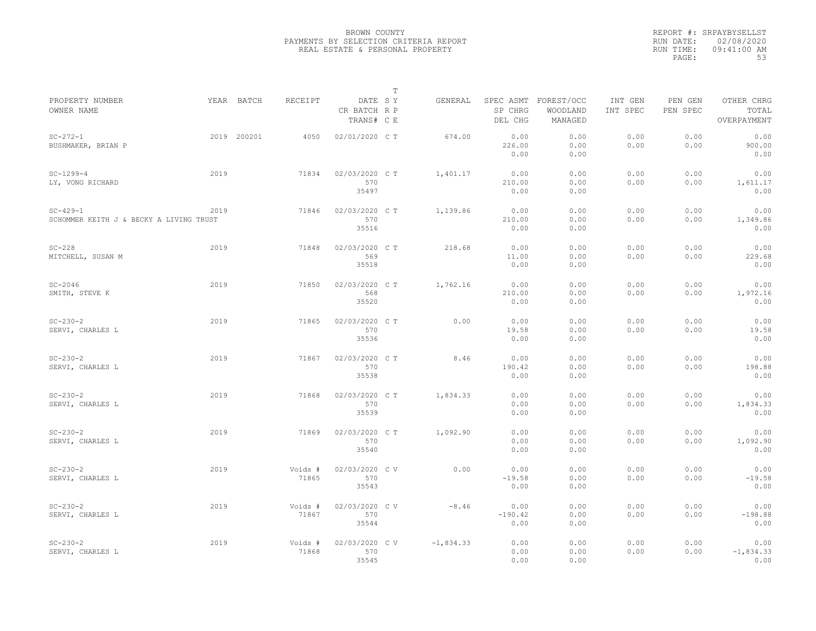|                                                           |      |             |                  |                                       | $\mathbb T$ |             |                                 |                                   |                     |                     |                                    |
|-----------------------------------------------------------|------|-------------|------------------|---------------------------------------|-------------|-------------|---------------------------------|-----------------------------------|---------------------|---------------------|------------------------------------|
| PROPERTY NUMBER<br>OWNER NAME                             |      | YEAR BATCH  | <b>RECEIPT</b>   | DATE SY<br>CR BATCH R P<br>TRANS# C E |             | GENERAL     | SPEC ASMT<br>SP CHRG<br>DEL CHG | FOREST/OCC<br>WOODLAND<br>MANAGED | INT GEN<br>INT SPEC | PEN GEN<br>PEN SPEC | OTHER CHRG<br>TOTAL<br>OVERPAYMENT |
| $SC - 272 - 1$<br>BUSHMAKER, BRIAN P                      |      | 2019 200201 | 4050             | 02/01/2020 CT                         |             | 674.00      | 0.00<br>226.00<br>0.00          | 0.00<br>0.00<br>0.00              | 0.00<br>0.00        | 0.00<br>0.00        | 0.00<br>900.00<br>0.00             |
| $SC-1299-4$<br>LY, VONG RICHARD                           | 2019 |             | 71834            | 02/03/2020 C T<br>570<br>35497        |             | 1,401.17    | 0.00<br>210.00<br>0.00          | 0.00<br>0.00<br>0.00              | 0.00<br>0.00        | 0.00<br>0.00        | 0.00<br>1,611.17<br>0.00           |
| $SC - 429 - 1$<br>SCHOMMER KEITH J & BECKY A LIVING TRUST | 2019 |             | 71846            | 02/03/2020 CT<br>570<br>35516         |             | 1,139.86    | 0.00<br>210.00<br>0.00          | 0.00<br>0.00<br>0.00              | 0.00<br>0.00        | 0.00<br>0.00        | 0.00<br>1,349.86<br>0.00           |
| $SC-228$<br>MITCHELL, SUSAN M                             | 2019 |             | 71848            | 02/03/2020 C T<br>569<br>35518        |             | 218.68      | 0.00<br>11.00<br>0.00           | 0.00<br>0.00<br>0.00              | 0.00<br>0.00        | 0.00<br>0.00        | 0.00<br>229.68<br>0.00             |
| $SC-2046$<br>SMITH, STEVE K                               | 2019 |             | 71850            | 02/03/2020 CT<br>568<br>35520         |             | 1,762.16    | 0.00<br>210.00<br>0.00          | 0.00<br>0.00<br>0.00              | 0.00<br>0.00        | 0.00<br>0.00        | 0.00<br>1,972.16<br>0.00           |
| $SC - 230 - 2$<br>SERVI, CHARLES L                        | 2019 |             | 71865            | 02/03/2020 C T<br>570<br>35536        |             | 0.00        | 0.00<br>19.58<br>0.00           | 0.00<br>0.00<br>0.00              | 0.00<br>0.00        | 0.00<br>0.00        | 0.00<br>19.58<br>0.00              |
| $SC - 230 - 2$<br>SERVI, CHARLES L                        | 2019 |             | 71867            | 02/03/2020 CT<br>570<br>35538         |             | 8.46        | 0.00<br>190.42<br>0.00          | 0.00<br>0.00<br>0.00              | 0.00<br>0.00        | 0.00<br>0.00        | 0.00<br>198.88<br>0.00             |
| $SC - 230 - 2$<br>SERVI, CHARLES L                        | 2019 |             | 71868            | 02/03/2020 CT<br>570<br>35539         |             | 1,834.33    | 0.00<br>0.00<br>0.00            | 0.00<br>0.00<br>0.00              | 0.00<br>0.00        | 0.00<br>0.00        | 0.00<br>1,834.33<br>0.00           |
| $SC - 230 - 2$<br>SERVI, CHARLES L                        | 2019 |             | 71869            | 02/03/2020 CT<br>570<br>35540         |             | 1,092.90    | 0.00<br>0.00<br>0.00            | 0.00<br>0.00<br>0.00              | 0.00<br>0.00        | 0.00<br>0.00        | 0.00<br>1,092.90<br>0.00           |
| $SC - 230 - 2$<br>SERVI, CHARLES L                        | 2019 |             | Voids #<br>71865 | 02/03/2020 CV<br>570<br>35543         |             | 0.00        | 0.00<br>$-19.58$<br>0.00        | 0.00<br>0.00<br>0.00              | 0.00<br>0.00        | 0.00<br>0.00        | 0.00<br>$-19.58$<br>0.00           |
| $SC - 230 - 2$<br>SERVI, CHARLES L                        | 2019 |             | Voids #<br>71867 | 02/03/2020 CV<br>570<br>35544         |             | $-8.46$     | 0.00<br>$-190.42$<br>0.00       | 0.00<br>0.00<br>0.00              | 0.00<br>0.00        | 0.00<br>0.00        | 0.00<br>$-198.88$<br>0.00          |
| $SC - 230 - 2$<br>SERVI, CHARLES L                        | 2019 |             | Voids #<br>71868 | 02/03/2020 CV<br>570<br>35545         |             | $-1,834.33$ | 0.00<br>0.00<br>0.00            | 0.00<br>0.00<br>0.00              | 0.00<br>0.00        | 0.00<br>0.00        | 0.00<br>$-1,834.33$<br>0.00        |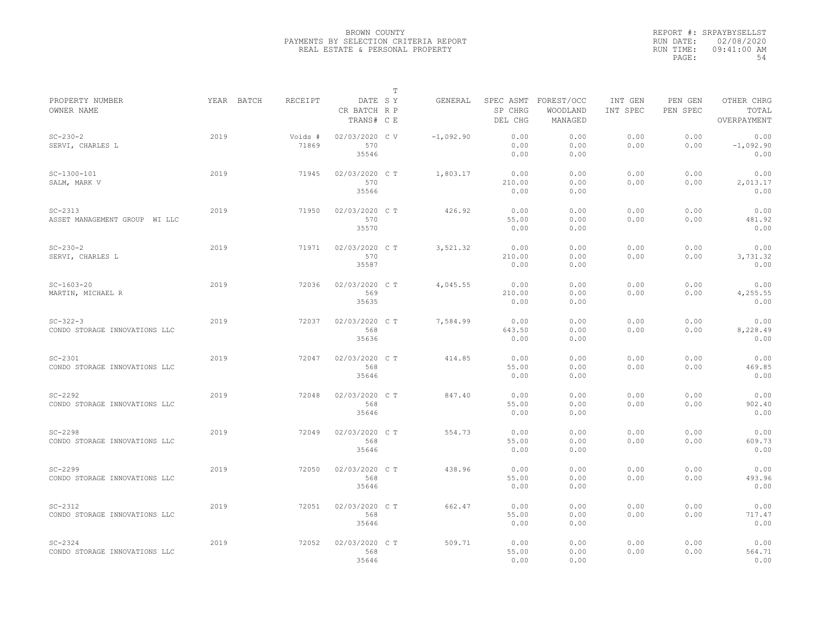|                                                 |            |                  |                                       | $\mathbb T$ |             |                        |                                             |                     |                     |                                    |
|-------------------------------------------------|------------|------------------|---------------------------------------|-------------|-------------|------------------------|---------------------------------------------|---------------------|---------------------|------------------------------------|
| PROPERTY NUMBER<br>OWNER NAME                   | YEAR BATCH | RECEIPT          | DATE SY<br>CR BATCH R P<br>TRANS# C E |             | GENERAL     | SP CHRG<br>DEL CHG     | SPEC ASMT FOREST/OCC<br>WOODLAND<br>MANAGED | INT GEN<br>INT SPEC | PEN GEN<br>PEN SPEC | OTHER CHRG<br>TOTAL<br>OVERPAYMENT |
| $SC - 230 - 2$<br>SERVI, CHARLES L              | 2019       | Voids #<br>71869 | 02/03/2020 CV<br>570<br>35546         |             | $-1,092,90$ | 0.00<br>0.00<br>0.00   | 0.00<br>0.00<br>0.00                        | 0.00<br>0.00        | 0.00<br>0.00        | 0.00<br>$-1,092.90$<br>0.00        |
| $SC-1300-101$<br>SALM, MARK V                   | 2019       | 71945            | 02/03/2020 C T<br>570<br>35566        |             | 1,803.17    | 0.00<br>210.00<br>0.00 | 0.00<br>0.00<br>0.00                        | 0.00<br>0.00        | 0.00<br>0.00        | 0.00<br>2,013.17<br>0.00           |
| $SC-2313$<br>ASSET MANAGEMENT GROUP WI LLC      | 2019       | 71950            | 02/03/2020 C T<br>570<br>35570        |             | 426.92      | 0.00<br>55.00<br>0.00  | 0.00<br>0.00<br>0.00                        | 0.00<br>0.00        | 0.00<br>0.00        | 0.00<br>481.92<br>0.00             |
| $SC - 230 - 2$<br>SERVI, CHARLES L              | 2019       | 71971            | 02/03/2020 C T<br>570<br>35587        |             | 3,521.32    | 0.00<br>210.00<br>0.00 | 0.00<br>0.00<br>0.00                        | 0.00<br>0.00        | 0.00<br>0.00        | 0.00<br>3,731.32<br>0.00           |
| $SC-1603-20$<br>MARTIN, MICHAEL R               | 2019       | 72036            | 02/03/2020 C T<br>569<br>35635        |             | 4,045.55    | 0.00<br>210.00<br>0.00 | 0.00<br>0.00<br>0.00                        | 0.00<br>0.00        | 0.00<br>0.00        | 0.00<br>4,255.55<br>0.00           |
| $SC - 322 - 3$<br>CONDO STORAGE INNOVATIONS LLC | 2019       | 72037            | 02/03/2020 CT<br>568<br>35636         |             | 7,584.99    | 0.00<br>643.50<br>0.00 | 0.00<br>0.00<br>0.00                        | 0.00<br>0.00        | 0.00<br>0.00        | 0.00<br>8,228.49<br>0.00           |
| $SC-2301$<br>CONDO STORAGE INNOVATIONS LLC      | 2019       | 72047            | 02/03/2020 C T<br>568<br>35646        |             | 414.85      | 0.00<br>55.00<br>0.00  | 0.00<br>0.00<br>0.00                        | 0.00<br>0.00        | 0.00<br>0.00        | 0.00<br>469.85<br>0.00             |
| $SC-2292$<br>CONDO STORAGE INNOVATIONS LLC      | 2019       | 72048            | 02/03/2020 C T<br>568<br>35646        |             | 847.40      | 0.00<br>55.00<br>0.00  | 0.00<br>0.00<br>0.00                        | 0.00<br>0.00        | 0.00<br>0.00        | 0.00<br>902.40<br>0.00             |
| $SC-2298$<br>CONDO STORAGE INNOVATIONS LLC      | 2019       | 72049            | 02/03/2020 CT<br>568<br>35646         |             | 554.73      | 0.00<br>55.00<br>0.00  | 0.00<br>0.00<br>0.00                        | 0.00<br>0.00        | 0.00<br>0.00        | 0.00<br>609.73<br>0.00             |
| $SC-2299$<br>CONDO STORAGE INNOVATIONS LLC      | 2019       | 72050            | 02/03/2020 C T<br>568<br>35646        |             | 438.96      | 0.00<br>55.00<br>0.00  | 0.00<br>0.00<br>0.00                        | 0.00<br>0.00        | 0.00<br>0.00        | 0.00<br>493.96<br>0.00             |
| $SC-2312$<br>CONDO STORAGE INNOVATIONS LLC      | 2019       | 72051            | 02/03/2020 C T<br>568<br>35646        |             | 662.47      | 0.00<br>55.00<br>0.00  | 0.00<br>0.00<br>0.00                        | 0.00<br>0.00        | 0.00<br>0.00        | 0.00<br>717.47<br>0.00             |
| $SC - 2324$<br>CONDO STORAGE INNOVATIONS LLC    | 2019       | 72052            | 02/03/2020 CT<br>568<br>35646         |             | 509.71      | 0.00<br>55.00<br>0.00  | 0.00<br>0.00<br>0.00                        | 0.00<br>0.00        | 0.00<br>0.00        | 0.00<br>564.71<br>0.00             |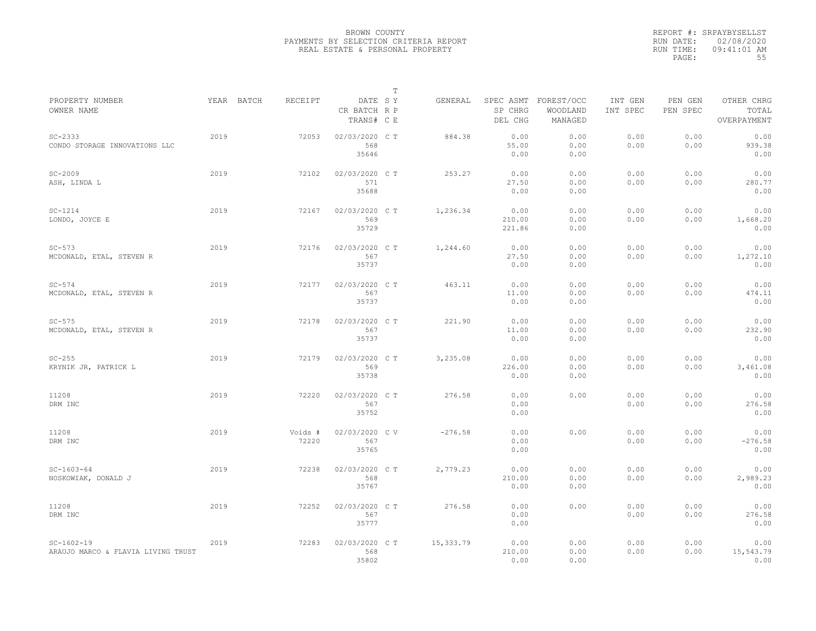|                                                    |            |                  |                                       | T |           |                                 |                                   |                     |                     |                                    |
|----------------------------------------------------|------------|------------------|---------------------------------------|---|-----------|---------------------------------|-----------------------------------|---------------------|---------------------|------------------------------------|
| PROPERTY NUMBER<br>OWNER NAME                      | YEAR BATCH | RECEIPT          | DATE SY<br>CR BATCH R P<br>TRANS# C E |   | GENERAL   | SPEC ASMT<br>SP CHRG<br>DEL CHG | FOREST/OCC<br>WOODLAND<br>MANAGED | INT GEN<br>INT SPEC | PEN GEN<br>PEN SPEC | OTHER CHRG<br>TOTAL<br>OVERPAYMENT |
| $SC - 2333$<br>CONDO STORAGE INNOVATIONS LLC       | 2019       | 72053            | 02/03/2020 C T<br>568<br>35646        |   | 884.38    | 0.00<br>55.00<br>0.00           | 0.00<br>0.00<br>0.00              | 0.00<br>0.00        | 0.00<br>0.00        | 0.00<br>939.38<br>0.00             |
| $SC-2009$<br>ASH, LINDA L                          | 2019       | 72102            | 02/03/2020 C T<br>571<br>35688        |   | 253.27    | 0.00<br>27.50<br>0.00           | 0.00<br>0.00<br>0.00              | 0.00<br>0.00        | 0.00<br>0.00        | 0.00<br>280.77<br>0.00             |
| $SC-1214$<br>LONDO, JOYCE E                        | 2019       | 72167            | 02/03/2020 C T<br>569<br>35729        |   | 1,236.34  | 0.00<br>210.00<br>221.86        | 0.00<br>0.00<br>0.00              | 0.00<br>0.00        | 0.00<br>0.00        | 0.00<br>1,668.20<br>0.00           |
| $SC-573$<br>MCDONALD, ETAL, STEVEN R               | 2019       | 72176            | 02/03/2020 C T<br>567<br>35737        |   | 1,244.60  | 0.00<br>27.50<br>0.00           | 0.00<br>0.00<br>0.00              | 0.00<br>0.00        | 0.00<br>0.00        | 0.00<br>1,272.10<br>0.00           |
| $SC-574$<br>MCDONALD, ETAL, STEVEN R               | 2019       | 72177            | 02/03/2020 C T<br>567<br>35737        |   | 463.11    | 0.00<br>11.00<br>0.00           | 0.00<br>0.00<br>0.00              | 0.00<br>0.00        | 0.00<br>0.00        | 0.00<br>474.11<br>0.00             |
| $SC-575$<br>MCDONALD, ETAL, STEVEN R               | 2019       | 72178            | 02/03/2020 C T<br>567<br>35737        |   | 221.90    | 0.00<br>11.00<br>0.00           | 0.00<br>0.00<br>0.00              | 0.00<br>0.00        | 0.00<br>0.00        | 0.00<br>232.90<br>0.00             |
| $SC-255$<br>KRYNIK JR, PATRICK L                   | 2019       | 72179            | 02/03/2020 C T<br>569<br>35738        |   | 3,235.08  | 0.00<br>226.00<br>0.00          | 0.00<br>0.00<br>0.00              | 0.00<br>0.00        | 0.00<br>0.00        | 0.00<br>3,461.08<br>0.00           |
| 11208<br>DRM INC                                   | 2019       | 72220            | 02/03/2020 C T<br>567<br>35752        |   | 276.58    | 0.00<br>0.00<br>0.00            | 0.00                              | 0.00<br>0.00        | 0.00<br>0.00        | 0.00<br>276.58<br>0.00             |
| 11208<br>DRM INC                                   | 2019       | Voids #<br>72220 | 02/03/2020 CV<br>567<br>35765         |   | $-276.58$ | 0.00<br>0.00<br>0.00            | 0.00                              | 0.00<br>0.00        | 0.00<br>0.00        | 0.00<br>$-276.58$<br>0.00          |
| $SC-1603-64$<br>NOSKOWIAK, DONALD J                | 2019       | 72238            | 02/03/2020 C T<br>568<br>35767        |   | 2,779.23  | 0.00<br>210.00<br>0.00          | 0.00<br>0.00<br>0.00              | 0.00<br>0.00        | 0.00<br>0.00        | 0.00<br>2,989.23<br>0.00           |
| 11208<br>DRM INC                                   | 2019       | 72252            | 02/03/2020 C T<br>567<br>35777        |   | 276.58    | 0.00<br>0.00<br>0.00            | 0.00                              | 0.00<br>0.00        | 0.00<br>0.00        | 0.00<br>276.58<br>0.00             |
| $SC-1602-19$<br>ARAUJO MARCO & FLAVIA LIVING TRUST | 2019       | 72283            | 02/03/2020 C T<br>568<br>35802        |   | 15,333.79 | 0.00<br>210.00<br>0.00          | 0.00<br>0.00<br>0.00              | 0.00<br>0.00        | 0.00<br>0.00        | 0.00<br>15,543.79<br>0.00          |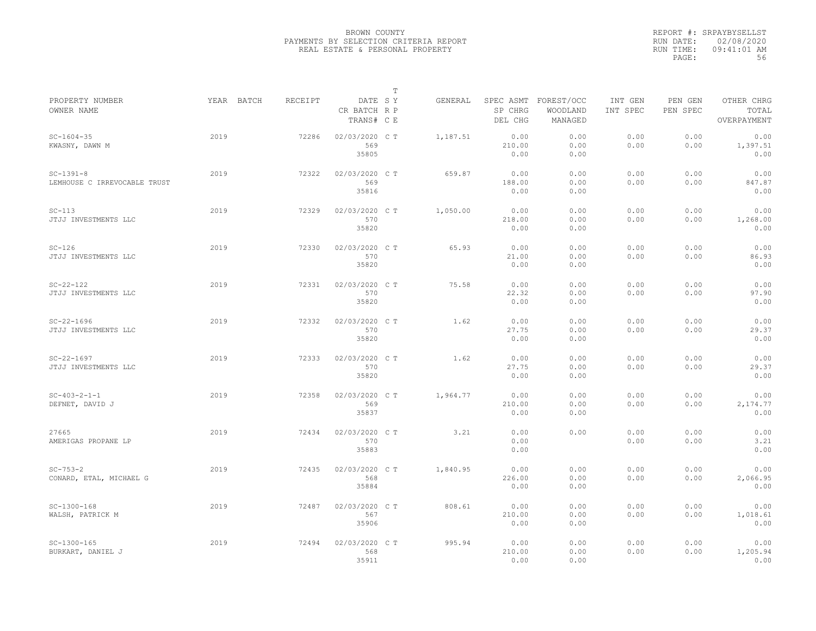|                                             |            |         |                                       | $\mathbb T$ |          |                        |                                             |                     |                     |                                    |
|---------------------------------------------|------------|---------|---------------------------------------|-------------|----------|------------------------|---------------------------------------------|---------------------|---------------------|------------------------------------|
| PROPERTY NUMBER<br>OWNER NAME               | YEAR BATCH | RECEIPT | DATE SY<br>CR BATCH R P<br>TRANS# C E |             | GENERAL  | SP CHRG<br>DEL CHG     | SPEC ASMT FOREST/OCC<br>WOODLAND<br>MANAGED | INT GEN<br>INT SPEC | PEN GEN<br>PEN SPEC | OTHER CHRG<br>TOTAL<br>OVERPAYMENT |
| $SC - 1604 - 35$<br>KWASNY, DAWN M          | 2019       | 72286   | 02/03/2020 CT<br>569<br>35805         |             | 1,187.51 | 0.00<br>210.00<br>0.00 | 0.00<br>0.00<br>0.00                        | 0.00<br>0.00        | 0.00<br>0.00        | 0.00<br>1,397.51<br>0.00           |
| $SC-1391-8$<br>LEMHOUSE C IRREVOCABLE TRUST | 2019       | 72322   | 02/03/2020 C T<br>569<br>35816        |             | 659.87   | 0.00<br>188.00<br>0.00 | 0.00<br>0.00<br>0.00                        | 0.00<br>0.00        | 0.00<br>0.00        | 0.00<br>847.87<br>0.00             |
| $SC-113$<br>JTJJ INVESTMENTS LLC            | 2019       | 72329   | 02/03/2020 C T<br>570<br>35820        |             | 1,050.00 | 0.00<br>218.00<br>0.00 | 0.00<br>0.00<br>0.00                        | 0.00<br>0.00        | 0.00<br>0.00        | 0.00<br>1,268.00<br>0.00           |
| $SC-126$<br>JTJJ INVESTMENTS LLC            | 2019       | 72330   | 02/03/2020 C T<br>570<br>35820        |             | 65.93    | 0.00<br>21.00<br>0.00  | 0.00<br>0.00<br>0.00                        | 0.00<br>0.00        | 0.00<br>0.00        | 0.00<br>86.93<br>0.00              |
| $SC-22-122$<br>JTJJ INVESTMENTS LLC         | 2019       | 72331   | 02/03/2020 C T<br>570<br>35820        |             | 75.58    | 0.00<br>22.32<br>0.00  | 0.00<br>0.00<br>0.00                        | 0.00<br>0.00        | 0.00<br>0.00        | 0.00<br>97.90<br>0.00              |
| $SC-22-1696$<br>JTJJ INVESTMENTS LLC        | 2019       | 72332   | 02/03/2020 C T<br>570<br>35820        |             | 1.62     | 0.00<br>27.75<br>0.00  | 0.00<br>0.00<br>0.00                        | 0.00<br>0.00        | 0.00<br>0.00        | 0.00<br>29.37<br>0.00              |
| $SC-22-1697$<br>JTJJ INVESTMENTS LLC        | 2019       | 72333   | 02/03/2020 C T<br>570<br>35820        |             | 1.62     | 0.00<br>27.75<br>0.00  | 0.00<br>0.00<br>0.00                        | 0.00<br>0.00        | 0.00<br>0.00        | 0.00<br>29.37<br>0.00              |
| $SC-403-2-1-1$<br>DEFNET, DAVID J           | 2019       | 72358   | 02/03/2020 C T<br>569<br>35837        |             | 1,964.77 | 0.00<br>210.00<br>0.00 | 0.00<br>0.00<br>0.00                        | 0.00<br>0.00        | 0.00<br>0.00        | 0.00<br>2,174.77<br>0.00           |
| 27665<br>AMERIGAS PROPANE LP                | 2019       | 72434   | 02/03/2020 C T<br>570<br>35883        |             | 3.21     | 0.00<br>0.00<br>0.00   | 0.00                                        | 0.00<br>0.00        | 0.00<br>0.00        | 0.00<br>3.21<br>0.00               |
| $SC - 753 - 2$<br>CONARD, ETAL, MICHAEL G   | 2019       | 72435   | 02/03/2020 C T<br>568<br>35884        |             | 1,840.95 | 0.00<br>226.00<br>0.00 | 0.00<br>0.00<br>0.00                        | 0.00<br>0.00        | 0.00<br>0.00        | 0.00<br>2,066.95<br>0.00           |
| $SC-1300-168$<br>WALSH, PATRICK M           | 2019       | 72487   | 02/03/2020 C T<br>567<br>35906        |             | 808.61   | 0.00<br>210.00<br>0.00 | 0.00<br>0.00<br>0.00                        | 0.00<br>0.00        | 0.00<br>0.00        | 0.00<br>1,018.61<br>0.00           |
| $SC-1300-165$<br>BURKART, DANIEL J          | 2019       | 72494   | 02/03/2020 CT<br>568<br>35911         |             | 995.94   | 0.00<br>210.00<br>0.00 | 0.00<br>0.00<br>0.00                        | 0.00<br>0.00        | 0.00<br>0.00        | 0.00<br>1,205.94<br>0.00           |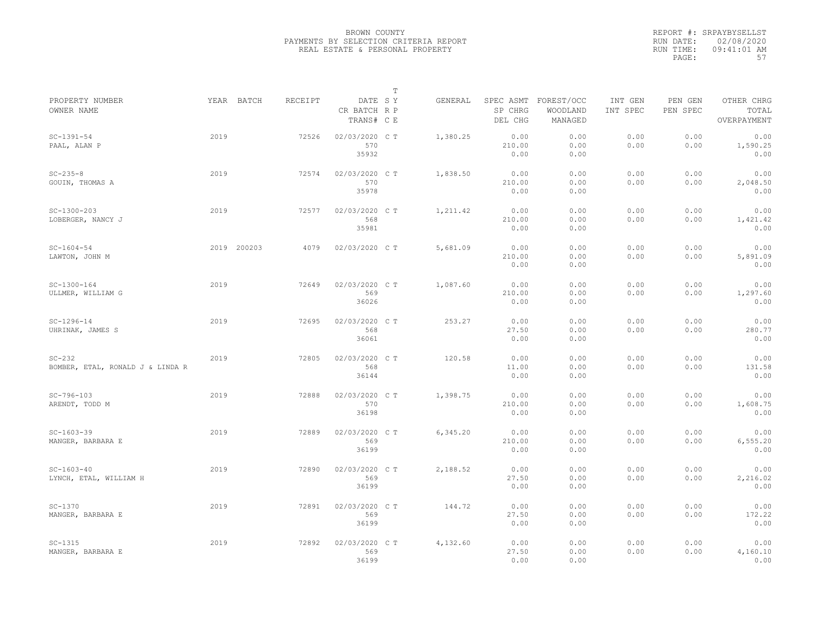|                                              |      |             |                |                                       | $\mathbb T$ |          |                                 |                                   |                     |                     |                                    |
|----------------------------------------------|------|-------------|----------------|---------------------------------------|-------------|----------|---------------------------------|-----------------------------------|---------------------|---------------------|------------------------------------|
| PROPERTY NUMBER<br>OWNER NAME                |      | YEAR BATCH  | <b>RECEIPT</b> | DATE SY<br>CR BATCH R P<br>TRANS# C E |             | GENERAL  | SPEC ASMT<br>SP CHRG<br>DEL CHG | FOREST/OCC<br>WOODLAND<br>MANAGED | INT GEN<br>INT SPEC | PEN GEN<br>PEN SPEC | OTHER CHRG<br>TOTAL<br>OVERPAYMENT |
| $SC-1391-54$<br>PAAL, ALAN P                 | 2019 |             | 72526          | 02/03/2020 CT<br>570<br>35932         |             | 1,380.25 | 0.00<br>210.00<br>0.00          | 0.00<br>0.00<br>0.00              | 0.00<br>0.00        | 0.00<br>0.00        | 0.00<br>1,590.25<br>0.00           |
| $SC - 235 - 8$<br>GOUIN, THOMAS A            | 2019 |             | 72574          | 02/03/2020 C T<br>570<br>35978        |             | 1,838.50 | 0.00<br>210.00<br>0.00          | 0.00<br>0.00<br>0.00              | 0.00<br>0.00        | 0.00<br>0.00        | 0.00<br>2,048.50<br>0.00           |
| $SC-1300-203$<br>LOBERGER, NANCY J           | 2019 |             | 72577          | 02/03/2020 CT<br>568<br>35981         |             | 1,211.42 | 0.00<br>210.00<br>0.00          | 0.00<br>0.00<br>0.00              | 0.00<br>0.00        | 0.00<br>0.00        | 0.00<br>1,421.42<br>0.00           |
| $SC-1604-54$<br>LAWTON, JOHN M               |      | 2019 200203 | 4079           | 02/03/2020 CT                         |             | 5,681.09 | 0.00<br>210.00<br>0.00          | 0.00<br>0.00<br>0.00              | 0.00<br>0.00        | 0.00<br>0.00        | 0.00<br>5,891.09<br>0.00           |
| $SC-1300-164$<br>ULLMER, WILLIAM G           | 2019 |             | 72649          | 02/03/2020 C T<br>569<br>36026        |             | 1,087.60 | 0.00<br>210.00<br>0.00          | 0.00<br>0.00<br>0.00              | 0.00<br>0.00        | 0.00<br>0.00        | 0.00<br>1,297.60<br>0.00           |
| $SC-1296-14$<br>UHRINAK, JAMES S             | 2019 |             | 72695          | 02/03/2020 CT<br>568<br>36061         |             | 253.27   | 0.00<br>27.50<br>0.00           | 0.00<br>0.00<br>0.00              | 0.00<br>0.00        | 0.00<br>0.00        | 0.00<br>280.77<br>0.00             |
| $SC-232$<br>BOMBER, ETAL, RONALD J & LINDA R | 2019 |             | 72805          | 02/03/2020 C T<br>568<br>36144        |             | 120.58   | 0.00<br>11.00<br>0.00           | 0.00<br>0.00<br>0.00              | 0.00<br>0.00        | 0.00<br>0.00        | 0.00<br>131.58<br>0.00             |
| $SC-796-103$<br>ARENDT, TODD M               | 2019 |             | 72888          | 02/03/2020 C T<br>570<br>36198        |             | 1,398.75 | 0.00<br>210.00<br>0.00          | 0.00<br>0.00<br>0.00              | 0.00<br>0.00        | 0.00<br>0.00        | 0.00<br>1,608.75<br>0.00           |
| $SC-1603-39$<br>MANGER, BARBARA E            | 2019 |             | 72889          | 02/03/2020 C T<br>569<br>36199        |             | 6,345.20 | 0.00<br>210.00<br>0.00          | 0.00<br>0.00<br>0.00              | 0.00<br>0.00        | 0.00<br>0.00        | 0.00<br>6,555.20<br>0.00           |
| $SC-1603-40$<br>LYNCH, ETAL, WILLIAM H       | 2019 |             | 72890          | 02/03/2020 C T<br>569<br>36199        |             | 2,188.52 | 0.00<br>27.50<br>0.00           | 0.00<br>0.00<br>0.00              | 0.00<br>0.00        | 0.00<br>0.00        | 0.00<br>2,216.02<br>0.00           |
| $SC-1370$<br>MANGER, BARBARA E               | 2019 |             | 72891          | 02/03/2020 C T<br>569<br>36199        |             | 144.72   | 0.00<br>27.50<br>0.00           | 0.00<br>0.00<br>0.00              | 0.00<br>0.00        | 0.00<br>0.00        | 0.00<br>172.22<br>0.00             |
| $SC-1315$<br>MANGER, BARBARA E               | 2019 |             | 72892          | 02/03/2020 CT<br>569<br>36199         |             | 4,132.60 | 0.00<br>27.50<br>0.00           | 0.00<br>0.00<br>0.00              | 0.00<br>0.00        | 0.00<br>0.00        | 0.00<br>4,160.10<br>0.00           |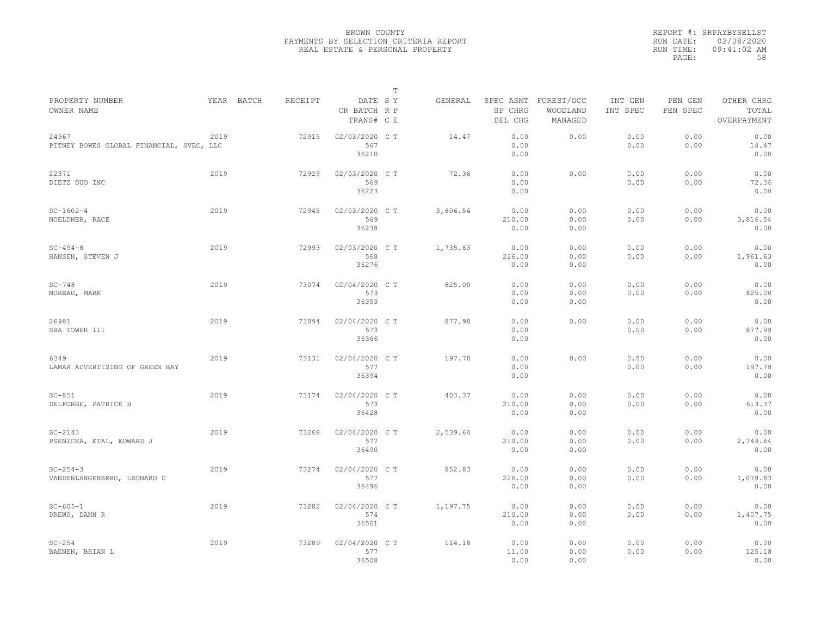|                                                   |      |            |         |                                       | $\mathbb T$ |          |                                 |                                   |                     |                     |                                    |
|---------------------------------------------------|------|------------|---------|---------------------------------------|-------------|----------|---------------------------------|-----------------------------------|---------------------|---------------------|------------------------------------|
| PROPERTY NUMBER<br>OWNER NAME                     |      | YEAR BATCH | RECEIPT | DATE SY<br>CR BATCH R P<br>TRANS# C E |             | GENERAL  | SPEC ASMT<br>SP CHRG<br>DEL CHG | FOREST/OCC<br>WOODLAND<br>MANAGED | INT GEN<br>INT SPEC | PEN GEN<br>PEN SPEC | OTHER CHRG<br>TOTAL<br>OVERPAYMENT |
| 24967<br>PITNEY BOWES GLOBAL FINANCIAL, SVEC, LLC | 2019 |            | 72915   | 02/03/2020 CT<br>567<br>36210         |             | 14.47    | 0.00<br>0.00<br>0.00            | 0.00                              | 0.00<br>0.00        | 0.00<br>0.00        | 0.00<br>14.47<br>0.00              |
| 22371<br>DIETZ DUO INC                            | 2019 |            | 72929   | 02/03/2020 C T<br>569<br>36223        |             | 72.36    | 0.00<br>0.00<br>0.00            | 0.00                              | 0.00<br>0.00        | 0.00<br>0.00        | 0.00<br>72.36<br>0.00              |
| $SC-1602-4$<br>NOELDNER, RACE                     | 2019 |            | 72945   | 02/03/2020 C T<br>569<br>36238        |             | 3,606.54 | 0.00<br>210.00<br>0.00          | 0.00<br>0.00<br>0.00              | 0.00<br>0.00        | 0.00<br>0.00        | 0.00<br>3,816.54<br>0.00           |
| $SC - 494 - 8$<br>HANSEN, STEVEN J                | 2019 |            | 72993   | 02/03/2020 C T<br>568<br>36276        |             | 1,735.63 | 0.00<br>226.00<br>0.00          | 0.00<br>0.00<br>0.00              | 0.00<br>0.00        | 0.00<br>0.00        | 0.00<br>1,961.63<br>0.00           |
| $SC-748$<br>MOREAU, MARK                          | 2019 |            | 73074   | 02/04/2020 C T<br>573<br>36353        |             | 825.00   | 0.00<br>0.00<br>0.00            | 0.00<br>0.00<br>0.00              | 0.00<br>0.00        | 0.00<br>0.00        | 0.00<br>825.00<br>0.00             |
| 26981<br>SBA TOWER 111                            | 2019 |            | 73094   | 02/04/2020 C T<br>573<br>36366        |             | 877.98   | 0.00<br>0.00<br>0.00            | 0.00                              | 0.00<br>0.00        | 0.00<br>0.00        | 0.00<br>877.98<br>0.00             |
| 6349<br>LAMAR ADVERTISING OF GREEN BAY            | 2019 |            | 73131   | 02/04/2020 CT<br>577<br>36394         |             | 197.78   | 0.00<br>0.00<br>0.00            | 0.00                              | 0.00<br>0.00        | 0.00<br>0.00        | 0.00<br>197.78<br>0.00             |
| $SC-851$<br>DELFORGE, PATRICK H                   | 2019 |            | 73174   | 02/04/2020 C T<br>573<br>36428        |             | 403.37   | 0.00<br>210.00<br>0.00          | 0.00<br>0.00<br>0.00              | 0.00<br>0.00        | 0.00<br>0.00        | 0.00<br>613.37<br>0.00             |
| $SC-2143$<br>PSENICKA, ETAL, EDWARD J             | 2019 |            | 73268   | 02/04/2020 C T<br>577<br>36490        |             | 2,539.64 | 0.00<br>210.00<br>0.00          | 0.00<br>0.00<br>0.00              | 0.00<br>0.00        | 0.00<br>0.00        | 0.00<br>2,749.64<br>0.00           |
| $SC - 254 - 3$<br>VANDENLANGENBERG, LEONARD D     | 2019 |            | 73274   | 02/04/2020 C T<br>577<br>36496        |             | 852.83   | 0.00<br>226.00<br>0.00          | 0.00<br>0.00<br>0.00              | 0.00<br>0.00        | 0.00<br>0.00        | 0.00<br>1,078.83<br>0.00           |
| $SC - 605 - 1$<br>DREWS, DANN R                   | 2019 |            | 73282   | 02/04/2020 C T<br>574<br>36501        |             | 1,197.75 | 0.00<br>210.00<br>0.00          | 0.00<br>0.00<br>0.00              | 0.00<br>0.00        | 0.00<br>0.00        | 0.00<br>1,407.75<br>0.00           |
| $SC-254$<br>BAENEN, BRIAN L                       | 2019 |            | 73289   | 02/04/2020 CT<br>577<br>36508         |             | 114.18   | 0.00<br>11.00<br>0.00           | 0.00<br>0.00<br>0.00              | 0.00<br>0.00        | 0.00<br>0.00        | 0.00<br>125.18<br>0.00             |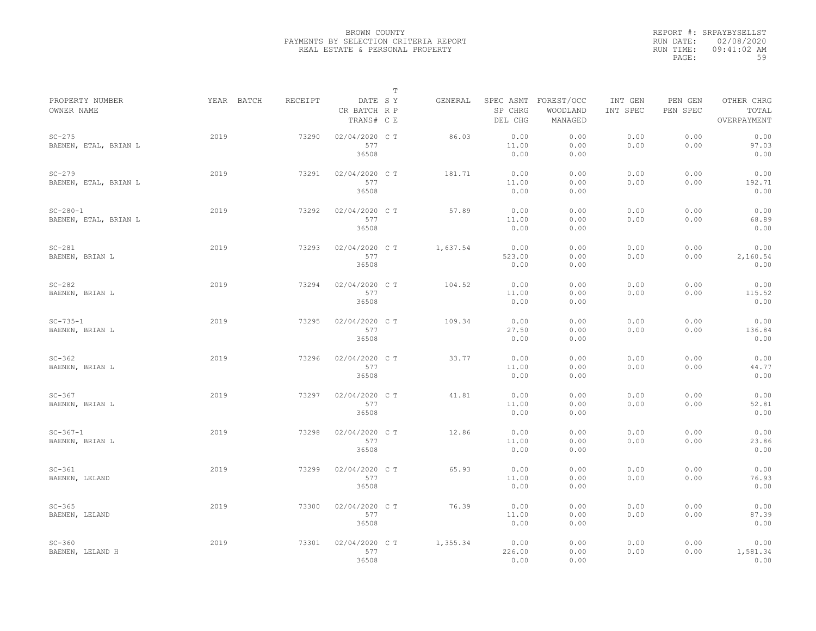|                                         |            |         |                                       | $\mathbb T$ |          |                                 |                                   |                     |                     |                                    |
|-----------------------------------------|------------|---------|---------------------------------------|-------------|----------|---------------------------------|-----------------------------------|---------------------|---------------------|------------------------------------|
| PROPERTY NUMBER<br>OWNER NAME           | YEAR BATCH | RECEIPT | DATE SY<br>CR BATCH R P<br>TRANS# C E |             | GENERAL  | SPEC ASMT<br>SP CHRG<br>DEL CHG | FOREST/OCC<br>WOODLAND<br>MANAGED | INT GEN<br>INT SPEC | PEN GEN<br>PEN SPEC | OTHER CHRG<br>TOTAL<br>OVERPAYMENT |
| $SC-275$<br>BAENEN, ETAL, BRIAN L       | 2019       | 73290   | 02/04/2020 C T<br>577<br>36508        |             | 86.03    | 0.00<br>11.00<br>0.00           | 0.00<br>0.00<br>0.00              | 0.00<br>0.00        | 0.00<br>0.00        | 0.00<br>97.03<br>0.00              |
| $SC-279$<br>BAENEN, ETAL, BRIAN L       | 2019       | 73291   | 02/04/2020 C T<br>577<br>36508        |             | 181.71   | 0.00<br>11.00<br>0.00           | 0.00<br>0.00<br>0.00              | 0.00<br>0.00        | 0.00<br>0.00        | 0.00<br>192.71<br>0.00             |
| $SC - 280 - 1$<br>BAENEN, ETAL, BRIAN L | 2019       | 73292   | 02/04/2020 CT<br>577<br>36508         |             | 57.89    | 0.00<br>11.00<br>0.00           | 0.00<br>0.00<br>0.00              | 0.00<br>0.00        | 0.00<br>0.00        | 0.00<br>68.89<br>0.00              |
| $SC-281$<br>BAENEN, BRIAN L             | 2019       | 73293   | 02/04/2020 C T<br>577<br>36508        |             | 1,637.54 | 0.00<br>523.00<br>0.00          | 0.00<br>0.00<br>0.00              | 0.00<br>0.00        | 0.00<br>0.00        | 0.00<br>2,160.54<br>0.00           |
| $SC-282$<br>BAENEN, BRIAN L             | 2019       | 73294   | 02/04/2020 C T<br>577<br>36508        |             | 104.52   | 0.00<br>11.00<br>0.00           | 0.00<br>0.00<br>0.00              | 0.00<br>0.00        | 0.00<br>0.00        | 0.00<br>115.52<br>0.00             |
| $SC-735-1$<br>BAENEN, BRIAN L           | 2019       | 73295   | 02/04/2020 C T<br>577<br>36508        |             | 109.34   | 0.00<br>27.50<br>0.00           | 0.00<br>0.00<br>0.00              | 0.00<br>0.00        | 0.00<br>0.00        | 0.00<br>136.84<br>0.00             |
| $SC-362$<br>BAENEN, BRIAN L             | 2019       | 73296   | 02/04/2020 CT<br>577<br>36508         |             | 33.77    | 0.00<br>11.00<br>0.00           | 0.00<br>0.00<br>0.00              | 0.00<br>0.00        | 0.00<br>0.00        | 0.00<br>44.77<br>0.00              |
| $SC-367$<br>BAENEN, BRIAN L             | 2019       | 73297   | 02/04/2020 C T<br>577<br>36508        |             | 41.81    | 0.00<br>11.00<br>0.00           | 0.00<br>0.00<br>0.00              | 0.00<br>0.00        | 0.00<br>0.00        | 0.00<br>52.81<br>0.00              |
| $SC - 367 - 1$<br>BAENEN, BRIAN L       | 2019       | 73298   | 02/04/2020 C T<br>577<br>36508        |             | 12.86    | 0.00<br>11.00<br>0.00           | 0.00<br>0.00<br>0.00              | 0.00<br>0.00        | 0.00<br>0.00        | 0.00<br>23.86<br>0.00              |
| $SC-361$<br>BAENEN, LELAND              | 2019       | 73299   | 02/04/2020 C T<br>577<br>36508        |             | 65.93    | 0.00<br>11.00<br>0.00           | 0.00<br>0.00<br>0.00              | 0.00<br>0.00        | 0.00<br>0.00        | 0.00<br>76.93<br>0.00              |
| $SC-365$<br>BAENEN, LELAND              | 2019       | 73300   | 02/04/2020 C T<br>577<br>36508        |             | 76.39    | 0.00<br>11.00<br>0.00           | 0.00<br>0.00<br>0.00              | 0.00<br>0.00        | 0.00<br>0.00        | 0.00<br>87.39<br>0.00              |
| $SC-360$<br>BAENEN, LELAND H            | 2019       | 73301   | 02/04/2020 C T<br>577<br>36508        |             | 1,355.34 | 0.00<br>226.00<br>0.00          | 0.00<br>0.00<br>0.00              | 0.00<br>0.00        | 0.00<br>0.00        | 0.00<br>1,581.34<br>0.00           |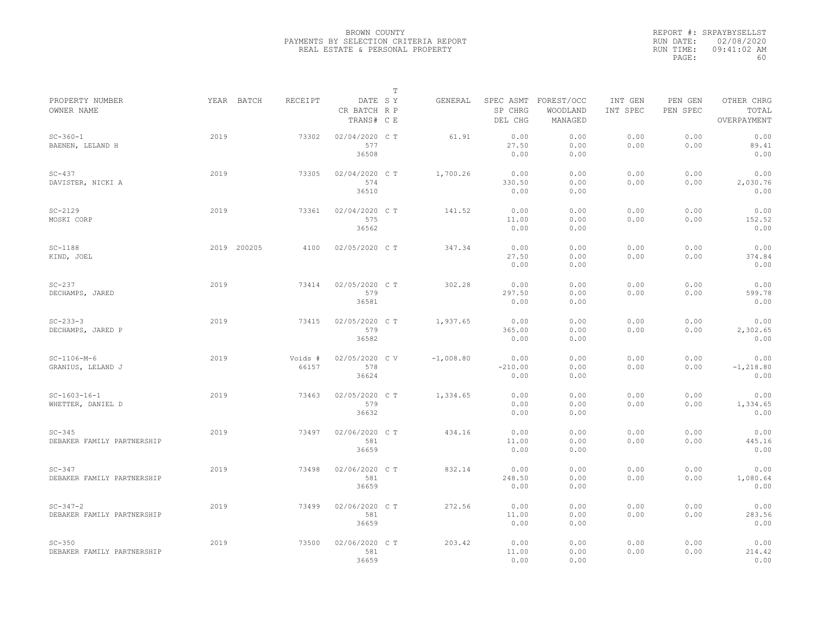|                                              |      |             |                  |                                       | $\mathbb T$ |             |                                 |                                   |                     |                     |                                    |
|----------------------------------------------|------|-------------|------------------|---------------------------------------|-------------|-------------|---------------------------------|-----------------------------------|---------------------|---------------------|------------------------------------|
| PROPERTY NUMBER<br>OWNER NAME                |      | YEAR BATCH  | <b>RECEIPT</b>   | DATE SY<br>CR BATCH R P<br>TRANS# C E |             | GENERAL     | SPEC ASMT<br>SP CHRG<br>DEL CHG | FOREST/OCC<br>WOODLAND<br>MANAGED | INT GEN<br>INT SPEC | PEN GEN<br>PEN SPEC | OTHER CHRG<br>TOTAL<br>OVERPAYMENT |
| $SC - 360 - 1$<br>BAENEN, LELAND H           | 2019 |             | 73302            | 02/04/2020 C T<br>577<br>36508        |             | 61.91       | 0.00<br>27.50<br>0.00           | 0.00<br>0.00<br>0.00              | 0.00<br>0.00        | 0.00<br>0.00        | 0.00<br>89.41<br>0.00              |
| $SC-437$<br>DAVISTER, NICKI A                | 2019 |             | 73305            | 02/04/2020 C T<br>574<br>36510        |             | 1,700.26    | 0.00<br>330.50<br>0.00          | 0.00<br>0.00<br>0.00              | 0.00<br>0.00        | 0.00<br>0.00        | 0.00<br>2,030.76<br>0.00           |
| $SC-2129$<br>MOSKI CORP                      | 2019 |             | 73361            | 02/04/2020 C T<br>575<br>36562        |             | 141.52      | 0.00<br>11.00<br>0.00           | 0.00<br>0.00<br>0.00              | 0.00<br>0.00        | 0.00<br>0.00        | 0.00<br>152.52<br>0.00             |
| $SC-1188$<br>KIND, JOEL                      |      | 2019 200205 | 4100             | 02/05/2020 C T                        |             | 347.34      | 0.00<br>27.50<br>0.00           | 0.00<br>0.00<br>0.00              | 0.00<br>0.00        | 0.00<br>0.00        | 0.00<br>374.84<br>0.00             |
| $SC-237$<br>DECHAMPS, JARED                  | 2019 |             | 73414            | 02/05/2020 C T<br>579<br>36581        |             | 302.28      | 0.00<br>297.50<br>0.00          | 0.00<br>0.00<br>0.00              | 0.00<br>0.00        | 0.00<br>0.00        | 0.00<br>599.78<br>0.00             |
| $SC - 233 - 3$<br>DECHAMPS, JARED P          | 2019 |             | 73415            | 02/05/2020 CT<br>579<br>36582         |             | 1,937.65    | 0.00<br>365.00<br>0.00          | 0.00<br>0.00<br>0.00              | 0.00<br>0.00        | 0.00<br>0.00        | 0.00<br>2,302.65<br>0.00           |
| $SC-1106-M-6$<br>GRANIUS, LELAND J           | 2019 |             | Voids #<br>66157 | 02/05/2020 C V<br>578<br>36624        |             | $-1,008.80$ | 0.00<br>$-210.00$<br>0.00       | 0.00<br>0.00<br>0.00              | 0.00<br>0.00        | 0.00<br>0.00        | 0.00<br>$-1, 218.80$<br>0.00       |
| $SC-1603-16-1$<br>WHETTER, DANIEL D          | 2019 |             | 73463            | 02/05/2020 CT<br>579<br>36632         |             | 1,334.65    | 0.00<br>0.00<br>0.00            | 0.00<br>0.00<br>0.00              | 0.00<br>0.00        | 0.00<br>0.00        | 0.00<br>1,334.65<br>0.00           |
| $SC-345$<br>DEBAKER FAMILY PARTNERSHIP       | 2019 |             | 73497            | 02/06/2020 CT<br>581<br>36659         |             | 434.16      | 0.00<br>11.00<br>0.00           | 0.00<br>0.00<br>0.00              | 0.00<br>0.00        | 0.00<br>0.00        | 0.00<br>445.16<br>0.00             |
| $SC-347$<br>DEBAKER FAMILY PARTNERSHIP       | 2019 |             | 73498            | 02/06/2020 C T<br>581<br>36659        |             | 832.14      | 0.00<br>248.50<br>0.00          | 0.00<br>0.00<br>0.00              | 0.00<br>0.00        | 0.00<br>0.00        | 0.00<br>1,080.64<br>0.00           |
| $SC - 347 - 2$<br>DEBAKER FAMILY PARTNERSHIP | 2019 |             | 73499            | 02/06/2020 C T<br>581<br>36659        |             | 272.56      | 0.00<br>11.00<br>0.00           | 0.00<br>0.00<br>0.00              | 0.00<br>0.00        | 0.00<br>0.00        | 0.00<br>283.56<br>0.00             |
| $SC-350$<br>DEBAKER FAMILY PARTNERSHIP       | 2019 |             | 73500            | 02/06/2020 C T<br>581<br>36659        |             | 203.42      | 0.00<br>11.00<br>0.00           | 0.00<br>0.00<br>0.00              | 0.00<br>0.00        | 0.00<br>0.00        | 0.00<br>214.42<br>0.00             |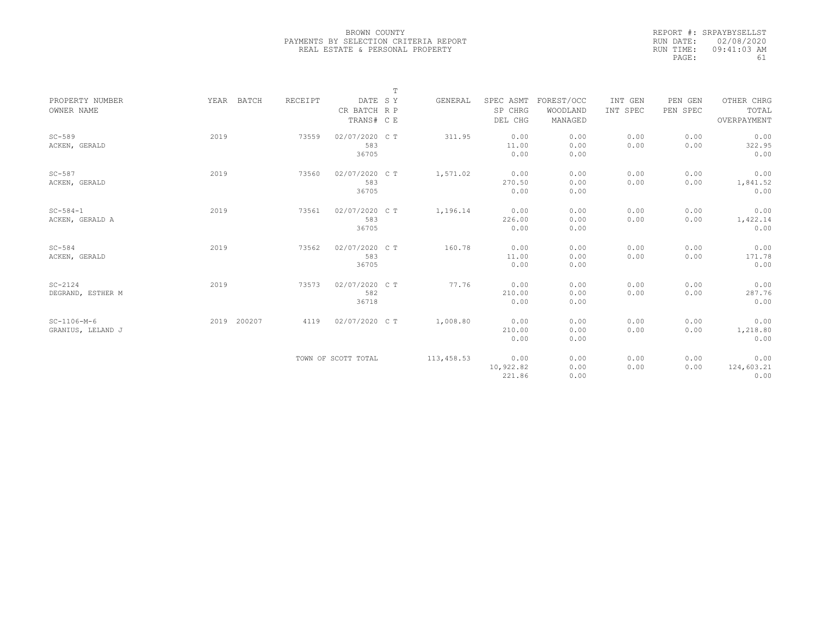|                   |      |             |         |                     | T |            |           |            |          |          |             |
|-------------------|------|-------------|---------|---------------------|---|------------|-----------|------------|----------|----------|-------------|
| PROPERTY NUMBER   |      | YEAR BATCH  | RECEIPT | DATE SY             |   | GENERAL    | SPEC ASMT | FOREST/OCC | INT GEN  | PEN GEN  | OTHER CHRG  |
| OWNER NAME        |      |             |         | CR BATCH R P        |   |            | SP CHRG   | WOODLAND   | INT SPEC | PEN SPEC | TOTAL       |
|                   |      |             |         | TRANS# C E          |   |            | DEL CHG   | MANAGED    |          |          | OVERPAYMENT |
| $SC-589$          | 2019 |             | 73559   | 02/07/2020 CT       |   | 311.95     | 0.00      | 0.00       | 0.00     | 0.00     | 0.00        |
| ACKEN, GERALD     |      |             |         | 583                 |   |            | 11.00     | 0.00       | 0.00     | 0.00     | 322.95      |
|                   |      |             |         | 36705               |   |            | 0.00      | 0.00       |          |          | 0.00        |
| $SC-587$          | 2019 |             | 73560   | 02/07/2020 C T      |   | 1,571.02   | 0.00      | 0.00       | 0.00     | 0.00     | 0.00        |
| ACKEN, GERALD     |      |             |         | 583                 |   |            | 270.50    | 0.00       | 0.00     | 0.00     | 1,841.52    |
|                   |      |             |         | 36705               |   |            | 0.00      | 0.00       |          |          | 0.00        |
| $SC - 584 - 1$    | 2019 |             | 73561   | 02/07/2020 CT       |   | 1,196.14   | 0.00      | 0.00       | 0.00     | 0.00     | 0.00        |
| ACKEN, GERALD A   |      |             |         | 583                 |   |            | 226.00    | 0.00       | 0.00     | 0.00     | 1,422.14    |
|                   |      |             |         | 36705               |   |            | 0.00      | 0.00       |          |          | 0.00        |
| $SC-584$          | 2019 |             | 73562   | 02/07/2020 CT       |   | 160.78     | 0.00      | 0.00       | 0.00     | 0.00     | 0.00        |
| ACKEN, GERALD     |      |             |         | 583                 |   |            | 11.00     | 0.00       | 0.00     | 0.00     | 171.78      |
|                   |      |             |         | 36705               |   |            | 0.00      | 0.00       |          |          | 0.00        |
| $SC-2124$         | 2019 |             | 73573   | 02/07/2020 C T      |   | 77.76      | 0.00      | 0.00       | 0.00     | 0.00     | 0.00        |
| DEGRAND, ESTHER M |      |             |         | 582                 |   |            | 210.00    | 0.00       | 0.00     | 0.00     | 287.76      |
|                   |      |             |         | 36718               |   |            | 0.00      | 0.00       |          |          | 0.00        |
| $SC-1106-M-6$     |      | 2019 200207 | 4119    | 02/07/2020 C T      |   | 1,008.80   | 0.00      | 0.00       | 0.00     | 0.00     | 0.00        |
| GRANIUS, LELAND J |      |             |         |                     |   |            | 210.00    | 0.00       | 0.00     | 0.00     | 1,218.80    |
|                   |      |             |         |                     |   |            | 0.00      | 0.00       |          |          | 0.00        |
|                   |      |             |         | TOWN OF SCOTT TOTAL |   | 113,458.53 | 0.00      | 0.00       | 0.00     | 0.00     | 0.00        |
|                   |      |             |         |                     |   |            | 10,922.82 | 0.00       | 0.00     | 0.00     | 124,603.21  |
|                   |      |             |         |                     |   |            | 221.86    | 0.00       |          |          | 0.00        |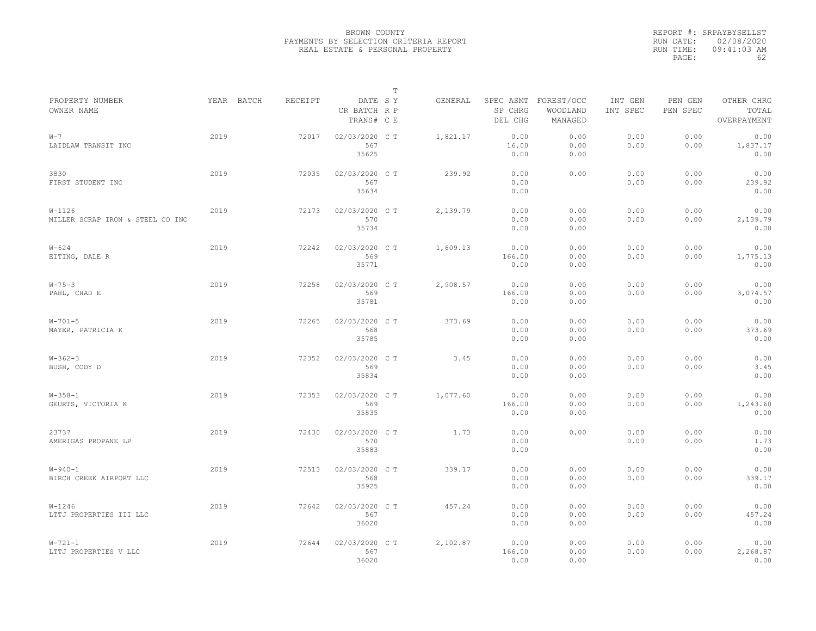|                                                |            |         |                                       | $\mathbb{T}$ |          |                        |                                             |                     |                     |                                    |
|------------------------------------------------|------------|---------|---------------------------------------|--------------|----------|------------------------|---------------------------------------------|---------------------|---------------------|------------------------------------|
| PROPERTY NUMBER<br>OWNER NAME                  | YEAR BATCH | RECEIPT | DATE SY<br>CR BATCH R P<br>TRANS# C E |              | GENERAL  | SP CHRG<br>DEL CHG     | SPEC ASMT FOREST/OCC<br>WOODLAND<br>MANAGED | INT GEN<br>INT SPEC | PEN GEN<br>PEN SPEC | OTHER CHRG<br>TOTAL<br>OVERPAYMENT |
| $W - 7$<br>LAIDLAW TRANSIT INC                 | 2019       | 72017   | 02/03/2020 C T<br>567<br>35625        |              | 1,821.17 | 0.00<br>16.00<br>0.00  | 0.00<br>0.00<br>0.00                        | 0.00<br>0.00        | 0.00<br>0.00        | 0.00<br>1,837.17<br>0.00           |
| 3830<br>FIRST STUDENT INC                      | 2019       | 72035   | 02/03/2020 C T<br>567<br>35634        |              | 239.92   | 0.00<br>0.00<br>0.00   | 0.00                                        | 0.00<br>0.00        | 0.00<br>0.00        | 0.00<br>239.92<br>0.00             |
| $W - 1126$<br>MILLER SCRAP IRON & STEEL CO INC | 2019       | 72173   | 02/03/2020 C T<br>570<br>35734        |              | 2,139.79 | 0.00<br>0.00<br>0.00   | 0.00<br>0.00<br>0.00                        | 0.00<br>0.00        | 0.00<br>0.00        | 0.00<br>2,139.79<br>0.00           |
| $W - 624$<br>EITING, DALE R                    | 2019       | 72242   | 02/03/2020 CT<br>569<br>35771         |              | 1,609.13 | 0.00<br>166.00<br>0.00 | 0.00<br>0.00<br>0.00                        | 0.00<br>0.00        | 0.00<br>0.00        | 0.00<br>1,775.13<br>0.00           |
| $W - 75 - 3$<br>PAHL, CHAD E                   | 2019       | 72258   | 02/03/2020 C T<br>569<br>35781        |              | 2,908.57 | 0.00<br>166.00<br>0.00 | 0.00<br>0.00<br>0.00                        | 0.00<br>0.00        | 0.00<br>0.00        | 0.00<br>3,074.57<br>0.00           |
| $W - 701 - 5$<br>MAYER, PATRICIA K             | 2019       | 72265   | 02/03/2020 C T<br>568<br>35785        |              | 373.69   | 0.00<br>0.00<br>0.00   | 0.00<br>0.00<br>0.00                        | 0.00<br>0.00        | 0.00<br>0.00        | 0.00<br>373.69<br>0.00             |
| $W - 362 - 3$<br>BUSH, CODY D                  | 2019       | 72352   | 02/03/2020 C T<br>569<br>35834        |              | 3.45     | 0.00<br>0.00<br>0.00   | 0.00<br>0.00<br>0.00                        | 0.00<br>0.00        | 0.00<br>0.00        | 0.00<br>3.45<br>0.00               |
| $W - 358 - 1$<br>GEURTS, VICTORIA K            | 2019       | 72353   | 02/03/2020 C T<br>569<br>35835        |              | 1,077.60 | 0.00<br>166.00<br>0.00 | 0.00<br>0.00<br>0.00                        | 0.00<br>0.00        | 0.00<br>0.00        | 0.00<br>1,243.60<br>0.00           |
| 23737<br>AMERIGAS PROPANE LP                   | 2019       | 72430   | 02/03/2020 C T<br>570<br>35883        |              | 1.73     | 0.00<br>0.00<br>0.00   | 0.00                                        | 0.00<br>0.00        | 0.00<br>0.00        | 0.00<br>1.73<br>0.00               |
| $W - 940 - 1$<br>BIRCH CREEK AIRPORT LLC       | 2019       | 72513   | 02/03/2020 C T<br>568<br>35925        |              | 339.17   | 0.00<br>0.00<br>0.00   | 0.00<br>0.00<br>0.00                        | 0.00<br>0.00        | 0.00<br>0.00        | 0.00<br>339.17<br>0.00             |
| $W - 1246$<br>LTTJ PROPERTIES III LLC          | 2019       | 72642   | 02/03/2020 C T<br>567<br>36020        |              | 457.24   | 0.00<br>0.00<br>0.00   | 0.00<br>0.00<br>0.00                        | 0.00<br>0.00        | 0.00<br>0.00        | 0.00<br>457.24<br>0.00             |
| $W - 721 - 1$<br>LTTJ PROPERTIES V LLC         | 2019       | 72644   | 02/03/2020 C T<br>567<br>36020        |              | 2,102.87 | 0.00<br>166.00<br>0.00 | 0.00<br>0.00<br>0.00                        | 0.00<br>0.00        | 0.00<br>0.00        | 0.00<br>2,268.87<br>0.00           |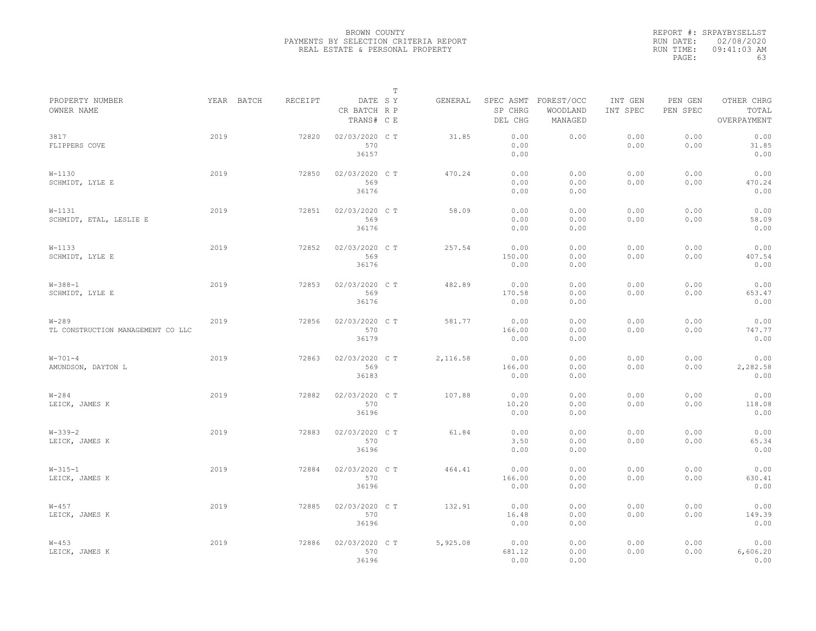|                                                |      |            |         |                                       | $\mathbb T$ |          |                        |                                             |                     |                     |                                    |
|------------------------------------------------|------|------------|---------|---------------------------------------|-------------|----------|------------------------|---------------------------------------------|---------------------|---------------------|------------------------------------|
| PROPERTY NUMBER<br>OWNER NAME                  |      | YEAR BATCH | RECEIPT | DATE SY<br>CR BATCH R P<br>TRANS# C E |             | GENERAL  | SP CHRG<br>DEL CHG     | SPEC ASMT FOREST/OCC<br>WOODLAND<br>MANAGED | INT GEN<br>INT SPEC | PEN GEN<br>PEN SPEC | OTHER CHRG<br>TOTAL<br>OVERPAYMENT |
| 3817<br>FLIPPERS COVE                          | 2019 |            | 72820   | 02/03/2020 CT<br>570<br>36157         |             | 31.85    | 0.00<br>0.00<br>0.00   | 0.00                                        | 0.00<br>0.00        | 0.00<br>0.00        | 0.00<br>31.85<br>0.00              |
| $W-1130$<br>SCHMIDT, LYLE E                    | 2019 |            | 72850   | 02/03/2020 CT<br>569<br>36176         |             | 470.24   | 0.00<br>0.00<br>0.00   | 0.00<br>0.00<br>0.00                        | 0.00<br>0.00        | 0.00<br>0.00        | 0.00<br>470.24<br>0.00             |
| $W-1131$<br>SCHMIDT, ETAL, LESLIE E            | 2019 |            | 72851   | 02/03/2020 C T<br>569<br>36176        |             | 58.09    | 0.00<br>0.00<br>0.00   | 0.00<br>0.00<br>0.00                        | 0.00<br>0.00        | 0.00<br>0.00        | 0.00<br>58.09<br>0.00              |
| $W - 1133$<br>SCHMIDT, LYLE E                  | 2019 |            | 72852   | 02/03/2020 C T<br>569<br>36176        |             | 257.54   | 0.00<br>150.00<br>0.00 | 0.00<br>0.00<br>0.00                        | 0.00<br>0.00        | 0.00<br>0.00        | 0.00<br>407.54<br>0.00             |
| $W-388-1$<br>SCHMIDT, LYLE E                   | 2019 |            | 72853   | 02/03/2020 C T<br>569<br>36176        |             | 482.89   | 0.00<br>170.58<br>0.00 | 0.00<br>0.00<br>0.00                        | 0.00<br>0.00        | 0.00<br>0.00        | 0.00<br>653.47<br>0.00             |
| $W - 289$<br>TL CONSTRUCTION MANAGEMENT CO LLC | 2019 |            | 72856   | 02/03/2020 CT<br>570<br>36179         |             | 581.77   | 0.00<br>166.00<br>0.00 | 0.00<br>0.00<br>0.00                        | 0.00<br>0.00        | 0.00<br>0.00        | 0.00<br>747.77<br>0.00             |
| $W - 701 - 4$<br>AMUNDSON, DAYTON L            | 2019 |            | 72863   | 02/03/2020 C T<br>569<br>36183        |             | 2,116.58 | 0.00<br>166.00<br>0.00 | 0.00<br>0.00<br>0.00                        | 0.00<br>0.00        | 0.00<br>0.00        | 0.00<br>2,282.58<br>0.00           |
| $W - 284$<br>LEICK, JAMES K                    | 2019 |            | 72882   | 02/03/2020 C T<br>570<br>36196        |             | 107.88   | 0.00<br>10.20<br>0.00  | 0.00<br>0.00<br>0.00                        | 0.00<br>0.00        | 0.00<br>0.00        | 0.00<br>118.08<br>0.00             |
| $W - 339 - 2$<br>LEICK, JAMES K                | 2019 |            | 72883   | 02/03/2020 CT<br>570<br>36196         |             | 61.84    | 0.00<br>3.50<br>0.00   | 0.00<br>0.00<br>0.00                        | 0.00<br>0.00        | 0.00<br>0.00        | 0.00<br>65.34<br>0.00              |
| $W-315-1$<br>LEICK, JAMES K                    | 2019 |            | 72884   | 02/03/2020 CT<br>570<br>36196         |             | 464.41   | 0.00<br>166.00<br>0.00 | 0.00<br>0.00<br>0.00                        | 0.00<br>0.00        | 0.00<br>0.00        | 0.00<br>630.41<br>0.00             |
| $W - 457$<br>LEICK, JAMES K                    | 2019 |            | 72885   | 02/03/2020 C T<br>570<br>36196        |             | 132.91   | 0.00<br>16.48<br>0.00  | 0.00<br>0.00<br>0.00                        | 0.00<br>0.00        | 0.00<br>0.00        | 0.00<br>149.39<br>0.00             |
| $W - 453$<br>LEICK, JAMES K                    | 2019 |            | 72886   | 02/03/2020 C T<br>570<br>36196        |             | 5,925.08 | 0.00<br>681.12<br>0.00 | 0.00<br>0.00<br>0.00                        | 0.00<br>0.00        | 0.00<br>0.00        | 0.00<br>6,606.20<br>0.00           |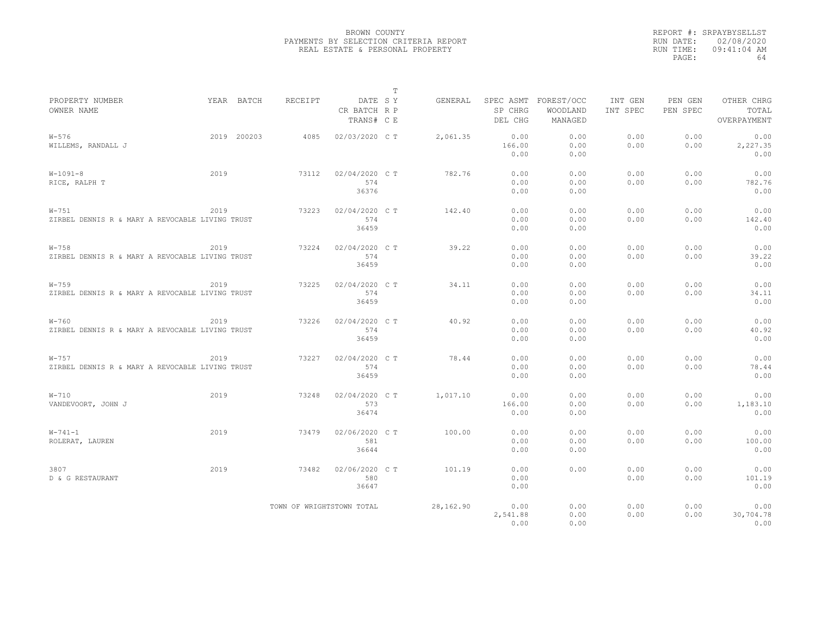|                                                              |      |             |                           |                                       | $\mathbb T$ |           |                                 |                                   |                     |                     |                                    |
|--------------------------------------------------------------|------|-------------|---------------------------|---------------------------------------|-------------|-----------|---------------------------------|-----------------------------------|---------------------|---------------------|------------------------------------|
| PROPERTY NUMBER<br>OWNER NAME                                |      | YEAR BATCH  | <b>RECEIPT</b>            | DATE SY<br>CR BATCH R P<br>TRANS# C E |             | GENERAL   | SPEC ASMT<br>SP CHRG<br>DEL CHG | FOREST/OCC<br>WOODLAND<br>MANAGED | INT GEN<br>INT SPEC | PEN GEN<br>PEN SPEC | OTHER CHRG<br>TOTAL<br>OVERPAYMENT |
| $W - 576$<br>WILLEMS, RANDALL J                              |      | 2019 200203 | 4085                      | 02/03/2020 CT                         |             | 2,061.35  | 0.00<br>166.00<br>0.00          | 0.00<br>0.00<br>0.00              | 0.00<br>0.00        | 0.00<br>0.00        | 0.00<br>2,227.35<br>0.00           |
| $W-1091-8$<br>RICE, RALPH T                                  | 2019 |             | 73112                     | 02/04/2020 C T<br>574<br>36376        |             | 782.76    | 0.00<br>0.00<br>0.00            | 0.00<br>0.00<br>0.00              | 0.00<br>0.00        | 0.00<br>0.00        | 0.00<br>782.76<br>0.00             |
| $W-751$<br>ZIRBEL DENNIS R & MARY A REVOCABLE LIVING TRUST   | 2019 |             | 73223                     | 02/04/2020 C T<br>574<br>36459        |             | 142.40    | 0.00<br>0.00<br>0.00            | 0.00<br>0.00<br>0.00              | 0.00<br>0.00        | 0.00<br>0.00        | 0.00<br>142.40<br>0.00             |
| $W - 758$<br>ZIRBEL DENNIS R & MARY A REVOCABLE LIVING TRUST | 2019 |             | 73224                     | 02/04/2020 CT<br>574<br>36459         |             | 39.22     | 0.00<br>0.00<br>0.00            | 0.00<br>0.00<br>0.00              | 0.00<br>0.00        | 0.00<br>0.00        | 0.00<br>39.22<br>0.00              |
| $W - 759$<br>ZIRBEL DENNIS R & MARY A REVOCABLE LIVING TRUST | 2019 |             | 73225                     | 02/04/2020 C T<br>574<br>36459        |             | 34.11     | 0.00<br>0.00<br>0.00            | 0.00<br>0.00<br>0.00              | 0.00<br>0.00        | 0.00<br>0.00        | 0.00<br>34.11<br>0.00              |
| $W - 760$<br>ZIRBEL DENNIS R & MARY A REVOCABLE LIVING TRUST | 2019 |             | 73226                     | 02/04/2020 C T<br>574<br>36459        |             | 40.92     | 0.00<br>0.00<br>0.00            | 0.00<br>0.00<br>0.00              | 0.00<br>0.00        | 0.00<br>0.00        | 0.00<br>40.92<br>0.00              |
| $W - 757$<br>ZIRBEL DENNIS R & MARY A REVOCABLE LIVING TRUST | 2019 |             | 73227                     | 02/04/2020 C T<br>574<br>36459        |             | 78.44     | 0.00<br>0.00<br>0.00            | 0.00<br>0.00<br>0.00              | 0.00<br>0.00        | 0.00<br>0.00        | 0.00<br>78.44<br>0.00              |
| $W-710$<br>VANDEVOORT, JOHN J                                | 2019 |             | 73248                     | 02/04/2020 C T<br>573<br>36474        |             | 1,017.10  | 0.00<br>166.00<br>0.00          | 0.00<br>0.00<br>0.00              | 0.00<br>0.00        | 0.00<br>0.00        | 0.00<br>1,183.10<br>0.00           |
| $W - 741 - 1$<br>ROLERAT, LAUREN                             | 2019 |             | 73479                     | 02/06/2020 C T<br>581<br>36644        |             | 100.00    | 0.00<br>0.00<br>0.00            | 0.00<br>0.00<br>0.00              | 0.00<br>0.00        | 0.00<br>0.00        | 0.00<br>100.00<br>0.00             |
| 3807<br>D & G RESTAURANT                                     | 2019 |             | 73482                     | 02/06/2020 C T<br>580<br>36647        |             | 101.19    | 0.00<br>0.00<br>0.00            | 0.00                              | 0.00<br>0.00        | 0.00<br>0.00        | 0.00<br>101.19<br>0.00             |
|                                                              |      |             | TOWN OF WRIGHTSTOWN TOTAL |                                       |             | 28,162.90 | 0.00<br>2,541.88<br>0.00        | 0.00<br>0.00<br>0.00              | 0.00<br>0.00        | 0.00<br>0.00        | 0.00<br>30,704.78<br>0.00          |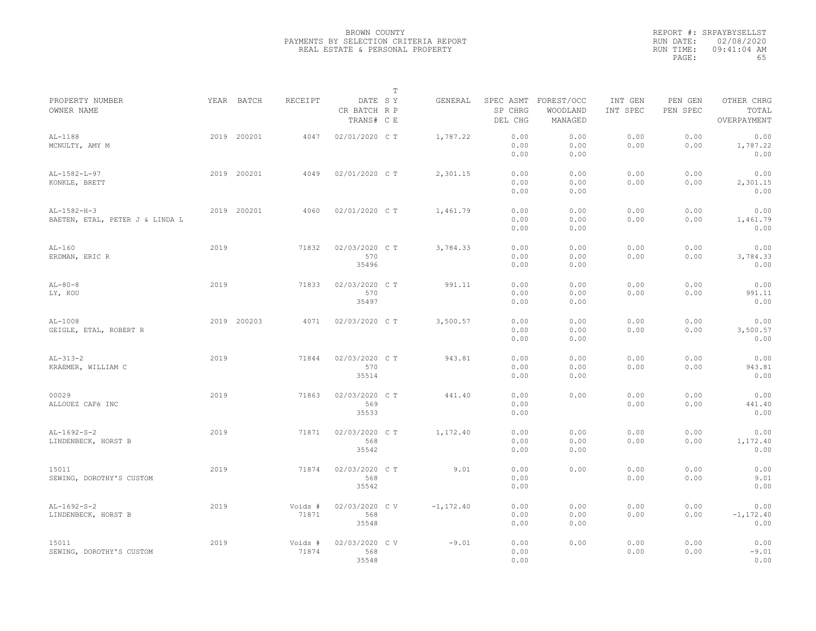|                                                  |      |             |                  |                                       | $\mathbb T$ |               |                      |                                             |                     |                     |                                    |  |
|--------------------------------------------------|------|-------------|------------------|---------------------------------------|-------------|---------------|----------------------|---------------------------------------------|---------------------|---------------------|------------------------------------|--|
| PROPERTY NUMBER<br>OWNER NAME                    |      | YEAR BATCH  | RECEIPT          | DATE SY<br>CR BATCH R P<br>TRANS# C E |             | GENERAL       | SP CHRG<br>DEL CHG   | SPEC ASMT FOREST/OCC<br>WOODLAND<br>MANAGED | INT GEN<br>INT SPEC | PEN GEN<br>PEN SPEC | OTHER CHRG<br>TOTAL<br>OVERPAYMENT |  |
| $AL-1188$<br>MCNULTY, AMY M                      |      | 2019 200201 | 4047             | 02/01/2020 C T                        |             | 1,787.22      | 0.00<br>0.00<br>0.00 | 0.00<br>0.00<br>0.00                        | 0.00<br>0.00        | 0.00<br>0.00        | 0.00<br>1,787.22<br>0.00           |  |
| $AL-1582-L-97$<br>KONKLE, BRETT                  |      | 2019 200201 | 4049             | 02/01/2020 C T                        |             | 2,301.15      | 0.00<br>0.00<br>0.00 | 0.00<br>0.00<br>0.00                        | 0.00<br>0.00        | 0.00<br>0.00        | 0.00<br>2,301.15<br>0.00           |  |
| $AL-1582-H-3$<br>BAETEN, ETAL, PETER J & LINDA L |      | 2019 200201 | 4060             | 02/01/2020 C T                        |             | 1,461.79      | 0.00<br>0.00<br>0.00 | 0.00<br>0.00<br>0.00                        | 0.00<br>0.00        | 0.00<br>0.00        | 0.00<br>1,461.79<br>0.00           |  |
| $AL-160$<br>ERDMAN, ERIC R                       | 2019 |             | 71832            | 02/03/2020 C T<br>570<br>35496        |             | 3,784.33      | 0.00<br>0.00<br>0.00 | 0.00<br>0.00<br>0.00                        | 0.00<br>0.00        | 0.00<br>0.00        | 0.00<br>3,784.33<br>0.00           |  |
| $AL-80-8$<br>LY, KOU                             | 2019 |             | 71833            | 02/03/2020 C T<br>570<br>35497        |             | 991.11        | 0.00<br>0.00<br>0.00 | 0.00<br>0.00<br>0.00                        | 0.00<br>0.00        | 0.00<br>0.00        | 0.00<br>991.11<br>0.00             |  |
| $AL-1008$<br>GEIGLE, ETAL, ROBERT R              |      | 2019 200203 | 4071             | 02/03/2020 CT                         |             | 3,500.57      | 0.00<br>0.00<br>0.00 | 0.00<br>0.00<br>0.00                        | 0.00<br>0.00        | 0.00<br>0.00        | 0.00<br>3,500.57<br>0.00           |  |
| $AL-313-2$<br>KRAEMER, WILLIAM C                 | 2019 |             | 71844            | 02/03/2020 C T<br>570<br>35514        |             | 943.81        | 0.00<br>0.00<br>0.00 | 0.00<br>0.00<br>0.00                        | 0.00<br>0.00        | 0.00<br>0.00        | 0.00<br>943.81<br>0.00             |  |
| 00029<br>ALLOUEZ CAFé INC                        | 2019 |             | 71863            | 02/03/2020 C T<br>569<br>35533        |             | 441.40        | 0.00<br>0.00<br>0.00 | 0.00                                        | 0.00<br>0.00        | 0.00<br>0.00        | 0.00<br>441.40<br>0.00             |  |
| $AL-1692-S-2$<br>LINDENBECK, HORST B             | 2019 |             | 71871            | 02/03/2020 C T<br>568<br>35542        |             | 1,172.40      | 0.00<br>0.00<br>0.00 | 0.00<br>0.00<br>0.00                        | 0.00<br>0.00        | 0.00<br>0.00        | 0.00<br>1,172.40<br>0.00           |  |
| 15011<br>SEWING, DOROTHY'S CUSTOM                | 2019 |             | 71874            | 02/03/2020 CT<br>568<br>35542         |             | 9.01          | 0.00<br>0.00<br>0.00 | 0.00                                        | 0.00<br>0.00        | 0.00<br>0.00        | 0.00<br>9.01<br>0.00               |  |
| $AL-1692-S-2$<br>LINDENBECK, HORST B             | 2019 |             | Voids #<br>71871 | 02/03/2020 C V<br>568<br>35548        |             | $-1, 172, 40$ | 0.00<br>0.00<br>0.00 | 0.00<br>0.00<br>0.00                        | 0.00<br>0.00        | 0.00<br>0.00        | 0.00<br>$-1, 172.40$<br>0.00       |  |
| 15011<br>SEWING, DOROTHY'S CUSTOM                | 2019 |             | Voids #<br>71874 | 02/03/2020 CV<br>568<br>35548         |             | $-9.01$       | 0.00<br>0.00<br>0.00 | 0.00                                        | 0.00<br>0.00        | 0.00<br>0.00        | 0.00<br>$-9.01$<br>0.00            |  |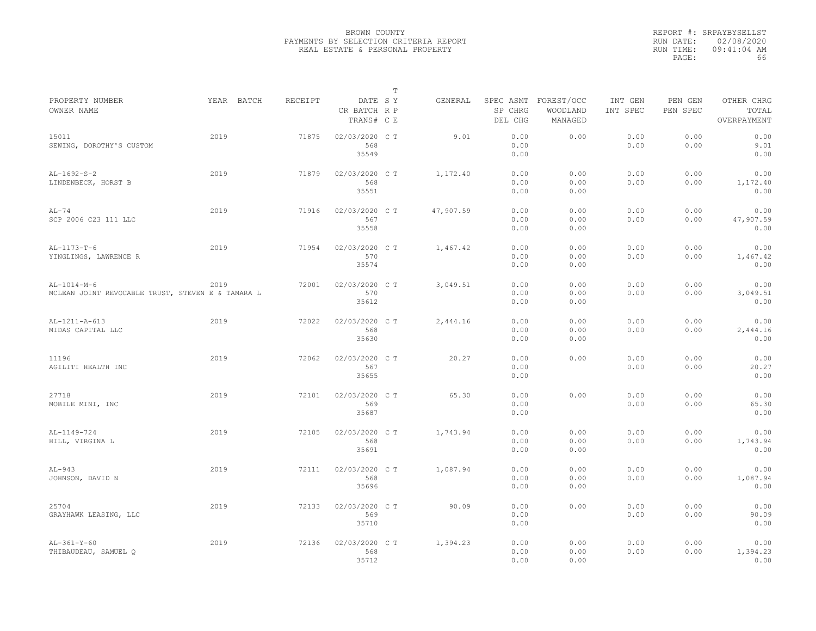|                                                                    |            |         |                                       | T |           |                      |                                             |                     |                     |                                    |
|--------------------------------------------------------------------|------------|---------|---------------------------------------|---|-----------|----------------------|---------------------------------------------|---------------------|---------------------|------------------------------------|
| PROPERTY NUMBER<br>OWNER NAME                                      | YEAR BATCH | RECEIPT | DATE SY<br>CR BATCH R P<br>TRANS# C E |   | GENERAL   | SP CHRG<br>DEL CHG   | SPEC ASMT FOREST/OCC<br>WOODLAND<br>MANAGED | INT GEN<br>INT SPEC | PEN GEN<br>PEN SPEC | OTHER CHRG<br>TOTAL<br>OVERPAYMENT |
| 15011<br>SEWING, DOROTHY'S CUSTOM                                  | 2019       | 71875   | 02/03/2020 C T<br>568<br>35549        |   | 9.01      | 0.00<br>0.00<br>0.00 | 0.00                                        | 0.00<br>0.00        | 0.00<br>0.00        | 0.00<br>9.01<br>0.00               |
| $AL-1692-S-2$<br>LINDENBECK, HORST B                               | 2019       | 71879   | 02/03/2020 C T<br>568<br>35551        |   | 1,172.40  | 0.00<br>0.00<br>0.00 | 0.00<br>0.00<br>0.00                        | 0.00<br>0.00        | 0.00<br>0.00        | 0.00<br>1,172.40<br>0.00           |
| $AL-74$<br>SCP 2006 C23 111 LLC                                    | 2019       | 71916   | 02/03/2020 C T<br>567<br>35558        |   | 47,907.59 | 0.00<br>0.00<br>0.00 | 0.00<br>0.00<br>0.00                        | 0.00<br>0.00        | 0.00<br>0.00        | 0.00<br>47,907.59<br>0.00          |
| $AL-1173-T-6$<br>YINGLINGS, LAWRENCE R                             | 2019       | 71954   | 02/03/2020 C T<br>570<br>35574        |   | 1,467.42  | 0.00<br>0.00<br>0.00 | 0.00<br>0.00<br>0.00                        | 0.00<br>0.00        | 0.00<br>0.00        | 0.00<br>1,467.42<br>0.00           |
| $AL-1014-M-6$<br>MCLEAN JOINT REVOCABLE TRUST, STEVEN E & TAMARA L | 2019       | 72001   | 02/03/2020 C T<br>570<br>35612        |   | 3,049.51  | 0.00<br>0.00<br>0.00 | 0.00<br>0.00<br>0.00                        | 0.00<br>0.00        | 0.00<br>0.00        | 0.00<br>3,049.51<br>0.00           |
| AL-1211-A-613<br>MIDAS CAPITAL LLC                                 | 2019       | 72022   | 02/03/2020 C T<br>568<br>35630        |   | 2,444.16  | 0.00<br>0.00<br>0.00 | 0.00<br>0.00<br>0.00                        | 0.00<br>0.00        | 0.00<br>0.00        | 0.00<br>2,444.16<br>0.00           |
| 11196<br>AGILITI HEALTH INC                                        | 2019       | 72062   | 02/03/2020 C T<br>567<br>35655        |   | 20.27     | 0.00<br>0.00<br>0.00 | 0.00                                        | 0.00<br>0.00        | 0.00<br>0.00        | 0.00<br>20.27<br>0.00              |
| 27718<br>MOBILE MINI, INC                                          | 2019       | 72101   | 02/03/2020 C T<br>569<br>35687        |   | 65.30     | 0.00<br>0.00<br>0.00 | 0.00                                        | 0.00<br>0.00        | 0.00<br>0.00        | 0.00<br>65.30<br>0.00              |
| AL-1149-724<br>HILL, VIRGINA L                                     | 2019       | 72105   | 02/03/2020 C T<br>568<br>35691        |   | 1,743.94  | 0.00<br>0.00<br>0.00 | 0.00<br>0.00<br>0.00                        | 0.00<br>0.00        | 0.00<br>0.00        | 0.00<br>1,743.94<br>0.00           |
| $AL-943$<br>JOHNSON, DAVID N                                       | 2019       | 72111   | 02/03/2020 C T<br>568<br>35696        |   | 1,087.94  | 0.00<br>0.00<br>0.00 | 0.00<br>0.00<br>0.00                        | 0.00<br>0.00        | 0.00<br>0.00        | 0.00<br>1,087.94<br>0.00           |
| 25704<br>GRAYHAWK LEASING, LLC                                     | 2019       | 72133   | 02/03/2020 CT<br>569<br>35710         |   | 90.09     | 0.00<br>0.00<br>0.00 | 0.00                                        | 0.00<br>0.00        | 0.00<br>0.00        | 0.00<br>90.09<br>0.00              |
| $AL-361-Y-60$<br>THIBAUDEAU, SAMUEL O                              | 2019       | 72136   | 02/03/2020 C T<br>568<br>35712        |   | 1,394.23  | 0.00<br>0.00<br>0.00 | 0.00<br>0.00<br>0.00                        | 0.00<br>0.00        | 0.00<br>0.00        | 0.00<br>1,394.23<br>0.00           |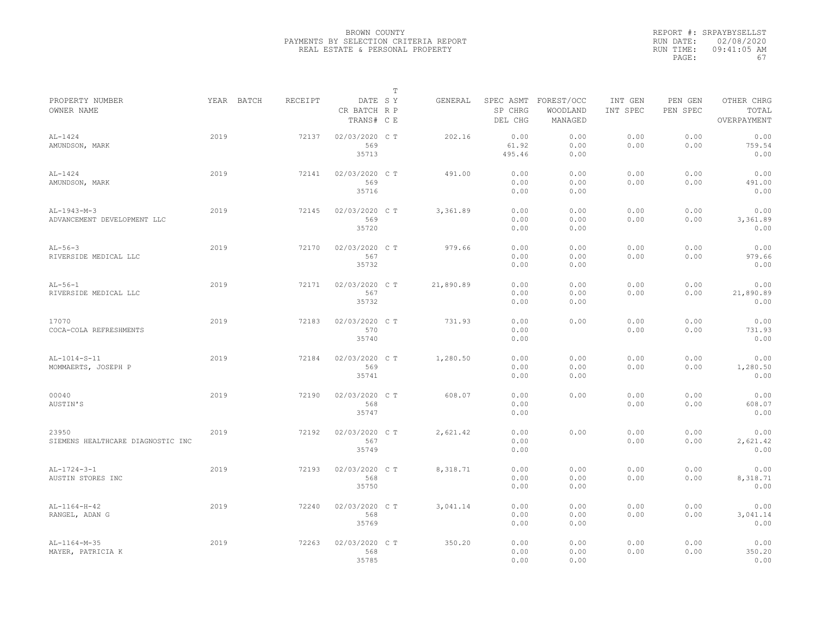|                                              |      |            |         |                                       | $\mathbb T$ |           |                                 |                                   |                     |                     |                                    |
|----------------------------------------------|------|------------|---------|---------------------------------------|-------------|-----------|---------------------------------|-----------------------------------|---------------------|---------------------|------------------------------------|
| PROPERTY NUMBER<br>OWNER NAME                |      | YEAR BATCH | RECEIPT | DATE SY<br>CR BATCH R P<br>TRANS# C E |             | GENERAL   | SPEC ASMT<br>SP CHRG<br>DEL CHG | FOREST/OCC<br>WOODLAND<br>MANAGED | INT GEN<br>INT SPEC | PEN GEN<br>PEN SPEC | OTHER CHRG<br>TOTAL<br>OVERPAYMENT |
| $AL-1424$<br>AMUNDSON, MARK                  | 2019 |            | 72137   | 02/03/2020 CT<br>569<br>35713         |             | 202.16    | 0.00<br>61.92<br>495.46         | 0.00<br>0.00<br>0.00              | 0.00<br>0.00        | 0.00<br>0.00        | 0.00<br>759.54<br>0.00             |
| $AL-1424$<br>AMUNDSON, MARK                  | 2019 |            | 72141   | 02/03/2020 C T<br>569<br>35716        |             | 491.00    | 0.00<br>0.00<br>0.00            | 0.00<br>0.00<br>0.00              | 0.00<br>0.00        | 0.00<br>0.00        | 0.00<br>491.00<br>0.00             |
| $AL-1943-M-3$<br>ADVANCEMENT DEVELOPMENT LLC | 2019 |            | 72145   | 02/03/2020 C T<br>569<br>35720        |             | 3,361.89  | 0.00<br>0.00<br>0.00            | 0.00<br>0.00<br>0.00              | 0.00<br>0.00        | 0.00<br>0.00        | 0.00<br>3,361.89<br>0.00           |
| $AL-56-3$<br>RIVERSIDE MEDICAL LLC           | 2019 |            | 72170   | 02/03/2020 C T<br>567<br>35732        |             | 979.66    | 0.00<br>0.00<br>0.00            | 0.00<br>0.00<br>0.00              | 0.00<br>0.00        | 0.00<br>0.00        | 0.00<br>979.66<br>0.00             |
| $AL-56-1$<br>RIVERSIDE MEDICAL LLC           | 2019 |            | 72171   | 02/03/2020 C T<br>567<br>35732        |             | 21,890.89 | 0.00<br>0.00<br>0.00            | 0.00<br>0.00<br>0.00              | 0.00<br>0.00        | 0.00<br>0.00        | 0.00<br>21,890.89<br>0.00          |
| 17070<br>COCA-COLA REFRESHMENTS              | 2019 |            | 72183   | 02/03/2020 CT<br>570<br>35740         |             | 731.93    | 0.00<br>0.00<br>0.00            | 0.00                              | 0.00<br>0.00        | 0.00<br>0.00        | 0.00<br>731.93<br>0.00             |
| AL-1014-S-11<br>MOMMAERTS, JOSEPH P          | 2019 |            | 72184   | 02/03/2020 C T<br>569<br>35741        |             | 1,280.50  | 0.00<br>0.00<br>0.00            | 0.00<br>0.00<br>0.00              | 0.00<br>0.00        | 0.00<br>0.00        | 0.00<br>1,280.50<br>0.00           |
| 00040<br>AUSTIN'S                            | 2019 |            | 72190   | 02/03/2020 C T<br>568<br>35747        |             | 608.07    | 0.00<br>0.00<br>0.00            | 0.00                              | 0.00<br>0.00        | 0.00<br>0.00        | 0.00<br>608.07<br>0.00             |
| 23950<br>SIEMENS HEALTHCARE DIAGNOSTIC INC   | 2019 |            | 72192   | 02/03/2020 CT<br>567<br>35749         |             | 2,621.42  | 0.00<br>0.00<br>0.00            | 0.00                              | 0.00<br>0.00        | 0.00<br>0.00        | 0.00<br>2,621.42<br>0.00           |
| $AL-1724-3-1$<br>AUSTIN STORES INC           | 2019 |            | 72193   | 02/03/2020 C T<br>568<br>35750        |             | 8,318.71  | 0.00<br>0.00<br>0.00            | 0.00<br>0.00<br>0.00              | 0.00<br>0.00        | 0.00<br>0.00        | 0.00<br>8,318.71<br>0.00           |
| $AL-1164-H-42$<br>RANGEL, ADAN G             | 2019 |            | 72240   | 02/03/2020 C T<br>568<br>35769        |             | 3,041.14  | 0.00<br>0.00<br>0.00            | 0.00<br>0.00<br>0.00              | 0.00<br>0.00        | 0.00<br>0.00        | 0.00<br>3,041.14<br>0.00           |
| $AL-1164-M-35$<br>MAYER, PATRICIA K          | 2019 |            | 72263   | 02/03/2020 CT<br>568<br>35785         |             | 350.20    | 0.00<br>0.00<br>0.00            | 0.00<br>0.00<br>0.00              | 0.00<br>0.00        | 0.00<br>0.00        | 0.00<br>350.20<br>0.00             |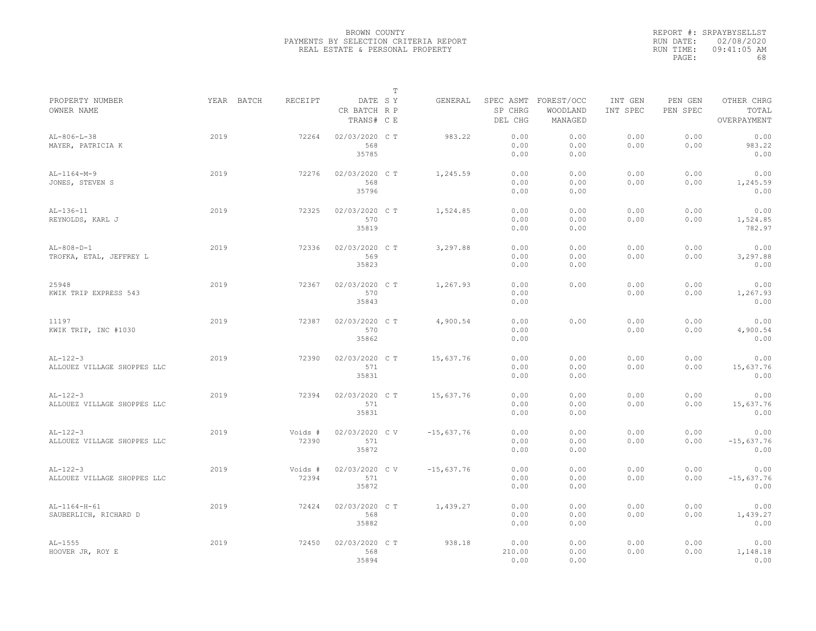| YEAR BATCH<br>RECEIPT<br>DATE SY<br>SPEC ASMT FOREST/OCC<br>GENERAL<br>INT GEN<br>PEN GEN<br>OTHER CHRG<br>SP CHRG<br>PEN SPEC<br>TOTAL<br>CR BATCH R P<br>WOODLAND<br>INT SPEC<br>TRANS# C E<br>DEL CHG<br>MANAGED<br>OVERPAYMENT<br>2019<br>02/03/2020 C T<br>0.00<br>0.00<br>$AL-806-L-38$<br>72264<br>983.22<br>0.00<br>0.00<br>0.00<br>568<br>0.00<br>0.00<br>983.22<br>MAYER, PATRICIA K<br>0.00<br>0.00<br>35785<br>0.00<br>0.00<br>0.00<br>2019<br>02/03/2020 C T<br>1,245.59<br>0.00<br>0.00<br>0.00<br>0.00<br>0.00<br>72276<br>568<br>0.00<br>0.00<br>0.00<br>0.00<br>1,245.59<br>35796<br>0.00<br>0.00<br>0.00<br>2019<br>0.00<br>0.00<br>0.00<br>0.00<br>0.00<br>$AL-136-11$<br>72325<br>02/03/2020 C T<br>1,524.85<br>570<br>REYNOLDS, KARL J<br>0.00<br>0.00<br>0.00<br>0.00<br>1,524.85<br>35819<br>0.00<br>782.97<br>0.00<br>3,297.88<br>0.00<br>0.00<br>0.00<br>0.00<br>2019<br>72336<br>02/03/2020 C T<br>0.00<br>569<br>0.00<br>0.00<br>0.00<br>0.00<br>3,297.88<br>35823<br>0.00<br>0.00<br>0.00<br>2019<br>02/03/2020 C T<br>1,267.93<br>0.00<br>0.00<br>0.00<br>0.00<br>0.00<br>72367<br>570<br>0.00<br>0.00<br>0.00<br>1,267.93<br>35843<br>0.00<br>0.00<br>0.00<br>2019<br>72387<br>02/03/2020 C T<br>4,900.54<br>0.00<br>0.00<br>0.00<br>0.00<br>570<br>0.00<br>0.00<br>0.00<br>4,900.54<br>35862<br>0.00<br>0.00<br>2019<br>02/03/2020 C T<br>15,637.76<br>0.00<br>0.00<br>0.00<br>0.00<br>0.00<br>$AL-122-3$<br>72390<br>571<br>0.00<br>0.00<br>0.00<br>0.00<br>15,637.76<br>ALLOUEZ VILLAGE SHOPPES LLC<br>35831<br>0.00<br>0.00<br>0.00<br>$AL-122-3$<br>2019<br>72394<br>02/03/2020 C T<br>15,637.76<br>0.00<br>0.00<br>0.00<br>0.00<br>0.00<br>0.00<br>15,637.76<br>ALLOUEZ VILLAGE SHOPPES LLC<br>571<br>0.00<br>0.00<br>0.00<br>35831<br>0.00<br>0.00<br>0.00<br>2019<br>0.00<br>0.00<br>0.00<br>Voids #<br>02/03/2020 C V<br>$-15,637.76$<br>0.00<br>0.00<br>72390<br>0.00<br>0.00<br>0.00<br>$-15,637.76$<br>571<br>0.00<br>35872<br>0.00<br>0.00<br>0.00<br>$AL-122-3$<br>2019<br>Voids #<br>02/03/2020 CV<br>$-15,637.76$<br>0.00<br>0.00<br>0.00<br>0.00<br>0.00<br>72394<br>571<br>0.00<br>0.00<br>0.00<br>0.00<br>$-15,637.76$<br>ALLOUEZ VILLAGE SHOPPES LLC<br>35872<br>0.00<br>0.00<br>0.00<br>2019<br>0.00<br>0.00<br>0.00<br>0.00<br>0.00<br>AL-1164-H-61<br>72424<br>02/03/2020 C T<br>1,439.27<br>568<br>SAUBERLICH, RICHARD D<br>0.00<br>0.00<br>0.00<br>0.00<br>1,439.27<br>35882<br>0.00<br>0.00<br>0.00<br>2019<br>02/03/2020 CT<br>938.18<br>0.00<br>0.00<br>0.00<br>0.00<br>0.00<br>72450<br>568<br>210.00<br>0.00<br>0.00<br>0.00<br>1,148.18<br>35894<br>0.00<br>0.00<br>0.00 |                               |  | $\mathbb T$ |  |  |  |
|---------------------------------------------------------------------------------------------------------------------------------------------------------------------------------------------------------------------------------------------------------------------------------------------------------------------------------------------------------------------------------------------------------------------------------------------------------------------------------------------------------------------------------------------------------------------------------------------------------------------------------------------------------------------------------------------------------------------------------------------------------------------------------------------------------------------------------------------------------------------------------------------------------------------------------------------------------------------------------------------------------------------------------------------------------------------------------------------------------------------------------------------------------------------------------------------------------------------------------------------------------------------------------------------------------------------------------------------------------------------------------------------------------------------------------------------------------------------------------------------------------------------------------------------------------------------------------------------------------------------------------------------------------------------------------------------------------------------------------------------------------------------------------------------------------------------------------------------------------------------------------------------------------------------------------------------------------------------------------------------------------------------------------------------------------------------------------------------------------------------------------------------------------------------------------------------------------------------------------------------------------------------------------------------------------------------------------------------------------------------------------------------------------------------------------------------------------------------------------------------------------------------------------------------------------------------------------------------------------------------------------------|-------------------------------|--|-------------|--|--|--|
|                                                                                                                                                                                                                                                                                                                                                                                                                                                                                                                                                                                                                                                                                                                                                                                                                                                                                                                                                                                                                                                                                                                                                                                                                                                                                                                                                                                                                                                                                                                                                                                                                                                                                                                                                                                                                                                                                                                                                                                                                                                                                                                                                                                                                                                                                                                                                                                                                                                                                                                                                                                                                                       | PROPERTY NUMBER<br>OWNER NAME |  |             |  |  |  |
|                                                                                                                                                                                                                                                                                                                                                                                                                                                                                                                                                                                                                                                                                                                                                                                                                                                                                                                                                                                                                                                                                                                                                                                                                                                                                                                                                                                                                                                                                                                                                                                                                                                                                                                                                                                                                                                                                                                                                                                                                                                                                                                                                                                                                                                                                                                                                                                                                                                                                                                                                                                                                                       |                               |  |             |  |  |  |
|                                                                                                                                                                                                                                                                                                                                                                                                                                                                                                                                                                                                                                                                                                                                                                                                                                                                                                                                                                                                                                                                                                                                                                                                                                                                                                                                                                                                                                                                                                                                                                                                                                                                                                                                                                                                                                                                                                                                                                                                                                                                                                                                                                                                                                                                                                                                                                                                                                                                                                                                                                                                                                       |                               |  |             |  |  |  |
|                                                                                                                                                                                                                                                                                                                                                                                                                                                                                                                                                                                                                                                                                                                                                                                                                                                                                                                                                                                                                                                                                                                                                                                                                                                                                                                                                                                                                                                                                                                                                                                                                                                                                                                                                                                                                                                                                                                                                                                                                                                                                                                                                                                                                                                                                                                                                                                                                                                                                                                                                                                                                                       |                               |  |             |  |  |  |
|                                                                                                                                                                                                                                                                                                                                                                                                                                                                                                                                                                                                                                                                                                                                                                                                                                                                                                                                                                                                                                                                                                                                                                                                                                                                                                                                                                                                                                                                                                                                                                                                                                                                                                                                                                                                                                                                                                                                                                                                                                                                                                                                                                                                                                                                                                                                                                                                                                                                                                                                                                                                                                       |                               |  |             |  |  |  |
|                                                                                                                                                                                                                                                                                                                                                                                                                                                                                                                                                                                                                                                                                                                                                                                                                                                                                                                                                                                                                                                                                                                                                                                                                                                                                                                                                                                                                                                                                                                                                                                                                                                                                                                                                                                                                                                                                                                                                                                                                                                                                                                                                                                                                                                                                                                                                                                                                                                                                                                                                                                                                                       | $AL-1164-M-9$                 |  |             |  |  |  |
|                                                                                                                                                                                                                                                                                                                                                                                                                                                                                                                                                                                                                                                                                                                                                                                                                                                                                                                                                                                                                                                                                                                                                                                                                                                                                                                                                                                                                                                                                                                                                                                                                                                                                                                                                                                                                                                                                                                                                                                                                                                                                                                                                                                                                                                                                                                                                                                                                                                                                                                                                                                                                                       | JONES, STEVEN S               |  |             |  |  |  |
|                                                                                                                                                                                                                                                                                                                                                                                                                                                                                                                                                                                                                                                                                                                                                                                                                                                                                                                                                                                                                                                                                                                                                                                                                                                                                                                                                                                                                                                                                                                                                                                                                                                                                                                                                                                                                                                                                                                                                                                                                                                                                                                                                                                                                                                                                                                                                                                                                                                                                                                                                                                                                                       |                               |  |             |  |  |  |
|                                                                                                                                                                                                                                                                                                                                                                                                                                                                                                                                                                                                                                                                                                                                                                                                                                                                                                                                                                                                                                                                                                                                                                                                                                                                                                                                                                                                                                                                                                                                                                                                                                                                                                                                                                                                                                                                                                                                                                                                                                                                                                                                                                                                                                                                                                                                                                                                                                                                                                                                                                                                                                       |                               |  |             |  |  |  |
|                                                                                                                                                                                                                                                                                                                                                                                                                                                                                                                                                                                                                                                                                                                                                                                                                                                                                                                                                                                                                                                                                                                                                                                                                                                                                                                                                                                                                                                                                                                                                                                                                                                                                                                                                                                                                                                                                                                                                                                                                                                                                                                                                                                                                                                                                                                                                                                                                                                                                                                                                                                                                                       |                               |  |             |  |  |  |
|                                                                                                                                                                                                                                                                                                                                                                                                                                                                                                                                                                                                                                                                                                                                                                                                                                                                                                                                                                                                                                                                                                                                                                                                                                                                                                                                                                                                                                                                                                                                                                                                                                                                                                                                                                                                                                                                                                                                                                                                                                                                                                                                                                                                                                                                                                                                                                                                                                                                                                                                                                                                                                       |                               |  |             |  |  |  |
|                                                                                                                                                                                                                                                                                                                                                                                                                                                                                                                                                                                                                                                                                                                                                                                                                                                                                                                                                                                                                                                                                                                                                                                                                                                                                                                                                                                                                                                                                                                                                                                                                                                                                                                                                                                                                                                                                                                                                                                                                                                                                                                                                                                                                                                                                                                                                                                                                                                                                                                                                                                                                                       |                               |  |             |  |  |  |
|                                                                                                                                                                                                                                                                                                                                                                                                                                                                                                                                                                                                                                                                                                                                                                                                                                                                                                                                                                                                                                                                                                                                                                                                                                                                                                                                                                                                                                                                                                                                                                                                                                                                                                                                                                                                                                                                                                                                                                                                                                                                                                                                                                                                                                                                                                                                                                                                                                                                                                                                                                                                                                       | $AL-808-D-1$                  |  |             |  |  |  |
|                                                                                                                                                                                                                                                                                                                                                                                                                                                                                                                                                                                                                                                                                                                                                                                                                                                                                                                                                                                                                                                                                                                                                                                                                                                                                                                                                                                                                                                                                                                                                                                                                                                                                                                                                                                                                                                                                                                                                                                                                                                                                                                                                                                                                                                                                                                                                                                                                                                                                                                                                                                                                                       | TROFKA, ETAL, JEFFREY L       |  |             |  |  |  |
|                                                                                                                                                                                                                                                                                                                                                                                                                                                                                                                                                                                                                                                                                                                                                                                                                                                                                                                                                                                                                                                                                                                                                                                                                                                                                                                                                                                                                                                                                                                                                                                                                                                                                                                                                                                                                                                                                                                                                                                                                                                                                                                                                                                                                                                                                                                                                                                                                                                                                                                                                                                                                                       |                               |  |             |  |  |  |
|                                                                                                                                                                                                                                                                                                                                                                                                                                                                                                                                                                                                                                                                                                                                                                                                                                                                                                                                                                                                                                                                                                                                                                                                                                                                                                                                                                                                                                                                                                                                                                                                                                                                                                                                                                                                                                                                                                                                                                                                                                                                                                                                                                                                                                                                                                                                                                                                                                                                                                                                                                                                                                       |                               |  |             |  |  |  |
|                                                                                                                                                                                                                                                                                                                                                                                                                                                                                                                                                                                                                                                                                                                                                                                                                                                                                                                                                                                                                                                                                                                                                                                                                                                                                                                                                                                                                                                                                                                                                                                                                                                                                                                                                                                                                                                                                                                                                                                                                                                                                                                                                                                                                                                                                                                                                                                                                                                                                                                                                                                                                                       | 25948                         |  |             |  |  |  |
|                                                                                                                                                                                                                                                                                                                                                                                                                                                                                                                                                                                                                                                                                                                                                                                                                                                                                                                                                                                                                                                                                                                                                                                                                                                                                                                                                                                                                                                                                                                                                                                                                                                                                                                                                                                                                                                                                                                                                                                                                                                                                                                                                                                                                                                                                                                                                                                                                                                                                                                                                                                                                                       | KWIK TRIP EXPRESS 543         |  |             |  |  |  |
|                                                                                                                                                                                                                                                                                                                                                                                                                                                                                                                                                                                                                                                                                                                                                                                                                                                                                                                                                                                                                                                                                                                                                                                                                                                                                                                                                                                                                                                                                                                                                                                                                                                                                                                                                                                                                                                                                                                                                                                                                                                                                                                                                                                                                                                                                                                                                                                                                                                                                                                                                                                                                                       |                               |  |             |  |  |  |
|                                                                                                                                                                                                                                                                                                                                                                                                                                                                                                                                                                                                                                                                                                                                                                                                                                                                                                                                                                                                                                                                                                                                                                                                                                                                                                                                                                                                                                                                                                                                                                                                                                                                                                                                                                                                                                                                                                                                                                                                                                                                                                                                                                                                                                                                                                                                                                                                                                                                                                                                                                                                                                       |                               |  |             |  |  |  |
|                                                                                                                                                                                                                                                                                                                                                                                                                                                                                                                                                                                                                                                                                                                                                                                                                                                                                                                                                                                                                                                                                                                                                                                                                                                                                                                                                                                                                                                                                                                                                                                                                                                                                                                                                                                                                                                                                                                                                                                                                                                                                                                                                                                                                                                                                                                                                                                                                                                                                                                                                                                                                                       | 11197                         |  |             |  |  |  |
|                                                                                                                                                                                                                                                                                                                                                                                                                                                                                                                                                                                                                                                                                                                                                                                                                                                                                                                                                                                                                                                                                                                                                                                                                                                                                                                                                                                                                                                                                                                                                                                                                                                                                                                                                                                                                                                                                                                                                                                                                                                                                                                                                                                                                                                                                                                                                                                                                                                                                                                                                                                                                                       | KWIK TRIP, INC #1030          |  |             |  |  |  |
|                                                                                                                                                                                                                                                                                                                                                                                                                                                                                                                                                                                                                                                                                                                                                                                                                                                                                                                                                                                                                                                                                                                                                                                                                                                                                                                                                                                                                                                                                                                                                                                                                                                                                                                                                                                                                                                                                                                                                                                                                                                                                                                                                                                                                                                                                                                                                                                                                                                                                                                                                                                                                                       |                               |  |             |  |  |  |
|                                                                                                                                                                                                                                                                                                                                                                                                                                                                                                                                                                                                                                                                                                                                                                                                                                                                                                                                                                                                                                                                                                                                                                                                                                                                                                                                                                                                                                                                                                                                                                                                                                                                                                                                                                                                                                                                                                                                                                                                                                                                                                                                                                                                                                                                                                                                                                                                                                                                                                                                                                                                                                       |                               |  |             |  |  |  |
|                                                                                                                                                                                                                                                                                                                                                                                                                                                                                                                                                                                                                                                                                                                                                                                                                                                                                                                                                                                                                                                                                                                                                                                                                                                                                                                                                                                                                                                                                                                                                                                                                                                                                                                                                                                                                                                                                                                                                                                                                                                                                                                                                                                                                                                                                                                                                                                                                                                                                                                                                                                                                                       |                               |  |             |  |  |  |
|                                                                                                                                                                                                                                                                                                                                                                                                                                                                                                                                                                                                                                                                                                                                                                                                                                                                                                                                                                                                                                                                                                                                                                                                                                                                                                                                                                                                                                                                                                                                                                                                                                                                                                                                                                                                                                                                                                                                                                                                                                                                                                                                                                                                                                                                                                                                                                                                                                                                                                                                                                                                                                       |                               |  |             |  |  |  |
|                                                                                                                                                                                                                                                                                                                                                                                                                                                                                                                                                                                                                                                                                                                                                                                                                                                                                                                                                                                                                                                                                                                                                                                                                                                                                                                                                                                                                                                                                                                                                                                                                                                                                                                                                                                                                                                                                                                                                                                                                                                                                                                                                                                                                                                                                                                                                                                                                                                                                                                                                                                                                                       |                               |  |             |  |  |  |
|                                                                                                                                                                                                                                                                                                                                                                                                                                                                                                                                                                                                                                                                                                                                                                                                                                                                                                                                                                                                                                                                                                                                                                                                                                                                                                                                                                                                                                                                                                                                                                                                                                                                                                                                                                                                                                                                                                                                                                                                                                                                                                                                                                                                                                                                                                                                                                                                                                                                                                                                                                                                                                       |                               |  |             |  |  |  |
|                                                                                                                                                                                                                                                                                                                                                                                                                                                                                                                                                                                                                                                                                                                                                                                                                                                                                                                                                                                                                                                                                                                                                                                                                                                                                                                                                                                                                                                                                                                                                                                                                                                                                                                                                                                                                                                                                                                                                                                                                                                                                                                                                                                                                                                                                                                                                                                                                                                                                                                                                                                                                                       |                               |  |             |  |  |  |
|                                                                                                                                                                                                                                                                                                                                                                                                                                                                                                                                                                                                                                                                                                                                                                                                                                                                                                                                                                                                                                                                                                                                                                                                                                                                                                                                                                                                                                                                                                                                                                                                                                                                                                                                                                                                                                                                                                                                                                                                                                                                                                                                                                                                                                                                                                                                                                                                                                                                                                                                                                                                                                       |                               |  |             |  |  |  |
|                                                                                                                                                                                                                                                                                                                                                                                                                                                                                                                                                                                                                                                                                                                                                                                                                                                                                                                                                                                                                                                                                                                                                                                                                                                                                                                                                                                                                                                                                                                                                                                                                                                                                                                                                                                                                                                                                                                                                                                                                                                                                                                                                                                                                                                                                                                                                                                                                                                                                                                                                                                                                                       |                               |  |             |  |  |  |
|                                                                                                                                                                                                                                                                                                                                                                                                                                                                                                                                                                                                                                                                                                                                                                                                                                                                                                                                                                                                                                                                                                                                                                                                                                                                                                                                                                                                                                                                                                                                                                                                                                                                                                                                                                                                                                                                                                                                                                                                                                                                                                                                                                                                                                                                                                                                                                                                                                                                                                                                                                                                                                       | $AL-122-3$                    |  |             |  |  |  |
|                                                                                                                                                                                                                                                                                                                                                                                                                                                                                                                                                                                                                                                                                                                                                                                                                                                                                                                                                                                                                                                                                                                                                                                                                                                                                                                                                                                                                                                                                                                                                                                                                                                                                                                                                                                                                                                                                                                                                                                                                                                                                                                                                                                                                                                                                                                                                                                                                                                                                                                                                                                                                                       | ALLOUEZ VILLAGE SHOPPES LLC   |  |             |  |  |  |
|                                                                                                                                                                                                                                                                                                                                                                                                                                                                                                                                                                                                                                                                                                                                                                                                                                                                                                                                                                                                                                                                                                                                                                                                                                                                                                                                                                                                                                                                                                                                                                                                                                                                                                                                                                                                                                                                                                                                                                                                                                                                                                                                                                                                                                                                                                                                                                                                                                                                                                                                                                                                                                       |                               |  |             |  |  |  |
|                                                                                                                                                                                                                                                                                                                                                                                                                                                                                                                                                                                                                                                                                                                                                                                                                                                                                                                                                                                                                                                                                                                                                                                                                                                                                                                                                                                                                                                                                                                                                                                                                                                                                                                                                                                                                                                                                                                                                                                                                                                                                                                                                                                                                                                                                                                                                                                                                                                                                                                                                                                                                                       |                               |  |             |  |  |  |
|                                                                                                                                                                                                                                                                                                                                                                                                                                                                                                                                                                                                                                                                                                                                                                                                                                                                                                                                                                                                                                                                                                                                                                                                                                                                                                                                                                                                                                                                                                                                                                                                                                                                                                                                                                                                                                                                                                                                                                                                                                                                                                                                                                                                                                                                                                                                                                                                                                                                                                                                                                                                                                       |                               |  |             |  |  |  |
|                                                                                                                                                                                                                                                                                                                                                                                                                                                                                                                                                                                                                                                                                                                                                                                                                                                                                                                                                                                                                                                                                                                                                                                                                                                                                                                                                                                                                                                                                                                                                                                                                                                                                                                                                                                                                                                                                                                                                                                                                                                                                                                                                                                                                                                                                                                                                                                                                                                                                                                                                                                                                                       |                               |  |             |  |  |  |
|                                                                                                                                                                                                                                                                                                                                                                                                                                                                                                                                                                                                                                                                                                                                                                                                                                                                                                                                                                                                                                                                                                                                                                                                                                                                                                                                                                                                                                                                                                                                                                                                                                                                                                                                                                                                                                                                                                                                                                                                                                                                                                                                                                                                                                                                                                                                                                                                                                                                                                                                                                                                                                       |                               |  |             |  |  |  |
|                                                                                                                                                                                                                                                                                                                                                                                                                                                                                                                                                                                                                                                                                                                                                                                                                                                                                                                                                                                                                                                                                                                                                                                                                                                                                                                                                                                                                                                                                                                                                                                                                                                                                                                                                                                                                                                                                                                                                                                                                                                                                                                                                                                                                                                                                                                                                                                                                                                                                                                                                                                                                                       |                               |  |             |  |  |  |
|                                                                                                                                                                                                                                                                                                                                                                                                                                                                                                                                                                                                                                                                                                                                                                                                                                                                                                                                                                                                                                                                                                                                                                                                                                                                                                                                                                                                                                                                                                                                                                                                                                                                                                                                                                                                                                                                                                                                                                                                                                                                                                                                                                                                                                                                                                                                                                                                                                                                                                                                                                                                                                       |                               |  |             |  |  |  |
|                                                                                                                                                                                                                                                                                                                                                                                                                                                                                                                                                                                                                                                                                                                                                                                                                                                                                                                                                                                                                                                                                                                                                                                                                                                                                                                                                                                                                                                                                                                                                                                                                                                                                                                                                                                                                                                                                                                                                                                                                                                                                                                                                                                                                                                                                                                                                                                                                                                                                                                                                                                                                                       |                               |  |             |  |  |  |
|                                                                                                                                                                                                                                                                                                                                                                                                                                                                                                                                                                                                                                                                                                                                                                                                                                                                                                                                                                                                                                                                                                                                                                                                                                                                                                                                                                                                                                                                                                                                                                                                                                                                                                                                                                                                                                                                                                                                                                                                                                                                                                                                                                                                                                                                                                                                                                                                                                                                                                                                                                                                                                       |                               |  |             |  |  |  |
|                                                                                                                                                                                                                                                                                                                                                                                                                                                                                                                                                                                                                                                                                                                                                                                                                                                                                                                                                                                                                                                                                                                                                                                                                                                                                                                                                                                                                                                                                                                                                                                                                                                                                                                                                                                                                                                                                                                                                                                                                                                                                                                                                                                                                                                                                                                                                                                                                                                                                                                                                                                                                                       | $AL-1555$                     |  |             |  |  |  |
|                                                                                                                                                                                                                                                                                                                                                                                                                                                                                                                                                                                                                                                                                                                                                                                                                                                                                                                                                                                                                                                                                                                                                                                                                                                                                                                                                                                                                                                                                                                                                                                                                                                                                                                                                                                                                                                                                                                                                                                                                                                                                                                                                                                                                                                                                                                                                                                                                                                                                                                                                                                                                                       | HOOVER JR, ROY E              |  |             |  |  |  |
|                                                                                                                                                                                                                                                                                                                                                                                                                                                                                                                                                                                                                                                                                                                                                                                                                                                                                                                                                                                                                                                                                                                                                                                                                                                                                                                                                                                                                                                                                                                                                                                                                                                                                                                                                                                                                                                                                                                                                                                                                                                                                                                                                                                                                                                                                                                                                                                                                                                                                                                                                                                                                                       |                               |  |             |  |  |  |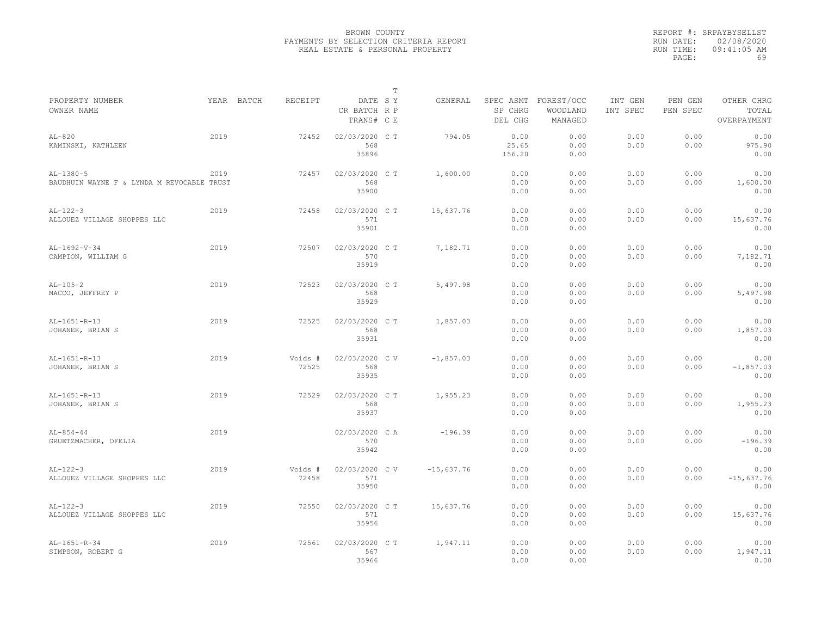|                                            |            |         |                                       | $\mathbb T$ |              |                    |                                             |                     |                     |                                    |
|--------------------------------------------|------------|---------|---------------------------------------|-------------|--------------|--------------------|---------------------------------------------|---------------------|---------------------|------------------------------------|
| PROPERTY NUMBER<br>OWNER NAME              | YEAR BATCH | RECEIPT | DATE SY<br>CR BATCH R P<br>TRANS# C E |             | GENERAL      | SP CHRG<br>DEL CHG | SPEC ASMT FOREST/OCC<br>WOODLAND<br>MANAGED | INT GEN<br>INT SPEC | PEN GEN<br>PEN SPEC | OTHER CHRG<br>TOTAL<br>OVERPAYMENT |
|                                            |            |         |                                       |             |              |                    |                                             |                     |                     |                                    |
| $AL-820$                                   | 2019       | 72452   | 02/03/2020 C T                        |             | 794.05       | 0.00               | 0.00                                        | 0.00                | 0.00                | 0.00                               |
| KAMINSKI, KATHLEEN                         |            |         | 568                                   |             |              | 25.65              | 0.00                                        | 0.00                | 0.00                | 975.90                             |
|                                            |            |         | 35896                                 |             |              | 156.20             | 0.00                                        |                     |                     | 0.00                               |
| $AL-1380-5$                                | 2019       | 72457   | 02/03/2020 C T                        |             | 1,600.00     | 0.00               | 0.00                                        | 0.00                | 0.00                | 0.00                               |
| BAUDHUIN WAYNE F & LYNDA M REVOCABLE TRUST |            |         | 568                                   |             |              | 0.00               | 0.00                                        | 0.00                | 0.00                | 1,600.00                           |
|                                            |            |         | 35900                                 |             |              | 0.00               | 0.00                                        |                     |                     | 0.00                               |
| $AL-122-3$                                 | 2019       | 72458   | 02/03/2020 C T                        |             | 15,637.76    | 0.00               | 0.00                                        | 0.00                | 0.00                | 0.00                               |
| ALLOUEZ VILLAGE SHOPPES LLC                |            |         | 571                                   |             |              | 0.00               | 0.00                                        | 0.00                | 0.00                | 15,637.76                          |
|                                            |            |         | 35901                                 |             |              | 0.00               | 0.00                                        |                     |                     | 0.00                               |
| AL-1692-V-34                               | 2019       | 72507   | 02/03/2020 C T                        |             | 7,182.71     | 0.00               | 0.00                                        | 0.00                | 0.00                | 0.00                               |
| CAMPION, WILLIAM G                         |            |         | 570                                   |             |              | 0.00               | 0.00                                        | 0.00                | 0.00                | 7,182.71                           |
|                                            |            |         | 35919                                 |             |              | 0.00               | 0.00                                        |                     |                     | 0.00                               |
| $AL-105-2$                                 | 2019       | 72523   | 02/03/2020 CT                         |             | 5,497.98     | 0.00               | 0.00                                        | 0.00                | 0.00                | 0.00                               |
| MACCO, JEFFREY P                           |            |         | 568                                   |             |              | 0.00               | 0.00                                        | 0.00                | 0.00                | 5,497.98                           |
|                                            |            |         | 35929                                 |             |              | 0.00               | 0.00                                        |                     |                     | 0.00                               |
| AL-1651-R-13                               | 2019       | 72525   | 02/03/2020 C T                        |             | 1,857.03     | 0.00               | 0.00                                        | 0.00                | 0.00                | 0.00                               |
| JOHANEK, BRIAN S                           |            |         | 568                                   |             |              | 0.00               | 0.00                                        | 0.00                | 0.00                | 1,857.03                           |
|                                            |            |         | 35931                                 |             |              | 0.00               | 0.00                                        |                     |                     | 0.00                               |
| $AL-1651-R-13$                             | 2019       | Voids # | 02/03/2020 CV                         |             | $-1,857.03$  | 0.00               | 0.00                                        | 0.00                | 0.00                | 0.00                               |
| JOHANEK, BRIAN S                           |            | 72525   | 568                                   |             |              | 0.00               | 0.00                                        | 0.00                | 0.00                | $-1,857.03$                        |
|                                            |            |         | 35935                                 |             |              | 0.00               | 0.00                                        |                     |                     | 0.00                               |
| AL-1651-R-13                               | 2019       | 72529   | 02/03/2020 CT                         |             | 1,955.23     | 0.00               | 0.00                                        | 0.00                | 0.00                | 0.00                               |
| JOHANEK, BRIAN S                           |            |         | 568                                   |             |              | 0.00               | 0.00                                        | 0.00                | 0.00                | 1,955.23                           |
|                                            |            |         | 35937                                 |             |              | 0.00               | 0.00                                        |                     |                     | 0.00                               |
| $AL-854-44$                                | 2019       |         | 02/03/2020 CA                         |             | $-196.39$    | 0.00               | 0.00                                        | 0.00                | 0.00                | 0.00                               |
| GRUETZMACHER, OFELIA                       |            |         | 570                                   |             |              | 0.00               | 0.00                                        | 0.00                | 0.00                | $-196.39$                          |
|                                            |            |         | 35942                                 |             |              | 0.00               | 0.00                                        |                     |                     | 0.00                               |
| $AL-122-3$                                 | 2019       | Voids # | 02/03/2020 CV                         |             | $-15,637.76$ | 0.00               | 0.00                                        | 0.00                | 0.00                | 0.00                               |
| ALLOUEZ VILLAGE SHOPPES LLC                |            | 72458   | 571                                   |             |              | 0.00               | 0.00                                        | 0.00                | 0.00                | $-15,637.76$                       |
|                                            |            |         | 35950                                 |             |              | 0.00               | 0.00                                        |                     |                     | 0.00                               |
| $AL-122-3$                                 | 2019       | 72550   | 02/03/2020 C T                        |             | 15,637.76    | 0.00               | 0.00                                        | 0.00                | 0.00                | 0.00                               |
| ALLOUEZ VILLAGE SHOPPES LLC                |            |         | 571                                   |             |              | 0.00               | 0.00                                        | 0.00                | 0.00                | 15,637.76                          |
|                                            |            |         | 35956                                 |             |              | 0.00               | 0.00                                        |                     |                     | 0.00                               |
| $AL-1651-R-34$                             | 2019       | 72561   | 02/03/2020 C T                        |             | 1,947.11     | 0.00               | 0.00                                        | 0.00                | 0.00                | 0.00                               |
| SIMPSON, ROBERT G                          |            |         | 567                                   |             |              | 0.00               | 0.00                                        | 0.00                | 0.00                | 1,947.11                           |
|                                            |            |         | 35966                                 |             |              | 0.00               | 0.00                                        |                     |                     | 0.00                               |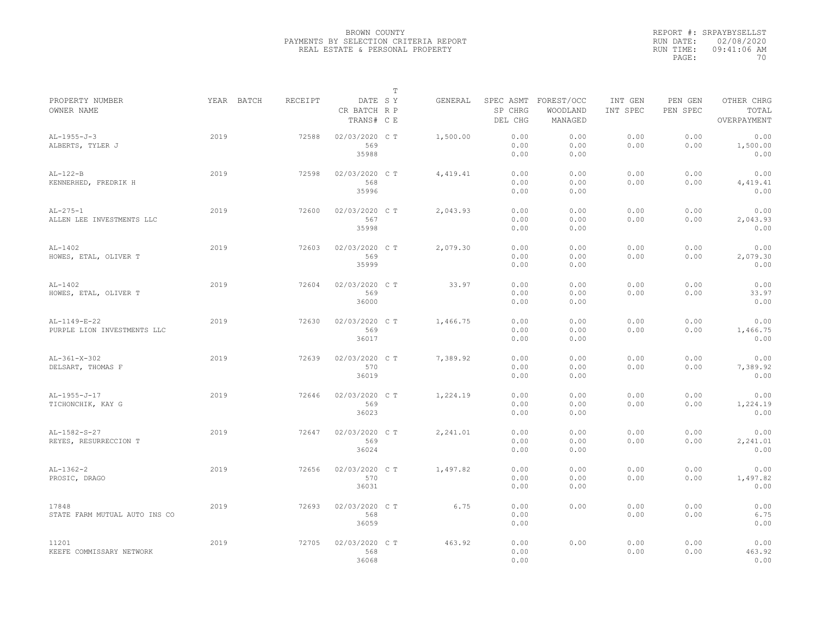|                                             |            |         |                                       | T |          |                      |                                             |                     |                     |                                    |
|---------------------------------------------|------------|---------|---------------------------------------|---|----------|----------------------|---------------------------------------------|---------------------|---------------------|------------------------------------|
| PROPERTY NUMBER<br>OWNER NAME               | YEAR BATCH | RECEIPT | DATE SY<br>CR BATCH R P<br>TRANS# C E |   | GENERAL  | SP CHRG<br>DEL CHG   | SPEC ASMT FOREST/OCC<br>WOODLAND<br>MANAGED | INT GEN<br>INT SPEC | PEN GEN<br>PEN SPEC | OTHER CHRG<br>TOTAL<br>OVERPAYMENT |
| $AL-1955-J-3$<br>ALBERTS, TYLER J           | 2019       | 72588   | 02/03/2020 C T<br>569<br>35988        |   | 1,500.00 | 0.00<br>0.00<br>0.00 | 0.00<br>0.00<br>0.00                        | 0.00<br>0.00        | 0.00<br>0.00        | 0.00<br>1,500.00<br>0.00           |
| $AL-122-B$<br>KENNERHED, FREDRIK H          | 2019       | 72598   | 02/03/2020 C T<br>568<br>35996        |   | 4,419.41 | 0.00<br>0.00<br>0.00 | 0.00<br>0.00<br>0.00                        | 0.00<br>0.00        | 0.00<br>0.00        | 0.00<br>4,419.41<br>0.00           |
| $AL-275-1$<br>ALLEN LEE INVESTMENTS LLC     | 2019       | 72600   | 02/03/2020 C T<br>567<br>35998        |   | 2,043.93 | 0.00<br>0.00<br>0.00 | 0.00<br>0.00<br>0.00                        | 0.00<br>0.00        | 0.00<br>0.00        | 0.00<br>2,043.93<br>0.00           |
| $AL-1402$<br>HOWES, ETAL, OLIVER T          | 2019       | 72603   | 02/03/2020 C T<br>569<br>35999        |   | 2,079.30 | 0.00<br>0.00<br>0.00 | 0.00<br>0.00<br>0.00                        | 0.00<br>0.00        | 0.00<br>0.00        | 0.00<br>2,079.30<br>0.00           |
| $AL-1402$<br>HOWES, ETAL, OLIVER T          | 2019       | 72604   | 02/03/2020 C T<br>569<br>36000        |   | 33.97    | 0.00<br>0.00<br>0.00 | 0.00<br>0.00<br>0.00                        | 0.00<br>0.00        | 0.00<br>0.00        | 0.00<br>33.97<br>0.00              |
| AL-1149-E-22<br>PURPLE LION INVESTMENTS LLC | 2019       | 72630   | 02/03/2020 C T<br>569<br>36017        |   | 1,466.75 | 0.00<br>0.00<br>0.00 | 0.00<br>0.00<br>0.00                        | 0.00<br>0.00        | 0.00<br>0.00        | 0.00<br>1,466.75<br>0.00           |
| $AL-361-X-302$<br>DELSART, THOMAS F         | 2019       | 72639   | 02/03/2020 C T<br>570<br>36019        |   | 7,389.92 | 0.00<br>0.00<br>0.00 | 0.00<br>0.00<br>0.00                        | 0.00<br>0.00        | 0.00<br>0.00        | 0.00<br>7,389.92<br>0.00           |
| $AL-1955-J-17$<br>TICHONCHIK, KAY G         | 2019       | 72646   | 02/03/2020 C T<br>569<br>36023        |   | 1,224.19 | 0.00<br>0.00<br>0.00 | 0.00<br>0.00<br>0.00                        | 0.00<br>0.00        | 0.00<br>0.00        | 0.00<br>1,224.19<br>0.00           |
| AL-1582-S-27<br>REYES, RESURRECCION T       | 2019       | 72647   | 02/03/2020 C T<br>569<br>36024        |   | 2,241.01 | 0.00<br>0.00<br>0.00 | 0.00<br>0.00<br>0.00                        | 0.00<br>0.00        | 0.00<br>0.00        | 0.00<br>2,241.01<br>0.00           |
| $AL-1362-2$<br>PROSIC, DRAGO                | 2019       | 72656   | 02/03/2020 C T<br>570<br>36031        |   | 1,497.82 | 0.00<br>0.00<br>0.00 | 0.00<br>0.00<br>0.00                        | 0.00<br>0.00        | 0.00<br>0.00        | 0.00<br>1,497.82<br>0.00           |
| 17848<br>STATE FARM MUTUAL AUTO INS CO      | 2019       | 72693   | 02/03/2020 C T<br>568<br>36059        |   | 6.75     | 0.00<br>0.00<br>0.00 | 0.00                                        | 0.00<br>0.00        | 0.00<br>0.00        | 0.00<br>6.75<br>0.00               |
| 11201<br>KEEFE COMMISSARY NETWORK           | 2019       | 72705   | 02/03/2020 CT<br>568<br>36068         |   | 463.92   | 0.00<br>0.00<br>0.00 | 0.00                                        | 0.00<br>0.00        | 0.00<br>0.00        | 0.00<br>463.92<br>0.00             |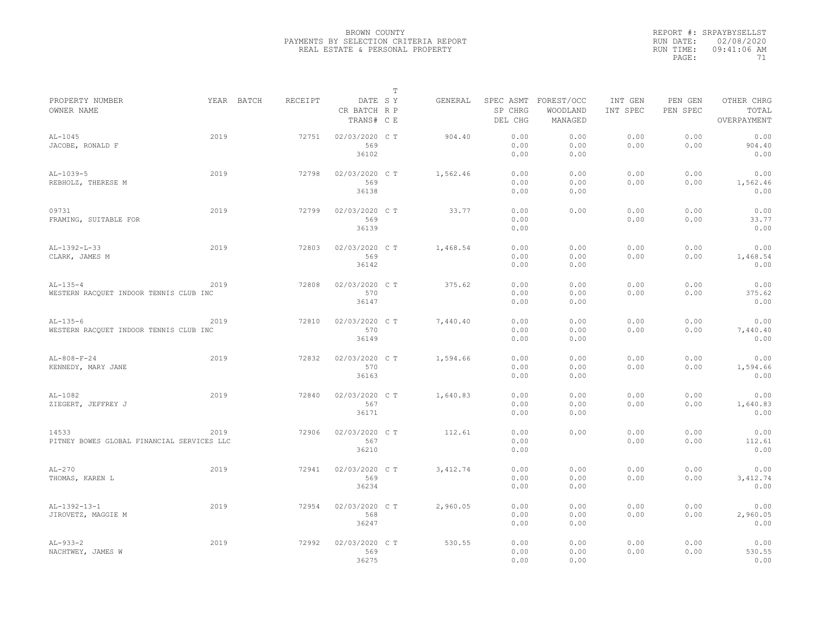|                                                      |      |            |         |                                       | T |           |                      |                                             |                     |                     |                                    |
|------------------------------------------------------|------|------------|---------|---------------------------------------|---|-----------|----------------------|---------------------------------------------|---------------------|---------------------|------------------------------------|
| PROPERTY NUMBER<br>OWNER NAME                        |      | YEAR BATCH | RECEIPT | DATE SY<br>CR BATCH R P<br>TRANS# C E |   | GENERAL   | SP CHRG<br>DEL CHG   | SPEC ASMT FOREST/OCC<br>WOODLAND<br>MANAGED | INT GEN<br>INT SPEC | PEN GEN<br>PEN SPEC | OTHER CHRG<br>TOTAL<br>OVERPAYMENT |
| $AL-1045$<br>JACOBE, RONALD F                        | 2019 |            | 72751   | 02/03/2020 C T<br>569<br>36102        |   | 904.40    | 0.00<br>0.00<br>0.00 | 0.00<br>0.00<br>0.00                        | 0.00<br>0.00        | 0.00<br>0.00        | 0.00<br>904.40<br>0.00             |
| $AL-1039-5$<br>REBHOLZ, THERESE M                    | 2019 |            | 72798   | 02/03/2020 C T<br>569<br>36138        |   | 1,562.46  | 0.00<br>0.00<br>0.00 | 0.00<br>0.00<br>0.00                        | 0.00<br>0.00        | 0.00<br>0.00        | 0.00<br>1,562.46<br>0.00           |
| 09731<br>FRAMING, SUITABLE FOR                       | 2019 |            | 72799   | 02/03/2020 C T<br>569<br>36139        |   | 33.77     | 0.00<br>0.00<br>0.00 | 0.00                                        | 0.00<br>0.00        | 0.00<br>0.00        | 0.00<br>33.77<br>0.00              |
| $AL-1392-L-33$<br>CLARK, JAMES M                     | 2019 |            | 72803   | 02/03/2020 C T<br>569<br>36142        |   | 1,468.54  | 0.00<br>0.00<br>0.00 | 0.00<br>0.00<br>0.00                        | 0.00<br>0.00        | 0.00<br>0.00        | 0.00<br>1,468.54<br>0.00           |
| $AL-135-4$<br>WESTERN RACQUET INDOOR TENNIS CLUB INC | 2019 |            | 72808   | 02/03/2020 C T<br>570<br>36147        |   | 375.62    | 0.00<br>0.00<br>0.00 | 0.00<br>0.00<br>0.00                        | 0.00<br>0.00        | 0.00<br>0.00        | 0.00<br>375.62<br>0.00             |
| $AL-135-6$<br>WESTERN RACQUET INDOOR TENNIS CLUB INC | 2019 |            | 72810   | 02/03/2020 C T<br>570<br>36149        |   | 7,440.40  | 0.00<br>0.00<br>0.00 | 0.00<br>0.00<br>0.00                        | 0.00<br>0.00        | 0.00<br>0.00        | 0.00<br>7,440.40<br>0.00           |
| $AL-808-F-24$<br>KENNEDY, MARY JANE                  | 2019 |            | 72832   | 02/03/2020 CT<br>570<br>36163         |   | 1,594.66  | 0.00<br>0.00<br>0.00 | 0.00<br>0.00<br>0.00                        | 0.00<br>0.00        | 0.00<br>0.00        | 0.00<br>1,594.66<br>0.00           |
| $AL-1082$<br>ZIEGERT, JEFFREY J                      | 2019 |            | 72840   | 02/03/2020 C T<br>567<br>36171        |   | 1,640.83  | 0.00<br>0.00<br>0.00 | 0.00<br>0.00<br>0.00                        | 0.00<br>0.00        | 0.00<br>0.00        | 0.00<br>1,640.83<br>0.00           |
| 14533<br>PITNEY BOWES GLOBAL FINANCIAL SERVICES LLC  | 2019 |            | 72906   | 02/03/2020 C T<br>567<br>36210        |   | 112.61    | 0.00<br>0.00<br>0.00 | 0.00                                        | 0.00<br>0.00        | 0.00<br>0.00        | 0.00<br>112.61<br>0.00             |
| $AL-270$<br>THOMAS, KAREN L                          | 2019 |            | 72941   | 02/03/2020 C T<br>569<br>36234        |   | 3, 412.74 | 0.00<br>0.00<br>0.00 | 0.00<br>0.00<br>0.00                        | 0.00<br>0.00        | 0.00<br>0.00        | 0.00<br>3,412.74<br>0.00           |
| AL-1392-13-1<br>JIROVETZ, MAGGIE M                   | 2019 |            | 72954   | 02/03/2020 C T<br>568<br>36247        |   | 2,960.05  | 0.00<br>0.00<br>0.00 | 0.00<br>0.00<br>0.00                        | 0.00<br>0.00        | 0.00<br>0.00        | 0.00<br>2,960.05<br>0.00           |
| $AL-933-2$<br>NACHTWEY, JAMES W                      | 2019 |            | 72992   | 02/03/2020 C T<br>569<br>36275        |   | 530.55    | 0.00<br>0.00<br>0.00 | 0.00<br>0.00<br>0.00                        | 0.00<br>0.00        | 0.00<br>0.00        | 0.00<br>530.55<br>0.00             |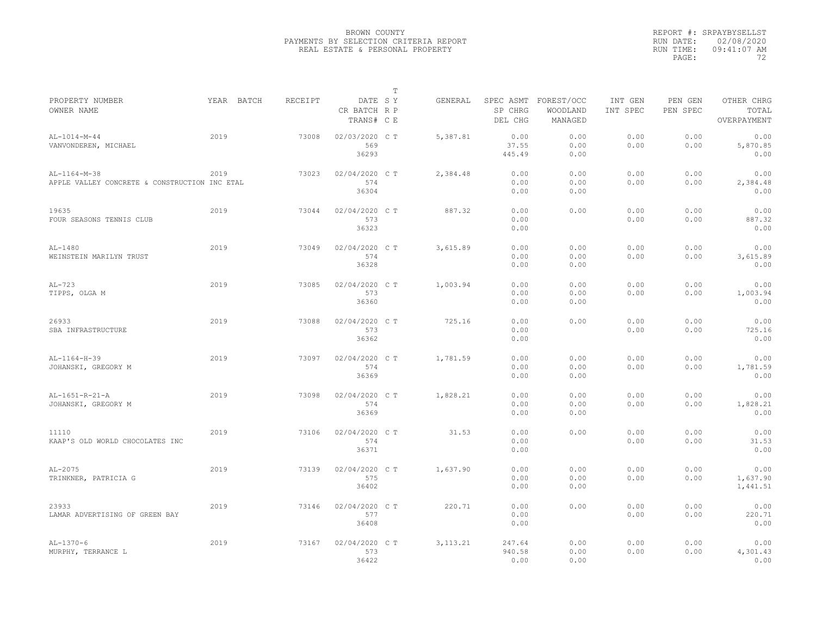|                                                               |            |         |                                       | T |           |                          |                                             |                     |                     |                                    |
|---------------------------------------------------------------|------------|---------|---------------------------------------|---|-----------|--------------------------|---------------------------------------------|---------------------|---------------------|------------------------------------|
| PROPERTY NUMBER<br>OWNER NAME                                 | YEAR BATCH | RECEIPT | DATE SY<br>CR BATCH R P<br>TRANS# C E |   | GENERAL   | SP CHRG<br>DEL CHG       | SPEC ASMT FOREST/OCC<br>WOODLAND<br>MANAGED | INT GEN<br>INT SPEC | PEN GEN<br>PEN SPEC | OTHER CHRG<br>TOTAL<br>OVERPAYMENT |
| AL-1014-M-44<br>VANVONDEREN, MICHAEL                          | 2019       | 73008   | 02/03/2020 C T<br>569<br>36293        |   | 5.387.81  | 0.00<br>37.55<br>445.49  | 0.00<br>0.00<br>0.00                        | 0.00<br>0.00        | 0.00<br>0.00        | 0.00<br>5,870.85<br>0.00           |
| AL-1164-M-38<br>APPLE VALLEY CONCRETE & CONSTRUCTION INC ETAL | 2019       | 73023   | 02/04/2020 C T<br>574<br>36304        |   | 2,384.48  | 0.00<br>0.00<br>0.00     | 0.00<br>0.00<br>0.00                        | 0.00<br>0.00        | 0.00<br>0.00        | 0.00<br>2,384.48<br>0.00           |
| 19635<br>FOUR SEASONS TENNIS CLUB                             | 2019       | 73044   | 02/04/2020 C T<br>573<br>36323        |   | 887.32    | 0.00<br>0.00<br>0.00     | 0.00                                        | 0.00<br>0.00        | 0.00<br>0.00        | 0.00<br>887.32<br>0.00             |
| $AL-1480$<br>WEINSTEIN MARILYN TRUST                          | 2019       | 73049   | 02/04/2020 C T<br>574<br>36328        |   | 3,615.89  | 0.00<br>0.00<br>0.00     | 0.00<br>0.00<br>0.00                        | 0.00<br>0.00        | 0.00<br>0.00        | 0.00<br>3,615.89<br>0.00           |
| $AL-723$<br>TIPPS, OLGA M                                     | 2019       | 73085   | 02/04/2020 C T<br>573<br>36360        |   | 1,003.94  | 0.00<br>0.00<br>0.00     | 0.00<br>0.00<br>0.00                        | 0.00<br>0.00        | 0.00<br>0.00        | 0.00<br>1,003.94<br>0.00           |
| 26933<br>SBA INFRASTRUCTURE                                   | 2019       | 73088   | 02/04/2020 C T<br>573<br>36362        |   | 725.16    | 0.00<br>0.00<br>0.00     | 0.00                                        | 0.00<br>0.00        | 0.00<br>0.00        | 0.00<br>725.16<br>0.00             |
| AL-1164-H-39<br>JOHANSKI, GREGORY M                           | 2019       | 73097   | 02/04/2020 C T<br>574<br>36369        |   | 1,781.59  | 0.00<br>0.00<br>0.00     | 0.00<br>0.00<br>0.00                        | 0.00<br>0.00        | 0.00<br>0.00        | 0.00<br>1,781.59<br>0.00           |
| AL-1651-R-21-A<br>JOHANSKI, GREGORY M                         | 2019       | 73098   | 02/04/2020 C T<br>574<br>36369        |   | 1,828.21  | 0.00<br>0.00<br>0.00     | 0.00<br>0.00<br>0.00                        | 0.00<br>0.00        | 0.00<br>0.00        | 0.00<br>1,828.21<br>0.00           |
| 11110<br>KAAP'S OLD WORLD CHOCOLATES INC                      | 2019       | 73106   | 02/04/2020 C T<br>574<br>36371        |   | 31.53     | 0.00<br>0.00<br>0.00     | 0.00                                        | 0.00<br>0.00        | 0.00<br>0.00        | 0.00<br>31.53<br>0.00              |
| AL-2075<br>TRINKNER, PATRICIA G                               | 2019       | 73139   | 02/04/2020 C T<br>575<br>36402        |   | 1,637.90  | 0.00<br>0.00<br>0.00     | 0.00<br>0.00<br>0.00                        | 0.00<br>0.00        | 0.00<br>0.00        | 0.00<br>1,637.90<br>1,441.51       |
| 23933<br>LAMAR ADVERTISING OF GREEN BAY                       | 2019       | 73146   | 02/04/2020 C T<br>577<br>36408        |   | 220.71    | 0.00<br>0.00<br>0.00     | 0.00                                        | 0.00<br>0.00        | 0.00<br>0.00        | 0.00<br>220.71<br>0.00             |
| $AL-1370-6$<br>MURPHY, TERRANCE L                             | 2019       | 73167   | 02/04/2020 C T<br>573<br>36422        |   | 3, 113.21 | 247.64<br>940.58<br>0.00 | 0.00<br>0.00<br>0.00                        | 0.00<br>0.00        | 0.00<br>0.00        | 0.00<br>4,301.43<br>0.00           |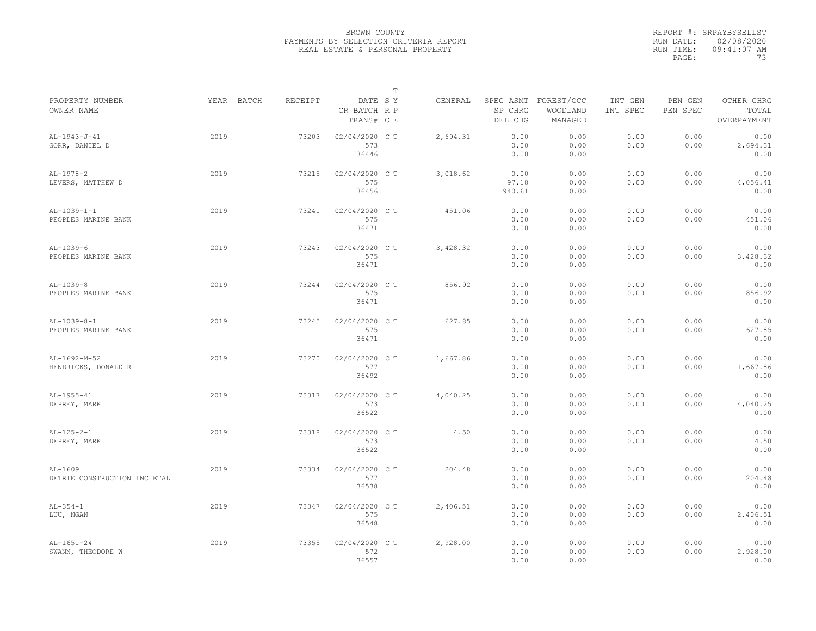|                                           |            |         |                                       | $\mathbb T$ |          |                         |                                             |                     |                     |                                    |
|-------------------------------------------|------------|---------|---------------------------------------|-------------|----------|-------------------------|---------------------------------------------|---------------------|---------------------|------------------------------------|
| PROPERTY NUMBER<br>OWNER NAME             | YEAR BATCH | RECEIPT | DATE SY<br>CR BATCH R P<br>TRANS# C E |             | GENERAL  | SP CHRG<br>DEL CHG      | SPEC ASMT FOREST/OCC<br>WOODLAND<br>MANAGED | INT GEN<br>INT SPEC | PEN GEN<br>PEN SPEC | OTHER CHRG<br>TOTAL<br>OVERPAYMENT |
| $AL-1943-J-41$<br>GORR, DANIEL D          | 2019       | 73203   | 02/04/2020 C T<br>573<br>36446        |             | 2.694.31 | 0.00<br>0.00<br>0.00    | 0.00<br>0.00<br>0.00                        | 0.00<br>0.00        | 0.00<br>0.00        | 0.00<br>2,694.31<br>0.00           |
| $AL-1978-2$<br>LEVERS, MATTHEW D          | 2019       | 73215   | 02/04/2020 C T<br>575<br>36456        |             | 3,018.62 | 0.00<br>97.18<br>940.61 | 0.00<br>0.00<br>0.00                        | 0.00<br>0.00        | 0.00<br>0.00        | 0.00<br>4,056.41<br>0.00           |
| $AL-1039-1-1$<br>PEOPLES MARINE BANK      | 2019       | 73241   | 02/04/2020 C T<br>575<br>36471        |             | 451.06   | 0.00<br>0.00<br>0.00    | 0.00<br>0.00<br>0.00                        | 0.00<br>0.00        | 0.00<br>0.00        | 0.00<br>451.06<br>0.00             |
| $AL-1039-6$<br>PEOPLES MARINE BANK        | 2019       | 73243   | 02/04/2020 C T<br>575<br>36471        |             | 3,428.32 | 0.00<br>0.00<br>0.00    | 0.00<br>0.00<br>0.00                        | 0.00<br>0.00        | 0.00<br>0.00        | 0.00<br>3,428.32<br>0.00           |
| $AL-1039-8$<br>PEOPLES MARINE BANK        | 2019       | 73244   | 02/04/2020 C T<br>575<br>36471        |             | 856.92   | 0.00<br>0.00<br>0.00    | 0.00<br>0.00<br>0.00                        | 0.00<br>0.00        | 0.00<br>0.00        | 0.00<br>856.92<br>0.00             |
| $AL-1039-8-1$<br>PEOPLES MARINE BANK      | 2019       | 73245   | 02/04/2020 C T<br>575<br>36471        |             | 627.85   | 0.00<br>0.00<br>0.00    | 0.00<br>0.00<br>0.00                        | 0.00<br>0.00        | 0.00<br>0.00        | 0.00<br>627.85<br>0.00             |
| AL-1692-M-52<br>HENDRICKS, DONALD R       | 2019       | 73270   | 02/04/2020 C T<br>577<br>36492        |             | 1,667.86 | 0.00<br>0.00<br>0.00    | 0.00<br>0.00<br>0.00                        | 0.00<br>0.00        | 0.00<br>0.00        | 0.00<br>1,667.86<br>0.00           |
| AL-1955-41<br>DEPREY, MARK                | 2019       | 73317   | 02/04/2020 C T<br>573<br>36522        |             | 4,040.25 | 0.00<br>0.00<br>0.00    | 0.00<br>0.00<br>0.00                        | 0.00<br>0.00        | 0.00<br>0.00        | 0.00<br>4,040.25<br>0.00           |
| $AL-125-2-1$<br>DEPREY, MARK              | 2019       | 73318   | 02/04/2020 C T<br>573<br>36522        |             | 4.50     | 0.00<br>0.00<br>0.00    | 0.00<br>0.00<br>0.00                        | 0.00<br>0.00        | 0.00<br>0.00        | 0.00<br>4.50<br>0.00               |
| $AL-1609$<br>DETRIE CONSTRUCTION INC ETAL | 2019       | 73334   | 02/04/2020 C T<br>577<br>36538        |             | 204.48   | 0.00<br>0.00<br>0.00    | 0.00<br>0.00<br>0.00                        | 0.00<br>0.00        | 0.00<br>0.00        | 0.00<br>204.48<br>0.00             |
| $AL-354-1$<br>LUU, NGAN                   | 2019       | 73347   | 02/04/2020 CT<br>575<br>36548         |             | 2,406.51 | 0.00<br>0.00<br>0.00    | 0.00<br>0.00<br>0.00                        | 0.00<br>0.00        | 0.00<br>0.00        | 0.00<br>2,406.51<br>0.00           |
| $AL-1651-24$<br>SWANN, THEODORE W         | 2019       | 73355   | 02/04/2020 C T<br>572<br>36557        |             | 2,928.00 | 0.00<br>0.00<br>0.00    | 0.00<br>0.00<br>0.00                        | 0.00<br>0.00        | 0.00<br>0.00        | 0.00<br>2,928.00<br>0.00           |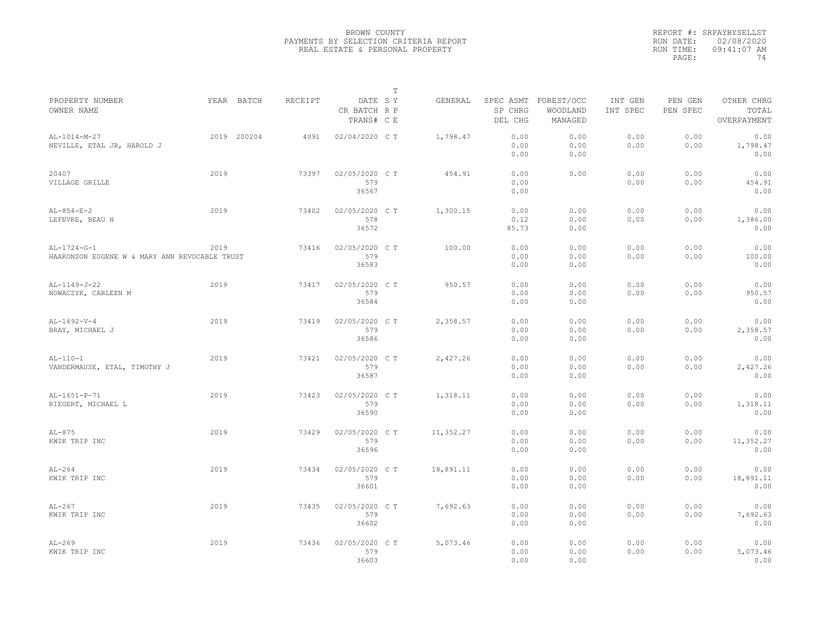|                                                                |             |         |                                       | T |           |                       |                                             |                     |                     |                                    |
|----------------------------------------------------------------|-------------|---------|---------------------------------------|---|-----------|-----------------------|---------------------------------------------|---------------------|---------------------|------------------------------------|
| PROPERTY NUMBER<br>OWNER NAME                                  | YEAR BATCH  | RECEIPT | DATE SY<br>CR BATCH R P<br>TRANS# C E |   | GENERAL   | SP CHRG<br>DEL CHG    | SPEC ASMT FOREST/OCC<br>WOODLAND<br>MANAGED | INT GEN<br>INT SPEC | PEN GEN<br>PEN SPEC | OTHER CHRG<br>TOTAL<br>OVERPAYMENT |
| AL-1014-M-27<br>NEVILLE, ETAL JR, HAROLD J                     | 2019 200204 | 4091    | 02/04/2020 C T                        |   | 1,798.47  | 0.00<br>0.00<br>0.00  | 0.00<br>0.00<br>0.00                        | 0.00<br>0.00        | 0.00<br>0.00        | 0.00<br>1,798.47<br>0.00           |
| 20407<br>VILLAGE GRILLE                                        | 2019        | 73397   | 02/05/2020 C T<br>579<br>36567        |   | 454.91    | 0.00<br>0.00<br>0.00  | 0.00                                        | 0.00<br>0.00        | 0.00<br>0.00        | 0.00<br>454.91<br>0.00             |
| $AL-854-E-2$<br>LEFEVRE, BEAU H                                | 2019        | 73402   | 02/05/2020 C T<br>578<br>36572        |   | 1,300.15  | 0.00<br>0.12<br>85.73 | 0.00<br>0.00<br>0.00                        | 0.00<br>0.00        | 0.00<br>0.00        | 0.00<br>1,386.00<br>0.00           |
| $AL-1724-G-1$<br>HAAKONSON EUGENE W & MARY ANN REVOCABLE TRUST | 2019        | 73416   | 02/05/2020 CT<br>579<br>36583         |   | 100.00    | 0.00<br>0.00<br>0.00  | 0.00<br>0.00<br>0.00                        | 0.00<br>0.00        | 0.00<br>0.00        | 0.00<br>100.00<br>0.00             |
| $AL-1149-J-22$<br>NOWACZYK, CARLEEN M                          | 2019        | 73417   | 02/05/2020 CT<br>579<br>36584         |   | 950.57    | 0.00<br>0.00<br>0.00  | 0.00<br>0.00<br>0.00                        | 0.00<br>0.00        | 0.00<br>0.00        | 0.00<br>950.57<br>0.00             |
| $AL-1692-V-4$<br>BRAY, MICHAEL J                               | 2019        | 73419   | 02/05/2020 C T<br>579<br>36586        |   | 2,358.57  | 0.00<br>0.00<br>0.00  | 0.00<br>0.00<br>0.00                        | 0.00<br>0.00        | 0.00<br>0.00        | 0.00<br>2,358.57<br>0.00           |
| $AL-110-1$<br>VANDERMAUSE, ETAL, TIMOTHY J                     | 2019        | 73421   | 02/05/2020 CT<br>579<br>36587         |   | 2,427.26  | 0.00<br>0.00<br>0.00  | 0.00<br>0.00<br>0.00                        | 0.00<br>0.00        | 0.00<br>0.00        | 0.00<br>2,427.26<br>0.00           |
| AL-1651-P-71<br>RIEGERT, MICHAEL L                             | 2019        | 73423   | 02/05/2020 C T<br>579<br>36590        |   | 1,318.11  | 0.00<br>0.00<br>0.00  | 0.00<br>0.00<br>0.00                        | 0.00<br>0.00        | 0.00<br>0.00        | 0.00<br>1,318.11<br>0.00           |
| $AL-875$<br>KWIK TRIP INC                                      | 2019        | 73429   | 02/05/2020 C T<br>579<br>36596        |   | 11,352.27 | 0.00<br>0.00<br>0.00  | 0.00<br>0.00<br>0.00                        | 0.00<br>0.00        | 0.00<br>0.00        | 0.00<br>11,352.27<br>0.00          |
| $AL-264$<br>KWIK TRIP INC                                      | 2019        | 73434   | 02/05/2020 C T<br>579<br>36601        |   | 18,891.11 | 0.00<br>0.00<br>0.00  | 0.00<br>0.00<br>0.00                        | 0.00<br>0.00        | 0.00<br>0.00        | 0.00<br>18,891.11<br>0.00          |
| $AL-267$<br>KWIK TRIP INC                                      | 2019        | 73435   | 02/05/2020 C T<br>579<br>36602        |   | 7,692.63  | 0.00<br>0.00<br>0.00  | 0.00<br>0.00<br>0.00                        | 0.00<br>0.00        | 0.00<br>0.00        | 0.00<br>7,692.63<br>0.00           |
| $AL-269$<br>KWIK TRIP INC                                      | 2019        | 73436   | 02/05/2020 C T<br>579<br>36603        |   | 5,073.46  | 0.00<br>0.00<br>0.00  | 0.00<br>0.00<br>0.00                        | 0.00<br>0.00        | 0.00<br>0.00        | 0.00<br>5,073.46<br>0.00           |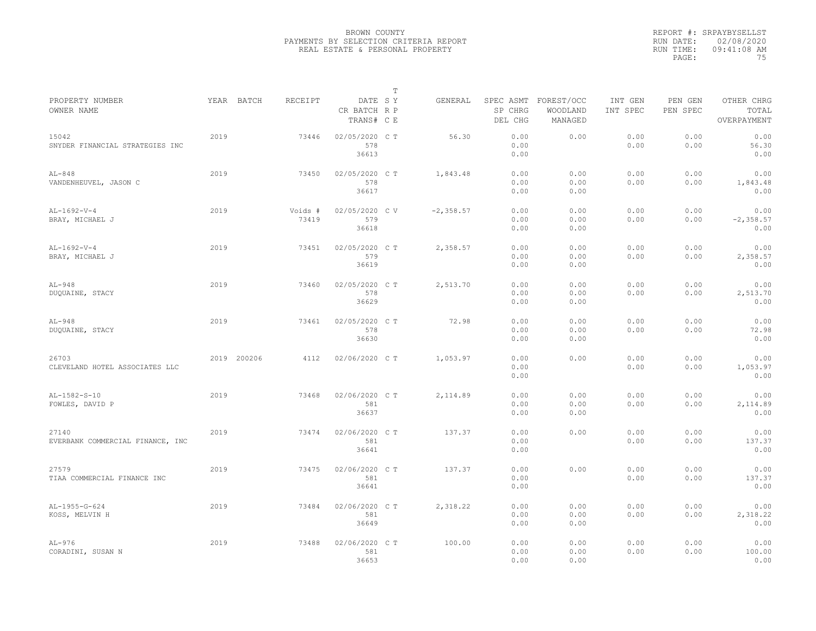|                                           |      |             |                  |                                       | T |              |                      |                                             |                     |                     |                                    |
|-------------------------------------------|------|-------------|------------------|---------------------------------------|---|--------------|----------------------|---------------------------------------------|---------------------|---------------------|------------------------------------|
| PROPERTY NUMBER<br>OWNER NAME             |      | YEAR BATCH  | RECEIPT          | DATE SY<br>CR BATCH R P<br>TRANS# C E |   | GENERAL      | SP CHRG<br>DEL CHG   | SPEC ASMT FOREST/OCC<br>WOODLAND<br>MANAGED | INT GEN<br>INT SPEC | PEN GEN<br>PEN SPEC | OTHER CHRG<br>TOTAL<br>OVERPAYMENT |
| 15042<br>SNYDER FINANCIAL STRATEGIES INC  | 2019 |             | 73446            | 02/05/2020 C T<br>578<br>36613        |   | 56.30        | 0.00<br>0.00<br>0.00 | 0.00                                        | 0.00<br>0.00        | 0.00<br>0.00        | 0.00<br>56.30<br>0.00              |
| $AL-848$<br>VANDENHEUVEL, JASON C         | 2019 |             | 73450            | 02/05/2020 C T<br>578<br>36617        |   | 1,843.48     | 0.00<br>0.00<br>0.00 | 0.00<br>0.00<br>0.00                        | 0.00<br>0.00        | 0.00<br>0.00        | 0.00<br>1,843.48<br>0.00           |
| $AL-1692-V-4$<br>BRAY, MICHAEL J          | 2019 |             | Voids #<br>73419 | 02/05/2020 C V<br>579<br>36618        |   | $-2, 358.57$ | 0.00<br>0.00<br>0.00 | 0.00<br>0.00<br>0.00                        | 0.00<br>0.00        | 0.00<br>0.00        | 0.00<br>$-2, 358.57$<br>0.00       |
| $AL-1692-V-4$<br>BRAY, MICHAEL J          | 2019 |             | 73451            | 02/05/2020 C T<br>579<br>36619        |   | 2,358.57     | 0.00<br>0.00<br>0.00 | 0.00<br>0.00<br>0.00                        | 0.00<br>0.00        | 0.00<br>0.00        | 0.00<br>2,358.57<br>0.00           |
| $AL-948$<br>DUOUAINE, STACY               | 2019 |             | 73460            | 02/05/2020 C T<br>578<br>36629        |   | 2,513.70     | 0.00<br>0.00<br>0.00 | 0.00<br>0.00<br>0.00                        | 0.00<br>0.00        | 0.00<br>0.00        | 0.00<br>2,513.70<br>0.00           |
| $AL-948$<br>DUQUAINE, STACY               | 2019 |             | 73461            | 02/05/2020 C T<br>578<br>36630        |   | 72.98        | 0.00<br>0.00<br>0.00 | 0.00<br>0.00<br>0.00                        | 0.00<br>0.00        | 0.00<br>0.00        | 0.00<br>72.98<br>0.00              |
| 26703<br>CLEVELAND HOTEL ASSOCIATES LLC   |      | 2019 200206 | 4112             | 02/06/2020 C T                        |   | 1,053.97     | 0.00<br>0.00<br>0.00 | 0.00                                        | 0.00<br>0.00        | 0.00<br>0.00        | 0.00<br>1,053.97<br>0.00           |
| AL-1582-S-10<br>FOWLES, DAVID P           | 2019 |             | 73468            | 02/06/2020 C T<br>581<br>36637        |   | 2,114.89     | 0.00<br>0.00<br>0.00 | 0.00<br>0.00<br>0.00                        | 0.00<br>0.00        | 0.00<br>0.00        | 0.00<br>2,114.89<br>0.00           |
| 27140<br>EVERBANK COMMERCIAL FINANCE, INC | 2019 |             | 73474            | 02/06/2020 C T<br>581<br>36641        |   | 137.37       | 0.00<br>0.00<br>0.00 | 0.00                                        | 0.00<br>0.00        | 0.00<br>0.00        | 0.00<br>137.37<br>0.00             |
| 27579<br>TIAA COMMERCIAL FINANCE INC      | 2019 |             | 73475            | 02/06/2020 C T<br>581<br>36641        |   | 137.37       | 0.00<br>0.00<br>0.00 | 0.00                                        | 0.00<br>0.00        | 0.00<br>0.00        | 0.00<br>137.37<br>0.00             |
| AL-1955-G-624<br>KOSS, MELVIN H           | 2019 |             | 73484            | 02/06/2020 C T<br>581<br>36649        |   | 2,318.22     | 0.00<br>0.00<br>0.00 | 0.00<br>0.00<br>0.00                        | 0.00<br>0.00        | 0.00<br>0.00        | 0.00<br>2,318.22<br>0.00           |
| $AL-976$<br>CORADINI, SUSAN N             | 2019 |             | 73488            | 02/06/2020 C T<br>581<br>36653        |   | 100.00       | 0.00<br>0.00<br>0.00 | 0.00<br>0.00<br>0.00                        | 0.00<br>0.00        | 0.00<br>0.00        | 0.00<br>100.00<br>0.00             |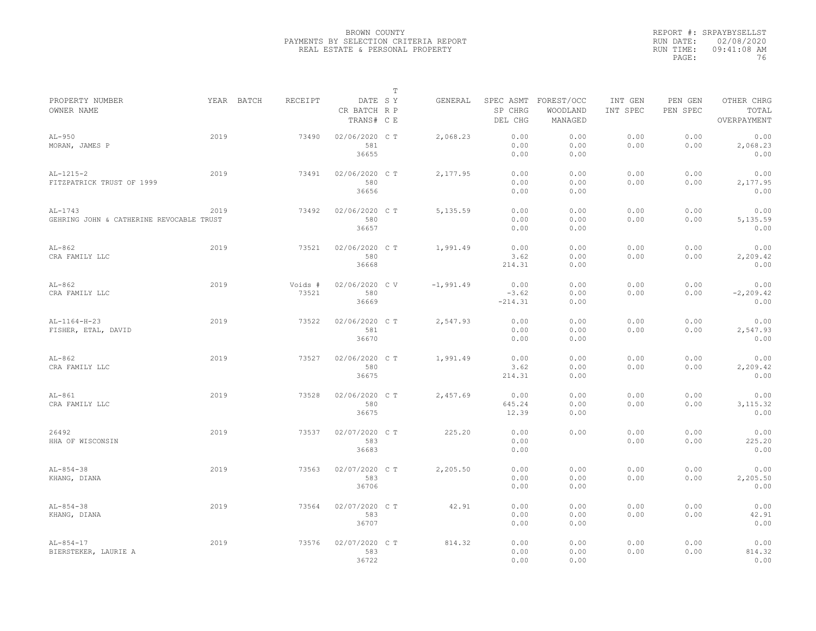|                                                       |      |                       |                                       | $\mathbb T$ |             |                              |                                             |                     |                     |                                    |
|-------------------------------------------------------|------|-----------------------|---------------------------------------|-------------|-------------|------------------------------|---------------------------------------------|---------------------|---------------------|------------------------------------|
| PROPERTY NUMBER<br>OWNER NAME                         |      | YEAR BATCH<br>RECEIPT | DATE SY<br>CR BATCH R P<br>TRANS# C E |             | GENERAL     | SP CHRG<br>DEL CHG           | SPEC ASMT FOREST/OCC<br>WOODLAND<br>MANAGED | INT GEN<br>INT SPEC | PEN GEN<br>PEN SPEC | OTHER CHRG<br>TOTAL<br>OVERPAYMENT |
| $AL-950$<br>MORAN, JAMES P                            | 2019 | 73490                 | 02/06/2020 C T<br>581<br>36655        |             | 2,068.23    | 0.00<br>0.00<br>0.00         | 0.00<br>0.00<br>0.00                        | 0.00<br>0.00        | 0.00<br>0.00        | 0.00<br>2,068.23<br>0.00           |
| $AL-1215-2$<br>FITZPATRICK TRUST OF 1999              | 2019 | 73491                 | 02/06/2020 C T<br>580<br>36656        |             | 2,177.95    | 0.00<br>0.00<br>0.00         | 0.00<br>0.00<br>0.00                        | 0.00<br>0.00        | 0.00<br>0.00        | 0.00<br>2,177.95<br>0.00           |
| $AL-1743$<br>GEHRING JOHN & CATHERINE REVOCABLE TRUST | 2019 | 73492                 | 02/06/2020 C T<br>580<br>36657        |             | 5,135.59    | 0.00<br>0.00<br>0.00         | 0.00<br>0.00<br>0.00                        | 0.00<br>0.00        | 0.00<br>0.00        | 0.00<br>5,135.59<br>0.00           |
| $AL-862$<br>CRA FAMILY LLC                            | 2019 | 73521                 | 02/06/2020 C T<br>580<br>36668        |             | 1,991.49    | 0.00<br>3.62<br>214.31       | 0.00<br>0.00<br>0.00                        | 0.00<br>0.00        | 0.00<br>0.00        | 0.00<br>2,209.42<br>0.00           |
| $AL-862$<br>CRA FAMILY LLC                            | 2019 | Voids #<br>73521      | 02/06/2020 CV<br>580<br>36669         |             | $-1,991.49$ | 0.00<br>$-3.62$<br>$-214.31$ | 0.00<br>0.00<br>0.00                        | 0.00<br>0.00        | 0.00<br>0.00        | 0.00<br>$-2, 209.42$<br>0.00       |
| $AL-1164-H-23$<br>FISHER, ETAL, DAVID                 | 2019 | 73522                 | 02/06/2020 C T<br>581<br>36670        |             | 2,547.93    | 0.00<br>0.00<br>0.00         | 0.00<br>0.00<br>0.00                        | 0.00<br>0.00        | 0.00<br>0.00        | 0.00<br>2,547.93<br>0.00           |
| $AL-862$<br>CRA FAMILY LLC                            | 2019 | 73527                 | 02/06/2020 C T<br>580<br>36675        |             | 1,991.49    | 0.00<br>3.62<br>214.31       | 0.00<br>0.00<br>0.00                        | 0.00<br>0.00        | 0.00<br>0.00        | 0.00<br>2,209.42<br>0.00           |
| $AL-861$<br>CRA FAMILY LLC                            | 2019 | 73528                 | 02/06/2020 C T<br>580<br>36675        |             | 2,457.69    | 0.00<br>645.24<br>12.39      | 0.00<br>0.00<br>0.00                        | 0.00<br>0.00        | 0.00<br>0.00        | 0.00<br>3, 115.32<br>0.00          |
| 26492<br>HHA OF WISCONSIN                             | 2019 | 73537                 | 02/07/2020 C T<br>583<br>36683        |             | 225.20      | 0.00<br>0.00<br>0.00         | 0.00                                        | 0.00<br>0.00        | 0.00<br>0.00        | 0.00<br>225.20<br>0.00             |
| $AL-854-38$<br>KHANG, DIANA                           | 2019 | 73563                 | 02/07/2020 C T<br>583<br>36706        |             | 2,205.50    | 0.00<br>0.00<br>0.00         | 0.00<br>0.00<br>0.00                        | 0.00<br>0.00        | 0.00<br>0.00        | 0.00<br>2,205.50<br>0.00           |
| $AL-854-38$<br>KHANG, DIANA                           | 2019 | 73564                 | 02/07/2020 C T<br>583<br>36707        |             | 42.91       | 0.00<br>0.00<br>0.00         | 0.00<br>0.00<br>0.00                        | 0.00<br>0.00        | 0.00<br>0.00        | 0.00<br>42.91<br>0.00              |
| $AL-854-17$<br>BIERSTEKER, LAURIE A                   | 2019 | 73576                 | 02/07/2020 CT<br>583<br>36722         |             | 814.32      | 0.00<br>0.00<br>0.00         | 0.00<br>0.00<br>0.00                        | 0.00<br>0.00        | 0.00<br>0.00        | 0.00<br>814.32<br>0.00             |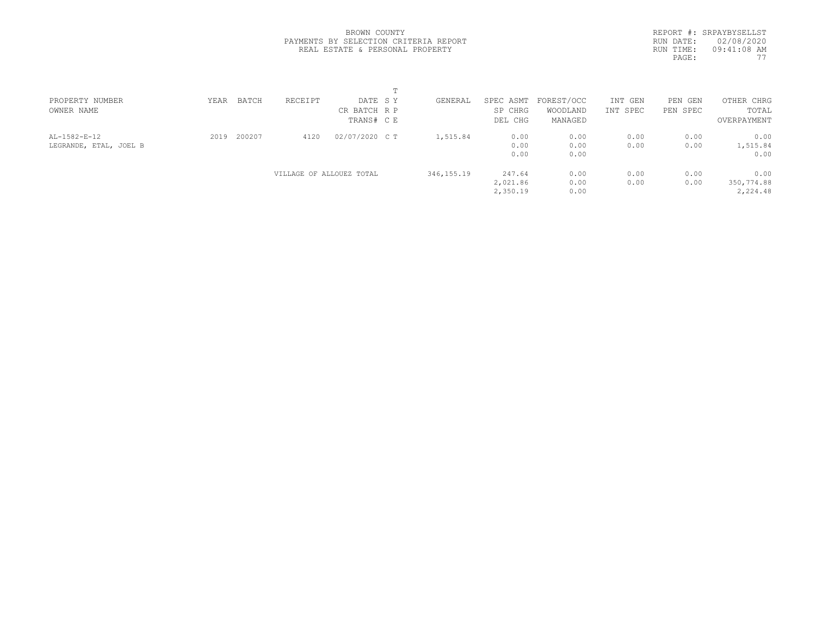|           | REPORT #: SRPAYBYSELLST |
|-----------|-------------------------|
| RUN DATE: | 02/08/2020              |
| RUN TIME: | $09:41:08$ AM           |
| PAGE:     | 77                      |
|           |                         |

| PROPERTY NUMBER<br>OWNER NAME          | YEAR | BATCH  | RECEIPT                  | DATE SY<br>CR BATCH R P      | GENERAL      | SPEC ASMT<br>SP CHRG            | FOREST/OCC<br>WOODLAND          | INT GEN<br>INT SPEC | PEN<br>GEN<br>PEN SPEC | OTHER CHRG<br>TOTAL                     |  |
|----------------------------------------|------|--------|--------------------------|------------------------------|--------------|---------------------------------|---------------------------------|---------------------|------------------------|-----------------------------------------|--|
| AL-1582-E-12<br>LEGRANDE, ETAL, JOEL B | 2019 | 200207 | 4120                     | TRANS# C E<br>02/07/2020 C T | 1,515.84     | DEL CHG<br>0.00<br>0.00<br>0.00 | MANAGED<br>0.00<br>0.00<br>0.00 | 0.00<br>0.00        | 0.00<br>0.00           | OVERPAYMENT<br>0.00<br>1,515.84<br>0.00 |  |
|                                        |      |        | VILLAGE OF ALLOUEZ TOTAL |                              | 346, 155. 19 | 247.64<br>2,021.86<br>2,350.19  | 0.00<br>0.00<br>0.00            | 0.00<br>0.00        | 0.00<br>0.00           | 0.00<br>350,774.88<br>2,224.48          |  |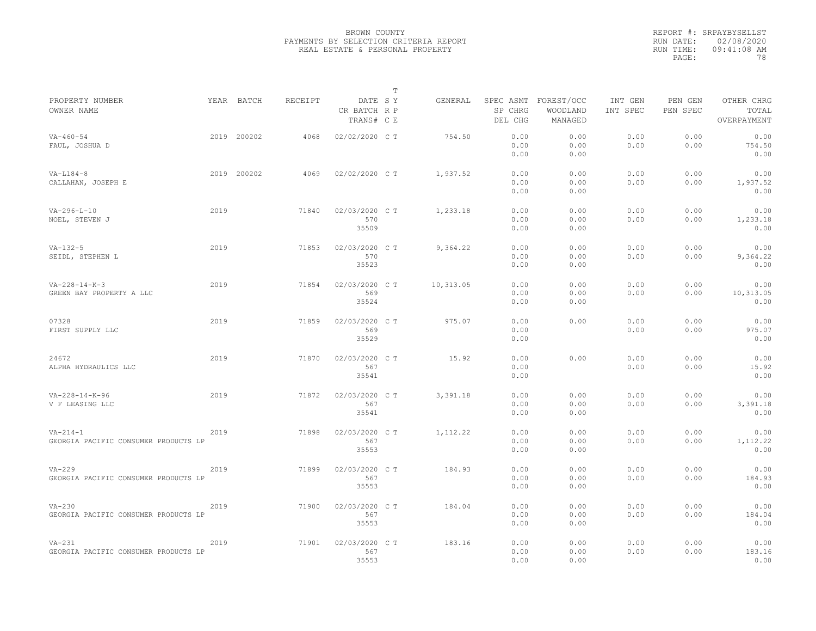|                                                        |      |             |                |                                       | $\mathbb T$ |           |                      |                                             |                     |                     |                                    |
|--------------------------------------------------------|------|-------------|----------------|---------------------------------------|-------------|-----------|----------------------|---------------------------------------------|---------------------|---------------------|------------------------------------|
| PROPERTY NUMBER<br>OWNER NAME                          |      | YEAR BATCH  | <b>RECEIPT</b> | DATE SY<br>CR BATCH R P<br>TRANS# C E |             | GENERAL   | SP CHRG<br>DEL CHG   | SPEC ASMT FOREST/OCC<br>WOODLAND<br>MANAGED | INT GEN<br>INT SPEC | PEN GEN<br>PEN SPEC | OTHER CHRG<br>TOTAL<br>OVERPAYMENT |
| $VA - 460 - 54$<br>FAUL, JOSHUA D                      |      | 2019 200202 | 4068           | 02/02/2020 CT                         |             | 754.50    | 0.00<br>0.00<br>0.00 | 0.00<br>0.00<br>0.00                        | 0.00<br>0.00        | 0.00<br>0.00        | 0.00<br>754.50<br>0.00             |
| $VA-L184-8$<br>CALLAHAN, JOSEPH E                      |      | 2019 200202 | 4069           | 02/02/2020 C T                        |             | 1,937.52  | 0.00<br>0.00<br>0.00 | 0.00<br>0.00<br>0.00                        | 0.00<br>0.00        | 0.00<br>0.00        | 0.00<br>1,937.52<br>0.00           |
| $VA-296-L-10$<br>NOEL, STEVEN J                        | 2019 |             | 71840          | 02/03/2020 C T<br>570<br>35509        |             | 1,233.18  | 0.00<br>0.00<br>0.00 | 0.00<br>0.00<br>0.00                        | 0.00<br>0.00        | 0.00<br>0.00        | 0.00<br>1,233.18<br>0.00           |
| $VA-132-5$<br>SEIDL, STEPHEN L                         | 2019 |             | 71853          | 02/03/2020 C T<br>570<br>35523        |             | 9,364.22  | 0.00<br>0.00<br>0.00 | 0.00<br>0.00<br>0.00                        | 0.00<br>0.00        | 0.00<br>0.00        | 0.00<br>9,364.22<br>0.00           |
| $VA-228-14-K-3$<br>GREEN BAY PROPERTY A LLC            | 2019 |             | 71854          | 02/03/2020 CT<br>569<br>35524         |             | 10,313.05 | 0.00<br>0.00<br>0.00 | 0.00<br>0.00<br>0.00                        | 0.00<br>0.00        | 0.00<br>0.00        | 0.00<br>10,313.05<br>0.00          |
| 07328<br>FIRST SUPPLY LLC                              | 2019 |             | 71859          | 02/03/2020 C T<br>569<br>35529        |             | 975.07    | 0.00<br>0.00<br>0.00 | 0.00                                        | 0.00<br>0.00        | 0.00<br>0.00        | 0.00<br>975.07<br>0.00             |
| 24672<br>ALPHA HYDRAULICS LLC                          | 2019 |             | 71870          | 02/03/2020 C T<br>567<br>35541        |             | 15.92     | 0.00<br>0.00<br>0.00 | 0.00                                        | 0.00<br>0.00        | 0.00<br>0.00        | 0.00<br>15.92<br>0.00              |
| $VA-228-14-K-96$<br>V F LEASING LLC                    | 2019 |             | 71872          | 02/03/2020 CT<br>567<br>35541         |             | 3,391.18  | 0.00<br>0.00<br>0.00 | 0.00<br>0.00<br>0.00                        | 0.00<br>0.00        | 0.00<br>0.00        | 0.00<br>3,391.18<br>0.00           |
| $VA - 214 - 1$<br>GEORGIA PACIFIC CONSUMER PRODUCTS LP | 2019 |             | 71898          | 02/03/2020 C T<br>567<br>35553        |             | 1,112.22  | 0.00<br>0.00<br>0.00 | 0.00<br>0.00<br>0.00                        | 0.00<br>0.00        | 0.00<br>0.00        | 0.00<br>1,112.22<br>0.00           |
| $VA-229$<br>GEORGIA PACIFIC CONSUMER PRODUCTS LP       | 2019 |             | 71899          | 02/03/2020 C T<br>567<br>35553        |             | 184.93    | 0.00<br>0.00<br>0.00 | 0.00<br>0.00<br>0.00                        | 0.00<br>0.00        | 0.00<br>0.00        | 0.00<br>184.93<br>0.00             |
| $VA-230$<br>GEORGIA PACIFIC CONSUMER PRODUCTS LP       | 2019 |             | 71900          | 02/03/2020 C T<br>567<br>35553        |             | 184.04    | 0.00<br>0.00<br>0.00 | 0.00<br>0.00<br>0.00                        | 0.00<br>0.00        | 0.00<br>0.00        | 0.00<br>184.04<br>0.00             |
| $VA-231$<br>GEORGIA PACIFIC CONSUMER PRODUCTS LP       | 2019 |             | 71901          | 02/03/2020 C T<br>567<br>35553        |             | 183.16    | 0.00<br>0.00<br>0.00 | 0.00<br>0.00<br>0.00                        | 0.00<br>0.00        | 0.00<br>0.00        | 0.00<br>183.16<br>0.00             |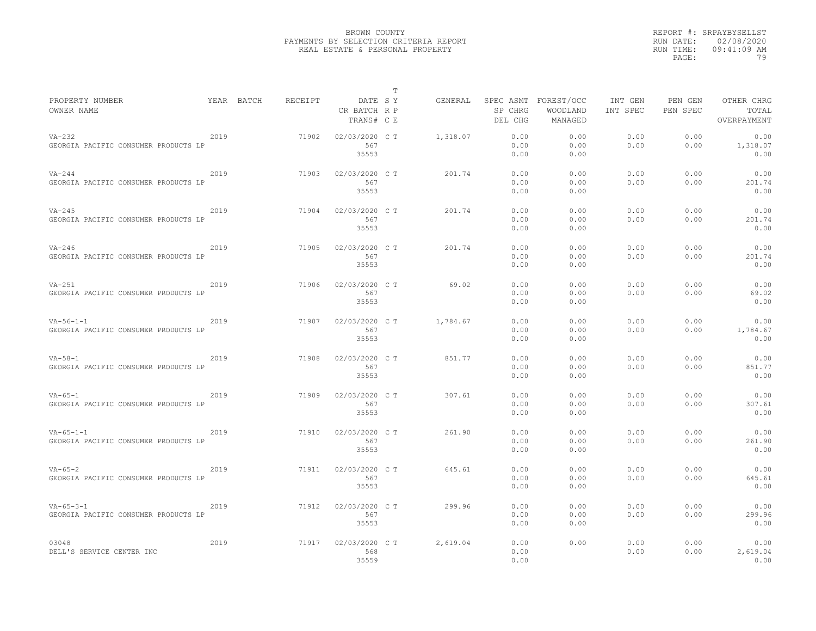|                                                           |      |            |         |                                       | T |          |                      |                                             |                     |                     |                                    |
|-----------------------------------------------------------|------|------------|---------|---------------------------------------|---|----------|----------------------|---------------------------------------------|---------------------|---------------------|------------------------------------|
| PROPERTY NUMBER<br>OWNER NAME                             |      | YEAR BATCH | RECEIPT | DATE SY<br>CR BATCH R P<br>TRANS# C E |   | GENERAL  | SP CHRG<br>DEL CHG   | SPEC ASMT FOREST/OCC<br>WOODLAND<br>MANAGED | INT GEN<br>INT SPEC | PEN GEN<br>PEN SPEC | OTHER CHRG<br>TOTAL<br>OVERPAYMENT |
| $VA-232$<br>GEORGIA PACIFIC CONSUMER PRODUCTS LP          | 2019 |            | 71902   | 02/03/2020 C T<br>567<br>35553        |   | 1,318.07 | 0.00<br>0.00<br>0.00 | 0.00<br>0.00<br>0.00                        | 0.00<br>0.00        | 0.00<br>0.00        | 0.00<br>1,318.07<br>0.00           |
| $VA-244$<br>GEORGIA PACIFIC CONSUMER PRODUCTS LP          | 2019 |            | 71903   | 02/03/2020 C T<br>567<br>35553        |   | 201.74   | 0.00<br>0.00<br>0.00 | 0.00<br>0.00<br>0.00                        | 0.00<br>0.00        | 0.00<br>0.00        | 0.00<br>201.74<br>0.00             |
| $VA-245$<br>GEORGIA PACIFIC CONSUMER PRODUCTS LP          | 2019 |            | 71904   | 02/03/2020 C T<br>567<br>35553        |   | 201.74   | 0.00<br>0.00<br>0.00 | 0.00<br>0.00<br>0.00                        | 0.00<br>0.00        | 0.00<br>0.00        | 0.00<br>201.74<br>0.00             |
| $VA-246$<br>GEORGIA PACIFIC CONSUMER PRODUCTS LP          | 2019 |            | 71905   | 02/03/2020 C T<br>567<br>35553        |   | 201.74   | 0.00<br>0.00<br>0.00 | 0.00<br>0.00<br>0.00                        | 0.00<br>0.00        | 0.00<br>0.00        | 0.00<br>201.74<br>0.00             |
| $VA-251$<br>GEORGIA PACIFIC CONSUMER PRODUCTS LP          | 2019 |            | 71906   | 02/03/2020 C T<br>567<br>35553        |   | 69.02    | 0.00<br>0.00<br>0.00 | 0.00<br>0.00<br>0.00                        | 0.00<br>0.00        | 0.00<br>0.00        | 0.00<br>69.02<br>0.00              |
| $VA - 56 - 1 - 1$<br>GEORGIA PACIFIC CONSUMER PRODUCTS LP | 2019 |            | 71907   | 02/03/2020 C T<br>567<br>35553        |   | 1,784.67 | 0.00<br>0.00<br>0.00 | 0.00<br>0.00<br>0.00                        | 0.00<br>0.00        | 0.00<br>0.00        | 0.00<br>1,784.67<br>0.00           |
| $VA - 58 - 1$<br>GEORGIA PACIFIC CONSUMER PRODUCTS LP     | 2019 |            | 71908   | 02/03/2020 C T<br>567<br>35553        |   | 851.77   | 0.00<br>0.00<br>0.00 | 0.00<br>0.00<br>0.00                        | 0.00<br>0.00        | 0.00<br>0.00        | 0.00<br>851.77<br>0.00             |
| $VA - 65 - 1$<br>GEORGIA PACIFIC CONSUMER PRODUCTS LP     | 2019 |            | 71909   | 02/03/2020 C T<br>567<br>35553        |   | 307.61   | 0.00<br>0.00<br>0.00 | 0.00<br>0.00<br>0.00                        | 0.00<br>0.00        | 0.00<br>0.00        | 0.00<br>307.61<br>0.00             |
| $VA - 65 - 1 - 1$<br>GEORGIA PACIFIC CONSUMER PRODUCTS LP | 2019 |            | 71910   | 02/03/2020 C T<br>567<br>35553        |   | 261.90   | 0.00<br>0.00<br>0.00 | 0.00<br>0.00<br>0.00                        | 0.00<br>0.00        | 0.00<br>0.00        | 0.00<br>261.90<br>0.00             |
| $VA - 65 - 2$<br>GEORGIA PACIFIC CONSUMER PRODUCTS LP     | 2019 |            | 71911   | 02/03/2020 C T<br>567<br>35553        |   | 645.61   | 0.00<br>0.00<br>0.00 | 0.00<br>0.00<br>0.00                        | 0.00<br>0.00        | 0.00<br>0.00        | 0.00<br>645.61<br>0.00             |
| $VA - 65 - 3 - 1$<br>GEORGIA PACIFIC CONSUMER PRODUCTS LP | 2019 |            | 71912   | 02/03/2020 C T<br>567<br>35553        |   | 299.96   | 0.00<br>0.00<br>0.00 | 0.00<br>0.00<br>0.00                        | 0.00<br>0.00        | 0.00<br>0.00        | 0.00<br>299.96<br>0.00             |
| 03048<br>DELL'S SERVICE CENTER INC                        | 2019 |            | 71917   | 02/03/2020 C T<br>568<br>35559        |   | 2,619.04 | 0.00<br>0.00<br>0.00 | 0.00                                        | 0.00<br>0.00        | 0.00<br>0.00        | 0.00<br>2,619.04<br>0.00           |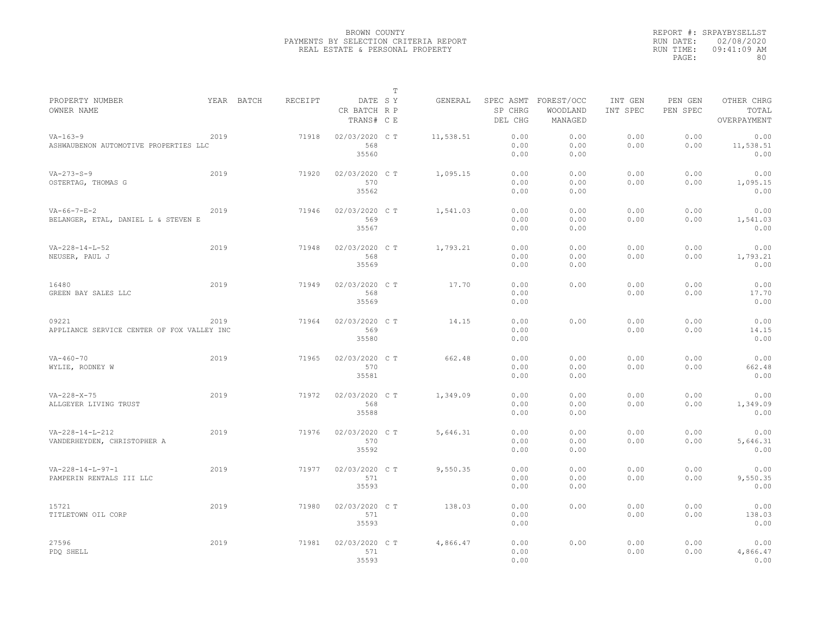|                                                              |            |         |                                       | $\mathbb T$ |           |                      |                                             |                     |                     |                                    |
|--------------------------------------------------------------|------------|---------|---------------------------------------|-------------|-----------|----------------------|---------------------------------------------|---------------------|---------------------|------------------------------------|
| PROPERTY NUMBER<br>OWNER NAME                                | YEAR BATCH | RECEIPT | DATE SY<br>CR BATCH R P<br>TRANS# C E |             | GENERAL   | SP CHRG<br>DEL CHG   | SPEC ASMT FOREST/OCC<br>WOODLAND<br>MANAGED | INT GEN<br>INT SPEC | PEN GEN<br>PEN SPEC | OTHER CHRG<br>TOTAL<br>OVERPAYMENT |
| $VA - 163 - 9$<br>ASHWAUBENON AUTOMOTIVE PROPERTIES LLC      | 2019       | 71918   | 02/03/2020 CT<br>568<br>35560         |             | 11,538.51 | 0.00<br>0.00<br>0.00 | 0.00<br>0.00<br>0.00                        | 0.00<br>0.00        | 0.00<br>0.00        | 0.00<br>11,538.51<br>0.00          |
| $VA - 273 - S - 9$<br>OSTERTAG, THOMAS G                     | 2019       | 71920   | 02/03/2020 C T<br>570<br>35562        |             | 1,095.15  | 0.00<br>0.00<br>0.00 | 0.00<br>0.00<br>0.00                        | 0.00<br>0.00        | 0.00<br>0.00        | 0.00<br>1,095.15<br>0.00           |
| $VA - 66 - 7 - E - 2$<br>BELANGER, ETAL, DANIEL L & STEVEN E | 2019       | 71946   | 02/03/2020 C T<br>569<br>35567        |             | 1,541.03  | 0.00<br>0.00<br>0.00 | 0.00<br>0.00<br>0.00                        | 0.00<br>0.00        | 0.00<br>0.00        | 0.00<br>1,541.03<br>0.00           |
| $VA - 228 - 14 - L - 52$<br>NEUSER, PAUL J                   | 2019       | 71948   | 02/03/2020 C T<br>568<br>35569        |             | 1,793.21  | 0.00<br>0.00<br>0.00 | 0.00<br>0.00<br>0.00                        | 0.00<br>0.00        | 0.00<br>0.00        | 0.00<br>1,793.21<br>0.00           |
| 16480<br>GREEN BAY SALES LLC                                 | 2019       | 71949   | 02/03/2020 C T<br>568<br>35569        |             | 17.70     | 0.00<br>0.00<br>0.00 | 0.00                                        | 0.00<br>0.00        | 0.00<br>0.00        | 0.00<br>17.70<br>0.00              |
| 09221<br>APPLIANCE SERVICE CENTER OF FOX VALLEY INC          | 2019       | 71964   | 02/03/2020 C T<br>569<br>35580        |             | 14.15     | 0.00<br>0.00<br>0.00 | 0.00                                        | 0.00<br>0.00        | 0.00<br>0.00        | 0.00<br>14.15<br>0.00              |
| $VA - 460 - 70$<br>WYLIE, RODNEY W                           | 2019       | 71965   | 02/03/2020 C T<br>570<br>35581        |             | 662.48    | 0.00<br>0.00<br>0.00 | 0.00<br>0.00<br>0.00                        | 0.00<br>0.00        | 0.00<br>0.00        | 0.00<br>662.48<br>0.00             |
| $VA - 228 - X - 75$<br>ALLGEYER LIVING TRUST                 | 2019       | 71972   | 02/03/2020 C T<br>568<br>35588        |             | 1,349.09  | 0.00<br>0.00<br>0.00 | 0.00<br>0.00<br>0.00                        | 0.00<br>0.00        | 0.00<br>0.00        | 0.00<br>1,349.09<br>0.00           |
| $VA - 228 - 14 - L - 212$<br>VANDERHEYDEN, CHRISTOPHER A     | 2019       | 71976   | 02/03/2020 CT<br>570<br>35592         |             | 5,646.31  | 0.00<br>0.00<br>0.00 | 0.00<br>0.00<br>0.00                        | 0.00<br>0.00        | 0.00<br>0.00        | 0.00<br>5,646.31<br>0.00           |
| $VA - 228 - 14 - L - 97 - 1$<br>PAMPERIN RENTALS III LLC     | 2019       | 71977   | 02/03/2020 C T<br>571<br>35593        |             | 9,550.35  | 0.00<br>0.00<br>0.00 | 0.00<br>0.00<br>0.00                        | 0.00<br>0.00        | 0.00<br>0.00        | 0.00<br>9,550.35<br>0.00           |
| 15721<br>TITLETOWN OIL CORP                                  | 2019       | 71980   | 02/03/2020 C T<br>571<br>35593        |             | 138.03    | 0.00<br>0.00<br>0.00 | 0.00                                        | 0.00<br>0.00        | 0.00<br>0.00        | 0.00<br>138.03<br>0.00             |
| 27596<br>PDO SHELL                                           | 2019       | 71981   | 02/03/2020 C T<br>571<br>35593        |             | 4,866.47  | 0.00<br>0.00<br>0.00 | 0.00                                        | 0.00<br>0.00        | 0.00<br>0.00        | 0.00<br>4,866.47<br>0.00           |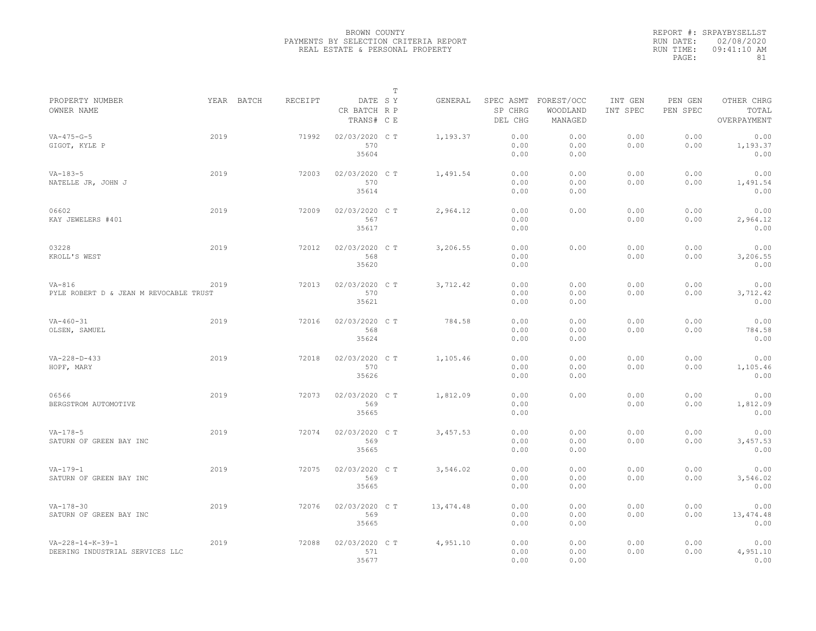|                                                                 |      |            |                |                                       | $\mathbb T$ |            |                                 |                                   |                     |                     |                                    |
|-----------------------------------------------------------------|------|------------|----------------|---------------------------------------|-------------|------------|---------------------------------|-----------------------------------|---------------------|---------------------|------------------------------------|
| PROPERTY NUMBER<br>OWNER NAME                                   |      | YEAR BATCH | <b>RECEIPT</b> | DATE SY<br>CR BATCH R P<br>TRANS# C E |             | GENERAL    | SPEC ASMT<br>SP CHRG<br>DEL CHG | FOREST/OCC<br>WOODLAND<br>MANAGED | INT GEN<br>INT SPEC | PEN GEN<br>PEN SPEC | OTHER CHRG<br>TOTAL<br>OVERPAYMENT |
| $VA - 475 - G - 5$<br>GIGOT, KYLE P                             | 2019 |            | 71992          | 02/03/2020 CT<br>570<br>35604         |             | 1,193.37   | 0.00<br>0.00<br>0.00            | 0.00<br>0.00<br>0.00              | 0.00<br>0.00        | 0.00<br>0.00        | 0.00<br>1,193.37<br>0.00           |
| $VA-183-5$<br>NATELLE JR, JOHN J                                | 2019 |            | 72003          | 02/03/2020 C T<br>570<br>35614        |             | 1,491.54   | 0.00<br>0.00<br>0.00            | 0.00<br>0.00<br>0.00              | 0.00<br>0.00        | 0.00<br>0.00        | 0.00<br>1,491.54<br>0.00           |
| 06602<br>KAY JEWELERS #401                                      | 2019 |            | 72009          | 02/03/2020 C T<br>567<br>35617        |             | 2,964.12   | 0.00<br>0.00<br>0.00            | 0.00                              | 0.00<br>0.00        | 0.00<br>0.00        | 0.00<br>2,964.12<br>0.00           |
| 03228<br>KROLL'S WEST                                           | 2019 |            | 72012          | 02/03/2020 C T<br>568<br>35620        |             | 3,206.55   | 0.00<br>0.00<br>0.00            | 0.00                              | 0.00<br>0.00        | 0.00<br>0.00        | 0.00<br>3,206.55<br>0.00           |
| $VA-816$<br>PYLE ROBERT D & JEAN M REVOCABLE TRUST              | 2019 |            | 72013          | 02/03/2020 C T<br>570<br>35621        |             | 3,712.42   | 0.00<br>0.00<br>0.00            | 0.00<br>0.00<br>0.00              | 0.00<br>0.00        | 0.00<br>0.00        | 0.00<br>3,712.42<br>0.00           |
| $VA - 460 - 31$<br>OLSEN, SAMUEL                                | 2019 |            | 72016          | 02/03/2020 CT<br>568<br>35624         |             | 784.58     | 0.00<br>0.00<br>0.00            | 0.00<br>0.00<br>0.00              | 0.00<br>0.00        | 0.00<br>0.00        | 0.00<br>784.58<br>0.00             |
| $VA - 228 - D - 433$<br>HOPF, MARY                              | 2019 |            | 72018          | 02/03/2020 C T<br>570<br>35626        |             | 1,105.46   | 0.00<br>0.00<br>0.00            | 0.00<br>0.00<br>0.00              | 0.00<br>0.00        | 0.00<br>0.00        | 0.00<br>1,105.46<br>0.00           |
| 06566<br>BERGSTROM AUTOMOTIVE                                   | 2019 |            | 72073          | 02/03/2020 CT<br>569<br>35665         |             | 1,812.09   | 0.00<br>0.00<br>0.00            | 0.00                              | 0.00<br>0.00        | 0.00<br>0.00        | 0.00<br>1,812.09<br>0.00           |
| $VA-178-5$<br>SATURN OF GREEN BAY INC                           | 2019 |            | 72074          | 02/03/2020 C T<br>569<br>35665        |             | 3,457.53   | 0.00<br>0.00<br>0.00            | 0.00<br>0.00<br>0.00              | 0.00<br>0.00        | 0.00<br>0.00        | 0.00<br>3,457.53<br>0.00           |
| $VA-179-1$<br>SATURN OF GREEN BAY INC                           | 2019 |            | 72075          | 02/03/2020 CT<br>569<br>35665         |             | 3,546.02   | 0.00<br>0.00<br>0.00            | 0.00<br>0.00<br>0.00              | 0.00<br>0.00        | 0.00<br>0.00        | 0.00<br>3,546.02<br>0.00           |
| $VA - 178 - 30$<br>SATURN OF GREEN BAY INC                      | 2019 |            | 72076          | 02/03/2020 C T<br>569<br>35665        |             | 13, 474.48 | 0.00<br>0.00<br>0.00            | 0.00<br>0.00<br>0.00              | 0.00<br>0.00        | 0.00<br>0.00        | 0.00<br>13, 474.48<br>0.00         |
| $VA - 228 - 14 - K - 39 - 1$<br>DEERING INDUSTRIAL SERVICES LLC | 2019 |            | 72088          | 02/03/2020 C T<br>571<br>35677        |             | 4,951.10   | 0.00<br>0.00<br>0.00            | 0.00<br>0.00<br>0.00              | 0.00<br>0.00        | 0.00<br>0.00        | 0.00<br>4,951.10<br>0.00           |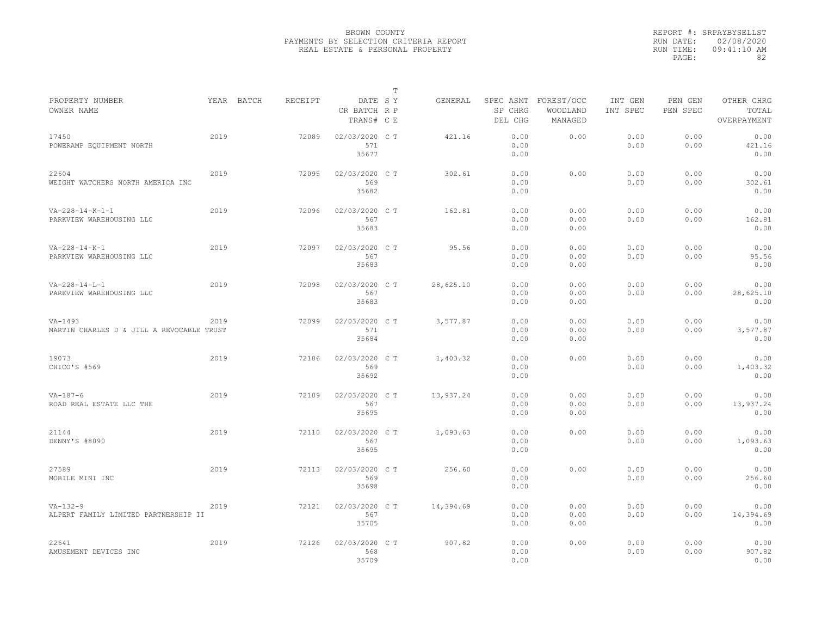|                                                         |      |            |         |                                       | $\mathbb T$ |           |                                 |                                   |                     |                     |                                    |
|---------------------------------------------------------|------|------------|---------|---------------------------------------|-------------|-----------|---------------------------------|-----------------------------------|---------------------|---------------------|------------------------------------|
| PROPERTY NUMBER<br>OWNER NAME                           |      | YEAR BATCH | RECEIPT | DATE SY<br>CR BATCH R P<br>TRANS# C E |             | GENERAL   | SPEC ASMT<br>SP CHRG<br>DEL CHG | FOREST/OCC<br>WOODLAND<br>MANAGED | INT GEN<br>INT SPEC | PEN GEN<br>PEN SPEC | OTHER CHRG<br>TOTAL<br>OVERPAYMENT |
| 17450<br>POWERAMP EQUIPMENT NORTH                       | 2019 |            | 72089   | 02/03/2020 C T<br>571<br>35677        |             | 421.16    | 0.00<br>0.00<br>0.00            | 0.00                              | 0.00<br>0.00        | 0.00<br>0.00        | 0.00<br>421.16<br>0.00             |
| 22604<br>WEIGHT WATCHERS NORTH AMERICA INC              | 2019 |            | 72095   | 02/03/2020 C T<br>569<br>35682        |             | 302.61    | 0.00<br>0.00<br>0.00            | 0.00                              | 0.00<br>0.00        | 0.00<br>0.00        | 0.00<br>302.61<br>0.00             |
| $VA - 228 - 14 - K - 1 - 1$<br>PARKVIEW WAREHOUSING LLC | 2019 |            | 72096   | 02/03/2020 C T<br>567<br>35683        |             | 162.81    | 0.00<br>0.00<br>0.00            | 0.00<br>0.00<br>0.00              | 0.00<br>0.00        | 0.00<br>0.00        | 0.00<br>162.81<br>0.00             |
| $VA-228-14-K-1$<br>PARKVIEW WAREHOUSING LLC             | 2019 |            | 72097   | 02/03/2020 CT<br>567<br>35683         |             | 95.56     | 0.00<br>0.00<br>0.00            | 0.00<br>0.00<br>0.00              | 0.00<br>0.00        | 0.00<br>0.00        | 0.00<br>95.56<br>0.00              |
| $VA - 228 - 14 - L - 1$<br>PARKVIEW WAREHOUSING LLC     | 2019 |            | 72098   | 02/03/2020 CT<br>567<br>35683         |             | 28,625.10 | 0.00<br>0.00<br>0.00            | 0.00<br>0.00<br>0.00              | 0.00<br>0.00        | 0.00<br>0.00        | 0.00<br>28,625.10<br>0.00          |
| $VA-1493$<br>MARTIN CHARLES D & JILL A REVOCABLE TRUST  | 2019 |            | 72099   | 02/03/2020 C T<br>571<br>35684        |             | 3,577.87  | 0.00<br>0.00<br>0.00            | 0.00<br>0.00<br>0.00              | 0.00<br>0.00        | 0.00<br>0.00        | 0.00<br>3,577.87<br>0.00           |
| 19073<br>CHICO'S #569                                   | 2019 |            | 72106   | 02/03/2020 C T<br>569<br>35692        |             | 1,403.32  | 0.00<br>0.00<br>0.00            | 0.00                              | 0.00<br>0.00        | 0.00<br>0.00        | 0.00<br>1,403.32<br>0.00           |
| $VA - 187 - 6$<br>ROAD REAL ESTATE LLC THE              | 2019 |            | 72109   | 02/03/2020 C T<br>567<br>35695        |             | 13,937.24 | 0.00<br>0.00<br>0.00            | 0.00<br>0.00<br>0.00              | 0.00<br>0.00        | 0.00<br>0.00        | 0.00<br>13,937.24<br>0.00          |
| 21144<br>DENNY'S #8090                                  | 2019 |            | 72110   | 02/03/2020 C T<br>567<br>35695        |             | 1,093.63  | 0.00<br>0.00<br>0.00            | 0.00                              | 0.00<br>0.00        | 0.00<br>0.00        | 0.00<br>1,093.63<br>0.00           |
| 27589<br>MOBILE MINI INC                                | 2019 |            | 72113   | 02/03/2020 CT<br>569<br>35698         |             | 256.60    | 0.00<br>0.00<br>0.00            | 0.00                              | 0.00<br>0.00        | 0.00<br>0.00        | 0.00<br>256.60<br>0.00             |
| $VA-132-9$<br>ALPERT FAMILY LIMITED PARTNERSHIP II      | 2019 |            | 72121   | 02/03/2020 C T<br>567<br>35705        |             | 14,394.69 | 0.00<br>0.00<br>0.00            | 0.00<br>0.00<br>0.00              | 0.00<br>0.00        | 0.00<br>0.00        | 0.00<br>14,394.69<br>0.00          |
| 22641<br>AMUSEMENT DEVICES INC                          | 2019 |            | 72126   | 02/03/2020 CT<br>568<br>35709         |             | 907.82    | 0.00<br>0.00<br>0.00            | 0.00                              | 0.00<br>0.00        | 0.00<br>0.00        | 0.00<br>907.82<br>0.00             |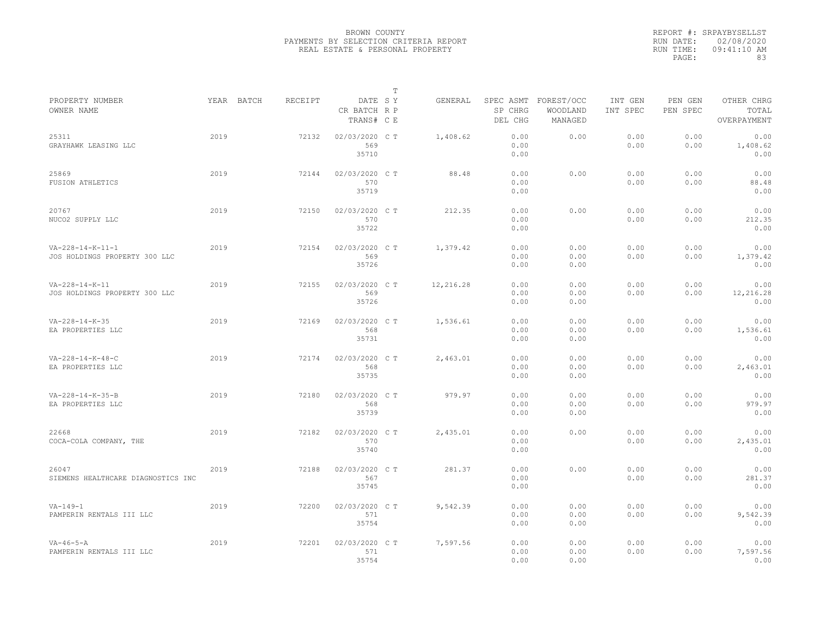|                                                     |            |         |                                       | $\mathbb T$ |           |                      |                                             |                     |                     |                                    |
|-----------------------------------------------------|------------|---------|---------------------------------------|-------------|-----------|----------------------|---------------------------------------------|---------------------|---------------------|------------------------------------|
| PROPERTY NUMBER<br>OWNER NAME                       | YEAR BATCH | RECEIPT | DATE SY<br>CR BATCH R P<br>TRANS# C E |             | GENERAL   | SP CHRG<br>DEL CHG   | SPEC ASMT FOREST/OCC<br>WOODLAND<br>MANAGED | INT GEN<br>INT SPEC | PEN GEN<br>PEN SPEC | OTHER CHRG<br>TOTAL<br>OVERPAYMENT |
| 25311<br>GRAYHAWK LEASING LLC                       | 2019       | 72132   | 02/03/2020 CT<br>569<br>35710         |             | 1,408.62  | 0.00<br>0.00<br>0.00 | 0.00                                        | 0.00<br>0.00        | 0.00<br>0.00        | 0.00<br>1,408.62<br>0.00           |
| 25869<br>FUSION ATHLETICS                           | 2019       | 72144   | 02/03/2020 C T<br>570<br>35719        |             | 88.48     | 0.00<br>0.00<br>0.00 | 0.00                                        | 0.00<br>0.00        | 0.00<br>0.00        | 0.00<br>88.48<br>0.00              |
| 20767<br>NUCO2 SUPPLY LLC                           | 2019       | 72150   | 02/03/2020 C T<br>570<br>35722        |             | 212.35    | 0.00<br>0.00<br>0.00 | 0.00                                        | 0.00<br>0.00        | 0.00<br>0.00        | 0.00<br>212.35<br>0.00             |
| $VA-228-14-K-11-1$<br>JOS HOLDINGS PROPERTY 300 LLC | 2019       | 72154   | 02/03/2020 C T<br>569<br>35726        |             | 1,379.42  | 0.00<br>0.00<br>0.00 | 0.00<br>0.00<br>0.00                        | 0.00<br>0.00        | 0.00<br>0.00        | 0.00<br>1,379.42<br>0.00           |
| VA-228-14-K-11<br>JOS HOLDINGS PROPERTY 300 LLC     | 2019       | 72155   | 02/03/2020 C T<br>569<br>35726        |             | 12,216.28 | 0.00<br>0.00<br>0.00 | 0.00<br>0.00<br>0.00                        | 0.00<br>0.00        | 0.00<br>0.00        | 0.00<br>12,216.28<br>0.00          |
| $VA - 228 - 14 - K - 35$<br>EA PROPERTIES LLC       | 2019       | 72169   | 02/03/2020 C T<br>568<br>35731        |             | 1,536.61  | 0.00<br>0.00<br>0.00 | 0.00<br>0.00<br>0.00                        | 0.00<br>0.00        | 0.00<br>0.00        | 0.00<br>1,536.61<br>0.00           |
| $VA-228-14-K-48-C$<br>EA PROPERTIES LLC             | 2019       | 72174   | 02/03/2020 C T<br>568<br>35735        |             | 2,463.01  | 0.00<br>0.00<br>0.00 | 0.00<br>0.00<br>0.00                        | 0.00<br>0.00        | 0.00<br>0.00        | 0.00<br>2,463.01<br>0.00           |
| VA-228-14-K-35-B<br>EA PROPERTIES LLC               | 2019       | 72180   | 02/03/2020 C T<br>568<br>35739        |             | 979.97    | 0.00<br>0.00<br>0.00 | 0.00<br>0.00<br>0.00                        | 0.00<br>0.00        | 0.00<br>0.00        | 0.00<br>979.97<br>0.00             |
| 22668<br>COCA-COLA COMPANY, THE                     | 2019       | 72182   | 02/03/2020 CT<br>570<br>35740         |             | 2,435.01  | 0.00<br>0.00<br>0.00 | 0.00                                        | 0.00<br>0.00        | 0.00<br>0.00        | 0.00<br>2,435.01<br>0.00           |
| 26047<br>SIEMENS HEALTHCARE DIAGNOSTICS INC         | 2019       | 72188   | 02/03/2020 C T<br>567<br>35745        |             | 281.37    | 0.00<br>0.00<br>0.00 | 0.00                                        | 0.00<br>0.00        | 0.00<br>0.00        | 0.00<br>281.37<br>0.00             |
| $VA - 149 - 1$<br>PAMPERIN RENTALS III LLC          | 2019       | 72200   | 02/03/2020 C T<br>571<br>35754        |             | 9,542.39  | 0.00<br>0.00<br>0.00 | 0.00<br>0.00<br>0.00                        | 0.00<br>0.00        | 0.00<br>0.00        | 0.00<br>9,542.39<br>0.00           |
| $VA - 46 - 5 - A$<br>PAMPERIN RENTALS III LLC       | 2019       | 72201   | 02/03/2020 C T<br>571<br>35754        |             | 7,597.56  | 0.00<br>0.00<br>0.00 | 0.00<br>0.00<br>0.00                        | 0.00<br>0.00        | 0.00<br>0.00        | 0.00<br>7,597.56<br>0.00           |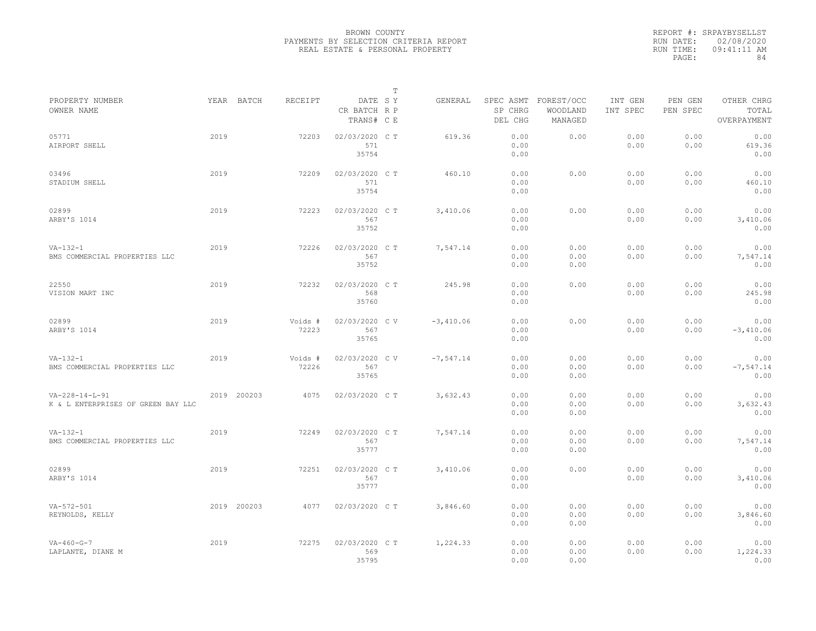|                                                                |      |             |                  |                                       | $\mathbb{T}$ |              |                      |                                             |                     |                     |                                    |
|----------------------------------------------------------------|------|-------------|------------------|---------------------------------------|--------------|--------------|----------------------|---------------------------------------------|---------------------|---------------------|------------------------------------|
| PROPERTY NUMBER<br>OWNER NAME                                  |      | YEAR BATCH  | RECEIPT          | DATE SY<br>CR BATCH R P<br>TRANS# C E |              | GENERAL      | SP CHRG<br>DEL CHG   | SPEC ASMT FOREST/OCC<br>WOODLAND<br>MANAGED | INT GEN<br>INT SPEC | PEN GEN<br>PEN SPEC | OTHER CHRG<br>TOTAL<br>OVERPAYMENT |
| 05771<br>AIRPORT SHELL                                         | 2019 |             | 72203            | 02/03/2020 CT<br>571<br>35754         |              | 619.36       | 0.00<br>0.00<br>0.00 | 0.00                                        | 0.00<br>0.00        | 0.00<br>0.00        | 0.00<br>619.36<br>0.00             |
| 03496<br>STADIUM SHELL                                         | 2019 |             | 72209            | 02/03/2020 C T<br>571<br>35754        |              | 460.10       | 0.00<br>0.00<br>0.00 | 0.00                                        | 0.00<br>0.00        | 0.00<br>0.00        | 0.00<br>460.10<br>0.00             |
| 02899<br>ARBY'S 1014                                           | 2019 |             | 72223            | 02/03/2020 C T<br>567<br>35752        |              | 3,410.06     | 0.00<br>0.00<br>0.00 | 0.00                                        | 0.00<br>0.00        | 0.00<br>0.00        | 0.00<br>3,410.06<br>0.00           |
| $VA-132-1$<br>BMS COMMERCIAL PROPERTIES LLC                    | 2019 |             | 72226            | 02/03/2020 C T<br>567<br>35752        |              | 7,547.14     | 0.00<br>0.00<br>0.00 | 0.00<br>0.00<br>0.00                        | 0.00<br>0.00        | 0.00<br>0.00        | 0.00<br>7,547.14<br>0.00           |
| 22550<br>VISION MART INC                                       | 2019 |             | 72232            | 02/03/2020 C T<br>568<br>35760        |              | 245.98       | 0.00<br>0.00<br>0.00 | 0.00                                        | 0.00<br>0.00        | 0.00<br>0.00        | 0.00<br>245.98<br>0.00             |
| 02899<br>ARBY'S 1014                                           | 2019 |             | Voids #<br>72223 | 02/03/2020 CV<br>567<br>35765         |              | $-3,410.06$  | 0.00<br>0.00<br>0.00 | 0.00                                        | 0.00<br>0.00        | 0.00<br>0.00        | 0.00<br>$-3,410.06$<br>0.00        |
| $VA-132-1$<br>BMS COMMERCIAL PROPERTIES LLC                    | 2019 |             | Voids #<br>72226 | 02/03/2020 CV<br>567<br>35765         |              | $-7, 547.14$ | 0.00<br>0.00<br>0.00 | 0.00<br>0.00<br>0.00                        | 0.00<br>0.00        | 0.00<br>0.00        | 0.00<br>$-7, 547.14$<br>0.00       |
| $VA - 228 - 14 - L - 91$<br>K & L ENTERPRISES OF GREEN BAY LLC |      | 2019 200203 | 4075             | 02/03/2020 C T                        |              | 3,632.43     | 0.00<br>0.00<br>0.00 | 0.00<br>0.00<br>0.00                        | 0.00<br>0.00        | 0.00<br>0.00        | 0.00<br>3,632.43<br>0.00           |
| $VA-132-1$<br>BMS COMMERCIAL PROPERTIES LLC                    | 2019 |             | 72249            | 02/03/2020 C T<br>567<br>35777        |              | 7,547.14     | 0.00<br>0.00<br>0.00 | 0.00<br>0.00<br>0.00                        | 0.00<br>0.00        | 0.00<br>0.00        | 0.00<br>7,547.14<br>0.00           |
| 02899<br>ARBY'S 1014                                           | 2019 |             | 72251            | 02/03/2020 C T<br>567<br>35777        |              | 3,410.06     | 0.00<br>0.00<br>0.00 | 0.00                                        | 0.00<br>0.00        | 0.00<br>0.00        | 0.00<br>3,410.06<br>0.00           |
| $VA - 572 - 501$<br>REYNOLDS, KELLY                            |      | 2019 200203 | 4077             | 02/03/2020 C T                        |              | 3,846.60     | 0.00<br>0.00<br>0.00 | 0.00<br>0.00<br>0.00                        | 0.00<br>0.00        | 0.00<br>0.00        | 0.00<br>3,846.60<br>0.00           |
| $VA - 460 - G - 7$<br>LAPLANTE, DIANE M                        | 2019 |             | 72275            | 02/03/2020 C T<br>569<br>35795        |              | 1,224.33     | 0.00<br>0.00<br>0.00 | 0.00<br>0.00<br>0.00                        | 0.00<br>0.00        | 0.00<br>0.00        | 0.00<br>1,224.33<br>0.00           |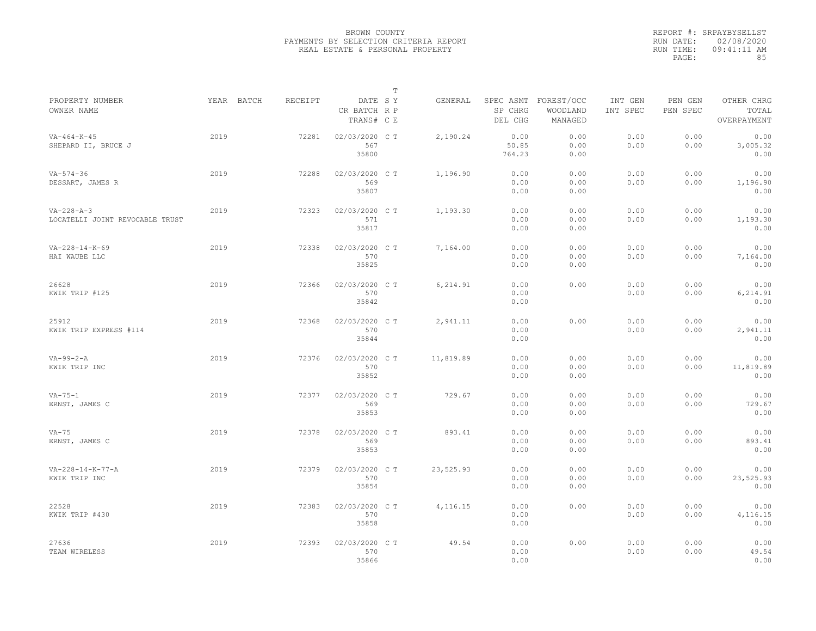|                                                       |            |         |                                       | $\mathbb T$ |           |                         |                                             |                     |                     |                                    |
|-------------------------------------------------------|------------|---------|---------------------------------------|-------------|-----------|-------------------------|---------------------------------------------|---------------------|---------------------|------------------------------------|
| PROPERTY NUMBER<br>OWNER NAME                         | YEAR BATCH | RECEIPT | DATE SY<br>CR BATCH R P<br>TRANS# C E |             | GENERAL   | SP CHRG<br>DEL CHG      | SPEC ASMT FOREST/OCC<br>WOODLAND<br>MANAGED | INT GEN<br>INT SPEC | PEN GEN<br>PEN SPEC | OTHER CHRG<br>TOTAL<br>OVERPAYMENT |
| $VA - 464 - K - 45$<br>SHEPARD II, BRUCE J            | 2019       | 72281   | 02/03/2020 CT<br>567<br>35800         |             | 2,190.24  | 0.00<br>50.85<br>764.23 | 0.00<br>0.00<br>0.00                        | 0.00<br>0.00        | 0.00<br>0.00        | 0.00<br>3,005.32<br>0.00           |
| $VA - 574 - 36$<br>DESSART, JAMES R                   | 2019       | 72288   | 02/03/2020 C T<br>569<br>35807        |             | 1,196.90  | 0.00<br>0.00<br>0.00    | 0.00<br>0.00<br>0.00                        | 0.00<br>0.00        | 0.00<br>0.00        | 0.00<br>1,196.90<br>0.00           |
| $VA - 228 - A - 3$<br>LOCATELLI JOINT REVOCABLE TRUST | 2019       | 72323   | 02/03/2020 C T<br>571<br>35817        |             | 1,193.30  | 0.00<br>0.00<br>0.00    | 0.00<br>0.00<br>0.00                        | 0.00<br>0.00        | 0.00<br>0.00        | 0.00<br>1,193.30<br>0.00           |
| $VA - 228 - 14 - K - 69$<br>HAI WAUBE LLC             | 2019       | 72338   | 02/03/2020 C T<br>570<br>35825        |             | 7,164.00  | 0.00<br>0.00<br>0.00    | 0.00<br>0.00<br>0.00                        | 0.00<br>0.00        | 0.00<br>0.00        | 0.00<br>7,164.00<br>0.00           |
| 26628<br>KWIK TRIP #125                               | 2019       | 72366   | 02/03/2020 C T<br>570<br>35842        |             | 6,214.91  | 0.00<br>0.00<br>0.00    | 0.00                                        | 0.00<br>0.00        | 0.00<br>0.00        | 0.00<br>6,214.91<br>0.00           |
| 25912<br>KWIK TRIP EXPRESS #114                       | 2019       | 72368   | 02/03/2020 CT<br>570<br>35844         |             | 2,941.11  | 0.00<br>0.00<br>0.00    | 0.00                                        | 0.00<br>0.00        | 0.00<br>0.00        | 0.00<br>2,941.11<br>0.00           |
| $VA-99-2-A$<br>KWIK TRIP INC                          | 2019       | 72376   | 02/03/2020 C T<br>570<br>35852        |             | 11,819.89 | 0.00<br>0.00<br>0.00    | 0.00<br>0.00<br>0.00                        | 0.00<br>0.00        | 0.00<br>0.00        | 0.00<br>11,819.89<br>0.00          |
| $VA-75-1$<br>ERNST, JAMES C                           | 2019       | 72377   | 02/03/2020 C T<br>569<br>35853        |             | 729.67    | 0.00<br>0.00<br>0.00    | 0.00<br>0.00<br>0.00                        | 0.00<br>0.00        | 0.00<br>0.00        | 0.00<br>729.67<br>0.00             |
| $VA-75$<br>ERNST, JAMES C                             | 2019       | 72378   | 02/03/2020 CT<br>569<br>35853         |             | 893.41    | 0.00<br>0.00<br>0.00    | 0.00<br>0.00<br>0.00                        | 0.00<br>0.00        | 0.00<br>0.00        | 0.00<br>893.41<br>0.00             |
| $VA - 228 - 14 - K - 77 - A$<br>KWIK TRIP INC         | 2019       | 72379   | 02/03/2020 C T<br>570<br>35854        |             | 23,525.93 | 0.00<br>0.00<br>0.00    | 0.00<br>0.00<br>0.00                        | 0.00<br>0.00        | 0.00<br>0.00        | 0.00<br>23,525.93<br>0.00          |
| 22528<br>KWIK TRIP #430                               | 2019       | 72383   | 02/03/2020 C T<br>570<br>35858        |             | 4,116.15  | 0.00<br>0.00<br>0.00    | 0.00                                        | 0.00<br>0.00        | 0.00<br>0.00        | 0.00<br>4,116.15<br>0.00           |
| 27636<br>TEAM WIRELESS                                | 2019       | 72393   | 02/03/2020 CT<br>570<br>35866         |             | 49.54     | 0.00<br>0.00<br>0.00    | 0.00                                        | 0.00<br>0.00        | 0.00<br>0.00        | 0.00<br>49.54<br>0.00              |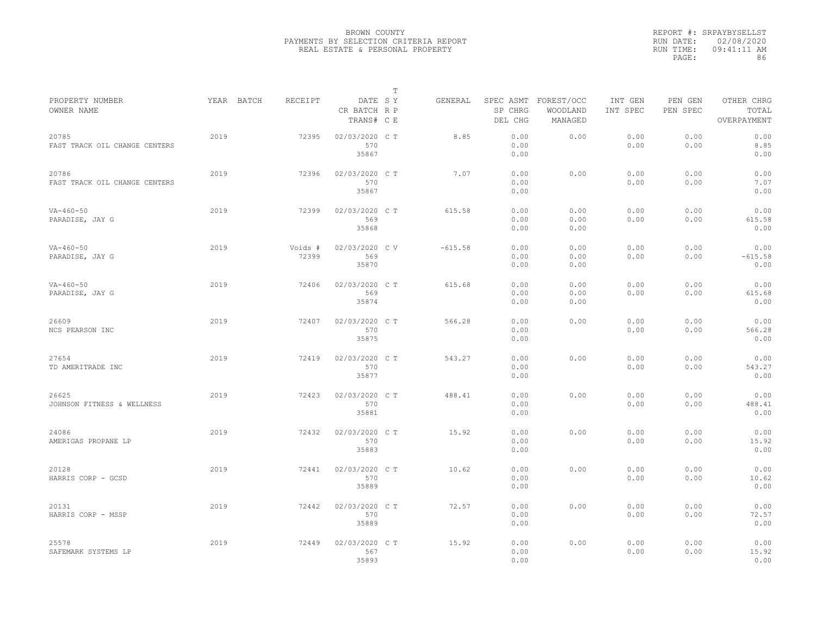|                                        |            |                  |                                       | $\mathbb T$ |           |                      |                                             |                     |                     |                                    |
|----------------------------------------|------------|------------------|---------------------------------------|-------------|-----------|----------------------|---------------------------------------------|---------------------|---------------------|------------------------------------|
| PROPERTY NUMBER<br>OWNER NAME          | YEAR BATCH | RECEIPT          | DATE SY<br>CR BATCH R P<br>TRANS# C E |             | GENERAL   | SP CHRG<br>DEL CHG   | SPEC ASMT FOREST/OCC<br>WOODLAND<br>MANAGED | INT GEN<br>INT SPEC | PEN GEN<br>PEN SPEC | OTHER CHRG<br>TOTAL<br>OVERPAYMENT |
| 20785<br>FAST TRACK OIL CHANGE CENTERS | 2019       | 72395            | 02/03/2020 CT<br>570<br>35867         |             | 8.85      | 0.00<br>0.00<br>0.00 | 0.00                                        | 0.00<br>0.00        | 0.00<br>0.00        | 0.00<br>8.85<br>0.00               |
| 20786<br>FAST TRACK OIL CHANGE CENTERS | 2019       | 72396            | 02/03/2020 C T<br>570<br>35867        |             | 7.07      | 0.00<br>0.00<br>0.00 | 0.00                                        | 0.00<br>0.00        | 0.00<br>0.00        | 0.00<br>7.07<br>0.00               |
| $VA - 460 - 50$<br>PARADISE, JAY G     | 2019       | 72399            | 02/03/2020 C T<br>569<br>35868        |             | 615.58    | 0.00<br>0.00<br>0.00 | 0.00<br>0.00<br>0.00                        | 0.00<br>0.00        | 0.00<br>0.00        | 0.00<br>615.58<br>0.00             |
| $VA - 460 - 50$<br>PARADISE, JAY G     | 2019       | Voids #<br>72399 | 02/03/2020 CV<br>569<br>35870         |             | $-615.58$ | 0.00<br>0.00<br>0.00 | 0.00<br>0.00<br>0.00                        | 0.00<br>0.00        | 0.00<br>0.00        | 0.00<br>$-615.58$<br>0.00          |
| $VA - 460 - 50$<br>PARADISE, JAY G     | 2019       | 72406            | 02/03/2020 C T<br>569<br>35874        |             | 615.68    | 0.00<br>0.00<br>0.00 | 0.00<br>0.00<br>0.00                        | 0.00<br>0.00        | 0.00<br>0.00        | 0.00<br>615.68<br>0.00             |
| 26609<br>NCS PEARSON INC               | 2019       | 72407            | 02/03/2020 C T<br>570<br>35875        |             | 566.28    | 0.00<br>0.00<br>0.00 | 0.00                                        | 0.00<br>0.00        | 0.00<br>0.00        | 0.00<br>566.28<br>0.00             |
| 27654<br>TD AMERITRADE INC             | 2019       | 72419            | 02/03/2020 C T<br>570<br>35877        |             | 543.27    | 0.00<br>0.00<br>0.00 | 0.00                                        | 0.00<br>0.00        | 0.00<br>0.00        | 0.00<br>543.27<br>0.00             |
| 26625<br>JOHNSON FITNESS & WELLNESS    | 2019       | 72423            | 02/03/2020 C T<br>570<br>35881        |             | 488.41    | 0.00<br>0.00<br>0.00 | 0.00                                        | 0.00<br>0.00        | 0.00<br>0.00        | 0.00<br>488.41<br>0.00             |
| 24086<br>AMERIGAS PROPANE LP           | 2019       | 72432            | 02/03/2020 C T<br>570<br>35883        |             | 15.92     | 0.00<br>0.00<br>0.00 | 0.00                                        | 0.00<br>0.00        | 0.00<br>0.00        | 0.00<br>15.92<br>0.00              |
| 20128<br>HARRIS CORP - GCSD            | 2019       | 72441            | 02/03/2020 C T<br>570<br>35889        |             | 10.62     | 0.00<br>0.00<br>0.00 | 0.00                                        | 0.00<br>0.00        | 0.00<br>0.00        | 0.00<br>10.62<br>0.00              |
| 20131<br>HARRIS CORP - MSSP            | 2019       | 72442            | 02/03/2020 C T<br>570<br>35889        |             | 72.57     | 0.00<br>0.00<br>0.00 | 0.00                                        | 0.00<br>0.00        | 0.00<br>0.00        | 0.00<br>72.57<br>0.00              |
| 25578<br>SAFEMARK SYSTEMS LP           | 2019       | 72449            | 02/03/2020 CT<br>567<br>35893         |             | 15.92     | 0.00<br>0.00<br>0.00 | 0.00                                        | 0.00<br>0.00        | 0.00<br>0.00        | 0.00<br>15.92<br>0.00              |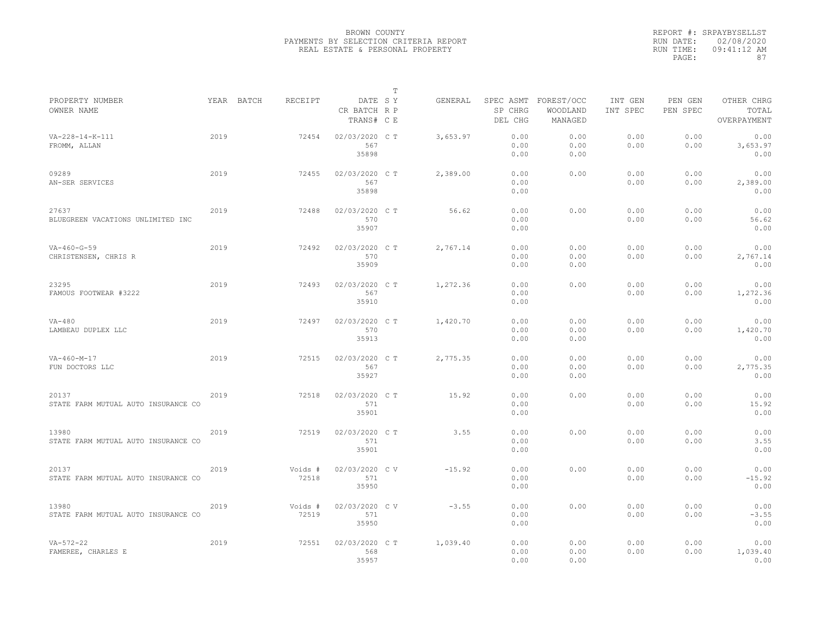|                                              |      |            |                  |                                       | T |          |                      |                                             |                     |                     |                                    |
|----------------------------------------------|------|------------|------------------|---------------------------------------|---|----------|----------------------|---------------------------------------------|---------------------|---------------------|------------------------------------|
| PROPERTY NUMBER<br>OWNER NAME                |      | YEAR BATCH | RECEIPT          | DATE SY<br>CR BATCH R P<br>TRANS# C E |   | GENERAL  | SP CHRG<br>DEL CHG   | SPEC ASMT FOREST/OCC<br>WOODLAND<br>MANAGED | INT GEN<br>INT SPEC | PEN GEN<br>PEN SPEC | OTHER CHRG<br>TOTAL<br>OVERPAYMENT |
| VA-228-14-K-111<br>FROMM, ALLAN              | 2019 |            | 72454            | 02/03/2020 CT<br>567<br>35898         |   | 3,653.97 | 0.00<br>0.00<br>0.00 | 0.00<br>0.00<br>0.00                        | 0.00<br>0.00        | 0.00<br>0.00        | 0.00<br>3,653.97<br>0.00           |
| 09289<br>AN-SER SERVICES                     | 2019 |            | 72455            | 02/03/2020 C T<br>567<br>35898        |   | 2,389.00 | 0.00<br>0.00<br>0.00 | 0.00                                        | 0.00<br>0.00        | 0.00<br>0.00        | 0.00<br>2,389.00<br>0.00           |
| 27637<br>BLUEGREEN VACATIONS UNLIMITED INC   | 2019 |            | 72488            | 02/03/2020 C T<br>570<br>35907        |   | 56.62    | 0.00<br>0.00<br>0.00 | 0.00                                        | 0.00<br>0.00        | 0.00<br>0.00        | 0.00<br>56.62<br>0.00              |
| $VA-460-G-59$<br>CHRISTENSEN, CHRIS R        | 2019 |            | 72492            | 02/03/2020 C T<br>570<br>35909        |   | 2,767.14 | 0.00<br>0.00<br>0.00 | 0.00<br>0.00<br>0.00                        | 0.00<br>0.00        | 0.00<br>0.00        | 0.00<br>2,767.14<br>0.00           |
| 23295<br>FAMOUS FOOTWEAR #3222               | 2019 |            | 72493            | 02/03/2020 C T<br>567<br>35910        |   | 1,272.36 | 0.00<br>0.00<br>0.00 | 0.00                                        | 0.00<br>0.00        | 0.00<br>0.00        | 0.00<br>1,272.36<br>0.00           |
| $VA-480$<br>LAMBEAU DUPLEX LLC               | 2019 |            | 72497            | 02/03/2020 C T<br>570<br>35913        |   | 1,420.70 | 0.00<br>0.00<br>0.00 | 0.00<br>0.00<br>0.00                        | 0.00<br>0.00        | 0.00<br>0.00        | 0.00<br>1,420.70<br>0.00           |
| $VA-460-M-17$<br>FUN DOCTORS LLC             | 2019 |            | 72515            | 02/03/2020 C T<br>567<br>35927        |   | 2,775.35 | 0.00<br>0.00<br>0.00 | 0.00<br>0.00<br>0.00                        | 0.00<br>0.00        | 0.00<br>0.00        | 0.00<br>2,775.35<br>0.00           |
| 20137<br>STATE FARM MUTUAL AUTO INSURANCE CO | 2019 |            | 72518            | 02/03/2020 C T<br>571<br>35901        |   | 15.92    | 0.00<br>0.00<br>0.00 | 0.00                                        | 0.00<br>0.00        | 0.00<br>0.00        | 0.00<br>15.92<br>0.00              |
| 13980<br>STATE FARM MUTUAL AUTO INSURANCE CO | 2019 |            | 72519            | 02/03/2020 C T<br>571<br>35901        |   | 3.55     | 0.00<br>0.00<br>0.00 | 0.00                                        | 0.00<br>0.00        | 0.00<br>0.00        | 0.00<br>3.55<br>0.00               |
| 20137<br>STATE FARM MUTUAL AUTO INSURANCE CO | 2019 |            | Voids #<br>72518 | 02/03/2020 CV<br>571<br>35950         |   | $-15.92$ | 0.00<br>0.00<br>0.00 | 0.00                                        | 0.00<br>0.00        | 0.00<br>0.00        | 0.00<br>$-15.92$<br>0.00           |
| 13980<br>STATE FARM MUTUAL AUTO INSURANCE CO | 2019 |            | Voids #<br>72519 | 02/03/2020 C V<br>571<br>35950        |   | $-3.55$  | 0.00<br>0.00<br>0.00 | 0.00                                        | 0.00<br>0.00        | 0.00<br>0.00        | 0.00<br>$-3.55$<br>0.00            |
| $VA - 572 - 22$<br>FAMEREE, CHARLES E        | 2019 |            | 72551            | 02/03/2020 C T<br>568<br>35957        |   | 1,039.40 | 0.00<br>0.00<br>0.00 | 0.00<br>0.00<br>0.00                        | 0.00<br>0.00        | 0.00<br>0.00        | 0.00<br>1,039.40<br>0.00           |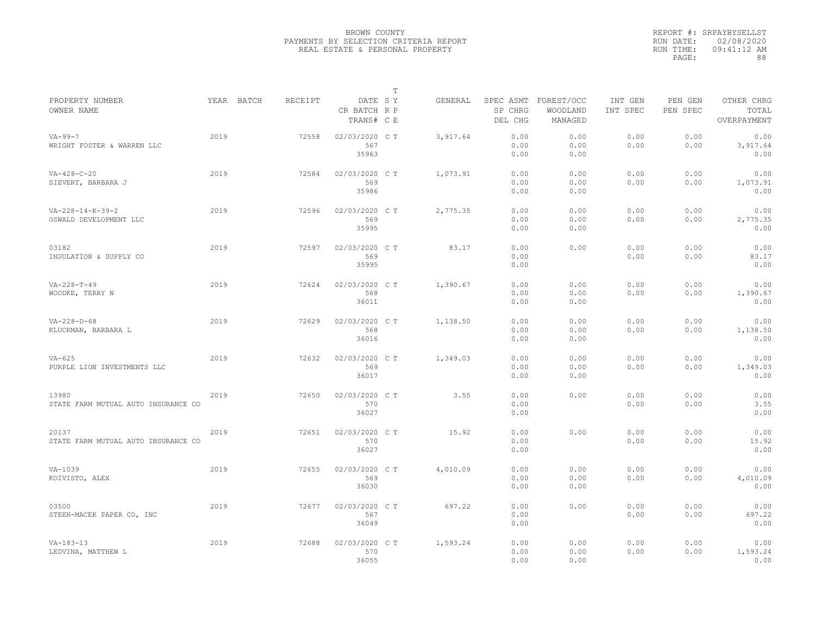|                                                        |      |            |         |                                       | $\mathbb T$ |          |                                 |                                   |                     |                     |                                    |
|--------------------------------------------------------|------|------------|---------|---------------------------------------|-------------|----------|---------------------------------|-----------------------------------|---------------------|---------------------|------------------------------------|
| PROPERTY NUMBER<br>OWNER NAME                          |      | YEAR BATCH | RECEIPT | DATE SY<br>CR BATCH R P<br>TRANS# C E |             | GENERAL  | SPEC ASMT<br>SP CHRG<br>DEL CHG | FOREST/OCC<br>WOODLAND<br>MANAGED | INT GEN<br>INT SPEC | PEN GEN<br>PEN SPEC | OTHER CHRG<br>TOTAL<br>OVERPAYMENT |
| $VA - 99 - 7$<br>WRIGHT FOSTER & WARREN LLC            | 2019 |            | 72558   | 02/03/2020 CT<br>567<br>35963         |             | 3,917.64 | 0.00<br>0.00<br>0.00            | 0.00<br>0.00<br>0.00              | 0.00<br>0.00        | 0.00<br>0.00        | 0.00<br>3,917.64<br>0.00           |
| $VA-428-C-20$<br>SIEVERT, BARBARA J                    | 2019 |            | 72584   | 02/03/2020 C T<br>569<br>35986        |             | 1,073.91 | 0.00<br>0.00<br>0.00            | 0.00<br>0.00<br>0.00              | 0.00<br>0.00        | 0.00<br>0.00        | 0.00<br>1,073.91<br>0.00           |
| $VA - 228 - 14 - K - 39 - 2$<br>OSWALD DEVELOPMENT LLC | 2019 |            | 72596   | 02/03/2020 C T<br>569<br>35995        |             | 2,775.35 | 0.00<br>0.00<br>0.00            | 0.00<br>0.00<br>0.00              | 0.00<br>0.00        | 0.00<br>0.00        | 0.00<br>2,775.35<br>0.00           |
| 03182<br>INSULATION & SUPPLY CO                        | 2019 |            | 72597   | 02/03/2020 C T<br>569<br>35995        |             | 83.17    | 0.00<br>0.00<br>0.00            | 0.00                              | 0.00<br>0.00        | 0.00<br>0.00        | 0.00<br>83.17<br>0.00              |
| $VA - 228 - T - 49$<br>WOODKE, TERRY N                 | 2019 |            | 72624   | 02/03/2020 CT<br>568<br>36011         |             | 1,390.67 | 0.00<br>0.00<br>0.00            | 0.00<br>0.00<br>0.00              | 0.00<br>0.00        | 0.00<br>0.00        | 0.00<br>1,390.67<br>0.00           |
| $VA - 228 - D - 68$<br>KLUCKMAN, BARBARA L             | 2019 |            | 72629   | 02/03/2020 C T<br>568<br>36016        |             | 1,138.50 | 0.00<br>0.00<br>0.00            | 0.00<br>0.00<br>0.00              | 0.00<br>0.00        | 0.00<br>0.00        | 0.00<br>1,138.50<br>0.00           |
| $VA-625$<br>PURPLE LION INVESTMENTS LLC                | 2019 |            | 72632   | 02/03/2020 C T<br>569<br>36017        |             | 1,349.03 | 0.00<br>0.00<br>0.00            | 0.00<br>0.00<br>0.00              | 0.00<br>0.00        | 0.00<br>0.00        | 0.00<br>1,349.03<br>0.00           |
| 13980<br>STATE FARM MUTUAL AUTO INSURANCE CO           | 2019 |            | 72650   | 02/03/2020 C T<br>570<br>36027        |             | 3.55     | 0.00<br>0.00<br>0.00            | 0.00                              | 0.00<br>0.00        | 0.00<br>0.00        | 0.00<br>3.55<br>0.00               |
| 20137<br>STATE FARM MUTUAL AUTO INSURANCE CO           | 2019 |            | 72651   | 02/03/2020 C T<br>570<br>36027        |             | 15.92    | 0.00<br>0.00<br>0.00            | 0.00                              | 0.00<br>0.00        | 0.00<br>0.00        | 0.00<br>15.92<br>0.00              |
| $VA-1039$<br>KOIVISTO, ALEX                            | 2019 |            | 72655   | 02/03/2020 CT<br>569<br>36030         |             | 4,010.09 | 0.00<br>0.00<br>0.00            | 0.00<br>0.00<br>0.00              | 0.00<br>0.00        | 0.00<br>0.00        | 0.00<br>4,010.09<br>0.00           |
| 03500<br>STEEN-MACEK PAPER CO, INC                     | 2019 |            | 72677   | 02/03/2020 C T<br>567<br>36049        |             | 697.22   | 0.00<br>0.00<br>0.00            | 0.00                              | 0.00<br>0.00        | 0.00<br>0.00        | 0.00<br>697.22<br>0.00             |
| $VA - 183 - 13$<br>LEDVINA, MATTHEW L                  | 2019 |            | 72688   | 02/03/2020 CT<br>570<br>36055         |             | 1,593.24 | 0.00<br>0.00<br>0.00            | 0.00<br>0.00<br>0.00              | 0.00<br>0.00        | 0.00<br>0.00        | 0.00<br>1,593.24<br>0.00           |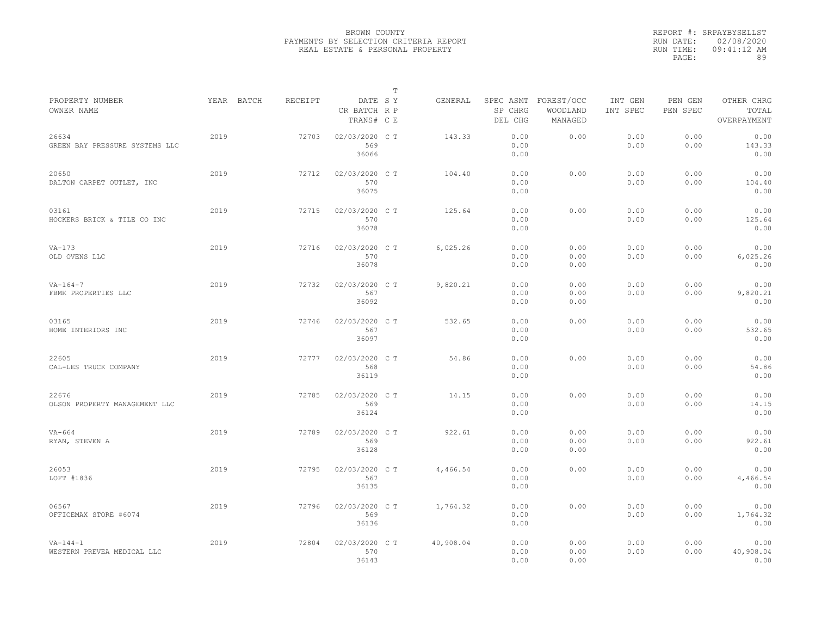|                                              |            |         |                                       | T |           |                      |                                             |                     |                     |                                    |  |
|----------------------------------------------|------------|---------|---------------------------------------|---|-----------|----------------------|---------------------------------------------|---------------------|---------------------|------------------------------------|--|
| PROPERTY NUMBER<br>OWNER NAME                | YEAR BATCH | RECEIPT | DATE SY<br>CR BATCH R P<br>TRANS# C E |   | GENERAL   | SP CHRG<br>DEL CHG   | SPEC ASMT FOREST/OCC<br>WOODLAND<br>MANAGED | INT GEN<br>INT SPEC | PEN GEN<br>PEN SPEC | OTHER CHRG<br>TOTAL<br>OVERPAYMENT |  |
| 26634<br>GREEN BAY PRESSURE SYSTEMS LLC      | 2019       | 72703   | 02/03/2020 C T<br>569<br>36066        |   | 143.33    | 0.00<br>0.00<br>0.00 | 0.00                                        | 0.00<br>0.00        | 0.00<br>0.00        | 0.00<br>143.33<br>0.00             |  |
| 20650<br>DALTON CARPET OUTLET, INC           | 2019       | 72712   | 02/03/2020 C T<br>570<br>36075        |   | 104.40    | 0.00<br>0.00<br>0.00 | 0.00                                        | 0.00<br>0.00        | 0.00<br>0.00        | 0.00<br>104.40<br>0.00             |  |
| 03161<br>HOCKERS BRICK & TILE CO INC         | 2019       | 72715   | 02/03/2020 C T<br>570<br>36078        |   | 125.64    | 0.00<br>0.00<br>0.00 | 0.00                                        | 0.00<br>0.00        | 0.00<br>0.00        | 0.00<br>125.64<br>0.00             |  |
| $VA-173$<br>OLD OVENS LLC                    | 2019       | 72716   | 02/03/2020 C T<br>570<br>36078        |   | 6,025.26  | 0.00<br>0.00<br>0.00 | 0.00<br>0.00<br>0.00                        | 0.00<br>0.00        | 0.00<br>0.00        | 0.00<br>6,025.26<br>0.00           |  |
| $VA - 164 - 7$<br>FBMK PROPERTIES LLC        | 2019       | 72732   | 02/03/2020 C T<br>567<br>36092        |   | 9,820.21  | 0.00<br>0.00<br>0.00 | 0.00<br>0.00<br>0.00                        | 0.00<br>0.00        | 0.00<br>0.00        | 0.00<br>9,820.21<br>0.00           |  |
| 03165<br>HOME INTERIORS INC                  | 2019       | 72746   | 02/03/2020 C T<br>567<br>36097        |   | 532.65    | 0.00<br>0.00<br>0.00 | 0.00                                        | 0.00<br>0.00        | 0.00<br>0.00        | 0.00<br>532.65<br>0.00             |  |
| 22605<br>CAL-LES TRUCK COMPANY               | 2019       | 72777   | 02/03/2020 C T<br>568<br>36119        |   | 54.86     | 0.00<br>0.00<br>0.00 | 0.00                                        | 0.00<br>0.00        | 0.00<br>0.00        | 0.00<br>54.86<br>0.00              |  |
| 22676<br>OLSON PROPERTY MANAGEMENT LLC       | 2019       | 72785   | 02/03/2020 C T<br>569<br>36124        |   | 14.15     | 0.00<br>0.00<br>0.00 | 0.00                                        | 0.00<br>0.00        | 0.00<br>0.00        | 0.00<br>14.15<br>0.00              |  |
| VA-664<br>RYAN, STEVEN A                     | 2019       | 72789   | 02/03/2020 C T<br>569<br>36128        |   | 922.61    | 0.00<br>0.00<br>0.00 | 0.00<br>0.00<br>0.00                        | 0.00<br>0.00        | 0.00<br>0.00        | 0.00<br>922.61<br>0.00             |  |
| 26053<br>LOFT #1836                          | 2019       | 72795   | 02/03/2020 C T<br>567<br>36135        |   | 4,466.54  | 0.00<br>0.00<br>0.00 | 0.00                                        | 0.00<br>0.00        | 0.00<br>0.00        | 0.00<br>4,466.54<br>0.00           |  |
| 06567<br>OFFICEMAX STORE #6074               | 2019       | 72796   | 02/03/2020 C T<br>569<br>36136        |   | 1,764.32  | 0.00<br>0.00<br>0.00 | 0.00                                        | 0.00<br>0.00        | 0.00<br>0.00        | 0.00<br>1,764.32<br>0.00           |  |
| $VA - 144 - 1$<br>WESTERN PREVEA MEDICAL LLC | 2019       | 72804   | 02/03/2020 C T<br>570<br>36143        |   | 40,908.04 | 0.00<br>0.00<br>0.00 | 0.00<br>0.00<br>0.00                        | 0.00<br>0.00        | 0.00<br>0.00        | 0.00<br>40,908.04<br>0.00          |  |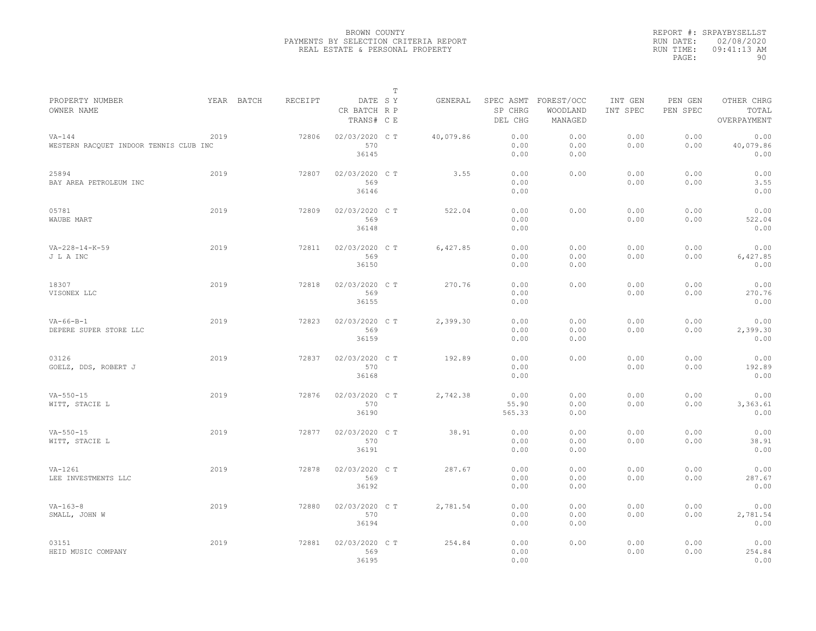|                                                    |            |         |                                       | $\mathbb T$ |           |                                 |                                   |                     |                     |                                    |
|----------------------------------------------------|------------|---------|---------------------------------------|-------------|-----------|---------------------------------|-----------------------------------|---------------------|---------------------|------------------------------------|
| PROPERTY NUMBER<br>OWNER NAME                      | YEAR BATCH | RECEIPT | DATE SY<br>CR BATCH R P<br>TRANS# C E |             | GENERAL   | SPEC ASMT<br>SP CHRG<br>DEL CHG | FOREST/OCC<br>WOODLAND<br>MANAGED | INT GEN<br>INT SPEC | PEN GEN<br>PEN SPEC | OTHER CHRG<br>TOTAL<br>OVERPAYMENT |
| $VA-144$<br>WESTERN RACQUET INDOOR TENNIS CLUB INC | 2019       | 72806   | 02/03/2020 C T<br>570<br>36145        |             | 40,079.86 | 0.00<br>0.00<br>0.00            | 0.00<br>0.00<br>0.00              | 0.00<br>0.00        | 0.00<br>0.00        | 0.00<br>40,079.86<br>0.00          |
| 25894<br>BAY AREA PETROLEUM INC                    | 2019       | 72807   | 02/03/2020 C T<br>569<br>36146        |             | 3.55      | 0.00<br>0.00<br>0.00            | 0.00                              | 0.00<br>0.00        | 0.00<br>0.00        | 0.00<br>3.55<br>0.00               |
| 05781<br>WAUBE MART                                | 2019       | 72809   | 02/03/2020 C T<br>569<br>36148        |             | 522.04    | 0.00<br>0.00<br>0.00            | 0.00                              | 0.00<br>0.00        | 0.00<br>0.00        | 0.00<br>522.04<br>0.00             |
| $VA - 228 - 14 - K - 59$<br>J L A INC              | 2019       | 72811   | 02/03/2020 C T<br>569<br>36150        |             | 6,427.85  | 0.00<br>0.00<br>0.00            | 0.00<br>0.00<br>0.00              | 0.00<br>0.00        | 0.00<br>0.00        | 0.00<br>6,427.85<br>0.00           |
| 18307<br>VISONEX LLC                               | 2019       | 72818   | 02/03/2020 C T<br>569<br>36155        |             | 270.76    | 0.00<br>0.00<br>0.00            | 0.00                              | 0.00<br>0.00        | 0.00<br>0.00        | 0.00<br>270.76<br>0.00             |
| $VA-66-B-1$<br>DEPERE SUPER STORE LLC              | 2019       | 72823   | 02/03/2020 CT<br>569<br>36159         |             | 2,399.30  | 0.00<br>0.00<br>0.00            | 0.00<br>0.00<br>0.00              | 0.00<br>0.00        | 0.00<br>0.00        | 0.00<br>2,399.30<br>0.00           |
| 03126<br>GOELZ, DDS, ROBERT J                      | 2019       | 72837   | 02/03/2020 CT<br>570<br>36168         |             | 192.89    | 0.00<br>0.00<br>0.00            | 0.00                              | 0.00<br>0.00        | 0.00<br>0.00        | 0.00<br>192.89<br>0.00             |
| $VA - 550 - 15$<br>WITT, STACIE L                  | 2019       | 72876   | 02/03/2020 C T<br>570<br>36190        |             | 2,742.38  | 0.00<br>55.90<br>565.33         | 0.00<br>0.00<br>0.00              | 0.00<br>0.00        | 0.00<br>0.00        | 0.00<br>3,363.61<br>0.00           |
| $VA - 550 - 15$<br>WITT, STACIE L                  | 2019       | 72877   | 02/03/2020 CT<br>570<br>36191         |             | 38.91     | 0.00<br>0.00<br>0.00            | 0.00<br>0.00<br>0.00              | 0.00<br>0.00        | 0.00<br>0.00        | 0.00<br>38.91<br>0.00              |
| $VA-1261$<br>LEE INVESTMENTS LLC                   | 2019       | 72878   | 02/03/2020 CT<br>569<br>36192         |             | 287.67    | 0.00<br>0.00<br>0.00            | 0.00<br>0.00<br>0.00              | 0.00<br>0.00        | 0.00<br>0.00        | 0.00<br>287.67<br>0.00             |
| $VA - 163 - 8$<br>SMALL, JOHN W                    | 2019       | 72880   | 02/03/2020 C T<br>570<br>36194        |             | 2,781.54  | 0.00<br>0.00<br>0.00            | 0.00<br>0.00<br>0.00              | 0.00<br>0.00        | 0.00<br>0.00        | 0.00<br>2,781.54<br>0.00           |
| 03151<br>HEID MUSIC COMPANY                        | 2019       | 72881   | 02/03/2020 CT<br>569<br>36195         |             | 254.84    | 0.00<br>0.00<br>0.00            | 0.00                              | 0.00<br>0.00        | 0.00<br>0.00        | 0.00<br>254.84<br>0.00             |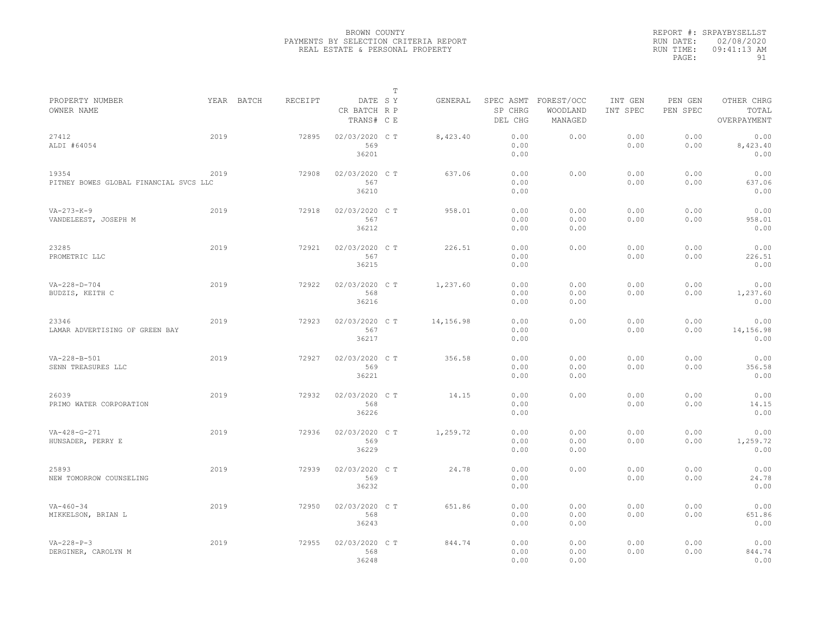|                                                 |            |         |                                       | $\mathbb T$ |           |                      |                                             |                     |                     |                                    |
|-------------------------------------------------|------------|---------|---------------------------------------|-------------|-----------|----------------------|---------------------------------------------|---------------------|---------------------|------------------------------------|
| PROPERTY NUMBER<br>OWNER NAME                   | YEAR BATCH | RECEIPT | DATE SY<br>CR BATCH R P<br>TRANS# C E |             | GENERAL   | SP CHRG<br>DEL CHG   | SPEC ASMT FOREST/OCC<br>WOODLAND<br>MANAGED | INT GEN<br>INT SPEC | PEN GEN<br>PEN SPEC | OTHER CHRG<br>TOTAL<br>OVERPAYMENT |
| 27412<br>ALDI #64054                            | 2019       | 72895   | 02/03/2020 CT<br>569<br>36201         |             | 8,423.40  | 0.00<br>0.00<br>0.00 | 0.00                                        | 0.00<br>0.00        | 0.00<br>0.00        | 0.00<br>8,423.40<br>0.00           |
| 19354<br>PITNEY BOWES GLOBAL FINANCIAL SVCS LLC | 2019       | 72908   | 02/03/2020 C T<br>567<br>36210        |             | 637.06    | 0.00<br>0.00<br>0.00 | 0.00                                        | 0.00<br>0.00        | 0.00<br>0.00        | 0.00<br>637.06<br>0.00             |
| $VA - 273 - K - 9$<br>VANDELEEST, JOSEPH M      | 2019       | 72918   | 02/03/2020 C T<br>567<br>36212        |             | 958.01    | 0.00<br>0.00<br>0.00 | 0.00<br>0.00<br>0.00                        | 0.00<br>0.00        | 0.00<br>0.00        | 0.00<br>958.01<br>0.00             |
| 23285<br>PROMETRIC LLC                          | 2019       | 72921   | 02/03/2020 C T<br>567<br>36215        |             | 226.51    | 0.00<br>0.00<br>0.00 | 0.00                                        | 0.00<br>0.00        | 0.00<br>0.00        | 0.00<br>226.51<br>0.00             |
| $VA - 228 - D - 704$<br>BUDZIS, KEITH C         | 2019       | 72922   | 02/03/2020 C T<br>568<br>36216        |             | 1,237.60  | 0.00<br>0.00<br>0.00 | 0.00<br>0.00<br>0.00                        | 0.00<br>0.00        | 0.00<br>0.00        | 0.00<br>1,237.60<br>0.00           |
| 23346<br>LAMAR ADVERTISING OF GREEN BAY         | 2019       | 72923   | 02/03/2020 CT<br>567<br>36217         |             | 14,156.98 | 0.00<br>0.00<br>0.00 | 0.00                                        | 0.00<br>0.00        | 0.00<br>0.00        | 0.00<br>14,156.98<br>0.00          |
| VA-228-B-501<br>SENN TREASURES LLC              | 2019       | 72927   | 02/03/2020 C T<br>569<br>36221        |             | 356.58    | 0.00<br>0.00<br>0.00 | 0.00<br>0.00<br>0.00                        | 0.00<br>0.00        | 0.00<br>0.00        | 0.00<br>356.58<br>0.00             |
| 26039<br>PRIMO WATER CORPORATION                | 2019       | 72932   | 02/03/2020 C T<br>568<br>36226        |             | 14.15     | 0.00<br>0.00<br>0.00 | 0.00                                        | 0.00<br>0.00        | 0.00<br>0.00        | 0.00<br>14.15<br>0.00              |
| $VA - 428 - G - 271$<br>HUNSADER, PERRY E       | 2019       | 72936   | 02/03/2020 CT<br>569<br>36229         |             | 1,259.72  | 0.00<br>0.00<br>0.00 | 0.00<br>0.00<br>0.00                        | 0.00<br>0.00        | 0.00<br>0.00        | 0.00<br>1,259.72<br>0.00           |
| 25893<br>NEW TOMORROW COUNSELING                | 2019       | 72939   | 02/03/2020 C T<br>569<br>36232        |             | 24.78     | 0.00<br>0.00<br>0.00 | 0.00                                        | 0.00<br>0.00        | 0.00<br>0.00        | 0.00<br>24.78<br>0.00              |
| $VA - 460 - 34$<br>MIKKELSON, BRIAN L           | 2019       | 72950   | 02/03/2020 C T<br>568<br>36243        |             | 651.86    | 0.00<br>0.00<br>0.00 | 0.00<br>0.00<br>0.00                        | 0.00<br>0.00        | 0.00<br>0.00        | 0.00<br>651.86<br>0.00             |
| $VA - 228 - P - 3$<br>DERGINER, CAROLYN M       | 2019       | 72955   | 02/03/2020 CT<br>568<br>36248         |             | 844.74    | 0.00<br>0.00<br>0.00 | 0.00<br>0.00<br>0.00                        | 0.00<br>0.00        | 0.00<br>0.00        | 0.00<br>844.74<br>0.00             |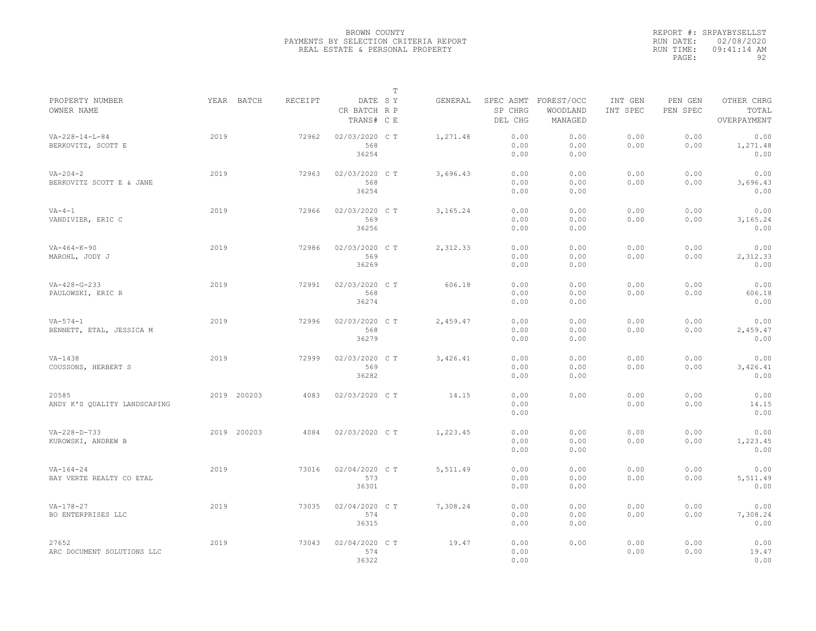|                                                |      |             |         |                                       | $\mathbb T$ |          |                      |                                             |                     |                     |                                    |
|------------------------------------------------|------|-------------|---------|---------------------------------------|-------------|----------|----------------------|---------------------------------------------|---------------------|---------------------|------------------------------------|
| PROPERTY NUMBER<br>OWNER NAME                  |      | YEAR BATCH  | RECEIPT | DATE SY<br>CR BATCH R P<br>TRANS# C E |             | GENERAL  | SP CHRG<br>DEL CHG   | SPEC ASMT FOREST/OCC<br>WOODLAND<br>MANAGED | INT GEN<br>INT SPEC | PEN GEN<br>PEN SPEC | OTHER CHRG<br>TOTAL<br>OVERPAYMENT |
| $VA - 228 - 14 - L - 84$<br>BERKOVITZ, SCOTT E | 2019 |             | 72962   | 02/03/2020 CT<br>568<br>36254         |             | 1,271.48 | 0.00<br>0.00<br>0.00 | 0.00<br>0.00<br>0.00                        | 0.00<br>0.00        | 0.00<br>0.00        | 0.00<br>1,271.48<br>0.00           |
| $VA - 204 - 2$<br>BERKOVITZ SCOTT E & JANE     | 2019 |             | 72963   | 02/03/2020 C T<br>568<br>36254        |             | 3,696.43 | 0.00<br>0.00<br>0.00 | 0.00<br>0.00<br>0.00                        | 0.00<br>0.00        | 0.00<br>0.00        | 0.00<br>3,696.43<br>0.00           |
| $VA-4-1$<br>VANDIVIER, ERIC C                  | 2019 |             | 72966   | 02/03/2020 C T<br>569<br>36256        |             | 3,165.24 | 0.00<br>0.00<br>0.00 | 0.00<br>0.00<br>0.00                        | 0.00<br>0.00        | 0.00<br>0.00        | 0.00<br>3,165.24<br>0.00           |
| $VA-464-K-90$<br>MAROHL, JODY J                | 2019 |             | 72986   | 02/03/2020 C T<br>569<br>36269        |             | 2,312.33 | 0.00<br>0.00<br>0.00 | 0.00<br>0.00<br>0.00                        | 0.00<br>0.00        | 0.00<br>0.00        | 0.00<br>2,312.33<br>0.00           |
| $VA - 428 - G - 233$<br>PAULOWSKI, ERIC R      | 2019 |             | 72991   | 02/03/2020 CT<br>568<br>36274         |             | 606.18   | 0.00<br>0.00<br>0.00 | 0.00<br>0.00<br>0.00                        | 0.00<br>0.00        | 0.00<br>0.00        | 0.00<br>606.18<br>0.00             |
| $VA - 574 - 1$<br>BENNETT, ETAL, JESSICA M     | 2019 |             | 72996   | 02/03/2020 C T<br>568<br>36279        |             | 2,459.47 | 0.00<br>0.00<br>0.00 | 0.00<br>0.00<br>0.00                        | 0.00<br>0.00        | 0.00<br>0.00        | 0.00<br>2,459.47<br>0.00           |
| $VA-1438$<br>COUSSONS, HERBERT S               | 2019 |             | 72999   | 02/03/2020 CT<br>569<br>36282         |             | 3,426.41 | 0.00<br>0.00<br>0.00 | 0.00<br>0.00<br>0.00                        | 0.00<br>0.00        | 0.00<br>0.00        | 0.00<br>3,426.41<br>0.00           |
| 20585<br>ANDY K'S QUALITY LANDSCAPING          |      | 2019 200203 | 4083    | 02/03/2020 C T                        |             | 14.15    | 0.00<br>0.00<br>0.00 | 0.00                                        | 0.00<br>0.00        | 0.00<br>0.00        | 0.00<br>14.15<br>0.00              |
| $VA - 228 - D - 733$<br>KUROWSKI, ANDREW B     |      | 2019 200203 | 4084    | 02/03/2020 C T                        |             | 1,223.45 | 0.00<br>0.00<br>0.00 | 0.00<br>0.00<br>0.00                        | 0.00<br>0.00        | 0.00<br>0.00        | 0.00<br>1,223.45<br>0.00           |
| $VA - 164 - 24$<br>BAY VERTE REALTY CO ETAL    | 2019 |             | 73016   | 02/04/2020 C T<br>573<br>36301        |             | 5,511.49 | 0.00<br>0.00<br>0.00 | 0.00<br>0.00<br>0.00                        | 0.00<br>0.00        | 0.00<br>0.00        | 0.00<br>5,511.49<br>0.00           |
| $VA-178-27$<br>BO ENTERPRISES LLC              | 2019 |             | 73035   | 02/04/2020 C T<br>574<br>36315        |             | 7,308.24 | 0.00<br>0.00<br>0.00 | 0.00<br>0.00<br>0.00                        | 0.00<br>0.00        | 0.00<br>0.00        | 0.00<br>7,308.24<br>0.00           |
| 27652<br>ARC DOCUMENT SOLUTIONS LLC            | 2019 |             | 73043   | 02/04/2020 CT<br>574<br>36322         |             | 19.47    | 0.00<br>0.00<br>0.00 | 0.00                                        | 0.00<br>0.00        | 0.00<br>0.00        | 0.00<br>19.47<br>0.00              |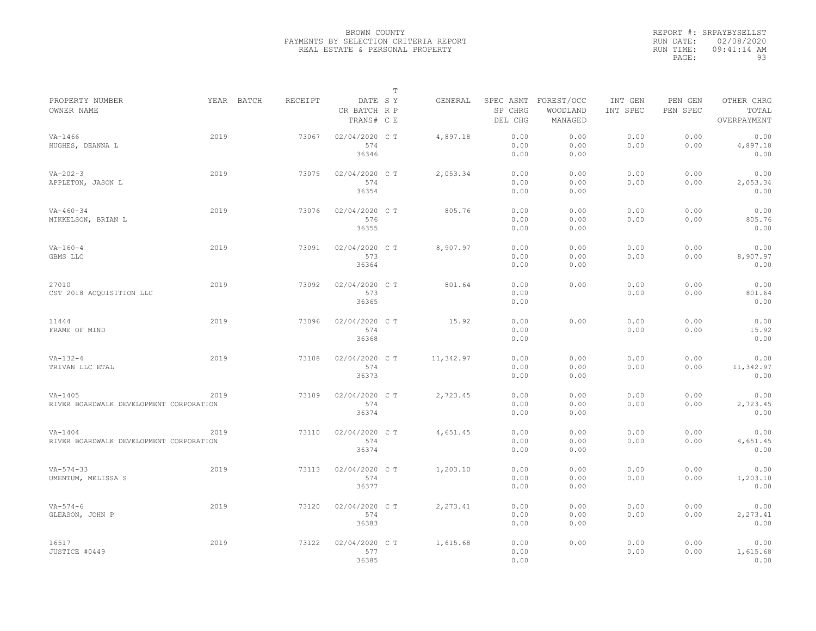|                                                      |      |            |                |                                       | $\mathbb T$ |           |                                 |                                   |                     |                     |                                    |
|------------------------------------------------------|------|------------|----------------|---------------------------------------|-------------|-----------|---------------------------------|-----------------------------------|---------------------|---------------------|------------------------------------|
| PROPERTY NUMBER<br>OWNER NAME                        |      | YEAR BATCH | <b>RECEIPT</b> | DATE SY<br>CR BATCH R P<br>TRANS# C E |             | GENERAL   | SPEC ASMT<br>SP CHRG<br>DEL CHG | FOREST/OCC<br>WOODLAND<br>MANAGED | INT GEN<br>INT SPEC | PEN GEN<br>PEN SPEC | OTHER CHRG<br>TOTAL<br>OVERPAYMENT |
| $VA - 1466$<br>HUGHES, DEANNA L                      | 2019 |            | 73067          | 02/04/2020 CT<br>574<br>36346         |             | 4,897.18  | 0.00<br>0.00<br>0.00            | 0.00<br>0.00<br>0.00              | 0.00<br>0.00        | 0.00<br>0.00        | 0.00<br>4,897.18<br>0.00           |
| $VA - 202 - 3$<br>APPLETON, JASON L                  | 2019 |            | 73075          | 02/04/2020 C T<br>574<br>36354        |             | 2,053.34  | 0.00<br>0.00<br>0.00            | 0.00<br>0.00<br>0.00              | 0.00<br>0.00        | 0.00<br>0.00        | 0.00<br>2,053.34<br>0.00           |
| $VA - 460 - 34$<br>MIKKELSON, BRIAN L                | 2019 |            | 73076          | 02/04/2020 CT<br>576<br>36355         |             | 805.76    | 0.00<br>0.00<br>0.00            | 0.00<br>0.00<br>0.00              | 0.00<br>0.00        | 0.00<br>0.00        | 0.00<br>805.76<br>0.00             |
| $VA - 160 - 4$<br>GBMS LLC                           | 2019 |            | 73091          | 02/04/2020 C T<br>573<br>36364        |             | 8,907.97  | 0.00<br>0.00<br>0.00            | 0.00<br>0.00<br>0.00              | 0.00<br>0.00        | 0.00<br>0.00        | 0.00<br>8,907.97<br>0.00           |
| 27010<br>CST 2018 ACOUISITION LLC                    | 2019 |            | 73092          | 02/04/2020 CT<br>573<br>36365         |             | 801.64    | 0.00<br>0.00<br>0.00            | 0.00                              | 0.00<br>0.00        | 0.00<br>0.00        | 0.00<br>801.64<br>0.00             |
| 11444<br>FRAME OF MIND                               | 2019 |            | 73096          | 02/04/2020 C T<br>574<br>36368        |             | 15.92     | 0.00<br>0.00<br>0.00            | 0.00                              | 0.00<br>0.00        | 0.00<br>0.00        | 0.00<br>15.92<br>0.00              |
| $VA - 132 - 4$<br>TRIVAN LLC ETAL                    | 2019 |            | 73108          | 02/04/2020 C T<br>574<br>36373        |             | 11,342.97 | 0.00<br>0.00<br>0.00            | 0.00<br>0.00<br>0.00              | 0.00<br>0.00        | 0.00<br>0.00        | 0.00<br>11,342.97<br>0.00          |
| $VA-1405$<br>RIVER BOARDWALK DEVELOPMENT CORPORATION | 2019 |            | 73109          | 02/04/2020 C T<br>574<br>36374        |             | 2,723.45  | 0.00<br>0.00<br>0.00            | 0.00<br>0.00<br>0.00              | 0.00<br>0.00        | 0.00<br>0.00        | 0.00<br>2,723.45<br>0.00           |
| $VA-1404$<br>RIVER BOARDWALK DEVELOPMENT CORPORATION | 2019 |            | 73110          | 02/04/2020 C T<br>574<br>36374        |             | 4,651.45  | 0.00<br>0.00<br>0.00            | 0.00<br>0.00<br>0.00              | 0.00<br>0.00        | 0.00<br>0.00        | 0.00<br>4,651.45<br>0.00           |
| $VA - 574 - 33$<br>UMENTUM, MELISSA S                | 2019 |            | 73113          | 02/04/2020 C T<br>574<br>36377        |             | 1,203.10  | 0.00<br>0.00<br>0.00            | 0.00<br>0.00<br>0.00              | 0.00<br>0.00        | 0.00<br>0.00        | 0.00<br>1,203.10<br>0.00           |
| $VA - 574 - 6$<br>GLEASON, JOHN P                    | 2019 |            | 73120          | 02/04/2020 CT<br>574<br>36383         |             | 2, 273.41 | 0.00<br>0.00<br>0.00            | 0.00<br>0.00<br>0.00              | 0.00<br>0.00        | 0.00<br>0.00        | 0.00<br>2,273.41<br>0.00           |
| 16517<br>JUSTICE #0449                               | 2019 |            | 73122          | 02/04/2020 C T<br>577<br>36385        |             | 1,615.68  | 0.00<br>0.00<br>0.00            | 0.00                              | 0.00<br>0.00        | 0.00<br>0.00        | 0.00<br>1,615.68<br>0.00           |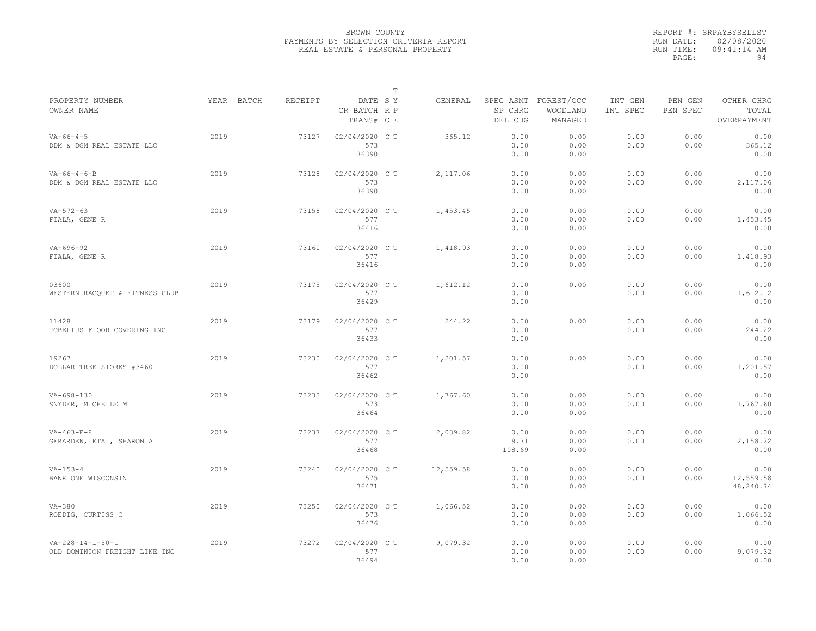|                                                               |            |         |                                       | T |           |                        |                                             |                     |                     |                                    |
|---------------------------------------------------------------|------------|---------|---------------------------------------|---|-----------|------------------------|---------------------------------------------|---------------------|---------------------|------------------------------------|
| PROPERTY NUMBER<br>OWNER NAME                                 | YEAR BATCH | RECEIPT | DATE SY<br>CR BATCH R P<br>TRANS# C E |   | GENERAL   | SP CHRG<br>DEL CHG     | SPEC ASMT FOREST/OCC<br>WOODLAND<br>MANAGED | INT GEN<br>INT SPEC | PEN GEN<br>PEN SPEC | OTHER CHRG<br>TOTAL<br>OVERPAYMENT |
| $VA - 66 - 4 - 5$<br>DDM & DGM REAL ESTATE LLC                | 2019       | 73127   | 02/04/2020 C T<br>573<br>36390        |   | 365.12    | 0.00<br>0.00<br>0.00   | 0.00<br>0.00<br>0.00                        | 0.00<br>0.00        | 0.00<br>0.00        | 0.00<br>365.12<br>0.00             |
| $VA-66-4-6-B$<br>DDM & DGM REAL ESTATE LLC                    | 2019       | 73128   | 02/04/2020 C T<br>573<br>36390        |   | 2,117.06  | 0.00<br>0.00<br>0.00   | 0.00<br>0.00<br>0.00                        | 0.00<br>0.00        | 0.00<br>0.00        | 0.00<br>2,117.06<br>0.00           |
| $VA - 572 - 63$<br>FIALA, GENE R                              | 2019       | 73158   | 02/04/2020 C T<br>577<br>36416        |   | 1,453.45  | 0.00<br>0.00<br>0.00   | 0.00<br>0.00<br>0.00                        | 0.00<br>0.00        | 0.00<br>0.00        | 0.00<br>1,453.45<br>0.00           |
| $VA - 696 - 92$<br>FIALA, GENE R                              | 2019       | 73160   | 02/04/2020 C T<br>577<br>36416        |   | 1,418.93  | 0.00<br>0.00<br>0.00   | 0.00<br>0.00<br>0.00                        | 0.00<br>0.00        | 0.00<br>0.00        | 0.00<br>1,418.93<br>0.00           |
| 03600<br>WESTERN RACQUET & FITNESS CLUB                       | 2019       | 73175   | 02/04/2020 C T<br>577<br>36429        |   | 1,612.12  | 0.00<br>0.00<br>0.00   | 0.00                                        | 0.00<br>0.00        | 0.00<br>0.00        | 0.00<br>1,612.12<br>0.00           |
| 11428<br>JOBELIUS FLOOR COVERING INC                          | 2019       | 73179   | 02/04/2020 C T<br>577<br>36433        |   | 244.22    | 0.00<br>0.00<br>0.00   | 0.00                                        | 0.00<br>0.00        | 0.00<br>0.00        | 0.00<br>244.22<br>0.00             |
| 19267<br>DOLLAR TREE STORES #3460                             | 2019       | 73230   | 02/04/2020 C T<br>577<br>36462        |   | 1,201.57  | 0.00<br>0.00<br>0.00   | 0.00                                        | 0.00<br>0.00        | 0.00<br>0.00        | 0.00<br>1,201.57<br>0.00           |
| $VA-698-130$<br>SNYDER, MICHELLE M                            | 2019       | 73233   | 02/04/2020 C T<br>573<br>36464        |   | 1,767.60  | 0.00<br>0.00<br>0.00   | 0.00<br>0.00<br>0.00                        | 0.00<br>0.00        | 0.00<br>0.00        | 0.00<br>1,767.60<br>0.00           |
| $VA-463-E-8$<br>GERARDEN, ETAL, SHARON A                      | 2019       | 73237   | 02/04/2020 C T<br>577<br>36468        |   | 2,039.82  | 0.00<br>9.71<br>108.69 | 0.00<br>0.00<br>0.00                        | 0.00<br>0.00        | 0.00<br>0.00        | 0.00<br>2,158.22<br>0.00           |
| $VA - 153 - 4$<br>BANK ONE WISCONSIN                          | 2019       | 73240   | 02/04/2020 C T<br>575<br>36471        |   | 12,559.58 | 0.00<br>0.00<br>0.00   | 0.00<br>0.00<br>0.00                        | 0.00<br>0.00        | 0.00<br>0.00        | 0.00<br>12,559.58<br>48,240.74     |
| $VA-380$<br>ROEDIG, CURTISS C                                 | 2019       | 73250   | 02/04/2020 C T<br>573<br>36476        |   | 1,066.52  | 0.00<br>0.00<br>0.00   | 0.00<br>0.00<br>0.00                        | 0.00<br>0.00        | 0.00<br>0.00        | 0.00<br>1,066.52<br>0.00           |
| $VA - 228 - 14 - L - 50 - 1$<br>OLD DOMINION FREIGHT LINE INC | 2019       | 73272   | 02/04/2020 C T<br>577<br>36494        |   | 9,079.32  | 0.00<br>0.00<br>0.00   | 0.00<br>0.00<br>0.00                        | 0.00<br>0.00        | 0.00<br>0.00        | 0.00<br>9,079.32<br>0.00           |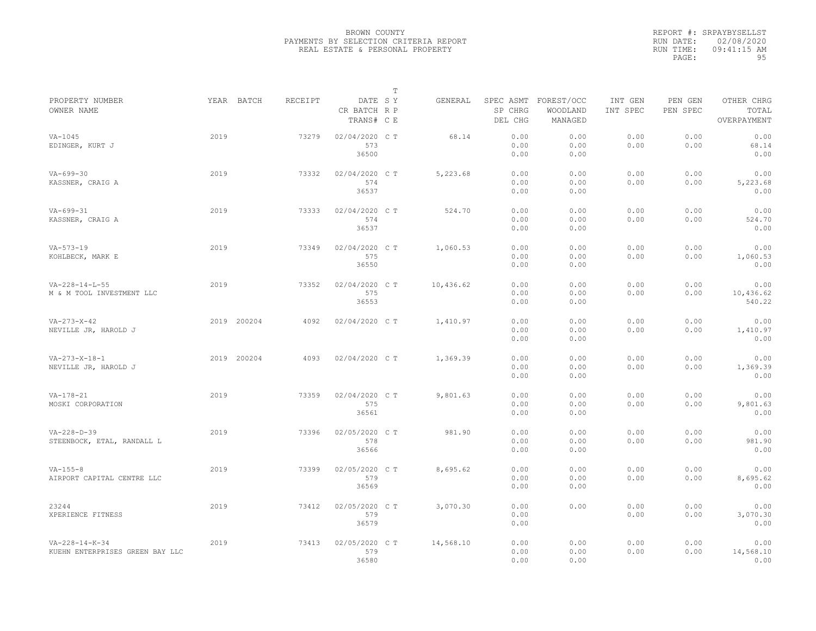|                                 |      |             |         |                                       | $\mathbb T$ |           |                                 |                                   |                     |                     |                                    |
|---------------------------------|------|-------------|---------|---------------------------------------|-------------|-----------|---------------------------------|-----------------------------------|---------------------|---------------------|------------------------------------|
| PROPERTY NUMBER<br>OWNER NAME   |      | YEAR BATCH  | RECEIPT | DATE SY<br>CR BATCH R P<br>TRANS# C E |             | GENERAL   | SPEC ASMT<br>SP CHRG<br>DEL CHG | FOREST/OCC<br>WOODLAND<br>MANAGED | INT GEN<br>INT SPEC | PEN GEN<br>PEN SPEC | OTHER CHRG<br>TOTAL<br>OVERPAYMENT |
| $VA-1045$                       | 2019 |             | 73279   | 02/04/2020 C T                        |             | 68.14     | 0.00                            | 0.00                              | 0.00                | 0.00                | 0.00                               |
| EDINGER, KURT J                 |      |             |         | 573                                   |             |           | 0.00                            | 0.00                              | 0.00                | 0.00                | 68.14                              |
|                                 |      |             |         | 36500                                 |             |           | 0.00                            | 0.00                              |                     |                     | 0.00                               |
|                                 |      |             |         |                                       |             |           |                                 |                                   |                     |                     |                                    |
| $VA - 699 - 30$                 | 2019 |             | 73332   | 02/04/2020 C T                        |             | 5,223.68  | 0.00                            | 0.00                              | 0.00                | 0.00                | 0.00                               |
| KASSNER, CRAIG A                |      |             |         | 574                                   |             |           | 0.00                            | 0.00                              | 0.00                | 0.00                | 5,223.68                           |
|                                 |      |             |         | 36537                                 |             |           | 0.00                            | 0.00                              |                     |                     | 0.00                               |
|                                 |      |             |         |                                       |             |           |                                 |                                   |                     |                     |                                    |
| $VA - 699 - 31$                 | 2019 |             | 73333   | 02/04/2020 C T                        |             | 524.70    | 0.00                            | 0.00                              | 0.00                | 0.00                | 0.00                               |
| KASSNER, CRAIG A                |      |             |         | 574                                   |             |           | 0.00                            | 0.00                              | 0.00                | 0.00                | 524.70                             |
|                                 |      |             |         | 36537                                 |             |           | 0.00                            | 0.00                              |                     |                     | 0.00                               |
|                                 |      |             |         |                                       |             |           |                                 |                                   |                     |                     |                                    |
| $VA - 573 - 19$                 | 2019 |             | 73349   | 02/04/2020 C T                        |             | 1,060.53  | 0.00                            | 0.00                              | 0.00                | 0.00                | 0.00                               |
| KOHLBECK, MARK E                |      |             |         | 575                                   |             |           | 0.00                            | 0.00                              | 0.00                | 0.00                | 1,060.53                           |
|                                 |      |             |         | 36550                                 |             |           | 0.00                            | 0.00                              |                     |                     | 0.00                               |
|                                 |      |             |         |                                       |             |           |                                 |                                   |                     |                     |                                    |
| $VA - 228 - 14 - L - 55$        | 2019 |             | 73352   | 02/04/2020 C T                        |             | 10,436.62 | 0.00                            | 0.00                              | 0.00                | 0.00                | 0.00                               |
| M & M TOOL INVESTMENT LLC       |      |             |         | 575                                   |             |           | 0.00                            | 0.00                              | 0.00                | 0.00                | 10,436.62                          |
|                                 |      |             |         | 36553                                 |             |           | 0.00                            | 0.00                              |                     |                     | 540.22                             |
|                                 |      |             |         |                                       |             |           |                                 |                                   |                     |                     |                                    |
| $VA - 273 - X - 42$             |      | 2019 200204 | 4092    | 02/04/2020 C T                        |             | 1,410.97  | 0.00                            | 0.00                              | 0.00                | 0.00                | 0.00                               |
| NEVILLE JR, HAROLD J            |      |             |         |                                       |             |           | 0.00                            | 0.00                              | 0.00                | 0.00                | 1,410.97                           |
|                                 |      |             |         |                                       |             |           | 0.00                            | 0.00                              |                     |                     | 0.00                               |
|                                 |      |             |         |                                       |             |           |                                 |                                   |                     |                     |                                    |
| $VA-273-X-18-1$                 |      | 2019 200204 | 4093    | 02/04/2020 C T                        |             | 1,369.39  | 0.00                            | 0.00                              | 0.00                | 0.00                | 0.00                               |
| NEVILLE JR, HAROLD J            |      |             |         |                                       |             |           | 0.00                            | 0.00                              | 0.00                | 0.00                | 1,369.39                           |
|                                 |      |             |         |                                       |             |           | 0.00                            | 0.00                              |                     |                     | 0.00                               |
|                                 |      |             |         |                                       |             |           |                                 |                                   |                     |                     |                                    |
| $VA-178-21$                     | 2019 |             | 73359   | 02/04/2020 C T                        |             | 9,801.63  | 0.00                            | 0.00                              | 0.00                | 0.00                | 0.00                               |
| MOSKI CORPORATION               |      |             |         | 575                                   |             |           | 0.00                            | 0.00                              | 0.00                | 0.00                | 9,801.63                           |
|                                 |      |             |         | 36561                                 |             |           | 0.00                            | 0.00                              |                     |                     | 0.00                               |
|                                 |      |             |         |                                       |             |           |                                 |                                   |                     |                     |                                    |
| $VA - 228 - D - 39$             | 2019 |             | 73396   | 02/05/2020 C T                        |             | 981.90    | 0.00                            | 0.00                              | 0.00                | 0.00                | 0.00                               |
| STEENBOCK, ETAL, RANDALL L      |      |             |         | 578                                   |             |           | 0.00                            | 0.00                              | 0.00                | 0.00                | 981.90                             |
|                                 |      |             |         | 36566                                 |             |           | 0.00                            | 0.00                              |                     |                     | 0.00                               |
|                                 |      |             |         |                                       |             |           |                                 |                                   |                     |                     |                                    |
| $VA - 155 - 8$                  | 2019 |             | 73399   | 02/05/2020 CT                         |             | 8,695.62  | 0.00                            | 0.00                              | 0.00                | 0.00                | 0.00                               |
| AIRPORT CAPITAL CENTRE LLC      |      |             |         | 579                                   |             |           | 0.00                            | 0.00                              | 0.00                | 0.00                | 8,695.62                           |
|                                 |      |             |         | 36569                                 |             |           | 0.00                            | 0.00                              |                     |                     | 0.00                               |
|                                 |      |             |         |                                       |             |           |                                 |                                   |                     |                     |                                    |
| 23244                           | 2019 |             | 73412   | 02/05/2020 C T                        |             | 3,070.30  | 0.00                            | 0.00                              | 0.00                | 0.00                | 0.00                               |
| XPERIENCE FITNESS               |      |             |         | 579                                   |             |           | 0.00                            |                                   | 0.00                | 0.00                | 3,070.30                           |
|                                 |      |             |         | 36579                                 |             |           | 0.00                            |                                   |                     |                     | 0.00                               |
|                                 |      |             |         |                                       |             |           |                                 |                                   |                     |                     |                                    |
| $VA - 228 - 14 - K - 34$        | 2019 |             | 73413   | 02/05/2020 CT                         |             | 14,568.10 | 0.00                            | 0.00                              | 0.00                | 0.00                | 0.00                               |
| KUEHN ENTERPRISES GREEN BAY LLC |      |             |         | 579                                   |             |           | 0.00                            | 0.00                              | 0.00                | 0.00                | 14,568.10                          |
|                                 |      |             |         | 36580                                 |             |           | 0.00                            | 0.00                              |                     |                     | 0.00                               |
|                                 |      |             |         |                                       |             |           |                                 |                                   |                     |                     |                                    |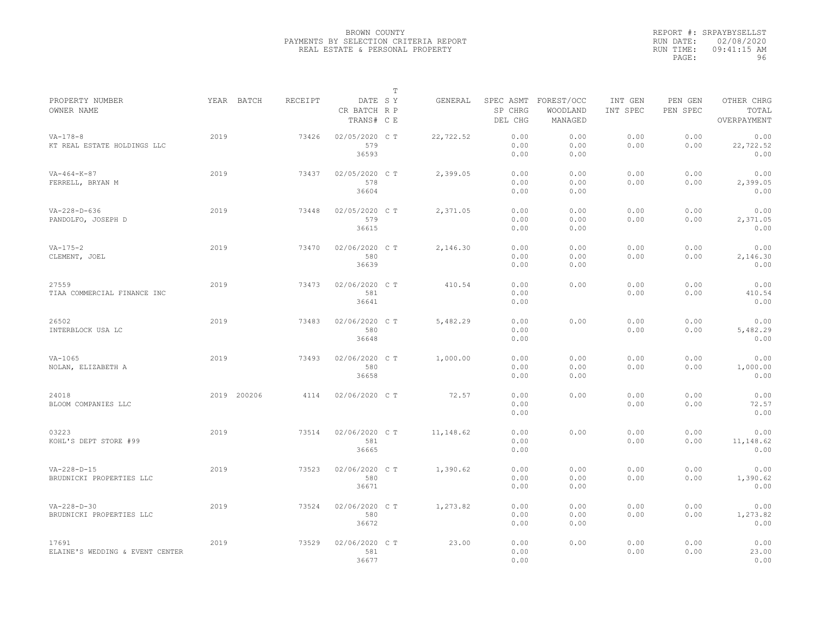|                                                 |      |             |         |                                       | $\mathbb T$ |           |                                 |                                   |                     |                     |                                    |
|-------------------------------------------------|------|-------------|---------|---------------------------------------|-------------|-----------|---------------------------------|-----------------------------------|---------------------|---------------------|------------------------------------|
| PROPERTY NUMBER<br>OWNER NAME                   |      | YEAR BATCH  | RECEIPT | DATE SY<br>CR BATCH R P<br>TRANS# C E |             | GENERAL   | SPEC ASMT<br>SP CHRG<br>DEL CHG | FOREST/OCC<br>WOODLAND<br>MANAGED | INT GEN<br>INT SPEC | PEN GEN<br>PEN SPEC | OTHER CHRG<br>TOTAL<br>OVERPAYMENT |
| $VA - 178 - 8$<br>KT REAL ESTATE HOLDINGS LLC   | 2019 |             | 73426   | 02/05/2020 C T<br>579<br>36593        |             | 22,722.52 | 0.00<br>0.00<br>0.00            | 0.00<br>0.00<br>0.00              | 0.00<br>0.00        | 0.00<br>0.00        | 0.00<br>22,722.52<br>0.00          |
| $VA-464-K-87$<br>FERRELL, BRYAN M               | 2019 |             | 73437   | 02/05/2020 C T<br>578<br>36604        |             | 2,399.05  | 0.00<br>0.00<br>0.00            | 0.00<br>0.00<br>0.00              | 0.00<br>0.00        | 0.00<br>0.00        | 0.00<br>2,399.05<br>0.00           |
| $VA - 228 - D - 636$<br>PANDOLFO, JOSEPH D      | 2019 |             | 73448   | 02/05/2020 C T<br>579<br>36615        |             | 2,371.05  | 0.00<br>0.00<br>0.00            | 0.00<br>0.00<br>0.00              | 0.00<br>0.00        | 0.00<br>0.00        | 0.00<br>2,371.05<br>0.00           |
| $VA - 175 - 2$<br>CLEMENT, JOEL                 | 2019 |             | 73470   | 02/06/2020 CT<br>580<br>36639         |             | 2,146.30  | 0.00<br>0.00<br>0.00            | 0.00<br>0.00<br>0.00              | 0.00<br>0.00        | 0.00<br>0.00        | 0.00<br>2,146.30<br>0.00           |
| 27559<br>TIAA COMMERCIAL FINANCE INC            | 2019 |             | 73473   | 02/06/2020 CT<br>581<br>36641         |             | 410.54    | 0.00<br>0.00<br>0.00            | 0.00                              | 0.00<br>0.00        | 0.00<br>0.00        | 0.00<br>410.54<br>0.00             |
| 26502<br>INTERBLOCK USA LC                      | 2019 |             | 73483   | 02/06/2020 CT<br>580<br>36648         |             | 5,482.29  | 0.00<br>0.00<br>0.00            | 0.00                              | 0.00<br>0.00        | 0.00<br>0.00        | 0.00<br>5,482.29<br>0.00           |
| $VA-1065$<br>NOLAN, ELIZABETH A                 | 2019 |             | 73493   | 02/06/2020 C T<br>580<br>36658        |             | 1,000.00  | 0.00<br>0.00<br>0.00            | 0.00<br>0.00<br>0.00              | 0.00<br>0.00        | 0.00<br>0.00        | 0.00<br>1,000.00<br>0.00           |
| 24018<br>BLOOM COMPANIES LLC                    |      | 2019 200206 | 4114    | 02/06/2020 C T                        |             | 72.57     | 0.00<br>0.00<br>0.00            | 0.00                              | 0.00<br>0.00        | 0.00<br>0.00        | 0.00<br>72.57<br>0.00              |
| 03223<br>KOHL'S DEPT STORE #99                  | 2019 |             | 73514   | 02/06/2020 C T<br>581<br>36665        |             | 11,148.62 | 0.00<br>0.00<br>0.00            | 0.00                              | 0.00<br>0.00        | 0.00<br>0.00        | 0.00<br>11,148.62<br>0.00          |
| $VA - 228 - D - 15$<br>BRUDNICKI PROPERTIES LLC | 2019 |             | 73523   | 02/06/2020 CT<br>580<br>36671         |             | 1,390.62  | 0.00<br>0.00<br>0.00            | 0.00<br>0.00<br>0.00              | 0.00<br>0.00        | 0.00<br>0.00        | 0.00<br>1,390.62<br>0.00           |
| $VA - 228 - D - 30$<br>BRUDNICKI PROPERTIES LLC | 2019 |             | 73524   | 02/06/2020 C T<br>580<br>36672        |             | 1,273.82  | 0.00<br>0.00<br>0.00            | 0.00<br>0.00<br>0.00              | 0.00<br>0.00        | 0.00<br>0.00        | 0.00<br>1,273.82<br>0.00           |
| 17691<br>ELAINE'S WEDDING & EVENT CENTER        | 2019 |             | 73529   | 02/06/2020 CT<br>581<br>36677         |             | 23.00     | 0.00<br>0.00<br>0.00            | 0.00                              | 0.00<br>0.00        | 0.00<br>0.00        | 0.00<br>23.00<br>0.00              |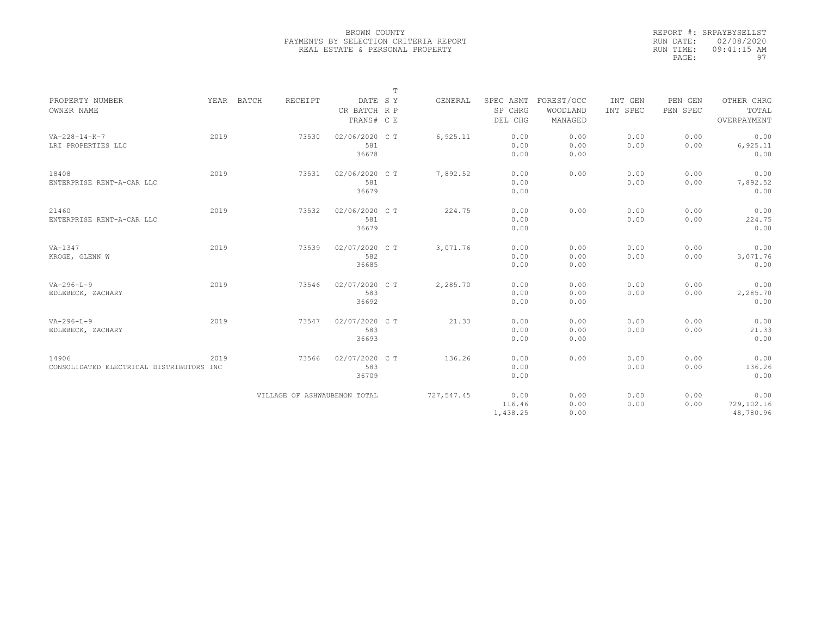|                                               |      |            |         |                              | $\mathbf T$ |                |                      |                        |                     |                     |                     |
|-----------------------------------------------|------|------------|---------|------------------------------|-------------|----------------|----------------------|------------------------|---------------------|---------------------|---------------------|
| PROPERTY NUMBER<br>OWNER NAME                 |      | YEAR BATCH | RECEIPT | DATE SY<br>CR BATCH R P      |             | <b>GENERAL</b> | SPEC ASMT<br>SP CHRG | FOREST/OCC<br>WOODLAND | INT GEN<br>INT SPEC | PEN GEN<br>PEN SPEC | OTHER CHRG<br>TOTAL |
|                                               |      |            |         | TRANS# C E                   |             |                | DEL CHG              | MANAGED                |                     |                     | OVERPAYMENT         |
|                                               |      |            |         |                              |             |                |                      |                        |                     |                     |                     |
| $VA - 228 - 14 - K - 7$<br>LRI PROPERTIES LLC | 2019 |            | 73530   | 02/06/2020 C T<br>581        |             | 6,925.11       | 0.00<br>0.00         | 0.00<br>0.00           | 0.00<br>0.00        | 0.00<br>0.00        | 0.00<br>6,925.11    |
|                                               |      |            |         | 36678                        |             |                | 0.00                 | 0.00                   |                     |                     | 0.00                |
| 18408                                         | 2019 |            | 73531   | 02/06/2020 C T               |             | 7,892.52       | 0.00                 | 0.00                   | 0.00                | 0.00                | 0.00                |
| ENTERPRISE RENT-A-CAR LLC                     |      |            |         | 581                          |             |                | 0.00                 |                        | 0.00                | 0.00                | 7,892.52            |
|                                               |      |            |         | 36679                        |             |                | 0.00                 |                        |                     |                     | 0.00                |
| 21460                                         | 2019 |            | 73532   | 02/06/2020 C T               |             | 224.75         | 0.00                 | 0.00                   | 0.00                | 0.00                | 0.00                |
| ENTERPRISE RENT-A-CAR LLC                     |      |            |         | 581                          |             |                | 0.00                 |                        | 0.00                | 0.00                | 224.75              |
|                                               |      |            |         | 36679                        |             |                | 0.00                 |                        |                     |                     | 0.00                |
| $VA-1347$                                     | 2019 |            | 73539   | 02/07/2020 C T               |             | 3,071.76       | 0.00                 | 0.00                   | 0.00                | 0.00                | 0.00                |
| KROGE, GLENN W                                |      |            |         | 582                          |             |                | 0.00                 | 0.00                   | 0.00                | 0.00                | 3,071.76            |
|                                               |      |            |         | 36685                        |             |                | 0.00                 | 0.00                   |                     |                     | 0.00                |
| $VA - 296 - L - 9$                            | 2019 |            | 73546   | 02/07/2020 C T               |             | 2,285.70       | 0.00                 | 0.00                   | 0.00                | 0.00                | 0.00                |
| EDLEBECK, ZACHARY                             |      |            |         | 583                          |             |                | 0.00                 | 0.00                   | 0.00                | 0.00                | 2,285.70            |
|                                               |      |            |         | 36692                        |             |                | 0.00                 | 0.00                   |                     |                     | 0.00                |
| $VA - 296 - L - 9$                            | 2019 |            | 73547   | 02/07/2020 C T               |             | 21.33          | 0.00                 | 0.00                   | 0.00                | 0.00                | 0.00                |
| EDLEBECK, ZACHARY                             |      |            |         | 583                          |             |                | 0.00                 | 0.00                   | 0.00                | 0.00                | 21.33               |
|                                               |      |            |         | 36693                        |             |                | 0.00                 | 0.00                   |                     |                     | 0.00                |
| 14906                                         | 2019 |            | 73566   | 02/07/2020 C T               |             | 136.26         | 0.00                 | 0.00                   | 0.00                | 0.00                | 0.00                |
| CONSOLIDATED ELECTRICAL DISTRIBUTORS INC      |      |            |         | 583                          |             |                | 0.00                 |                        | 0.00                | 0.00                | 136.26              |
|                                               |      |            |         | 36709                        |             |                | 0.00                 |                        |                     |                     | 0.00                |
|                                               |      |            |         | VILLAGE OF ASHWAUBENON TOTAL |             | 727,547.45     | 0.00                 | 0.00                   | 0.00                | 0.00                | 0.00                |
|                                               |      |            |         |                              |             |                | 116.46               | 0.00                   | 0.00                | 0.00                | 729,102.16          |
|                                               |      |            |         |                              |             |                | 1,438.25             | 0.00                   |                     |                     | 48,780.96           |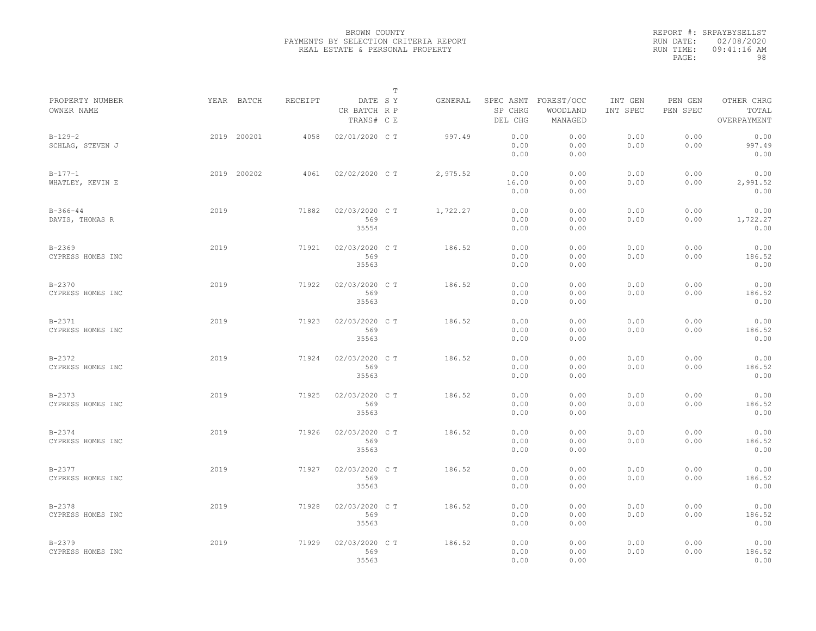|                                 |             |         |                                       | $\mathbb T$ |          |                       |                                             |                     |                     |                                    |  |
|---------------------------------|-------------|---------|---------------------------------------|-------------|----------|-----------------------|---------------------------------------------|---------------------|---------------------|------------------------------------|--|
| PROPERTY NUMBER<br>OWNER NAME   | YEAR BATCH  | RECEIPT | DATE SY<br>CR BATCH R P<br>TRANS# C E |             | GENERAL  | SP CHRG<br>DEL CHG    | SPEC ASMT FOREST/OCC<br>WOODLAND<br>MANAGED | INT GEN<br>INT SPEC | PEN GEN<br>PEN SPEC | OTHER CHRG<br>TOTAL<br>OVERPAYMENT |  |
| $B-129-2$<br>SCHLAG, STEVEN J   | 2019 200201 | 4058    | 02/01/2020 C T                        |             | 997.49   | 0.00<br>0.00<br>0.00  | 0.00<br>0.00<br>0.00                        | 0.00<br>0.00        | 0.00<br>0.00        | 0.00<br>997.49<br>0.00             |  |
| $B-177-1$<br>WHATLEY, KEVIN E   | 2019 200202 | 4061    | 02/02/2020 C T                        |             | 2,975.52 | 0.00<br>16.00<br>0.00 | 0.00<br>0.00<br>0.00                        | 0.00<br>0.00        | 0.00<br>0.00        | 0.00<br>2,991.52<br>0.00           |  |
| $B-366-44$<br>DAVIS, THOMAS R   | 2019        | 71882   | 02/03/2020 C T<br>569<br>35554        |             | 1,722.27 | 0.00<br>0.00<br>0.00  | 0.00<br>0.00<br>0.00                        | 0.00<br>0.00        | 0.00<br>0.00        | 0.00<br>1,722.27<br>0.00           |  |
| $B - 2369$<br>CYPRESS HOMES INC | 2019        | 71921   | 02/03/2020 C T<br>569<br>35563        |             | 186.52   | 0.00<br>0.00<br>0.00  | 0.00<br>0.00<br>0.00                        | 0.00<br>0.00        | 0.00<br>0.00        | 0.00<br>186.52<br>0.00             |  |
| $B - 2370$<br>CYPRESS HOMES INC | 2019        | 71922   | 02/03/2020 C T<br>569<br>35563        |             | 186.52   | 0.00<br>0.00<br>0.00  | 0.00<br>0.00<br>0.00                        | 0.00<br>0.00        | 0.00<br>0.00        | 0.00<br>186.52<br>0.00             |  |
| $B - 2371$<br>CYPRESS HOMES INC | 2019        | 71923   | 02/03/2020 C T<br>569<br>35563        |             | 186.52   | 0.00<br>0.00<br>0.00  | 0.00<br>0.00<br>0.00                        | 0.00<br>0.00        | 0.00<br>0.00        | 0.00<br>186.52<br>0.00             |  |
| $B - 2372$<br>CYPRESS HOMES INC | 2019        | 71924   | 02/03/2020 C T<br>569<br>35563        |             | 186.52   | 0.00<br>0.00<br>0.00  | 0.00<br>0.00<br>0.00                        | 0.00<br>0.00        | 0.00<br>0.00        | 0.00<br>186.52<br>0.00             |  |
| $B - 2373$<br>CYPRESS HOMES INC | 2019        | 71925   | 02/03/2020 CT<br>569<br>35563         |             | 186.52   | 0.00<br>0.00<br>0.00  | 0.00<br>0.00<br>0.00                        | 0.00<br>0.00        | 0.00<br>0.00        | 0.00<br>186.52<br>0.00             |  |
| $B - 2374$<br>CYPRESS HOMES INC | 2019        | 71926   | 02/03/2020 C T<br>569<br>35563        |             | 186.52   | 0.00<br>0.00<br>0.00  | 0.00<br>0.00<br>0.00                        | 0.00<br>0.00        | 0.00<br>0.00        | 0.00<br>186.52<br>0.00             |  |
| $B - 2377$<br>CYPRESS HOMES INC | 2019        | 71927   | 02/03/2020 CT<br>569<br>35563         |             | 186.52   | 0.00<br>0.00<br>0.00  | 0.00<br>0.00<br>0.00                        | 0.00<br>0.00        | 0.00<br>0.00        | 0.00<br>186.52<br>0.00             |  |
| $B - 2378$<br>CYPRESS HOMES INC | 2019        | 71928   | 02/03/2020 C T<br>569<br>35563        |             | 186.52   | 0.00<br>0.00<br>0.00  | 0.00<br>0.00<br>0.00                        | 0.00<br>0.00        | 0.00<br>0.00        | 0.00<br>186.52<br>0.00             |  |
| $B - 2379$<br>CYPRESS HOMES INC | 2019        | 71929   | 02/03/2020 C T<br>569<br>35563        |             | 186.52   | 0.00<br>0.00<br>0.00  | 0.00<br>0.00<br>0.00                        | 0.00<br>0.00        | 0.00<br>0.00        | 0.00<br>186.52<br>0.00             |  |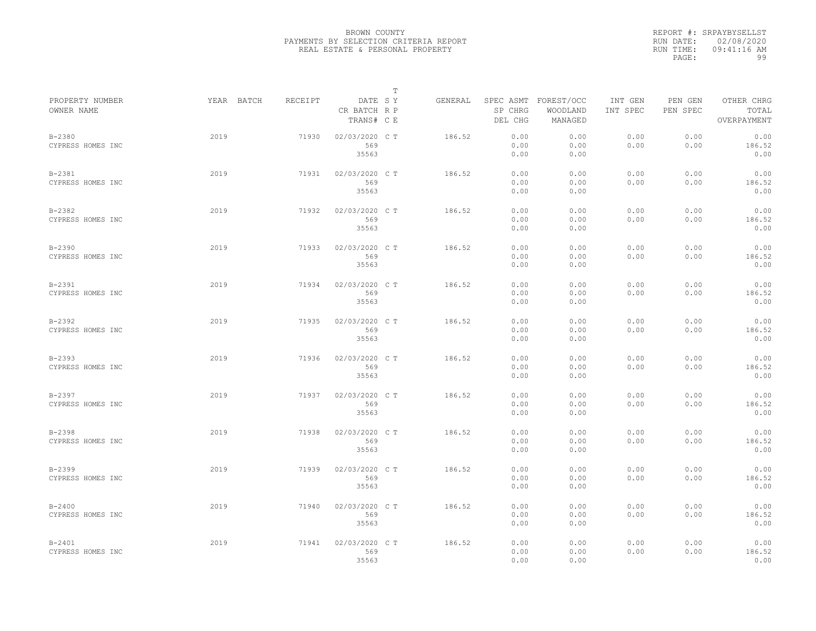|                                 |            |         |                                       | T |         |                      |                                             |                     |                     |                                    |
|---------------------------------|------------|---------|---------------------------------------|---|---------|----------------------|---------------------------------------------|---------------------|---------------------|------------------------------------|
| PROPERTY NUMBER<br>OWNER NAME   | YEAR BATCH | RECEIPT | DATE SY<br>CR BATCH R P<br>TRANS# C E |   | GENERAL | SP CHRG<br>DEL CHG   | SPEC ASMT FOREST/OCC<br>WOODLAND<br>MANAGED | INT GEN<br>INT SPEC | PEN GEN<br>PEN SPEC | OTHER CHRG<br>TOTAL<br>OVERPAYMENT |
| $B - 2380$<br>CYPRESS HOMES INC | 2019       | 71930   | 02/03/2020 C T<br>569<br>35563        |   | 186.52  | 0.00<br>0.00<br>0.00 | 0.00<br>0.00<br>0.00                        | 0.00<br>0.00        | 0.00<br>0.00        | 0.00<br>186.52<br>0.00             |
| $B - 2381$<br>CYPRESS HOMES INC | 2019       | 71931   | 02/03/2020 C T<br>569<br>35563        |   | 186.52  | 0.00<br>0.00<br>0.00 | 0.00<br>0.00<br>0.00                        | 0.00<br>0.00        | 0.00<br>0.00        | 0.00<br>186.52<br>0.00             |
| $B - 2382$<br>CYPRESS HOMES INC | 2019       | 71932   | 02/03/2020 C T<br>569<br>35563        |   | 186.52  | 0.00<br>0.00<br>0.00 | 0.00<br>0.00<br>0.00                        | 0.00<br>0.00        | 0.00<br>0.00        | 0.00<br>186.52<br>0.00             |
| $B - 2390$<br>CYPRESS HOMES INC | 2019       | 71933   | 02/03/2020 C T<br>569<br>35563        |   | 186.52  | 0.00<br>0.00<br>0.00 | 0.00<br>0.00<br>0.00                        | 0.00<br>0.00        | 0.00<br>0.00        | 0.00<br>186.52<br>0.00             |
| $B-2391$<br>CYPRESS HOMES INC   | 2019       | 71934   | 02/03/2020 C T<br>569<br>35563        |   | 186.52  | 0.00<br>0.00<br>0.00 | 0.00<br>0.00<br>0.00                        | 0.00<br>0.00        | 0.00<br>0.00        | 0.00<br>186.52<br>0.00             |
| $B - 2392$<br>CYPRESS HOMES INC | 2019       | 71935   | 02/03/2020 C T<br>569<br>35563        |   | 186.52  | 0.00<br>0.00<br>0.00 | 0.00<br>0.00<br>0.00                        | 0.00<br>0.00        | 0.00<br>0.00        | 0.00<br>186.52<br>0.00             |
| $B - 2393$<br>CYPRESS HOMES INC | 2019       | 71936   | 02/03/2020 C T<br>569<br>35563        |   | 186.52  | 0.00<br>0.00<br>0.00 | 0.00<br>0.00<br>0.00                        | 0.00<br>0.00        | 0.00<br>0.00        | 0.00<br>186.52<br>0.00             |
| $B - 2397$<br>CYPRESS HOMES INC | 2019       | 71937   | 02/03/2020 C T<br>569<br>35563        |   | 186.52  | 0.00<br>0.00<br>0.00 | 0.00<br>0.00<br>0.00                        | 0.00<br>0.00        | 0.00<br>0.00        | 0.00<br>186.52<br>0.00             |
| $B - 2398$<br>CYPRESS HOMES INC | 2019       | 71938   | 02/03/2020 C T<br>569<br>35563        |   | 186.52  | 0.00<br>0.00<br>0.00 | 0.00<br>0.00<br>0.00                        | 0.00<br>0.00        | 0.00<br>0.00        | 0.00<br>186.52<br>0.00             |
| $B - 2399$<br>CYPRESS HOMES INC | 2019       | 71939   | 02/03/2020 C T<br>569<br>35563        |   | 186.52  | 0.00<br>0.00<br>0.00 | 0.00<br>0.00<br>0.00                        | 0.00<br>0.00        | 0.00<br>0.00        | 0.00<br>186.52<br>0.00             |
| $B - 2400$<br>CYPRESS HOMES INC | 2019       | 71940   | 02/03/2020 C T<br>569<br>35563        |   | 186.52  | 0.00<br>0.00<br>0.00 | 0.00<br>0.00<br>0.00                        | 0.00<br>0.00        | 0.00<br>0.00        | 0.00<br>186.52<br>0.00             |
| $B - 2401$<br>CYPRESS HOMES INC | 2019       | 71941   | 02/03/2020 C T<br>569<br>35563        |   | 186.52  | 0.00<br>0.00<br>0.00 | 0.00<br>0.00<br>0.00                        | 0.00<br>0.00        | 0.00<br>0.00        | 0.00<br>186.52<br>0.00             |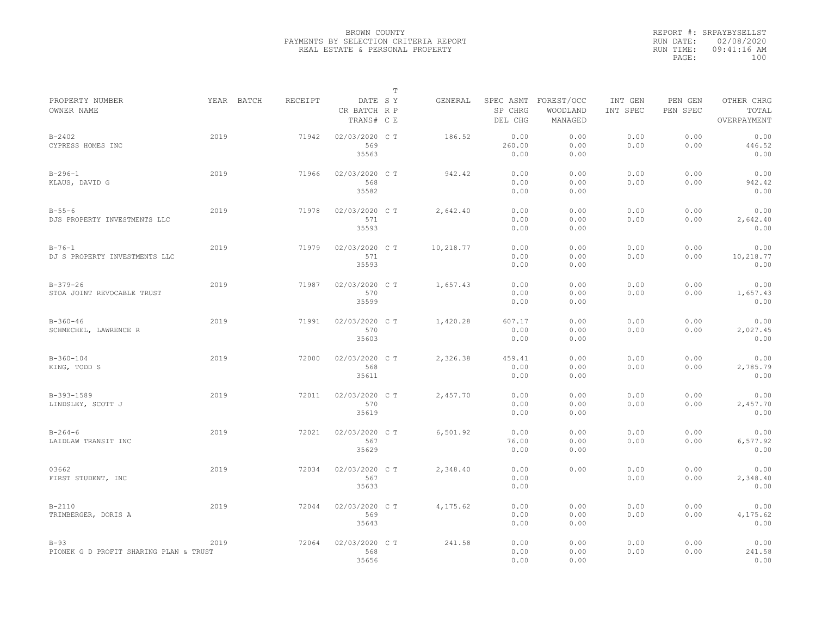|                                                  |            |         |                                       | $\mathbb T$ |           |                                 |                                   |                     |                     |                                    |
|--------------------------------------------------|------------|---------|---------------------------------------|-------------|-----------|---------------------------------|-----------------------------------|---------------------|---------------------|------------------------------------|
| PROPERTY NUMBER<br>OWNER NAME                    | YEAR BATCH | RECEIPT | DATE SY<br>CR BATCH R P<br>TRANS# C E |             | GENERAL   | SPEC ASMT<br>SP CHRG<br>DEL CHG | FOREST/OCC<br>WOODLAND<br>MANAGED | INT GEN<br>INT SPEC | PEN GEN<br>PEN SPEC | OTHER CHRG<br>TOTAL<br>OVERPAYMENT |
| $B - 2402$<br>CYPRESS HOMES INC                  | 2019       | 71942   | 02/03/2020 CT<br>569<br>35563         |             | 186.52    | 0.00<br>260.00<br>0.00          | 0.00<br>0.00<br>0.00              | 0.00<br>0.00        | 0.00<br>0.00        | 0.00<br>446.52<br>0.00             |
| $B - 296 - 1$<br>KLAUS, DAVID G                  | 2019       | 71966   | 02/03/2020 C T<br>568<br>35582        |             | 942.42    | 0.00<br>0.00<br>0.00            | 0.00<br>0.00<br>0.00              | 0.00<br>0.00        | 0.00<br>0.00        | 0.00<br>942.42<br>0.00             |
| $B - 55 - 6$<br>DJS PROPERTY INVESTMENTS LLC     | 2019       | 71978   | 02/03/2020 C T<br>571<br>35593        |             | 2,642.40  | 0.00<br>0.00<br>0.00            | 0.00<br>0.00<br>0.00              | 0.00<br>0.00        | 0.00<br>0.00        | 0.00<br>2,642.40<br>0.00           |
| $B - 76 - 1$<br>DJ S PROPERTY INVESTMENTS LLC    | 2019       | 71979   | 02/03/2020 C T<br>571<br>35593        |             | 10,218.77 | 0.00<br>0.00<br>0.00            | 0.00<br>0.00<br>0.00              | 0.00<br>0.00        | 0.00<br>0.00        | 0.00<br>10,218.77<br>0.00          |
| $B-379-26$<br>STOA JOINT REVOCABLE TRUST         | 2019       | 71987   | 02/03/2020 C T<br>570<br>35599        |             | 1,657.43  | 0.00<br>0.00<br>0.00            | 0.00<br>0.00<br>0.00              | 0.00<br>0.00        | 0.00<br>0.00        | 0.00<br>1,657.43<br>0.00           |
| $B-360-46$<br>SCHMECHEL, LAWRENCE R              | 2019       | 71991   | 02/03/2020 CT<br>570<br>35603         |             | 1,420.28  | 607.17<br>0.00<br>0.00          | 0.00<br>0.00<br>0.00              | 0.00<br>0.00        | 0.00<br>0.00        | 0.00<br>2,027.45<br>0.00           |
| $B-360-104$<br>KING, TODD S                      | 2019       | 72000   | 02/03/2020 C T<br>568<br>35611        |             | 2,326.38  | 459.41<br>0.00<br>0.00          | 0.00<br>0.00<br>0.00              | 0.00<br>0.00        | 0.00<br>0.00        | 0.00<br>2,785.79<br>0.00           |
| B-393-1589<br>LINDSLEY, SCOTT J                  | 2019       | 72011   | 02/03/2020 C T<br>570<br>35619        |             | 2,457.70  | 0.00<br>0.00<br>0.00            | 0.00<br>0.00<br>0.00              | 0.00<br>0.00        | 0.00<br>0.00        | 0.00<br>2,457.70<br>0.00           |
| $B - 264 - 6$<br>LAIDLAW TRANSIT INC             | 2019       | 72021   | 02/03/2020 CT<br>567<br>35629         |             | 6,501.92  | 0.00<br>76.00<br>0.00           | 0.00<br>0.00<br>0.00              | 0.00<br>0.00        | 0.00<br>0.00        | 0.00<br>6,577.92<br>0.00           |
| 03662<br>FIRST STUDENT, INC                      | 2019       | 72034   | 02/03/2020 CT<br>567<br>35633         |             | 2,348.40  | 0.00<br>0.00<br>0.00            | 0.00                              | 0.00<br>0.00        | 0.00<br>0.00        | 0.00<br>2,348.40<br>0.00           |
| $B - 2110$<br>TRIMBERGER, DORIS A                | 2019       | 72044   | 02/03/2020 C T<br>569<br>35643        |             | 4,175.62  | 0.00<br>0.00<br>0.00            | 0.00<br>0.00<br>0.00              | 0.00<br>0.00        | 0.00<br>0.00        | 0.00<br>4,175.62<br>0.00           |
| $B-93$<br>PIONEK G D PROFIT SHARING PLAN & TRUST | 2019       | 72064   | 02/03/2020 CT<br>568<br>35656         |             | 241.58    | 0.00<br>0.00<br>0.00            | 0.00<br>0.00<br>0.00              | 0.00<br>0.00        | 0.00<br>0.00        | 0.00<br>241.58<br>0.00             |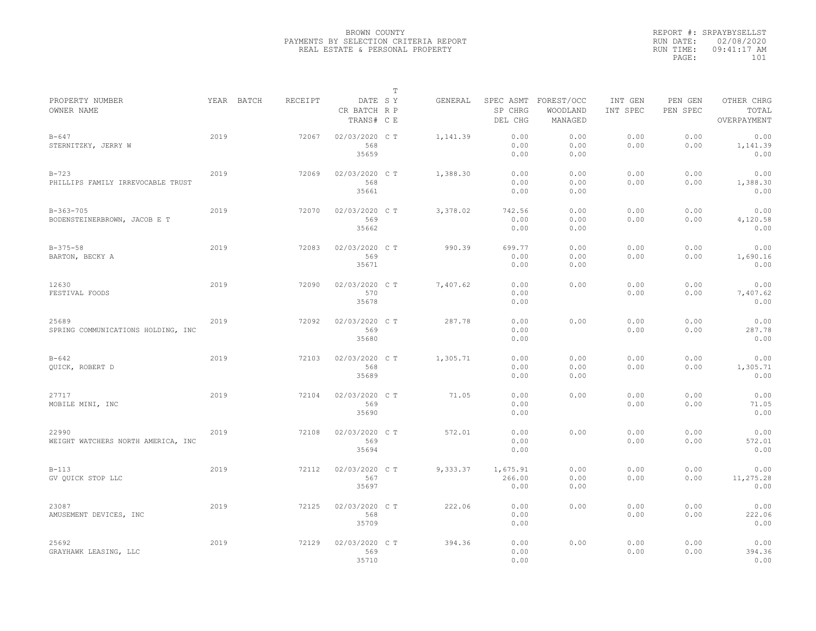|                                              |      |            |         |                                       | $\mathbb T$ |          |                            |                                             |                     |                     |                                    |
|----------------------------------------------|------|------------|---------|---------------------------------------|-------------|----------|----------------------------|---------------------------------------------|---------------------|---------------------|------------------------------------|
| PROPERTY NUMBER<br>OWNER NAME                |      | YEAR BATCH | RECEIPT | DATE SY<br>CR BATCH R P<br>TRANS# C E |             | GENERAL  | SP CHRG<br>DEL CHG         | SPEC ASMT FOREST/OCC<br>WOODLAND<br>MANAGED | INT GEN<br>INT SPEC | PEN GEN<br>PEN SPEC | OTHER CHRG<br>TOTAL<br>OVERPAYMENT |
| $B - 647$<br>STERNITZKY, JERRY W             | 2019 |            | 72067   | 02/03/2020 C T<br>568<br>35659        |             | 1,141.39 | 0.00<br>0.00<br>0.00       | 0.00<br>0.00<br>0.00                        | 0.00<br>0.00        | 0.00<br>0.00        | 0.00<br>1,141.39<br>0.00           |
| $B-723$<br>PHILLIPS FAMILY IRREVOCABLE TRUST | 2019 |            | 72069   | 02/03/2020 C T<br>568<br>35661        |             | 1,388.30 | 0.00<br>0.00<br>0.00       | 0.00<br>0.00<br>0.00                        | 0.00<br>0.00        | 0.00<br>0.00        | 0.00<br>1,388.30<br>0.00           |
| $B-363-705$<br>BODENSTEINERBROWN, JACOB E T  | 2019 |            | 72070   | 02/03/2020 C T<br>569<br>35662        |             | 3,378.02 | 742.56<br>0.00<br>0.00     | 0.00<br>0.00<br>0.00                        | 0.00<br>0.00        | 0.00<br>0.00        | 0.00<br>4,120.58<br>0.00           |
| $B-375-58$<br>BARTON, BECKY A                | 2019 |            | 72083   | 02/03/2020 C T<br>569<br>35671        |             | 990.39   | 699.77<br>0.00<br>0.00     | 0.00<br>0.00<br>0.00                        | 0.00<br>0.00        | 0.00<br>0.00        | 0.00<br>1,690.16<br>0.00           |
| 12630<br>FESTIVAL FOODS                      | 2019 |            | 72090   | 02/03/2020 C T<br>570<br>35678        |             | 7,407.62 | 0.00<br>0.00<br>0.00       | 0.00                                        | 0.00<br>0.00        | 0.00<br>0.00        | 0.00<br>7,407.62<br>0.00           |
| 25689<br>SPRING COMMUNICATIONS HOLDING, INC  | 2019 |            | 72092   | 02/03/2020 C T<br>569<br>35680        |             | 287.78   | 0.00<br>0.00<br>0.00       | 0.00                                        | 0.00<br>0.00        | 0.00<br>0.00        | 0.00<br>287.78<br>0.00             |
| $B - 642$<br>QUICK, ROBERT D                 | 2019 |            | 72103   | 02/03/2020 C T<br>568<br>35689        |             | 1,305.71 | 0.00<br>0.00<br>0.00       | 0.00<br>0.00<br>0.00                        | 0.00<br>0.00        | 0.00<br>0.00        | 0.00<br>1,305.71<br>0.00           |
| 27717<br>MOBILE MINI, INC                    | 2019 |            | 72104   | 02/03/2020 C T<br>569<br>35690        |             | 71.05    | 0.00<br>0.00<br>0.00       | 0.00                                        | 0.00<br>0.00        | 0.00<br>0.00        | 0.00<br>71.05<br>0.00              |
| 22990<br>WEIGHT WATCHERS NORTH AMERICA, INC  | 2019 |            | 72108   | 02/03/2020 C T<br>569<br>35694        |             | 572.01   | 0.00<br>0.00<br>0.00       | 0.00                                        | 0.00<br>0.00        | 0.00<br>0.00        | 0.00<br>572.01<br>0.00             |
| $B-113$<br>GV OUICK STOP LLC                 | 2019 |            | 72112   | 02/03/2020 C T<br>567<br>35697        |             | 9,333.37 | 1,675.91<br>266.00<br>0.00 | 0.00<br>0.00<br>0.00                        | 0.00<br>0.00        | 0.00<br>0.00        | 0.00<br>11,275.28<br>0.00          |
| 23087<br>AMUSEMENT DEVICES, INC              | 2019 |            | 72125   | 02/03/2020 C T<br>568<br>35709        |             | 222.06   | 0.00<br>0.00<br>0.00       | 0.00                                        | 0.00<br>0.00        | 0.00<br>0.00        | 0.00<br>222.06<br>0.00             |
| 25692<br>GRAYHAWK LEASING, LLC               | 2019 |            | 72129   | 02/03/2020 C T<br>569<br>35710        |             | 394.36   | 0.00<br>0.00<br>0.00       | 0.00                                        | 0.00<br>0.00        | 0.00<br>0.00        | 0.00<br>394.36<br>0.00             |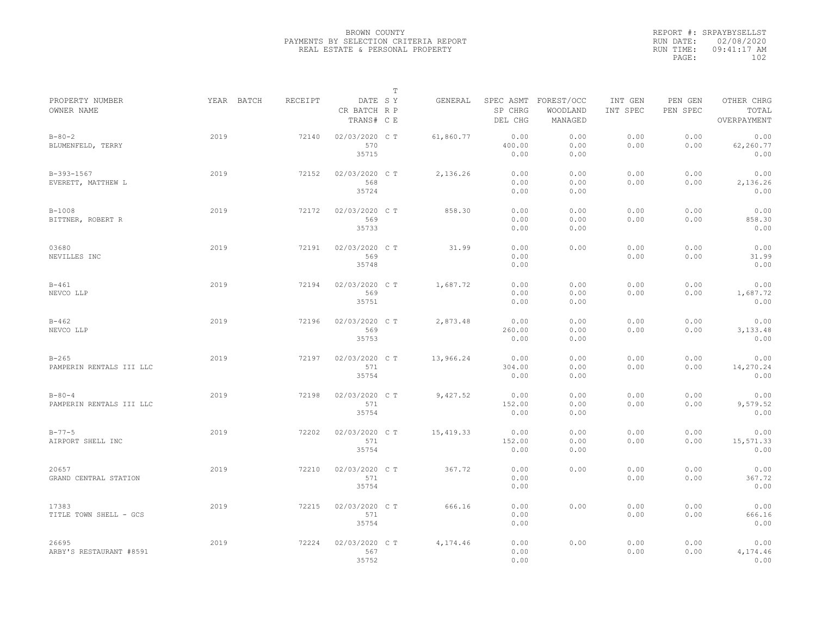|           | REPORT #: SRPAYBYSELLST |  |
|-----------|-------------------------|--|
|           | RUN DATE: 02/08/2020    |  |
| RUN TIME: | 09:41:17 AM             |  |
| PAGE:     | 102                     |  |
|           |                         |  |

|                                          |      |            |         |                                       | $\mathbb T$ |           |                                 |                                   |                     |                     |                                    |
|------------------------------------------|------|------------|---------|---------------------------------------|-------------|-----------|---------------------------------|-----------------------------------|---------------------|---------------------|------------------------------------|
| PROPERTY NUMBER<br>OWNER NAME            |      | YEAR BATCH | RECEIPT | DATE SY<br>CR BATCH R P<br>TRANS# C E |             | GENERAL   | SPEC ASMT<br>SP CHRG<br>DEL CHG | FOREST/OCC<br>WOODLAND<br>MANAGED | INT GEN<br>INT SPEC | PEN GEN<br>PEN SPEC | OTHER CHRG<br>TOTAL<br>OVERPAYMENT |
| $B - 80 - 2$<br>BLUMENFELD, TERRY        | 2019 |            | 72140   | 02/03/2020 C T<br>570<br>35715        |             | 61,860.77 | 0.00<br>400.00<br>0.00          | 0.00<br>0.00<br>0.00              | 0.00<br>0.00        | 0.00<br>0.00        | 0.00<br>62,260.77<br>0.00          |
| B-393-1567<br>EVERETT, MATTHEW L         | 2019 |            | 72152   | 02/03/2020 C T<br>568<br>35724        |             | 2,136.26  | 0.00<br>0.00<br>0.00            | 0.00<br>0.00<br>0.00              | 0.00<br>0.00        | 0.00<br>0.00        | 0.00<br>2,136.26<br>0.00           |
| $B-1008$<br>BITTNER, ROBERT R            | 2019 |            | 72172   | 02/03/2020 C T<br>569<br>35733        |             | 858.30    | 0.00<br>0.00<br>0.00            | 0.00<br>0.00<br>0.00              | 0.00<br>0.00        | 0.00<br>0.00        | 0.00<br>858.30<br>0.00             |
| 03680<br>NEVILLES INC                    | 2019 |            | 72191   | 02/03/2020 C T<br>569<br>35748        |             | 31.99     | 0.00<br>0.00<br>0.00            | 0.00                              | 0.00<br>0.00        | 0.00<br>0.00        | 0.00<br>31.99<br>0.00              |
| $B - 461$<br>NEVCO LLP                   | 2019 |            | 72194   | 02/03/2020 C T<br>569<br>35751        |             | 1,687.72  | 0.00<br>0.00<br>0.00            | 0.00<br>0.00<br>0.00              | 0.00<br>0.00        | 0.00<br>0.00        | 0.00<br>1,687.72<br>0.00           |
| $B - 462$<br>NEVCO LLP                   | 2019 |            | 72196   | 02/03/2020 C T<br>569<br>35753        |             | 2,873.48  | 0.00<br>260.00<br>0.00          | 0.00<br>0.00<br>0.00              | 0.00<br>0.00        | 0.00<br>0.00        | 0.00<br>3,133.48<br>0.00           |
| $B - 265$<br>PAMPERIN RENTALS III LLC    | 2019 |            | 72197   | 02/03/2020 C T<br>571<br>35754        |             | 13,966.24 | 0.00<br>304.00<br>0.00          | 0.00<br>0.00<br>0.00              | 0.00<br>0.00        | 0.00<br>0.00        | 0.00<br>14,270.24<br>0.00          |
| $B - 80 - 4$<br>PAMPERIN RENTALS III LLC | 2019 |            | 72198   | 02/03/2020 C T<br>571<br>35754        |             | 9,427.52  | 0.00<br>152.00<br>0.00          | 0.00<br>0.00<br>0.00              | 0.00<br>0.00        | 0.00<br>0.00        | 0.00<br>9,579.52<br>0.00           |
| $B - 77 - 5$<br>AIRPORT SHELL INC        | 2019 |            | 72202   | 02/03/2020 C T<br>571<br>35754        |             | 15,419.33 | 0.00<br>152.00<br>0.00          | 0.00<br>0.00<br>0.00              | 0.00<br>0.00        | 0.00<br>0.00        | 0.00<br>15,571.33<br>0.00          |
| 20657<br>GRAND CENTRAL STATION           | 2019 |            | 72210   | 02/03/2020 CT<br>571<br>35754         |             | 367.72    | 0.00<br>0.00<br>0.00            | 0.00                              | 0.00<br>0.00        | 0.00<br>0.00        | 0.00<br>367.72<br>0.00             |
| 17383<br>TITLE TOWN SHELL - GCS          | 2019 |            | 72215   | 02/03/2020 C T<br>571<br>35754        |             | 666.16    | 0.00<br>0.00<br>0.00            | 0.00                              | 0.00<br>0.00        | 0.00<br>0.00        | 0.00<br>666.16<br>0.00             |
| 26695<br>ARBY'S RESTAURANT #8591         | 2019 |            | 72224   | 02/03/2020 CT<br>567<br>35752         |             | 4,174.46  | 0.00<br>0.00<br>0.00            | 0.00                              | 0.00<br>0.00        | 0.00<br>0.00        | 0.00<br>4,174.46<br>0.00           |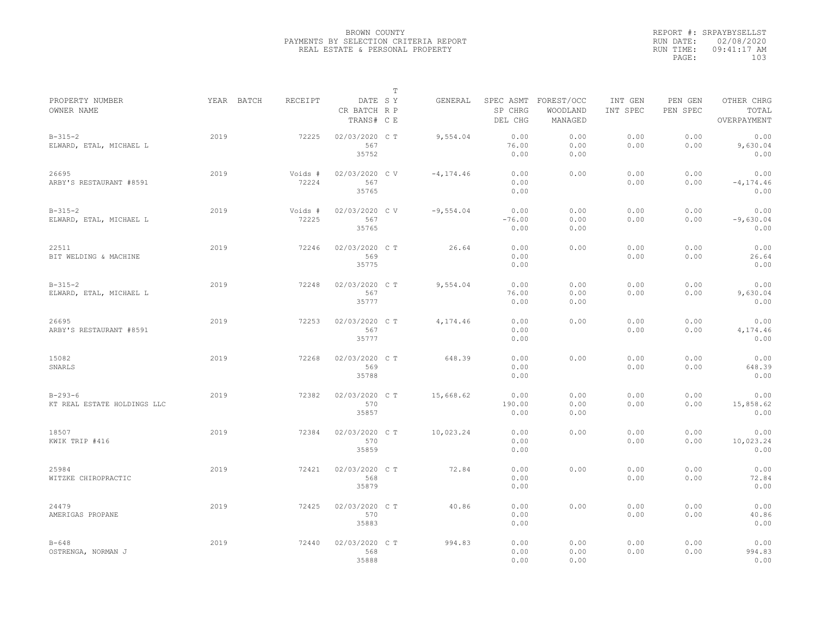|                                              |            |                  |                                       | $\mathbb T$ |              |                          |                                             |                     |                     |                                    |
|----------------------------------------------|------------|------------------|---------------------------------------|-------------|--------------|--------------------------|---------------------------------------------|---------------------|---------------------|------------------------------------|
| PROPERTY NUMBER<br>OWNER NAME                | YEAR BATCH | RECEIPT          | DATE SY<br>CR BATCH R P<br>TRANS# C E |             | GENERAL      | SP CHRG<br>DEL CHG       | SPEC ASMT FOREST/OCC<br>WOODLAND<br>MANAGED | INT GEN<br>INT SPEC | PEN GEN<br>PEN SPEC | OTHER CHRG<br>TOTAL<br>OVERPAYMENT |
| $B-315-2$<br>ELWARD, ETAL, MICHAEL L         | 2019       | 72225            | 02/03/2020 CT<br>567<br>35752         |             | 9,554.04     | 0.00<br>76.00<br>0.00    | 0.00<br>0.00<br>0.00                        | 0.00<br>0.00        | 0.00<br>0.00        | 0.00<br>9,630.04<br>0.00           |
| 26695<br>ARBY'S RESTAURANT #8591             | 2019       | Voids #<br>72224 | 02/03/2020 CV<br>567<br>35765         |             | $-4, 174.46$ | 0.00<br>0.00<br>0.00     | 0.00                                        | 0.00<br>0.00        | 0.00<br>0.00        | 0.00<br>$-4, 174, 46$<br>0.00      |
| $B-315-2$<br>ELWARD, ETAL, MICHAEL L         | 2019       | Voids #<br>72225 | 02/03/2020 CV<br>567<br>35765         |             | $-9,554.04$  | 0.00<br>$-76.00$<br>0.00 | 0.00<br>0.00<br>0.00                        | 0.00<br>0.00        | 0.00<br>0.00        | 0.00<br>$-9,630.04$<br>0.00        |
| 22511<br>BIT WELDING & MACHINE               | 2019       | 72246            | 02/03/2020 C T<br>569<br>35775        |             | 26.64        | 0.00<br>0.00<br>0.00     | 0.00                                        | 0.00<br>0.00        | 0.00<br>0.00        | 0.00<br>26.64<br>0.00              |
| $B-315-2$<br>ELWARD, ETAL, MICHAEL L         | 2019       | 72248            | 02/03/2020 C T<br>567<br>35777        |             | 9,554.04     | 0.00<br>76.00<br>0.00    | 0.00<br>0.00<br>0.00                        | 0.00<br>0.00        | 0.00<br>0.00        | 0.00<br>9,630.04<br>0.00           |
| 26695<br>ARBY'S RESTAURANT #8591             | 2019       | 72253            | 02/03/2020 C T<br>567<br>35777        |             | 4,174.46     | 0.00<br>0.00<br>0.00     | 0.00                                        | 0.00<br>0.00        | 0.00<br>0.00        | 0.00<br>4,174.46<br>0.00           |
| 15082<br>SNARLS                              | 2019       | 72268            | 02/03/2020 C T<br>569<br>35788        |             | 648.39       | 0.00<br>0.00<br>0.00     | 0.00                                        | 0.00<br>0.00        | 0.00<br>0.00        | 0.00<br>648.39<br>0.00             |
| $B - 293 - 6$<br>KT REAL ESTATE HOLDINGS LLC | 2019       | 72382            | 02/03/2020 C T<br>570<br>35857        |             | 15,668.62    | 0.00<br>190.00<br>0.00   | 0.00<br>0.00<br>0.00                        | 0.00<br>0.00        | 0.00<br>0.00        | 0.00<br>15,858.62<br>0.00          |
| 18507<br>KWIK TRIP #416                      | 2019       | 72384            | 02/03/2020 C T<br>570<br>35859        |             | 10,023.24    | 0.00<br>0.00<br>0.00     | 0.00                                        | 0.00<br>0.00        | 0.00<br>0.00        | 0.00<br>10,023.24<br>0.00          |
| 25984<br>WITZKE CHIROPRACTIC                 | 2019       | 72421            | 02/03/2020 C T<br>568<br>35879        |             | 72.84        | 0.00<br>0.00<br>0.00     | 0.00                                        | 0.00<br>0.00        | 0.00<br>0.00        | 0.00<br>72.84<br>0.00              |
| 24479<br>AMERIGAS PROPANE                    | 2019       | 72425            | 02/03/2020 C T<br>570<br>35883        |             | 40.86        | 0.00<br>0.00<br>0.00     | 0.00                                        | 0.00<br>0.00        | 0.00<br>0.00        | 0.00<br>40.86<br>0.00              |
| $B - 648$<br>OSTRENGA, NORMAN J              | 2019       | 72440            | 02/03/2020 CT<br>568<br>35888         |             | 994.83       | 0.00<br>0.00<br>0.00     | 0.00<br>0.00<br>0.00                        | 0.00<br>0.00        | 0.00<br>0.00        | 0.00<br>994.83<br>0.00             |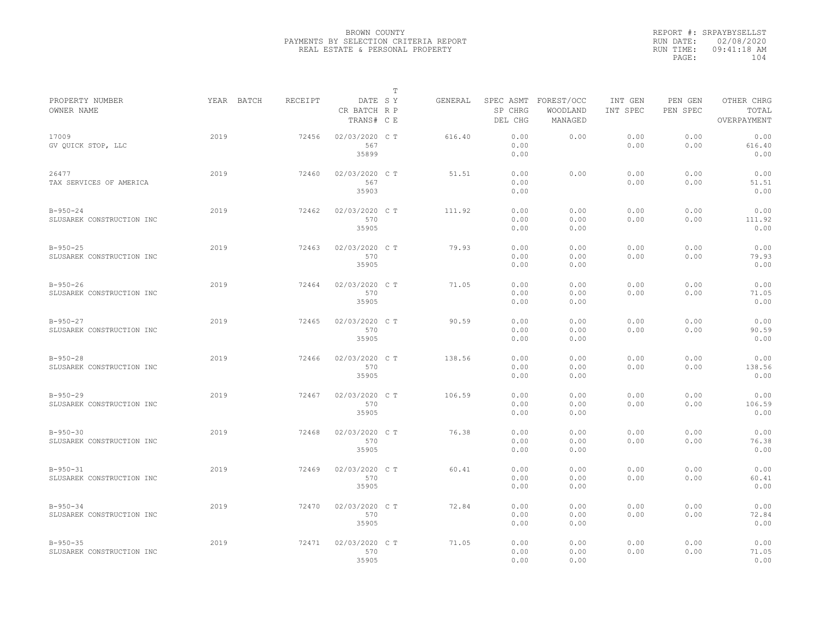|                                             |            |         |                                       | $\mathbb T$ |         |                                 |                                   |                     |                     |                                    |
|---------------------------------------------|------------|---------|---------------------------------------|-------------|---------|---------------------------------|-----------------------------------|---------------------|---------------------|------------------------------------|
| PROPERTY NUMBER<br>OWNER NAME               | YEAR BATCH | RECEIPT | DATE SY<br>CR BATCH R P<br>TRANS# C E |             | GENERAL | SPEC ASMT<br>SP CHRG<br>DEL CHG | FOREST/OCC<br>WOODLAND<br>MANAGED | INT GEN<br>INT SPEC | PEN GEN<br>PEN SPEC | OTHER CHRG<br>TOTAL<br>OVERPAYMENT |
| 17009<br>GV QUICK STOP, LLC                 | 2019       | 72456   | 02/03/2020 C T<br>567<br>35899        |             | 616.40  | 0.00<br>0.00<br>0.00            | 0.00                              | 0.00<br>0.00        | 0.00<br>0.00        | 0.00<br>616.40<br>0.00             |
| 26477<br>TAX SERVICES OF AMERICA            | 2019       | 72460   | 02/03/2020 C T<br>567<br>35903        |             | 51.51   | 0.00<br>0.00<br>0.00            | 0.00                              | 0.00<br>0.00        | 0.00<br>0.00        | 0.00<br>51.51<br>0.00              |
| $B - 950 - 24$<br>SLUSAREK CONSTRUCTION INC | 2019       | 72462   | 02/03/2020 C T<br>570<br>35905        |             | 111.92  | 0.00<br>0.00<br>0.00            | 0.00<br>0.00<br>0.00              | 0.00<br>0.00        | 0.00<br>0.00        | 0.00<br>111.92<br>0.00             |
| $B - 950 - 25$<br>SLUSAREK CONSTRUCTION INC | 2019       | 72463   | 02/03/2020 C T<br>570<br>35905        |             | 79.93   | 0.00<br>0.00<br>0.00            | 0.00<br>0.00<br>0.00              | 0.00<br>0.00        | 0.00<br>0.00        | 0.00<br>79.93<br>0.00              |
| $B-950-26$<br>SLUSAREK CONSTRUCTION INC     | 2019       | 72464   | 02/03/2020 C T<br>570<br>35905        |             | 71.05   | 0.00<br>0.00<br>0.00            | 0.00<br>0.00<br>0.00              | 0.00<br>0.00        | 0.00<br>0.00        | 0.00<br>71.05<br>0.00              |
| $B - 950 - 27$<br>SLUSAREK CONSTRUCTION INC | 2019       | 72465   | 02/03/2020 CT<br>570<br>35905         |             | 90.59   | 0.00<br>0.00<br>0.00            | 0.00<br>0.00<br>0.00              | 0.00<br>0.00        | 0.00<br>0.00        | 0.00<br>90.59<br>0.00              |
| $B-950-28$<br>SLUSAREK CONSTRUCTION INC     | 2019       | 72466   | 02/03/2020 C T<br>570<br>35905        |             | 138.56  | 0.00<br>0.00<br>0.00            | 0.00<br>0.00<br>0.00              | 0.00<br>0.00        | 0.00<br>0.00        | 0.00<br>138.56<br>0.00             |
| $B-950-29$<br>SLUSAREK CONSTRUCTION INC     | 2019       | 72467   | 02/03/2020 C T<br>570<br>35905        |             | 106.59  | 0.00<br>0.00<br>0.00            | 0.00<br>0.00<br>0.00              | 0.00<br>0.00        | 0.00<br>0.00        | 0.00<br>106.59<br>0.00             |
| $B - 950 - 30$<br>SLUSAREK CONSTRUCTION INC | 2019       | 72468   | 02/03/2020 CT<br>570<br>35905         |             | 76.38   | 0.00<br>0.00<br>0.00            | 0.00<br>0.00<br>0.00              | 0.00<br>0.00        | 0.00<br>0.00        | 0.00<br>76.38<br>0.00              |
| $B-950-31$<br>SLUSAREK CONSTRUCTION INC     | 2019       | 72469   | 02/03/2020 C T<br>570<br>35905        |             | 60.41   | 0.00<br>0.00<br>0.00            | 0.00<br>0.00<br>0.00              | 0.00<br>0.00        | 0.00<br>0.00        | 0.00<br>60.41<br>0.00              |
| $B-950-34$<br>SLUSAREK CONSTRUCTION INC     | 2019       | 72470   | 02/03/2020 C T<br>570<br>35905        |             | 72.84   | 0.00<br>0.00<br>0.00            | 0.00<br>0.00<br>0.00              | 0.00<br>0.00        | 0.00<br>0.00        | 0.00<br>72.84<br>0.00              |
| $B - 950 - 35$<br>SLUSAREK CONSTRUCTION INC | 2019       | 72471   | 02/03/2020 CT<br>570<br>35905         |             | 71.05   | 0.00<br>0.00<br>0.00            | 0.00<br>0.00<br>0.00              | 0.00<br>0.00        | 0.00<br>0.00        | 0.00<br>71.05<br>0.00              |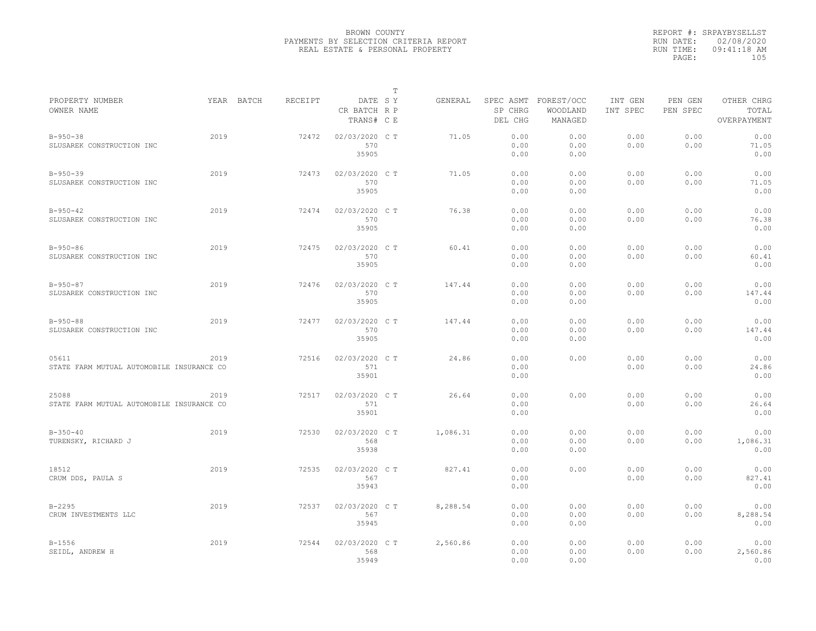|                                                    |      |            |         |                                       | $\mathbb T$ |          |                                 |                                   |                     |                     |                                    |
|----------------------------------------------------|------|------------|---------|---------------------------------------|-------------|----------|---------------------------------|-----------------------------------|---------------------|---------------------|------------------------------------|
| PROPERTY NUMBER<br>OWNER NAME                      |      | YEAR BATCH | RECEIPT | DATE SY<br>CR BATCH R P<br>TRANS# C E |             | GENERAL  | SPEC ASMT<br>SP CHRG<br>DEL CHG | FOREST/OCC<br>WOODLAND<br>MANAGED | INT GEN<br>INT SPEC | PEN GEN<br>PEN SPEC | OTHER CHRG<br>TOTAL<br>OVERPAYMENT |
| $B - 950 - 38$<br>SLUSAREK CONSTRUCTION INC        | 2019 |            | 72472   | 02/03/2020 C T<br>570<br>35905        |             | 71.05    | 0.00<br>0.00<br>0.00            | 0.00<br>0.00<br>0.00              | 0.00<br>0.00        | 0.00<br>0.00        | 0.00<br>71.05<br>0.00              |
| $B-950-39$<br>SLUSAREK CONSTRUCTION INC            | 2019 |            | 72473   | 02/03/2020 C T<br>570<br>35905        |             | 71.05    | 0.00<br>0.00<br>0.00            | 0.00<br>0.00<br>0.00              | 0.00<br>0.00        | 0.00<br>0.00        | 0.00<br>71.05<br>0.00              |
| $B - 950 - 42$<br>SLUSAREK CONSTRUCTION INC        | 2019 |            | 72474   | 02/03/2020 C T<br>570<br>35905        |             | 76.38    | 0.00<br>0.00<br>0.00            | 0.00<br>0.00<br>0.00              | 0.00<br>0.00        | 0.00<br>0.00        | 0.00<br>76.38<br>0.00              |
| $B-950-86$<br>SLUSAREK CONSTRUCTION INC            | 2019 |            | 72475   | 02/03/2020 C T<br>570<br>35905        |             | 60.41    | 0.00<br>0.00<br>0.00            | 0.00<br>0.00<br>0.00              | 0.00<br>0.00        | 0.00<br>0.00        | 0.00<br>60.41<br>0.00              |
| $B-950-87$<br>SLUSAREK CONSTRUCTION INC            | 2019 |            | 72476   | 02/03/2020 C T<br>570<br>35905        |             | 147.44   | 0.00<br>0.00<br>0.00            | 0.00<br>0.00<br>0.00              | 0.00<br>0.00        | 0.00<br>0.00        | 0.00<br>147.44<br>0.00             |
| $B - 950 - 88$<br>SLUSAREK CONSTRUCTION INC        | 2019 |            | 72477   | 02/03/2020 CT<br>570<br>35905         |             | 147.44   | 0.00<br>0.00<br>0.00            | 0.00<br>0.00<br>0.00              | 0.00<br>0.00        | 0.00<br>0.00        | 0.00<br>147.44<br>0.00             |
| 05611<br>STATE FARM MUTUAL AUTOMOBILE INSURANCE CO | 2019 |            | 72516   | 02/03/2020 C T<br>571<br>35901        |             | 24.86    | 0.00<br>0.00<br>0.00            | 0.00                              | 0.00<br>0.00        | 0.00<br>0.00        | 0.00<br>24.86<br>0.00              |
| 25088<br>STATE FARM MUTUAL AUTOMOBILE INSURANCE CO | 2019 |            | 72517   | 02/03/2020 C T<br>571<br>35901        |             | 26.64    | 0.00<br>0.00<br>0.00            | 0.00                              | 0.00<br>0.00        | 0.00<br>0.00        | 0.00<br>26.64<br>0.00              |
| $B-350-40$<br>TURENSKY, RICHARD J                  | 2019 |            | 72530   | 02/03/2020 CT<br>568<br>35938         |             | 1,086.31 | 0.00<br>0.00<br>0.00            | 0.00<br>0.00<br>0.00              | 0.00<br>0.00        | 0.00<br>0.00        | 0.00<br>1,086.31<br>0.00           |
| 18512<br>CRUM DDS, PAULA S                         | 2019 |            | 72535   | 02/03/2020 CT<br>567<br>35943         |             | 827.41   | 0.00<br>0.00<br>0.00            | 0.00                              | 0.00<br>0.00        | 0.00<br>0.00        | 0.00<br>827.41<br>0.00             |
| $B - 2295$<br>CRUM INVESTMENTS LLC                 | 2019 |            | 72537   | 02/03/2020 C T<br>567<br>35945        |             | 8,288.54 | 0.00<br>0.00<br>0.00            | 0.00<br>0.00<br>0.00              | 0.00<br>0.00        | 0.00<br>0.00        | 0.00<br>8,288.54<br>0.00           |
| $B - 1556$<br>SEIDL, ANDREW H                      | 2019 |            | 72544   | 02/03/2020 CT<br>568<br>35949         |             | 2,560.86 | 0.00<br>0.00<br>0.00            | 0.00<br>0.00<br>0.00              | 0.00<br>0.00        | 0.00<br>0.00        | 0.00<br>2,560.86<br>0.00           |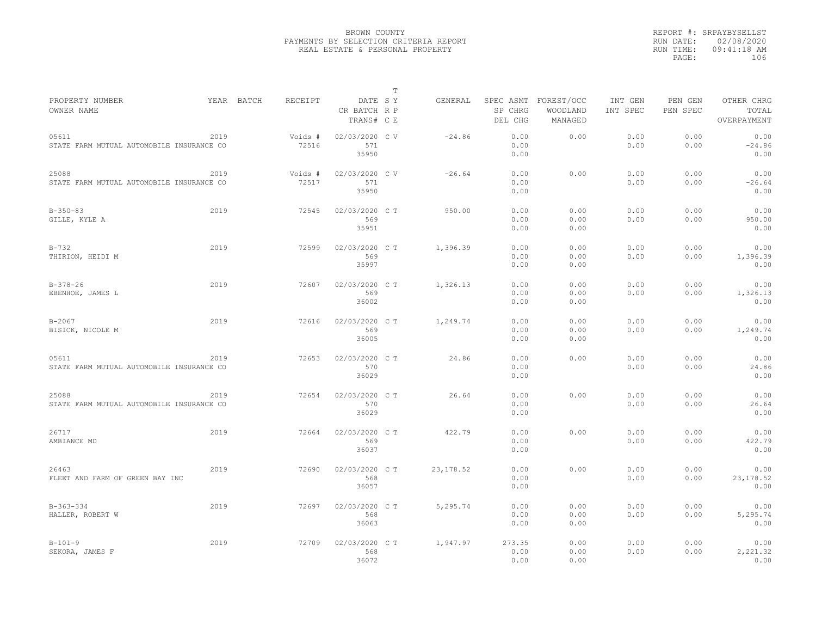|                                           |      |            |         |                                       | T |            |                    |                                             |                     |                     |                                    |
|-------------------------------------------|------|------------|---------|---------------------------------------|---|------------|--------------------|---------------------------------------------|---------------------|---------------------|------------------------------------|
| PROPERTY NUMBER<br>OWNER NAME             |      | YEAR BATCH | RECEIPT | DATE SY<br>CR BATCH R P<br>TRANS# C E |   | GENERAL    | SP CHRG<br>DEL CHG | SPEC ASMT FOREST/OCC<br>WOODLAND<br>MANAGED | INT GEN<br>INT SPEC | PEN GEN<br>PEN SPEC | OTHER CHRG<br>TOTAL<br>OVERPAYMENT |
| 05611                                     | 2019 |            | Voids # | 02/03/2020 CV                         |   | $-24.86$   | 0.00               | 0.00                                        | 0.00                | 0.00                | 0.00                               |
| STATE FARM MUTUAL AUTOMOBILE INSURANCE CO |      |            | 72516   | 571                                   |   |            | 0.00               |                                             | 0.00                | 0.00                | $-24.86$                           |
|                                           |      |            |         | 35950                                 |   |            | 0.00               |                                             |                     |                     | 0.00                               |
| 25088                                     | 2019 |            | Voids # | 02/03/2020 CV                         |   | $-26.64$   | 0.00               | 0.00                                        | 0.00                | 0.00                | 0.00                               |
| STATE FARM MUTUAL AUTOMOBILE INSURANCE CO |      |            | 72517   | 571<br>35950                          |   |            | 0.00<br>0.00       |                                             | 0.00                | 0.00                | $-26.64$<br>0.00                   |
| $B - 350 - 83$                            | 2019 |            | 72545   | 02/03/2020 C T                        |   | 950.00     | 0.00               | 0.00                                        | 0.00                | 0.00                | 0.00                               |
| GILLE, KYLE A                             |      |            |         | 569                                   |   |            | 0.00               | 0.00                                        | 0.00                | 0.00                | 950.00                             |
|                                           |      |            |         | 35951                                 |   |            | 0.00               | 0.00                                        |                     |                     | 0.00                               |
| $B-732$                                   | 2019 |            | 72599   | 02/03/2020 C T                        |   | 1,396.39   | 0.00               | 0.00                                        | 0.00                | 0.00                | 0.00                               |
| THIRION, HEIDI M                          |      |            |         | 569                                   |   |            | 0.00               | 0.00                                        | 0.00                | 0.00                | 1,396.39                           |
|                                           |      |            |         | 35997                                 |   |            | 0.00               | 0.00                                        |                     |                     | 0.00                               |
| $B-378-26$                                | 2019 |            | 72607   | 02/03/2020 C T                        |   | 1,326.13   | 0.00               | 0.00                                        | 0.00                | 0.00                | 0.00                               |
| EBENHOE, JAMES L                          |      |            |         | 569                                   |   |            | 0.00               | 0.00                                        | 0.00                | 0.00                | 1,326.13                           |
|                                           |      |            |         | 36002                                 |   |            | 0.00               | 0.00                                        |                     |                     | 0.00                               |
| $B - 2067$                                | 2019 |            | 72616   | 02/03/2020 C T                        |   | 1,249.74   | 0.00               | 0.00                                        | 0.00                | 0.00                | 0.00                               |
| BISICK, NICOLE M                          |      |            |         | 569                                   |   |            | 0.00               | 0.00                                        | 0.00                | 0.00                | 1,249.74                           |
|                                           |      |            |         | 36005                                 |   |            | 0.00               | 0.00                                        |                     |                     | 0.00                               |
| 05611                                     | 2019 |            | 72653   | 02/03/2020 C T                        |   | 24.86      | 0.00               | 0.00                                        | 0.00                | 0.00                | 0.00                               |
| STATE FARM MUTUAL AUTOMOBILE INSURANCE CO |      |            |         | 570                                   |   |            | 0.00               |                                             | 0.00                | 0.00                | 24.86                              |
|                                           |      |            |         | 36029                                 |   |            | 0.00               |                                             |                     |                     | 0.00                               |
| 25088                                     | 2019 |            | 72654   | 02/03/2020 C T                        |   | 26.64      | 0.00               | 0.00                                        | 0.00                | 0.00                | 0.00                               |
| STATE FARM MUTUAL AUTOMOBILE INSURANCE CO |      |            |         | 570                                   |   |            | 0.00               |                                             | 0.00                | 0.00                | 26.64                              |
|                                           |      |            |         | 36029                                 |   |            | 0.00               |                                             |                     |                     | 0.00                               |
| 26717                                     | 2019 |            | 72664   | 02/03/2020 C T                        |   | 422.79     | 0.00               | 0.00                                        | 0.00                | 0.00                | 0.00                               |
| AMBIANCE MD                               |      |            |         | 569                                   |   |            | 0.00               |                                             | 0.00                | 0.00                | 422.79                             |
|                                           |      |            |         | 36037                                 |   |            | 0.00               |                                             |                     |                     | 0.00                               |
| 26463                                     | 2019 |            | 72690   | 02/03/2020 C T                        |   | 23, 178.52 | 0.00               | 0.00                                        | 0.00                | 0.00                | 0.00                               |
| FLEET AND FARM OF GREEN BAY INC           |      |            |         | 568                                   |   |            | 0.00               |                                             | 0.00                | 0.00                | 23, 178.52                         |
|                                           |      |            |         | 36057                                 |   |            | 0.00               |                                             |                     |                     | 0.00                               |
| $B-363-334$                               | 2019 |            | 72697   | 02/03/2020 C T                        |   | 5,295.74   | 0.00               | 0.00                                        | 0.00                | 0.00                | 0.00                               |
| HALLER, ROBERT W                          |      |            |         | 568                                   |   |            | 0.00               | 0.00                                        | 0.00                | 0.00                | 5,295.74                           |
|                                           |      |            |         | 36063                                 |   |            | 0.00               | 0.00                                        |                     |                     | 0.00                               |
| $B-101-9$                                 | 2019 |            | 72709   | 02/03/2020 C T                        |   | 1,947.97   | 273.35             | 0.00                                        | 0.00                | 0.00                | 0.00                               |
| SEKORA, JAMES F                           |      |            |         | 568                                   |   |            | 0.00               | 0.00                                        | 0.00                | 0.00                | 2,221.32                           |
|                                           |      |            |         | 36072                                 |   |            | 0.00               | 0.00                                        |                     |                     | 0.00                               |
|                                           |      |            |         |                                       |   |            |                    |                                             |                     |                     |                                    |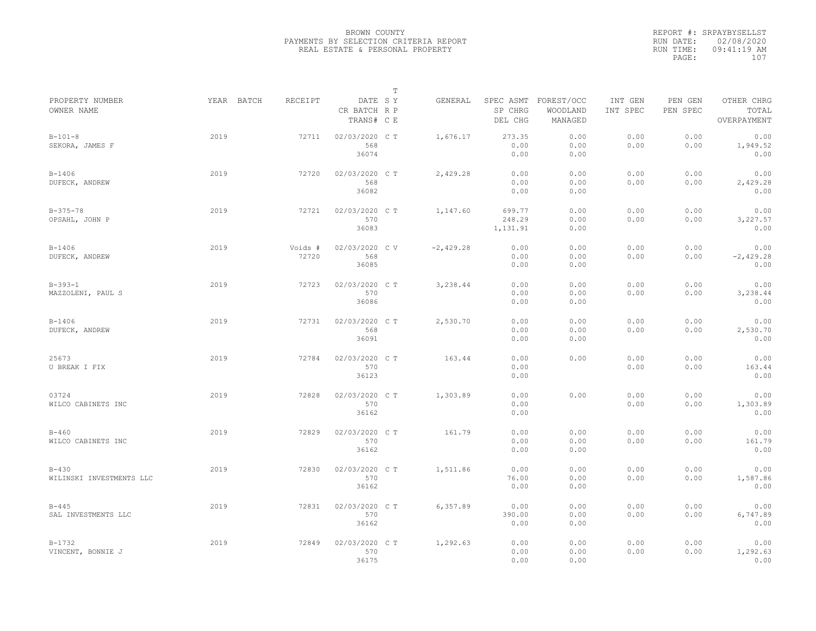|                                       |      |                       |                                       | $\mathbb T$ |             |                                 |                                   |                     |                     |                                    |
|---------------------------------------|------|-----------------------|---------------------------------------|-------------|-------------|---------------------------------|-----------------------------------|---------------------|---------------------|------------------------------------|
| PROPERTY NUMBER<br>OWNER NAME         |      | YEAR BATCH<br>RECEIPT | DATE SY<br>CR BATCH R P<br>TRANS# C E |             | GENERAL     | SPEC ASMT<br>SP CHRG<br>DEL CHG | FOREST/OCC<br>WOODLAND<br>MANAGED | INT GEN<br>INT SPEC | PEN GEN<br>PEN SPEC | OTHER CHRG<br>TOTAL<br>OVERPAYMENT |
| $B-101-8$<br>SEKORA, JAMES F          | 2019 | 72711                 | 02/03/2020 C T<br>568<br>36074        |             | 1,676.17    | 273.35<br>0.00<br>0.00          | 0.00<br>0.00<br>0.00              | 0.00<br>0.00        | 0.00<br>0.00        | 0.00<br>1,949.52<br>0.00           |
| $B-1406$<br>DUFECK, ANDREW            | 2019 | 72720                 | 02/03/2020 C T<br>568<br>36082        |             | 2,429.28    | 0.00<br>0.00<br>0.00            | 0.00<br>0.00<br>0.00              | 0.00<br>0.00        | 0.00<br>0.00        | 0.00<br>2,429.28<br>0.00           |
| $B-375-78$<br>OPSAHL, JOHN P          | 2019 | 72721                 | 02/03/2020 CT<br>570<br>36083         |             | 1,147.60    | 699.77<br>248.29<br>1,131.91    | 0.00<br>0.00<br>0.00              | 0.00<br>0.00        | 0.00<br>0.00        | 0.00<br>3,227.57<br>0.00           |
| $B - 1406$<br>DUFECK, ANDREW          | 2019 | Voids #<br>72720      | 02/03/2020 CV<br>568<br>36085         |             | $-2,429.28$ | 0.00<br>0.00<br>0.00            | 0.00<br>0.00<br>0.00              | 0.00<br>0.00        | 0.00<br>0.00        | 0.00<br>$-2,429.28$<br>0.00        |
| $B-393-1$<br>MAZZOLENI, PAUL S        | 2019 | 72723                 | 02/03/2020 C T<br>570<br>36086        |             | 3,238.44    | 0.00<br>0.00<br>0.00            | 0.00<br>0.00<br>0.00              | 0.00<br>0.00        | 0.00<br>0.00        | 0.00<br>3,238.44<br>0.00           |
| $B - 1406$<br>DUFECK, ANDREW          | 2019 | 72731                 | 02/03/2020 CT<br>568<br>36091         |             | 2,530.70    | 0.00<br>0.00<br>0.00            | 0.00<br>0.00<br>0.00              | 0.00<br>0.00        | 0.00<br>0.00        | 0.00<br>2,530.70<br>0.00           |
| 25673<br>U BREAK I FIX                | 2019 | 72784                 | 02/03/2020 C T<br>570<br>36123        |             | 163.44      | 0.00<br>0.00<br>0.00            | 0.00                              | 0.00<br>0.00        | 0.00<br>0.00        | 0.00<br>163.44<br>0.00             |
| 03724<br>WILCO CABINETS INC           | 2019 | 72828                 | 02/03/2020 CT<br>570<br>36162         |             | 1,303.89    | 0.00<br>0.00<br>0.00            | 0.00                              | 0.00<br>0.00        | 0.00<br>0.00        | 0.00<br>1,303.89<br>0.00           |
| $B-460$<br>WILCO CABINETS INC         | 2019 | 72829                 | 02/03/2020 C T<br>570<br>36162        |             | 161.79      | 0.00<br>0.00<br>0.00            | 0.00<br>0.00<br>0.00              | 0.00<br>0.00        | 0.00<br>0.00        | 0.00<br>161.79<br>0.00             |
| $B - 430$<br>WILINSKI INVESTMENTS LLC | 2019 | 72830                 | 02/03/2020 CT<br>570<br>36162         |             | 1,511.86    | 0.00<br>76.00<br>0.00           | 0.00<br>0.00<br>0.00              | 0.00<br>0.00        | 0.00<br>0.00        | 0.00<br>1,587.86<br>0.00           |
| $B - 445$<br>SAL INVESTMENTS LLC      | 2019 | 72831                 | 02/03/2020 C T<br>570<br>36162        |             | 6,357.89    | 0.00<br>390.00<br>0.00          | 0.00<br>0.00<br>0.00              | 0.00<br>0.00        | 0.00<br>0.00        | 0.00<br>6,747.89<br>0.00           |
| $B-1732$<br>VINCENT, BONNIE J         | 2019 | 72849                 | 02/03/2020 CT<br>570<br>36175         |             | 1,292.63    | 0.00<br>0.00<br>0.00            | 0.00<br>0.00<br>0.00              | 0.00<br>0.00        | 0.00<br>0.00        | 0.00<br>1,292.63<br>0.00           |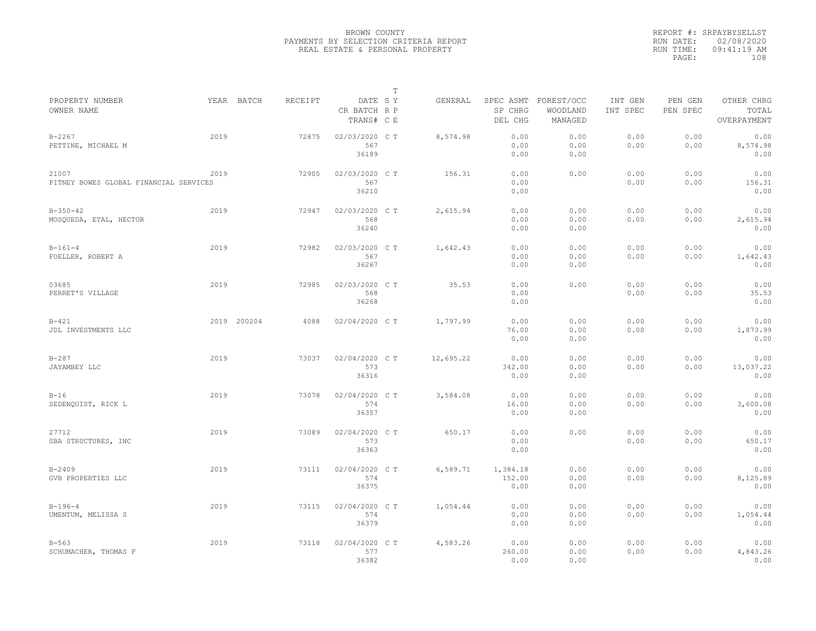|                                                 |      |             |         |                                       | $\mathbb T$ |           |                                 |                                   |                     |                     |                                    |
|-------------------------------------------------|------|-------------|---------|---------------------------------------|-------------|-----------|---------------------------------|-----------------------------------|---------------------|---------------------|------------------------------------|
| PROPERTY NUMBER<br>OWNER NAME                   |      | YEAR BATCH  | RECEIPT | DATE SY<br>CR BATCH R P<br>TRANS# C E |             | GENERAL   | SPEC ASMT<br>SP CHRG<br>DEL CHG | FOREST/OCC<br>WOODLAND<br>MANAGED | INT GEN<br>INT SPEC | PEN GEN<br>PEN SPEC | OTHER CHRG<br>TOTAL<br>OVERPAYMENT |
| $B - 2267$<br>PETTINE, MICHAEL M                | 2019 |             | 72875   | 02/03/2020 CT<br>567<br>36189         |             | 8,574.98  | 0.00<br>0.00<br>0.00            | 0.00<br>0.00<br>0.00              | 0.00<br>0.00        | 0.00<br>0.00        | 0.00<br>8,574.98<br>0.00           |
| 21007<br>PITNEY BOWES GLOBAL FINANCIAL SERVICES | 2019 |             | 72905   | 02/03/2020 C T<br>567<br>36210        |             | 156.31    | 0.00<br>0.00<br>0.00            | 0.00                              | 0.00<br>0.00        | 0.00<br>0.00        | 0.00<br>156.31<br>0.00             |
| $B-350-42$<br>MOSQUEDA, ETAL, HECTOR            | 2019 |             | 72947   | 02/03/2020 C T<br>568<br>36240        |             | 2,615.94  | 0.00<br>0.00<br>0.00            | 0.00<br>0.00<br>0.00              | 0.00<br>0.00        | 0.00<br>0.00        | 0.00<br>2,615.94<br>0.00           |
| $B-161-4$<br>FOELLER, ROBERT A                  | 2019 |             | 72982   | 02/03/2020 C T<br>567<br>36267        |             | 1,642.43  | 0.00<br>0.00<br>0.00            | 0.00<br>0.00<br>0.00              | 0.00<br>0.00        | 0.00<br>0.00        | 0.00<br>1,642.43<br>0.00           |
| 03685<br>PERRET'S VILLAGE                       | 2019 |             | 72985   | 02/03/2020 C T<br>568<br>36268        |             | 35.53     | 0.00<br>0.00<br>0.00            | 0.00                              | 0.00<br>0.00        | 0.00<br>0.00        | 0.00<br>35.53<br>0.00              |
| $B - 421$<br>JDL INVESTMENTS LLC                |      | 2019 200204 | 4088    | 02/04/2020 C T                        |             | 1,797.99  | 0.00<br>76.00<br>0.00           | 0.00<br>0.00<br>0.00              | 0.00<br>0.00        | 0.00<br>0.00        | 0.00<br>1,873.99<br>0.00           |
| $B-287$<br>JAYAMBEY LLC                         | 2019 |             | 73037   | 02/04/2020 C T<br>573<br>36316        |             | 12,695.22 | 0.00<br>342.00<br>0.00          | 0.00<br>0.00<br>0.00              | 0.00<br>0.00        | 0.00<br>0.00        | 0.00<br>13,037.22<br>0.00          |
| $B-16$<br>SEDENOUIST, RICK L                    | 2019 |             | 73078   | 02/04/2020 C T<br>574<br>36357        |             | 3,584.08  | 0.00<br>16.00<br>0.00           | 0.00<br>0.00<br>0.00              | 0.00<br>0.00        | 0.00<br>0.00        | 0.00<br>3,600.08<br>0.00           |
| 27712<br>SBA STRUCTURES, INC                    | 2019 |             | 73089   | 02/04/2020 C T<br>573<br>36363        |             | 650.17    | 0.00<br>0.00<br>0.00            | 0.00                              | 0.00<br>0.00        | 0.00<br>0.00        | 0.00<br>650.17<br>0.00             |
| $B - 2409$<br>GVB PROPERTIES LLC                | 2019 |             | 73111   | 02/04/2020 C T<br>574<br>36375        |             | 6,589.71  | 1,384.18<br>152.00<br>0.00      | 0.00<br>0.00<br>0.00              | 0.00<br>0.00        | 0.00<br>0.00        | 0.00<br>8,125.89<br>0.00           |
| $B-196-4$<br>UMENTUM, MELISSA S                 | 2019 |             | 73115   | 02/04/2020 C T<br>574<br>36379        |             | 1,054.44  | 0.00<br>0.00<br>0.00            | 0.00<br>0.00<br>0.00              | 0.00<br>0.00        | 0.00<br>0.00        | 0.00<br>1,054.44<br>0.00           |
| $B - 563$<br>SCHUMACHER, THOMAS F               | 2019 |             | 73118   | 02/04/2020 C T<br>577<br>36382        |             | 4,583.26  | 0.00<br>260.00<br>0.00          | 0.00<br>0.00<br>0.00              | 0.00<br>0.00        | 0.00<br>0.00        | 0.00<br>4,843.26<br>0.00           |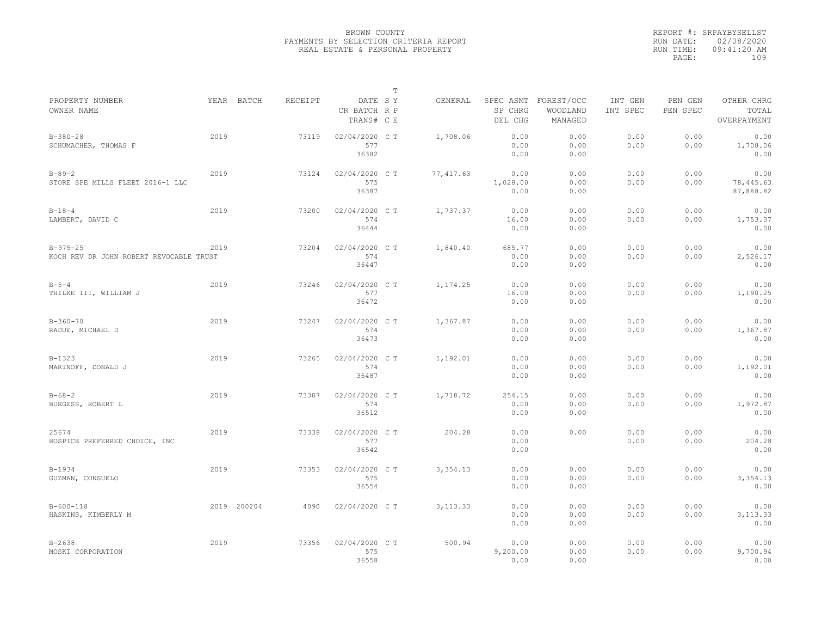|                                                           |      |             |         |                                       | $\mathbb T$ |            |                                 |                                   |                     |                     |                                    |
|-----------------------------------------------------------|------|-------------|---------|---------------------------------------|-------------|------------|---------------------------------|-----------------------------------|---------------------|---------------------|------------------------------------|
| PROPERTY NUMBER<br>OWNER NAME                             |      | YEAR BATCH  | RECEIPT | DATE SY<br>CR BATCH R P<br>TRANS# C E |             | GENERAL    | SPEC ASMT<br>SP CHRG<br>DEL CHG | FOREST/OCC<br>WOODLAND<br>MANAGED | INT GEN<br>INT SPEC | PEN GEN<br>PEN SPEC | OTHER CHRG<br>TOTAL<br>OVERPAYMENT |
| $B-380-28$<br>SCHUMACHER, THOMAS F                        | 2019 |             | 73119   | 02/04/2020 CT<br>577<br>36382         |             | 1,708.06   | 0.00<br>0.00<br>0.00            | 0.00<br>0.00<br>0.00              | 0.00<br>0.00        | 0.00<br>0.00        | 0.00<br>1,708.06<br>0.00           |
| $B - 89 - 2$<br>STORE SPE MILLS FLEET 2016-1 LLC          | 2019 |             | 73124   | 02/04/2020 C T<br>575<br>36387        |             | 77, 417.63 | 0.00<br>1,028.00<br>0.00        | 0.00<br>0.00<br>0.00              | 0.00<br>0.00        | 0.00<br>0.00        | 0.00<br>78,445.63<br>87,888.82     |
| $B - 18 - 4$<br>LAMBERT, DAVID C                          | 2019 |             | 73200   | 02/04/2020 C T<br>574<br>36444        |             | 1,737.37   | 0.00<br>16.00<br>0.00           | 0.00<br>0.00<br>0.00              | 0.00<br>0.00        | 0.00<br>0.00        | 0.00<br>1,753.37<br>0.00           |
| $B - 975 - 25$<br>KOCH REV DR JOHN ROBERT REVOCABLE TRUST | 2019 |             | 73204   | 02/04/2020 C T<br>574<br>36447        |             | 1,840.40   | 685.77<br>0.00<br>0.00          | 0.00<br>0.00<br>0.00              | 0.00<br>0.00        | 0.00<br>0.00        | 0.00<br>2,526.17<br>0.00           |
| $B - 5 - 4$<br>THILKE III, WILLIAM J                      | 2019 |             | 73246   | 02/04/2020 C T<br>577<br>36472        |             | 1,174.25   | 0.00<br>16.00<br>0.00           | 0.00<br>0.00<br>0.00              | 0.00<br>0.00        | 0.00<br>0.00        | 0.00<br>1,190.25<br>0.00           |
| $B-360-70$<br>RADUE, MICHAEL D                            | 2019 |             | 73247   | 02/04/2020 C T<br>574<br>36473        |             | 1,367.87   | 0.00<br>0.00<br>0.00            | 0.00<br>0.00<br>0.00              | 0.00<br>0.00        | 0.00<br>0.00        | 0.00<br>1,367.87<br>0.00           |
| $B-1323$<br>MARINOFF, DONALD J                            | 2019 |             | 73265   | 02/04/2020 C T<br>574<br>36487        |             | 1,192.01   | 0.00<br>0.00<br>0.00            | 0.00<br>0.00<br>0.00              | 0.00<br>0.00        | 0.00<br>0.00        | 0.00<br>1,192.01<br>0.00           |
| $B - 68 - 2$<br>BURGESS, ROBERT L                         | 2019 |             | 73307   | 02/04/2020 C T<br>574<br>36512        |             | 1,718.72   | 254.15<br>0.00<br>0.00          | 0.00<br>0.00<br>0.00              | 0.00<br>0.00        | 0.00<br>0.00        | 0.00<br>1,972.87<br>0.00           |
| 25674<br>HOSPICE PREFERRED CHOICE, INC                    | 2019 |             | 73338   | 02/04/2020 C T<br>577<br>36542        |             | 204.28     | 0.00<br>0.00<br>0.00            | 0.00                              | 0.00<br>0.00        | 0.00<br>0.00        | 0.00<br>204.28<br>0.00             |
| $B-1934$<br>GUZMAN, CONSUELO                              | 2019 |             | 73353   | 02/04/2020 C T<br>575<br>36554        |             | 3,354.13   | 0.00<br>0.00<br>0.00            | 0.00<br>0.00<br>0.00              | 0.00<br>0.00        | 0.00<br>0.00        | 0.00<br>3,354.13<br>0.00           |
| $B-600-118$<br>HASKINS, KIMBERLY M                        |      | 2019 200204 | 4090    | 02/04/2020 C T                        |             | 3, 113.33  | 0.00<br>0.00<br>0.00            | 0.00<br>0.00<br>0.00              | 0.00<br>0.00        | 0.00<br>0.00        | 0.00<br>3, 113.33<br>0.00          |
| $B - 2638$<br>MOSKI CORPORATION                           | 2019 |             | 73356   | 02/04/2020 CT<br>575<br>36558         |             | 500.94     | 0.00<br>9,200.00<br>0.00        | 0.00<br>0.00<br>0.00              | 0.00<br>0.00        | 0.00<br>0.00        | 0.00<br>9,700.94<br>0.00           |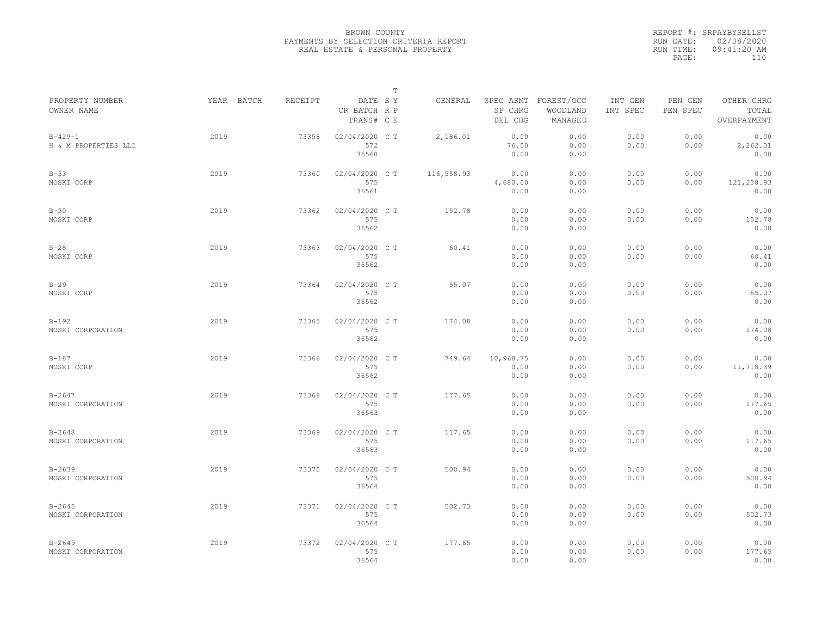|           | REPORT #: SRPAYBYSELLST |  |
|-----------|-------------------------|--|
|           | RUN DATE: 02/08/2020    |  |
| RUN TIME: | $09:41:20$ AM           |  |
| PAGE:     | 110                     |  |
|           |                         |  |

|                                       |            |         | $\mathbb T$                           |            |                                 |                                   |                     |                     |                                    |
|---------------------------------------|------------|---------|---------------------------------------|------------|---------------------------------|-----------------------------------|---------------------|---------------------|------------------------------------|
| PROPERTY NUMBER<br>OWNER NAME         | YEAR BATCH | RECEIPT | DATE SY<br>CR BATCH R P<br>TRANS# C E | GENERAL    | SPEC ASMT<br>SP CHRG<br>DEL CHG | FOREST/OCC<br>WOODLAND<br>MANAGED | INT GEN<br>INT SPEC | PEN GEN<br>PEN SPEC | OTHER CHRG<br>TOTAL<br>OVERPAYMENT |
| $B - 429 - 1$<br>H & M PROPERTIES LLC | 2019       | 73358   | 02/04/2020 C T<br>572<br>36560        | 2,186.01   | 0.00<br>76.00<br>0.00           | 0.00<br>0.00<br>0.00              | 0.00<br>0.00        | 0.00<br>0.00        | 0.00<br>2,262.01<br>0.00           |
| $B-33$<br>MOSKI CORP                  | 2019       | 73360   | 02/04/2020 C T<br>575<br>36561        | 116,558.93 | 0.00<br>4,680.00<br>0.00        | 0.00<br>0.00<br>0.00              | 0.00<br>0.00        | 0.00<br>0.00        | 0.00<br>121,238.93<br>0.00         |
| $B-30$<br>MOSKI CORP                  | 2019       | 73362   | 02/04/2020 C T<br>575<br>36562        | 152.78     | 0.00<br>0.00<br>0.00            | 0.00<br>0.00<br>0.00              | 0.00<br>0.00        | 0.00<br>0.00        | 0.00<br>152.78<br>0.00             |
| $B-28$<br>MOSKI CORP                  | 2019       | 73363   | 02/04/2020 C T<br>575<br>36562        | 60.41      | 0.00<br>0.00<br>0.00            | 0.00<br>0.00<br>0.00              | 0.00<br>0.00        | 0.00<br>0.00        | 0.00<br>60.41<br>0.00              |
| $B-29$<br>MOSKI CORP                  | 2019       | 73364   | 02/04/2020 C T<br>575<br>36562        | 55.07      | 0.00<br>0.00<br>0.00            | 0.00<br>0.00<br>0.00              | 0.00<br>0.00        | 0.00<br>0.00        | 0.00<br>55.07<br>0.00              |
| $B-192$<br>MOSKI CORPORATION          | 2019       | 73365   | 02/04/2020 C T<br>575<br>36562        | 174.08     | 0.00<br>0.00<br>0.00            | 0.00<br>0.00<br>0.00              | 0.00<br>0.00        | 0.00<br>0.00        | 0.00<br>174.08<br>0.00             |
| $B-187$<br>MOSKI CORP                 | 2019       | 73366   | 02/04/2020 CT<br>575<br>36562         | 749.64     | 10,968.75<br>0.00<br>0.00       | 0.00<br>0.00<br>0.00              | 0.00<br>0.00        | 0.00<br>0.00        | 0.00<br>11,718.39<br>0.00          |
| $B - 2647$<br>MOSKI CORPORATION       | 2019       | 73368   | 02/04/2020 C T<br>575<br>36563        | 177.65     | 0.00<br>0.00<br>0.00            | 0.00<br>0.00<br>0.00              | 0.00<br>0.00        | 0.00<br>0.00        | 0.00<br>177.65<br>0.00             |
| $B - 2648$<br>MOSKI CORPORATION       | 2019       | 73369   | 02/04/2020 CT<br>575<br>36563         | 117.65     | 0.00<br>0.00<br>0.00            | 0.00<br>0.00<br>0.00              | 0.00<br>0.00        | 0.00<br>0.00        | 0.00<br>117.65<br>0.00             |
| $B - 2639$<br>MOSKI CORPORATION       | 2019       | 73370   | 02/04/2020 C T<br>575<br>36564        | 500.94     | 0.00<br>0.00<br>0.00            | 0.00<br>0.00<br>0.00              | 0.00<br>0.00        | 0.00<br>0.00        | 0.00<br>500.94<br>0.00             |
| $B - 2645$<br>MOSKI CORPORATION       | 2019       | 73371   | 02/04/2020 C T<br>575<br>36564        | 502.73     | 0.00<br>0.00<br>0.00            | 0.00<br>0.00<br>0.00              | 0.00<br>0.00        | 0.00<br>0.00        | 0.00<br>502.73<br>0.00             |
| $B - 2649$<br>MOSKI CORPORATION       | 2019       | 73372   | 02/04/2020 CT<br>575<br>36564         | 177.65     | 0.00<br>0.00<br>0.00            | 0.00<br>0.00<br>0.00              | 0.00<br>0.00        | 0.00<br>0.00        | 0.00<br>177.65<br>0.00             |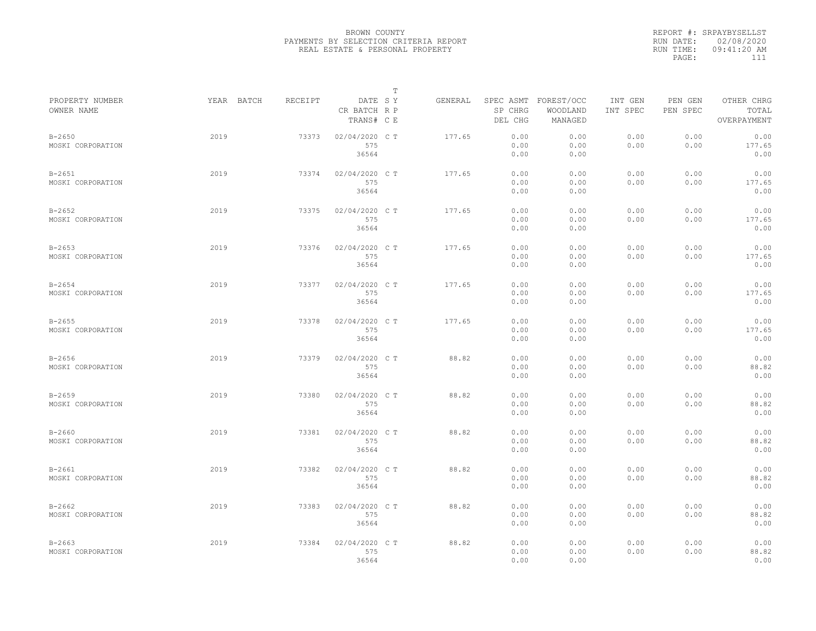|                                 |            |         |                                       | $\mathbb T$ |         |                                 |                                   |                     |                     |                                    |
|---------------------------------|------------|---------|---------------------------------------|-------------|---------|---------------------------------|-----------------------------------|---------------------|---------------------|------------------------------------|
| PROPERTY NUMBER<br>OWNER NAME   | YEAR BATCH | RECEIPT | DATE SY<br>CR BATCH R P<br>TRANS# C E |             | GENERAL | SPEC ASMT<br>SP CHRG<br>DEL CHG | FOREST/OCC<br>WOODLAND<br>MANAGED | INT GEN<br>INT SPEC | PEN GEN<br>PEN SPEC | OTHER CHRG<br>TOTAL<br>OVERPAYMENT |
| $B - 2650$<br>MOSKI CORPORATION | 2019       | 73373   | 02/04/2020 C T<br>575<br>36564        |             | 177.65  | 0.00<br>0.00<br>0.00            | 0.00<br>0.00<br>0.00              | 0.00<br>0.00        | 0.00<br>0.00        | 0.00<br>177.65<br>0.00             |
| $B - 2651$<br>MOSKI CORPORATION | 2019       | 73374   | 02/04/2020 C T<br>575<br>36564        |             | 177.65  | 0.00<br>0.00<br>0.00            | 0.00<br>0.00<br>0.00              | 0.00<br>0.00        | 0.00<br>0.00        | 0.00<br>177.65<br>0.00             |
| $B - 2652$<br>MOSKI CORPORATION | 2019       | 73375   | 02/04/2020 C T<br>575<br>36564        |             | 177.65  | 0.00<br>0.00<br>0.00            | 0.00<br>0.00<br>0.00              | 0.00<br>0.00        | 0.00<br>0.00        | 0.00<br>177.65<br>0.00             |
| $B - 2653$<br>MOSKI CORPORATION | 2019       | 73376   | 02/04/2020 C T<br>575<br>36564        |             | 177.65  | 0.00<br>0.00<br>0.00            | 0.00<br>0.00<br>0.00              | 0.00<br>0.00        | 0.00<br>0.00        | 0.00<br>177.65<br>0.00             |
| $B - 2654$<br>MOSKI CORPORATION | 2019       | 73377   | 02/04/2020 C T<br>575<br>36564        |             | 177.65  | 0.00<br>0.00<br>0.00            | 0.00<br>0.00<br>0.00              | 0.00<br>0.00        | 0.00<br>0.00        | 0.00<br>177.65<br>0.00             |
| $B - 2655$<br>MOSKI CORPORATION | 2019       | 73378   | 02/04/2020 C T<br>575<br>36564        |             | 177.65  | 0.00<br>0.00<br>0.00            | 0.00<br>0.00<br>0.00              | 0.00<br>0.00        | 0.00<br>0.00        | 0.00<br>177.65<br>0.00             |
| $B - 2656$<br>MOSKI CORPORATION | 2019       | 73379   | 02/04/2020 CT<br>575<br>36564         |             | 88.82   | 0.00<br>0.00<br>0.00            | 0.00<br>0.00<br>0.00              | 0.00<br>0.00        | 0.00<br>0.00        | 0.00<br>88.82<br>0.00              |
| $B - 2659$<br>MOSKI CORPORATION | 2019       | 73380   | 02/04/2020 C T<br>575<br>36564        |             | 88.82   | 0.00<br>0.00<br>0.00            | 0.00<br>0.00<br>0.00              | 0.00<br>0.00        | 0.00<br>0.00        | 0.00<br>88.82<br>0.00              |
| $B - 2660$<br>MOSKI CORPORATION | 2019       | 73381   | 02/04/2020 C T<br>575<br>36564        |             | 88.82   | 0.00<br>0.00<br>0.00            | 0.00<br>0.00<br>0.00              | 0.00<br>0.00        | 0.00<br>0.00        | 0.00<br>88.82<br>0.00              |
| $B - 2661$<br>MOSKI CORPORATION | 2019       | 73382   | 02/04/2020 CT<br>575<br>36564         |             | 88.82   | 0.00<br>0.00<br>0.00            | 0.00<br>0.00<br>0.00              | 0.00<br>0.00        | 0.00<br>0.00        | 0.00<br>88.82<br>0.00              |
| $B - 2662$<br>MOSKI CORPORATION | 2019       | 73383   | 02/04/2020 C T<br>575<br>36564        |             | 88.82   | 0.00<br>0.00<br>0.00            | 0.00<br>0.00<br>0.00              | 0.00<br>0.00        | 0.00<br>0.00        | 0.00<br>88.82<br>0.00              |
| $B - 2663$<br>MOSKI CORPORATION | 2019       | 73384   | 02/04/2020 CT<br>575<br>36564         |             | 88.82   | 0.00<br>0.00<br>0.00            | 0.00<br>0.00<br>0.00              | 0.00<br>0.00        | 0.00<br>0.00        | 0.00<br>88.82<br>0.00              |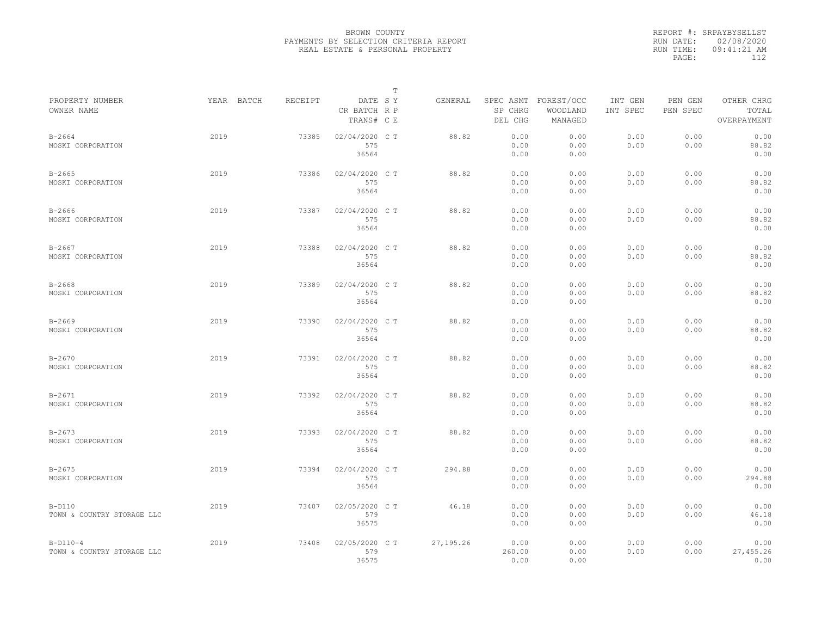|                                          |            |         |                                       | $\mathbb T$ |            |                                 |                                   |                     |                     |                                    |
|------------------------------------------|------------|---------|---------------------------------------|-------------|------------|---------------------------------|-----------------------------------|---------------------|---------------------|------------------------------------|
| PROPERTY NUMBER<br>OWNER NAME            | YEAR BATCH | RECEIPT | DATE SY<br>CR BATCH R P<br>TRANS# C E |             | GENERAL    | SPEC ASMT<br>SP CHRG<br>DEL CHG | FOREST/OCC<br>WOODLAND<br>MANAGED | INT GEN<br>INT SPEC | PEN GEN<br>PEN SPEC | OTHER CHRG<br>TOTAL<br>OVERPAYMENT |
| $B - 2664$<br>MOSKI CORPORATION          | 2019       | 73385   | 02/04/2020 C T<br>575<br>36564        |             | 88.82      | 0.00<br>0.00<br>0.00            | 0.00<br>0.00<br>0.00              | 0.00<br>0.00        | 0.00<br>0.00        | 0.00<br>88.82<br>0.00              |
| $B - 2665$<br>MOSKI CORPORATION          | 2019       | 73386   | 02/04/2020 C T<br>575<br>36564        |             | 88.82      | 0.00<br>0.00<br>0.00            | 0.00<br>0.00<br>0.00              | 0.00<br>0.00        | 0.00<br>0.00        | 0.00<br>88.82<br>0.00              |
| $B - 2666$<br>MOSKI CORPORATION          | 2019       | 73387   | 02/04/2020 C T<br>575<br>36564        |             | 88.82      | 0.00<br>0.00<br>0.00            | 0.00<br>0.00<br>0.00              | 0.00<br>0.00        | 0.00<br>0.00        | 0.00<br>88.82<br>0.00              |
| $B - 2667$<br>MOSKI CORPORATION          | 2019       | 73388   | 02/04/2020 C T<br>575<br>36564        |             | 88.82      | 0.00<br>0.00<br>0.00            | 0.00<br>0.00<br>0.00              | 0.00<br>0.00        | 0.00<br>0.00        | 0.00<br>88.82<br>0.00              |
| $B - 2668$<br>MOSKI CORPORATION          | 2019       | 73389   | 02/04/2020 C T<br>575<br>36564        |             | 88.82      | 0.00<br>0.00<br>0.00            | 0.00<br>0.00<br>0.00              | 0.00<br>0.00        | 0.00<br>0.00        | 0.00<br>88.82<br>0.00              |
| $B - 2669$<br>MOSKI CORPORATION          | 2019       | 73390   | 02/04/2020 CT<br>575<br>36564         |             | 88.82      | 0.00<br>0.00<br>0.00            | 0.00<br>0.00<br>0.00              | 0.00<br>0.00        | 0.00<br>0.00        | 0.00<br>88.82<br>0.00              |
| $B - 2670$<br>MOSKI CORPORATION          | 2019       | 73391   | 02/04/2020 C T<br>575<br>36564        |             | 88.82      | 0.00<br>0.00<br>0.00            | 0.00<br>0.00<br>0.00              | 0.00<br>0.00        | 0.00<br>0.00        | 0.00<br>88.82<br>0.00              |
| $B - 2671$<br>MOSKI CORPORATION          | 2019       | 73392   | 02/04/2020 C T<br>575<br>36564        |             | 88.82      | 0.00<br>0.00<br>0.00            | 0.00<br>0.00<br>0.00              | 0.00<br>0.00        | 0.00<br>0.00        | 0.00<br>88.82<br>0.00              |
| $B - 2673$<br>MOSKI CORPORATION          | 2019       | 73393   | 02/04/2020 CT<br>575<br>36564         |             | 88.82      | 0.00<br>0.00<br>0.00            | 0.00<br>0.00<br>0.00              | 0.00<br>0.00        | 0.00<br>0.00        | 0.00<br>88.82<br>0.00              |
| $B - 2675$<br>MOSKI CORPORATION          | 2019       | 73394   | 02/04/2020 CT<br>575<br>36564         |             | 294.88     | 0.00<br>0.00<br>0.00            | 0.00<br>0.00<br>0.00              | 0.00<br>0.00        | 0.00<br>0.00        | 0.00<br>294.88<br>0.00             |
| $B-D110$<br>TOWN & COUNTRY STORAGE LLC   | 2019       | 73407   | 02/05/2020 C T<br>579<br>36575        |             | 46.18      | 0.00<br>0.00<br>0.00            | 0.00<br>0.00<br>0.00              | 0.00<br>0.00        | 0.00<br>0.00        | 0.00<br>46.18<br>0.00              |
| $B-D110-4$<br>TOWN & COUNTRY STORAGE LLC | 2019       | 73408   | 02/05/2020 CT<br>579<br>36575         |             | 27, 195.26 | 0.00<br>260.00<br>0.00          | 0.00<br>0.00<br>0.00              | 0.00<br>0.00        | 0.00<br>0.00        | 0.00<br>27,455.26<br>0.00          |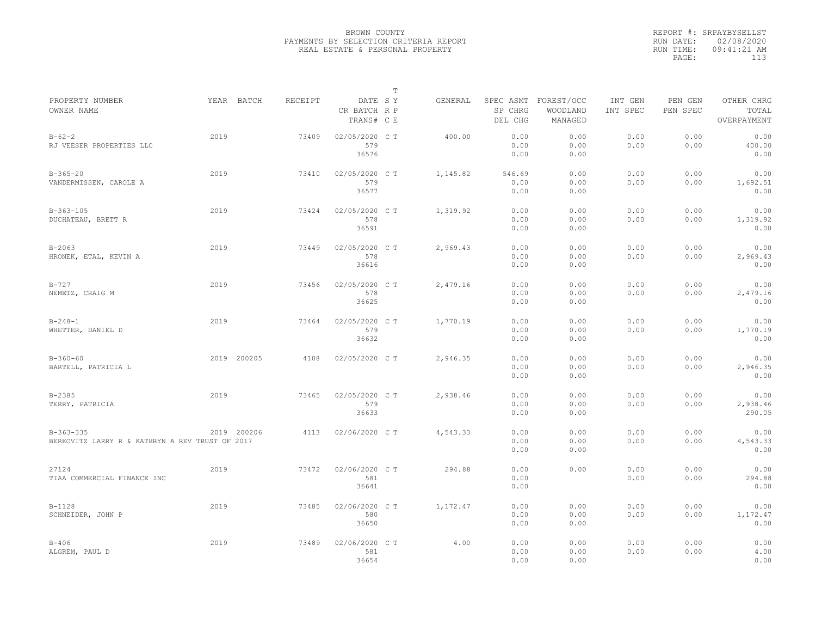|                                                 |             |         |                                       | T |          |                    |                                             |                     |                     |                                    |
|-------------------------------------------------|-------------|---------|---------------------------------------|---|----------|--------------------|---------------------------------------------|---------------------|---------------------|------------------------------------|
| PROPERTY NUMBER<br>OWNER NAME                   | YEAR BATCH  | RECEIPT | DATE SY<br>CR BATCH R P<br>TRANS# C E |   | GENERAL  | SP CHRG<br>DEL CHG | SPEC ASMT FOREST/OCC<br>WOODLAND<br>MANAGED | INT GEN<br>INT SPEC | PEN GEN<br>PEN SPEC | OTHER CHRG<br>TOTAL<br>OVERPAYMENT |
|                                                 |             |         |                                       |   |          |                    |                                             |                     |                     |                                    |
| $B - 62 - 2$                                    | 2019        | 73409   | 02/05/2020 C T                        |   | 400.00   | 0.00               | 0.00                                        | 0.00                | 0.00                | 0.00                               |
| RJ VEESER PROPERTIES LLC                        |             |         | 579<br>36576                          |   |          | 0.00               | 0.00                                        | 0.00                | 0.00                | 400.00                             |
|                                                 |             |         |                                       |   |          | 0.00               | 0.00                                        |                     |                     | 0.00                               |
| $B-365-20$                                      | 2019        | 73410   | 02/05/2020 C T                        |   | 1,145.82 | 546.69             | 0.00                                        | 0.00                | 0.00                | 0.00                               |
| VANDERMISSEN, CAROLE A                          |             |         | 579                                   |   |          | 0.00               | 0.00                                        | 0.00                | 0.00                | 1,692.51                           |
|                                                 |             |         | 36577                                 |   |          | 0.00               | 0.00                                        |                     |                     | 0.00                               |
| $B-363-105$                                     | 2019        | 73424   | 02/05/2020 C T                        |   | 1,319.92 | 0.00               | 0.00                                        | 0.00                | 0.00                | 0.00                               |
|                                                 |             |         |                                       |   |          |                    |                                             |                     |                     |                                    |
| DUCHATEAU, BRETT R                              |             |         | 578                                   |   |          | 0.00               | 0.00                                        | 0.00                | 0.00                | 1,319.92                           |
|                                                 |             |         | 36591                                 |   |          | 0.00               | 0.00                                        |                     |                     | 0.00                               |
| $B - 2063$                                      | 2019        | 73449   | 02/05/2020 C T                        |   | 2,969.43 | 0.00               | 0.00                                        | 0.00                | 0.00                | 0.00                               |
| HRONEK, ETAL, KEVIN A                           |             |         | 578                                   |   |          | 0.00               | 0.00                                        | 0.00                | 0.00                | 2,969.43                           |
|                                                 |             |         | 36616                                 |   |          | 0.00               | 0.00                                        |                     |                     | 0.00                               |
| $B - 727$                                       | 2019        | 73456   | 02/05/2020 C T                        |   | 2,479.16 | 0.00               | 0.00                                        | 0.00                | 0.00                | 0.00                               |
|                                                 |             |         | 578                                   |   |          | 0.00               |                                             | 0.00                | 0.00                |                                    |
| NEMETZ, CRAIG M                                 |             |         |                                       |   |          |                    | 0.00                                        |                     |                     | 2,479.16                           |
|                                                 |             |         | 36625                                 |   |          | 0.00               | 0.00                                        |                     |                     | 0.00                               |
| $B - 248 - 1$                                   | 2019        | 73464   | 02/05/2020 C T                        |   | 1,770.19 | 0.00               | 0.00                                        | 0.00                | 0.00                | 0.00                               |
| WHETTER, DANIEL D                               |             |         | 579                                   |   |          | 0.00               | 0.00                                        | 0.00                | 0.00                | 1,770.19                           |
|                                                 |             |         | 36632                                 |   |          | 0.00               | 0.00                                        |                     |                     | 0.00                               |
| $B-360-60$                                      | 2019 200205 | 4108    | 02/05/2020 C T                        |   | 2,946.35 | 0.00               | 0.00                                        | 0.00                | 0.00                | 0.00                               |
|                                                 |             |         |                                       |   |          |                    |                                             |                     |                     |                                    |
| BARTELL, PATRICIA L                             |             |         |                                       |   |          | 0.00               | 0.00                                        | 0.00                | 0.00                | 2,946.35                           |
|                                                 |             |         |                                       |   |          | 0.00               | 0.00                                        |                     |                     | 0.00                               |
| $B - 2385$                                      | 2019        | 73465   | 02/05/2020 C T                        |   | 2,938.46 | 0.00               | 0.00                                        | 0.00                | 0.00                | 0.00                               |
| TERRY, PATRICIA                                 |             |         | 579                                   |   |          | 0.00               | 0.00                                        | 0.00                | 0.00                | 2,938.46                           |
|                                                 |             |         | 36633                                 |   |          | 0.00               | 0.00                                        |                     |                     | 290.05                             |
| $B-363-335$                                     | 2019 200206 | 4113    | 02/06/2020 C T                        |   | 4,543.33 | 0.00               | 0.00                                        | 0.00                | 0.00                | 0.00                               |
| BERKOVITZ LARRY R & KATHRYN A REV TRUST OF 2017 |             |         |                                       |   |          | 0.00               | 0.00                                        | 0.00                | 0.00                | 4,543.33                           |
|                                                 |             |         |                                       |   |          | 0.00               | 0.00                                        |                     |                     | 0.00                               |
|                                                 |             |         |                                       |   |          |                    |                                             |                     |                     |                                    |
| 27124                                           | 2019        | 73472   | 02/06/2020 CT                         |   | 294.88   | 0.00               | 0.00                                        | 0.00                | 0.00                | 0.00                               |
| TIAA COMMERCIAL FINANCE INC                     |             |         | 581                                   |   |          | 0.00               |                                             | 0.00                | 0.00                | 294.88                             |
|                                                 |             |         | 36641                                 |   |          | 0.00               |                                             |                     |                     | 0.00                               |
| $B-1128$                                        | 2019        | 73485   | 02/06/2020 C T                        |   | 1,172.47 | 0.00               | 0.00                                        | 0.00                | 0.00                | 0.00                               |
| SCHNEIDER, JOHN P                               |             |         | 580                                   |   |          | 0.00               | 0.00                                        | 0.00                | 0.00                | 1,172.47                           |
|                                                 |             |         | 36650                                 |   |          | 0.00               | 0.00                                        |                     |                     | 0.00                               |
|                                                 |             |         |                                       |   |          |                    |                                             |                     |                     |                                    |
| $B-406$                                         | 2019        | 73489   | 02/06/2020 CT                         |   | 4.00     | 0.00               | 0.00                                        | 0.00                | 0.00                | 0.00                               |
| ALGREM, PAUL D                                  |             |         | 581                                   |   |          | 0.00               | 0.00                                        | 0.00                | 0.00                | 4.00                               |
|                                                 |             |         | 36654                                 |   |          | 0.00               | 0.00                                        |                     |                     | 0.00                               |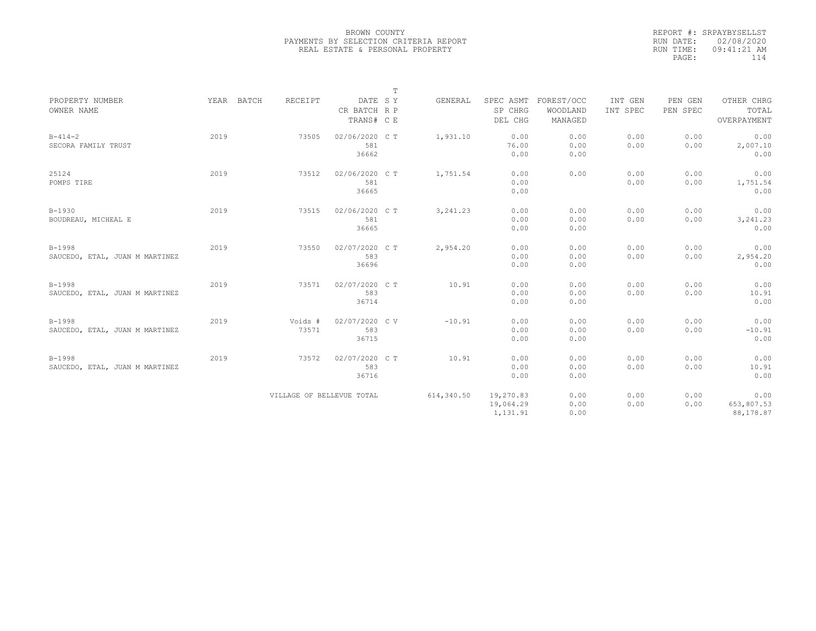|                                |      |            |         |                           | $\mathbb T$ |            |                      |                        |                     |                     |                     |
|--------------------------------|------|------------|---------|---------------------------|-------------|------------|----------------------|------------------------|---------------------|---------------------|---------------------|
| PROPERTY NUMBER<br>OWNER NAME  |      | YEAR BATCH | RECEIPT | DATE SY<br>CR BATCH R P   |             | GENERAL    | SPEC ASMT<br>SP CHRG | FOREST/OCC<br>WOODLAND | INT GEN<br>INT SPEC | PEN GEN<br>PEN SPEC | OTHER CHRG<br>TOTAL |
|                                |      |            |         | TRANS# C E                |             |            | DEL CHG              | MANAGED                |                     |                     | OVERPAYMENT         |
| $B - 414 - 2$                  | 2019 |            | 73505   | 02/06/2020 C T            |             | 1,931.10   | 0.00                 | 0.00                   | 0.00                | 0.00                | 0.00                |
| SECORA FAMILY TRUST            |      |            |         | 581<br>36662              |             |            | 76.00<br>0.00        | 0.00<br>0.00           | 0.00                | 0.00                | 2,007.10<br>0.00    |
| 25124                          | 2019 |            | 73512   | 02/06/2020 C T            |             | 1,751.54   | 0.00                 | 0.00                   | 0.00                | 0.00                | 0.00                |
| POMPS TIRE                     |      |            |         | 581<br>36665              |             |            | 0.00<br>0.00         |                        | 0.00                | 0.00                | 1,751.54<br>0.00    |
| $B-1930$                       | 2019 |            | 73515   | 02/06/2020 C T            |             | 3, 241.23  | 0.00                 | 0.00                   | 0.00                | 0.00                | 0.00                |
| BOUDREAU, MICHEAL E            |      |            |         | 581                       |             |            | 0.00                 | 0.00                   | 0.00                | 0.00                | 3, 241.23           |
|                                |      |            |         | 36665                     |             |            | 0.00                 | 0.00                   |                     |                     | 0.00                |
| $B-1998$                       | 2019 |            | 73550   | 02/07/2020 C T            |             | 2,954.20   | 0.00                 | 0.00                   | 0.00                | 0.00                | 0.00                |
| SAUCEDO, ETAL, JUAN M MARTINEZ |      |            |         | 583                       |             |            | 0.00                 | 0.00                   | 0.00                | 0.00                | 2,954.20            |
|                                |      |            |         | 36696                     |             |            | 0.00                 | 0.00                   |                     |                     | 0.00                |
| $B-1998$                       | 2019 |            | 73571   | 02/07/2020 C T            |             | 10.91      | 0.00                 | 0.00                   | 0.00                | 0.00                | 0.00                |
| SAUCEDO, ETAL, JUAN M MARTINEZ |      |            |         | 583                       |             |            | 0.00                 | 0.00                   | 0.00                | 0.00                | 10.91               |
|                                |      |            |         | 36714                     |             |            | 0.00                 | 0.00                   |                     |                     | 0.00                |
| $B-1998$                       | 2019 |            | Voids # | 02/07/2020 CV             |             | $-10.91$   | 0.00                 | 0.00                   | 0.00                | 0.00                | 0.00                |
| SAUCEDO, ETAL, JUAN M MARTINEZ |      |            | 73571   | 583                       |             |            | 0.00                 | 0.00                   | 0.00                | 0.00                | $-10.91$            |
|                                |      |            |         | 36715                     |             |            | 0.00                 | 0.00                   |                     |                     | 0.00                |
| $B-1998$                       | 2019 |            | 73572   | 02/07/2020 CT             |             | 10.91      | 0.00                 | 0.00                   | 0.00                | 0.00                | 0.00                |
| SAUCEDO, ETAL, JUAN M MARTINEZ |      |            |         | 583                       |             |            | 0.00                 | 0.00                   | 0.00                | 0.00                | 10.91               |
|                                |      |            |         | 36716                     |             |            | 0.00                 | 0.00                   |                     |                     | 0.00                |
|                                |      |            |         | VILLAGE OF BELLEVUE TOTAL |             | 614,340.50 | 19,270.83            | 0.00                   | 0.00                | 0.00                | 0.00                |
|                                |      |            |         |                           |             |            | 19,064.29            | 0.00                   | 0.00                | 0.00                | 653,807.53          |
|                                |      |            |         |                           |             |            | 1,131.91             | 0.00                   |                     |                     | 88,178.87           |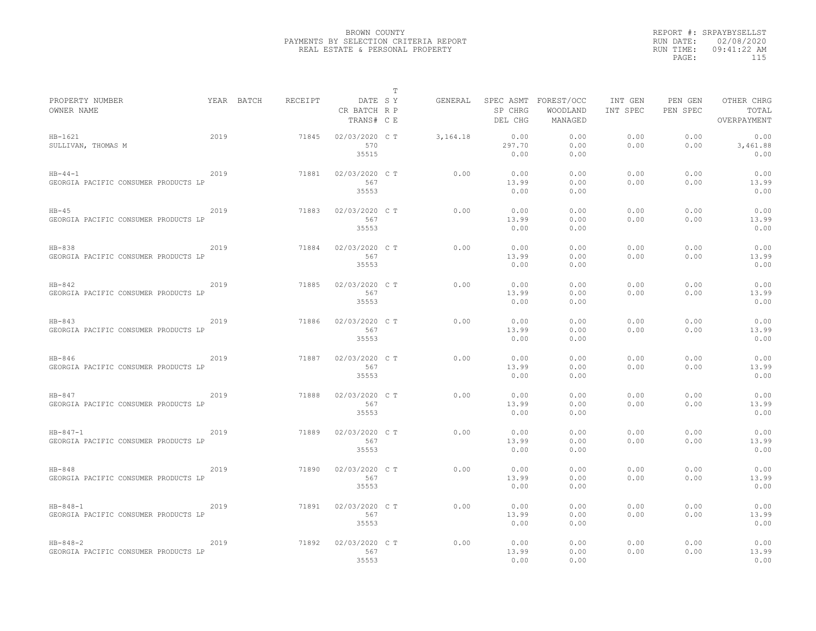|                                                        |      |                       |                                | T       |          |                        |                                             |                     |                     |                                    |
|--------------------------------------------------------|------|-----------------------|--------------------------------|---------|----------|------------------------|---------------------------------------------|---------------------|---------------------|------------------------------------|
| PROPERTY NUMBER<br>OWNER NAME                          |      | RECEIPT<br>YEAR BATCH | CR BATCH R P<br>TRANS# C E     | DATE SY | GENERAL  | SP CHRG<br>DEL CHG     | SPEC ASMT FOREST/OCC<br>WOODLAND<br>MANAGED | INT GEN<br>INT SPEC | PEN GEN<br>PEN SPEC | OTHER CHRG<br>TOTAL<br>OVERPAYMENT |
| $HB-1621$<br>SULLIVAN, THOMAS M                        | 2019 | 71845                 | 02/03/2020 C T<br>570<br>35515 |         | 3,164.18 | 0.00<br>297.70<br>0.00 | 0.00<br>0.00<br>0.00                        | 0.00<br>0.00        | 0.00<br>0.00        | 0.00<br>3,461.88<br>0.00           |
| $HB - 44 - 1$<br>GEORGIA PACIFIC CONSUMER PRODUCTS LP  | 2019 | 71881                 | 02/03/2020 C T<br>567<br>35553 |         | 0.00     | 0.00<br>13.99<br>0.00  | 0.00<br>0.00<br>0.00                        | 0.00<br>0.00        | 0.00<br>0.00        | 0.00<br>13.99<br>0.00              |
| $HB-45$<br>GEORGIA PACIFIC CONSUMER PRODUCTS LP        | 2019 | 71883                 | 02/03/2020 C T<br>567<br>35553 |         | 0.00     | 0.00<br>13.99<br>0.00  | 0.00<br>0.00<br>0.00                        | 0.00<br>0.00        | 0.00<br>0.00        | 0.00<br>13.99<br>0.00              |
| $HB-838$<br>GEORGIA PACIFIC CONSUMER PRODUCTS LP       | 2019 | 71884                 | 02/03/2020 C T<br>567<br>35553 |         | 0.00     | 0.00<br>13.99<br>0.00  | 0.00<br>0.00<br>0.00                        | 0.00<br>0.00        | 0.00<br>0.00        | 0.00<br>13.99<br>0.00              |
| $HB-842$<br>GEORGIA PACIFIC CONSUMER PRODUCTS LP       | 2019 | 71885                 | 02/03/2020 C T<br>567<br>35553 |         | 0.00     | 0.00<br>13.99<br>0.00  | 0.00<br>0.00<br>0.00                        | 0.00<br>0.00        | 0.00<br>0.00        | 0.00<br>13.99<br>0.00              |
| $HB-843$<br>GEORGIA PACIFIC CONSUMER PRODUCTS LP       | 2019 | 71886                 | 02/03/2020 C T<br>567<br>35553 |         | 0.00     | 0.00<br>13.99<br>0.00  | 0.00<br>0.00<br>0.00                        | 0.00<br>0.00        | 0.00<br>0.00        | 0.00<br>13.99<br>0.00              |
| $HB-846$<br>GEORGIA PACIFIC CONSUMER PRODUCTS LP       | 2019 | 71887                 | 02/03/2020 C T<br>567<br>35553 |         | 0.00     | 0.00<br>13.99<br>0.00  | 0.00<br>0.00<br>0.00                        | 0.00<br>0.00        | 0.00<br>0.00        | 0.00<br>13.99<br>0.00              |
| $HB-847$<br>GEORGIA PACIFIC CONSUMER PRODUCTS LP       | 2019 | 71888                 | 02/03/2020 C T<br>567<br>35553 |         | 0.00     | 0.00<br>13.99<br>0.00  | 0.00<br>0.00<br>0.00                        | 0.00<br>0.00        | 0.00<br>0.00        | 0.00<br>13.99<br>0.00              |
| $HB - 847 - 1$<br>GEORGIA PACIFIC CONSUMER PRODUCTS LP | 2019 | 71889                 | 02/03/2020 C T<br>567<br>35553 |         | 0.00     | 0.00<br>13.99<br>0.00  | 0.00<br>0.00<br>0.00                        | 0.00<br>0.00        | 0.00<br>0.00        | 0.00<br>13.99<br>0.00              |
| $HB-848$<br>GEORGIA PACIFIC CONSUMER PRODUCTS LP       | 2019 | 71890                 | 02/03/2020 C T<br>567<br>35553 |         | 0.00     | 0.00<br>13.99<br>0.00  | 0.00<br>0.00<br>0.00                        | 0.00<br>0.00        | 0.00<br>0.00        | 0.00<br>13.99<br>0.00              |
| $HB - 848 - 1$<br>GEORGIA PACIFIC CONSUMER PRODUCTS LP | 2019 | 71891                 | 02/03/2020 C T<br>567<br>35553 |         | 0.00     | 0.00<br>13.99<br>0.00  | 0.00<br>0.00<br>0.00                        | 0.00<br>0.00        | 0.00<br>0.00        | 0.00<br>13.99<br>0.00              |
| $HB - 848 - 2$<br>GEORGIA PACIFIC CONSUMER PRODUCTS LP | 2019 | 71892                 | 02/03/2020 C T<br>567<br>35553 |         | 0.00     | 0.00<br>13.99<br>0.00  | 0.00<br>0.00<br>0.00                        | 0.00<br>0.00        | 0.00<br>0.00        | 0.00<br>13.99<br>0.00              |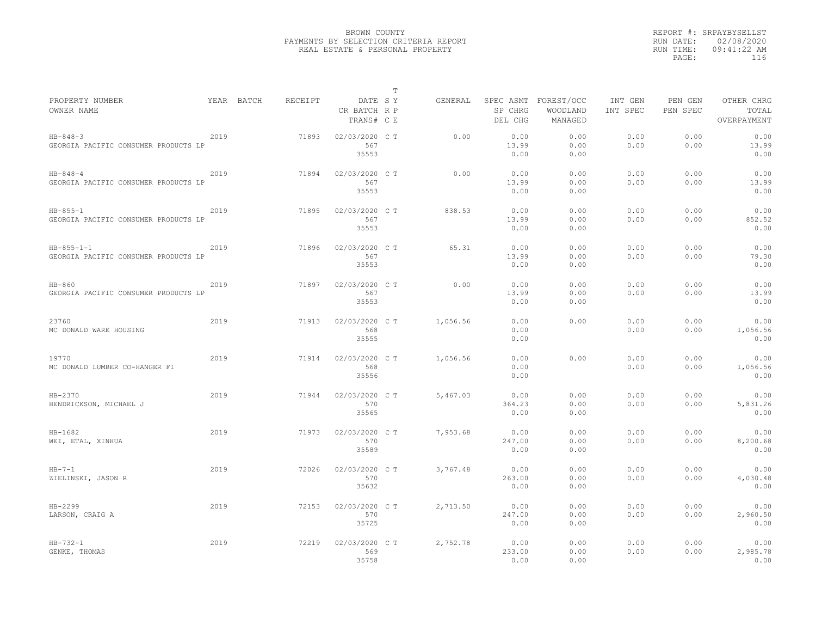|                                                            |      |            |         |                                       | T |          |                        |                                             |                     |                     |                                    |
|------------------------------------------------------------|------|------------|---------|---------------------------------------|---|----------|------------------------|---------------------------------------------|---------------------|---------------------|------------------------------------|
| PROPERTY NUMBER<br>OWNER NAME                              |      | YEAR BATCH | RECEIPT | DATE SY<br>CR BATCH R P<br>TRANS# C E |   | GENERAL  | SP CHRG<br>DEL CHG     | SPEC ASMT FOREST/OCC<br>WOODLAND<br>MANAGED | INT GEN<br>INT SPEC | PEN GEN<br>PEN SPEC | OTHER CHRG<br>TOTAL<br>OVERPAYMENT |
| $HB - 848 - 3$<br>GEORGIA PACIFIC CONSUMER PRODUCTS LP     | 2019 |            | 71893   | 02/03/2020 C T<br>567<br>35553        |   | 0.00     | 0.00<br>13.99<br>0.00  | 0.00<br>0.00<br>0.00                        | 0.00<br>0.00        | 0.00<br>0.00        | 0.00<br>13.99<br>0.00              |
| $HB - 848 - 4$<br>GEORGIA PACIFIC CONSUMER PRODUCTS LP     | 2019 |            | 71894   | 02/03/2020 C T<br>567<br>35553        |   | 0.00     | 0.00<br>13.99<br>0.00  | 0.00<br>0.00<br>0.00                        | 0.00<br>0.00        | 0.00<br>0.00        | 0.00<br>13.99<br>0.00              |
| $HB - 855 - 1$<br>GEORGIA PACIFIC CONSUMER PRODUCTS LP     | 2019 |            | 71895   | 02/03/2020 C T<br>567<br>35553        |   | 838.53   | 0.00<br>13.99<br>0.00  | 0.00<br>0.00<br>0.00                        | 0.00<br>0.00        | 0.00<br>0.00        | 0.00<br>852.52<br>0.00             |
| $HB - 855 - 1 - 1$<br>GEORGIA PACIFIC CONSUMER PRODUCTS LP | 2019 |            | 71896   | 02/03/2020 C T<br>567<br>35553        |   | 65.31    | 0.00<br>13.99<br>0.00  | 0.00<br>0.00<br>0.00                        | 0.00<br>0.00        | 0.00<br>0.00        | 0.00<br>79.30<br>0.00              |
| $HB-860$<br>GEORGIA PACIFIC CONSUMER PRODUCTS LP           | 2019 |            | 71897   | 02/03/2020 C T<br>567<br>35553        |   | 0.00     | 0.00<br>13.99<br>0.00  | 0.00<br>0.00<br>0.00                        | 0.00<br>0.00        | 0.00<br>0.00        | 0.00<br>13.99<br>0.00              |
| 23760<br>MC DONALD WARE HOUSING                            | 2019 |            | 71913   | 02/03/2020 C T<br>568<br>35555        |   | 1,056.56 | 0.00<br>0.00<br>0.00   | 0.00                                        | 0.00<br>0.00        | 0.00<br>0.00        | 0.00<br>1,056.56<br>0.00           |
| 19770<br>MC DONALD LUMBER CO-HANGER F1                     | 2019 |            | 71914   | 02/03/2020 C T<br>568<br>35556        |   | 1,056.56 | 0.00<br>0.00<br>0.00   | 0.00                                        | 0.00<br>0.00        | 0.00<br>0.00        | 0.00<br>1,056.56<br>0.00           |
| HB-2370<br>HENDRICKSON, MICHAEL J                          | 2019 |            | 71944   | 02/03/2020 C T<br>570<br>35565        |   | 5,467.03 | 0.00<br>364.23<br>0.00 | 0.00<br>0.00<br>0.00                        | 0.00<br>0.00        | 0.00<br>0.00        | 0.00<br>5,831.26<br>0.00           |
| $HB-1682$<br>WEI, ETAL, XINHUA                             | 2019 |            | 71973   | 02/03/2020 C T<br>570<br>35589        |   | 7,953.68 | 0.00<br>247.00<br>0.00 | 0.00<br>0.00<br>0.00                        | 0.00<br>0.00        | 0.00<br>0.00        | 0.00<br>8,200.68<br>0.00           |
| $HB-7-1$<br>ZIELINSKI, JASON R                             | 2019 |            | 72026   | 02/03/2020 C T<br>570<br>35632        |   | 3,767.48 | 0.00<br>263.00<br>0.00 | 0.00<br>0.00<br>0.00                        | 0.00<br>0.00        | 0.00<br>0.00        | 0.00<br>4,030.48<br>0.00           |
| HB-2299<br>LARSON, CRAIG A                                 | 2019 |            | 72153   | 02/03/2020 C T<br>570<br>35725        |   | 2,713.50 | 0.00<br>247.00<br>0.00 | 0.00<br>0.00<br>0.00                        | 0.00<br>0.00        | 0.00<br>0.00        | 0.00<br>2,960.50<br>0.00           |
| $HB-732-1$<br>GENKE, THOMAS                                | 2019 |            | 72219   | 02/03/2020 C T<br>569<br>35758        |   | 2,752.78 | 0.00<br>233.00<br>0.00 | 0.00<br>0.00<br>0.00                        | 0.00<br>0.00        | 0.00<br>0.00        | 0.00<br>2,985.78<br>0.00           |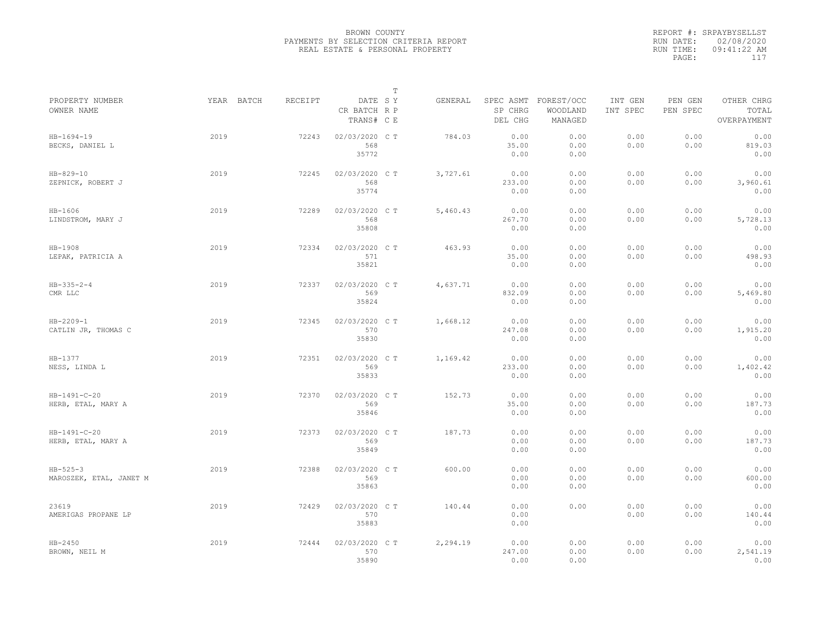|                                            |            |                |                                       | $\mathbb T$ |          |                                 |                                   |                     |                     |                                    |
|--------------------------------------------|------------|----------------|---------------------------------------|-------------|----------|---------------------------------|-----------------------------------|---------------------|---------------------|------------------------------------|
| PROPERTY NUMBER<br>OWNER NAME              | YEAR BATCH | <b>RECEIPT</b> | DATE SY<br>CR BATCH R P<br>TRANS# C E |             | GENERAL  | SPEC ASMT<br>SP CHRG<br>DEL CHG | FOREST/OCC<br>WOODLAND<br>MANAGED | INT GEN<br>INT SPEC | PEN GEN<br>PEN SPEC | OTHER CHRG<br>TOTAL<br>OVERPAYMENT |
| $HB-1694-19$<br>BECKS, DANIEL L            | 2019       | 72243          | 02/03/2020 CT<br>568<br>35772         |             | 784.03   | 0.00<br>35.00<br>0.00           | 0.00<br>0.00<br>0.00              | 0.00<br>0.00        | 0.00<br>0.00        | 0.00<br>819.03<br>0.00             |
| $HB - 829 - 10$<br>ZEPNICK, ROBERT J       | 2019       | 72245          | 02/03/2020 C T<br>568<br>35774        |             | 3,727.61 | 0.00<br>233.00<br>0.00          | 0.00<br>0.00<br>0.00              | 0.00<br>0.00        | 0.00<br>0.00        | 0.00<br>3,960.61<br>0.00           |
| $HB-1606$<br>LINDSTROM, MARY J             | 2019       | 72289          | 02/03/2020 CT<br>568<br>35808         |             | 5,460.43 | 0.00<br>267.70<br>0.00          | 0.00<br>0.00<br>0.00              | 0.00<br>0.00        | 0.00<br>0.00        | 0.00<br>5,728.13<br>0.00           |
| HB-1908<br>LEPAK, PATRICIA A               | 2019       | 72334          | 02/03/2020 CT<br>571<br>35821         |             | 463.93   | 0.00<br>35.00<br>0.00           | 0.00<br>0.00<br>0.00              | 0.00<br>0.00        | 0.00<br>0.00        | 0.00<br>498.93<br>0.00             |
| $HB - 335 - 2 - 4$<br>CMR LLC              | 2019       | 72337          | 02/03/2020 C T<br>569<br>35824        |             | 4,637.71 | 0.00<br>832.09<br>0.00          | 0.00<br>0.00<br>0.00              | 0.00<br>0.00        | 0.00<br>0.00        | 0.00<br>5,469.80<br>0.00           |
| $HB - 2209 - 1$<br>CATLIN JR, THOMAS C     | 2019       | 72345          | 02/03/2020 CT<br>570<br>35830         |             | 1,668.12 | 0.00<br>247.08<br>0.00          | 0.00<br>0.00<br>0.00              | 0.00<br>0.00        | 0.00<br>0.00        | 0.00<br>1,915.20<br>0.00           |
| HB-1377<br>NESS, LINDA L                   | 2019       | 72351          | 02/03/2020 C T<br>569<br>35833        |             | 1,169.42 | 0.00<br>233.00<br>0.00          | 0.00<br>0.00<br>0.00              | 0.00<br>0.00        | 0.00<br>0.00        | 0.00<br>1,402.42<br>0.00           |
| $HB - 1491 - C - 20$<br>HERB, ETAL, MARY A | 2019       | 72370          | 02/03/2020 CT<br>569<br>35846         |             | 152.73   | 0.00<br>35.00<br>0.00           | 0.00<br>0.00<br>0.00              | 0.00<br>0.00        | 0.00<br>0.00        | 0.00<br>187.73<br>0.00             |
| $HB-1491-C-20$<br>HERB, ETAL, MARY A       | 2019       | 72373          | 02/03/2020 CT<br>569<br>35849         |             | 187.73   | 0.00<br>0.00<br>0.00            | 0.00<br>0.00<br>0.00              | 0.00<br>0.00        | 0.00<br>0.00        | 0.00<br>187.73<br>0.00             |
| $HB - 525 - 3$<br>MAROSZEK, ETAL, JANET M  | 2019       | 72388          | 02/03/2020 CT<br>569<br>35863         |             | 600.00   | 0.00<br>0.00<br>0.00            | 0.00<br>0.00<br>0.00              | 0.00<br>0.00        | 0.00<br>0.00        | 0.00<br>600.00<br>0.00             |
| 23619<br>AMERIGAS PROPANE LP               | 2019       | 72429          | 02/03/2020 C T<br>570<br>35883        |             | 140.44   | 0.00<br>0.00<br>0.00            | 0.00                              | 0.00<br>0.00        | 0.00<br>0.00        | 0.00<br>140.44<br>0.00             |
| $HB - 2450$<br>BROWN, NEIL M               | 2019       | 72444          | 02/03/2020 CT<br>570<br>35890         |             | 2,294.19 | 0.00<br>247.00<br>0.00          | 0.00<br>0.00<br>0.00              | 0.00<br>0.00        | 0.00<br>0.00        | 0.00<br>2,541.19<br>0.00           |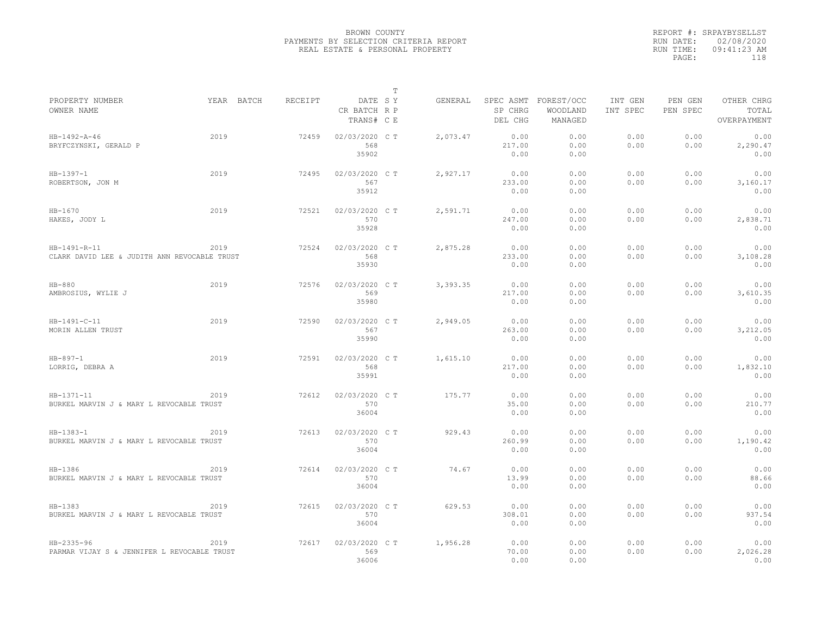|                                                              |            |         |                                       | $\mathbb T$ |          |                                 |                                   |                     |                     |                                    |
|--------------------------------------------------------------|------------|---------|---------------------------------------|-------------|----------|---------------------------------|-----------------------------------|---------------------|---------------------|------------------------------------|
| PROPERTY NUMBER<br>OWNER NAME                                | YEAR BATCH | RECEIPT | DATE SY<br>CR BATCH R P<br>TRANS# C E |             | GENERAL  | SPEC ASMT<br>SP CHRG<br>DEL CHG | FOREST/OCC<br>WOODLAND<br>MANAGED | INT GEN<br>INT SPEC | PEN GEN<br>PEN SPEC | OTHER CHRG<br>TOTAL<br>OVERPAYMENT |
| HB-1492-A-46<br>BRYFCZYNSKI, GERALD P                        | 2019       | 72459   | 02/03/2020 C T<br>568<br>35902        |             | 2,073.47 | 0.00<br>217.00<br>0.00          | 0.00<br>0.00<br>0.00              | 0.00<br>0.00        | 0.00<br>0.00        | 0.00<br>2,290.47<br>0.00           |
| $HB-1397-1$<br>ROBERTSON, JON M                              | 2019       | 72495   | 02/03/2020 C T<br>567<br>35912        |             | 2,927.17 | 0.00<br>233.00<br>0.00          | 0.00<br>0.00<br>0.00              | 0.00<br>0.00        | 0.00<br>0.00        | 0.00<br>3,160.17<br>0.00           |
| $HB-1670$<br>HAKES, JODY L                                   | 2019       | 72521   | 02/03/2020 C T<br>570<br>35928        |             | 2,591.71 | 0.00<br>247.00<br>0.00          | 0.00<br>0.00<br>0.00              | 0.00<br>0.00        | 0.00<br>0.00        | 0.00<br>2,838.71<br>0.00           |
| HB-1491-R-11<br>CLARK DAVID LEE & JUDITH ANN REVOCABLE TRUST | 2019       | 72524   | 02/03/2020 C T<br>568<br>35930        |             | 2,875.28 | 0.00<br>233.00<br>0.00          | 0.00<br>0.00<br>0.00              | 0.00<br>0.00        | 0.00<br>0.00        | 0.00<br>3,108.28<br>0.00           |
| $HB-880$<br>AMBROSIUS, WYLIE J                               | 2019       | 72576   | 02/03/2020 C T<br>569<br>35980        |             | 3,393.35 | 0.00<br>217.00<br>0.00          | 0.00<br>0.00<br>0.00              | 0.00<br>0.00        | 0.00<br>0.00        | 0.00<br>3,610.35<br>0.00           |
| HB-1491-C-11<br>MORIN ALLEN TRUST                            | 2019       | 72590   | 02/03/2020 C T<br>567<br>35990        |             | 2,949.05 | 0.00<br>263.00<br>0.00          | 0.00<br>0.00<br>0.00              | 0.00<br>0.00        | 0.00<br>0.00        | 0.00<br>3,212.05<br>0.00           |
| $HB - 897 - 1$<br>LORRIG, DEBRA A                            | 2019       | 72591   | 02/03/2020 C T<br>568<br>35991        |             | 1,615.10 | 0.00<br>217.00<br>0.00          | 0.00<br>0.00<br>0.00              | 0.00<br>0.00        | 0.00<br>0.00        | 0.00<br>1,832.10<br>0.00           |
| $HB-1371-11$<br>BURKEL MARVIN J & MARY L REVOCABLE TRUST     | 2019       | 72612   | 02/03/2020 C T<br>570<br>36004        |             | 175.77   | 0.00<br>35.00<br>0.00           | 0.00<br>0.00<br>0.00              | 0.00<br>0.00        | 0.00<br>0.00        | 0.00<br>210.77<br>0.00             |
| $HB-1383-1$<br>BURKEL MARVIN J & MARY L REVOCABLE TRUST      | 2019       | 72613   | 02/03/2020 C T<br>570<br>36004        |             | 929.43   | 0.00<br>260.99<br>0.00          | 0.00<br>0.00<br>0.00              | 0.00<br>0.00        | 0.00<br>0.00        | 0.00<br>1,190.42<br>0.00           |
| HB-1386<br>BURKEL MARVIN J & MARY L REVOCABLE TRUST          | 2019       | 72614   | 02/03/2020 CT<br>570<br>36004         |             | 74.67    | 0.00<br>13.99<br>0.00           | 0.00<br>0.00<br>0.00              | 0.00<br>0.00        | 0.00<br>0.00        | 0.00<br>88.66<br>0.00              |
| HB-1383<br>BURKEL MARVIN J & MARY L REVOCABLE TRUST          | 2019       | 72615   | 02/03/2020 C T<br>570<br>36004        |             | 629.53   | 0.00<br>308.01<br>0.00          | 0.00<br>0.00<br>0.00              | 0.00<br>0.00        | 0.00<br>0.00        | 0.00<br>937.54<br>0.00             |
| HB-2335-96<br>PARMAR VIJAY S & JENNIFER L REVOCABLE TRUST    | 2019       | 72617   | 02/03/2020 CT<br>569<br>36006         |             | 1,956.28 | 0.00<br>70.00<br>0.00           | 0.00<br>0.00<br>0.00              | 0.00<br>0.00        | 0.00<br>0.00        | 0.00<br>2,026.28<br>0.00           |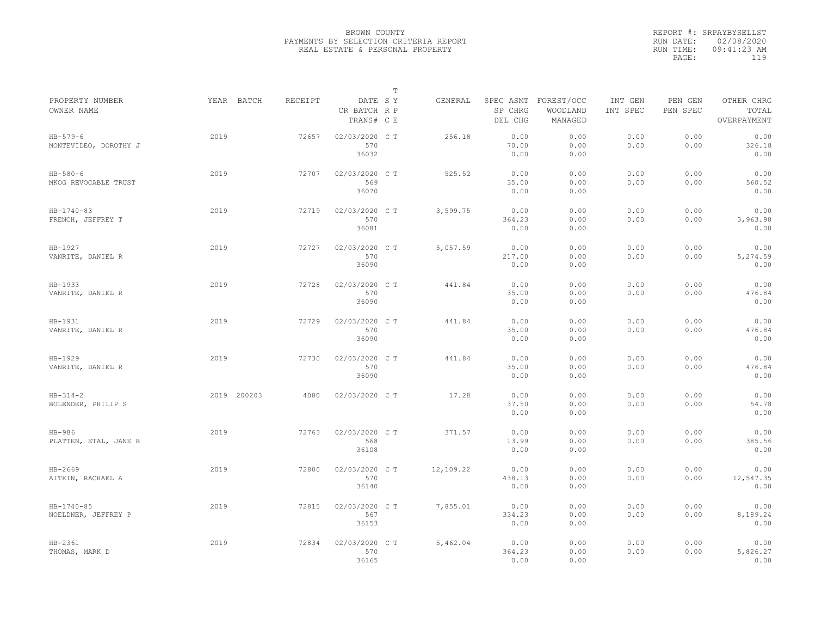|                                         |             |         |                                       | $\mathbb T$ |           |                        |                                             |                     |                     |                                    |
|-----------------------------------------|-------------|---------|---------------------------------------|-------------|-----------|------------------------|---------------------------------------------|---------------------|---------------------|------------------------------------|
| PROPERTY NUMBER<br>OWNER NAME           | YEAR BATCH  | RECEIPT | DATE SY<br>CR BATCH R P<br>TRANS# C E |             | GENERAL   | SP CHRG<br>DEL CHG     | SPEC ASMT FOREST/OCC<br>WOODLAND<br>MANAGED | INT GEN<br>INT SPEC | PEN GEN<br>PEN SPEC | OTHER CHRG<br>TOTAL<br>OVERPAYMENT |
| $HB - 579 - 6$<br>MONTEVIDEO, DOROTHY J | 2019        | 72657   | 02/03/2020 CT<br>570<br>36032         |             | 256.18    | 0.00<br>70.00<br>0.00  | 0.00<br>0.00<br>0.00                        | 0.00<br>0.00        | 0.00<br>0.00        | 0.00<br>326.18<br>0.00             |
| $HB - 580 - 6$<br>MKOG REVOCABLE TRUST  | 2019        | 72707   | 02/03/2020 C T<br>569<br>36070        |             | 525.52    | 0.00<br>35.00<br>0.00  | 0.00<br>0.00<br>0.00                        | 0.00<br>0.00        | 0.00<br>0.00        | 0.00<br>560.52<br>0.00             |
| HB-1740-83<br>FRENCH, JEFFREY T         | 2019        | 72719   | 02/03/2020 C T<br>570<br>36081        |             | 3,599.75  | 0.00<br>364.23<br>0.00 | 0.00<br>0.00<br>0.00                        | 0.00<br>0.00        | 0.00<br>0.00        | 0.00<br>3,963.98<br>0.00           |
| HB-1927<br>VANRITE, DANIEL R            | 2019        | 72727   | 02/03/2020 C T<br>570<br>36090        |             | 5,057.59  | 0.00<br>217.00<br>0.00 | 0.00<br>0.00<br>0.00                        | 0.00<br>0.00        | 0.00<br>0.00        | 0.00<br>5,274.59<br>0.00           |
| HB-1933<br>VANRITE, DANIEL R            | 2019        | 72728   | 02/03/2020 C T<br>570<br>36090        |             | 441.84    | 0.00<br>35.00<br>0.00  | 0.00<br>0.00<br>0.00                        | 0.00<br>0.00        | 0.00<br>0.00        | 0.00<br>476.84<br>0.00             |
| HB-1931<br>VANRITE, DANIEL R            | 2019        | 72729   | 02/03/2020 CT<br>570<br>36090         |             | 441.84    | 0.00<br>35.00<br>0.00  | 0.00<br>0.00<br>0.00                        | 0.00<br>0.00        | 0.00<br>0.00        | 0.00<br>476.84<br>0.00             |
| HB-1929<br>VANRITE, DANIEL R            | 2019        | 72730   | 02/03/2020 CT<br>570<br>36090         |             | 441.84    | 0.00<br>35.00<br>0.00  | 0.00<br>0.00<br>0.00                        | 0.00<br>0.00        | 0.00<br>0.00        | 0.00<br>476.84<br>0.00             |
| $HB - 314 - 2$<br>BOLENDER, PHILIP S    | 2019 200203 | 4080    | 02/03/2020 C T                        |             | 17.28     | 0.00<br>37.50<br>0.00  | 0.00<br>0.00<br>0.00                        | 0.00<br>0.00        | 0.00<br>0.00        | 0.00<br>54.78<br>0.00              |
| $HB-986$<br>PLATTEN, ETAL, JANE B       | 2019        | 72763   | 02/03/2020 CT<br>568<br>36108         |             | 371.57    | 0.00<br>13.99<br>0.00  | 0.00<br>0.00<br>0.00                        | 0.00<br>0.00        | 0.00<br>0.00        | 0.00<br>385.56<br>0.00             |
| HB-2669<br>AITKIN, RACHAEL A            | 2019        | 72800   | 02/03/2020 CT<br>570<br>36140         |             | 12,109.22 | 0.00<br>438.13<br>0.00 | 0.00<br>0.00<br>0.00                        | 0.00<br>0.00        | 0.00<br>0.00        | 0.00<br>12,547.35<br>0.00          |
| $HB - 1740 - 85$<br>NOELDNER, JEFFREY P | 2019        | 72815   | 02/03/2020 C T<br>567<br>36153        |             | 7,855.01  | 0.00<br>334.23<br>0.00 | 0.00<br>0.00<br>0.00                        | 0.00<br>0.00        | 0.00<br>0.00        | 0.00<br>8,189.24<br>0.00           |
| $HB-2361$<br>THOMAS, MARK D             | 2019        | 72834   | 02/03/2020 CT<br>570<br>36165         |             | 5,462.04  | 0.00<br>364.23<br>0.00 | 0.00<br>0.00<br>0.00                        | 0.00<br>0.00        | 0.00<br>0.00        | 0.00<br>5,826.27<br>0.00           |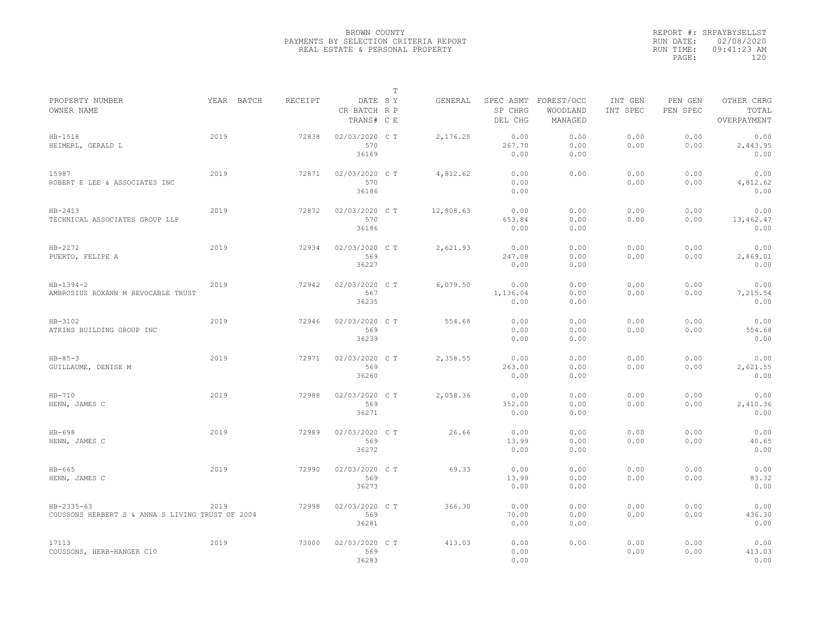|                                                                |            |         |                                       | $\mathbb T$ |           |                                 |                                   |                     |                     |                                    |
|----------------------------------------------------------------|------------|---------|---------------------------------------|-------------|-----------|---------------------------------|-----------------------------------|---------------------|---------------------|------------------------------------|
| PROPERTY NUMBER<br>OWNER NAME                                  | YEAR BATCH | RECEIPT | DATE SY<br>CR BATCH R P<br>TRANS# C E |             | GENERAL   | SPEC ASMT<br>SP CHRG<br>DEL CHG | FOREST/OCC<br>WOODLAND<br>MANAGED | INT GEN<br>INT SPEC | PEN GEN<br>PEN SPEC | OTHER CHRG<br>TOTAL<br>OVERPAYMENT |
| $HB-1518$<br>HEIMERL, GERALD L                                 | 2019       | 72838   | 02/03/2020 CT<br>570<br>36169         |             | 2,176.25  | 0.00<br>267.70<br>0.00          | 0.00<br>0.00<br>0.00              | 0.00<br>0.00        | 0.00<br>0.00        | 0.00<br>2,443.95<br>0.00           |
| 15987<br>ROBERT E LEE & ASSOCIATES INC                         | 2019       | 72871   | 02/03/2020 C T<br>570<br>36186        |             | 4,812.62  | 0.00<br>0.00<br>0.00            | 0.00                              | 0.00<br>0.00        | 0.00<br>0.00        | 0.00<br>4,812.62<br>0.00           |
| $HB-2413$<br>TECHNICAL ASSOCIATES GROUP LLP                    | 2019       | 72872   | 02/03/2020 CT<br>570<br>36186         |             | 12,808.63 | 0.00<br>653.84<br>0.00          | 0.00<br>0.00<br>0.00              | 0.00<br>0.00        | 0.00<br>0.00        | 0.00<br>13,462.47<br>0.00          |
| $HB-2272$<br>PUERTO, FELIPE A                                  | 2019       | 72934   | 02/03/2020 C T<br>569<br>36227        |             | 2,621.93  | 0.00<br>247.08<br>0.00          | 0.00<br>0.00<br>0.00              | 0.00<br>0.00        | 0.00<br>0.00        | 0.00<br>2,869.01<br>0.00           |
| $HB-1394-2$<br>AMBROSIUS ROXANN M REVOCABLE TRUST              | 2019       | 72942   | 02/03/2020 C T<br>567<br>36235        |             | 6,079.50  | 0.00<br>1,136.04<br>0.00        | 0.00<br>0.00<br>0.00              | 0.00<br>0.00        | 0.00<br>0.00        | 0.00<br>7,215.54<br>0.00           |
| HB-3102<br>ATKINS BUILDING GROUP INC                           | 2019       | 72946   | 02/03/2020 C T<br>569<br>36239        |             | 554.68    | 0.00<br>0.00<br>0.00            | 0.00<br>0.00<br>0.00              | 0.00<br>0.00        | 0.00<br>0.00        | 0.00<br>554.68<br>0.00             |
| $HB - 85 - 3$<br>GUILLAUME, DENISE M                           | 2019       | 72971   | 02/03/2020 CT<br>569<br>36260         |             | 2,358.55  | 0.00<br>263.00<br>0.00          | 0.00<br>0.00<br>0.00              | 0.00<br>0.00        | 0.00<br>0.00        | 0.00<br>2,621.55<br>0.00           |
| $HB-710$<br>HENN, JAMES C                                      | 2019       | 72988   | 02/03/2020 CT<br>569<br>36271         |             | 2,058.36  | 0.00<br>352.00<br>0.00          | 0.00<br>0.00<br>0.00              | 0.00<br>0.00        | 0.00<br>0.00        | 0.00<br>2,410.36<br>0.00           |
| $HB-698$<br>HENN, JAMES C                                      | 2019       | 72989   | 02/03/2020 C T<br>569<br>36272        |             | 26.66     | 0.00<br>13.99<br>0.00           | 0.00<br>0.00<br>0.00              | 0.00<br>0.00        | 0.00<br>0.00        | 0.00<br>40.65<br>0.00              |
| $HB-665$<br>HENN, JAMES C                                      | 2019       | 72990   | 02/03/2020 C T<br>569<br>36273        |             | 69.33     | 0.00<br>13.99<br>0.00           | 0.00<br>0.00<br>0.00              | 0.00<br>0.00        | 0.00<br>0.00        | 0.00<br>83.32<br>0.00              |
| HB-2335-63<br>COUSSONS HERBERT S & ANNA S LIVING TRUST OF 2004 | 2019       | 72998   | 02/03/2020 CT<br>569<br>36281         |             | 366.30    | 0.00<br>70.00<br>0.00           | 0.00<br>0.00<br>0.00              | 0.00<br>0.00        | 0.00<br>0.00        | 0.00<br>436.30<br>0.00             |
| 17113<br>COUSSONS, HERB-HANGER C10                             | 2019       | 73000   | 02/03/2020 CT<br>569<br>36283         |             | 413.03    | 0.00<br>0.00<br>0.00            | 0.00                              | 0.00<br>0.00        | 0.00<br>0.00        | 0.00<br>413.03<br>0.00             |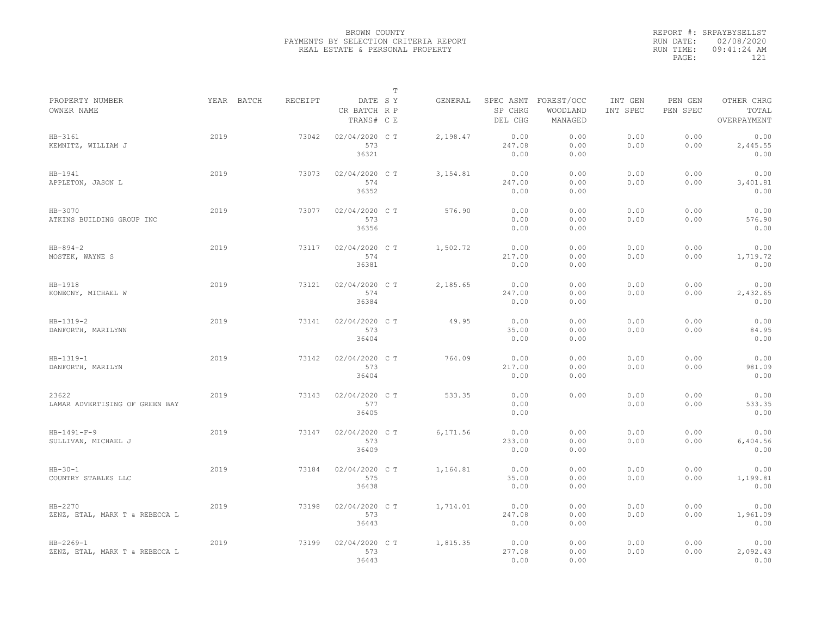|                                                   |            |         |                                       | $\mathbb T$ |          |                        |                                             |                     |                     |                                    |
|---------------------------------------------------|------------|---------|---------------------------------------|-------------|----------|------------------------|---------------------------------------------|---------------------|---------------------|------------------------------------|
| PROPERTY NUMBER<br>OWNER NAME                     | YEAR BATCH | RECEIPT | DATE SY<br>CR BATCH R P<br>TRANS# C E |             | GENERAL  | SP CHRG<br>DEL CHG     | SPEC ASMT FOREST/OCC<br>WOODLAND<br>MANAGED | INT GEN<br>INT SPEC | PEN GEN<br>PEN SPEC | OTHER CHRG<br>TOTAL<br>OVERPAYMENT |
| HB-3161<br>KEMNITZ, WILLIAM J                     | 2019       | 73042   | 02/04/2020 C T<br>573<br>36321        |             | 2,198.47 | 0.00<br>247.08<br>0.00 | 0.00<br>0.00<br>0.00                        | 0.00<br>0.00        | 0.00<br>0.00        | 0.00<br>2,445.55<br>0.00           |
| HB-1941<br>APPLETON, JASON L                      | 2019       | 73073   | 02/04/2020 C T<br>574<br>36352        |             | 3,154.81 | 0.00<br>247.00<br>0.00 | 0.00<br>0.00<br>0.00                        | 0.00<br>0.00        | 0.00<br>0.00        | 0.00<br>3,401.81<br>0.00           |
| HB-3070<br>ATKINS BUILDING GROUP INC              | 2019       | 73077   | 02/04/2020 C T<br>573<br>36356        |             | 576.90   | 0.00<br>0.00<br>0.00   | 0.00<br>0.00<br>0.00                        | 0.00<br>0.00        | 0.00<br>0.00        | 0.00<br>576.90<br>0.00             |
| $HB - 894 - 2$<br>MOSTEK, WAYNE S                 | 2019       | 73117   | 02/04/2020 C T<br>574<br>36381        |             | 1,502.72 | 0.00<br>217.00<br>0.00 | 0.00<br>0.00<br>0.00                        | 0.00<br>0.00        | 0.00<br>0.00        | 0.00<br>1,719.72<br>0.00           |
| HB-1918<br>KONECNY, MICHAEL W                     | 2019       | 73121   | 02/04/2020 C T<br>574<br>36384        |             | 2,185.65 | 0.00<br>247.00<br>0.00 | 0.00<br>0.00<br>0.00                        | 0.00<br>0.00        | 0.00<br>0.00        | 0.00<br>2,432.65<br>0.00           |
| $HB-1319-2$<br>DANFORTH, MARILYNN                 | 2019       | 73141   | 02/04/2020 C T<br>573<br>36404        |             | 49.95    | 0.00<br>35.00<br>0.00  | 0.00<br>0.00<br>0.00                        | 0.00<br>0.00        | 0.00<br>0.00        | 0.00<br>84.95<br>0.00              |
| $HB-1319-1$<br>DANFORTH, MARILYN                  | 2019       | 73142   | 02/04/2020 C T<br>573<br>36404        |             | 764.09   | 0.00<br>217.00<br>0.00 | 0.00<br>0.00<br>0.00                        | 0.00<br>0.00        | 0.00<br>0.00        | 0.00<br>981.09<br>0.00             |
| 23622<br>LAMAR ADVERTISING OF GREEN BAY           | 2019       | 73143   | 02/04/2020 C T<br>577<br>36405        |             | 533.35   | 0.00<br>0.00<br>0.00   | 0.00                                        | 0.00<br>0.00        | 0.00<br>0.00        | 0.00<br>533.35<br>0.00             |
| $HB-1491-F-9$<br>SULLIVAN, MICHAEL J              | 2019       | 73147   | 02/04/2020 C T<br>573<br>36409        |             | 6,171.56 | 0.00<br>233.00<br>0.00 | 0.00<br>0.00<br>0.00                        | 0.00<br>0.00        | 0.00<br>0.00        | 0.00<br>6,404.56<br>0.00           |
| $HB-30-1$<br>COUNTRY STABLES LLC                  | 2019       | 73184   | 02/04/2020 C T<br>575<br>36438        |             | 1,164.81 | 0.00<br>35.00<br>0.00  | 0.00<br>0.00<br>0.00                        | 0.00<br>0.00        | 0.00<br>0.00        | 0.00<br>1,199.81<br>0.00           |
| $HB-2270$<br>ZENZ, ETAL, MARK T & REBECCA L       | 2019       | 73198   | 02/04/2020 C T<br>573<br>36443        |             | 1,714.01 | 0.00<br>247.08<br>0.00 | 0.00<br>0.00<br>0.00                        | 0.00<br>0.00        | 0.00<br>0.00        | 0.00<br>1,961.09<br>0.00           |
| $HB - 2269 - 1$<br>ZENZ, ETAL, MARK T & REBECCA L | 2019       | 73199   | 02/04/2020 C T<br>573<br>36443        |             | 1,815.35 | 0.00<br>277.08<br>0.00 | 0.00<br>0.00<br>0.00                        | 0.00<br>0.00        | 0.00<br>0.00        | 0.00<br>2,092.43<br>0.00           |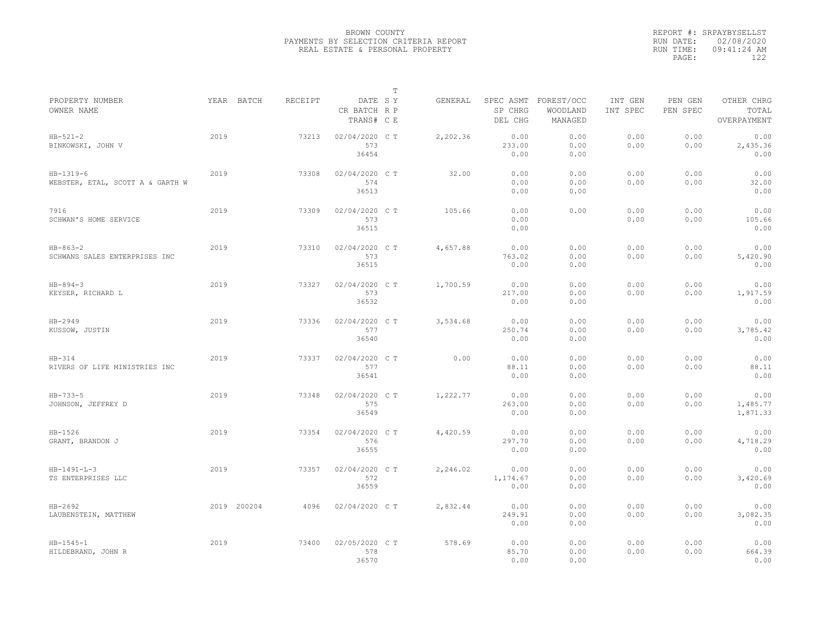|                                                 |             |         |                                       | $\mathbb T$ |          |                          |                                             |                     |                     |                                    |
|-------------------------------------------------|-------------|---------|---------------------------------------|-------------|----------|--------------------------|---------------------------------------------|---------------------|---------------------|------------------------------------|
| PROPERTY NUMBER<br>OWNER NAME                   | YEAR BATCH  | RECEIPT | DATE SY<br>CR BATCH R P<br>TRANS# C E |             | GENERAL  | SP CHRG<br>DEL CHG       | SPEC ASMT FOREST/OCC<br>WOODLAND<br>MANAGED | INT GEN<br>INT SPEC | PEN GEN<br>PEN SPEC | OTHER CHRG<br>TOTAL<br>OVERPAYMENT |
| $HB - 521 - 2$<br>BINKOWSKI, JOHN V             | 2019        | 73213   | 02/04/2020 C T<br>573<br>36454        |             | 2,202.36 | 0.00<br>233.00<br>0.00   | 0.00<br>0.00<br>0.00                        | 0.00<br>0.00        | 0.00<br>0.00        | 0.00<br>2,435.36<br>0.00           |
| $HB-1319-6$<br>WEBSTER, ETAL, SCOTT A & GARTH W | 2019        | 73308   | 02/04/2020 C T<br>574<br>36513        |             | 32.00    | 0.00<br>0.00<br>0.00     | 0.00<br>0.00<br>0.00                        | 0.00<br>0.00        | 0.00<br>0.00        | 0.00<br>32.00<br>0.00              |
| 7916<br>SCHWAN'S HOME SERVICE                   | 2019        | 73309   | 02/04/2020 C T<br>573<br>36515        |             | 105.66   | 0.00<br>0.00<br>0.00     | 0.00                                        | 0.00<br>0.00        | 0.00<br>0.00        | 0.00<br>105.66<br>0.00             |
| $HB-863-2$<br>SCHWANS SALES ENTERPRISES INC     | 2019        | 73310   | 02/04/2020 C T<br>573<br>36515        |             | 4,657.88 | 0.00<br>763.02<br>0.00   | 0.00<br>0.00<br>0.00                        | 0.00<br>0.00        | 0.00<br>0.00        | 0.00<br>5,420.90<br>0.00           |
| $HB - 894 - 3$<br>KEYSER, RICHARD L             | 2019        | 73327   | 02/04/2020 C T<br>573<br>36532        |             | 1,700.59 | 0.00<br>217.00<br>0.00   | 0.00<br>0.00<br>0.00                        | 0.00<br>0.00        | 0.00<br>0.00        | 0.00<br>1,917.59<br>0.00           |
| HB-2949<br>KUSSOW, JUSTIN                       | 2019        | 73336   | 02/04/2020 C T<br>577<br>36540        |             | 3,534.68 | 0.00<br>250.74<br>0.00   | 0.00<br>0.00<br>0.00                        | 0.00<br>0.00        | 0.00<br>0.00        | 0.00<br>3,785.42<br>0.00           |
| $HB-314$<br>RIVERS OF LIFE MINISTRIES INC       | 2019        | 73337   | 02/04/2020 C T<br>577<br>36541        |             | 0.00     | 0.00<br>88.11<br>0.00    | 0.00<br>0.00<br>0.00                        | 0.00<br>0.00        | 0.00<br>0.00        | 0.00<br>88.11<br>0.00              |
| $HB - 733 - 5$<br>JOHNSON, JEFFREY D            | 2019        | 73348   | 02/04/2020 C T<br>575<br>36549        |             | 1,222.77 | 0.00<br>263.00<br>0.00   | 0.00<br>0.00<br>0.00                        | 0.00<br>0.00        | 0.00<br>0.00        | 0.00<br>1,485.77<br>1,871.33       |
| $HB-1526$<br>GRANT, BRANDON J                   | 2019        | 73354   | 02/04/2020 C T<br>576<br>36555        |             | 4,420.59 | 0.00<br>297.70<br>0.00   | 0.00<br>0.00<br>0.00                        | 0.00<br>0.00        | 0.00<br>0.00        | 0.00<br>4,718.29<br>0.00           |
| $HB-1491-L-3$<br>TS ENTERPRISES LLC             | 2019        | 73357   | 02/04/2020 C T<br>572<br>36559        |             | 2,246.02 | 0.00<br>1,174.67<br>0.00 | 0.00<br>0.00<br>0.00                        | 0.00<br>0.00        | 0.00<br>0.00        | 0.00<br>3,420.69<br>0.00           |
| $HB-2692$<br>LAUBENSTEIN, MATTHEW               | 2019 200204 | 4096    | 02/04/2020 C T                        |             | 2,832.44 | 0.00<br>249.91<br>0.00   | 0.00<br>0.00<br>0.00                        | 0.00<br>0.00        | 0.00<br>0.00        | 0.00<br>3,082.35<br>0.00           |
| $HB - 1545 - 1$<br>HILDEBRAND, JOHN R           | 2019        | 73400   | 02/05/2020 CT<br>578<br>36570         |             | 578.69   | 0.00<br>85.70<br>0.00    | 0.00<br>0.00<br>0.00                        | 0.00<br>0.00        | 0.00<br>0.00        | 0.00<br>664.39<br>0.00             |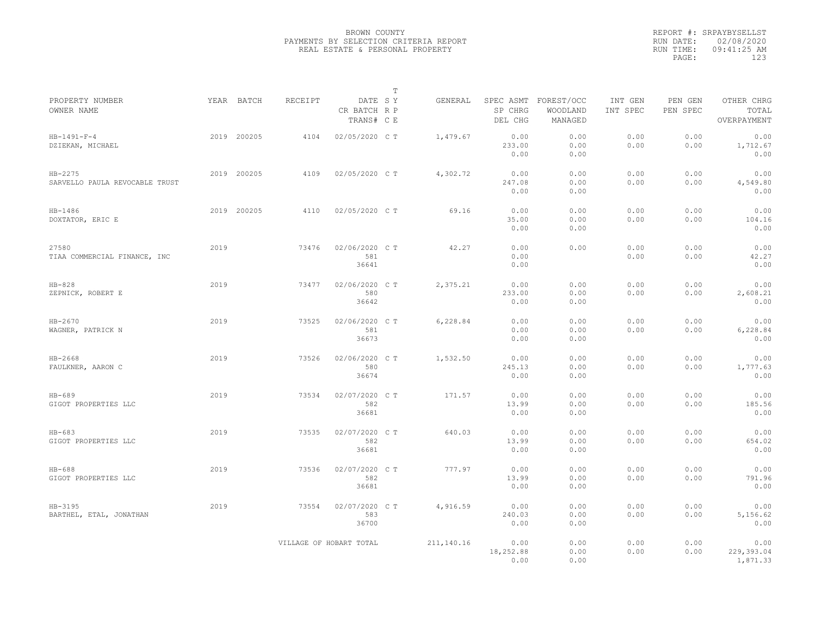|                                             |      |             |                |                                       | $\mathbb T$ |            |                                 |                                   |                     |                     |                                    |
|---------------------------------------------|------|-------------|----------------|---------------------------------------|-------------|------------|---------------------------------|-----------------------------------|---------------------|---------------------|------------------------------------|
| PROPERTY NUMBER<br>OWNER NAME               |      | YEAR BATCH  | <b>RECEIPT</b> | DATE SY<br>CR BATCH R P<br>TRANS# C E |             | GENERAL    | SPEC ASMT<br>SP CHRG<br>DEL CHG | FOREST/OCC<br>WOODLAND<br>MANAGED | INT GEN<br>INT SPEC | PEN GEN<br>PEN SPEC | OTHER CHRG<br>TOTAL<br>OVERPAYMENT |
| $HB-1491-F-4$<br>DZIEKAN, MICHAEL           |      | 2019 200205 | 4104           | 02/05/2020 C T                        |             | 1,479.67   | 0.00<br>233.00<br>0.00          | 0.00<br>0.00<br>0.00              | 0.00<br>0.00        | 0.00<br>0.00        | 0.00<br>1,712.67<br>0.00           |
| $HB-2275$<br>SARVELLO PAULA REVOCABLE TRUST |      | 2019 200205 | 4109           | 02/05/2020 C T                        |             | 4,302.72   | 0.00<br>247.08<br>0.00          | 0.00<br>0.00<br>0.00              | 0.00<br>0.00        | 0.00<br>0.00        | 0.00<br>4,549.80<br>0.00           |
| $HB-1486$<br>DOXTATOR, ERIC E               |      | 2019 200205 | 4110           | 02/05/2020 C T                        |             | 69.16      | 0.00<br>35.00<br>0.00           | 0.00<br>0.00<br>0.00              | 0.00<br>0.00        | 0.00<br>0.00        | 0.00<br>104.16<br>0.00             |
| 27580<br>TIAA COMMERCIAL FINANCE, INC       | 2019 |             | 73476          | 02/06/2020 C T<br>581<br>36641        |             | 42.27      | 0.00<br>0.00<br>0.00            | 0.00                              | 0.00<br>0.00        | 0.00<br>0.00        | 0.00<br>42.27<br>0.00              |
| $HB-828$<br>ZEPNICK, ROBERT E               | 2019 |             | 73477          | 02/06/2020 C T<br>580<br>36642        |             | 2,375.21   | 0.00<br>233.00<br>0.00          | 0.00<br>0.00<br>0.00              | 0.00<br>0.00        | 0.00<br>0.00        | 0.00<br>2,608.21<br>0.00           |
| HB-2670<br>WAGNER, PATRICK N                | 2019 |             | 73525          | 02/06/2020 C T<br>581<br>36673        |             | 6,228.84   | 0.00<br>0.00<br>0.00            | 0.00<br>0.00<br>0.00              | 0.00<br>0.00        | 0.00<br>0.00        | 0.00<br>6,228.84<br>0.00           |
| HB-2668<br>FAULKNER, AARON C                | 2019 |             | 73526          | 02/06/2020 C T<br>580<br>36674        |             | 1,532.50   | 0.00<br>245.13<br>0.00          | 0.00<br>0.00<br>0.00              | 0.00<br>0.00        | 0.00<br>0.00        | 0.00<br>1,777.63<br>0.00           |
| $HB-689$<br>GIGOT PROPERTIES LLC            | 2019 |             | 73534          | 02/07/2020 C T<br>582<br>36681        |             | 171.57     | 0.00<br>13.99<br>0.00           | 0.00<br>0.00<br>0.00              | 0.00<br>0.00        | 0.00<br>0.00        | 0.00<br>185.56<br>0.00             |
| $HB-683$<br>GIGOT PROPERTIES LLC            | 2019 |             | 73535          | 02/07/2020 CT<br>582<br>36681         |             | 640.03     | 0.00<br>13.99<br>0.00           | 0.00<br>0.00<br>0.00              | 0.00<br>0.00        | 0.00<br>0.00        | 0.00<br>654.02<br>0.00             |
| $HB-688$<br>GIGOT PROPERTIES LLC            | 2019 |             | 73536          | 02/07/2020 CT<br>582<br>36681         |             | 777.97     | 0.00<br>13.99<br>0.00           | 0.00<br>0.00<br>0.00              | 0.00<br>0.00        | 0.00<br>0.00        | 0.00<br>791.96<br>0.00             |
| $HB - 3195$<br>BARTHEL, ETAL, JONATHAN      | 2019 |             | 73554          | 02/07/2020 C T<br>583<br>36700        |             | 4,916.59   | 0.00<br>240.03<br>0.00          | 0.00<br>0.00<br>0.00              | 0.00<br>0.00        | 0.00<br>0.00        | 0.00<br>5,156.62<br>0.00           |
|                                             |      |             |                | VILLAGE OF HOBART TOTAL               |             | 211,140.16 | 0.00<br>18,252.88<br>0.00       | 0.00<br>0.00<br>0.00              | 0.00<br>0.00        | 0.00<br>0.00        | 0.00<br>229,393.04<br>1,871.33     |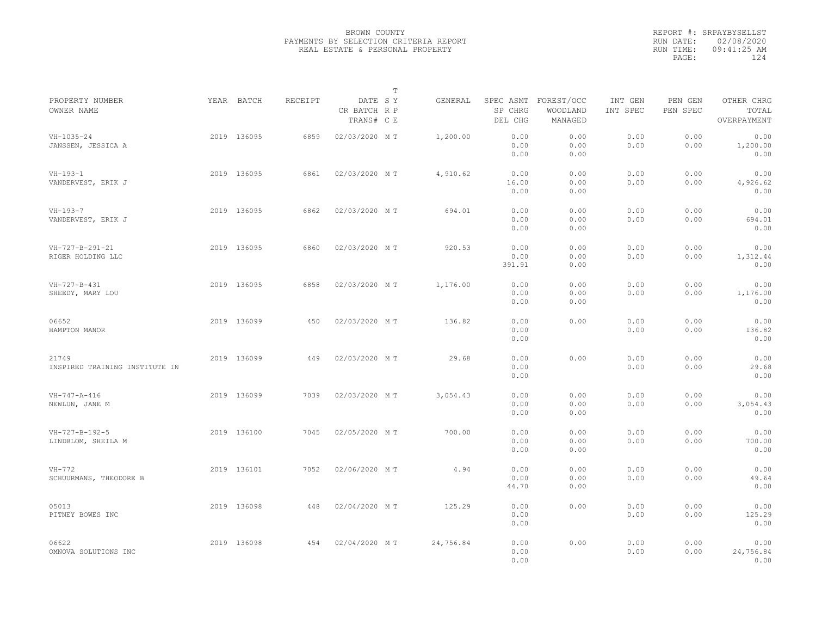|                                         |             |         |                                       | $\mathbb T$ |           |                        |                                             |                     |                     |                                    |  |
|-----------------------------------------|-------------|---------|---------------------------------------|-------------|-----------|------------------------|---------------------------------------------|---------------------|---------------------|------------------------------------|--|
| PROPERTY NUMBER<br>OWNER NAME           | YEAR BATCH  | RECEIPT | DATE SY<br>CR BATCH R P<br>TRANS# C E |             | GENERAL   | SP CHRG<br>DEL CHG     | SPEC ASMT FOREST/OCC<br>WOODLAND<br>MANAGED | INT GEN<br>INT SPEC | PEN GEN<br>PEN SPEC | OTHER CHRG<br>TOTAL<br>OVERPAYMENT |  |
| $VH-1035-24$<br>JANSSEN, JESSICA A      | 2019 136095 | 6859    | 02/03/2020 MT                         |             | 1,200.00  | 0.00<br>0.00<br>0.00   | 0.00<br>0.00<br>0.00                        | 0.00<br>0.00        | 0.00<br>0.00        | 0.00<br>1,200.00<br>0.00           |  |
| $VH-193-1$<br>VANDERVEST, ERIK J        | 2019 136095 | 6861    | 02/03/2020 MT                         |             | 4,910.62  | 0.00<br>16.00<br>0.00  | 0.00<br>0.00<br>0.00                        | 0.00<br>0.00        | 0.00<br>0.00        | 0.00<br>4,926.62<br>0.00           |  |
| $VH-193-7$<br>VANDERVEST, ERIK J        | 2019 136095 | 6862    | 02/03/2020 MT                         |             | 694.01    | 0.00<br>0.00<br>0.00   | 0.00<br>0.00<br>0.00                        | 0.00<br>0.00        | 0.00<br>0.00        | 0.00<br>694.01<br>0.00             |  |
| VH-727-B-291-21<br>RIGER HOLDING LLC    | 2019 136095 | 6860    | 02/03/2020 MT                         |             | 920.53    | 0.00<br>0.00<br>391.91 | 0.00<br>0.00<br>0.00                        | 0.00<br>0.00        | 0.00<br>0.00        | 0.00<br>1,312.44<br>0.00           |  |
| VH-727-B-431<br>SHEEDY, MARY LOU        | 2019 136095 | 6858    | 02/03/2020 MT                         |             | 1,176.00  | 0.00<br>0.00<br>0.00   | 0.00<br>0.00<br>0.00                        | 0.00<br>0.00        | 0.00<br>0.00        | 0.00<br>1,176.00<br>0.00           |  |
| 06652<br>HAMPTON MANOR                  | 2019 136099 | 450     | 02/03/2020 MT                         |             | 136.82    | 0.00<br>0.00<br>0.00   | 0.00                                        | 0.00<br>0.00        | 0.00<br>0.00        | 0.00<br>136.82<br>0.00             |  |
| 21749<br>INSPIRED TRAINING INSTITUTE IN | 2019 136099 | 449     | 02/03/2020 MT                         |             | 29.68     | 0.00<br>0.00<br>0.00   | 0.00                                        | 0.00<br>0.00        | 0.00<br>0.00        | 0.00<br>29.68<br>0.00              |  |
| $VH - 747 - A - 416$<br>NEWLUN, JANE M  | 2019 136099 | 7039    | 02/03/2020 MT                         |             | 3,054.43  | 0.00<br>0.00<br>0.00   | 0.00<br>0.00<br>0.00                        | 0.00<br>0.00        | 0.00<br>0.00        | 0.00<br>3,054.43<br>0.00           |  |
| VH-727-B-192-5<br>LINDBLOM, SHEILA M    | 2019 136100 | 7045    | 02/05/2020 MT                         |             | 700.00    | 0.00<br>0.00<br>0.00   | 0.00<br>0.00<br>0.00                        | 0.00<br>0.00        | 0.00<br>0.00        | 0.00<br>700.00<br>0.00             |  |
| $VH-772$<br>SCHUURMANS, THEODORE B      | 2019 136101 | 7052    | 02/06/2020 MT                         |             | 4.94      | 0.00<br>0.00<br>44.70  | 0.00<br>0.00<br>0.00                        | 0.00<br>0.00        | 0.00<br>0.00        | 0.00<br>49.64<br>0.00              |  |
| 05013<br>PITNEY BOWES INC               | 2019 136098 | 448     | 02/04/2020 MT                         |             | 125.29    | 0.00<br>0.00<br>0.00   | 0.00                                        | 0.00<br>0.00        | 0.00<br>0.00        | 0.00<br>125.29<br>0.00             |  |
| 06622<br>OMNOVA SOLUTIONS INC           | 2019 136098 | 454     | 02/04/2020 MT                         |             | 24,756.84 | 0.00<br>0.00<br>0.00   | 0.00                                        | 0.00<br>0.00        | 0.00<br>0.00        | 0.00<br>24,756.84<br>0.00          |  |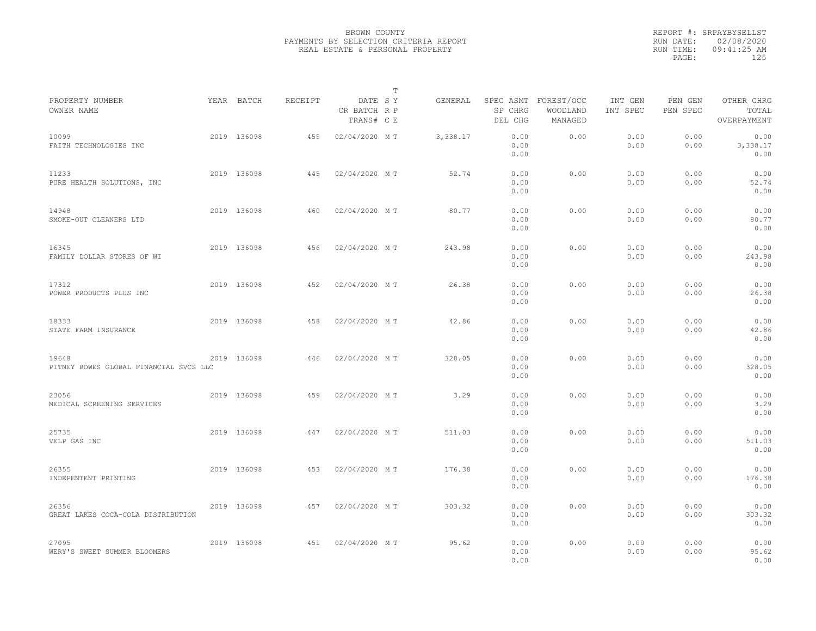|                                                 |             |         |                                       | $\mathbb T$ |          |                      |                                             |                     |                     |                                    |  |
|-------------------------------------------------|-------------|---------|---------------------------------------|-------------|----------|----------------------|---------------------------------------------|---------------------|---------------------|------------------------------------|--|
| PROPERTY NUMBER<br>OWNER NAME                   | YEAR BATCH  | RECEIPT | DATE SY<br>CR BATCH R P<br>TRANS# C E |             | GENERAL  | SP CHRG<br>DEL CHG   | SPEC ASMT FOREST/OCC<br>WOODLAND<br>MANAGED | INT GEN<br>INT SPEC | PEN GEN<br>PEN SPEC | OTHER CHRG<br>TOTAL<br>OVERPAYMENT |  |
| 10099<br>FAITH TECHNOLOGIES INC                 | 2019 136098 | 455     | 02/04/2020 MT                         |             | 3,338.17 | 0.00<br>0.00<br>0.00 | 0.00                                        | 0.00<br>0.00        | 0.00<br>0.00        | 0.00<br>3,338.17<br>0.00           |  |
| 11233<br>PURE HEALTH SOLUTIONS, INC             | 2019 136098 | 445     | 02/04/2020 MT                         |             | 52.74    | 0.00<br>0.00<br>0.00 | 0.00                                        | 0.00<br>0.00        | 0.00<br>0.00        | 0.00<br>52.74<br>0.00              |  |
| 14948<br>SMOKE-OUT CLEANERS LTD                 | 2019 136098 | 460     | 02/04/2020 MT                         |             | 80.77    | 0.00<br>0.00<br>0.00 | 0.00                                        | 0.00<br>0.00        | 0.00<br>0.00        | 0.00<br>80.77<br>0.00              |  |
| 16345<br>FAMILY DOLLAR STORES OF WI             | 2019 136098 | 456     | 02/04/2020 MT                         |             | 243.98   | 0.00<br>0.00<br>0.00 | 0.00                                        | 0.00<br>0.00        | 0.00<br>0.00        | 0.00<br>243.98<br>0.00             |  |
| 17312<br>POWER PRODUCTS PLUS INC                | 2019 136098 | 452     | 02/04/2020 MT                         |             | 26.38    | 0.00<br>0.00<br>0.00 | 0.00                                        | 0.00<br>0.00        | 0.00<br>0.00        | 0.00<br>26.38<br>0.00              |  |
| 18333<br>STATE FARM INSURANCE                   | 2019 136098 | 458     | 02/04/2020 MT                         |             | 42.86    | 0.00<br>0.00<br>0.00 | 0.00                                        | 0.00<br>0.00        | 0.00<br>0.00        | 0.00<br>42.86<br>0.00              |  |
| 19648<br>PITNEY BOWES GLOBAL FINANCIAL SVCS LLC | 2019 136098 | 446     | 02/04/2020 MT                         |             | 328.05   | 0.00<br>0.00<br>0.00 | 0.00                                        | 0.00<br>0.00        | 0.00<br>0.00        | 0.00<br>328.05<br>0.00             |  |
| 23056<br>MEDICAL SCREENING SERVICES             | 2019 136098 | 459     | 02/04/2020 MT                         |             | 3.29     | 0.00<br>0.00<br>0.00 | 0.00                                        | 0.00<br>0.00        | 0.00<br>0.00        | 0.00<br>3.29<br>0.00               |  |
| 25735<br>VELP GAS INC                           | 2019 136098 | 447     | 02/04/2020 MT                         |             | 511.03   | 0.00<br>0.00<br>0.00 | 0.00                                        | 0.00<br>0.00        | 0.00<br>0.00        | 0.00<br>511.03<br>0.00             |  |
| 26355<br>INDEPENTENT PRINTING                   | 2019 136098 | 453     | 02/04/2020 MT                         |             | 176.38   | 0.00<br>0.00<br>0.00 | 0.00                                        | 0.00<br>0.00        | 0.00<br>0.00        | 0.00<br>176.38<br>0.00             |  |
| 26356<br>GREAT LAKES COCA-COLA DISTRIBUTION     | 2019 136098 | 457     | 02/04/2020 MT                         |             | 303.32   | 0.00<br>0.00<br>0.00 | 0.00                                        | 0.00<br>0.00        | 0.00<br>0.00        | 0.00<br>303.32<br>0.00             |  |
| 27095<br>WERY'S SWEET SUMMER BLOOMERS           | 2019 136098 | 451     | 02/04/2020 MT                         |             | 95.62    | 0.00<br>0.00<br>0.00 | 0.00                                        | 0.00<br>0.00        | 0.00<br>0.00        | 0.00<br>95.62<br>0.00              |  |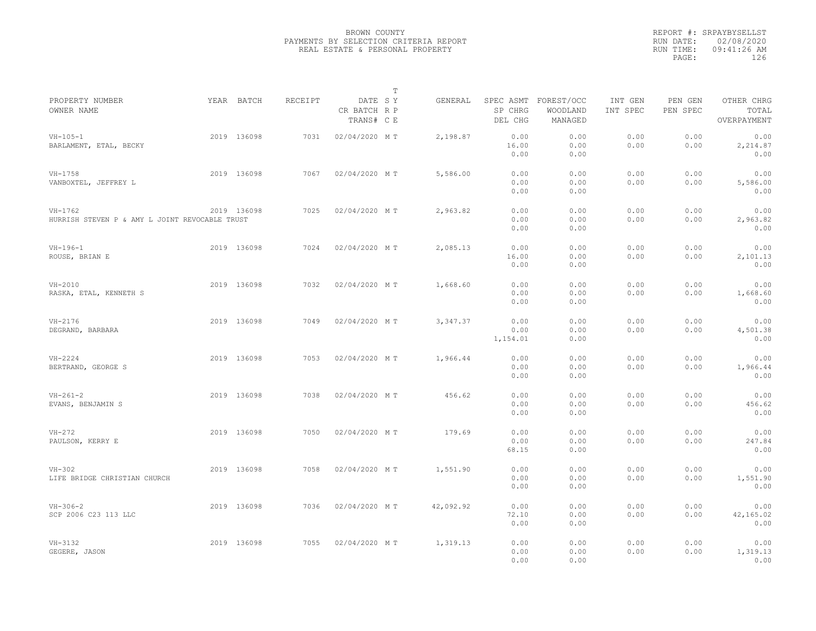|                                                             |             |                |                                       | $\mathbb T$ |           |                                 |                                   |                     |                     |                                    |  |
|-------------------------------------------------------------|-------------|----------------|---------------------------------------|-------------|-----------|---------------------------------|-----------------------------------|---------------------|---------------------|------------------------------------|--|
| PROPERTY NUMBER<br>OWNER NAME                               | YEAR BATCH  | <b>RECEIPT</b> | DATE SY<br>CR BATCH R P<br>TRANS# C E |             | GENERAL   | SPEC ASMT<br>SP CHRG<br>DEL CHG | FOREST/OCC<br>WOODLAND<br>MANAGED | INT GEN<br>INT SPEC | PEN GEN<br>PEN SPEC | OTHER CHRG<br>TOTAL<br>OVERPAYMENT |  |
| $VH - 105 - 1$<br>BARLAMENT, ETAL, BECKY                    | 2019 136098 | 7031           | 02/04/2020 MT                         |             | 2,198.87  | 0.00<br>16.00<br>0.00           | 0.00<br>0.00<br>0.00              | 0.00<br>0.00        | 0.00<br>0.00        | 0.00<br>2,214.87<br>0.00           |  |
| $VH-1758$<br>VANBOXTEL, JEFFREY L                           | 2019 136098 | 7067           | 02/04/2020 MT                         |             | 5,586.00  | 0.00<br>0.00<br>0.00            | 0.00<br>0.00<br>0.00              | 0.00<br>0.00        | 0.00<br>0.00        | 0.00<br>5,586.00<br>0.00           |  |
| $VH-1762$<br>HURRISH STEVEN P & AMY L JOINT REVOCABLE TRUST | 2019 136098 | 7025           | 02/04/2020 MT                         |             | 2,963.82  | 0.00<br>0.00<br>0.00            | 0.00<br>0.00<br>0.00              | 0.00<br>0.00        | 0.00<br>0.00        | 0.00<br>2,963.82<br>0.00           |  |
| $VH-196-1$<br>ROUSE, BRIAN E                                | 2019 136098 | 7024           | 02/04/2020 MT                         |             | 2,085.13  | 0.00<br>16.00<br>0.00           | 0.00<br>0.00<br>0.00              | 0.00<br>0.00        | 0.00<br>0.00        | 0.00<br>2,101.13<br>0.00           |  |
| $VH-2010$<br>RASKA, ETAL, KENNETH S                         | 2019 136098 | 7032           | 02/04/2020 MT                         |             | 1,668.60  | 0.00<br>0.00<br>0.00            | 0.00<br>0.00<br>0.00              | 0.00<br>0.00        | 0.00<br>0.00        | 0.00<br>1,668.60<br>0.00           |  |
| $VH-2176$<br>DEGRAND, BARBARA                               | 2019 136098 | 7049           | 02/04/2020 MT                         |             | 3, 347.37 | 0.00<br>0.00<br>1,154.01        | 0.00<br>0.00<br>0.00              | 0.00<br>0.00        | 0.00<br>0.00        | 0.00<br>4,501.38<br>0.00           |  |
| $VH-2224$<br>BERTRAND, GEORGE S                             | 2019 136098 | 7053           | 02/04/2020 MT                         |             | 1,966.44  | 0.00<br>0.00<br>0.00            | 0.00<br>0.00<br>0.00              | 0.00<br>0.00        | 0.00<br>0.00        | 0.00<br>1,966.44<br>0.00           |  |
| $VH - 261 - 2$<br>EVANS, BENJAMIN S                         | 2019 136098 | 7038           | 02/04/2020 MT                         |             | 456.62    | 0.00<br>0.00<br>0.00            | 0.00<br>0.00<br>0.00              | 0.00<br>0.00        | 0.00<br>0.00        | 0.00<br>456.62<br>0.00             |  |
| $VH-272$<br>PAULSON, KERRY E                                | 2019 136098 | 7050           | 02/04/2020 MT                         |             | 179.69    | 0.00<br>0.00<br>68.15           | 0.00<br>0.00<br>0.00              | 0.00<br>0.00        | 0.00<br>0.00        | 0.00<br>247.84<br>0.00             |  |
| $VH-302$<br>LIFE BRIDGE CHRISTIAN CHURCH                    | 2019 136098 | 7058           | 02/04/2020 MT                         |             | 1,551.90  | 0.00<br>0.00<br>0.00            | 0.00<br>0.00<br>0.00              | 0.00<br>0.00        | 0.00<br>0.00        | 0.00<br>1,551.90<br>0.00           |  |
| $VH-306-2$<br>SCP 2006 C23 113 LLC                          | 2019 136098 | 7036           | 02/04/2020 MT                         |             | 42,092.92 | 0.00<br>72.10<br>0.00           | 0.00<br>0.00<br>0.00              | 0.00<br>0.00        | 0.00<br>0.00        | 0.00<br>42,165.02<br>0.00          |  |
| $VH-3132$<br>GEGERE, JASON                                  | 2019 136098 | 7055           | 02/04/2020 MT                         |             | 1,319.13  | 0.00<br>0.00<br>0.00            | 0.00<br>0.00<br>0.00              | 0.00<br>0.00        | 0.00<br>0.00        | 0.00<br>1,319.13<br>0.00           |  |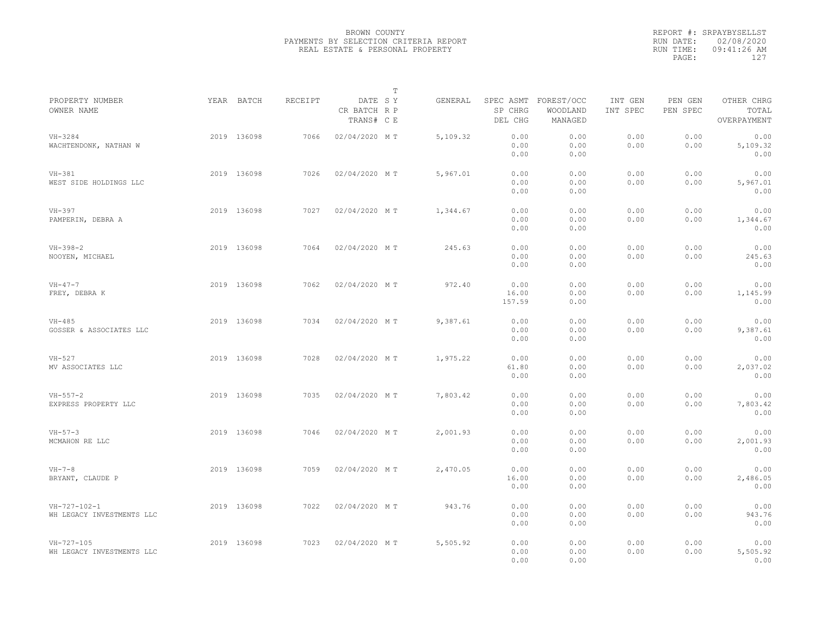|                                                   |             |         |                                       | $\mathbb T$ |          |                                 |                                   |                     |                     |                                    |  |
|---------------------------------------------------|-------------|---------|---------------------------------------|-------------|----------|---------------------------------|-----------------------------------|---------------------|---------------------|------------------------------------|--|
| PROPERTY NUMBER<br>OWNER NAME                     | YEAR BATCH  | RECEIPT | DATE SY<br>CR BATCH R P<br>TRANS# C E |             | GENERAL  | SPEC ASMT<br>SP CHRG<br>DEL CHG | FOREST/OCC<br>WOODLAND<br>MANAGED | INT GEN<br>INT SPEC | PEN GEN<br>PEN SPEC | OTHER CHRG<br>TOTAL<br>OVERPAYMENT |  |
| $VH - 3284$<br>WACHTENDONK, NATHAN W              | 2019 136098 | 7066    | 02/04/2020 MT                         |             | 5,109.32 | 0.00<br>0.00<br>0.00            | 0.00<br>0.00<br>0.00              | 0.00<br>0.00        | 0.00<br>0.00        | 0.00<br>5,109.32<br>0.00           |  |
| $VH-381$<br>WEST SIDE HOLDINGS LLC                | 2019 136098 | 7026    | 02/04/2020 MT                         |             | 5,967.01 | 0.00<br>0.00<br>0.00            | 0.00<br>0.00<br>0.00              | 0.00<br>0.00        | 0.00<br>0.00        | 0.00<br>5,967.01<br>0.00           |  |
| $VH-397$<br>PAMPERIN, DEBRA A                     | 2019 136098 | 7027    | 02/04/2020 MT                         |             | 1,344.67 | 0.00<br>0.00<br>0.00            | 0.00<br>0.00<br>0.00              | 0.00<br>0.00        | 0.00<br>0.00        | 0.00<br>1,344.67<br>0.00           |  |
| $VH-398-2$<br>NOOYEN, MICHAEL                     | 2019 136098 | 7064    | 02/04/2020 MT                         |             | 245.63   | 0.00<br>0.00<br>0.00            | 0.00<br>0.00<br>0.00              | 0.00<br>0.00        | 0.00<br>0.00        | 0.00<br>245.63<br>0.00             |  |
| $VH - 47 - 7$<br>FREY, DEBRA K                    | 2019 136098 | 7062    | 02/04/2020 MT                         |             | 972.40   | 0.00<br>16.00<br>157.59         | 0.00<br>0.00<br>0.00              | 0.00<br>0.00        | 0.00<br>0.00        | 0.00<br>1,145.99<br>0.00           |  |
| $VH-485$<br>GOSSER & ASSOCIATES LLC               | 2019 136098 | 7034    | 02/04/2020 MT                         |             | 9,387.61 | 0.00<br>0.00<br>0.00            | 0.00<br>0.00<br>0.00              | 0.00<br>0.00        | 0.00<br>0.00        | 0.00<br>9,387.61<br>0.00           |  |
| $VH-527$<br>MV ASSOCIATES LLC                     | 2019 136098 | 7028    | 02/04/2020 MT                         |             | 1,975.22 | 0.00<br>61.80<br>0.00           | 0.00<br>0.00<br>0.00              | 0.00<br>0.00        | 0.00<br>0.00        | 0.00<br>2,037.02<br>0.00           |  |
| $VH - 557 - 2$<br>EXPRESS PROPERTY LLC            | 2019 136098 | 7035    | 02/04/2020 MT                         |             | 7,803.42 | 0.00<br>0.00<br>0.00            | 0.00<br>0.00<br>0.00              | 0.00<br>0.00        | 0.00<br>0.00        | 0.00<br>7,803.42<br>0.00           |  |
| $VH-57-3$<br>MCMAHON RE LLC                       | 2019 136098 | 7046    | 02/04/2020 MT                         |             | 2,001.93 | 0.00<br>0.00<br>0.00            | 0.00<br>0.00<br>0.00              | 0.00<br>0.00        | 0.00<br>0.00        | 0.00<br>2,001.93<br>0.00           |  |
| $VH-7-8$<br>BRYANT, CLAUDE P                      | 2019 136098 | 7059    | 02/04/2020 MT                         |             | 2,470.05 | 0.00<br>16.00<br>0.00           | 0.00<br>0.00<br>0.00              | 0.00<br>0.00        | 0.00<br>0.00        | 0.00<br>2,486.05<br>0.00           |  |
| $VH - 727 - 102 - 1$<br>WH LEGACY INVESTMENTS LLC | 2019 136098 | 7022    | 02/04/2020 MT                         |             | 943.76   | 0.00<br>0.00<br>0.00            | 0.00<br>0.00<br>0.00              | 0.00<br>0.00        | 0.00<br>0.00        | 0.00<br>943.76<br>0.00             |  |
| $VH - 727 - 105$<br>WH LEGACY INVESTMENTS LLC     | 2019 136098 | 7023    | 02/04/2020 MT                         |             | 5,505.92 | 0.00<br>0.00<br>0.00            | 0.00<br>0.00<br>0.00              | 0.00<br>0.00        | 0.00<br>0.00        | 0.00<br>5,505.92<br>0.00           |  |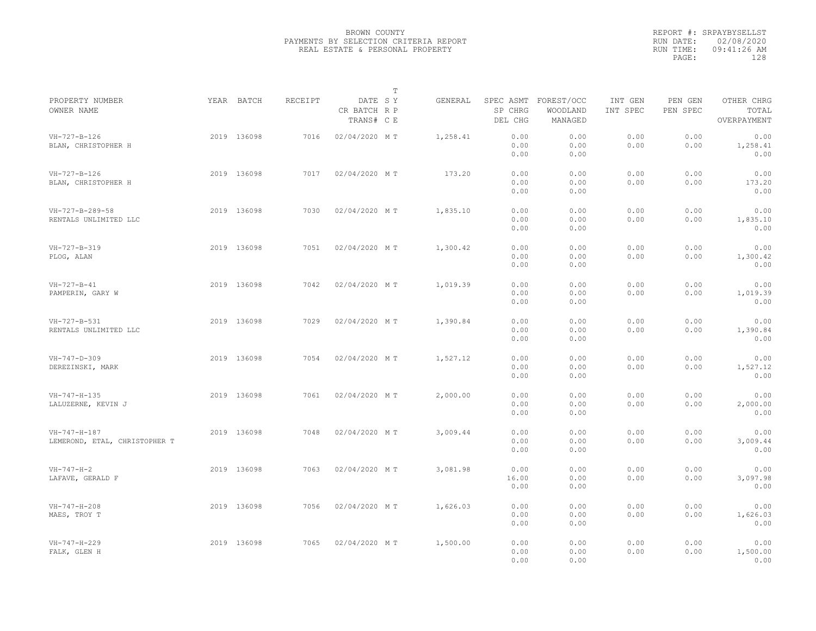|                                                       |             |                |                                       | $\mathbb T$ |          |                       |                                             |                     |                     |                                    |  |
|-------------------------------------------------------|-------------|----------------|---------------------------------------|-------------|----------|-----------------------|---------------------------------------------|---------------------|---------------------|------------------------------------|--|
| PROPERTY NUMBER<br>OWNER NAME                         | YEAR BATCH  | <b>RECEIPT</b> | DATE SY<br>CR BATCH R P<br>TRANS# C E |             | GENERAL  | SP CHRG<br>DEL CHG    | SPEC ASMT FOREST/OCC<br>WOODLAND<br>MANAGED | INT GEN<br>INT SPEC | PEN GEN<br>PEN SPEC | OTHER CHRG<br>TOTAL<br>OVERPAYMENT |  |
| $VH-727-B-126$<br>BLAN, CHRISTOPHER H                 | 2019 136098 | 7016           | 02/04/2020 MT                         |             | 1,258.41 | 0.00<br>0.00<br>0.00  | 0.00<br>0.00<br>0.00                        | 0.00<br>0.00        | 0.00<br>0.00        | 0.00<br>1,258.41<br>0.00           |  |
| VH-727-B-126<br>BLAN, CHRISTOPHER H                   | 2019 136098 | 7017           | 02/04/2020 MT                         |             | 173.20   | 0.00<br>0.00<br>0.00  | 0.00<br>0.00<br>0.00                        | 0.00<br>0.00        | 0.00<br>0.00        | 0.00<br>173.20<br>0.00             |  |
| VH-727-B-289-58<br>RENTALS UNLIMITED LLC              | 2019 136098 | 7030           | 02/04/2020 MT                         |             | 1,835.10 | 0.00<br>0.00<br>0.00  | 0.00<br>0.00<br>0.00                        | 0.00<br>0.00        | 0.00<br>0.00        | 0.00<br>1,835.10<br>0.00           |  |
| VH-727-B-319<br>PLOG, ALAN                            | 2019 136098 | 7051           | 02/04/2020 MT                         |             | 1,300.42 | 0.00<br>0.00<br>0.00  | 0.00<br>0.00<br>0.00                        | 0.00<br>0.00        | 0.00<br>0.00        | 0.00<br>1,300.42<br>0.00           |  |
| $VH - 727 - B - 41$<br>PAMPERIN, GARY W               | 2019 136098 | 7042           | 02/04/2020 MT                         |             | 1,019.39 | 0.00<br>0.00<br>0.00  | 0.00<br>0.00<br>0.00                        | 0.00<br>0.00        | 0.00<br>0.00        | 0.00<br>1,019.39<br>0.00           |  |
| VH-727-B-531<br>RENTALS UNLIMITED LLC                 | 2019 136098 | 7029           | 02/04/2020 MT                         |             | 1,390.84 | 0.00<br>0.00<br>0.00  | 0.00<br>0.00<br>0.00                        | 0.00<br>0.00        | 0.00<br>0.00        | 0.00<br>1,390.84<br>0.00           |  |
| $VH - 747 - D - 309$<br>DEREZINSKI, MARK              | 2019 136098 | 7054           | 02/04/2020 MT                         |             | 1,527.12 | 0.00<br>0.00<br>0.00  | 0.00<br>0.00<br>0.00                        | 0.00<br>0.00        | 0.00<br>0.00        | 0.00<br>1,527.12<br>0.00           |  |
| $VH - 747 - H - 135$<br>LALUZERNE, KEVIN J            | 2019 136098 | 7061           | 02/04/2020 MT                         |             | 2,000.00 | 0.00<br>0.00<br>0.00  | 0.00<br>0.00<br>0.00                        | 0.00<br>0.00        | 0.00<br>0.00        | 0.00<br>2,000.00<br>0.00           |  |
| $VH - 747 - H - 187$<br>LEMEROND, ETAL, CHRISTOPHER T | 2019 136098 | 7048           | 02/04/2020 MT                         |             | 3,009.44 | 0.00<br>0.00<br>0.00  | 0.00<br>0.00<br>0.00                        | 0.00<br>0.00        | 0.00<br>0.00        | 0.00<br>3,009.44<br>0.00           |  |
| $VH - 747 - H - 2$<br>LAFAVE, GERALD F                | 2019 136098 | 7063           | 02/04/2020 MT                         |             | 3,081.98 | 0.00<br>16.00<br>0.00 | 0.00<br>0.00<br>0.00                        | 0.00<br>0.00        | 0.00<br>0.00        | 0.00<br>3,097.98<br>0.00           |  |
| $VH-747-H-208$<br>MAES, TROY T                        | 2019 136098 | 7056           | 02/04/2020 MT                         |             | 1,626.03 | 0.00<br>0.00<br>0.00  | 0.00<br>0.00<br>0.00                        | 0.00<br>0.00        | 0.00<br>0.00        | 0.00<br>1,626.03<br>0.00           |  |
| $VH - 747 - H - 229$<br>FALK, GLEN H                  | 2019 136098 | 7065           | 02/04/2020 MT                         |             | 1,500.00 | 0.00<br>0.00<br>0.00  | 0.00<br>0.00<br>0.00                        | 0.00<br>0.00        | 0.00<br>0.00        | 0.00<br>1,500.00<br>0.00           |  |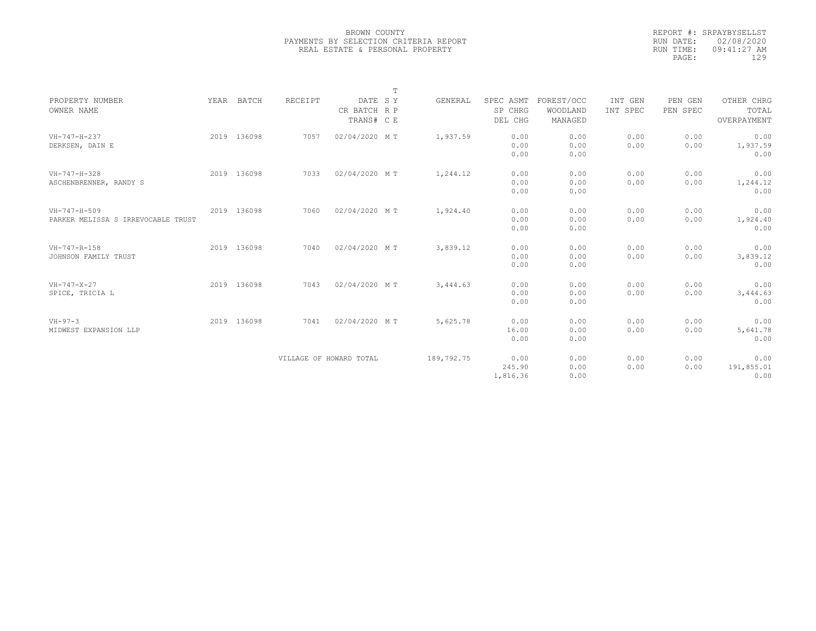|                                    |             |                         |               | T |            |           |            |          |          |             |
|------------------------------------|-------------|-------------------------|---------------|---|------------|-----------|------------|----------|----------|-------------|
| PROPERTY NUMBER                    | YEAR BATCH  | RECEIPT                 | DATE SY       |   | GENERAL    | SPEC ASMT | FOREST/OCC | INT GEN  | PEN GEN  | OTHER CHRG  |
| OWNER NAME                         |             |                         | CR BATCH R P  |   |            | SP CHRG   | WOODLAND   | INT SPEC | PEN SPEC | TOTAL       |
|                                    |             |                         | TRANS# C E    |   |            | DEL CHG   | MANAGED    |          |          | OVERPAYMENT |
| $VH-747-H-237$                     | 2019 136098 | 7057                    | 02/04/2020 MT |   | 1,937.59   | 0.00      | 0.00       | 0.00     | 0.00     | 0.00        |
| DERKSEN, DAIN E                    |             |                         |               |   |            | 0.00      | 0.00       | 0.00     | 0.00     | 1,937.59    |
|                                    |             |                         |               |   |            | 0.00      | 0.00       |          |          | 0.00        |
| VH-747-H-328                       | 2019 136098 | 7033                    | 02/04/2020 MT |   | 1,244.12   | 0.00      | 0.00       | 0.00     | 0.00     | 0.00        |
| ASCHENBRENNER, RANDY S             |             |                         |               |   |            | 0.00      | 0.00       | 0.00     | 0.00     | 1,244.12    |
|                                    |             |                         |               |   |            | 0.00      | 0.00       |          |          | 0.00        |
| $VH-747-H-509$                     | 2019 136098 | 7060                    | 02/04/2020 MT |   | 1,924.40   | 0.00      | 0.00       | 0.00     | 0.00     | 0.00        |
| PARKER MELISSA S IRREVOCABLE TRUST |             |                         |               |   |            | 0.00      | 0.00       | 0.00     | 0.00     | 1,924.40    |
|                                    |             |                         |               |   |            | 0.00      | 0.00       |          |          | 0.00        |
| VH-747-R-158                       | 2019 136098 | 7040                    | 02/04/2020 MT |   | 3,839.12   | 0.00      | 0.00       | 0.00     | 0.00     | 0.00        |
| JOHNSON FAMILY TRUST               |             |                         |               |   |            | 0.00      | 0.00       | 0.00     | 0.00     | 3,839.12    |
|                                    |             |                         |               |   |            | 0.00      | 0.00       |          |          | 0.00        |
| $VH - 747 - X - 27$                | 2019 136098 | 7043                    | 02/04/2020 MT |   | 3,444.63   | 0.00      | 0.00       | 0.00     | 0.00     | 0.00        |
| SPICE, TRICIA L                    |             |                         |               |   |            | 0.00      | 0.00       | 0.00     | 0.00     | 3,444.63    |
|                                    |             |                         |               |   |            | 0.00      | 0.00       |          |          | 0.00        |
| $VH - 97 - 3$                      | 2019 136098 | 7041                    | 02/04/2020 MT |   | 5,625.78   | 0.00      | 0.00       | 0.00     | 0.00     | 0.00        |
| MIDWEST EXPANSION LLP              |             |                         |               |   |            | 16.00     | 0.00       | 0.00     | 0.00     | 5,641.78    |
|                                    |             |                         |               |   |            | 0.00      | 0.00       |          |          | 0.00        |
|                                    |             | VILLAGE OF HOWARD TOTAL |               |   | 189,792.75 | 0.00      | 0.00       | 0.00     | 0.00     | 0.00        |
|                                    |             |                         |               |   |            | 245.90    | 0.00       | 0.00     | 0.00     | 191,855.01  |
|                                    |             |                         |               |   |            | 1,816.36  | 0.00       |          |          | 0.00        |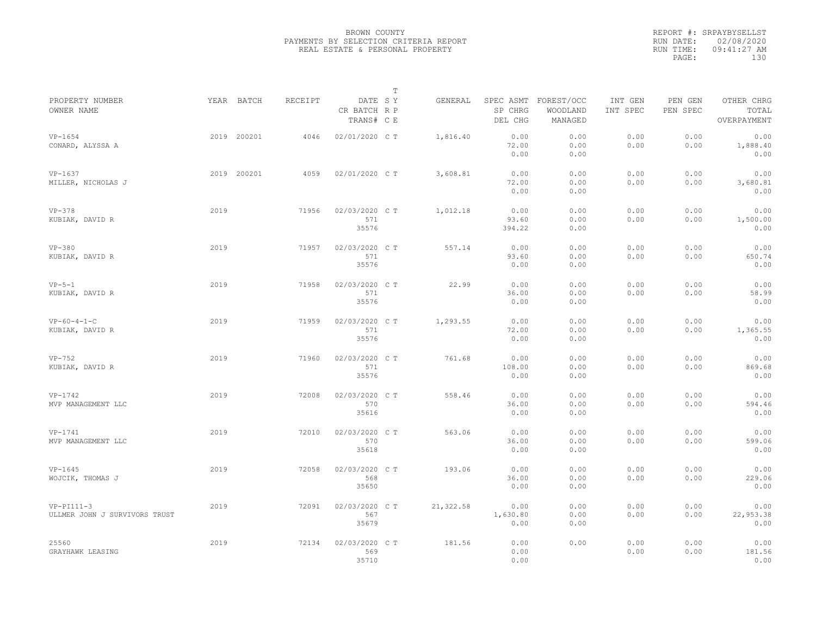|                                               |      |             |         |                                       | $\mathbb T$ |           |                          |                                             |                     |                     |                                    |  |
|-----------------------------------------------|------|-------------|---------|---------------------------------------|-------------|-----------|--------------------------|---------------------------------------------|---------------------|---------------------|------------------------------------|--|
| PROPERTY NUMBER<br>OWNER NAME                 |      | YEAR BATCH  | RECEIPT | DATE SY<br>CR BATCH R P<br>TRANS# C E |             | GENERAL   | SP CHRG<br>DEL CHG       | SPEC ASMT FOREST/OCC<br>WOODLAND<br>MANAGED | INT GEN<br>INT SPEC | PEN GEN<br>PEN SPEC | OTHER CHRG<br>TOTAL<br>OVERPAYMENT |  |
| $VP-1654$<br>CONARD, ALYSSA A                 |      | 2019 200201 | 4046    | 02/01/2020 C T                        |             | 1,816.40  | 0.00<br>72.00<br>0.00    | 0.00<br>0.00<br>0.00                        | 0.00<br>0.00        | 0.00<br>0.00        | 0.00<br>1,888.40<br>0.00           |  |
| $VP-1637$<br>MILLER, NICHOLAS J               |      | 2019 200201 | 4059    | 02/01/2020 C T                        |             | 3,608.81  | 0.00<br>72.00<br>0.00    | 0.00<br>0.00<br>0.00                        | 0.00<br>0.00        | 0.00<br>0.00        | 0.00<br>3,680.81<br>0.00           |  |
| $VP-378$<br>KUBIAK, DAVID R                   | 2019 |             | 71956   | 02/03/2020 C T<br>571<br>35576        |             | 1,012.18  | 0.00<br>93.60<br>394.22  | 0.00<br>0.00<br>0.00                        | 0.00<br>0.00        | 0.00<br>0.00        | 0.00<br>1,500.00<br>0.00           |  |
| $VP-380$<br>KUBIAK, DAVID R                   | 2019 |             | 71957   | 02/03/2020 C T<br>571<br>35576        |             | 557.14    | 0.00<br>93.60<br>0.00    | 0.00<br>0.00<br>0.00                        | 0.00<br>0.00        | 0.00<br>0.00        | 0.00<br>650.74<br>0.00             |  |
| $VP-5-1$<br>KUBIAK, DAVID R                   | 2019 |             | 71958   | 02/03/2020 C T<br>571<br>35576        |             | 22.99     | 0.00<br>36.00<br>0.00    | 0.00<br>0.00<br>0.00                        | 0.00<br>0.00        | 0.00<br>0.00        | 0.00<br>58.99<br>0.00              |  |
| $VP-60-4-1-C$<br>KUBIAK, DAVID R              | 2019 |             | 71959   | 02/03/2020 C T<br>571<br>35576        |             | 1,293.55  | 0.00<br>72.00<br>0.00    | 0.00<br>0.00<br>0.00                        | 0.00<br>0.00        | 0.00<br>0.00        | 0.00<br>1,365.55<br>0.00           |  |
| $VP-752$<br>KUBIAK, DAVID R                   | 2019 |             | 71960   | 02/03/2020 C T<br>571<br>35576        |             | 761.68    | 0.00<br>108.00<br>0.00   | 0.00<br>0.00<br>0.00                        | 0.00<br>0.00        | 0.00<br>0.00        | 0.00<br>869.68<br>0.00             |  |
| $VP-1742$<br>MVP MANAGEMENT LLC               | 2019 |             | 72008   | 02/03/2020 CT<br>570<br>35616         |             | 558.46    | 0.00<br>36.00<br>0.00    | 0.00<br>0.00<br>0.00                        | 0.00<br>0.00        | 0.00<br>0.00        | 0.00<br>594.46<br>0.00             |  |
| $VP-1741$<br>MVP MANAGEMENT LLC               | 2019 |             | 72010   | 02/03/2020 C T<br>570<br>35618        |             | 563.06    | 0.00<br>36.00<br>0.00    | 0.00<br>0.00<br>0.00                        | 0.00<br>0.00        | 0.00<br>0.00        | 0.00<br>599.06<br>0.00             |  |
| $VP-1645$<br>WOJCIK, THOMAS J                 | 2019 |             | 72058   | 02/03/2020 CT<br>568<br>35650         |             | 193.06    | 0.00<br>36.00<br>0.00    | 0.00<br>0.00<br>0.00                        | 0.00<br>0.00        | 0.00<br>0.00        | 0.00<br>229.06<br>0.00             |  |
| $VP-PI111-3$<br>ULLMER JOHN J SURVIVORS TRUST | 2019 |             | 72091   | 02/03/2020 C T<br>567<br>35679        |             | 21,322.58 | 0.00<br>1,630.80<br>0.00 | 0.00<br>0.00<br>0.00                        | 0.00<br>0.00        | 0.00<br>0.00        | 0.00<br>22,953.38<br>0.00          |  |
| 25560<br>GRAYHAWK LEASING                     | 2019 |             | 72134   | 02/03/2020 C T<br>569<br>35710        |             | 181.56    | 0.00<br>0.00<br>0.00     | 0.00                                        | 0.00<br>0.00        | 0.00<br>0.00        | 0.00<br>181.56<br>0.00             |  |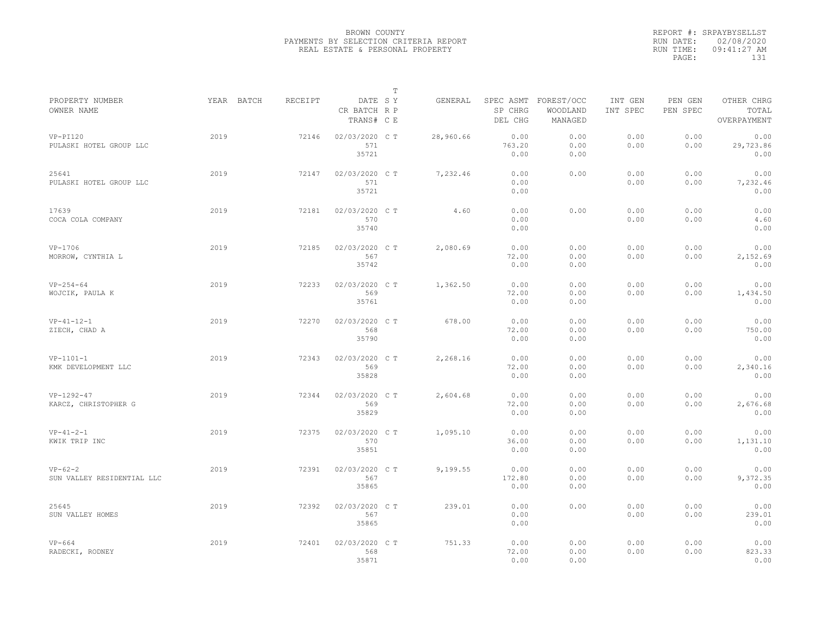|                                         |            |         |                                       | $\mathbb T$ |           |                        |                                             |                     |                     |                                    |
|-----------------------------------------|------------|---------|---------------------------------------|-------------|-----------|------------------------|---------------------------------------------|---------------------|---------------------|------------------------------------|
| PROPERTY NUMBER<br>OWNER NAME           | YEAR BATCH | RECEIPT | DATE SY<br>CR BATCH R P<br>TRANS# C E |             | GENERAL   | SP CHRG<br>DEL CHG     | SPEC ASMT FOREST/OCC<br>WOODLAND<br>MANAGED | INT GEN<br>INT SPEC | PEN GEN<br>PEN SPEC | OTHER CHRG<br>TOTAL<br>OVERPAYMENT |
| $VP-PI120$<br>PULASKI HOTEL GROUP LLC   | 2019       | 72146   | 02/03/2020 CT<br>571<br>35721         |             | 28,960.66 | 0.00<br>763.20<br>0.00 | 0.00<br>0.00<br>0.00                        | 0.00<br>0.00        | 0.00<br>0.00        | 0.00<br>29,723.86<br>0.00          |
| 25641<br>PULASKI HOTEL GROUP LLC        | 2019       | 72147   | 02/03/2020 C T<br>571<br>35721        |             | 7,232.46  | 0.00<br>0.00<br>0.00   | 0.00                                        | 0.00<br>0.00        | 0.00<br>0.00        | 0.00<br>7,232.46<br>0.00           |
| 17639<br>COCA COLA COMPANY              | 2019       | 72181   | 02/03/2020 C T<br>570<br>35740        |             | 4.60      | 0.00<br>0.00<br>0.00   | 0.00                                        | 0.00<br>0.00        | 0.00<br>0.00        | 0.00<br>4.60<br>0.00               |
| VP-1706<br>MORROW, CYNTHIA L            | 2019       | 72185   | 02/03/2020 C T<br>567<br>35742        |             | 2,080.69  | 0.00<br>72.00<br>0.00  | 0.00<br>0.00<br>0.00                        | 0.00<br>0.00        | 0.00<br>0.00        | 0.00<br>2,152.69<br>0.00           |
| $VP-254-64$<br>WOJCIK, PAULA K          | 2019       | 72233   | 02/03/2020 C T<br>569<br>35761        |             | 1,362.50  | 0.00<br>72.00<br>0.00  | 0.00<br>0.00<br>0.00                        | 0.00<br>0.00        | 0.00<br>0.00        | 0.00<br>1,434.50<br>0.00           |
| $VP-41-12-1$<br>ZIECH, CHAD A           | 2019       | 72270   | 02/03/2020 CT<br>568<br>35790         |             | 678.00    | 0.00<br>72.00<br>0.00  | 0.00<br>0.00<br>0.00                        | 0.00<br>0.00        | 0.00<br>0.00        | 0.00<br>750.00<br>0.00             |
| $VP-1101-1$<br>KMK DEVELOPMENT LLC      | 2019       | 72343   | 02/03/2020 C T<br>569<br>35828        |             | 2,268.16  | 0.00<br>72.00<br>0.00  | 0.00<br>0.00<br>0.00                        | 0.00<br>0.00        | 0.00<br>0.00        | 0.00<br>2,340.16<br>0.00           |
| $VP-1292-47$<br>KARCZ, CHRISTOPHER G    | 2019       | 72344   | 02/03/2020 C T<br>569<br>35829        |             | 2,604.68  | 0.00<br>72.00<br>0.00  | 0.00<br>0.00<br>0.00                        | 0.00<br>0.00        | 0.00<br>0.00        | 0.00<br>2,676.68<br>0.00           |
| $VP-41-2-1$<br>KWIK TRIP INC            | 2019       | 72375   | 02/03/2020 CT<br>570<br>35851         |             | 1,095.10  | 0.00<br>36.00<br>0.00  | 0.00<br>0.00<br>0.00                        | 0.00<br>0.00        | 0.00<br>0.00        | 0.00<br>1,131.10<br>0.00           |
| $VP-62-2$<br>SUN VALLEY RESIDENTIAL LLC | 2019       | 72391   | 02/03/2020 CT<br>567<br>35865         |             | 9,199.55  | 0.00<br>172.80<br>0.00 | 0.00<br>0.00<br>0.00                        | 0.00<br>0.00        | 0.00<br>0.00        | 0.00<br>9,372.35<br>0.00           |
| 25645<br>SUN VALLEY HOMES               | 2019       | 72392   | 02/03/2020 C T<br>567<br>35865        |             | 239.01    | 0.00<br>0.00<br>0.00   | 0.00                                        | 0.00<br>0.00        | 0.00<br>0.00        | 0.00<br>239.01<br>0.00             |
| $VP-664$<br>RADECKI, RODNEY             | 2019       | 72401   | 02/03/2020 CT<br>568<br>35871         |             | 751.33    | 0.00<br>72.00<br>0.00  | 0.00<br>0.00<br>0.00                        | 0.00<br>0.00        | 0.00<br>0.00        | 0.00<br>823.33<br>0.00             |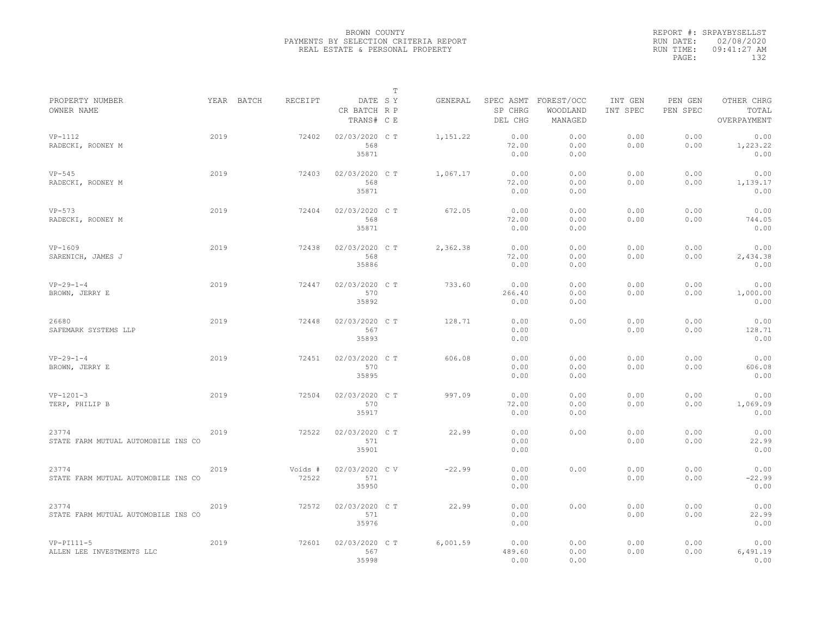|                                              |      |            |                  |                                       | $\mathbb T$ |          |                                 |                                   |                                                                                  |              |                          |  |  |
|----------------------------------------------|------|------------|------------------|---------------------------------------|-------------|----------|---------------------------------|-----------------------------------|----------------------------------------------------------------------------------|--------------|--------------------------|--|--|
| PROPERTY NUMBER<br>OWNER NAME                |      | YEAR BATCH | <b>RECEIPT</b>   | DATE SY<br>CR BATCH R P<br>TRANS# C E |             | GENERAL  | SPEC ASMT<br>SP CHRG<br>DEL CHG | FOREST/OCC<br>WOODLAND<br>MANAGED | INT GEN<br>PEN GEN<br>OTHER CHRG<br>INT SPEC<br>PEN SPEC<br>TOTAL<br>OVERPAYMENT |              |                          |  |  |
| $VP-1112$<br>RADECKI, RODNEY M               | 2019 |            | 72402            | 02/03/2020 C T<br>568<br>35871        |             | 1,151.22 | 0.00<br>72.00<br>0.00           | 0.00<br>0.00<br>0.00              | 0.00<br>0.00                                                                     | 0.00<br>0.00 | 0.00<br>1,223.22<br>0.00 |  |  |
| $VP-545$<br>RADECKI, RODNEY M                | 2019 |            | 72403            | 02/03/2020 C T<br>568<br>35871        |             | 1,067.17 | 0.00<br>72.00<br>0.00           | 0.00<br>0.00<br>0.00              | 0.00<br>0.00                                                                     | 0.00<br>0.00 | 0.00<br>1,139.17<br>0.00 |  |  |
| $VP-573$<br>RADECKI, RODNEY M                | 2019 |            | 72404            | 02/03/2020 C T<br>568<br>35871        |             | 672.05   | 0.00<br>72.00<br>0.00           | 0.00<br>0.00<br>0.00              | 0.00<br>0.00                                                                     | 0.00<br>0.00 | 0.00<br>744.05<br>0.00   |  |  |
| $VP-1609$<br>SARENICH, JAMES J               | 2019 |            | 72438            | 02/03/2020 C T<br>568<br>35886        |             | 2,362.38 | 0.00<br>72.00<br>0.00           | 0.00<br>0.00<br>0.00              | 0.00<br>0.00                                                                     | 0.00<br>0.00 | 0.00<br>2,434.38<br>0.00 |  |  |
| $VP-29-1-4$<br>BROWN, JERRY E                | 2019 |            | 72447            | 02/03/2020 CT<br>570<br>35892         |             | 733.60   | 0.00<br>266.40<br>0.00          | 0.00<br>0.00<br>0.00              | 0.00<br>0.00                                                                     | 0.00<br>0.00 | 0.00<br>1,000.00<br>0.00 |  |  |
| 26680<br>SAFEMARK SYSTEMS LLP                | 2019 |            | 72448            | 02/03/2020 C T<br>567<br>35893        |             | 128.71   | 0.00<br>0.00<br>0.00            | 0.00                              | 0.00<br>0.00                                                                     | 0.00<br>0.00 | 0.00<br>128.71<br>0.00   |  |  |
| $VP-29-1-4$<br>BROWN, JERRY E                | 2019 |            | 72451            | 02/03/2020 C T<br>570<br>35895        |             | 606.08   | 0.00<br>0.00<br>0.00            | 0.00<br>0.00<br>0.00              | 0.00<br>0.00                                                                     | 0.00<br>0.00 | 0.00<br>606.08<br>0.00   |  |  |
| $VP-1201-3$<br>TERP, PHILIP B                | 2019 |            | 72504            | 02/03/2020 C T<br>570<br>35917        |             | 997.09   | 0.00<br>72.00<br>0.00           | 0.00<br>0.00<br>0.00              | 0.00<br>0.00                                                                     | 0.00<br>0.00 | 0.00<br>1,069.09<br>0.00 |  |  |
| 23774<br>STATE FARM MUTUAL AUTOMOBILE INS CO | 2019 |            | 72522            | 02/03/2020 C T<br>571<br>35901        |             | 22.99    | 0.00<br>0.00<br>0.00            | 0.00                              | 0.00<br>0.00                                                                     | 0.00<br>0.00 | 0.00<br>22.99<br>0.00    |  |  |
| 23774<br>STATE FARM MUTUAL AUTOMOBILE INS CO | 2019 |            | Voids #<br>72522 | 02/03/2020 CV<br>571<br>35950         |             | $-22.99$ | 0.00<br>0.00<br>0.00            | 0.00                              | 0.00<br>0.00                                                                     | 0.00<br>0.00 | 0.00<br>$-22.99$<br>0.00 |  |  |
| 23774<br>STATE FARM MUTUAL AUTOMOBILE INS CO | 2019 |            | 72572            | 02/03/2020 C T<br>571<br>35976        |             | 22.99    | 0.00<br>0.00<br>0.00            | 0.00                              | 0.00<br>0.00                                                                     | 0.00<br>0.00 | 0.00<br>22.99<br>0.00    |  |  |
| $VP-PI111-5$<br>ALLEN LEE INVESTMENTS LLC    | 2019 |            | 72601            | 02/03/2020 C T<br>567<br>35998        |             | 6,001.59 | 0.00<br>489.60<br>0.00          | 0.00<br>0.00<br>0.00              | 0.00<br>0.00                                                                     | 0.00<br>0.00 | 0.00<br>6,491.19<br>0.00 |  |  |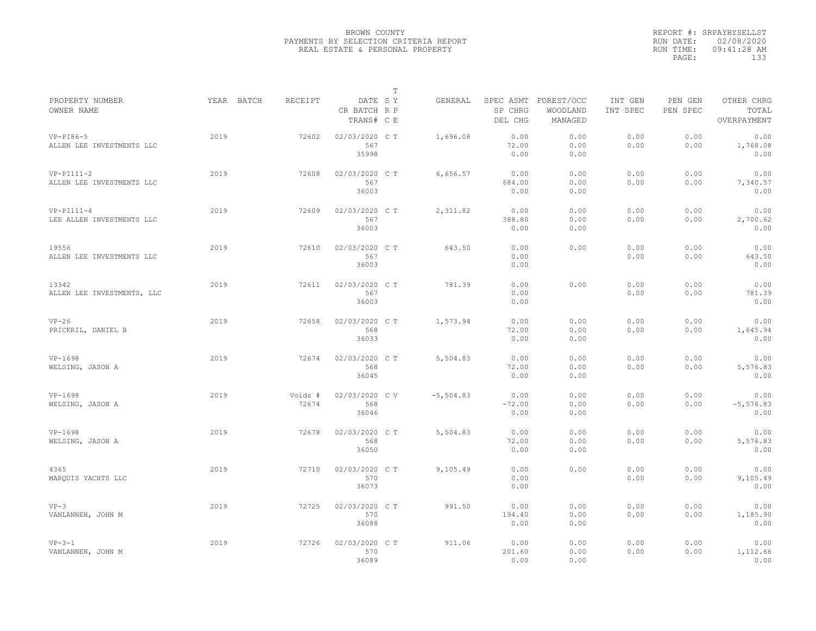|                                           |            |                  |                                       | T |             |                                 |                                   |                     |                     |                                    |
|-------------------------------------------|------------|------------------|---------------------------------------|---|-------------|---------------------------------|-----------------------------------|---------------------|---------------------|------------------------------------|
| PROPERTY NUMBER<br>OWNER NAME             | YEAR BATCH | RECEIPT          | DATE SY<br>CR BATCH R P<br>TRANS# C E |   | GENERAL     | SPEC ASMT<br>SP CHRG<br>DEL CHG | FOREST/OCC<br>WOODLAND<br>MANAGED | INT GEN<br>INT SPEC | PEN GEN<br>PEN SPEC | OTHER CHRG<br>TOTAL<br>OVERPAYMENT |
| $VP-PI86-5$<br>ALLEN LEE INVESTMENTS LLC  | 2019       | 72602            | 02/03/2020 CT<br>567<br>35998         |   | 1,696.08    | 0.00<br>72.00<br>0.00           | 0.00<br>0.00<br>0.00              | 0.00<br>0.00        | 0.00<br>0.00        | 0.00<br>1,768.08<br>0.00           |
| $VP-PI111-2$<br>ALLEN LEE INVESTMENTS LLC | 2019       | 72608            | 02/03/2020 C T<br>567<br>36003        |   | 6,656.57    | 0.00<br>684.00<br>0.00          | 0.00<br>0.00<br>0.00              | 0.00<br>0.00        | 0.00<br>0.00        | 0.00<br>7,340.57<br>0.00           |
| $VP-PI111-4$<br>LEE ALLEN INVESTMENTS LLC | 2019       | 72609            | 02/03/2020 C T<br>567<br>36003        |   | 2,311.82    | 0.00<br>388.80<br>0.00          | 0.00<br>0.00<br>0.00              | 0.00<br>0.00        | 0.00<br>0.00        | 0.00<br>2,700.62<br>0.00           |
| 19556<br>ALLEN LEE INVESTMENTS LLC        | 2019       | 72610            | 02/03/2020 C T<br>567<br>36003        |   | 643.50      | 0.00<br>0.00<br>0.00            | 0.00                              | 0.00<br>0.00        | 0.00<br>0.00        | 0.00<br>643.50<br>0.00             |
| 13342<br>ALLEN LEE INVESTMENTS, LLC       | 2019       | 72611            | 02/03/2020 CT<br>567<br>36003         |   | 781.39      | 0.00<br>0.00<br>0.00            | 0.00                              | 0.00<br>0.00        | 0.00<br>0.00        | 0.00<br>781.39<br>0.00             |
| $VP-26$<br>PRICKRIL, DANIEL B             | 2019       | 72658            | 02/03/2020 C T<br>568<br>36033        |   | 1,573.94    | 0.00<br>72.00<br>0.00           | 0.00<br>0.00<br>0.00              | 0.00<br>0.00        | 0.00<br>0.00        | 0.00<br>1,645.94<br>0.00           |
| $VP-1698$<br>WELSING, JASON A             | 2019       | 72674            | 02/03/2020 CT<br>568<br>36045         |   | 5,504.83    | 0.00<br>72.00<br>0.00           | 0.00<br>0.00<br>0.00              | 0.00<br>0.00        | 0.00<br>0.00        | 0.00<br>5,576.83<br>0.00           |
| $VP-1698$<br>WELSING, JASON A             | 2019       | Voids #<br>72674 | 02/03/2020 CV<br>568<br>36046         |   | $-5,504.83$ | 0.00<br>$-72,00$<br>0.00        | 0.00<br>0.00<br>0.00              | 0.00<br>0.00        | 0.00<br>0.00        | 0.00<br>$-5, 576.83$<br>0.00       |
| $VP-1698$<br>WELSING, JASON A             | 2019       | 72678            | 02/03/2020 C T<br>568<br>36050        |   | 5,504.83    | 0.00<br>72.00<br>0.00           | 0.00<br>0.00<br>0.00              | 0.00<br>0.00        | 0.00<br>0.00        | 0.00<br>5,576.83<br>0.00           |
| 4365<br>MARQUIS YACHTS LLC                | 2019       | 72710            | 02/03/2020 C T<br>570<br>36073        |   | 9,105.49    | 0.00<br>0.00<br>0.00            | 0.00                              | 0.00<br>0.00        | 0.00<br>0.00        | 0.00<br>9,105.49<br>0.00           |
| $VP-3$<br>VANLANNEN, JOHN M               | 2019       | 72725            | 02/03/2020 C T<br>570<br>36088        |   | 991.50      | 0.00<br>194.40<br>0.00          | 0.00<br>0.00<br>0.00              | 0.00<br>0.00        | 0.00<br>0.00        | 0.00<br>1,185.90<br>0.00           |
| $VP-3-1$<br>VANLANNEN, JOHN M             | 2019       | 72726            | 02/03/2020 CT<br>570<br>36089         |   | 911.06      | 0.00<br>201.60<br>0.00          | 0.00<br>0.00<br>0.00              | 0.00<br>0.00        | 0.00<br>0.00        | 0.00<br>1,112.66<br>0.00           |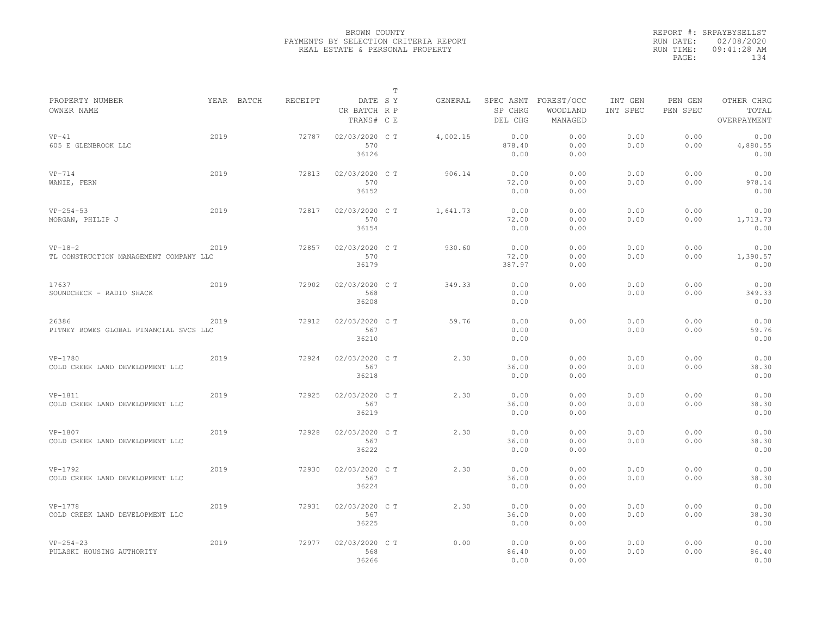|                                                     |      |            |         |                                       | T |          |                                 |                                   |                     |                     |                                    |
|-----------------------------------------------------|------|------------|---------|---------------------------------------|---|----------|---------------------------------|-----------------------------------|---------------------|---------------------|------------------------------------|
| PROPERTY NUMBER<br>OWNER NAME                       |      | YEAR BATCH | RECEIPT | DATE SY<br>CR BATCH R P<br>TRANS# C E |   | GENERAL  | SPEC ASMT<br>SP CHRG<br>DEL CHG | FOREST/OCC<br>WOODLAND<br>MANAGED | INT GEN<br>INT SPEC | PEN GEN<br>PEN SPEC | OTHER CHRG<br>TOTAL<br>OVERPAYMENT |
| $VP-41$<br>605 E GLENBROOK LLC                      | 2019 |            | 72787   | 02/03/2020 C T<br>570<br>36126        |   | 4,002.15 | 0.00<br>878.40<br>0.00          | 0.00<br>0.00<br>0.00              | 0.00<br>0.00        | 0.00<br>0.00        | 0.00<br>4,880.55<br>0.00           |
| $VP-714$<br>WANIE, FERN                             | 2019 |            | 72813   | 02/03/2020 C T<br>570<br>36152        |   | 906.14   | 0.00<br>72.00<br>0.00           | 0.00<br>0.00<br>0.00              | 0.00<br>0.00        | 0.00<br>0.00        | 0.00<br>978.14<br>0.00             |
| $VP-254-53$<br>MORGAN, PHILIP J                     | 2019 |            | 72817   | 02/03/2020 C T<br>570<br>36154        |   | 1,641.73 | 0.00<br>72.00<br>0.00           | 0.00<br>0.00<br>0.00              | 0.00<br>0.00        | 0.00<br>0.00        | 0.00<br>1,713.73<br>0.00           |
| $VP-18-2$<br>TL CONSTRUCTION MANAGEMENT COMPANY LLC | 2019 |            | 72857   | 02/03/2020 CT<br>570<br>36179         |   | 930.60   | 0.00<br>72.00<br>387.97         | 0.00<br>0.00<br>0.00              | 0.00<br>0.00        | 0.00<br>0.00        | 0.00<br>1,390.57<br>0.00           |
| 17637<br>SOUNDCHECK - RADIO SHACK                   | 2019 |            | 72902   | 02/03/2020 CT<br>568<br>36208         |   | 349.33   | 0.00<br>0.00<br>0.00            | 0.00                              | 0.00<br>0.00        | 0.00<br>0.00        | 0.00<br>349.33<br>0.00             |
| 26386<br>PITNEY BOWES GLOBAL FINANCIAL SVCS LLC     | 2019 |            | 72912   | 02/03/2020 C T<br>567<br>36210        |   | 59.76    | 0.00<br>0.00<br>0.00            | 0.00                              | 0.00<br>0.00        | 0.00<br>0.00        | 0.00<br>59.76<br>0.00              |
| VP-1780<br>COLD CREEK LAND DEVELOPMENT LLC          | 2019 |            | 72924   | 02/03/2020 C T<br>567<br>36218        |   | 2.30     | 0.00<br>36.00<br>0.00           | 0.00<br>0.00<br>0.00              | 0.00<br>0.00        | 0.00<br>0.00        | 0.00<br>38.30<br>0.00              |
| VP-1811<br>COLD CREEK LAND DEVELOPMENT LLC          | 2019 |            | 72925   | 02/03/2020 C T<br>567<br>36219        |   | 2.30     | 0.00<br>36.00<br>0.00           | 0.00<br>0.00<br>0.00              | 0.00<br>0.00        | 0.00<br>0.00        | 0.00<br>38.30<br>0.00              |
| VP-1807<br>COLD CREEK LAND DEVELOPMENT LLC          | 2019 |            | 72928   | 02/03/2020 C T<br>567<br>36222        |   | 2.30     | 0.00<br>36.00<br>0.00           | 0.00<br>0.00<br>0.00              | 0.00<br>0.00        | 0.00<br>0.00        | 0.00<br>38.30<br>0.00              |
| VP-1792<br>COLD CREEK LAND DEVELOPMENT LLC          | 2019 |            | 72930   | 02/03/2020 CT<br>567<br>36224         |   | 2.30     | 0.00<br>36.00<br>0.00           | 0.00<br>0.00<br>0.00              | 0.00<br>0.00        | 0.00<br>0.00        | 0.00<br>38.30<br>0.00              |
| VP-1778<br>COLD CREEK LAND DEVELOPMENT LLC          | 2019 |            | 72931   | 02/03/2020 C T<br>567<br>36225        |   | 2.30     | 0.00<br>36.00<br>0.00           | 0.00<br>0.00<br>0.00              | 0.00<br>0.00        | 0.00<br>0.00        | 0.00<br>38.30<br>0.00              |
| $VP-254-23$<br>PULASKI HOUSING AUTHORITY            | 2019 |            | 72977   | 02/03/2020 CT<br>568<br>36266         |   | 0.00     | 0.00<br>86.40<br>0.00           | 0.00<br>0.00<br>0.00              | 0.00<br>0.00        | 0.00<br>0.00        | 0.00<br>86.40<br>0.00              |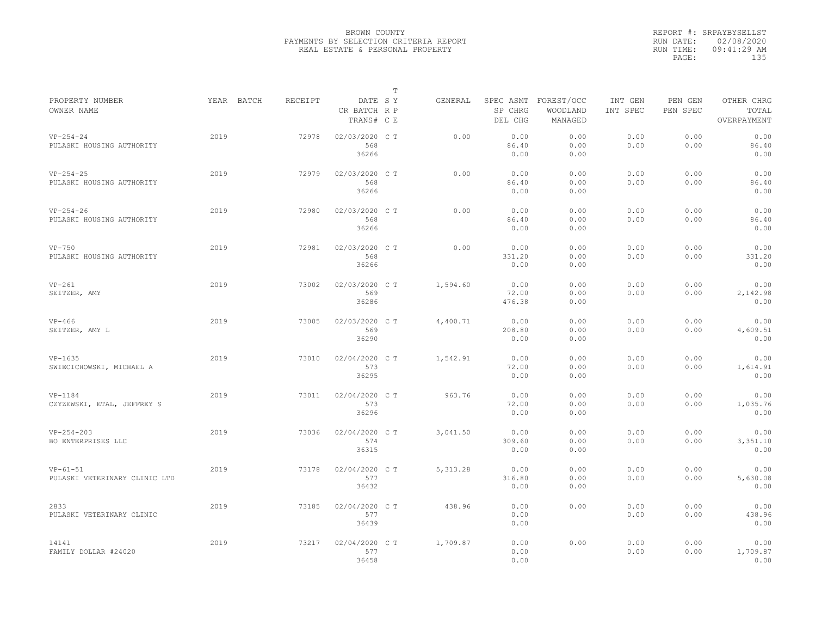|                                             |            |         |                                       | T |           |                         |                                             |                                                                                  |              |                          |  |  |
|---------------------------------------------|------------|---------|---------------------------------------|---|-----------|-------------------------|---------------------------------------------|----------------------------------------------------------------------------------|--------------|--------------------------|--|--|
| PROPERTY NUMBER<br>OWNER NAME               | YEAR BATCH | RECEIPT | DATE SY<br>CR BATCH R P<br>TRANS# C E |   | GENERAL   | SP CHRG<br>DEL CHG      | SPEC ASMT FOREST/OCC<br>WOODLAND<br>MANAGED | INT GEN<br>PEN GEN<br>OTHER CHRG<br>PEN SPEC<br>TOTAL<br>INT SPEC<br>OVERPAYMENT |              |                          |  |  |
| $VP-254-24$<br>PULASKI HOUSING AUTHORITY    | 2019       | 72978   | 02/03/2020 C T<br>568<br>36266        |   | 0.00      | 0.00<br>86.40<br>0.00   | 0.00<br>0.00<br>0.00                        | 0.00<br>0.00                                                                     | 0.00<br>0.00 | 0.00<br>86.40<br>0.00    |  |  |
| $VP-254-25$<br>PULASKI HOUSING AUTHORITY    | 2019       | 72979   | 02/03/2020 C T<br>568<br>36266        |   | 0.00      | 0.00<br>86.40<br>0.00   | 0.00<br>0.00<br>0.00                        | 0.00<br>0.00                                                                     | 0.00<br>0.00 | 0.00<br>86.40<br>0.00    |  |  |
| $VP-254-26$<br>PULASKI HOUSING AUTHORITY    | 2019       | 72980   | 02/03/2020 C T<br>568<br>36266        |   | 0.00      | 0.00<br>86.40<br>0.00   | 0.00<br>0.00<br>0.00                        | 0.00<br>0.00                                                                     | 0.00<br>0.00 | 0.00<br>86.40<br>0.00    |  |  |
| $VP-750$<br>PULASKI HOUSING AUTHORITY       | 2019       | 72981   | 02/03/2020 C T<br>568<br>36266        |   | 0.00      | 0.00<br>331.20<br>0.00  | 0.00<br>0.00<br>0.00                        | 0.00<br>0.00                                                                     | 0.00<br>0.00 | 0.00<br>331.20<br>0.00   |  |  |
| $VP-261$<br>SEITZER, AMY                    | 2019       | 73002   | 02/03/2020 C T<br>569<br>36286        |   | 1,594.60  | 0.00<br>72.00<br>476.38 | 0.00<br>0.00<br>0.00                        | 0.00<br>0.00                                                                     | 0.00<br>0.00 | 0.00<br>2,142.98<br>0.00 |  |  |
| $VP-466$<br>SEITZER, AMY L                  | 2019       | 73005   | 02/03/2020 C T<br>569<br>36290        |   | 4,400.71  | 0.00<br>208.80<br>0.00  | 0.00<br>0.00<br>0.00                        | 0.00<br>0.00                                                                     | 0.00<br>0.00 | 0.00<br>4,609.51<br>0.00 |  |  |
| $VP-1635$<br>SWIECICHOWSKI, MICHAEL A       | 2019       | 73010   | 02/04/2020 C T<br>573<br>36295        |   | 1,542.91  | 0.00<br>72.00<br>0.00   | 0.00<br>0.00<br>0.00                        | 0.00<br>0.00                                                                     | 0.00<br>0.00 | 0.00<br>1,614.91<br>0.00 |  |  |
| $VP-1184$<br>CZYZEWSKI, ETAL, JEFFREY S     | 2019       | 73011   | 02/04/2020 C T<br>573<br>36296        |   | 963.76    | 0.00<br>72.00<br>0.00   | 0.00<br>0.00<br>0.00                        | 0.00<br>0.00                                                                     | 0.00<br>0.00 | 0.00<br>1,035.76<br>0.00 |  |  |
| $VP-254-203$<br>BO ENTERPRISES LLC          | 2019       | 73036   | 02/04/2020 C T<br>574<br>36315        |   | 3,041.50  | 0.00<br>309.60<br>0.00  | 0.00<br>0.00<br>0.00                        | 0.00<br>0.00                                                                     | 0.00<br>0.00 | 0.00<br>3,351.10<br>0.00 |  |  |
| $VP-61-51$<br>PULASKI VETERINARY CLINIC LTD | 2019       | 73178   | 02/04/2020 C T<br>577<br>36432        |   | 5, 313.28 | 0.00<br>316.80<br>0.00  | 0.00<br>0.00<br>0.00                        | 0.00<br>0.00                                                                     | 0.00<br>0.00 | 0.00<br>5,630.08<br>0.00 |  |  |
| 2833<br>PULASKI VETERINARY CLINIC           | 2019       | 73185   | 02/04/2020 C T<br>577<br>36439        |   | 438.96    | 0.00<br>0.00<br>0.00    | 0.00                                        | 0.00<br>0.00                                                                     | 0.00<br>0.00 | 0.00<br>438.96<br>0.00   |  |  |
| 14141<br>FAMILY DOLLAR #24020               | 2019       | 73217   | 02/04/2020 C T<br>577<br>36458        |   | 1,709.87  | 0.00<br>0.00<br>0.00    | 0.00                                        | 0.00<br>0.00                                                                     | 0.00<br>0.00 | 0.00<br>1,709.87<br>0.00 |  |  |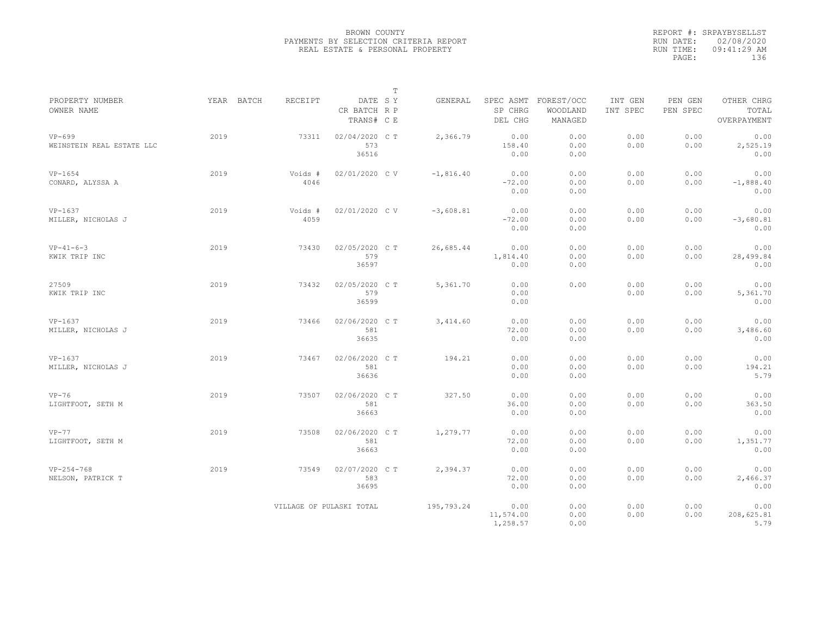|                                       |      |                       |                                       | $\mathbb T$ |                                             |                                   |                     |                     |                                    |
|---------------------------------------|------|-----------------------|---------------------------------------|-------------|---------------------------------------------|-----------------------------------|---------------------|---------------------|------------------------------------|
| PROPERTY NUMBER<br>OWNER NAME         |      | YEAR BATCH<br>RECEIPT | DATE SY<br>CR BATCH R P<br>TRANS# C E |             | GENERAL<br>SPEC ASMT<br>SP CHRG<br>DEL CHG  | FOREST/OCC<br>WOODLAND<br>MANAGED | INT GEN<br>INT SPEC | PEN GEN<br>PEN SPEC | OTHER CHRG<br>TOTAL<br>OVERPAYMENT |
| $VP-699$<br>WEINSTEIN REAL ESTATE LLC | 2019 | 73311                 | 02/04/2020 C T<br>573<br>36516        |             | 2,366.79<br>0.00<br>158.40<br>0.00          | 0.00<br>0.00<br>0.00              | 0.00<br>0.00        | 0.00<br>0.00        | 0.00<br>2,525.19<br>0.00           |
| $VP-1654$<br>CONARD, ALYSSA A         | 2019 | Voids #<br>4046       | 02/01/2020 CV                         |             | $-1,816.40$<br>0.00<br>$-72.00$<br>0.00     | 0.00<br>0.00<br>0.00              | 0.00<br>0.00        | 0.00<br>0.00        | 0.00<br>$-1,888.40$<br>0.00        |
| VP-1637<br>MILLER, NICHOLAS J         | 2019 | Voids #<br>4059       | 02/01/2020 CV                         |             | $-3,608.81$<br>0.00<br>$-72.00$<br>0.00     | 0.00<br>0.00<br>0.00              | 0.00<br>0.00        | 0.00<br>0.00        | 0.00<br>$-3,680.81$<br>0.00        |
| $VP-41-6-3$<br>KWIK TRIP INC          | 2019 | 73430                 | 02/05/2020 C T<br>579<br>36597        |             | 26,685.44<br>0.00<br>1,814.40<br>0.00       | 0.00<br>0.00<br>0.00              | 0.00<br>0.00        | 0.00<br>0.00        | 0.00<br>28,499.84<br>0.00          |
| 27509<br>KWIK TRIP INC                | 2019 | 73432                 | 02/05/2020 C T<br>579<br>36599        |             | 5,361.70<br>0.00<br>0.00<br>0.00            | 0.00                              | 0.00<br>0.00        | 0.00<br>0.00        | 0.00<br>5,361.70<br>0.00           |
| VP-1637<br>MILLER, NICHOLAS J         | 2019 | 73466                 | 02/06/2020 CT<br>581<br>36635         |             | 3,414.60<br>0.00<br>72.00<br>0.00           | 0.00<br>0.00<br>0.00              | 0.00<br>0.00        | 0.00<br>0.00        | 0.00<br>3,486.60<br>0.00           |
| $VP-1637$<br>MILLER, NICHOLAS J       | 2019 | 73467                 | 02/06/2020 CT<br>581<br>36636         |             | 194.21<br>0.00<br>0.00<br>0.00              | 0.00<br>0.00<br>0.00              | 0.00<br>0.00        | 0.00<br>0.00        | 0.00<br>194.21<br>5.79             |
| $VP-76$<br>LIGHTFOOT, SETH M          | 2019 | 73507                 | 02/06/2020 C T<br>581<br>36663        |             | 327.50<br>0.00<br>36.00<br>0.00             | 0.00<br>0.00<br>0.00              | 0.00<br>0.00        | 0.00<br>0.00        | 0.00<br>363.50<br>0.00             |
| $VP-77$<br>LIGHTFOOT, SETH M          | 2019 | 73508                 | 02/06/2020 C T<br>581<br>36663        |             | 1,279.77<br>0.00<br>72.00<br>0.00           | 0.00<br>0.00<br>0.00              | 0.00<br>0.00        | 0.00<br>0.00        | 0.00<br>1,351.77<br>0.00           |
| $VP-254-768$<br>NELSON, PATRICK T     | 2019 | 73549                 | 02/07/2020 C T<br>583<br>36695        |             | 2,394.37<br>0.00<br>72.00<br>0.00           | 0.00<br>0.00<br>0.00              | 0.00<br>0.00        | 0.00<br>0.00        | 0.00<br>2,466.37<br>0.00           |
|                                       |      |                       | VILLAGE OF PULASKI TOTAL              |             | 195,793.24<br>0.00<br>11,574.00<br>1,258.57 | 0.00<br>0.00<br>0.00              | 0.00<br>0.00        | 0.00<br>0.00        | 0.00<br>208,625.81<br>5.79         |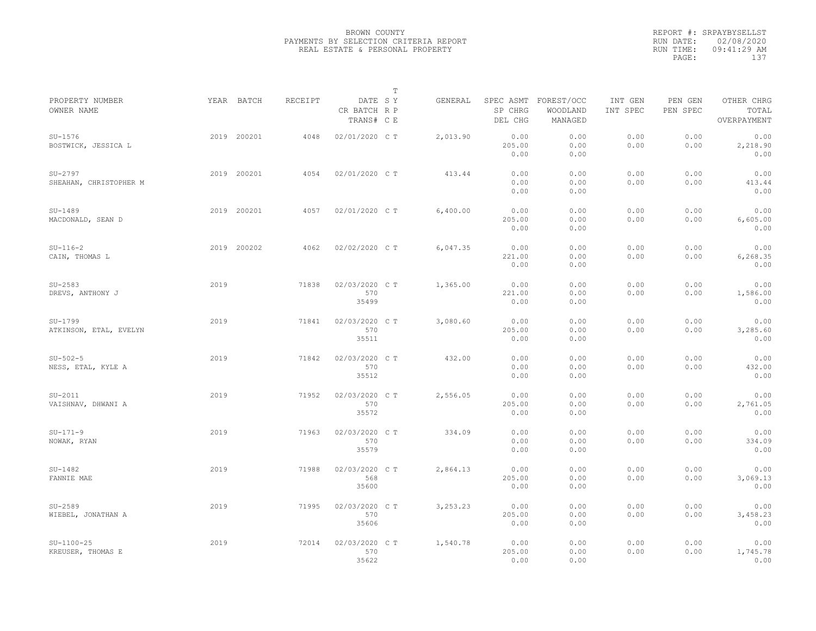|                                     |      |             |         |                                       | $\mathbb T$ |          |                                 |                                   |                     |                                    |                          |  |
|-------------------------------------|------|-------------|---------|---------------------------------------|-------------|----------|---------------------------------|-----------------------------------|---------------------|------------------------------------|--------------------------|--|
| PROPERTY NUMBER<br>OWNER NAME       |      | YEAR BATCH  | RECEIPT | DATE SY<br>CR BATCH R P<br>TRANS# C E |             | GENERAL  | SPEC ASMT<br>SP CHRG<br>DEL CHG | FOREST/OCC<br>WOODLAND<br>MANAGED | INT GEN<br>INT SPEC | OTHER CHRG<br>TOTAL<br>OVERPAYMENT |                          |  |
| $SU-1576$<br>BOSTWICK, JESSICA L    |      | 2019 200201 | 4048    | 02/01/2020 C T                        |             | 2,013.90 | 0.00<br>205.00<br>0.00          | 0.00<br>0.00<br>0.00              | 0.00<br>0.00        | 0.00<br>0.00                       | 0.00<br>2,218.90<br>0.00 |  |
| $SU-2797$<br>SHEAHAN, CHRISTOPHER M |      | 2019 200201 | 4054    | 02/01/2020 C T                        |             | 413.44   | 0.00<br>0.00<br>0.00            | 0.00<br>0.00<br>0.00              | 0.00<br>0.00        | 0.00<br>0.00                       | 0.00<br>413.44<br>0.00   |  |
| $SU-1489$<br>MACDONALD, SEAN D      |      | 2019 200201 | 4057    | 02/01/2020 C T                        |             | 6,400.00 | 0.00<br>205.00<br>0.00          | 0.00<br>0.00<br>0.00              | 0.00<br>0.00        | 0.00<br>0.00                       | 0.00<br>6,605.00<br>0.00 |  |
| $SU-116-2$<br>CAIN, THOMAS L        |      | 2019 200202 | 4062    | 02/02/2020 C T                        |             | 6,047.35 | 0.00<br>221.00<br>0.00          | 0.00<br>0.00<br>0.00              | 0.00<br>0.00        | 0.00<br>0.00                       | 0.00<br>6,268.35<br>0.00 |  |
| $SU-2583$<br>DREVS, ANTHONY J       | 2019 |             | 71838   | 02/03/2020 C T<br>570<br>35499        |             | 1,365.00 | 0.00<br>221.00<br>0.00          | 0.00<br>0.00<br>0.00              | 0.00<br>0.00        | 0.00<br>0.00                       | 0.00<br>1,586.00<br>0.00 |  |
| $SU-1799$<br>ATKINSON, ETAL, EVELYN | 2019 |             | 71841   | 02/03/2020 CT<br>570<br>35511         |             | 3,080.60 | 0.00<br>205.00<br>0.00          | 0.00<br>0.00<br>0.00              | 0.00<br>0.00        | 0.00<br>0.00                       | 0.00<br>3,285.60<br>0.00 |  |
| $SU-502-5$<br>NESS, ETAL, KYLE A    | 2019 |             | 71842   | 02/03/2020 C T<br>570<br>35512        |             | 432.00   | 0.00<br>0.00<br>0.00            | 0.00<br>0.00<br>0.00              | 0.00<br>0.00        | 0.00<br>0.00                       | 0.00<br>432.00<br>0.00   |  |
| $SU-2011$<br>VAISHNAV, DHWANI A     | 2019 |             | 71952   | 02/03/2020 C T<br>570<br>35572        |             | 2,556.05 | 0.00<br>205.00<br>0.00          | 0.00<br>0.00<br>0.00              | 0.00<br>0.00        | 0.00<br>0.00                       | 0.00<br>2,761.05<br>0.00 |  |
| $SU-171-9$<br>NOWAK, RYAN           | 2019 |             | 71963   | 02/03/2020 CT<br>570<br>35579         |             | 334.09   | 0.00<br>0.00<br>0.00            | 0.00<br>0.00<br>0.00              | 0.00<br>0.00        | 0.00<br>0.00                       | 0.00<br>334.09<br>0.00   |  |
| $SU-1482$<br>FANNIE MAE             | 2019 |             | 71988   | 02/03/2020 C T<br>568<br>35600        |             | 2,864.13 | 0.00<br>205.00<br>0.00          | 0.00<br>0.00<br>0.00              | 0.00<br>0.00        | 0.00<br>0.00                       | 0.00<br>3,069.13<br>0.00 |  |
| $SU-2589$<br>WIEBEL, JONATHAN A     | 2019 |             | 71995   | 02/03/2020 C T<br>570<br>35606        |             | 3,253.23 | 0.00<br>205.00<br>0.00          | 0.00<br>0.00<br>0.00              | 0.00<br>0.00        | 0.00<br>0.00                       | 0.00<br>3,458.23<br>0.00 |  |
| $SU-1100-25$<br>KREUSER, THOMAS E   | 2019 |             | 72014   | 02/03/2020 C T<br>570<br>35622        |             | 1,540.78 | 0.00<br>205.00<br>0.00          | 0.00<br>0.00<br>0.00              | 0.00<br>0.00        | 0.00<br>0.00                       | 0.00<br>1,745.78<br>0.00 |  |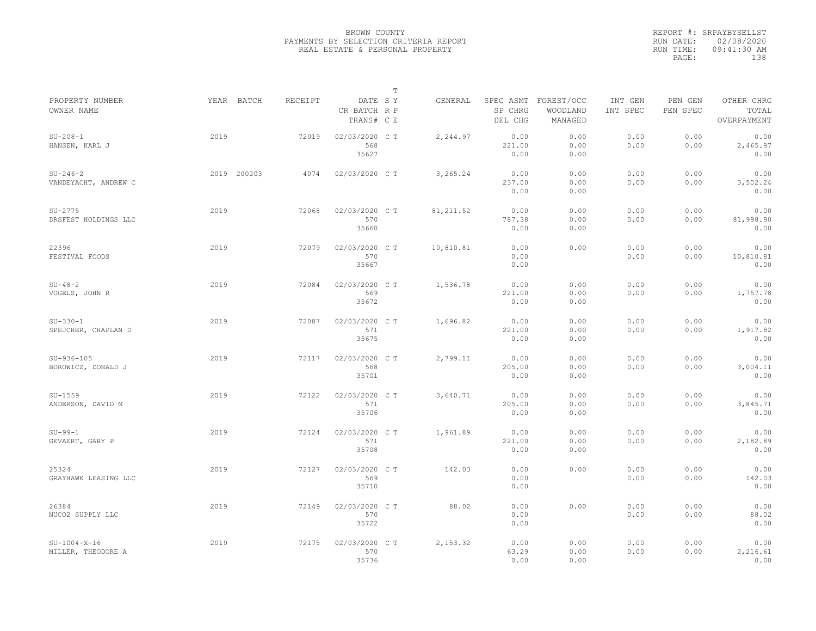|                                      |             |                |                                       | $\mathbb T$ |            |                        |                                             |                                                                                  |              |                           |  |  |
|--------------------------------------|-------------|----------------|---------------------------------------|-------------|------------|------------------------|---------------------------------------------|----------------------------------------------------------------------------------|--------------|---------------------------|--|--|
| PROPERTY NUMBER<br>OWNER NAME        | YEAR BATCH  | <b>RECEIPT</b> | DATE SY<br>CR BATCH R P<br>TRANS# C E |             | GENERAL    | SP CHRG<br>DEL CHG     | SPEC ASMT FOREST/OCC<br>WOODLAND<br>MANAGED | INT GEN<br>PEN GEN<br>OTHER CHRG<br>INT SPEC<br>PEN SPEC<br>TOTAL<br>OVERPAYMENT |              |                           |  |  |
| $SU-208-1$<br>HANSEN, KARL J         | 2019        | 72019          | 02/03/2020 C T<br>568<br>35627        |             | 2,244.97   | 0.00<br>221.00<br>0.00 | 0.00<br>0.00<br>0.00                        | 0.00<br>0.00                                                                     | 0.00<br>0.00 | 0.00<br>2,465.97<br>0.00  |  |  |
| $SU-246-2$<br>VANDEYACHT, ANDREW C   | 2019 200203 | 4074           | 02/03/2020 C T                        |             | 3,265.24   | 0.00<br>237.00<br>0.00 | 0.00<br>0.00<br>0.00                        | 0.00<br>0.00                                                                     | 0.00<br>0.00 | 0.00<br>3,502.24<br>0.00  |  |  |
| $SU-2775$<br>DRSFEST HOLDINGS LLC    | 2019        | 72068          | 02/03/2020 C T<br>570<br>35660        |             | 81, 211.52 | 0.00<br>787.38<br>0.00 | 0.00<br>0.00<br>0.00                        | 0.00<br>0.00                                                                     | 0.00<br>0.00 | 0.00<br>81,998.90<br>0.00 |  |  |
| 22396<br>FESTIVAL FOODS              | 2019        | 72079          | 02/03/2020 C T<br>570<br>35667        |             | 10,810.81  | 0.00<br>0.00<br>0.00   | 0.00                                        | 0.00<br>0.00                                                                     | 0.00<br>0.00 | 0.00<br>10,810.81<br>0.00 |  |  |
| $SU-48-2$<br>VOGELS, JOHN R          | 2019        | 72084          | 02/03/2020 C T<br>569<br>35672        |             | 1,536.78   | 0.00<br>221.00<br>0.00 | 0.00<br>0.00<br>0.00                        | 0.00<br>0.00                                                                     | 0.00<br>0.00 | 0.00<br>1,757.78<br>0.00  |  |  |
| $SU-330-1$<br>SPEJCHER, CHAPLAN D    | 2019        | 72087          | 02/03/2020 C T<br>571<br>35675        |             | 1,696.82   | 0.00<br>221.00<br>0.00 | 0.00<br>0.00<br>0.00                        | 0.00<br>0.00                                                                     | 0.00<br>0.00 | 0.00<br>1,917.82<br>0.00  |  |  |
| $SU-936-105$<br>BOROWICZ, DONALD J   | 2019        | 72117          | 02/03/2020 CT<br>568<br>35701         |             | 2,799.11   | 0.00<br>205.00<br>0.00 | 0.00<br>0.00<br>0.00                        | 0.00<br>0.00                                                                     | 0.00<br>0.00 | 0.00<br>3,004.11<br>0.00  |  |  |
| $SU-1559$<br>ANDERSON, DAVID M       | 2019        | 72122          | 02/03/2020 C T<br>571<br>35706        |             | 3,640.71   | 0.00<br>205.00<br>0.00 | 0.00<br>0.00<br>0.00                        | 0.00<br>0.00                                                                     | 0.00<br>0.00 | 0.00<br>3,845.71<br>0.00  |  |  |
| $SU-99-1$<br>GEVAERT, GARY P         | 2019        | 72124          | 02/03/2020 CT<br>571<br>35708         |             | 1,961.89   | 0.00<br>221.00<br>0.00 | 0.00<br>0.00<br>0.00                        | 0.00<br>0.00                                                                     | 0.00<br>0.00 | 0.00<br>2,182.89<br>0.00  |  |  |
| 25324<br>GRAYHAWK LEASING LLC        | 2019        | 72127          | 02/03/2020 C T<br>569<br>35710        |             | 142.03     | 0.00<br>0.00<br>0.00   | 0.00                                        | 0.00<br>0.00                                                                     | 0.00<br>0.00 | 0.00<br>142.03<br>0.00    |  |  |
| 26384<br>NUCO2 SUPPLY LLC            | 2019        | 72149          | 02/03/2020 CT<br>570<br>35722         |             | 88.02      | 0.00<br>0.00<br>0.00   | 0.00                                        | 0.00<br>0.00                                                                     | 0.00<br>0.00 | 0.00<br>88.02<br>0.00     |  |  |
| $SU-1004-X-16$<br>MILLER, THEODORE A | 2019        | 72175          | 02/03/2020 CT<br>570<br>35736         |             | 2,153.32   | 0.00<br>63.29<br>0.00  | 0.00<br>0.00<br>0.00                        | 0.00<br>0.00                                                                     | 0.00<br>0.00 | 0.00<br>2,216.61<br>0.00  |  |  |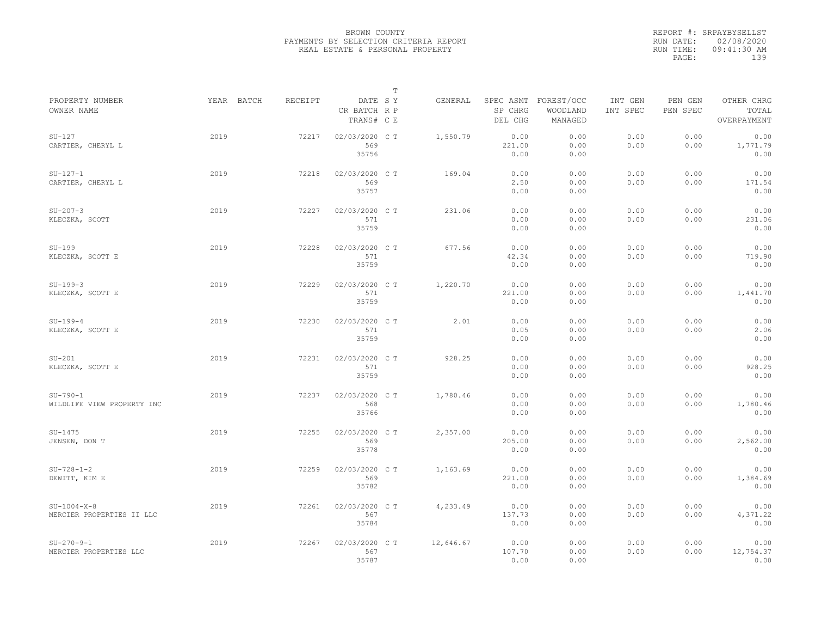|                                            |      |                              |                                         | $\mathbb T$ |           |                                 |                                   |                                                                                  |              |                           |  |  |
|--------------------------------------------|------|------------------------------|-----------------------------------------|-------------|-----------|---------------------------------|-----------------------------------|----------------------------------------------------------------------------------|--------------|---------------------------|--|--|
| PROPERTY NUMBER<br>OWNER NAME              |      | YEAR BATCH<br><b>RECEIPT</b> | CR BATCH R P<br>TRANS# C E              | DATE SY     | GENERAL   | SPEC ASMT<br>SP CHRG<br>DEL CHG | FOREST/OCC<br>WOODLAND<br>MANAGED | OTHER CHRG<br>INT GEN<br>PEN GEN<br>PEN SPEC<br>INT SPEC<br>TOTAL<br>OVERPAYMENT |              |                           |  |  |
| $SU-127$<br>CARTIER, CHERYL L              | 2019 |                              | 02/03/2020 CT<br>72217<br>569<br>35756  |             | 1,550.79  | 0.00<br>221.00<br>0.00          | 0.00<br>0.00<br>0.00              | 0.00<br>0.00                                                                     | 0.00<br>0.00 | 0.00<br>1,771.79<br>0.00  |  |  |
| $SU-127-1$<br>CARTIER, CHERYL L            | 2019 |                              | 72218<br>02/03/2020 C T<br>569<br>35757 |             | 169.04    | 0.00<br>2.50<br>0.00            | 0.00<br>0.00<br>0.00              | 0.00<br>0.00                                                                     | 0.00<br>0.00 | 0.00<br>171.54<br>0.00    |  |  |
| $SU-207-3$<br>KLECZKA, SCOTT               | 2019 |                              | 72227<br>02/03/2020 CT<br>571<br>35759  |             | 231.06    | 0.00<br>0.00<br>0.00            | 0.00<br>0.00<br>0.00              | 0.00<br>0.00                                                                     | 0.00<br>0.00 | 0.00<br>231.06<br>0.00    |  |  |
| $SU-199$<br>KLECZKA, SCOTT E               | 2019 |                              | 72228<br>02/03/2020 CT<br>571<br>35759  |             | 677.56    | 0.00<br>42.34<br>0.00           | 0.00<br>0.00<br>0.00              | 0.00<br>0.00                                                                     | 0.00<br>0.00 | 0.00<br>719.90<br>0.00    |  |  |
| $SU-199-3$<br>KLECZKA, SCOTT E             | 2019 |                              | 02/03/2020 C T<br>72229<br>571<br>35759 |             | 1,220.70  | 0.00<br>221.00<br>0.00          | 0.00<br>0.00<br>0.00              | 0.00<br>0.00                                                                     | 0.00<br>0.00 | 0.00<br>1,441.70<br>0.00  |  |  |
| $SU-199-4$<br>KLECZKA, SCOTT E             | 2019 |                              | 72230<br>02/03/2020 CT<br>571<br>35759  |             | 2.01      | 0.00<br>0.05<br>0.00            | 0.00<br>0.00<br>0.00              | 0.00<br>0.00                                                                     | 0.00<br>0.00 | 0.00<br>2.06<br>0.00      |  |  |
| $SU-201$<br>KLECZKA, SCOTT E               | 2019 |                              | 72231<br>02/03/2020 C T<br>571<br>35759 |             | 928.25    | 0.00<br>0.00<br>0.00            | 0.00<br>0.00<br>0.00              | 0.00<br>0.00                                                                     | 0.00<br>0.00 | 0.00<br>928.25<br>0.00    |  |  |
| $SU-790-1$<br>WILDLIFE VIEW PROPERTY INC   | 2019 |                              | 02/03/2020 CT<br>72237<br>568<br>35766  |             | 1,780.46  | 0.00<br>0.00<br>0.00            | 0.00<br>0.00<br>0.00              | 0.00<br>0.00                                                                     | 0.00<br>0.00 | 0.00<br>1,780.46<br>0.00  |  |  |
| $SU-1475$<br>JENSEN, DON T                 | 2019 |                              | 02/03/2020 C T<br>72255<br>569<br>35778 |             | 2,357.00  | 0.00<br>205.00<br>0.00          | 0.00<br>0.00<br>0.00              | 0.00<br>0.00                                                                     | 0.00<br>0.00 | 0.00<br>2,562.00<br>0.00  |  |  |
| $SU-728-1-2$<br>DEWITT, KIM E              | 2019 |                              | 72259<br>02/03/2020 CT<br>569<br>35782  |             | 1,163.69  | 0.00<br>221.00<br>0.00          | 0.00<br>0.00<br>0.00              | 0.00<br>0.00                                                                     | 0.00<br>0.00 | 0.00<br>1,384.69<br>0.00  |  |  |
| $SU-1004-X-8$<br>MERCIER PROPERTIES II LLC | 2019 |                              | 02/03/2020 C T<br>72261<br>567<br>35784 |             | 4,233.49  | 0.00<br>137.73<br>0.00          | 0.00<br>0.00<br>0.00              | 0.00<br>0.00                                                                     | 0.00<br>0.00 | 0.00<br>4,371.22<br>0.00  |  |  |
| $SU-270-9-1$<br>MERCIER PROPERTIES LLC     | 2019 |                              | 72267<br>02/03/2020 CT<br>567<br>35787  |             | 12,646.67 | 0.00<br>107.70<br>0.00          | 0.00<br>0.00<br>0.00              | 0.00<br>0.00                                                                     | 0.00<br>0.00 | 0.00<br>12,754.37<br>0.00 |  |  |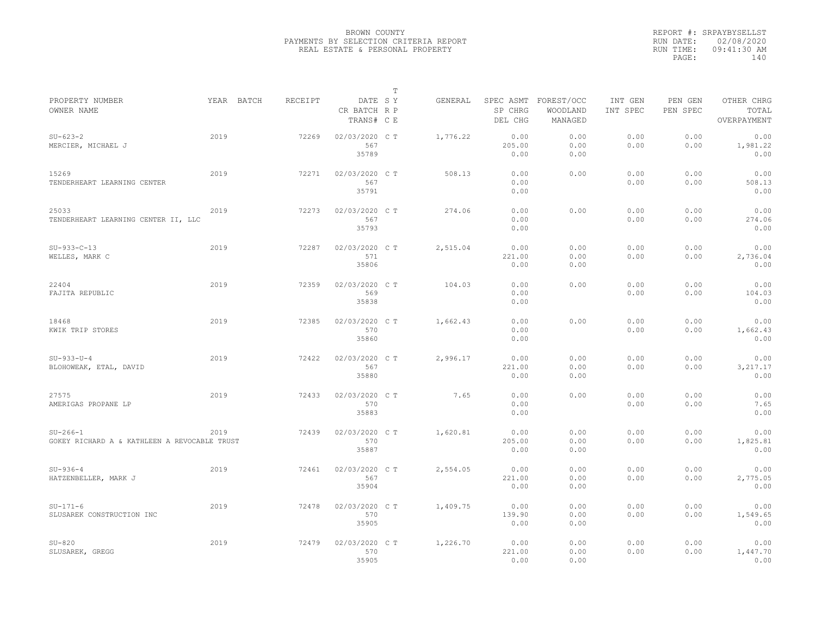|                                                            |            |         |                                       | $\mathbb T$ |          |                                 |                                   |                     |                     |                                    |
|------------------------------------------------------------|------------|---------|---------------------------------------|-------------|----------|---------------------------------|-----------------------------------|---------------------|---------------------|------------------------------------|
| PROPERTY NUMBER<br>OWNER NAME                              | YEAR BATCH | RECEIPT | DATE SY<br>CR BATCH R P<br>TRANS# C E |             | GENERAL  | SPEC ASMT<br>SP CHRG<br>DEL CHG | FOREST/OCC<br>WOODLAND<br>MANAGED | INT GEN<br>INT SPEC | PEN GEN<br>PEN SPEC | OTHER CHRG<br>TOTAL<br>OVERPAYMENT |
| $SU - 623 - 2$<br>MERCIER, MICHAEL J                       | 2019       | 72269   | 02/03/2020 CT<br>567<br>35789         |             | 1,776.22 | 0.00<br>205.00<br>0.00          | 0.00<br>0.00<br>0.00              | 0.00<br>0.00        | 0.00<br>0.00        | 0.00<br>1,981.22<br>0.00           |
| 15269<br>TENDERHEART LEARNING CENTER                       | 2019       | 72271   | 02/03/2020 C T<br>567<br>35791        |             | 508.13   | 0.00<br>0.00<br>0.00            | 0.00                              | 0.00<br>0.00        | 0.00<br>0.00        | 0.00<br>508.13<br>0.00             |
| 25033<br>TENDERHEART LEARNING CENTER II, LLC               | 2019       | 72273   | 02/03/2020 C T<br>567<br>35793        |             | 274.06   | 0.00<br>0.00<br>0.00            | 0.00                              | 0.00<br>0.00        | 0.00<br>0.00        | 0.00<br>274.06<br>0.00             |
| $SU-933-C-13$<br>WELLES, MARK C                            | 2019       | 72287   | 02/03/2020 C T<br>571<br>35806        |             | 2,515.04 | 0.00<br>221.00<br>0.00          | 0.00<br>0.00<br>0.00              | 0.00<br>0.00        | 0.00<br>0.00        | 0.00<br>2,736.04<br>0.00           |
| 22404<br>FAJITA REPUBLIC                                   | 2019       | 72359   | 02/03/2020 C T<br>569<br>35838        |             | 104.03   | 0.00<br>0.00<br>0.00            | 0.00                              | 0.00<br>0.00        | 0.00<br>0.00        | 0.00<br>104.03<br>0.00             |
| 18468<br>KWIK TRIP STORES                                  | 2019       | 72385   | 02/03/2020 C T<br>570<br>35860        |             | 1,662.43 | 0.00<br>0.00<br>0.00            | 0.00                              | 0.00<br>0.00        | 0.00<br>0.00        | 0.00<br>1,662.43<br>0.00           |
| $SU-933-U-4$<br>BLOHOWEAK, ETAL, DAVID                     | 2019       | 72422   | 02/03/2020 C T<br>567<br>35880        |             | 2,996.17 | 0.00<br>221.00<br>0.00          | 0.00<br>0.00<br>0.00              | 0.00<br>0.00        | 0.00<br>0.00        | 0.00<br>3,217.17<br>0.00           |
| 27575<br>AMERIGAS PROPANE LP                               | 2019       | 72433   | 02/03/2020 C T<br>570<br>35883        |             | 7.65     | 0.00<br>0.00<br>0.00            | 0.00                              | 0.00<br>0.00        | 0.00<br>0.00        | 0.00<br>7.65<br>0.00               |
| $SU-266-1$<br>GOKEY RICHARD A & KATHLEEN A REVOCABLE TRUST | 2019       | 72439   | 02/03/2020 C T<br>570<br>35887        |             | 1,620.81 | 0.00<br>205.00<br>0.00          | 0.00<br>0.00<br>0.00              | 0.00<br>0.00        | 0.00<br>0.00        | 0.00<br>1,825.81<br>0.00           |
| $SU-936-4$<br>HATZENBELLER, MARK J                         | 2019       | 72461   | 02/03/2020 CT<br>567<br>35904         |             | 2,554.05 | 0.00<br>221.00<br>0.00          | 0.00<br>0.00<br>0.00              | 0.00<br>0.00        | 0.00<br>0.00        | 0.00<br>2,775.05<br>0.00           |
| $SU-171-6$<br>SLUSAREK CONSTRUCTION INC                    | 2019       | 72478   | 02/03/2020 C T<br>570<br>35905        |             | 1,409.75 | 0.00<br>139.90<br>0.00          | 0.00<br>0.00<br>0.00              | 0.00<br>0.00        | 0.00<br>0.00        | 0.00<br>1,549.65<br>0.00           |
| $SU-820$<br>SLUSAREK, GREGG                                | 2019       | 72479   | 02/03/2020 C T<br>570<br>35905        |             | 1,226.70 | 0.00<br>221.00<br>0.00          | 0.00<br>0.00<br>0.00              | 0.00<br>0.00        | 0.00<br>0.00        | 0.00<br>1,447.70<br>0.00           |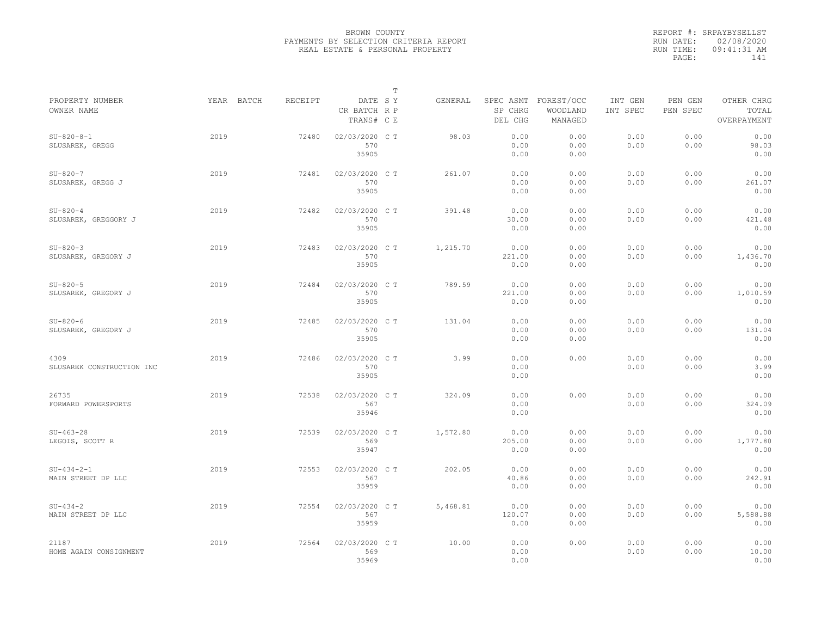|                                    |            |         |                                       | $\mathbb T$ |          |                                 |                                   |                                                                                  |              |                          |  |  |
|------------------------------------|------------|---------|---------------------------------------|-------------|----------|---------------------------------|-----------------------------------|----------------------------------------------------------------------------------|--------------|--------------------------|--|--|
| PROPERTY NUMBER<br>OWNER NAME      | YEAR BATCH | RECEIPT | DATE SY<br>CR BATCH R P<br>TRANS# C E |             | GENERAL  | SPEC ASMT<br>SP CHRG<br>DEL CHG | FOREST/OCC<br>WOODLAND<br>MANAGED | INT GEN<br>PEN GEN<br>OTHER CHRG<br>PEN SPEC<br>TOTAL<br>INT SPEC<br>OVERPAYMENT |              |                          |  |  |
| $SU-820-8-1$<br>SLUSAREK, GREGG    | 2019       | 72480   | 02/03/2020 C T<br>570<br>35905        |             | 98.03    | 0.00<br>0.00<br>0.00            | 0.00<br>0.00<br>0.00              | 0.00<br>0.00                                                                     | 0.00<br>0.00 | 0.00<br>98.03<br>0.00    |  |  |
| $SU-820-7$<br>SLUSAREK, GREGG J    | 2019       | 72481   | 02/03/2020 C T<br>570<br>35905        |             | 261.07   | 0.00<br>0.00<br>0.00            | 0.00<br>0.00<br>0.00              | 0.00<br>0.00                                                                     | 0.00<br>0.00 | 0.00<br>261.07<br>0.00   |  |  |
| $SU-820-4$<br>SLUSAREK, GREGGORY J | 2019       | 72482   | 02/03/2020 C T<br>570<br>35905        |             | 391.48   | 0.00<br>30.00<br>0.00           | 0.00<br>0.00<br>0.00              | 0.00<br>0.00                                                                     | 0.00<br>0.00 | 0.00<br>421.48<br>0.00   |  |  |
| $SU-820-3$<br>SLUSAREK, GREGORY J  | 2019       | 72483   | 02/03/2020 CT<br>570<br>35905         |             | 1,215.70 | 0.00<br>221.00<br>0.00          | 0.00<br>0.00<br>0.00              | 0.00<br>0.00                                                                     | 0.00<br>0.00 | 0.00<br>1,436.70<br>0.00 |  |  |
| $SU-820-5$<br>SLUSAREK, GREGORY J  | 2019       | 72484   | 02/03/2020 CT<br>570<br>35905         |             | 789.59   | 0.00<br>221.00<br>0.00          | 0.00<br>0.00<br>0.00              | 0.00<br>0.00                                                                     | 0.00<br>0.00 | 0.00<br>1,010.59<br>0.00 |  |  |
| $SU-820-6$<br>SLUSAREK, GREGORY J  | 2019       | 72485   | 02/03/2020 CT<br>570<br>35905         |             | 131.04   | 0.00<br>0.00<br>0.00            | 0.00<br>0.00<br>0.00              | 0.00<br>0.00                                                                     | 0.00<br>0.00 | 0.00<br>131.04<br>0.00   |  |  |
| 4309<br>SLUSAREK CONSTRUCTION INC  | 2019       | 72486   | 02/03/2020 C T<br>570<br>35905        |             | 3.99     | 0.00<br>0.00<br>0.00            | 0.00                              | 0.00<br>0.00                                                                     | 0.00<br>0.00 | 0.00<br>3.99<br>0.00     |  |  |
| 26735<br>FORWARD POWERSPORTS       | 2019       | 72538   | 02/03/2020 C T<br>567<br>35946        |             | 324.09   | 0.00<br>0.00<br>0.00            | 0.00                              | 0.00<br>0.00                                                                     | 0.00<br>0.00 | 0.00<br>324.09<br>0.00   |  |  |
| $SU-463-28$<br>LEGOIS, SCOTT R     | 2019       | 72539   | 02/03/2020 C T<br>569<br>35947        |             | 1,572.80 | 0.00<br>205.00<br>0.00          | 0.00<br>0.00<br>0.00              | 0.00<br>0.00                                                                     | 0.00<br>0.00 | 0.00<br>1,777.80<br>0.00 |  |  |
| $SU-434-2-1$<br>MAIN STREET DP LLC | 2019       | 72553   | 02/03/2020 CT<br>567<br>35959         |             | 202.05   | 0.00<br>40.86<br>0.00           | 0.00<br>0.00<br>0.00              | 0.00<br>0.00                                                                     | 0.00<br>0.00 | 0.00<br>242.91<br>0.00   |  |  |
| $SU-434-2$<br>MAIN STREET DP LLC   | 2019       | 72554   | 02/03/2020 C T<br>567<br>35959        |             | 5,468.81 | 0.00<br>120.07<br>0.00          | 0.00<br>0.00<br>0.00              | 0.00<br>0.00                                                                     | 0.00<br>0.00 | 0.00<br>5,588.88<br>0.00 |  |  |
| 21187<br>HOME AGAIN CONSIGNMENT    | 2019       | 72564   | 02/03/2020 CT<br>569<br>35969         |             | 10.00    | 0.00<br>0.00<br>0.00            | 0.00                              | 0.00<br>0.00                                                                     | 0.00<br>0.00 | 0.00<br>10.00<br>0.00    |  |  |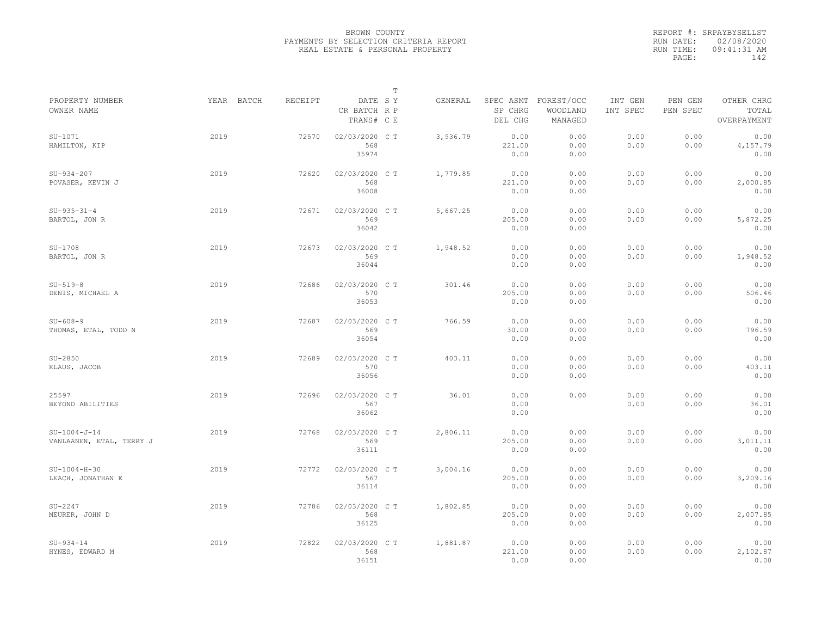|                                            |      |                              |                                       | $\mathbb T$ |          |                                 |                                   |                                                                                  |              |                          |  |  |
|--------------------------------------------|------|------------------------------|---------------------------------------|-------------|----------|---------------------------------|-----------------------------------|----------------------------------------------------------------------------------|--------------|--------------------------|--|--|
| PROPERTY NUMBER<br>OWNER NAME              |      | YEAR BATCH<br><b>RECEIPT</b> | DATE SY<br>CR BATCH R P<br>TRANS# C E |             | GENERAL  | SPEC ASMT<br>SP CHRG<br>DEL CHG | FOREST/OCC<br>WOODLAND<br>MANAGED | OTHER CHRG<br>INT GEN<br>PEN GEN<br>PEN SPEC<br>INT SPEC<br>TOTAL<br>OVERPAYMENT |              |                          |  |  |
| $SU-1071$<br>HAMILTON, KIP                 | 2019 | 72570                        | 02/03/2020 CT<br>568<br>35974         |             | 3,936.79 | 0.00<br>221.00<br>0.00          | 0.00<br>0.00<br>0.00              | 0.00<br>0.00                                                                     | 0.00<br>0.00 | 0.00<br>4,157.79<br>0.00 |  |  |
| $SU-934-207$<br>POVASER, KEVIN J           | 2019 | 72620                        | 02/03/2020 C T<br>568<br>36008        |             | 1,779.85 | 0.00<br>221.00<br>0.00          | 0.00<br>0.00<br>0.00              | 0.00<br>0.00                                                                     | 0.00<br>0.00 | 0.00<br>2,000.85<br>0.00 |  |  |
| $SU-935-31-4$<br>BARTOL, JON R             | 2019 | 72671                        | 02/03/2020 CT<br>569<br>36042         |             | 5,667.25 | 0.00<br>205.00<br>0.00          | 0.00<br>0.00<br>0.00              | 0.00<br>0.00                                                                     | 0.00<br>0.00 | 0.00<br>5,872.25<br>0.00 |  |  |
| $SU-1708$<br>BARTOL, JON R                 | 2019 | 72673                        | 02/03/2020 CT<br>569<br>36044         |             | 1,948.52 | 0.00<br>0.00<br>0.00            | 0.00<br>0.00<br>0.00              | 0.00<br>0.00                                                                     | 0.00<br>0.00 | 0.00<br>1,948.52<br>0.00 |  |  |
| $SU-519-8$<br>DENIS, MICHAEL A             | 2019 | 72686                        | 02/03/2020 C T<br>570<br>36053        |             | 301.46   | 0.00<br>205.00<br>0.00          | 0.00<br>0.00<br>0.00              | 0.00<br>0.00                                                                     | 0.00<br>0.00 | 0.00<br>506.46<br>0.00   |  |  |
| $SU - 608 - 9$<br>THOMAS, ETAL, TODD N     | 2019 | 72687                        | 02/03/2020 CT<br>569<br>36054         |             | 766.59   | 0.00<br>30.00<br>0.00           | 0.00<br>0.00<br>0.00              | 0.00<br>0.00                                                                     | 0.00<br>0.00 | 0.00<br>796.59<br>0.00   |  |  |
| $SU-2850$<br>KLAUS, JACOB                  | 2019 | 72689                        | 02/03/2020 C T<br>570<br>36056        |             | 403.11   | 0.00<br>0.00<br>0.00            | 0.00<br>0.00<br>0.00              | 0.00<br>0.00                                                                     | 0.00<br>0.00 | 0.00<br>403.11<br>0.00   |  |  |
| 25597<br>BEYOND ABILITIES                  | 2019 | 72696                        | 02/03/2020 CT<br>567<br>36062         |             | 36.01    | 0.00<br>0.00<br>0.00            | 0.00                              | 0.00<br>0.00                                                                     | 0.00<br>0.00 | 0.00<br>36.01<br>0.00    |  |  |
| $SU-1004-J-14$<br>VANLAANEN, ETAL, TERRY J | 2019 | 72768                        | 02/03/2020 CT<br>569<br>36111         |             | 2,806.11 | 0.00<br>205.00<br>0.00          | 0.00<br>0.00<br>0.00              | 0.00<br>0.00                                                                     | 0.00<br>0.00 | 0.00<br>3,011.11<br>0.00 |  |  |
| $SU-1004-H-30$<br>LEACH, JONATHAN E        | 2019 | 72772                        | 02/03/2020 CT<br>567<br>36114         |             | 3,004.16 | 0.00<br>205.00<br>0.00          | 0.00<br>0.00<br>0.00              | 0.00<br>0.00                                                                     | 0.00<br>0.00 | 0.00<br>3,209.16<br>0.00 |  |  |
| $SU-2247$<br>MEURER, JOHN D                | 2019 | 72786                        | 02/03/2020 C T<br>568<br>36125        |             | 1,802.85 | 0.00<br>205.00<br>0.00          | 0.00<br>0.00<br>0.00              | 0.00<br>0.00                                                                     | 0.00<br>0.00 | 0.00<br>2,007.85<br>0.00 |  |  |
| $SU-934-14$<br>HYNES, EDWARD M             | 2019 | 72822                        | 02/03/2020 CT<br>568<br>36151         |             | 1,881.87 | 0.00<br>221.00<br>0.00          | 0.00<br>0.00<br>0.00              | 0.00<br>0.00                                                                     | 0.00<br>0.00 | 0.00<br>2,102.87<br>0.00 |  |  |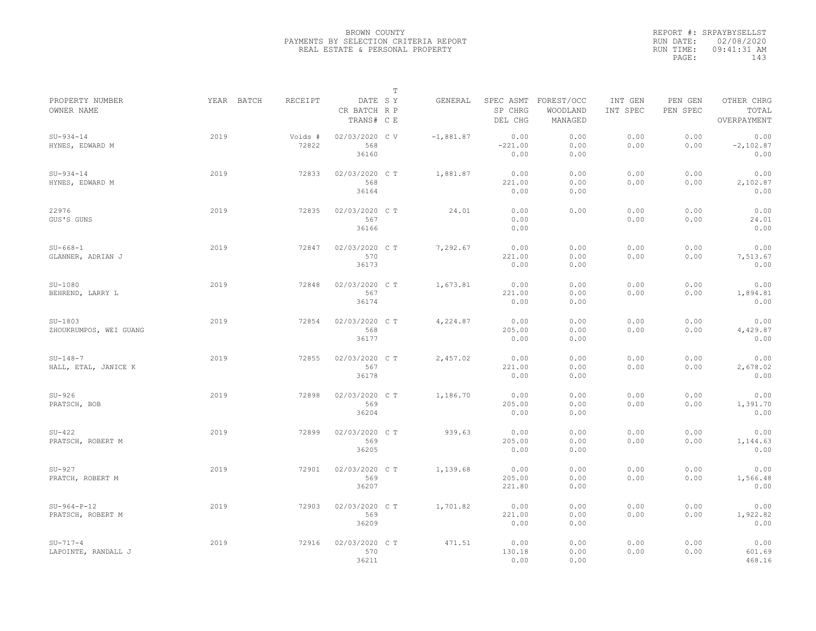|           | REPORT #: SRPAYBYSELLST |
|-----------|-------------------------|
|           | RUN DATE: 02/08/2020    |
| RUN TIME: | $09:41:31$ AM           |
| PAGE:     | 143                     |

|                                     |            |                  |                                       | $\mathbb T$ |                                  |                                   |                     |                     |                                    |
|-------------------------------------|------------|------------------|---------------------------------------|-------------|----------------------------------|-----------------------------------|---------------------|---------------------|------------------------------------|
| PROPERTY NUMBER<br>OWNER NAME       | YEAR BATCH | RECEIPT          | DATE SY<br>CR BATCH R P<br>TRANS# C E | GENERAL     | SPEC ASMT<br>SP CHRG<br>DEL CHG  | FOREST/OCC<br>WOODLAND<br>MANAGED | INT GEN<br>INT SPEC | PEN GEN<br>PEN SPEC | OTHER CHRG<br>TOTAL<br>OVERPAYMENT |
| $SU-934-14$<br>HYNES, EDWARD M      | 2019       | Voids #<br>72822 | 02/03/2020 CV<br>568<br>36160         | $-1,881.87$ | 0.00<br>$-221.00$<br>0.00        | 0.00<br>0.00<br>0.00              | 0.00<br>0.00        | 0.00<br>0.00        | 0.00<br>$-2,102.87$<br>0.00        |
| $SU-934-14$<br>HYNES, EDWARD M      | 2019       | 72833            | 02/03/2020 C T<br>568<br>36164        | 1,881.87    | 0.00<br>221.00<br>0.00           | 0.00<br>0.00<br>0.00              | 0.00<br>0.00        | 0.00<br>0.00        | 0.00<br>2,102.87<br>0.00           |
| 22976<br>GUS'S GUNS                 | 2019       | 72835            | 02/03/2020 C T<br>567<br>36166        |             | 24.01<br>0.00<br>0.00<br>0.00    | 0.00                              | 0.00<br>0.00        | 0.00<br>0.00        | 0.00<br>24.01<br>0.00              |
| $SU-668-1$<br>GLANNER, ADRIAN J     | 2019       | 72847            | 02/03/2020 C T<br>570<br>36173        | 7,292.67    | 0.00<br>221.00<br>0.00           | 0.00<br>0.00<br>0.00              | 0.00<br>0.00        | 0.00<br>0.00        | 0.00<br>7,513.67<br>0.00           |
| $SU-1080$<br>BEHREND, LARRY L       | 2019       | 72848            | 02/03/2020 C T<br>567<br>36174        | 1,673.81    | 0.00<br>221.00<br>0.00           | 0.00<br>0.00<br>0.00              | 0.00<br>0.00        | 0.00<br>0.00        | 0.00<br>1,894.81<br>0.00           |
| $SU-1803$<br>ZHOUKRUMPOS, WEI GUANG | 2019       | 72854            | 02/03/2020 C T<br>568<br>36177        | 4,224.87    | 0.00<br>205.00<br>0.00           | 0.00<br>0.00<br>0.00              | 0.00<br>0.00        | 0.00<br>0.00        | 0.00<br>4,429.87<br>0.00           |
| $SU-148-7$<br>HALL, ETAL, JANICE K  | 2019       | 72855            | 02/03/2020 C T<br>567<br>36178        | 2,457.02    | 0.00<br>221.00<br>0.00           | 0.00<br>0.00<br>0.00              | 0.00<br>0.00        | 0.00<br>0.00        | 0.00<br>2,678.02<br>0.00           |
| $SU-926$<br>PRATSCH, BOB            | 2019       | 72898            | 02/03/2020 C T<br>569<br>36204        | 1,186.70    | 0.00<br>205.00<br>0.00           | 0.00<br>0.00<br>0.00              | 0.00<br>0.00        | 0.00<br>0.00        | 0.00<br>1,391.70<br>0.00           |
| $SU-422$<br>PRATSCH, ROBERT M       | 2019       | 72899            | 02/03/2020 C T<br>569<br>36205        |             | 939.63<br>0.00<br>205.00<br>0.00 | 0.00<br>0.00<br>0.00              | 0.00<br>0.00        | 0.00<br>0.00        | 0.00<br>1,144.63<br>0.00           |
| $SU-927$<br>PRATCH, ROBERT M        | 2019       | 72901            | 02/03/2020 CT<br>569<br>36207         | 1,139.68    | 0.00<br>205.00<br>221.80         | 0.00<br>0.00<br>0.00              | 0.00<br>0.00        | 0.00<br>0.00        | 0.00<br>1,566.48<br>0.00           |
| $SU-964-P-12$<br>PRATSCH, ROBERT M  | 2019       | 72903            | 02/03/2020 C T<br>569<br>36209        | 1,701.82    | 0.00<br>221.00<br>0.00           | 0.00<br>0.00<br>0.00              | 0.00<br>0.00        | 0.00<br>0.00        | 0.00<br>1,922.82<br>0.00           |
| $SU-717-4$<br>LAPOINTE, RANDALL J   | 2019       | 72916            | 02/03/2020 CT<br>570<br>36211         |             | 471.51<br>0.00<br>130.18<br>0.00 | 0.00<br>0.00<br>0.00              | 0.00<br>0.00        | 0.00<br>0.00        | 0.00<br>601.69<br>468.16           |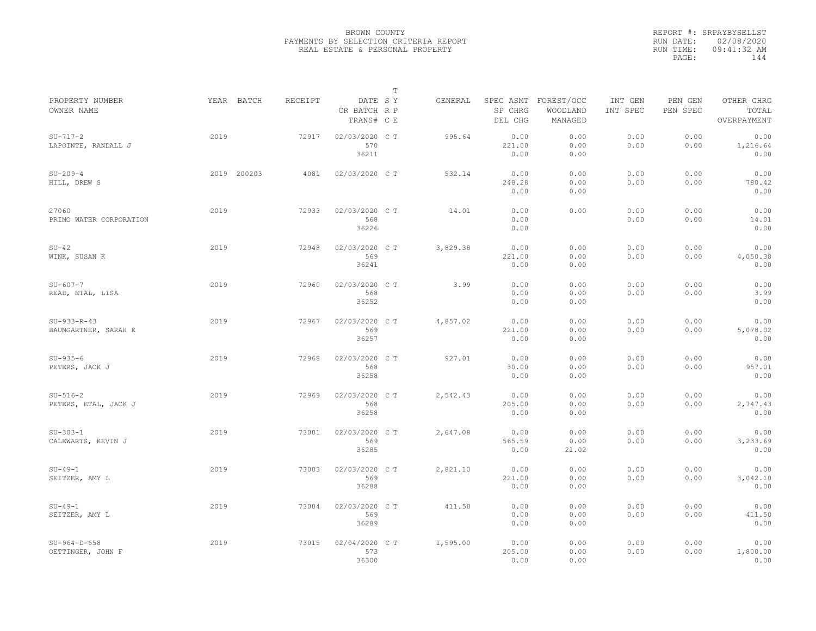|                                       |             |         |                                       | $\mathbb T$ |          |                        |                                             |                     |                     |                                    |  |
|---------------------------------------|-------------|---------|---------------------------------------|-------------|----------|------------------------|---------------------------------------------|---------------------|---------------------|------------------------------------|--|
| PROPERTY NUMBER<br>OWNER NAME         | YEAR BATCH  | RECEIPT | DATE SY<br>CR BATCH R P<br>TRANS# C E |             | GENERAL  | SP CHRG<br>DEL CHG     | SPEC ASMT FOREST/OCC<br>WOODLAND<br>MANAGED | INT GEN<br>INT SPEC | PEN GEN<br>PEN SPEC | OTHER CHRG<br>TOTAL<br>OVERPAYMENT |  |
| $SU-717-2$<br>LAPOINTE, RANDALL J     | 2019        | 72917   | 02/03/2020 C T<br>570<br>36211        |             | 995.64   | 0.00<br>221.00<br>0.00 | 0.00<br>0.00<br>0.00                        | 0.00<br>0.00        | 0.00<br>0.00        | 0.00<br>1,216.64<br>0.00           |  |
| $SU-209-4$<br>HILL, DREW S            | 2019 200203 | 4081    | 02/03/2020 C T                        |             | 532.14   | 0.00<br>248.28<br>0.00 | 0.00<br>0.00<br>0.00                        | 0.00<br>0.00        | 0.00<br>0.00        | 0.00<br>780.42<br>0.00             |  |
| 27060<br>PRIMO WATER CORPORATION      | 2019        | 72933   | 02/03/2020 C T<br>568<br>36226        |             | 14.01    | 0.00<br>0.00<br>0.00   | 0.00                                        | 0.00<br>0.00        | 0.00<br>0.00        | 0.00<br>14.01<br>0.00              |  |
| $SU-42$<br>WINK, SUSAN K              | 2019        | 72948   | 02/03/2020 CT<br>569<br>36241         |             | 3,829.38 | 0.00<br>221.00<br>0.00 | 0.00<br>0.00<br>0.00                        | 0.00<br>0.00        | 0.00<br>0.00        | 0.00<br>4,050.38<br>0.00           |  |
| $SU - 607 - 7$<br>READ, ETAL, LISA    | 2019        | 72960   | 02/03/2020 C T<br>568<br>36252        |             | 3.99     | 0.00<br>0.00<br>0.00   | 0.00<br>0.00<br>0.00                        | 0.00<br>0.00        | 0.00<br>0.00        | 0.00<br>3.99<br>0.00               |  |
| $SU-933-R-43$<br>BAUMGARTNER, SARAH E | 2019        | 72967   | 02/03/2020 C T<br>569<br>36257        |             | 4,857.02 | 0.00<br>221.00<br>0.00 | 0.00<br>0.00<br>0.00                        | 0.00<br>0.00        | 0.00<br>0.00        | 0.00<br>5,078.02<br>0.00           |  |
| $SU-935-6$<br>PETERS, JACK J          | 2019        | 72968   | 02/03/2020 CT<br>568<br>36258         |             | 927.01   | 0.00<br>30.00<br>0.00  | 0.00<br>0.00<br>0.00                        | 0.00<br>0.00        | 0.00<br>0.00        | 0.00<br>957.01<br>0.00             |  |
| $SU-516-2$<br>PETERS, ETAL, JACK J    | 2019        | 72969   | 02/03/2020 C T<br>568<br>36258        |             | 2,542.43 | 0.00<br>205.00<br>0.00 | 0.00<br>0.00<br>0.00                        | 0.00<br>0.00        | 0.00<br>0.00        | 0.00<br>2,747.43<br>0.00           |  |
| $SU-303-1$<br>CALEWARTS, KEVIN J      | 2019        | 73001   | 02/03/2020 CT<br>569<br>36285         |             | 2,647.08 | 0.00<br>565.59<br>0.00 | 0.00<br>0.00<br>21.02                       | 0.00<br>0.00        | 0.00<br>0.00        | 0.00<br>3,233.69<br>0.00           |  |
| $SU-49-1$<br>SEITZER, AMY L           | 2019        | 73003   | 02/03/2020 C T<br>569<br>36288        |             | 2,821.10 | 0.00<br>221.00<br>0.00 | 0.00<br>0.00<br>0.00                        | 0.00<br>0.00        | 0.00<br>0.00        | 0.00<br>3,042.10<br>0.00           |  |
| $SU-49-1$<br>SEITZER, AMY L           | 2019        | 73004   | 02/03/2020 C T<br>569<br>36289        |             | 411.50   | 0.00<br>0.00<br>0.00   | 0.00<br>0.00<br>0.00                        | 0.00<br>0.00        | 0.00<br>0.00        | 0.00<br>411.50<br>0.00             |  |
| $SU-964-D-658$<br>OETTINGER, JOHN F   | 2019        | 73015   | 02/04/2020 CT<br>573<br>36300         |             | 1,595.00 | 0.00<br>205.00<br>0.00 | 0.00<br>0.00<br>0.00                        | 0.00<br>0.00        | 0.00<br>0.00        | 0.00<br>1,800.00<br>0.00           |  |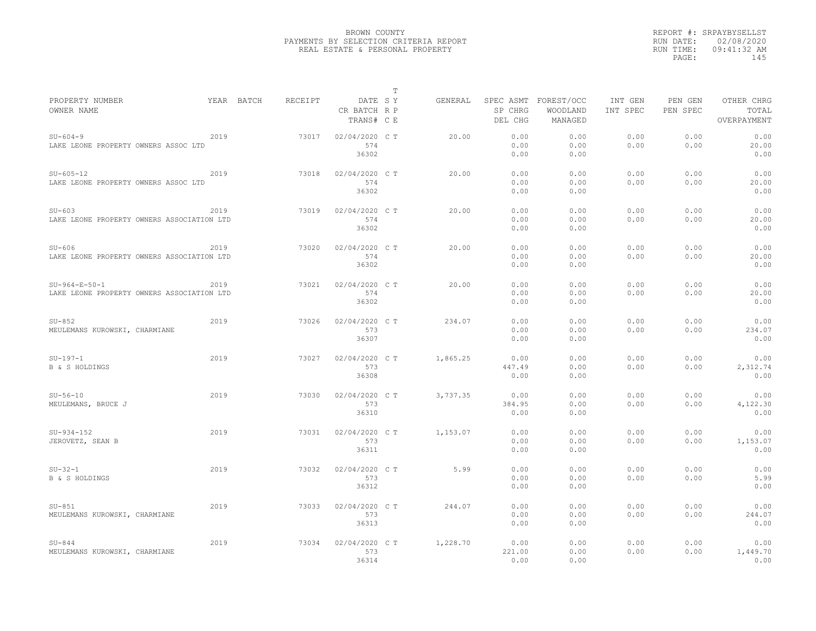| T                                                                                                                                                                               |                     |                     |                                    |
|---------------------------------------------------------------------------------------------------------------------------------------------------------------------------------|---------------------|---------------------|------------------------------------|
| PROPERTY NUMBER<br>YEAR BATCH<br>RECEIPT<br>DATE SY<br>SPEC ASMT FOREST/OCC<br>GENERAL<br>OWNER NAME<br>SP CHRG<br>CR BATCH R P<br>WOODLAND<br>TRANS# C E<br>DEL CHG<br>MANAGED | INT GEN<br>INT SPEC | PEN GEN<br>PEN SPEC | OTHER CHRG<br>TOTAL<br>OVERPAYMENT |
|                                                                                                                                                                                 |                     |                     |                                    |
| 2019<br>02/04/2020 C T<br>0.00<br>0.00<br>$SU - 604 - 9$<br>73017<br>20.00<br>574<br>0.00<br>0.00<br>LAKE LEONE PROPERTY OWNERS ASSOC LTD                                       | 0.00<br>0.00        | 0.00<br>0.00        | 0.00<br>20.00                      |
| 36302<br>0.00<br>0.00                                                                                                                                                           |                     |                     | 0.00                               |
|                                                                                                                                                                                 |                     |                     |                                    |
| $SU - 605 - 12$<br>2019<br>02/04/2020 C T<br>20.00<br>0.00<br>0.00<br>73018                                                                                                     | 0.00                | 0.00                | 0.00                               |
| 574<br>0.00<br>0.00<br>LAKE LEONE PROPERTY OWNERS ASSOC LTD                                                                                                                     | 0.00                | 0.00                | 20.00                              |
| 36302<br>0.00<br>0.00                                                                                                                                                           |                     |                     | 0.00                               |
|                                                                                                                                                                                 |                     |                     | 0.00                               |
| 2019<br>73019<br>02/04/2020 C T<br>20.00<br>0.00<br>0.00<br>$SU-603$                                                                                                            | 0.00                | 0.00                |                                    |
| 574<br>0.00<br>0.00<br>LAKE LEONE PROPERTY OWNERS ASSOCIATION LTD                                                                                                               | 0.00                | 0.00                | 20.00                              |
| 36302<br>0.00<br>0.00                                                                                                                                                           |                     |                     | 0.00                               |
| 02/04/2020 C T<br>20.00<br>0.00<br>0.00<br>$SU-606$<br>2019<br>73020                                                                                                            | 0.00                | 0.00                | 0.00                               |
| 574<br>0.00<br>0.00<br>LAKE LEONE PROPERTY OWNERS ASSOCIATION LTD                                                                                                               | 0.00                | 0.00                | 20.00                              |
| 36302<br>0.00<br>0.00                                                                                                                                                           |                     |                     | 0.00                               |
| 2019<br>20.00<br>0.00<br>0.00<br>$SU-964-E-50-1$<br>73021<br>02/04/2020 C T                                                                                                     | 0.00                | 0.00                | 0.00                               |
| 574<br>0.00                                                                                                                                                                     |                     | 0.00                | 20.00                              |
| LAKE LEONE PROPERTY OWNERS ASSOCIATION LTD<br>0.00<br>36302<br>0.00<br>0.00                                                                                                     | 0.00                |                     | 0.00                               |
|                                                                                                                                                                                 |                     |                     |                                    |
| 2019<br>02/04/2020 C T<br>234.07<br>0.00<br>0.00<br>$SU-852$<br>73026                                                                                                           | 0.00                | 0.00                | 0.00                               |
| 573<br>0.00<br>0.00<br>MEULEMANS KUROWSKI, CHARMIANE                                                                                                                            | 0.00                | 0.00                | 234.07                             |
| 36307<br>0.00<br>0.00                                                                                                                                                           |                     |                     | 0.00                               |
| 2019<br>02/04/2020 C T<br>1,865.25<br>0.00<br>0.00<br>$SU-197-1$<br>73027                                                                                                       | 0.00                | 0.00                | 0.00                               |
| 573<br>447.49<br>0.00<br><b>B &amp; S HOLDINGS</b>                                                                                                                              | 0.00                | 0.00                | 2,312.74                           |
| 36308<br>0.00<br>0.00                                                                                                                                                           |                     |                     | 0.00                               |
|                                                                                                                                                                                 |                     |                     |                                    |
| 2019<br>02/04/2020 C T<br>3,737.35<br>0.00<br>0.00<br>$SU-56-10$<br>73030                                                                                                       | 0.00                | 0.00                | 0.00                               |
| 573<br>384.95<br>0.00<br>MEULEMANS, BRUCE J                                                                                                                                     | 0.00                | 0.00                | 4,122.30                           |
| 36310<br>0.00<br>0.00                                                                                                                                                           |                     |                     | 0.00                               |
| 2019<br>0.00                                                                                                                                                                    |                     |                     |                                    |
| 02/04/2020 C T<br>$SU-934-152$<br>73031<br>1,153.07<br>0.00                                                                                                                     | 0.00                | 0.00<br>0.00        | 0.00                               |
| JEROVETZ, SEAN B<br>573<br>0.00<br>0.00                                                                                                                                         | 0.00                |                     | 1,153.07                           |
| 36311<br>0.00<br>0.00                                                                                                                                                           |                     |                     | 0.00                               |
| 2019<br>02/04/2020 C T<br>5.99<br>0.00<br>0.00<br>$SU-32-1$<br>73032                                                                                                            | 0.00                | 0.00                | 0.00                               |
| <b>B &amp; S HOLDINGS</b><br>573<br>0.00<br>0.00                                                                                                                                | 0.00                | 0.00                | 5.99                               |
| 36312<br>0.00<br>0.00                                                                                                                                                           |                     |                     | 0.00                               |
| 2019<br>02/04/2020 C T<br>0.00<br>0.00<br>$SU-851$<br>73033<br>244.07                                                                                                           | 0.00                | 0.00                | 0.00                               |
|                                                                                                                                                                                 |                     |                     |                                    |
| 573<br>MEULEMANS KUROWSKI, CHARMIANE<br>0.00<br>0.00<br>36313<br>0.00<br>0.00                                                                                                   | 0.00                | 0.00                | 244.07<br>0.00                     |
|                                                                                                                                                                                 |                     |                     |                                    |
| 2019<br>02/04/2020 C T<br>1,228.70<br>$SU - 844$<br>73034<br>0.00<br>0.00                                                                                                       | 0.00                | 0.00                | 0.00                               |
| 573<br>221.00<br>MEULEMANS KUROWSKI, CHARMIANE<br>0.00                                                                                                                          | 0.00                | 0.00                | 1,449.70                           |
| 36314<br>0.00<br>0.00                                                                                                                                                           |                     |                     | 0.00                               |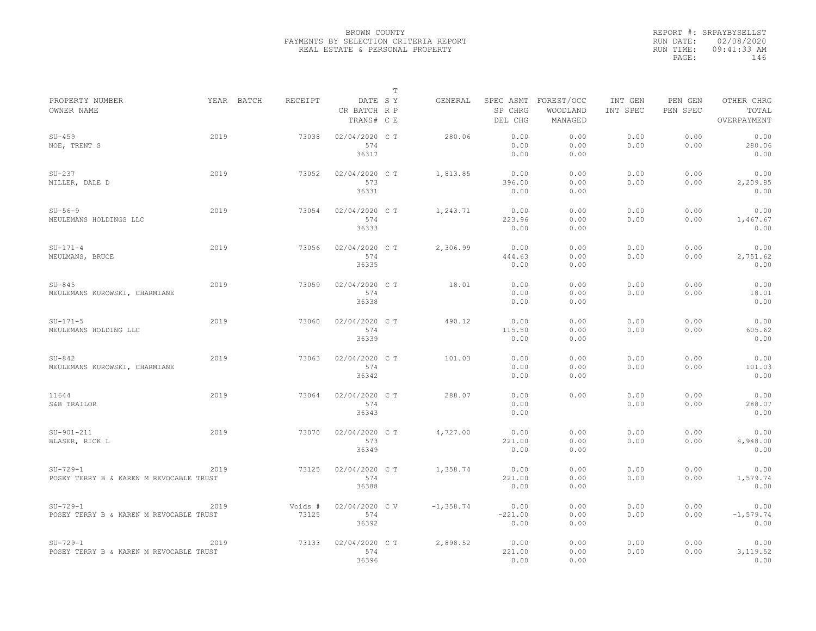|                                                       |      |            |                  |                                       | $\mathbb T$ |              |                                 |                                   |                     |                     |                                    |
|-------------------------------------------------------|------|------------|------------------|---------------------------------------|-------------|--------------|---------------------------------|-----------------------------------|---------------------|---------------------|------------------------------------|
| PROPERTY NUMBER<br>OWNER NAME                         |      | YEAR BATCH | <b>RECEIPT</b>   | DATE SY<br>CR BATCH R P<br>TRANS# C E |             | GENERAL      | SPEC ASMT<br>SP CHRG<br>DEL CHG | FOREST/OCC<br>WOODLAND<br>MANAGED | INT GEN<br>INT SPEC | PEN GEN<br>PEN SPEC | OTHER CHRG<br>TOTAL<br>OVERPAYMENT |
| $SU-459$<br>NOE, TRENT S                              | 2019 |            | 73038            | 02/04/2020 CT<br>574<br>36317         |             | 280.06       | 0.00<br>0.00<br>0.00            | 0.00<br>0.00<br>0.00              | 0.00<br>0.00        | 0.00<br>0.00        | 0.00<br>280.06<br>0.00             |
| $SU-237$<br>MILLER, DALE D                            | 2019 |            | 73052            | 02/04/2020 C T<br>573<br>36331        |             | 1,813.85     | 0.00<br>396.00<br>0.00          | 0.00<br>0.00<br>0.00              | 0.00<br>0.00        | 0.00<br>0.00        | 0.00<br>2,209.85<br>0.00           |
| $SU-56-9$<br>MEULEMANS HOLDINGS LLC                   | 2019 |            | 73054            | 02/04/2020 CT<br>574<br>36333         |             | 1,243.71     | 0.00<br>223.96<br>0.00          | 0.00<br>0.00<br>0.00              | 0.00<br>0.00        | 0.00<br>0.00        | 0.00<br>1,467.67<br>0.00           |
| $SU-171-4$<br>MEULMANS, BRUCE                         | 2019 |            | 73056            | 02/04/2020 C T<br>574<br>36335        |             | 2,306.99     | 0.00<br>444.63<br>0.00          | 0.00<br>0.00<br>0.00              | 0.00<br>0.00        | 0.00<br>0.00        | 0.00<br>2,751.62<br>0.00           |
| $SU-845$<br>MEULEMANS KUROWSKI, CHARMIANE             | 2019 |            | 73059            | 02/04/2020 C T<br>574<br>36338        |             | 18.01        | 0.00<br>0.00<br>0.00            | 0.00<br>0.00<br>0.00              | 0.00<br>0.00        | 0.00<br>0.00        | 0.00<br>18.01<br>0.00              |
| $SU-171-5$<br>MEULEMANS HOLDING LLC                   | 2019 |            | 73060            | 02/04/2020 CT<br>574<br>36339         |             | 490.12       | 0.00<br>115.50<br>0.00          | 0.00<br>0.00<br>0.00              | 0.00<br>0.00        | 0.00<br>0.00        | 0.00<br>605.62<br>0.00             |
| $SU-842$<br>MEULEMANS KUROWSKI, CHARMIANE             | 2019 |            | 73063            | 02/04/2020 C T<br>574<br>36342        |             | 101.03       | 0.00<br>0.00<br>0.00            | 0.00<br>0.00<br>0.00              | 0.00<br>0.00        | 0.00<br>0.00        | 0.00<br>101.03<br>0.00             |
| 11644<br>S&B TRAILOR                                  | 2019 |            | 73064            | 02/04/2020 C T<br>574<br>36343        |             | 288.07       | 0.00<br>0.00<br>0.00            | 0.00                              | 0.00<br>0.00        | 0.00<br>0.00        | 0.00<br>288.07<br>0.00             |
| $SU-901-211$<br>BLASER, RICK L                        | 2019 |            | 73070            | 02/04/2020 C T<br>573<br>36349        |             | 4,727.00     | 0.00<br>221.00<br>0.00          | 0.00<br>0.00<br>0.00              | 0.00<br>0.00        | 0.00<br>0.00        | 0.00<br>4,948.00<br>0.00           |
| $SU-729-1$<br>POSEY TERRY B & KAREN M REVOCABLE TRUST | 2019 |            | 73125            | 02/04/2020 C T<br>574<br>36388        |             | 1,358.74     | 0.00<br>221.00<br>0.00          | 0.00<br>0.00<br>0.00              | 0.00<br>0.00        | 0.00<br>0.00        | 0.00<br>1,579.74<br>0.00           |
| $SU-729-1$<br>POSEY TERRY B & KAREN M REVOCABLE TRUST | 2019 |            | Voids #<br>73125 | 02/04/2020 CV<br>574<br>36392         |             | $-1, 358.74$ | 0.00<br>$-221.00$<br>0.00       | 0.00<br>0.00<br>0.00              | 0.00<br>0.00        | 0.00<br>0.00        | 0.00<br>$-1, 579.74$<br>0.00       |
| $SU-729-1$<br>POSEY TERRY B & KAREN M REVOCABLE TRUST | 2019 |            | 73133            | 02/04/2020 CT<br>574<br>36396         |             | 2,898.52     | 0.00<br>221.00<br>0.00          | 0.00<br>0.00<br>0.00              | 0.00<br>0.00        | 0.00<br>0.00        | 0.00<br>3, 119.52<br>0.00          |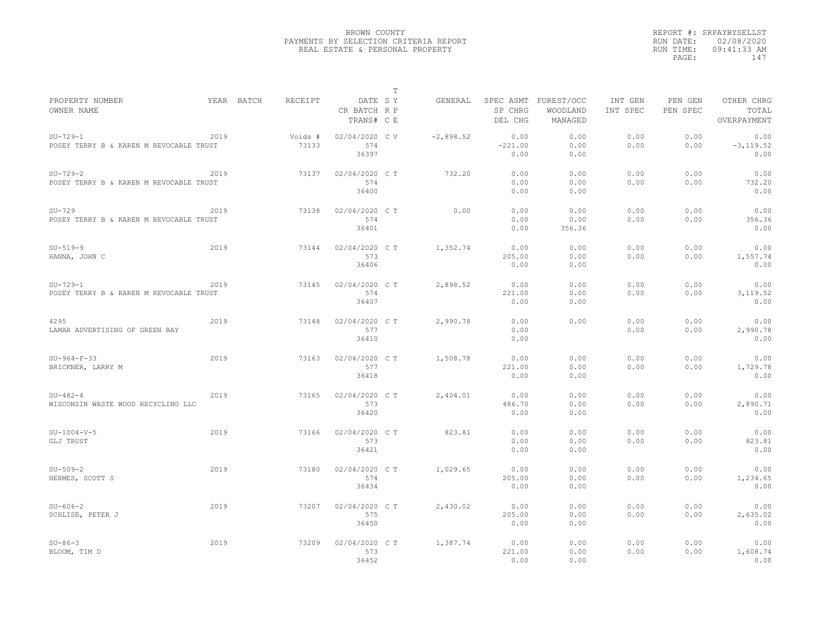|                                                       |      |            |                  |                                       | $\mathbb T$ |             |                           |                                             |                     |                     |                                    |
|-------------------------------------------------------|------|------------|------------------|---------------------------------------|-------------|-------------|---------------------------|---------------------------------------------|---------------------|---------------------|------------------------------------|
| PROPERTY NUMBER<br>OWNER NAME                         |      | YEAR BATCH | RECEIPT          | DATE SY<br>CR BATCH R P<br>TRANS# C E |             | GENERAL     | SP CHRG<br>DEL CHG        | SPEC ASMT FOREST/OCC<br>WOODLAND<br>MANAGED | INT GEN<br>INT SPEC | PEN GEN<br>PEN SPEC | OTHER CHRG<br>TOTAL<br>OVERPAYMENT |
| $SU-729-1$<br>POSEY TERRY B & KAREN M REVOCABLE TRUST | 2019 |            | Voids #<br>73133 | 02/04/2020 CV<br>574<br>36397         |             | $-2,898.52$ | 0.00<br>$-221.00$<br>0.00 | 0.00<br>0.00<br>0.00                        | 0.00<br>0.00        | 0.00<br>0.00        | 0.00<br>$-3, 119.52$<br>0.00       |
| $SU-729-2$<br>POSEY TERRY B & KAREN M REVOCABLE TRUST | 2019 |            | 73137            | 02/04/2020 C T<br>574<br>36400        |             | 732.20      | 0.00<br>0.00<br>0.00      | 0.00<br>0.00<br>0.00                        | 0.00<br>0.00        | 0.00<br>0.00        | 0.00<br>732.20<br>0.00             |
| $SU-729$<br>POSEY TERRY B & KAREN M REVOCABLE TRUST   | 2019 |            | 73138            | 02/04/2020 C T<br>574<br>36401        |             | 0.00        | 0.00<br>0.00<br>0.00      | 0.00<br>0.00<br>356.36                      | 0.00<br>0.00        | 0.00<br>0.00        | 0.00<br>356.36<br>0.00             |
| $SU-519-9$<br>HANNA, JOHN C                           | 2019 |            | 73144            | 02/04/2020 C T<br>573<br>36406        |             | 1,352.74    | 0.00<br>205.00<br>0.00    | 0.00<br>0.00<br>0.00                        | 0.00<br>0.00        | 0.00<br>0.00        | 0.00<br>1,557.74<br>0.00           |
| $SU-729-1$<br>POSEY TERRY B & KAREN M REVOCABLE TRUST | 2019 |            | 73145            | 02/04/2020 C T<br>574<br>36407        |             | 2,898.52    | 0.00<br>221.00<br>0.00    | 0.00<br>0.00<br>0.00                        | 0.00<br>0.00        | 0.00<br>0.00        | 0.00<br>3,119.52<br>0.00           |
| 4295<br>LAMAR ADVERTISING OF GREEN BAY                | 2019 |            | 73148            | 02/04/2020 C T<br>577<br>36410        |             | 2,990.78    | 0.00<br>0.00<br>0.00      | 0.00                                        | 0.00<br>0.00        | 0.00<br>0.00        | 0.00<br>2,990.78<br>0.00           |
| $SU-964-F-33$<br>BRICKNER, LARRY M                    | 2019 |            | 73163            | 02/04/2020 C T<br>577<br>36418        |             | 1,508.78    | 0.00<br>221.00<br>0.00    | 0.00<br>0.00<br>0.00                        | 0.00<br>0.00        | 0.00<br>0.00        | 0.00<br>1,729.78<br>0.00           |
| $SU-482-4$<br>WISCONSIN WASTE WOOD RECYCLING LLC      | 2019 |            | 73165            | 02/04/2020 C T<br>573<br>36420        |             | 2,404.01    | 0.00<br>486.70<br>0.00    | 0.00<br>0.00<br>0.00                        | 0.00<br>0.00        | 0.00<br>0.00        | 0.00<br>2,890.71<br>0.00           |
| $SU-1004-V-5$<br>GLJ TRUST                            | 2019 |            | 73166            | 02/04/2020 C T<br>573<br>36421        |             | 823.81      | 0.00<br>0.00<br>0.00      | 0.00<br>0.00<br>0.00                        | 0.00<br>0.00        | 0.00<br>0.00        | 0.00<br>823.81<br>0.00             |
| $SU-509-2$<br>HERMES, SCOTT S                         | 2019 |            | 73180            | 02/04/2020 C T<br>574<br>36434        |             | 1,029.65    | 0.00<br>205.00<br>0.00    | 0.00<br>0.00<br>0.00                        | 0.00<br>0.00        | 0.00<br>0.00        | 0.00<br>1,234.65<br>0.00           |
| $SU - 606 - 2$<br>SCHLISE, PETER J                    | 2019 |            | 73207            | 02/04/2020 C T<br>575<br>36450        |             | 2,430.02    | 0.00<br>205.00<br>0.00    | 0.00<br>0.00<br>0.00                        | 0.00<br>0.00        | 0.00<br>0.00        | 0.00<br>2,635.02<br>0.00           |
| $SU-86-3$<br>BLOOM, TIM D                             | 2019 |            | 73209            | 02/04/2020 C T<br>573<br>36452        |             | 1,387.74    | 0.00<br>221.00<br>0.00    | 0.00<br>0.00<br>0.00                        | 0.00<br>0.00        | 0.00<br>0.00        | 0.00<br>1,608.74<br>0.00           |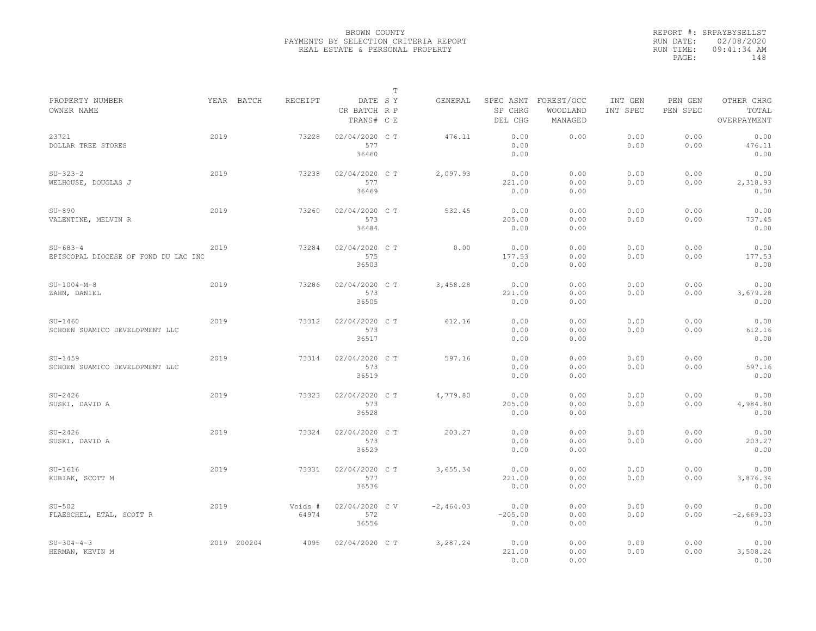|                                                        |      |             |                  |                                       | $\mathbb T$ |             |                                 |                                   |                     |                     |                                    |
|--------------------------------------------------------|------|-------------|------------------|---------------------------------------|-------------|-------------|---------------------------------|-----------------------------------|---------------------|---------------------|------------------------------------|
| PROPERTY NUMBER<br>OWNER NAME                          |      | YEAR BATCH  | RECEIPT          | DATE SY<br>CR BATCH R P<br>TRANS# C E |             | GENERAL     | SPEC ASMT<br>SP CHRG<br>DEL CHG | FOREST/OCC<br>WOODLAND<br>MANAGED | INT GEN<br>INT SPEC | PEN GEN<br>PEN SPEC | OTHER CHRG<br>TOTAL<br>OVERPAYMENT |
| 23721<br>DOLLAR TREE STORES                            | 2019 |             | 73228            | 02/04/2020 C T<br>577<br>36460        |             | 476.11      | 0.00<br>0.00<br>0.00            | 0.00                              | 0.00<br>0.00        | 0.00<br>0.00        | 0.00<br>476.11<br>0.00             |
| $SU-323-2$<br>WELHOUSE, DOUGLAS J                      | 2019 |             | 73238            | 02/04/2020 C T<br>577<br>36469        |             | 2,097.93    | 0.00<br>221.00<br>0.00          | 0.00<br>0.00<br>0.00              | 0.00<br>0.00        | 0.00<br>0.00        | 0.00<br>2,318.93<br>0.00           |
| $SU-890$<br>VALENTINE, MELVIN R                        | 2019 |             | 73260            | 02/04/2020 C T<br>573<br>36484        |             | 532.45      | 0.00<br>205.00<br>0.00          | 0.00<br>0.00<br>0.00              | 0.00<br>0.00        | 0.00<br>0.00        | 0.00<br>737.45<br>0.00             |
| $SU - 683 - 4$<br>EPISCOPAL DIOCESE OF FOND DU LAC INC | 2019 |             | 73284            | 02/04/2020 CT<br>575<br>36503         |             | 0.00        | 0.00<br>177.53<br>0.00          | 0.00<br>0.00<br>0.00              | 0.00<br>0.00        | 0.00<br>0.00        | 0.00<br>177.53<br>0.00             |
| $SU-1004-M-8$<br>ZAHN, DANIEL                          | 2019 |             | 73286            | 02/04/2020 C T<br>573<br>36505        |             | 3,458.28    | 0.00<br>221.00<br>0.00          | 0.00<br>0.00<br>0.00              | 0.00<br>0.00        | 0.00<br>0.00        | 0.00<br>3,679.28<br>0.00           |
| $SU-1460$<br>SCHOEN SUAMICO DEVELOPMENT LLC            | 2019 |             | 73312            | 02/04/2020 C T<br>573<br>36517        |             | 612.16      | 0.00<br>0.00<br>0.00            | 0.00<br>0.00<br>0.00              | 0.00<br>0.00        | 0.00<br>0.00        | 0.00<br>612.16<br>0.00             |
| $SU-1459$<br>SCHOEN SUAMICO DEVELOPMENT LLC            | 2019 |             | 73314            | 02/04/2020 C T<br>573<br>36519        |             | 597.16      | 0.00<br>0.00<br>0.00            | 0.00<br>0.00<br>0.00              | 0.00<br>0.00        | 0.00<br>0.00        | 0.00<br>597.16<br>0.00             |
| $SU-2426$<br>SUSKI, DAVID A                            | 2019 |             | 73323            | 02/04/2020 C T<br>573<br>36528        |             | 4,779.80    | 0.00<br>205.00<br>0.00          | 0.00<br>0.00<br>0.00              | 0.00<br>0.00        | 0.00<br>0.00        | 0.00<br>4,984.80<br>0.00           |
| $SU-2426$<br>SUSKI, DAVID A                            | 2019 |             | 73324            | 02/04/2020 C T<br>573<br>36529        |             | 203.27      | 0.00<br>0.00<br>0.00            | 0.00<br>0.00<br>0.00              | 0.00<br>0.00        | 0.00<br>0.00        | 0.00<br>203.27<br>0.00             |
| $SU-1616$<br>KUBIAK, SCOTT M                           | 2019 |             | 73331            | 02/04/2020 C T<br>577<br>36536        |             | 3,655.34    | 0.00<br>221.00<br>0.00          | 0.00<br>0.00<br>0.00              | 0.00<br>0.00        | 0.00<br>0.00        | 0.00<br>3,876.34<br>0.00           |
| $SU-502$<br>FLAESCHEL, ETAL, SCOTT R                   | 2019 |             | Voids #<br>64974 | 02/04/2020 CV<br>572<br>36556         |             | $-2,464.03$ | 0.00<br>$-205.00$<br>0.00       | 0.00<br>0.00<br>0.00              | 0.00<br>0.00        | 0.00<br>0.00        | 0.00<br>$-2,669.03$<br>0.00        |
| $SU-304-4-3$<br>HERMAN, KEVIN M                        |      | 2019 200204 | 4095             | 02/04/2020 C T                        |             | 3,287.24    | 0.00<br>221.00<br>0.00          | 0.00<br>0.00<br>0.00              | 0.00<br>0.00        | 0.00<br>0.00        | 0.00<br>3,508.24<br>0.00           |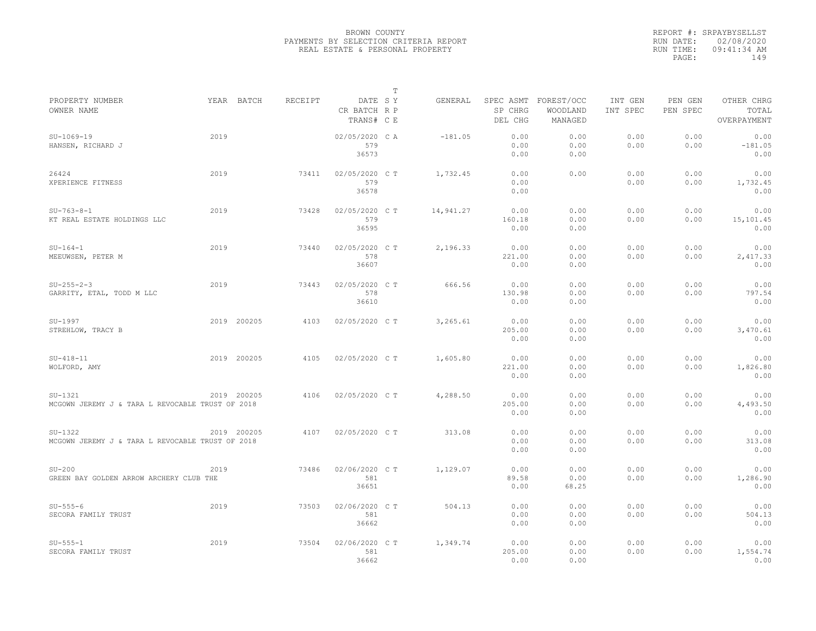|                                                               |      |             |                |                                       | $\mathbb T$ |           |                                 |                                   |                     |                     |                                    |
|---------------------------------------------------------------|------|-------------|----------------|---------------------------------------|-------------|-----------|---------------------------------|-----------------------------------|---------------------|---------------------|------------------------------------|
| PROPERTY NUMBER<br>OWNER NAME                                 |      | YEAR BATCH  | <b>RECEIPT</b> | DATE SY<br>CR BATCH R P<br>TRANS# C E |             | GENERAL   | SPEC ASMT<br>SP CHRG<br>DEL CHG | FOREST/OCC<br>WOODLAND<br>MANAGED | INT GEN<br>INT SPEC | PEN GEN<br>PEN SPEC | OTHER CHRG<br>TOTAL<br>OVERPAYMENT |
| $SU-1069-19$<br>HANSEN, RICHARD J                             | 2019 |             |                | 02/05/2020 CA<br>579<br>36573         |             | $-181.05$ | 0.00<br>0.00<br>0.00            | 0.00<br>0.00<br>0.00              | 0.00<br>0.00        | 0.00<br>0.00        | 0.00<br>$-181.05$<br>0.00          |
| 26424<br>XPERIENCE FITNESS                                    | 2019 |             | 73411          | 02/05/2020 C T<br>579<br>36578        |             | 1,732.45  | 0.00<br>0.00<br>0.00            | 0.00                              | 0.00<br>0.00        | 0.00<br>0.00        | 0.00<br>1,732.45<br>0.00           |
| $SU-763-8-1$<br>KT REAL ESTATE HOLDINGS LLC                   | 2019 |             | 73428          | 02/05/2020 CT<br>579<br>36595         |             | 14,941.27 | 0.00<br>160.18<br>0.00          | 0.00<br>0.00<br>0.00              | 0.00<br>0.00        | 0.00<br>0.00        | 0.00<br>15,101.45<br>0.00          |
| $SU-164-1$<br>MEEUWSEN, PETER M                               | 2019 |             | 73440          | 02/05/2020 C T<br>578<br>36607        |             | 2,196.33  | 0.00<br>221.00<br>0.00          | 0.00<br>0.00<br>0.00              | 0.00<br>0.00        | 0.00<br>0.00        | 0.00<br>2,417.33<br>0.00           |
| $SU-255-2-3$<br>GARRITY, ETAL, TODD M LLC                     | 2019 |             | 73443          | 02/05/2020 C T<br>578<br>36610        |             | 666.56    | 0.00<br>130.98<br>0.00          | 0.00<br>0.00<br>0.00              | 0.00<br>0.00        | 0.00<br>0.00        | 0.00<br>797.54<br>0.00             |
| SU-1997<br>STREHLOW, TRACY B                                  |      | 2019 200205 | 4103           | 02/05/2020 C T                        |             | 3,265.61  | 0.00<br>205.00<br>0.00          | 0.00<br>0.00<br>0.00              | 0.00<br>0.00        | 0.00<br>0.00        | 0.00<br>3,470.61<br>0.00           |
| $SU-418-11$<br>WOLFORD, AMY                                   |      | 2019 200205 | 4105           | 02/05/2020 CT                         |             | 1,605.80  | 0.00<br>221.00<br>0.00          | 0.00<br>0.00<br>0.00              | 0.00<br>0.00        | 0.00<br>0.00        | 0.00<br>1,826.80<br>0.00           |
| $SU-1321$<br>MCGOWN JEREMY J & TARA L REVOCABLE TRUST OF 2018 |      | 2019 200205 | 4106           | 02/05/2020 C T                        |             | 4,288.50  | 0.00<br>205.00<br>0.00          | 0.00<br>0.00<br>0.00              | 0.00<br>0.00        | 0.00<br>0.00        | 0.00<br>4,493.50<br>0.00           |
| $SU-1322$<br>MCGOWN JEREMY J & TARA L REVOCABLE TRUST OF 2018 |      | 2019 200205 | 4107           | 02/05/2020 C T                        |             | 313.08    | 0.00<br>0.00<br>0.00            | 0.00<br>0.00<br>0.00              | 0.00<br>0.00        | 0.00<br>0.00        | 0.00<br>313.08<br>0.00             |
| $SU-200$<br>GREEN BAY GOLDEN ARROW ARCHERY CLUB THE           | 2019 |             | 73486          | 02/06/2020 C T<br>581<br>36651        |             | 1,129.07  | 0.00<br>89.58<br>0.00           | 0.00<br>0.00<br>68.25             | 0.00<br>0.00        | 0.00<br>0.00        | 0.00<br>1,286.90<br>0.00           |
| $SU-555-6$<br>SECORA FAMILY TRUST                             | 2019 |             | 73503          | 02/06/2020 C T<br>581<br>36662        |             | 504.13    | 0.00<br>0.00<br>0.00            | 0.00<br>0.00<br>0.00              | 0.00<br>0.00        | 0.00<br>0.00        | 0.00<br>504.13<br>0.00             |
| $SU-555-1$<br>SECORA FAMILY TRUST                             | 2019 |             | 73504          | 02/06/2020 CT<br>581<br>36662         |             | 1,349.74  | 0.00<br>205.00<br>0.00          | 0.00<br>0.00<br>0.00              | 0.00<br>0.00        | 0.00<br>0.00        | 0.00<br>1,554.74<br>0.00           |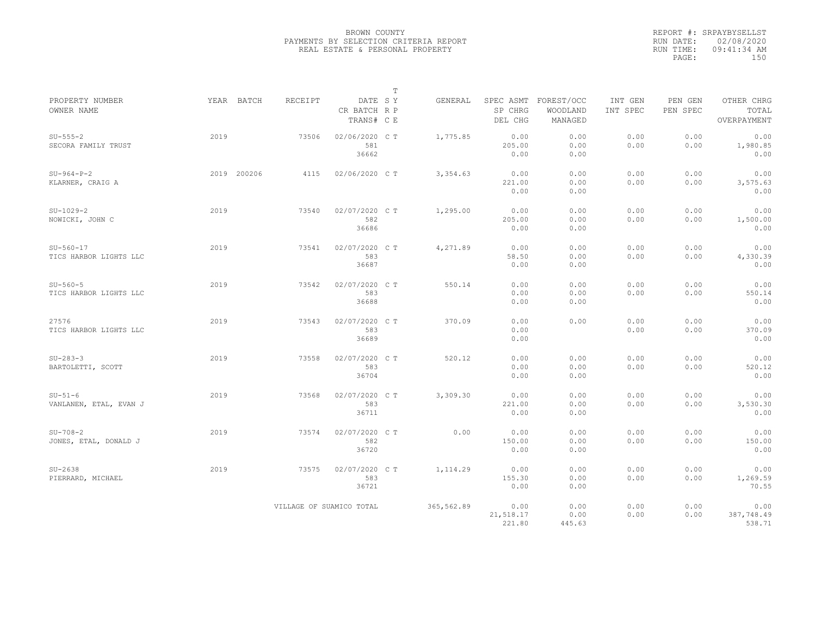|                                       |      |             |         |                                       | $\mathbb T$ |            |                                 |                                   |                     |                     |                                    |
|---------------------------------------|------|-------------|---------|---------------------------------------|-------------|------------|---------------------------------|-----------------------------------|---------------------|---------------------|------------------------------------|
| PROPERTY NUMBER<br>OWNER NAME         |      | YEAR BATCH  | RECEIPT | DATE SY<br>CR BATCH R P<br>TRANS# C E |             | GENERAL    | SPEC ASMT<br>SP CHRG<br>DEL CHG | FOREST/OCC<br>WOODLAND<br>MANAGED | INT GEN<br>INT SPEC | PEN GEN<br>PEN SPEC | OTHER CHRG<br>TOTAL<br>OVERPAYMENT |
| $SU-555-2$<br>SECORA FAMILY TRUST     | 2019 |             | 73506   | 02/06/2020 C T<br>581<br>36662        |             | 1,775.85   | 0.00<br>205.00<br>0.00          | 0.00<br>0.00<br>0.00              | 0.00<br>0.00        | 0.00<br>0.00        | 0.00<br>1,980.85<br>0.00           |
| $SU-964-P-2$<br>KLARNER, CRAIG A      |      | 2019 200206 | 4115    | 02/06/2020 C T                        |             | 3,354.63   | 0.00<br>221.00<br>0.00          | 0.00<br>0.00<br>0.00              | 0.00<br>0.00        | 0.00<br>0.00        | 0.00<br>3,575.63<br>0.00           |
| $SU-1029-2$<br>NOWICKI, JOHN C        | 2019 |             | 73540   | 02/07/2020 C T<br>582<br>36686        |             | 1,295.00   | 0.00<br>205.00<br>0.00          | 0.00<br>0.00<br>0.00              | 0.00<br>0.00        | 0.00<br>0.00        | 0.00<br>1,500.00<br>0.00           |
| $SU-560-17$<br>TICS HARBOR LIGHTS LLC | 2019 |             | 73541   | 02/07/2020 C T<br>583<br>36687        |             | 4,271.89   | 0.00<br>58.50<br>0.00           | 0.00<br>0.00<br>0.00              | 0.00<br>0.00        | 0.00<br>0.00        | 0.00<br>4,330.39<br>0.00           |
| $SU-560-5$<br>TICS HARBOR LIGHTS LLC  | 2019 |             | 73542   | 02/07/2020 C T<br>583<br>36688        |             | 550.14     | 0.00<br>0.00<br>0.00            | 0.00<br>0.00<br>0.00              | 0.00<br>0.00        | 0.00<br>0.00        | 0.00<br>550.14<br>0.00             |
| 27576<br>TICS HARBOR LIGHTS LLC       | 2019 |             | 73543   | 02/07/2020 C T<br>583<br>36689        |             | 370.09     | 0.00<br>0.00<br>0.00            | 0.00                              | 0.00<br>0.00        | 0.00<br>0.00        | 0.00<br>370.09<br>0.00             |
| $SU-283-3$<br>BARTOLETTI, SCOTT       | 2019 |             | 73558   | 02/07/2020 CT<br>583<br>36704         |             | 520.12     | 0.00<br>0.00<br>0.00            | 0.00<br>0.00<br>0.00              | 0.00<br>0.00        | 0.00<br>0.00        | 0.00<br>520.12<br>0.00             |
| $SU-51-6$<br>VANLANEN, ETAL, EVAN J   | 2019 |             | 73568   | 02/07/2020 C T<br>583<br>36711        |             | 3,309.30   | 0.00<br>221.00<br>0.00          | 0.00<br>0.00<br>0.00              | 0.00<br>0.00        | 0.00<br>0.00        | 0.00<br>3,530.30<br>0.00           |
| $SU-708-2$<br>JONES, ETAL, DONALD J   | 2019 |             | 73574   | 02/07/2020 C T<br>582<br>36720        |             | 0.00       | 0.00<br>150.00<br>0.00          | 0.00<br>0.00<br>0.00              | 0.00<br>0.00        | 0.00<br>0.00        | 0.00<br>150.00<br>0.00             |
| $SU-2638$<br>PIERRARD, MICHAEL        | 2019 |             | 73575   | 02/07/2020 C T<br>583<br>36721        |             | 1, 114.29  | 0.00<br>155.30<br>0.00          | 0.00<br>0.00<br>0.00              | 0.00<br>0.00        | 0.00<br>0.00        | 0.00<br>1,269.59<br>70.55          |
|                                       |      |             |         | VILLAGE OF SUAMICO TOTAL              |             | 365,562.89 | 0.00<br>21,518.17<br>221.80     | 0.00<br>0.00<br>445.63            | 0.00<br>0.00        | 0.00<br>0.00        | 0.00<br>387,748.49<br>538.71       |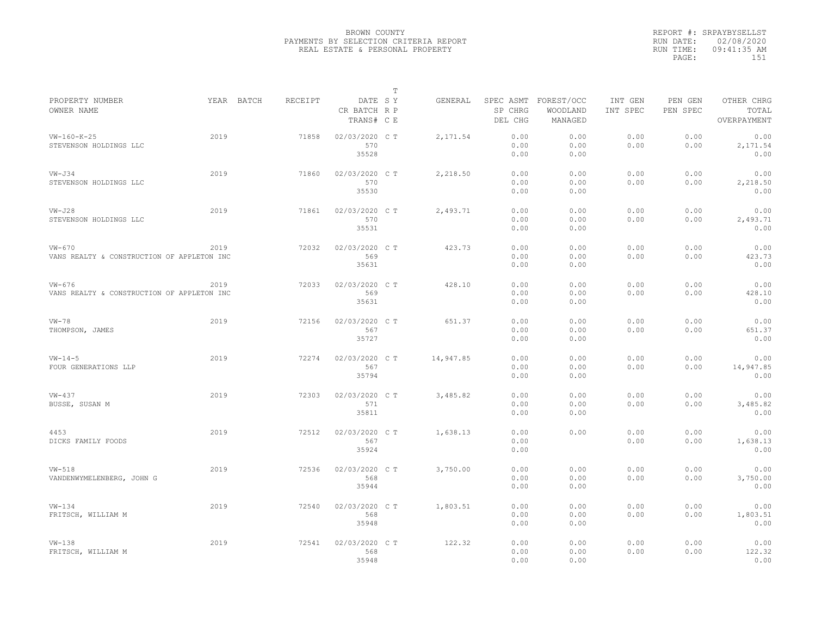|                                                        |      |            |         |                                       | $\mathbb T$ |           |                      |                                             |                     |                     |                                    |
|--------------------------------------------------------|------|------------|---------|---------------------------------------|-------------|-----------|----------------------|---------------------------------------------|---------------------|---------------------|------------------------------------|
| PROPERTY NUMBER<br>OWNER NAME                          |      | YEAR BATCH | RECEIPT | DATE SY<br>CR BATCH R P<br>TRANS# C E |             | GENERAL   | SP CHRG<br>DEL CHG   | SPEC ASMT FOREST/OCC<br>WOODLAND<br>MANAGED | INT GEN<br>INT SPEC | PEN GEN<br>PEN SPEC | OTHER CHRG<br>TOTAL<br>OVERPAYMENT |
| $VW-160-K-25$<br>STEVENSON HOLDINGS LLC                | 2019 |            | 71858   | 02/03/2020 CT<br>570<br>35528         |             | 2,171.54  | 0.00<br>0.00<br>0.00 | 0.00<br>0.00<br>0.00                        | 0.00<br>0.00        | 0.00<br>0.00        | 0.00<br>2,171.54<br>0.00           |
| $VW - J34$<br>STEVENSON HOLDINGS LLC                   | 2019 |            | 71860   | 02/03/2020 C T<br>570<br>35530        |             | 2,218.50  | 0.00<br>0.00<br>0.00 | 0.00<br>0.00<br>0.00                        | 0.00<br>0.00        | 0.00<br>0.00        | 0.00<br>2,218.50<br>0.00           |
| $VW - J28$<br>STEVENSON HOLDINGS LLC                   | 2019 |            | 71861   | 02/03/2020 C T<br>570<br>35531        |             | 2,493.71  | 0.00<br>0.00<br>0.00 | 0.00<br>0.00<br>0.00                        | 0.00<br>0.00        | 0.00<br>0.00        | 0.00<br>2,493.71<br>0.00           |
| $VW-670$<br>VANS REALTY & CONSTRUCTION OF APPLETON INC | 2019 |            | 72032   | 02/03/2020 C T<br>569<br>35631        |             | 423.73    | 0.00<br>0.00<br>0.00 | 0.00<br>0.00<br>0.00                        | 0.00<br>0.00        | 0.00<br>0.00        | 0.00<br>423.73<br>0.00             |
| $VW-676$<br>VANS REALTY & CONSTRUCTION OF APPLETON INC | 2019 |            | 72033   | 02/03/2020 C T<br>569<br>35631        |             | 428.10    | 0.00<br>0.00<br>0.00 | 0.00<br>0.00<br>0.00                        | 0.00<br>0.00        | 0.00<br>0.00        | 0.00<br>428.10<br>0.00             |
| $VW-78$<br>THOMPSON, JAMES                             | 2019 |            | 72156   | 02/03/2020 C T<br>567<br>35727        |             | 651.37    | 0.00<br>0.00<br>0.00 | 0.00<br>0.00<br>0.00                        | 0.00<br>0.00        | 0.00<br>0.00        | 0.00<br>651.37<br>0.00             |
| $VW - 14 - 5$<br>FOUR GENERATIONS LLP                  | 2019 |            | 72274   | 02/03/2020 C T<br>567<br>35794        |             | 14,947.85 | 0.00<br>0.00<br>0.00 | 0.00<br>0.00<br>0.00                        | 0.00<br>0.00        | 0.00<br>0.00        | 0.00<br>14,947.85<br>0.00          |
| $VW-437$<br>BUSSE, SUSAN M                             | 2019 |            | 72303   | 02/03/2020 C T<br>571<br>35811        |             | 3,485.82  | 0.00<br>0.00<br>0.00 | 0.00<br>0.00<br>0.00                        | 0.00<br>0.00        | 0.00<br>0.00        | 0.00<br>3,485.82<br>0.00           |
| 4453<br>DICKS FAMILY FOODS                             | 2019 |            | 72512   | 02/03/2020 C T<br>567<br>35924        |             | 1,638.13  | 0.00<br>0.00<br>0.00 | 0.00                                        | 0.00<br>0.00        | 0.00<br>0.00        | 0.00<br>1,638.13<br>0.00           |
| $VW-518$<br>VANDENWYMELENBERG, JOHN G                  | 2019 |            | 72536   | 02/03/2020 C T<br>568<br>35944        |             | 3,750.00  | 0.00<br>0.00<br>0.00 | 0.00<br>0.00<br>0.00                        | 0.00<br>0.00        | 0.00<br>0.00        | 0.00<br>3,750.00<br>0.00           |
| $VW-134$<br>FRITSCH, WILLIAM M                         | 2019 |            | 72540   | 02/03/2020 C T<br>568<br>35948        |             | 1,803.51  | 0.00<br>0.00<br>0.00 | 0.00<br>0.00<br>0.00                        | 0.00<br>0.00        | 0.00<br>0.00        | 0.00<br>1,803.51<br>0.00           |
| $VW-138$<br>FRITSCH, WILLIAM M                         | 2019 |            | 72541   | 02/03/2020 C T<br>568<br>35948        |             | 122.32    | 0.00<br>0.00<br>0.00 | 0.00<br>0.00<br>0.00                        | 0.00<br>0.00        | 0.00<br>0.00        | 0.00<br>122.32<br>0.00             |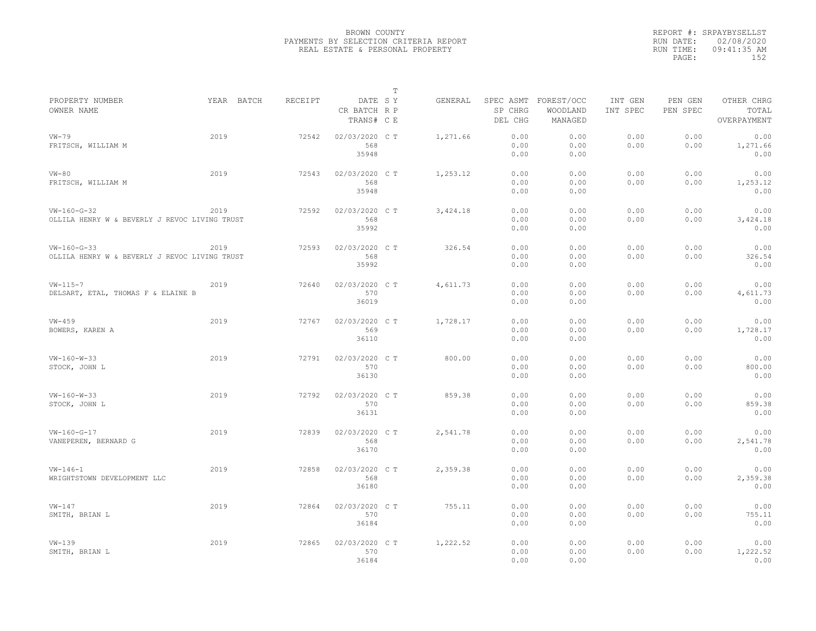|                                               |            |         |                                       | $\mathbb T$ |          |                    |                                             |                     |                     |                                    |
|-----------------------------------------------|------------|---------|---------------------------------------|-------------|----------|--------------------|---------------------------------------------|---------------------|---------------------|------------------------------------|
| PROPERTY NUMBER<br>OWNER NAME                 | YEAR BATCH | RECEIPT | DATE SY<br>CR BATCH R P<br>TRANS# C E |             | GENERAL  | SP CHRG<br>DEL CHG | SPEC ASMT FOREST/OCC<br>WOODLAND<br>MANAGED | INT GEN<br>INT SPEC | PEN GEN<br>PEN SPEC | OTHER CHRG<br>TOTAL<br>OVERPAYMENT |
| $VW-79$                                       | 2019       | 72542   | 02/03/2020 CT                         |             | 1,271.66 | 0.00               | 0.00                                        | 0.00                | 0.00                | 0.00                               |
| FRITSCH, WILLIAM M                            |            |         | 568                                   |             |          | 0.00               | 0.00                                        | 0.00                | 0.00                | 1,271.66                           |
|                                               |            |         | 35948                                 |             |          | 0.00               | 0.00                                        |                     |                     | 0.00                               |
|                                               |            |         |                                       |             |          |                    |                                             |                     |                     |                                    |
| $VN-80$                                       | 2019       | 72543   | 02/03/2020 C T                        |             | 1,253.12 | 0.00               | 0.00                                        | 0.00                | 0.00                | 0.00                               |
| FRITSCH, WILLIAM M                            |            |         | 568                                   |             |          | 0.00               | 0.00                                        | 0.00                | 0.00                | 1,253.12                           |
|                                               |            |         | 35948                                 |             |          | 0.00               | 0.00                                        |                     |                     | 0.00                               |
|                                               |            |         |                                       |             |          |                    |                                             |                     |                     |                                    |
| $VW-160-G-32$                                 | 2019       | 72592   | 02/03/2020 C T                        |             | 3,424.18 | 0.00               | 0.00                                        | 0.00                | 0.00                | 0.00                               |
| OLLILA HENRY W & BEVERLY J REVOC LIVING TRUST |            |         | 568                                   |             |          | 0.00               | 0.00                                        | 0.00                | 0.00                | 3,424.18                           |
|                                               |            |         | 35992                                 |             |          | 0.00               | 0.00                                        |                     |                     | 0.00                               |
|                                               |            |         |                                       |             |          |                    |                                             |                     |                     |                                    |
| $VW-160-G-33$                                 | 2019       | 72593   | 02/03/2020 C T                        |             | 326.54   | 0.00               | 0.00                                        | 0.00<br>0.00        | 0.00                | 0.00                               |
| OLLILA HENRY W & BEVERLY J REVOC LIVING TRUST |            |         | 568                                   |             |          | 0.00               | 0.00                                        |                     | 0.00                | 326.54                             |
|                                               |            |         | 35992                                 |             |          | 0.00               | 0.00                                        |                     |                     | 0.00                               |
| $VW - 115 - 7$                                | 2019       | 72640   | 02/03/2020 C T                        |             | 4,611.73 | 0.00               | 0.00                                        | 0.00                | 0.00                | 0.00                               |
| DELSART, ETAL, THOMAS F & ELAINE B            |            |         | 570                                   |             |          | 0.00               | 0.00                                        | 0.00                | 0.00                | 4,611.73                           |
|                                               |            |         | 36019                                 |             |          | 0.00               | 0.00                                        |                     |                     | 0.00                               |
|                                               |            |         |                                       |             |          |                    |                                             |                     |                     |                                    |
| $VW-459$                                      | 2019       | 72767   | 02/03/2020 C T                        |             | 1,728.17 | 0.00               | 0.00                                        | 0.00                | 0.00                | 0.00                               |
| BOWERS, KAREN A                               |            |         | 569                                   |             |          | 0.00               | 0.00                                        | 0.00                | 0.00                | 1,728.17                           |
|                                               |            |         | 36110                                 |             |          | 0.00               | 0.00                                        |                     |                     | 0.00                               |
|                                               | 2019       |         |                                       |             |          | 0.00               | 0.00                                        |                     |                     | 0.00                               |
| $VW - 160 - W - 33$                           |            | 72791   | 02/03/2020 C T<br>570                 |             | 800.00   |                    |                                             | 0.00<br>0.00        | 0.00                |                                    |
| STOCK, JOHN L                                 |            |         | 36130                                 |             |          | 0.00<br>0.00       | 0.00<br>0.00                                |                     | 0.00                | 800.00<br>0.00                     |
|                                               |            |         |                                       |             |          |                    |                                             |                     |                     |                                    |
| $VW-160-W-33$                                 | 2019       | 72792   | 02/03/2020 C T                        |             | 859.38   | 0.00               | 0.00                                        | 0.00                | 0.00                | 0.00                               |
| STOCK, JOHN L                                 |            |         | 570                                   |             |          | 0.00               | 0.00                                        | 0.00                | 0.00                | 859.38                             |
|                                               |            |         | 36131                                 |             |          | 0.00               | 0.00                                        |                     |                     | 0.00                               |
|                                               |            |         |                                       |             |          |                    |                                             |                     |                     |                                    |
| $VW-160-G-17$                                 | 2019       | 72839   | 02/03/2020 C T                        |             | 2,541.78 | 0.00               | 0.00                                        | 0.00                | 0.00                | 0.00                               |
| VANEPEREN, BERNARD G                          |            |         | 568                                   |             |          | 0.00               | 0.00                                        | 0.00                | 0.00                | 2,541.78                           |
|                                               |            |         | 36170                                 |             |          | 0.00               | 0.00                                        |                     |                     | 0.00                               |
|                                               |            |         |                                       |             |          |                    |                                             |                     |                     |                                    |
| $VW - 146 - 1$                                | 2019       | 72858   | 02/03/2020 CT                         |             | 2,359.38 | 0.00<br>0.00       | 0.00                                        | 0.00<br>0.00        | 0.00                | 0.00                               |
| WRIGHTSTOWN DEVELOPMENT LLC                   |            |         | 568<br>36180                          |             |          | 0.00               | 0.00<br>0.00                                |                     | 0.00                | 2,359.38<br>0.00                   |
|                                               |            |         |                                       |             |          |                    |                                             |                     |                     |                                    |
| $VW-147$                                      | 2019       | 72864   | 02/03/2020 C T                        |             | 755.11   | 0.00               | 0.00                                        | 0.00                | 0.00                | 0.00                               |
| SMITH, BRIAN L                                |            |         | 570                                   |             |          | 0.00               | 0.00                                        | 0.00                | 0.00                | 755.11                             |
|                                               |            |         | 36184                                 |             |          | 0.00               | 0.00                                        |                     |                     | 0.00                               |
|                                               |            |         |                                       |             |          |                    |                                             |                     |                     |                                    |
| $VW-139$                                      | 2019       | 72865   | 02/03/2020 C T                        |             | 1,222.52 | 0.00               | 0.00                                        | 0.00                | 0.00                | 0.00                               |
| SMITH, BRIAN L                                |            |         | 570                                   |             |          | 0.00               | 0.00                                        | 0.00                | 0.00                | 1,222.52                           |
|                                               |            |         | 36184                                 |             |          | 0.00               | 0.00                                        |                     |                     | 0.00                               |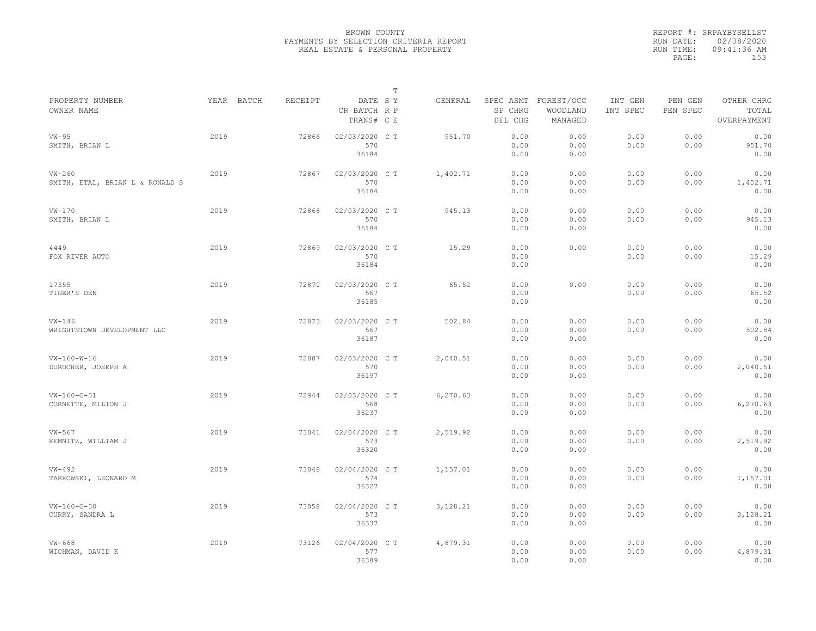|           | REPORT #: SRPAYBYSELLST |  |
|-----------|-------------------------|--|
|           | RUN DATE: 02/08/2020    |  |
| RUN TIME: | 09:41:36 AM             |  |
| PAGE:     | 153                     |  |
|           |                         |  |

|                                             |      |            |         |                                       | $\mathbb T$ |          |                                 |                                   |                     |                     |                                    |  |
|---------------------------------------------|------|------------|---------|---------------------------------------|-------------|----------|---------------------------------|-----------------------------------|---------------------|---------------------|------------------------------------|--|
| PROPERTY NUMBER<br>OWNER NAME               |      | YEAR BATCH | RECEIPT | DATE SY<br>CR BATCH R P<br>TRANS# C E |             | GENERAL  | SPEC ASMT<br>SP CHRG<br>DEL CHG | FOREST/OCC<br>WOODLAND<br>MANAGED | INT GEN<br>INT SPEC | PEN GEN<br>PEN SPEC | OTHER CHRG<br>TOTAL<br>OVERPAYMENT |  |
| $VW-95$<br>SMITH, BRIAN L                   | 2019 |            | 72866   | 02/03/2020 C T<br>570<br>36184        |             | 951.70   | 0.00<br>0.00<br>0.00            | 0.00<br>0.00<br>0.00              | 0.00<br>0.00        | 0.00<br>0.00        | 0.00<br>951.70<br>0.00             |  |
| $VW-260$<br>SMITH, ETAL, BRIAN L & RONALD S | 2019 |            | 72867   | 02/03/2020 CT<br>570<br>36184         |             | 1,402.71 | 0.00<br>0.00<br>0.00            | 0.00<br>0.00<br>0.00              | 0.00<br>0.00        | 0.00<br>0.00        | 0.00<br>1,402.71<br>0.00           |  |
| $VW-170$<br>SMITH, BRIAN L                  | 2019 |            | 72868   | 02/03/2020 C T<br>570<br>36184        |             | 945.13   | 0.00<br>0.00<br>0.00            | 0.00<br>0.00<br>0.00              | 0.00<br>0.00        | 0.00<br>0.00        | 0.00<br>945.13<br>0.00             |  |
| 4449<br>FOX RIVER AUTO                      | 2019 |            | 72869   | 02/03/2020 C T<br>570<br>36184        |             | 15.29    | 0.00<br>0.00<br>0.00            | 0.00                              | 0.00<br>0.00        | 0.00<br>0.00        | 0.00<br>15.29<br>0.00              |  |
| 17355<br>TIGER'S DEN                        | 2019 |            | 72870   | 02/03/2020 C T<br>567<br>36185        |             | 65.52    | 0.00<br>0.00<br>0.00            | 0.00                              | 0.00<br>0.00        | 0.00<br>0.00        | 0.00<br>65.52<br>0.00              |  |
| $VW-146$<br>WRIGHTSTOWN DEVELOPMENT LLC     | 2019 |            | 72873   | 02/03/2020 C T<br>567<br>36187        |             | 502.84   | 0.00<br>0.00<br>0.00            | 0.00<br>0.00<br>0.00              | 0.00<br>0.00        | 0.00<br>0.00        | 0.00<br>502.84<br>0.00             |  |
| $VW - 160 - W - 16$<br>DUROCHER, JOSEPH A   | 2019 |            | 72887   | 02/03/2020 CT<br>570<br>36197         |             | 2,040.51 | 0.00<br>0.00<br>0.00            | 0.00<br>0.00<br>0.00              | 0.00<br>0.00        | 0.00<br>0.00        | 0.00<br>2,040.51<br>0.00           |  |
| $VW-160-G-31$<br>CORNETTE, MILTON J         | 2019 |            | 72944   | 02/03/2020 C T<br>568<br>36237        |             | 6,270.63 | 0.00<br>0.00<br>0.00            | 0.00<br>0.00<br>0.00              | 0.00<br>0.00        | 0.00<br>0.00        | 0.00<br>6,270.63<br>0.00           |  |
| $VW-567$<br>KEMNITZ, WILLIAM J              | 2019 |            | 73041   | 02/04/2020 CT<br>573<br>36320         |             | 2,519.92 | 0.00<br>0.00<br>0.00            | 0.00<br>0.00<br>0.00              | 0.00<br>0.00        | 0.00<br>0.00        | 0.00<br>2,519.92<br>0.00           |  |
| $VW-492$<br>TARKOWSKI, LEONARD M            | 2019 |            | 73048   | 02/04/2020 C T<br>574<br>36327        |             | 1,157.01 | 0.00<br>0.00<br>0.00            | 0.00<br>0.00<br>0.00              | 0.00<br>0.00        | 0.00<br>0.00        | 0.00<br>1,157.01<br>0.00           |  |
| $VW-160-G-30$<br>CURRY, SANDRA L            | 2019 |            | 73058   | 02/04/2020 C T<br>573<br>36337        |             | 3,128.21 | 0.00<br>0.00<br>0.00            | 0.00<br>0.00<br>0.00              | 0.00<br>0.00        | 0.00<br>0.00        | 0.00<br>3,128.21<br>0.00           |  |
| $VW-668$<br>WICHMAN, DAVID K                | 2019 |            | 73126   | 02/04/2020 CT<br>577<br>36389         |             | 4,879.31 | 0.00<br>0.00<br>0.00            | 0.00<br>0.00<br>0.00              | 0.00<br>0.00        | 0.00<br>0.00        | 0.00<br>4,879.31<br>0.00           |  |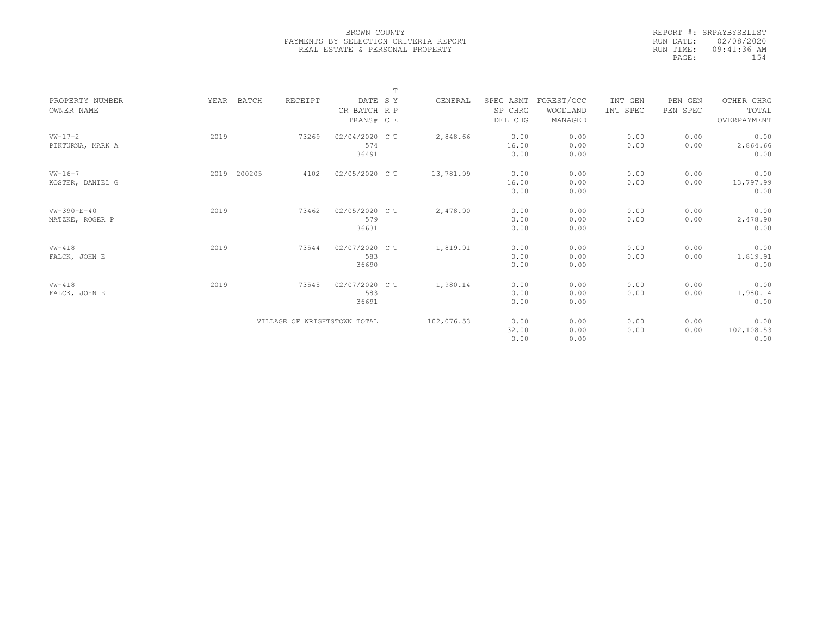|           | REPORT #: SRPAYBYSELLST |  |
|-----------|-------------------------|--|
|           | RUN DATE: 02/08/2020    |  |
| RUN TIME: | 09:41:36 AM             |  |
| PAGE:     | 154                     |  |
|           |                         |  |

|                     |      |        |         |                              | $\mathbb T$ |            |           |            |          |          |             |
|---------------------|------|--------|---------|------------------------------|-------------|------------|-----------|------------|----------|----------|-------------|
| PROPERTY NUMBER     | YEAR | BATCH  | RECEIPT | DATE SY                      |             | GENERAL    | SPEC ASMT | FOREST/OCC | INT GEN  | PEN GEN  | OTHER CHRG  |
| OWNER NAME          |      |        |         | CR BATCH R P                 |             |            | SP CHRG   | WOODLAND   | INT SPEC | PEN SPEC | TOTAL       |
|                     |      |        |         | TRANS# C E                   |             |            | DEL CHG   | MANAGED    |          |          | OVERPAYMENT |
|                     |      |        |         |                              |             |            |           |            |          |          |             |
| $VW-17-2$           | 2019 |        | 73269   | 02/04/2020 C T               |             | 2,848.66   | 0.00      | 0.00       | 0.00     | 0.00     | 0.00        |
| PIKTURNA, MARK A    |      |        |         | 574                          |             |            | 16.00     | 0.00       | 0.00     | 0.00     | 2,864.66    |
|                     |      |        |         | 36491                        |             |            | 0.00      | 0.00       |          |          | 0.00        |
|                     |      |        |         |                              |             |            |           |            |          |          |             |
| $VW - 16 - 7$       | 2019 | 200205 | 4102    | 02/05/2020 C T               |             | 13,781.99  | 0.00      | 0.00       | 0.00     | 0.00     | 0.00        |
| KOSTER, DANIEL G    |      |        |         |                              |             |            | 16.00     | 0.00       | 0.00     | 0.00     | 13,797.99   |
|                     |      |        |         |                              |             |            | 0.00      | 0.00       |          |          | 0.00        |
|                     |      |        |         |                              |             |            |           |            |          |          |             |
| $VW - 390 - E - 40$ | 2019 |        | 73462   | 02/05/2020 C T               |             | 2,478.90   | 0.00      | 0.00       | 0.00     | 0.00     | 0.00        |
| MATZKE, ROGER P     |      |        |         | 579                          |             |            | 0.00      | 0.00       | 0.00     | 0.00     | 2,478.90    |
|                     |      |        |         | 36631                        |             |            | 0.00      | 0.00       |          |          | 0.00        |
|                     |      |        |         |                              |             |            |           |            |          |          |             |
| $VW-418$            | 2019 |        | 73544   | 02/07/2020 CT                |             | 1,819.91   | 0.00      | 0.00       | 0.00     | 0.00     | 0.00        |
| FALCK, JOHN E       |      |        |         | 583                          |             |            | 0.00      | 0.00       | 0.00     | 0.00     | 1,819.91    |
|                     |      |        |         | 36690                        |             |            | 0.00      | 0.00       |          |          | 0.00        |
|                     |      |        |         |                              |             |            |           |            |          |          |             |
| $VW-418$            | 2019 |        | 73545   | 02/07/2020 C T               |             | 1,980.14   | 0.00      | 0.00       | 0.00     | 0.00     | 0.00        |
| FALCK, JOHN E       |      |        |         | 583                          |             |            | 0.00      | 0.00       | 0.00     | 0.00     | 1,980.14    |
|                     |      |        |         | 36691                        |             |            | 0.00      | 0.00       |          |          | 0.00        |
|                     |      |        |         |                              |             |            |           |            |          |          |             |
|                     |      |        |         | VILLAGE OF WRIGHTSTOWN TOTAL |             | 102,076.53 | 0.00      | 0.00       | 0.00     | 0.00     | 0.00        |
|                     |      |        |         |                              |             |            | 32.00     | 0.00       | 0.00     | 0.00     | 102,108.53  |
|                     |      |        |         |                              |             |            | 0.00      | 0.00       |          |          | 0.00        |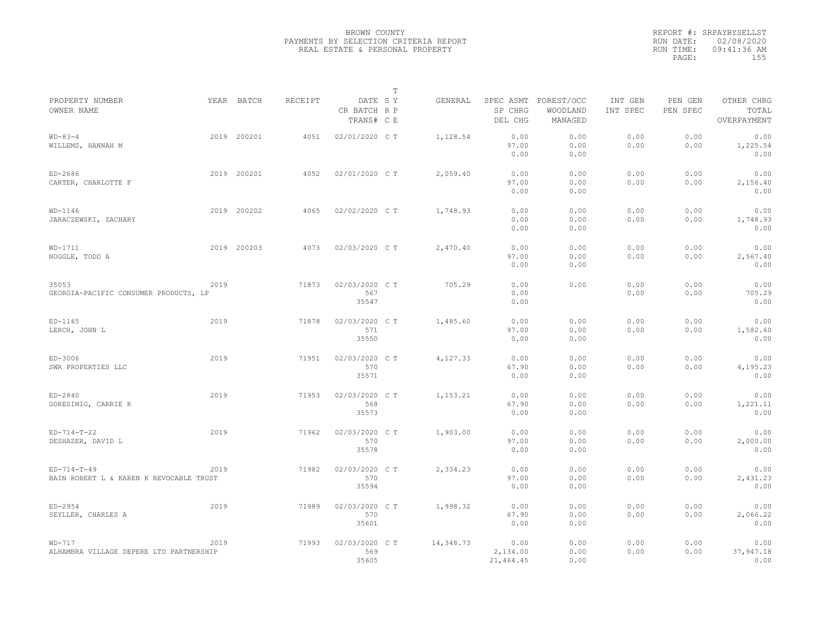|                                                          |      |             |                |                                       | $\mathbb T$ |           |                               |                                             |                     |                     |                                    |  |
|----------------------------------------------------------|------|-------------|----------------|---------------------------------------|-------------|-----------|-------------------------------|---------------------------------------------|---------------------|---------------------|------------------------------------|--|
| PROPERTY NUMBER<br>OWNER NAME                            |      | YEAR BATCH  | <b>RECEIPT</b> | DATE SY<br>CR BATCH R P<br>TRANS# C E |             | GENERAL   | SP CHRG<br>DEL CHG            | SPEC ASMT FOREST/OCC<br>WOODLAND<br>MANAGED | INT GEN<br>INT SPEC | PEN GEN<br>PEN SPEC | OTHER CHRG<br>TOTAL<br>OVERPAYMENT |  |
| $WD - 83 - 4$<br>WILLEMS, HANNAH M                       |      | 2019 200201 | 4051           | 02/01/2020 C T                        |             | 1,128.54  | 0.00<br>97.00<br>0.00         | 0.00<br>0.00<br>0.00                        | 0.00<br>0.00        | 0.00<br>0.00        | 0.00<br>1,225.54<br>0.00           |  |
| $ED-2686$<br>CARTER, CHARLOTTE F                         |      | 2019 200201 | 4052           | 02/01/2020 C T                        |             | 2,059.40  | 0.00<br>97.00<br>0.00         | 0.00<br>0.00<br>0.00                        | 0.00<br>0.00        | 0.00<br>0.00        | 0.00<br>2,156.40<br>0.00           |  |
| $WD-1146$<br>JARACZEWSKI, ZACHARY                        |      | 2019 200202 | 4065           | 02/02/2020 C T                        |             | 1,748.93  | 0.00<br>0.00<br>0.00          | 0.00<br>0.00<br>0.00                        | 0.00<br>0.00        | 0.00<br>0.00        | 0.00<br>1,748.93<br>0.00           |  |
| $WD-1711$<br>NOGGLE, TODD A                              |      | 2019 200203 | 4073           | 02/03/2020 C T                        |             | 2,470.40  | 0.00<br>97.00<br>0.00         | 0.00<br>0.00<br>0.00                        | 0.00<br>0.00        | 0.00<br>0.00        | 0.00<br>2,567.40<br>0.00           |  |
| 35053<br>GEORGIA-PACIFIC CONSUMER PRODUCTS, LP           | 2019 |             | 71873          | 02/03/2020 C T<br>567<br>35547        |             | 705.29    | 0.00<br>0.00<br>0.00          | 0.00                                        | 0.00<br>0.00        | 0.00<br>0.00        | 0.00<br>705.29<br>0.00             |  |
| $ED-1165$<br>LERCH, JOHN L                               | 2019 |             | 71878          | 02/03/2020 C T<br>571<br>35550        |             | 1,485.60  | 0.00<br>97.00<br>0.00         | 0.00<br>0.00<br>0.00                        | 0.00<br>0.00        | 0.00<br>0.00        | 0.00<br>1,582.60<br>0.00           |  |
| ED-3006<br>SWR PROPERTIES LLC                            | 2019 |             | 71951          | 02/03/2020 CT<br>570<br>35571         |             | 4,127.33  | 0.00<br>67.90<br>0.00         | 0.00<br>0.00<br>0.00                        | 0.00<br>0.00        | 0.00<br>0.00        | 0.00<br>4,195.23<br>0.00           |  |
| $ED-2840$<br>GORESIMIG, CARRIE R                         | 2019 |             | 71953          | 02/03/2020 C T<br>568<br>35573        |             | 1,153.21  | 0.00<br>67.90<br>0.00         | 0.00<br>0.00<br>0.00                        | 0.00<br>0.00        | 0.00<br>0.00        | 0.00<br>1,221.11<br>0.00           |  |
| $ED-714-T-22$<br>DESHAZER, DAVID L                       | 2019 |             | 71962          | 02/03/2020 CT<br>570<br>35578         |             | 1,903.00  | 0.00<br>97.00<br>0.00         | 0.00<br>0.00<br>0.00                        | 0.00<br>0.00        | 0.00<br>0.00        | 0.00<br>2,000.00<br>0.00           |  |
| $ED-714-T-49$<br>BAIN ROBERT L & KAREN K REVOCABLE TRUST | 2019 |             | 71982          | 02/03/2020 C T<br>570<br>35594        |             | 2,334.23  | 0.00<br>97.00<br>0.00         | 0.00<br>0.00<br>0.00                        | 0.00<br>0.00        | 0.00<br>0.00        | 0.00<br>2,431.23<br>0.00           |  |
| $ED-2954$<br>SEYLLER, CHARLES A                          | 2019 |             | 71989          | 02/03/2020 CT<br>570<br>35601         |             | 1,998.32  | 0.00<br>67.90<br>0.00         | 0.00<br>0.00<br>0.00                        | 0.00<br>0.00        | 0.00<br>0.00        | 0.00<br>2,066.22<br>0.00           |  |
| $WD-717$<br>ALHAMBRA VILLAGE DEPERE LTD PARTNERSHIP      | 2019 |             | 71993          | 02/03/2020 CT<br>569<br>35605         |             | 14,348.73 | 0.00<br>2,134.00<br>21,464.45 | 0.00<br>0.00<br>0.00                        | 0.00<br>0.00        | 0.00<br>0.00        | 0.00<br>37,947.18<br>0.00          |  |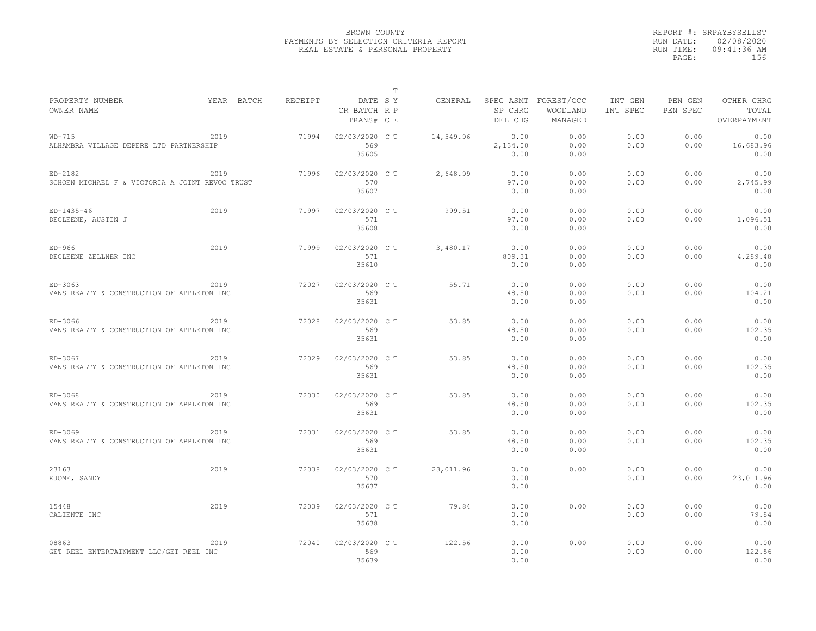|                                                            |            |         |                                       | $\mathbb T$ |           |                                 |                                   |                     |                     |                                    |
|------------------------------------------------------------|------------|---------|---------------------------------------|-------------|-----------|---------------------------------|-----------------------------------|---------------------|---------------------|------------------------------------|
| PROPERTY NUMBER<br>OWNER NAME                              | YEAR BATCH | RECEIPT | DATE SY<br>CR BATCH R P<br>TRANS# C E |             | GENERAL   | SPEC ASMT<br>SP CHRG<br>DEL CHG | FOREST/OCC<br>WOODLAND<br>MANAGED | INT GEN<br>INT SPEC | PEN GEN<br>PEN SPEC | OTHER CHRG<br>TOTAL<br>OVERPAYMENT |
| $WD-715$<br>ALHAMBRA VILLAGE DEPERE LTD PARTNERSHIP        | 2019       | 71994   | 02/03/2020 C T<br>569                 |             | 14,549.96 | 0.00<br>2,134.00                | 0.00<br>0.00                      | 0.00<br>0.00        | 0.00<br>0.00        | 0.00<br>16,683.96                  |
|                                                            |            |         | 35605                                 |             |           | 0.00                            | 0.00                              |                     |                     | 0.00                               |
| ED-2182<br>SCHOEN MICHAEL F & VICTORIA A JOINT REVOC TRUST | 2019       | 71996   | 02/03/2020 C T<br>570<br>35607        |             | 2,648.99  | 0.00<br>97.00<br>0.00           | 0.00<br>0.00<br>0.00              | 0.00<br>0.00        | 0.00<br>0.00        | 0.00<br>2,745.99<br>0.00           |
| $ED-1435-46$<br>DECLEENE, AUSTIN J                         | 2019       | 71997   | 02/03/2020 C T<br>571<br>35608        |             | 999.51    | 0.00<br>97.00<br>0.00           | 0.00<br>0.00<br>0.00              | 0.00<br>0.00        | 0.00<br>0.00        | 0.00<br>1,096.51<br>0.00           |
| $ED-966$<br>DECLEENE ZELLNER INC                           | 2019       | 71999   | 02/03/2020 C T<br>571<br>35610        |             | 3,480.17  | 0.00<br>809.31<br>0.00          | 0.00<br>0.00<br>0.00              | 0.00<br>0.00        | 0.00<br>0.00        | 0.00<br>4,289.48<br>0.00           |
| ED-3063<br>VANS REALTY & CONSTRUCTION OF APPLETON INC      | 2019       | 72027   | 02/03/2020 C T<br>569<br>35631        |             | 55.71     | 0.00<br>48.50<br>0.00           | 0.00<br>0.00<br>0.00              | 0.00<br>0.00        | 0.00<br>0.00        | 0.00<br>104.21<br>0.00             |
| ED-3066<br>VANS REALTY & CONSTRUCTION OF APPLETON INC      | 2019       | 72028   | 02/03/2020 C T<br>569<br>35631        |             | 53.85     | 0.00<br>48.50<br>0.00           | 0.00<br>0.00<br>0.00              | 0.00<br>0.00        | 0.00<br>0.00        | 0.00<br>102.35<br>0.00             |
| ED-3067<br>VANS REALTY & CONSTRUCTION OF APPLETON INC      | 2019       | 72029   | 02/03/2020 C T<br>569<br>35631        |             | 53.85     | 0.00<br>48.50<br>0.00           | 0.00<br>0.00<br>0.00              | 0.00<br>0.00        | 0.00<br>0.00        | 0.00<br>102.35<br>0.00             |
| ED-3068<br>VANS REALTY & CONSTRUCTION OF APPLETON INC      | 2019       | 72030   | 02/03/2020 C T<br>569<br>35631        |             | 53.85     | 0.00<br>48.50<br>0.00           | 0.00<br>0.00<br>0.00              | 0.00<br>0.00        | 0.00<br>0.00        | 0.00<br>102.35<br>0.00             |
| ED-3069<br>VANS REALTY & CONSTRUCTION OF APPLETON INC      | 2019       | 72031   | 02/03/2020 CT<br>569<br>35631         |             | 53.85     | 0.00<br>48.50<br>0.00           | 0.00<br>0.00<br>0.00              | 0.00<br>0.00        | 0.00<br>0.00        | 0.00<br>102.35<br>0.00             |
| 23163<br>KJOME, SANDY                                      | 2019       | 72038   | 02/03/2020 C T<br>570<br>35637        |             | 23,011.96 | 0.00<br>0.00<br>0.00            | 0.00                              | 0.00<br>0.00        | 0.00<br>0.00        | 0.00<br>23,011.96<br>0.00          |
| 15448<br>CALIENTE INC                                      | 2019       | 72039   | 02/03/2020 C T<br>571<br>35638        |             | 79.84     | 0.00<br>0.00<br>0.00            | 0.00                              | 0.00<br>0.00        | 0.00<br>0.00        | 0.00<br>79.84<br>0.00              |
| 08863<br>GET REEL ENTERTAINMENT LLC/GET REEL INC           | 2019       | 72040   | 02/03/2020 CT<br>569<br>35639         |             | 122.56    | 0.00<br>0.00<br>0.00            | 0.00                              | 0.00<br>0.00        | 0.00<br>0.00        | 0.00<br>122.56<br>0.00             |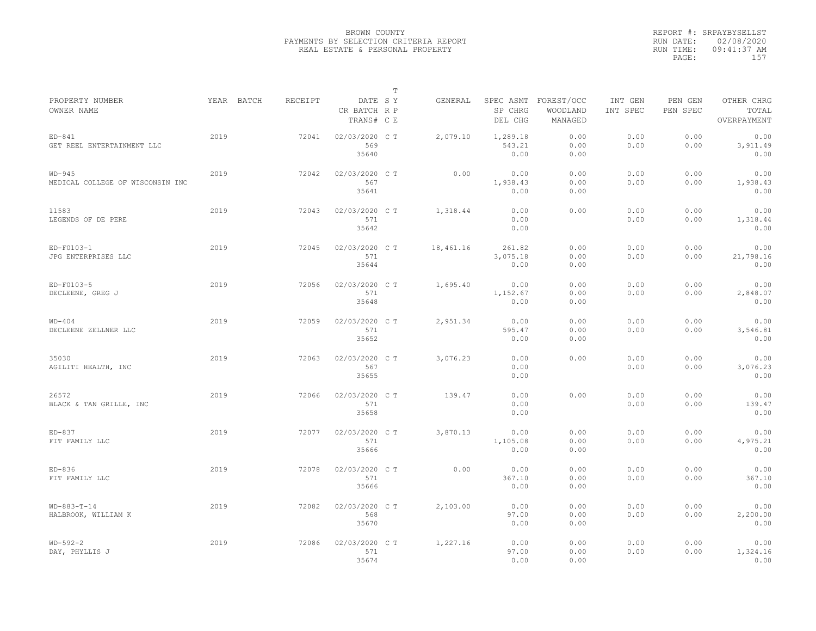|                                              |            |         |                                       | T |           |                            |                                             |                     |                     |                                    |
|----------------------------------------------|------------|---------|---------------------------------------|---|-----------|----------------------------|---------------------------------------------|---------------------|---------------------|------------------------------------|
| PROPERTY NUMBER<br>OWNER NAME                | YEAR BATCH | RECEIPT | DATE SY<br>CR BATCH R P<br>TRANS# C E |   | GENERAL   | SP CHRG<br>DEL CHG         | SPEC ASMT FOREST/OCC<br>WOODLAND<br>MANAGED | INT GEN<br>INT SPEC | PEN GEN<br>PEN SPEC | OTHER CHRG<br>TOTAL<br>OVERPAYMENT |
| $ED-841$<br>GET REEL ENTERTAINMENT LLC       | 2019       | 72041   | 02/03/2020 C T<br>569<br>35640        |   | 2,079.10  | 1,289.18<br>543.21<br>0.00 | 0.00<br>0.00<br>0.00                        | 0.00<br>0.00        | 0.00<br>0.00        | 0.00<br>3,911.49<br>0.00           |
| $WD-945$<br>MEDICAL COLLEGE OF WISCONSIN INC | 2019       | 72042   | 02/03/2020 C T<br>567<br>35641        |   | 0.00      | 0.00<br>1,938.43<br>0.00   | 0.00<br>0.00<br>0.00                        | 0.00<br>0.00        | 0.00<br>0.00        | 0.00<br>1,938.43<br>0.00           |
| 11583<br>LEGENDS OF DE PERE                  | 2019       | 72043   | 02/03/2020 C T<br>571<br>35642        |   | 1,318.44  | 0.00<br>0.00<br>0.00       | 0.00                                        | 0.00<br>0.00        | 0.00<br>0.00        | 0.00<br>1,318.44<br>0.00           |
| $ED-F0103-1$<br>JPG ENTERPRISES LLC          | 2019       | 72045   | 02/03/2020 C T<br>571<br>35644        |   | 18,461.16 | 261.82<br>3,075.18<br>0.00 | 0.00<br>0.00<br>0.00                        | 0.00<br>0.00        | 0.00<br>0.00        | 0.00<br>21,798.16<br>0.00          |
| ED-F0103-5<br>DECLEENE, GREG J               | 2019       | 72056   | 02/03/2020 C T<br>571<br>35648        |   | 1,695.40  | 0.00<br>1,152.67<br>0.00   | 0.00<br>0.00<br>0.00                        | 0.00<br>0.00        | 0.00<br>0.00        | 0.00<br>2,848.07<br>0.00           |
| $WD-404$<br>DECLEENE ZELLNER LLC             | 2019       | 72059   | 02/03/2020 C T<br>571<br>35652        |   | 2,951.34  | 0.00<br>595.47<br>0.00     | 0.00<br>0.00<br>0.00                        | 0.00<br>0.00        | 0.00<br>0.00        | 0.00<br>3,546.81<br>0.00           |
| 35030<br>AGILITI HEALTH, INC                 | 2019       | 72063   | 02/03/2020 C T<br>567<br>35655        |   | 3,076.23  | 0.00<br>0.00<br>0.00       | 0.00                                        | 0.00<br>0.00        | 0.00<br>0.00        | 0.00<br>3,076.23<br>0.00           |
| 26572<br>BLACK & TAN GRILLE, INC             | 2019       | 72066   | 02/03/2020 C T<br>571<br>35658        |   | 139.47    | 0.00<br>0.00<br>0.00       | 0.00                                        | 0.00<br>0.00        | 0.00<br>0.00        | 0.00<br>139.47<br>0.00             |
| $ED-837$<br>FIT FAMILY LLC                   | 2019       | 72077   | 02/03/2020 C T<br>571<br>35666        |   | 3,870.13  | 0.00<br>1,105.08<br>0.00   | 0.00<br>0.00<br>0.00                        | 0.00<br>0.00        | 0.00<br>0.00        | 0.00<br>4,975.21<br>0.00           |
| $ED-836$<br>FIT FAMILY LLC                   | 2019       | 72078   | 02/03/2020 C T<br>571<br>35666        |   | 0.00      | 0.00<br>367.10<br>0.00     | 0.00<br>0.00<br>0.00                        | 0.00<br>0.00        | 0.00<br>0.00        | 0.00<br>367.10<br>0.00             |
| $WD-883-T-14$<br>HALBROOK, WILLIAM K         | 2019       | 72082   | 02/03/2020 C T<br>568<br>35670        |   | 2,103.00  | 0.00<br>97.00<br>0.00      | 0.00<br>0.00<br>0.00                        | 0.00<br>0.00        | 0.00<br>0.00        | 0.00<br>2,200.00<br>0.00           |
| $WD-592-2$<br>DAY, PHYLLIS J                 | 2019       | 72086   | 02/03/2020 C T<br>571<br>35674        |   | 1,227.16  | 0.00<br>97.00<br>0.00      | 0.00<br>0.00<br>0.00                        | 0.00<br>0.00        | 0.00<br>0.00        | 0.00<br>1,324.16<br>0.00           |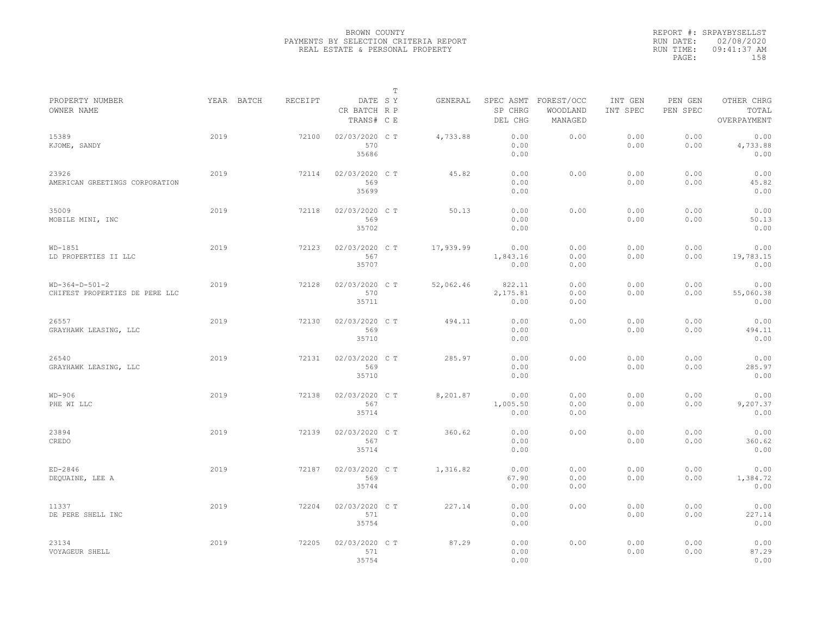|                                                    |            |         |                                       | $\mathbb T$ |           |                                 |                                   |                     |                     |                                    |
|----------------------------------------------------|------------|---------|---------------------------------------|-------------|-----------|---------------------------------|-----------------------------------|---------------------|---------------------|------------------------------------|
| PROPERTY NUMBER<br>OWNER NAME                      | YEAR BATCH | RECEIPT | DATE SY<br>CR BATCH R P<br>TRANS# C E |             | GENERAL   | SPEC ASMT<br>SP CHRG<br>DEL CHG | FOREST/OCC<br>WOODLAND<br>MANAGED | INT GEN<br>INT SPEC | PEN GEN<br>PEN SPEC | OTHER CHRG<br>TOTAL<br>OVERPAYMENT |
| 15389<br>KJOME, SANDY                              | 2019       | 72100   | 02/03/2020 C T<br>570<br>35686        |             | 4,733.88  | 0.00<br>0.00<br>0.00            | 0.00                              | 0.00<br>0.00        | 0.00<br>0.00        | 0.00<br>4,733.88<br>0.00           |
| 23926<br>AMERICAN GREETINGS CORPORATION            | 2019       | 72114   | 02/03/2020 C T<br>569<br>35699        |             | 45.82     | 0.00<br>0.00<br>0.00            | 0.00                              | 0.00<br>0.00        | 0.00<br>0.00        | 0.00<br>45.82<br>0.00              |
| 35009<br>MOBILE MINI, INC                          | 2019       | 72118   | 02/03/2020 C T<br>569<br>35702        |             | 50.13     | 0.00<br>0.00<br>0.00            | 0.00                              | 0.00<br>0.00        | 0.00<br>0.00        | 0.00<br>50.13<br>0.00              |
| $WD-1851$<br>LD PROPERTIES II LLC                  | 2019       | 72123   | 02/03/2020 CT<br>567<br>35707         |             | 17,939.99 | 0.00<br>1,843.16<br>0.00        | 0.00<br>0.00<br>0.00              | 0.00<br>0.00        | 0.00<br>0.00        | 0.00<br>19,783.15<br>0.00          |
| $WD-364-D-501-2$<br>CHIFEST PROPERTIES DE PERE LLC | 2019       | 72128   | 02/03/2020 C T<br>570<br>35711        |             | 52,062.46 | 822.11<br>2,175.81<br>0.00      | 0.00<br>0.00<br>0.00              | 0.00<br>0.00        | 0.00<br>0.00        | 0.00<br>55,060.38<br>0.00          |
| 26557<br>GRAYHAWK LEASING, LLC                     | 2019       | 72130   | 02/03/2020 C T<br>569<br>35710        |             | 494.11    | 0.00<br>0.00<br>0.00            | 0.00                              | 0.00<br>0.00        | 0.00<br>0.00        | 0.00<br>494.11<br>0.00             |
| 26540<br>GRAYHAWK LEASING, LLC                     | 2019       | 72131   | 02/03/2020 CT<br>569<br>35710         |             | 285.97    | 0.00<br>0.00<br>0.00            | 0.00                              | 0.00<br>0.00        | 0.00<br>0.00        | 0.00<br>285.97<br>0.00             |
| $WD-906$<br>PHE WI LLC                             | 2019       | 72138   | 02/03/2020 CT<br>567<br>35714         |             | 8,201.87  | 0.00<br>1,005.50<br>0.00        | 0.00<br>0.00<br>0.00              | 0.00<br>0.00        | 0.00<br>0.00        | 0.00<br>9,207.37<br>0.00           |
| 23894<br>CREDO                                     | 2019       | 72139   | 02/03/2020 C T<br>567<br>35714        |             | 360.62    | 0.00<br>0.00<br>0.00            | 0.00                              | 0.00<br>0.00        | 0.00<br>0.00        | 0.00<br>360.62<br>0.00             |
| $ED-2846$<br>DEQUAINE, LEE A                       | 2019       | 72187   | 02/03/2020 C T<br>569<br>35744        |             | 1,316.82  | 0.00<br>67.90<br>0.00           | 0.00<br>0.00<br>0.00              | 0.00<br>0.00        | 0.00<br>0.00        | 0.00<br>1,384.72<br>0.00           |
| 11337<br>DE PERE SHELL INC                         | 2019       | 72204   | 02/03/2020 CT<br>571<br>35754         |             | 227.14    | 0.00<br>0.00<br>0.00            | 0.00                              | 0.00<br>0.00        | 0.00<br>0.00        | 0.00<br>227.14<br>0.00             |
| 23134<br>VOYAGEUR SHELL                            | 2019       | 72205   | 02/03/2020 CT<br>571<br>35754         |             | 87.29     | 0.00<br>0.00<br>0.00            | 0.00                              | 0.00<br>0.00        | 0.00<br>0.00        | 0.00<br>87.29<br>0.00              |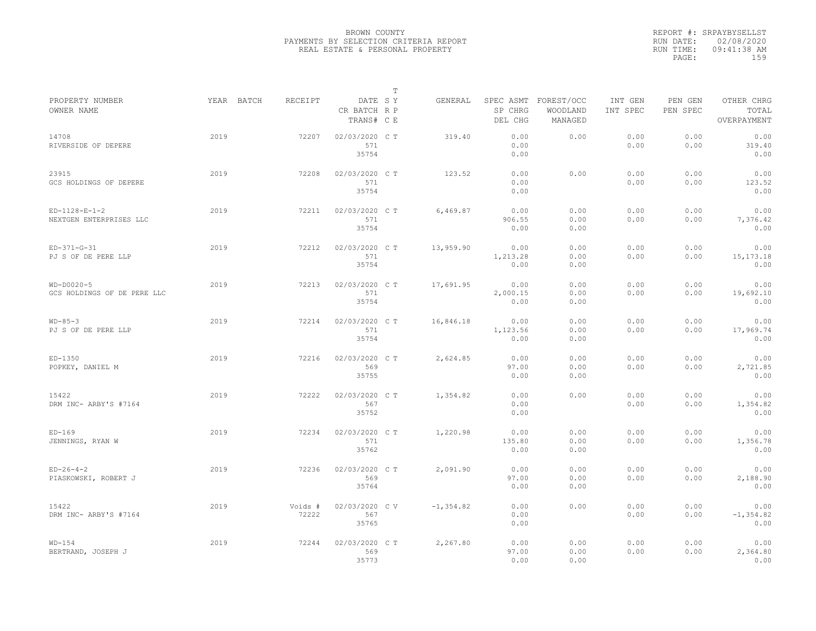|                                             |            |                  |                                       | T |              |                          |                                             |                     |                     |                                    |
|---------------------------------------------|------------|------------------|---------------------------------------|---|--------------|--------------------------|---------------------------------------------|---------------------|---------------------|------------------------------------|
| PROPERTY NUMBER<br>OWNER NAME               | YEAR BATCH | RECEIPT          | DATE SY<br>CR BATCH R P<br>TRANS# C E |   | GENERAL      | SP CHRG<br>DEL CHG       | SPEC ASMT FOREST/OCC<br>WOODLAND<br>MANAGED | INT GEN<br>INT SPEC | PEN GEN<br>PEN SPEC | OTHER CHRG<br>TOTAL<br>OVERPAYMENT |
| 14708<br>RIVERSIDE OF DEPERE                | 2019       | 72207            | 02/03/2020 C T<br>571<br>35754        |   | 319.40       | 0.00<br>0.00<br>0.00     | 0.00                                        | 0.00<br>0.00        | 0.00<br>0.00        | 0.00<br>319.40<br>0.00             |
| 23915<br>GCS HOLDINGS OF DEPERE             | 2019       | 72208            | 02/03/2020 C T<br>571<br>35754        |   | 123.52       | 0.00<br>0.00<br>0.00     | 0.00                                        | 0.00<br>0.00        | 0.00<br>0.00        | 0.00<br>123.52<br>0.00             |
| $ED-1128-E-1-2$<br>NEXTGEN ENTERPRISES LLC  | 2019       | 72211            | 02/03/2020 C T<br>571<br>35754        |   | 6.469.87     | 0.00<br>906.55<br>0.00   | 0.00<br>0.00<br>0.00                        | 0.00<br>0.00        | 0.00<br>0.00        | 0.00<br>7,376.42<br>0.00           |
| $ED-371-G-31$<br>PJ S OF DE PERE LLP        | 2019       | 72212            | 02/03/2020 C T<br>571<br>35754        |   | 13,959.90    | 0.00<br>1,213.28<br>0.00 | 0.00<br>0.00<br>0.00                        | 0.00<br>0.00        | 0.00<br>0.00        | 0.00<br>15, 173. 18<br>0.00        |
| $WD-DOO2O-5$<br>GCS HOLDINGS OF DE PERE LLC | 2019       | 72213            | 02/03/2020 C T<br>571<br>35754        |   | 17,691.95    | 0.00<br>2,000.15<br>0.00 | 0.00<br>0.00<br>0.00                        | 0.00<br>0.00        | 0.00<br>0.00        | 0.00<br>19,692.10<br>0.00          |
| $WD-85-3$<br>PJ S OF DE PERE LLP            | 2019       | 72214            | 02/03/2020 C T<br>571<br>35754        |   | 16,846.18    | 0.00<br>1,123.56<br>0.00 | 0.00<br>0.00<br>0.00                        | 0.00<br>0.00        | 0.00<br>0.00        | 0.00<br>17,969.74<br>0.00          |
| $ED-1350$<br>POPKEY, DANIEL M               | 2019       | 72216            | 02/03/2020 C T<br>569<br>35755        |   | 2,624.85     | 0.00<br>97.00<br>0.00    | 0.00<br>0.00<br>0.00                        | 0.00<br>0.00        | 0.00<br>0.00        | 0.00<br>2,721.85<br>0.00           |
| 15422<br>DRM INC- ARBY'S #7164              | 2019       | 72222            | 02/03/2020 C T<br>567<br>35752        |   | 1,354.82     | 0.00<br>0.00<br>0.00     | 0.00                                        | 0.00<br>0.00        | 0.00<br>0.00        | 0.00<br>1,354.82<br>0.00           |
| $ED-169$<br>JENNINGS, RYAN W                | 2019       | 72234            | 02/03/2020 C T<br>571<br>35762        |   | 1,220.98     | 0.00<br>135.80<br>0.00   | 0.00<br>0.00<br>0.00                        | 0.00<br>0.00        | 0.00<br>0.00        | 0.00<br>1,356.78<br>0.00           |
| $ED-26-4-2$<br>PIASKOWSKI, ROBERT J         | 2019       | 72236            | 02/03/2020 C T<br>569<br>35764        |   | 2,091.90     | 0.00<br>97.00<br>0.00    | 0.00<br>0.00<br>0.00                        | 0.00<br>0.00        | 0.00<br>0.00        | 0.00<br>2,188.90<br>0.00           |
| 15422<br>DRM INC- ARBY'S #7164              | 2019       | Voids #<br>72222 | 02/03/2020 CV<br>567<br>35765         |   | $-1, 354.82$ | 0.00<br>0.00<br>0.00     | 0.00                                        | 0.00<br>0.00        | 0.00<br>0.00        | 0.00<br>$-1, 354.82$<br>0.00       |
| $WD-154$<br>BERTRAND, JOSEPH J              | 2019       | 72244            | 02/03/2020 C T<br>569<br>35773        |   | 2,267.80     | 0.00<br>97.00<br>0.00    | 0.00<br>0.00<br>0.00                        | 0.00<br>0.00        | 0.00<br>0.00        | 0.00<br>2,364.80<br>0.00           |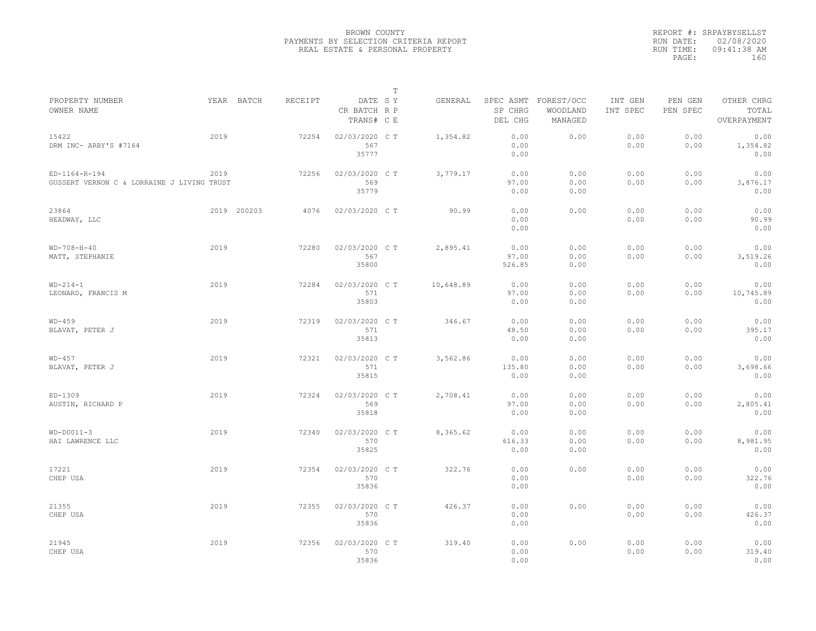|                                                             |      |             |         |                                       | $\mathbb T$ |           |                         |                                             |                     |                     |                                    |
|-------------------------------------------------------------|------|-------------|---------|---------------------------------------|-------------|-----------|-------------------------|---------------------------------------------|---------------------|---------------------|------------------------------------|
| PROPERTY NUMBER<br>OWNER NAME                               |      | YEAR BATCH  | RECEIPT | DATE SY<br>CR BATCH R P<br>TRANS# C E |             | GENERAL   | SP CHRG<br>DEL CHG      | SPEC ASMT FOREST/OCC<br>WOODLAND<br>MANAGED | INT GEN<br>INT SPEC | PEN GEN<br>PEN SPEC | OTHER CHRG<br>TOTAL<br>OVERPAYMENT |
| 15422<br>DRM INC- ARBY'S #7164                              | 2019 |             | 72254   | 02/03/2020 CT<br>567<br>35777         |             | 1,354.82  | 0.00<br>0.00<br>0.00    | 0.00                                        | 0.00<br>0.00        | 0.00<br>0.00        | 0.00<br>1,354.82<br>0.00           |
| ED-1164-R-194<br>GUSSERT VERNON C & LORRAINE J LIVING TRUST | 2019 |             | 72256   | 02/03/2020 C T<br>569<br>35779        |             | 3,779.17  | 0.00<br>97.00<br>0.00   | 0.00<br>0.00<br>0.00                        | 0.00<br>0.00        | 0.00<br>0.00        | 0.00<br>3,876.17<br>0.00           |
| 23864<br>HEADWAY, LLC                                       |      | 2019 200203 | 4076    | 02/03/2020 CT                         |             | 90.99     | 0.00<br>0.00<br>0.00    | 0.00                                        | 0.00<br>0.00        | 0.00<br>0.00        | 0.00<br>90.99<br>0.00              |
| $WD-708-H-40$<br>MATT, STEPHANIE                            | 2019 |             | 72280   | 02/03/2020 C T<br>567<br>35800        |             | 2,895.41  | 0.00<br>97.00<br>526.85 | 0.00<br>0.00<br>0.00                        | 0.00<br>0.00        | 0.00<br>0.00        | 0.00<br>3,519.26<br>0.00           |
| $WD-214-1$<br>LEONARD, FRANCIS M                            | 2019 |             | 72284   | 02/03/2020 C T<br>571<br>35803        |             | 10,648.89 | 0.00<br>97.00<br>0.00   | 0.00<br>0.00<br>0.00                        | 0.00<br>0.00        | 0.00<br>0.00        | 0.00<br>10,745.89<br>0.00          |
| $WD-459$<br>BLAVAT, PETER J                                 | 2019 |             | 72319   | 02/03/2020 C T<br>571<br>35813        |             | 346.67    | 0.00<br>48.50<br>0.00   | 0.00<br>0.00<br>0.00                        | 0.00<br>0.00        | 0.00<br>0.00        | 0.00<br>395.17<br>0.00             |
| $WD-457$<br>BLAVAT, PETER J                                 | 2019 |             | 72321   | 02/03/2020 CT<br>571<br>35815         |             | 3,562.86  | 0.00<br>135.80<br>0.00  | 0.00<br>0.00<br>0.00                        | 0.00<br>0.00        | 0.00<br>0.00        | 0.00<br>3,698.66<br>0.00           |
| $ED-1309$<br>AUSTIN, RICHARD P                              | 2019 |             | 72324   | 02/03/2020 CT<br>569<br>35818         |             | 2,708.41  | 0.00<br>97.00<br>0.00   | 0.00<br>0.00<br>0.00                        | 0.00<br>0.00        | 0.00<br>0.00        | 0.00<br>2,805.41<br>0.00           |
| $WD-DOO11-3$<br>HAI LAWRENCE LLC                            | 2019 |             | 72340   | 02/03/2020 C T<br>570<br>35825        |             | 8,365.62  | 0.00<br>616.33<br>0.00  | 0.00<br>0.00<br>0.00                        | 0.00<br>0.00        | 0.00<br>0.00        | 0.00<br>8,981.95<br>0.00           |
| 17221<br>CHEP USA                                           | 2019 |             | 72354   | 02/03/2020 C T<br>570<br>35836        |             | 322.76    | 0.00<br>0.00<br>0.00    | 0.00                                        | 0.00<br>0.00        | 0.00<br>0.00        | 0.00<br>322.76<br>0.00             |
| 21355<br>CHEP USA                                           | 2019 |             | 72355   | 02/03/2020 CT<br>570<br>35836         |             | 426.37    | 0.00<br>0.00<br>0.00    | 0.00                                        | 0.00<br>0.00        | 0.00<br>0.00        | 0.00<br>426.37<br>0.00             |
| 21945<br>CHEP USA                                           | 2019 |             | 72356   | 02/03/2020 C T<br>570<br>35836        |             | 319.40    | 0.00<br>0.00<br>0.00    | 0.00                                        | 0.00<br>0.00        | 0.00<br>0.00        | 0.00<br>319.40<br>0.00             |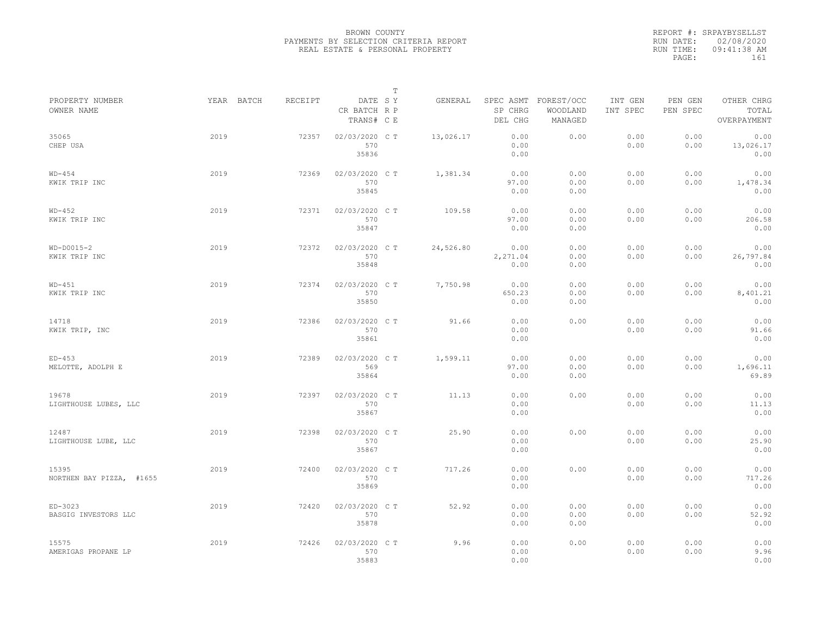|           | REPORT #: SRPAYBYSELLST |
|-----------|-------------------------|
|           | RUN DATE: 02/08/2020    |
| RUN TIME: | 09:41:38 AM             |
| PAGE:     | 161                     |
|           |                         |

|                                   |            |         |                                       | $\mathbb T$ |           |                          |                                             |                     |                     |                                    |  |
|-----------------------------------|------------|---------|---------------------------------------|-------------|-----------|--------------------------|---------------------------------------------|---------------------|---------------------|------------------------------------|--|
| PROPERTY NUMBER<br>OWNER NAME     | YEAR BATCH | RECEIPT | DATE SY<br>CR BATCH R P<br>TRANS# C E |             | GENERAL   | SP CHRG<br>DEL CHG       | SPEC ASMT FOREST/OCC<br>WOODLAND<br>MANAGED | INT GEN<br>INT SPEC | PEN GEN<br>PEN SPEC | OTHER CHRG<br>TOTAL<br>OVERPAYMENT |  |
| 35065<br>CHEP USA                 | 2019       | 72357   | 02/03/2020 CT<br>570<br>35836         |             | 13,026.17 | 0.00<br>0.00<br>0.00     | 0.00                                        | 0.00<br>0.00        | 0.00<br>0.00        | 0.00<br>13,026.17<br>0.00          |  |
| $WD-454$<br>KWIK TRIP INC         | 2019       | 72369   | 02/03/2020 C T<br>570<br>35845        |             | 1,381.34  | 0.00<br>97.00<br>0.00    | 0.00<br>0.00<br>0.00                        | 0.00<br>0.00        | 0.00<br>0.00        | 0.00<br>1,478.34<br>0.00           |  |
| $WD-452$<br>KWIK TRIP INC         | 2019       | 72371   | 02/03/2020 C T<br>570<br>35847        |             | 109.58    | 0.00<br>97.00<br>0.00    | 0.00<br>0.00<br>0.00                        | 0.00<br>0.00        | 0.00<br>0.00        | 0.00<br>206.58<br>0.00             |  |
| $WD-DOO15-2$<br>KWIK TRIP INC     | 2019       | 72372   | 02/03/2020 C T<br>570<br>35848        |             | 24,526.80 | 0.00<br>2,271.04<br>0.00 | 0.00<br>0.00<br>0.00                        | 0.00<br>0.00        | 0.00<br>0.00        | 0.00<br>26,797.84<br>0.00          |  |
| $WD-451$<br>KWIK TRIP INC         | 2019       | 72374   | 02/03/2020 C T<br>570<br>35850        |             | 7,750.98  | 0.00<br>650.23<br>0.00   | 0.00<br>0.00<br>0.00                        | 0.00<br>0.00        | 0.00<br>0.00        | 0.00<br>8,401.21<br>0.00           |  |
| 14718<br>KWIK TRIP, INC           | 2019       | 72386   | 02/03/2020 C T<br>570<br>35861        |             | 91.66     | 0.00<br>0.00<br>0.00     | 0.00                                        | 0.00<br>0.00        | 0.00<br>0.00        | 0.00<br>91.66<br>0.00              |  |
| $ED-453$<br>MELOTTE, ADOLPH E     | 2019       | 72389   | 02/03/2020 CT<br>569<br>35864         |             | 1,599.11  | 0.00<br>97.00<br>0.00    | 0.00<br>0.00<br>0.00                        | 0.00<br>0.00        | 0.00<br>0.00        | 0.00<br>1,696.11<br>69.89          |  |
| 19678<br>LIGHTHOUSE LUBES, LLC    | 2019       | 72397   | 02/03/2020 C T<br>570<br>35867        |             | 11.13     | 0.00<br>0.00<br>0.00     | 0.00                                        | 0.00<br>0.00        | 0.00<br>0.00        | 0.00<br>11.13<br>0.00              |  |
| 12487<br>LIGHTHOUSE LUBE, LLC     | 2019       | 72398   | 02/03/2020 CT<br>570<br>35867         |             | 25.90     | 0.00<br>0.00<br>0.00     | 0.00                                        | 0.00<br>0.00        | 0.00<br>0.00        | 0.00<br>25.90<br>0.00              |  |
| 15395<br>NORTHEN BAY PIZZA, #1655 | 2019       | 72400   | 02/03/2020 CT<br>570<br>35869         |             | 717.26    | 0.00<br>0.00<br>0.00     | 0.00                                        | 0.00<br>0.00        | 0.00<br>0.00        | 0.00<br>717.26<br>0.00             |  |
| ED-3023<br>BASGIG INVESTORS LLC   | 2019       | 72420   | 02/03/2020 C T<br>570<br>35878        |             | 52.92     | 0.00<br>0.00<br>0.00     | 0.00<br>0.00<br>0.00                        | 0.00<br>0.00        | 0.00<br>0.00        | 0.00<br>52.92<br>0.00              |  |
| 15575<br>AMERIGAS PROPANE LP      | 2019       | 72426   | 02/03/2020 CT<br>570<br>35883         |             | 9.96      | 0.00<br>0.00<br>0.00     | 0.00                                        | 0.00<br>0.00        | 0.00<br>0.00        | 0.00<br>9.96<br>0.00               |  |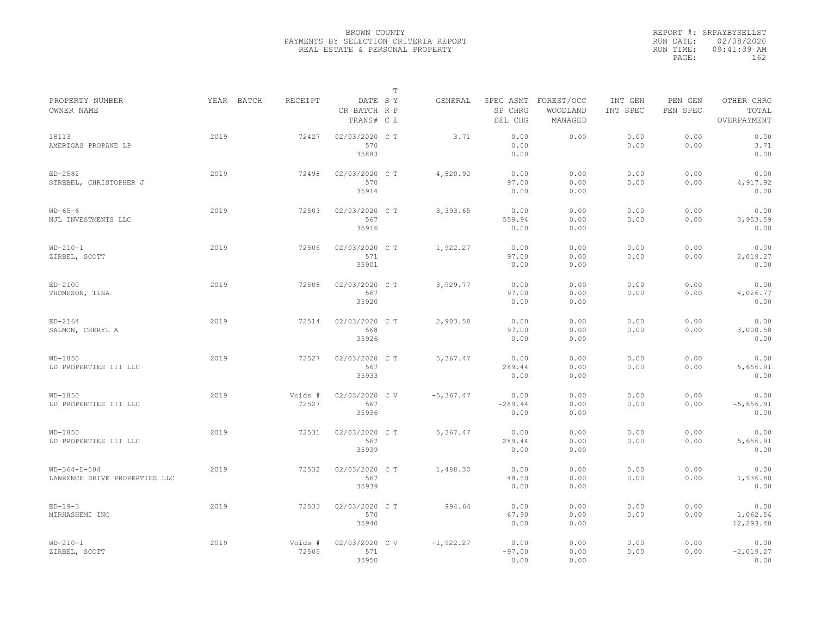|                                                 |            |                  |                                       | $\mathbb T$ |              |                           |                                             |                     |                     |                                    |
|-------------------------------------------------|------------|------------------|---------------------------------------|-------------|--------------|---------------------------|---------------------------------------------|---------------------|---------------------|------------------------------------|
| PROPERTY NUMBER<br>OWNER NAME                   | YEAR BATCH | RECEIPT          | DATE SY<br>CR BATCH R P<br>TRANS# C E |             | GENERAL      | SP CHRG<br>DEL CHG        | SPEC ASMT FOREST/OCC<br>WOODLAND<br>MANAGED | INT GEN<br>INT SPEC | PEN GEN<br>PEN SPEC | OTHER CHRG<br>TOTAL<br>OVERPAYMENT |
| 18113<br>AMERIGAS PROPANE LP                    | 2019       | 72427            | 02/03/2020 CT<br>570<br>35883         |             | 3.71         | 0.00<br>0.00<br>0.00      | 0.00                                        | 0.00<br>0.00        | 0.00<br>0.00        | 0.00<br>3.71<br>0.00               |
| $ED-2582$<br>STREBEL, CHRISTOPHER J             | 2019       | 72498            | 02/03/2020 C T<br>570<br>35914        |             | 4,820.92     | 0.00<br>97.00<br>0.00     | 0.00<br>0.00<br>0.00                        | 0.00<br>0.00        | 0.00<br>0.00        | 0.00<br>4,917.92<br>0.00           |
| $WD-65-6$<br>NJL INVESTMENTS LLC                | 2019       | 72503            | 02/03/2020 C T<br>567<br>35916        |             | 3,393.65     | 0.00<br>559.94<br>0.00    | 0.00<br>0.00<br>0.00                        | 0.00<br>0.00        | 0.00<br>0.00        | 0.00<br>3,953.59<br>0.00           |
| $WD-210-1$<br>ZIRBEL, SCOTT                     | 2019       | 72505            | 02/03/2020 C T<br>571<br>35901        |             | 1,922.27     | 0.00<br>97.00<br>0.00     | 0.00<br>0.00<br>0.00                        | 0.00<br>0.00        | 0.00<br>0.00        | 0.00<br>2,019.27<br>0.00           |
| $ED-2100$<br>THOMPSON, TINA                     | 2019       | 72508            | 02/03/2020 C T<br>567<br>35920        |             | 3,929.77     | 0.00<br>97.00<br>0.00     | 0.00<br>0.00<br>0.00                        | 0.00<br>0.00        | 0.00<br>0.00        | 0.00<br>4,026.77<br>0.00           |
| $ED-2164$<br>SALMON, CHERYL A                   | 2019       | 72514            | 02/03/2020 C T<br>568<br>35926        |             | 2,903.58     | 0.00<br>97.00<br>0.00     | 0.00<br>0.00<br>0.00                        | 0.00<br>0.00        | 0.00<br>0.00        | 0.00<br>3,000.58<br>0.00           |
| $WD-1850$<br>LD PROPERTIES III LLC              | 2019       | 72527            | 02/03/2020 C T<br>567<br>35933        |             | 5,367.47     | 0.00<br>289.44<br>0.00    | 0.00<br>0.00<br>0.00                        | 0.00<br>0.00        | 0.00<br>0.00        | 0.00<br>5,656.91<br>0.00           |
| $WD-1850$<br>LD PROPERTIES III LLC              | 2019       | Voids #<br>72527 | 02/03/2020 C V<br>567<br>35936        |             | $-5, 367.47$ | 0.00<br>$-289.44$<br>0.00 | 0.00<br>0.00<br>0.00                        | 0.00<br>0.00        | 0.00<br>0.00        | 0.00<br>$-5,656.91$<br>0.00        |
| $WD-1850$<br>LD PROPERTIES III LLC              | 2019       | 72531            | 02/03/2020 C T<br>567<br>35939        |             | 5.367.47     | 0.00<br>289.44<br>0.00    | 0.00<br>0.00<br>0.00                        | 0.00<br>0.00        | 0.00<br>0.00        | 0.00<br>5,656.91<br>0.00           |
| $WD-364-D-504$<br>LAWRENCE DRIVE PROPERTIES LLC | 2019       | 72532            | 02/03/2020 CT<br>567<br>35939         |             | 1,488.30     | 0.00<br>48.50<br>0.00     | 0.00<br>0.00<br>0.00                        | 0.00<br>0.00        | 0.00<br>0.00        | 0.00<br>1,536.80<br>0.00           |
| $ED-19-3$<br>MIRHASHEMI INC                     | 2019       | 72533            | 02/03/2020 C T<br>570<br>35940        |             | 994.64       | 0.00<br>67.90<br>0.00     | 0.00<br>0.00<br>0.00                        | 0.00<br>0.00        | 0.00<br>0.00        | 0.00<br>1,062.54<br>12,293.40      |
| $WD-210-1$<br>ZIRBEL, SCOTT                     | 2019       | Voids #<br>72505 | 02/03/2020 CV<br>571<br>35950         |             | $-1,922.27$  | 0.00<br>$-97.00$<br>0.00  | 0.00<br>0.00<br>0.00                        | 0.00<br>0.00        | 0.00<br>0.00        | 0.00<br>$-2,019.27$<br>0.00        |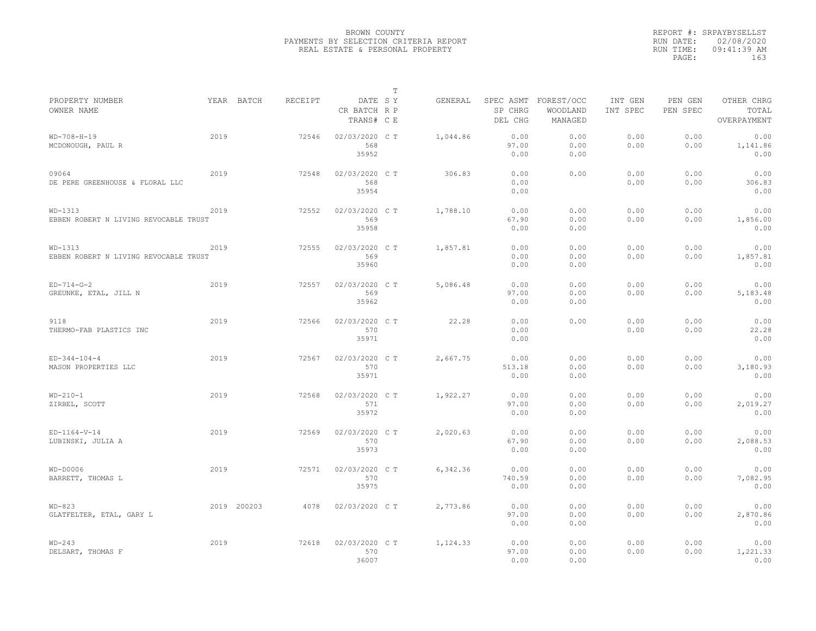|                                                  |      |             |         |                                       | $\mathbb T$ |          |                                 |                                   |                     |                     |                                    |
|--------------------------------------------------|------|-------------|---------|---------------------------------------|-------------|----------|---------------------------------|-----------------------------------|---------------------|---------------------|------------------------------------|
| PROPERTY NUMBER<br>OWNER NAME                    |      | YEAR BATCH  | RECEIPT | DATE SY<br>CR BATCH R P<br>TRANS# C E |             | GENERAL  | SPEC ASMT<br>SP CHRG<br>DEL CHG | FOREST/OCC<br>WOODLAND<br>MANAGED | INT GEN<br>INT SPEC | PEN GEN<br>PEN SPEC | OTHER CHRG<br>TOTAL<br>OVERPAYMENT |
| $WD-708-H-19$<br>MCDONOUGH, PAUL R               | 2019 |             | 72546   | 02/03/2020 C T<br>568<br>35952        |             | 1,044.86 | 0.00<br>97.00<br>0.00           | 0.00<br>0.00<br>0.00              | 0.00<br>0.00        | 0.00<br>0.00        | 0.00<br>1,141.86<br>0.00           |
| 09064<br>DE PERE GREENHOUSE & FLORAL LLC         | 2019 |             | 72548   | 02/03/2020 C T<br>568<br>35954        |             | 306.83   | 0.00<br>0.00<br>0.00            | 0.00                              | 0.00<br>0.00        | 0.00<br>0.00        | 0.00<br>306.83<br>0.00             |
| WD-1313<br>EBBEN ROBERT N LIVING REVOCABLE TRUST | 2019 |             | 72552   | 02/03/2020 C T<br>569<br>35958        |             | 1,788.10 | 0.00<br>67.90<br>0.00           | 0.00<br>0.00<br>0.00              | 0.00<br>0.00        | 0.00<br>0.00        | 0.00<br>1,856.00<br>0.00           |
| WD-1313<br>EBBEN ROBERT N LIVING REVOCABLE TRUST | 2019 |             | 72555   | 02/03/2020 C T<br>569<br>35960        |             | 1,857.81 | 0.00<br>0.00<br>0.00            | 0.00<br>0.00<br>0.00              | 0.00<br>0.00        | 0.00<br>0.00        | 0.00<br>1,857.81<br>0.00           |
| $ED-714-G-2$<br>GREUNKE, ETAL, JILL N            | 2019 |             | 72557   | 02/03/2020 C T<br>569<br>35962        |             | 5,086.48 | 0.00<br>97.00<br>0.00           | 0.00<br>0.00<br>0.00              | 0.00<br>0.00        | 0.00<br>0.00        | 0.00<br>5,183.48<br>0.00           |
| 9118<br>THERMO-FAB PLASTICS INC                  | 2019 |             | 72566   | 02/03/2020 C T<br>570<br>35971        |             | 22.28    | 0.00<br>0.00<br>0.00            | 0.00                              | 0.00<br>0.00        | 0.00<br>0.00        | 0.00<br>22.28<br>0.00              |
| $ED-344-104-4$<br>MASON PROPERTIES LLC           | 2019 |             | 72567   | 02/03/2020 C T<br>570<br>35971        |             | 2,667.75 | 0.00<br>513.18<br>0.00          | 0.00<br>0.00<br>0.00              | 0.00<br>0.00        | 0.00<br>0.00        | 0.00<br>3,180.93<br>0.00           |
| $WD-210-1$<br>ZIRBEL, SCOTT                      | 2019 |             | 72568   | 02/03/2020 C T<br>571<br>35972        |             | 1,922.27 | 0.00<br>97.00<br>0.00           | 0.00<br>0.00<br>0.00              | 0.00<br>0.00        | 0.00<br>0.00        | 0.00<br>2,019.27<br>0.00           |
| $ED-1164-V-14$<br>LUBINSKI, JULIA A              | 2019 |             | 72569   | 02/03/2020 C T<br>570<br>35973        |             | 2,020.63 | 0.00<br>67.90<br>0.00           | 0.00<br>0.00<br>0.00              | 0.00<br>0.00        | 0.00<br>0.00        | 0.00<br>2,088.53<br>0.00           |
| $WD-DOO06$<br>BARRETT, THOMAS L                  | 2019 |             | 72571   | 02/03/2020 CT<br>570<br>35975         |             | 6,342.36 | 0.00<br>740.59<br>0.00          | 0.00<br>0.00<br>0.00              | 0.00<br>0.00        | 0.00<br>0.00        | 0.00<br>7,082.95<br>0.00           |
| $WD-823$<br>GLATFELTER, ETAL, GARY L             |      | 2019 200203 | 4078    | 02/03/2020 C T                        |             | 2,773.86 | 0.00<br>97.00<br>0.00           | 0.00<br>0.00<br>0.00              | 0.00<br>0.00        | 0.00<br>0.00        | 0.00<br>2,870.86<br>0.00           |
| $WD-243$<br>DELSART, THOMAS F                    | 2019 |             | 72618   | 02/03/2020 CT<br>570<br>36007         |             | 1,124.33 | 0.00<br>97.00<br>0.00           | 0.00<br>0.00<br>0.00              | 0.00<br>0.00        | 0.00<br>0.00        | 0.00<br>1,221.33<br>0.00           |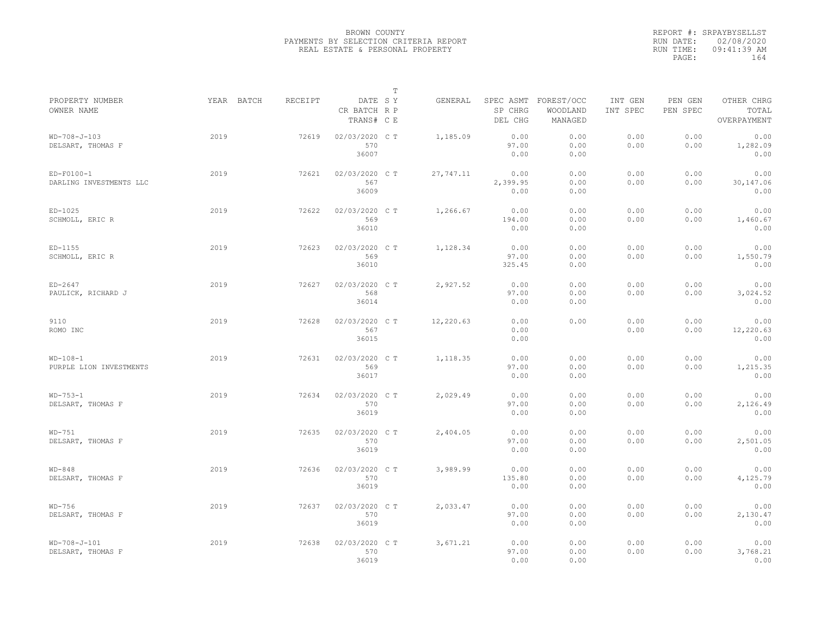|                                         |            |                |                                       | $\mathbb T$ |           |                                 |                                   |                     |                     |                                    |
|-----------------------------------------|------------|----------------|---------------------------------------|-------------|-----------|---------------------------------|-----------------------------------|---------------------|---------------------|------------------------------------|
| PROPERTY NUMBER<br>OWNER NAME           | YEAR BATCH | <b>RECEIPT</b> | DATE SY<br>CR BATCH R P<br>TRANS# C E |             | GENERAL   | SPEC ASMT<br>SP CHRG<br>DEL CHG | FOREST/OCC<br>WOODLAND<br>MANAGED | INT GEN<br>INT SPEC | PEN GEN<br>PEN SPEC | OTHER CHRG<br>TOTAL<br>OVERPAYMENT |
| $WD-708-J-103$<br>DELSART, THOMAS F     | 2019       | 72619          | 02/03/2020 CT<br>570<br>36007         |             | 1,185.09  | 0.00<br>97.00<br>0.00           | 0.00<br>0.00<br>0.00              | 0.00<br>0.00        | 0.00<br>0.00        | 0.00<br>1,282.09<br>0.00           |
| $ED-F0100-1$<br>DARLING INVESTMENTS LLC | 2019       | 72621          | 02/03/2020 C T<br>567<br>36009        |             | 27,747.11 | 0.00<br>2,399.95<br>0.00        | 0.00<br>0.00<br>0.00              | 0.00<br>0.00        | 0.00<br>0.00        | 0.00<br>30,147.06<br>0.00          |
| $ED-1025$<br>SCHMOLL, ERIC R            | 2019       | 72622          | 02/03/2020 C T<br>569<br>36010        |             | 1,266.67  | 0.00<br>194.00<br>0.00          | 0.00<br>0.00<br>0.00              | 0.00<br>0.00        | 0.00<br>0.00        | 0.00<br>1,460.67<br>0.00           |
| $ED-1155$<br>SCHMOLL, ERIC R            | 2019       | 72623          | 02/03/2020 C T<br>569<br>36010        |             | 1,128.34  | 0.00<br>97.00<br>325.45         | 0.00<br>0.00<br>0.00              | 0.00<br>0.00        | 0.00<br>0.00        | 0.00<br>1,550.79<br>0.00           |
| $ED-2647$<br>PAULICK, RICHARD J         | 2019       | 72627          | 02/03/2020 C T<br>568<br>36014        |             | 2,927.52  | 0.00<br>97.00<br>0.00           | 0.00<br>0.00<br>0.00              | 0.00<br>0.00        | 0.00<br>0.00        | 0.00<br>3,024.52<br>0.00           |
| 9110<br>ROMO INC                        | 2019       | 72628          | 02/03/2020 C T<br>567<br>36015        |             | 12,220.63 | 0.00<br>0.00<br>0.00            | 0.00                              | 0.00<br>0.00        | 0.00<br>0.00        | 0.00<br>12,220.63<br>0.00          |
| $WD-108-1$<br>PURPLE LION INVESTMENTS   | 2019       | 72631          | 02/03/2020 CT<br>569<br>36017         |             | 1,118.35  | 0.00<br>97.00<br>0.00           | 0.00<br>0.00<br>0.00              | 0.00<br>0.00        | 0.00<br>0.00        | 0.00<br>1,215.35<br>0.00           |
| $WD-753-1$<br>DELSART, THOMAS F         | 2019       | 72634          | 02/03/2020 C T<br>570<br>36019        |             | 2,029.49  | 0.00<br>97.00<br>0.00           | 0.00<br>0.00<br>0.00              | 0.00<br>0.00        | 0.00<br>0.00        | 0.00<br>2,126.49<br>0.00           |
| $WD-751$<br>DELSART, THOMAS F           | 2019       | 72635          | 02/03/2020 C T<br>570<br>36019        |             | 2,404.05  | 0.00<br>97.00<br>0.00           | 0.00<br>0.00<br>0.00              | 0.00<br>0.00        | 0.00<br>0.00        | 0.00<br>2,501.05<br>0.00           |
| $WD-848$<br>DELSART, THOMAS F           | 2019       | 72636          | 02/03/2020 CT<br>570<br>36019         |             | 3,989.99  | 0.00<br>135.80<br>0.00          | 0.00<br>0.00<br>0.00              | 0.00<br>0.00        | 0.00<br>0.00        | 0.00<br>4,125.79<br>0.00           |
| $WD-756$<br>DELSART, THOMAS F           | 2019       | 72637          | 02/03/2020 C T<br>570<br>36019        |             | 2,033.47  | 0.00<br>97.00<br>0.00           | 0.00<br>0.00<br>0.00              | 0.00<br>0.00        | 0.00<br>0.00        | 0.00<br>2,130.47<br>0.00           |
| $WD-708-J-101$<br>DELSART, THOMAS F     | 2019       | 72638          | 02/03/2020 C T<br>570<br>36019        |             | 3,671.21  | 0.00<br>97.00<br>0.00           | 0.00<br>0.00<br>0.00              | 0.00<br>0.00        | 0.00<br>0.00        | 0.00<br>3,768.21<br>0.00           |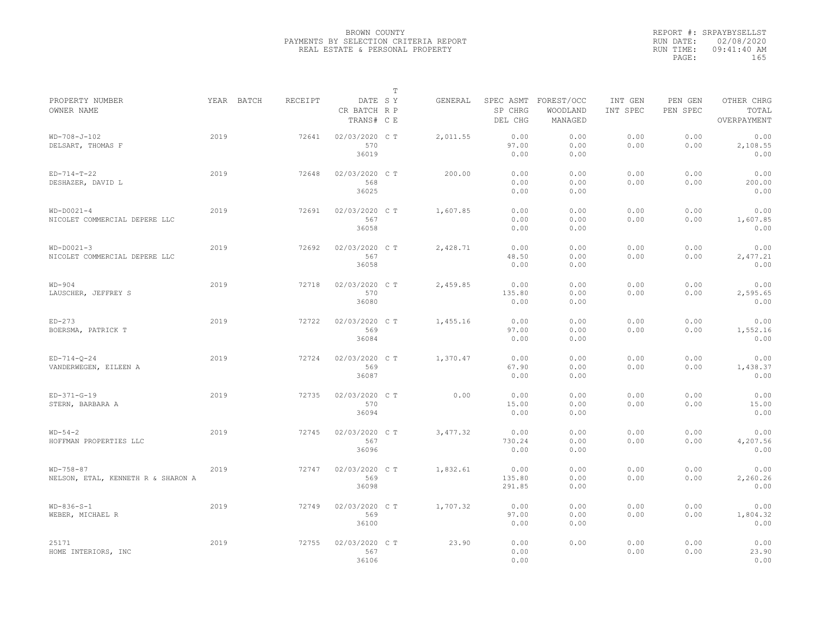|                                                   |            |         |                                       | $\mathbb T$ |          |                          |                                             |                     |                     |                                    |
|---------------------------------------------------|------------|---------|---------------------------------------|-------------|----------|--------------------------|---------------------------------------------|---------------------|---------------------|------------------------------------|
| PROPERTY NUMBER<br>OWNER NAME                     | YEAR BATCH | RECEIPT | DATE SY<br>CR BATCH R P<br>TRANS# C E |             | GENERAL  | SP CHRG<br>DEL CHG       | SPEC ASMT FOREST/OCC<br>WOODLAND<br>MANAGED | INT GEN<br>INT SPEC | PEN GEN<br>PEN SPEC | OTHER CHRG<br>TOTAL<br>OVERPAYMENT |
| WD-708-J-102<br>DELSART, THOMAS F                 | 2019       | 72641   | 02/03/2020 CT<br>570<br>36019         |             | 2,011.55 | 0.00<br>97.00<br>0.00    | 0.00<br>0.00<br>0.00                        | 0.00<br>0.00        | 0.00<br>0.00        | 0.00<br>2,108.55<br>0.00           |
| $ED-714-T-22$<br>DESHAZER, DAVID L                | 2019       | 72648   | 02/03/2020 C T<br>568<br>36025        |             | 200.00   | 0.00<br>0.00<br>0.00     | 0.00<br>0.00<br>0.00                        | 0.00<br>0.00        | 0.00<br>0.00        | 0.00<br>200.00<br>0.00             |
| $WD-DOO21-4$<br>NICOLET COMMERCIAL DEPERE LLC     | 2019       | 72691   | 02/03/2020 C T<br>567<br>36058        |             | 1,607.85 | 0.00<br>0.00<br>0.00     | 0.00<br>0.00<br>0.00                        | 0.00<br>0.00        | 0.00<br>0.00        | 0.00<br>1,607.85<br>0.00           |
| $WD-DOO21-3$<br>NICOLET COMMERCIAL DEPERE LLC     | 2019       | 72692   | 02/03/2020 C T<br>567<br>36058        |             | 2,428.71 | 0.00<br>48.50<br>0.00    | 0.00<br>0.00<br>0.00                        | 0.00<br>0.00        | 0.00<br>0.00        | 0.00<br>2,477.21<br>0.00           |
| $WD-904$<br>LAUSCHER, JEFFREY S                   | 2019       | 72718   | 02/03/2020 C T<br>570<br>36080        |             | 2,459.85 | 0.00<br>135.80<br>0.00   | 0.00<br>0.00<br>0.00                        | 0.00<br>0.00        | 0.00<br>0.00        | 0.00<br>2,595.65<br>0.00           |
| $ED-273$<br>BOERSMA, PATRICK T                    | 2019       | 72722   | 02/03/2020 CT<br>569<br>36084         |             | 1,455.16 | 0.00<br>97.00<br>0.00    | 0.00<br>0.00<br>0.00                        | 0.00<br>0.00        | 0.00<br>0.00        | 0.00<br>1,552.16<br>0.00           |
| $ED-714-Q-24$<br>VANDERWEGEN, EILEEN A            | 2019       | 72724   | 02/03/2020 C T<br>569<br>36087        |             | 1,370.47 | 0.00<br>67.90<br>0.00    | 0.00<br>0.00<br>0.00                        | 0.00<br>0.00        | 0.00<br>0.00        | 0.00<br>1,438.37<br>0.00           |
| $ED-371-G-19$<br>STERN, BARBARA A                 | 2019       | 72735   | 02/03/2020 C T<br>570<br>36094        |             | 0.00     | 0.00<br>15.00<br>0.00    | 0.00<br>0.00<br>0.00                        | 0.00<br>0.00        | 0.00<br>0.00        | 0.00<br>15.00<br>0.00              |
| $WD-54-2$<br>HOFFMAN PROPERTIES LLC               | 2019       | 72745   | 02/03/2020 CT<br>567<br>36096         |             | 3,477.32 | 0.00<br>730.24<br>0.00   | 0.00<br>0.00<br>0.00                        | 0.00<br>0.00        | 0.00<br>0.00        | 0.00<br>4,207.56<br>0.00           |
| $WD-758-87$<br>NELSON, ETAL, KENNETH R & SHARON A | 2019       | 72747   | 02/03/2020 C T<br>569<br>36098        |             | 1,832.61 | 0.00<br>135.80<br>291.85 | 0.00<br>0.00<br>0.00                        | 0.00<br>0.00        | 0.00<br>0.00        | 0.00<br>2,260.26<br>0.00           |
| $WD-836-S-1$<br>WEBER, MICHAEL R                  | 2019       | 72749   | 02/03/2020 C T<br>569<br>36100        |             | 1,707.32 | 0.00<br>97.00<br>0.00    | 0.00<br>0.00<br>0.00                        | 0.00<br>0.00        | 0.00<br>0.00        | 0.00<br>1,804.32<br>0.00           |
| 25171<br>HOME INTERIORS, INC                      | 2019       | 72755   | 02/03/2020 CT<br>567<br>36106         |             | 23.90    | 0.00<br>0.00<br>0.00     | 0.00                                        | 0.00<br>0.00        | 0.00<br>0.00        | 0.00<br>23.90<br>0.00              |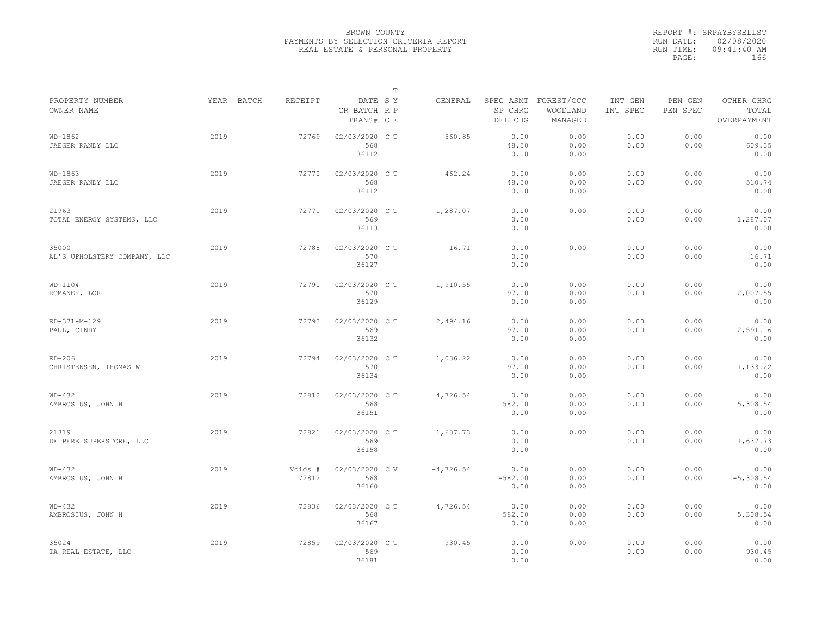|                                       |            |                  |                                       | $\mathbb T$ |             |                           |                                             |                     |                     |                                    |
|---------------------------------------|------------|------------------|---------------------------------------|-------------|-------------|---------------------------|---------------------------------------------|---------------------|---------------------|------------------------------------|
| PROPERTY NUMBER<br>OWNER NAME         | YEAR BATCH | RECEIPT          | DATE SY<br>CR BATCH R P<br>TRANS# C E |             | GENERAL     | SP CHRG<br>DEL CHG        | SPEC ASMT FOREST/OCC<br>WOODLAND<br>MANAGED | INT GEN<br>INT SPEC | PEN GEN<br>PEN SPEC | OTHER CHRG<br>TOTAL<br>OVERPAYMENT |
| $WD-1862$<br>JAEGER RANDY LLC         | 2019       | 72769            | 02/03/2020 CT<br>568<br>36112         |             | 560.85      | 0.00<br>48.50<br>0.00     | 0.00<br>0.00<br>0.00                        | 0.00<br>0.00        | 0.00<br>0.00        | 0.00<br>609.35<br>0.00             |
| $WD-1863$<br>JAEGER RANDY LLC         | 2019       | 72770            | 02/03/2020 C T<br>568<br>36112        |             | 462.24      | 0.00<br>48.50<br>0.00     | 0.00<br>0.00<br>0.00                        | 0.00<br>0.00        | 0.00<br>0.00        | 0.00<br>510.74<br>0.00             |
| 21963<br>TOTAL ENERGY SYSTEMS, LLC    | 2019       | 72771            | 02/03/2020 C T<br>569<br>36113        |             | 1,287.07    | 0.00<br>0.00<br>0.00      | 0.00                                        | 0.00<br>0.00        | 0.00<br>0.00        | 0.00<br>1,287.07<br>0.00           |
| 35000<br>AL'S UPHOLSTERY COMPANY, LLC | 2019       | 72788            | 02/03/2020 C T<br>570<br>36127        |             | 16.71       | 0.00<br>0.00<br>0.00      | 0.00                                        | 0.00<br>0.00        | 0.00<br>0.00        | 0.00<br>16.71<br>0.00              |
| $WD-1104$<br>ROMANEK, LORI            | 2019       | 72790            | 02/03/2020 C T<br>570<br>36129        |             | 1,910.55    | 0.00<br>97.00<br>0.00     | 0.00<br>0.00<br>0.00                        | 0.00<br>0.00        | 0.00<br>0.00        | 0.00<br>2,007.55<br>0.00           |
| ED-371-M-129<br>PAUL, CINDY           | 2019       | 72793            | 02/03/2020 C T<br>569<br>36132        |             | 2,494.16    | 0.00<br>97.00<br>0.00     | 0.00<br>0.00<br>0.00                        | 0.00<br>0.00        | 0.00<br>0.00        | 0.00<br>2,591.16<br>0.00           |
| $ED-206$<br>CHRISTENSEN, THOMAS W     | 2019       | 72794            | 02/03/2020 C T<br>570<br>36134        |             | 1,036.22    | 0.00<br>97.00<br>0.00     | 0.00<br>0.00<br>0.00                        | 0.00<br>0.00        | 0.00<br>0.00        | 0.00<br>1,133.22<br>0.00           |
| $WD-432$<br>AMBROSIUS, JOHN H         | 2019       | 72812            | 02/03/2020 C T<br>568<br>36151        |             | 4,726.54    | 0.00<br>582.00<br>0.00    | 0.00<br>0.00<br>0.00                        | 0.00<br>0.00        | 0.00<br>0.00        | 0.00<br>5,308.54<br>0.00           |
| 21319<br>DE PERE SUPERSTORE, LLC      | 2019       | 72821            | 02/03/2020 C T<br>569<br>36158        |             | 1,637.73    | 0.00<br>0.00<br>0.00      | 0.00                                        | 0.00<br>0.00        | 0.00<br>0.00        | 0.00<br>1,637.73<br>0.00           |
| $WD-432$<br>AMBROSIUS, JOHN H         | 2019       | Voids #<br>72812 | 02/03/2020 CV<br>568<br>36160         |             | $-4,726.54$ | 0.00<br>$-582.00$<br>0.00 | 0.00<br>0.00<br>0.00                        | 0.00<br>0.00        | 0.00<br>0.00        | 0.00<br>$-5,308.54$<br>0.00        |
| $WD-432$<br>AMBROSIUS, JOHN H         | 2019       | 72836            | 02/03/2020 C T<br>568<br>36167        |             | 4,726.54    | 0.00<br>582.00<br>0.00    | 0.00<br>0.00<br>0.00                        | 0.00<br>0.00        | 0.00<br>0.00        | 0.00<br>5,308.54<br>0.00           |
| 35024<br>IA REAL ESTATE, LLC          | 2019       | 72859            | 02/03/2020 CT<br>569<br>36181         |             | 930.45      | 0.00<br>0.00<br>0.00      | 0.00                                        | 0.00<br>0.00        | 0.00<br>0.00        | 0.00<br>930.45<br>0.00             |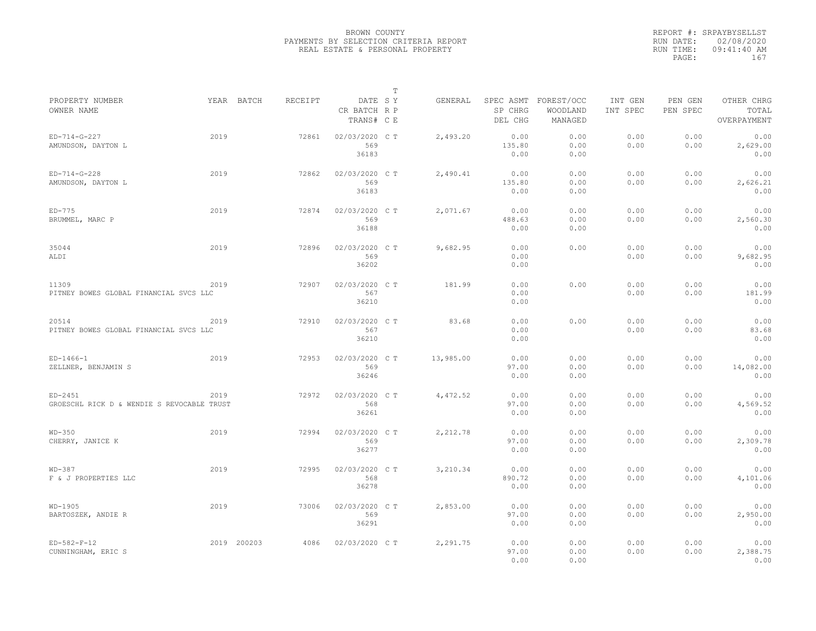|                                                         |      |             |                |                                       | $\mathbb T$ |           |                                 |                                   |                     |                     |                                    |
|---------------------------------------------------------|------|-------------|----------------|---------------------------------------|-------------|-----------|---------------------------------|-----------------------------------|---------------------|---------------------|------------------------------------|
| PROPERTY NUMBER<br>OWNER NAME                           |      | YEAR BATCH  | <b>RECEIPT</b> | DATE SY<br>CR BATCH R P<br>TRANS# C E |             | GENERAL   | SPEC ASMT<br>SP CHRG<br>DEL CHG | FOREST/OCC<br>WOODLAND<br>MANAGED | INT GEN<br>INT SPEC | PEN GEN<br>PEN SPEC | OTHER CHRG<br>TOTAL<br>OVERPAYMENT |
| $ED-714-G-227$<br>AMUNDSON, DAYTON L                    | 2019 |             | 72861          | 02/03/2020 C T<br>569<br>36183        |             | 2,493.20  | 0.00<br>135.80<br>0.00          | 0.00<br>0.00<br>0.00              | 0.00<br>0.00        | 0.00<br>0.00        | 0.00<br>2,629.00<br>0.00           |
| $ED-714-G-228$<br>AMUNDSON, DAYTON L                    | 2019 |             | 72862          | 02/03/2020 C T<br>569<br>36183        |             | 2,490.41  | 0.00<br>135.80<br>0.00          | 0.00<br>0.00<br>0.00              | 0.00<br>0.00        | 0.00<br>0.00        | 0.00<br>2,626.21<br>0.00           |
| $ED-775$<br>BRUMMEL, MARC P                             | 2019 |             | 72874          | 02/03/2020 C T<br>569<br>36188        |             | 2,071.67  | 0.00<br>488.63<br>0.00          | 0.00<br>0.00<br>0.00              | 0.00<br>0.00        | 0.00<br>0.00        | 0.00<br>2,560.30<br>0.00           |
| 35044<br>ALDI                                           | 2019 |             | 72896          | 02/03/2020 C T<br>569<br>36202        |             | 9,682.95  | 0.00<br>0.00<br>0.00            | 0.00                              | 0.00<br>0.00        | 0.00<br>0.00        | 0.00<br>9,682.95<br>0.00           |
| 11309<br>PITNEY BOWES GLOBAL FINANCIAL SVCS LLC         | 2019 |             | 72907          | 02/03/2020 C T<br>567<br>36210        |             | 181.99    | 0.00<br>0.00<br>0.00            | 0.00                              | 0.00<br>0.00        | 0.00<br>0.00        | 0.00<br>181.99<br>0.00             |
| 20514<br>PITNEY BOWES GLOBAL FINANCIAL SVCS LLC         | 2019 |             | 72910          | 02/03/2020 C T<br>567<br>36210        |             | 83.68     | 0.00<br>0.00<br>0.00            | 0.00                              | 0.00<br>0.00        | 0.00<br>0.00        | 0.00<br>83.68<br>0.00              |
| $ED-1466-1$<br>ZELLNER, BENJAMIN S                      | 2019 |             | 72953          | 02/03/2020 C T<br>569<br>36246        |             | 13,985.00 | 0.00<br>97.00<br>0.00           | 0.00<br>0.00<br>0.00              | 0.00<br>0.00        | 0.00<br>0.00        | 0.00<br>14,082.00<br>0.00          |
| $ED-2451$<br>GROESCHL RICK D & WENDIE S REVOCABLE TRUST | 2019 |             | 72972          | 02/03/2020 CT<br>568<br>36261         |             | 4,472.52  | 0.00<br>97.00<br>0.00           | 0.00<br>0.00<br>0.00              | 0.00<br>0.00        | 0.00<br>0.00        | 0.00<br>4,569.52<br>0.00           |
| $WD-350$<br>CHERRY, JANICE K                            | 2019 |             | 72994          | 02/03/2020 C T<br>569<br>36277        |             | 2,212.78  | 0.00<br>97.00<br>0.00           | 0.00<br>0.00<br>0.00              | 0.00<br>0.00        | 0.00<br>0.00        | 0.00<br>2,309.78<br>0.00           |
| $WD-387$<br>F & J PROPERTIES LLC                        | 2019 |             | 72995          | 02/03/2020 C T<br>568<br>36278        |             | 3,210.34  | 0.00<br>890.72<br>0.00          | 0.00<br>0.00<br>0.00              | 0.00<br>0.00        | 0.00<br>0.00        | 0.00<br>4,101.06<br>0.00           |
| $WD-1905$<br>BARTOSZEK, ANDIE R                         | 2019 |             | 73006          | 02/03/2020 C T<br>569<br>36291        |             | 2,853.00  | 0.00<br>97.00<br>0.00           | 0.00<br>0.00<br>0.00              | 0.00<br>0.00        | 0.00<br>0.00        | 0.00<br>2,950.00<br>0.00           |
| $ED-582-F-12$<br>CUNNINGHAM, ERIC S                     |      | 2019 200203 | 4086           | 02/03/2020 C T                        |             | 2,291.75  | 0.00<br>97.00<br>0.00           | 0.00<br>0.00<br>0.00              | 0.00<br>0.00        | 0.00<br>0.00        | 0.00<br>2,388.75<br>0.00           |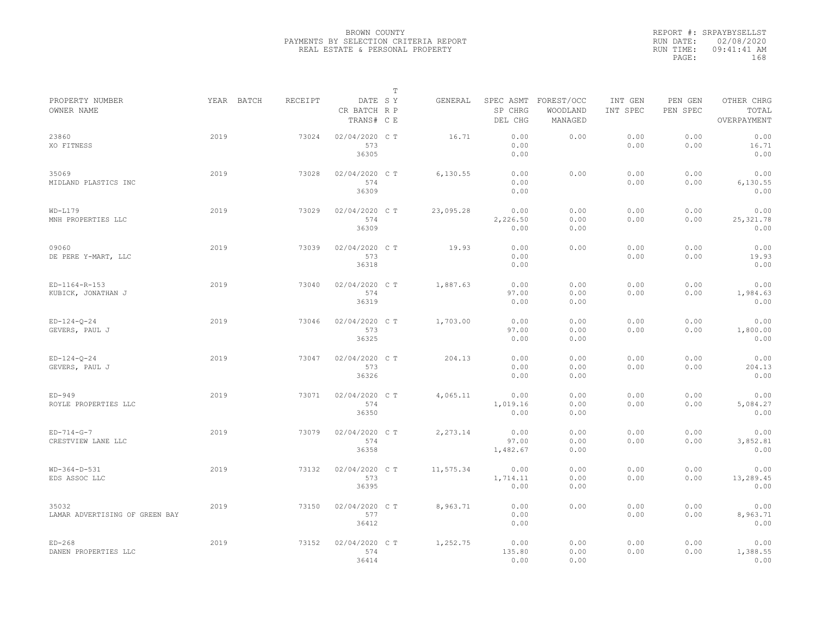|                                         |      |            |                |                                       | $\mathbb T$ |           |                           |                                             |                     |                     |                                    |
|-----------------------------------------|------|------------|----------------|---------------------------------------|-------------|-----------|---------------------------|---------------------------------------------|---------------------|---------------------|------------------------------------|
| PROPERTY NUMBER<br>OWNER NAME           |      | YEAR BATCH | <b>RECEIPT</b> | DATE SY<br>CR BATCH R P<br>TRANS# C E |             | GENERAL   | SP CHRG<br>DEL CHG        | SPEC ASMT FOREST/OCC<br>WOODLAND<br>MANAGED | INT GEN<br>INT SPEC | PEN GEN<br>PEN SPEC | OTHER CHRG<br>TOTAL<br>OVERPAYMENT |
| 23860<br>XO FITNESS                     | 2019 |            | 73024          | 02/04/2020 CT<br>573<br>36305         |             | 16.71     | 0.00<br>0.00<br>0.00      | 0.00                                        | 0.00<br>0.00        | 0.00<br>0.00        | 0.00<br>16.71<br>0.00              |
| 35069<br>MIDLAND PLASTICS INC           | 2019 |            | 73028          | 02/04/2020 C T<br>574<br>36309        |             | 6,130.55  | 0.00<br>0.00<br>0.00      | 0.00                                        | 0.00<br>0.00        | 0.00<br>0.00        | 0.00<br>6,130.55<br>0.00           |
| $WD-L179$<br>MNH PROPERTIES LLC         | 2019 |            | 73029          | 02/04/2020 C T<br>574<br>36309        |             | 23,095.28 | 0.00<br>2,226.50<br>0.00  | 0.00<br>0.00<br>0.00                        | 0.00<br>0.00        | 0.00<br>0.00        | 0.00<br>25, 321.78<br>0.00         |
| 09060<br>DE PERE Y-MART, LLC            | 2019 |            | 73039          | 02/04/2020 C T<br>573<br>36318        |             | 19.93     | 0.00<br>0.00<br>0.00      | 0.00                                        | 0.00<br>0.00        | 0.00<br>0.00        | 0.00<br>19.93<br>0.00              |
| ED-1164-R-153<br>KUBICK, JONATHAN J     | 2019 |            | 73040          | 02/04/2020 C T<br>574<br>36319        |             | 1,887.63  | 0.00<br>97.00<br>0.00     | 0.00<br>0.00<br>0.00                        | 0.00<br>0.00        | 0.00<br>0.00        | 0.00<br>1,984.63<br>0.00           |
| $ED-124-Q-24$<br>GEVERS, PAUL J         | 2019 |            | 73046          | 02/04/2020 C T<br>573<br>36325        |             | 1,703.00  | 0.00<br>97.00<br>0.00     | 0.00<br>0.00<br>0.00                        | 0.00<br>0.00        | 0.00<br>0.00        | 0.00<br>1,800.00<br>0.00           |
| $ED-124-0-24$<br>GEVERS, PAUL J         | 2019 |            | 73047          | 02/04/2020 C T<br>573<br>36326        |             | 204.13    | 0.00<br>0.00<br>0.00      | 0.00<br>0.00<br>0.00                        | 0.00<br>0.00        | 0.00<br>0.00        | 0.00<br>204.13<br>0.00             |
| $ED-949$<br>ROYLE PROPERTIES LLC        | 2019 |            | 73071          | 02/04/2020 C T<br>574<br>36350        |             | 4,065.11  | 0.00<br>1,019.16<br>0.00  | 0.00<br>0.00<br>0.00                        | 0.00<br>0.00        | 0.00<br>0.00        | 0.00<br>5,084.27<br>0.00           |
| $ED-714-G-7$<br>CRESTVIEW LANE LLC      | 2019 |            | 73079          | 02/04/2020 C T<br>574<br>36358        |             | 2,273.14  | 0.00<br>97.00<br>1,482.67 | 0.00<br>0.00<br>0.00                        | 0.00<br>0.00        | 0.00<br>0.00        | 0.00<br>3,852.81<br>0.00           |
| $WD-364-D-531$<br>EDS ASSOC LLC         | 2019 |            | 73132          | 02/04/2020 C T<br>573<br>36395        |             | 11,575.34 | 0.00<br>1,714.11<br>0.00  | 0.00<br>0.00<br>0.00                        | 0.00<br>0.00        | 0.00<br>0.00        | 0.00<br>13,289.45<br>0.00          |
| 35032<br>LAMAR ADVERTISING OF GREEN BAY | 2019 |            | 73150          | 02/04/2020 C T<br>577<br>36412        |             | 8,963.71  | 0.00<br>0.00<br>0.00      | 0.00                                        | 0.00<br>0.00        | 0.00<br>0.00        | 0.00<br>8,963.71<br>0.00           |
| $ED-268$<br>DANEN PROPERTIES LLC        | 2019 |            | 73152          | 02/04/2020 C T<br>574<br>36414        |             | 1,252.75  | 0.00<br>135.80<br>0.00    | 0.00<br>0.00<br>0.00                        | 0.00<br>0.00        | 0.00<br>0.00        | 0.00<br>1,388.55<br>0.00           |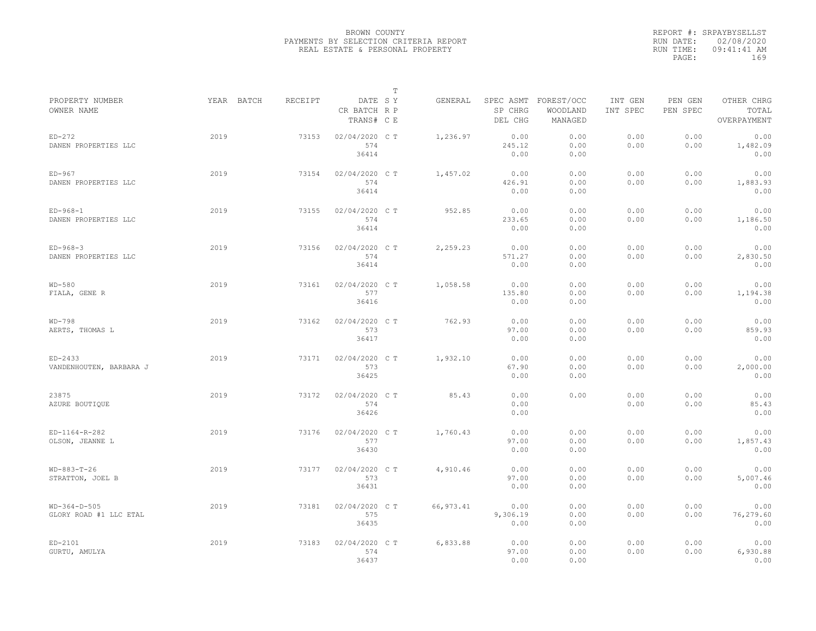|                                          |            |         |                                       | $\mathbb T$ |            |                                 |                                   |                     |                     |                                    |
|------------------------------------------|------------|---------|---------------------------------------|-------------|------------|---------------------------------|-----------------------------------|---------------------|---------------------|------------------------------------|
| PROPERTY NUMBER<br>OWNER NAME            | YEAR BATCH | RECEIPT | DATE SY<br>CR BATCH R P<br>TRANS# C E |             | GENERAL    | SPEC ASMT<br>SP CHRG<br>DEL CHG | FOREST/OCC<br>WOODLAND<br>MANAGED | INT GEN<br>INT SPEC | PEN GEN<br>PEN SPEC | OTHER CHRG<br>TOTAL<br>OVERPAYMENT |
| $ED-272$<br>DANEN PROPERTIES LLC         | 2019       | 73153   | 02/04/2020 C T<br>574<br>36414        |             | 1,236.97   | 0.00<br>245.12<br>0.00          | 0.00<br>0.00<br>0.00              | 0.00<br>0.00        | 0.00<br>0.00        | 0.00<br>1,482.09<br>0.00           |
| $ED-967$<br>DANEN PROPERTIES LLC         | 2019       | 73154   | 02/04/2020 C T<br>574<br>36414        |             | 1,457.02   | 0.00<br>426.91<br>0.00          | 0.00<br>0.00<br>0.00              | 0.00<br>0.00        | 0.00<br>0.00        | 0.00<br>1,883.93<br>0.00           |
| $ED-968-1$<br>DANEN PROPERTIES LLC       | 2019       | 73155   | 02/04/2020 C T<br>574<br>36414        |             | 952.85     | 0.00<br>233.65<br>0.00          | 0.00<br>0.00<br>0.00              | 0.00<br>0.00        | 0.00<br>0.00        | 0.00<br>1,186.50<br>0.00           |
| $ED-968-3$<br>DANEN PROPERTIES LLC       | 2019       | 73156   | 02/04/2020 C T<br>574<br>36414        |             | 2,259.23   | 0.00<br>571.27<br>0.00          | 0.00<br>0.00<br>0.00              | 0.00<br>0.00        | 0.00<br>0.00        | 0.00<br>2,830.50<br>0.00           |
| $WD-580$<br>FIALA, GENE R                | 2019       | 73161   | 02/04/2020 C T<br>577<br>36416        |             | 1,058.58   | 0.00<br>135.80<br>0.00          | 0.00<br>0.00<br>0.00              | 0.00<br>0.00        | 0.00<br>0.00        | 0.00<br>1,194.38<br>0.00           |
| $WD-798$<br>AERTS, THOMAS L              | 2019       | 73162   | 02/04/2020 CT<br>573<br>36417         |             | 762.93     | 0.00<br>97.00<br>0.00           | 0.00<br>0.00<br>0.00              | 0.00<br>0.00        | 0.00<br>0.00        | 0.00<br>859.93<br>0.00             |
| ED-2433<br>VANDENHOUTEN, BARBARA J       | 2019       | 73171   | 02/04/2020 CT<br>573<br>36425         |             | 1,932.10   | 0.00<br>67.90<br>0.00           | 0.00<br>0.00<br>0.00              | 0.00<br>0.00        | 0.00<br>0.00        | 0.00<br>2,000.00<br>0.00           |
| 23875<br>AZURE BOUTIOUE                  | 2019       | 73172   | 02/04/2020 C T<br>574<br>36426        |             | 85.43      | 0.00<br>0.00<br>0.00            | 0.00                              | 0.00<br>0.00        | 0.00<br>0.00        | 0.00<br>85.43<br>0.00              |
| ED-1164-R-282<br>OLSON, JEANNE L         | 2019       | 73176   | 02/04/2020 C T<br>577<br>36430        |             | 1,760.43   | 0.00<br>97.00<br>0.00           | 0.00<br>0.00<br>0.00              | 0.00<br>0.00        | 0.00<br>0.00        | 0.00<br>1,857.43<br>0.00           |
| $WD-883-T-26$<br>STRATTON, JOEL B        | 2019       | 73177   | 02/04/2020 C T<br>573<br>36431        |             | 4,910.46   | 0.00<br>97.00<br>0.00           | 0.00<br>0.00<br>0.00              | 0.00<br>0.00        | 0.00<br>0.00        | 0.00<br>5,007.46<br>0.00           |
| $WD-364-D-505$<br>GLORY ROAD #1 LLC ETAL | 2019       | 73181   | 02/04/2020 C T<br>575<br>36435        |             | 66, 973.41 | 0.00<br>9,306.19<br>0.00        | 0.00<br>0.00<br>0.00              | 0.00<br>0.00        | 0.00<br>0.00        | 0.00<br>76,279.60<br>0.00          |
| $ED-2101$<br>GURTU, AMULYA               | 2019       | 73183   | 02/04/2020 C T<br>574<br>36437        |             | 6,833.88   | 0.00<br>97.00<br>0.00           | 0.00<br>0.00<br>0.00              | 0.00<br>0.00        | 0.00<br>0.00        | 0.00<br>6,930.88<br>0.00           |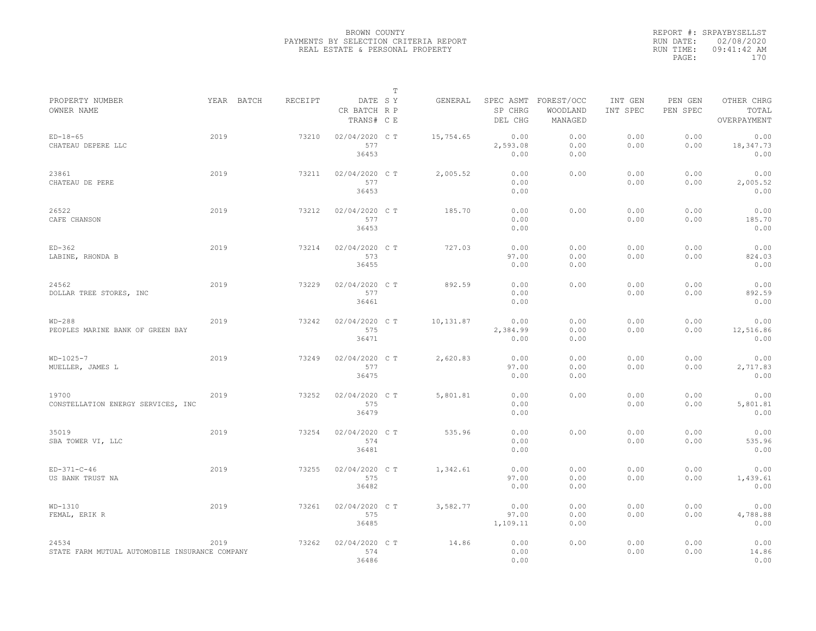|                                                         |      |            |                |                                       | $\mathbb T$ |           |                                 |                                   |                     |                     |                                    |
|---------------------------------------------------------|------|------------|----------------|---------------------------------------|-------------|-----------|---------------------------------|-----------------------------------|---------------------|---------------------|------------------------------------|
| PROPERTY NUMBER<br>OWNER NAME                           |      | YEAR BATCH | <b>RECEIPT</b> | DATE SY<br>CR BATCH R P<br>TRANS# C E |             | GENERAL   | SPEC ASMT<br>SP CHRG<br>DEL CHG | FOREST/OCC<br>WOODLAND<br>MANAGED | INT GEN<br>INT SPEC | PEN GEN<br>PEN SPEC | OTHER CHRG<br>TOTAL<br>OVERPAYMENT |
| $ED-18-65$<br>CHATEAU DEPERE LLC                        | 2019 |            | 73210          | 02/04/2020 C T<br>577<br>36453        |             | 15,754.65 | 0.00<br>2,593.08<br>0.00        | 0.00<br>0.00<br>0.00              | 0.00<br>0.00        | 0.00<br>0.00        | 0.00<br>18,347.73<br>0.00          |
| 23861<br>CHATEAU DE PERE                                | 2019 |            | 73211          | 02/04/2020 C T<br>577<br>36453        |             | 2,005.52  | 0.00<br>0.00<br>0.00            | 0.00                              | 0.00<br>0.00        | 0.00<br>0.00        | 0.00<br>2,005.52<br>0.00           |
| 26522<br>CAFE CHANSON                                   | 2019 |            | 73212          | 02/04/2020 CT<br>577<br>36453         |             | 185.70    | 0.00<br>0.00<br>0.00            | 0.00                              | 0.00<br>0.00        | 0.00<br>0.00        | 0.00<br>185.70<br>0.00             |
| $ED-362$<br>LABINE, RHONDA B                            | 2019 |            | 73214          | 02/04/2020 C T<br>573<br>36455        |             | 727.03    | 0.00<br>97.00<br>0.00           | 0.00<br>0.00<br>0.00              | 0.00<br>0.00        | 0.00<br>0.00        | 0.00<br>824.03<br>0.00             |
| 24562<br>DOLLAR TREE STORES, INC                        | 2019 |            | 73229          | 02/04/2020 C T<br>577<br>36461        |             | 892.59    | 0.00<br>0.00<br>0.00            | 0.00                              | 0.00<br>0.00        | 0.00<br>0.00        | 0.00<br>892.59<br>0.00             |
| $WD-288$<br>PEOPLES MARINE BANK OF GREEN BAY            | 2019 |            | 73242          | 02/04/2020 C T<br>575<br>36471        |             | 10,131.87 | 0.00<br>2,384.99<br>0.00        | 0.00<br>0.00<br>0.00              | 0.00<br>0.00        | 0.00<br>0.00        | 0.00<br>12,516.86<br>0.00          |
| $WD-1025-7$<br>MUELLER, JAMES L                         | 2019 |            | 73249          | 02/04/2020 C T<br>577<br>36475        |             | 2,620.83  | 0.00<br>97.00<br>0.00           | 0.00<br>0.00<br>0.00              | 0.00<br>0.00        | 0.00<br>0.00        | 0.00<br>2,717.83<br>0.00           |
| 19700<br>CONSTELLATION ENERGY SERVICES, INC             | 2019 |            | 73252          | 02/04/2020 C T<br>575<br>36479        |             | 5,801.81  | 0.00<br>0.00<br>0.00            | 0.00                              | 0.00<br>0.00        | 0.00<br>0.00        | 0.00<br>5,801.81<br>0.00           |
| 35019<br>SBA TOWER VI, LLC                              | 2019 |            | 73254          | 02/04/2020 C T<br>574<br>36481        |             | 535.96    | 0.00<br>0.00<br>0.00            | 0.00                              | 0.00<br>0.00        | 0.00<br>0.00        | 0.00<br>535.96<br>0.00             |
| $ED-371-C-46$<br>US BANK TRUST NA                       | 2019 |            | 73255          | 02/04/2020 C T<br>575<br>36482        |             | 1,342.61  | 0.00<br>97.00<br>0.00           | 0.00<br>0.00<br>0.00              | 0.00<br>0.00        | 0.00<br>0.00        | 0.00<br>1,439.61<br>0.00           |
| $WD-1310$<br>FEMAL, ERIK R                              | 2019 |            | 73261          | 02/04/2020 C T<br>575<br>36485        |             | 3,582.77  | 0.00<br>97.00<br>1,109.11       | 0.00<br>0.00<br>0.00              | 0.00<br>0.00        | 0.00<br>0.00        | 0.00<br>4,788.88<br>0.00           |
| 24534<br>STATE FARM MUTUAL AUTOMOBILE INSURANCE COMPANY | 2019 |            | 73262          | 02/04/2020 CT<br>574<br>36486         |             | 14.86     | 0.00<br>0.00<br>0.00            | 0.00                              | 0.00<br>0.00        | 0.00<br>0.00        | 0.00<br>14.86<br>0.00              |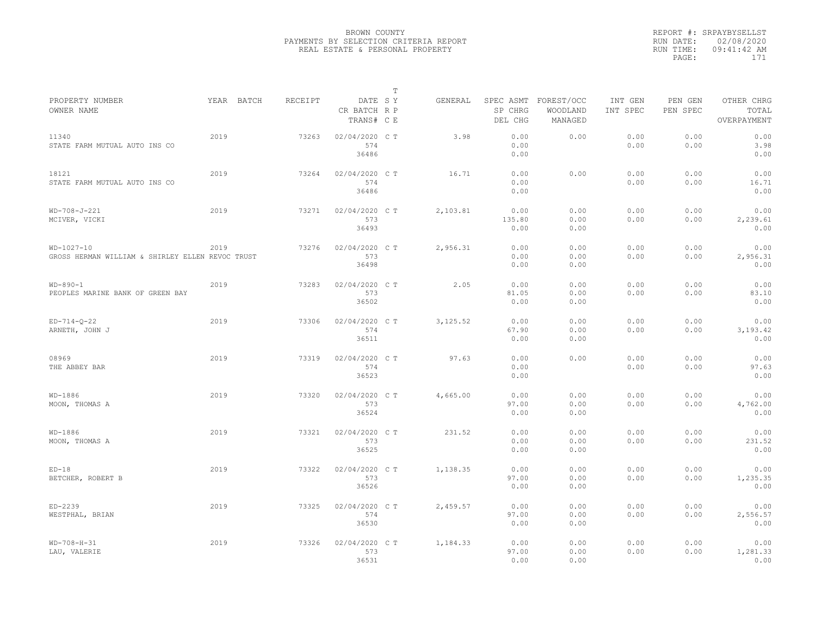|                                                                  |      |            |         |                                       | $\mathbb T$ |           |                                 |                                   |                     |                     |                                    |
|------------------------------------------------------------------|------|------------|---------|---------------------------------------|-------------|-----------|---------------------------------|-----------------------------------|---------------------|---------------------|------------------------------------|
| PROPERTY NUMBER<br>OWNER NAME                                    |      | YEAR BATCH | RECEIPT | DATE SY<br>CR BATCH R P<br>TRANS# C E |             | GENERAL   | SPEC ASMT<br>SP CHRG<br>DEL CHG | FOREST/OCC<br>WOODLAND<br>MANAGED | INT GEN<br>INT SPEC | PEN GEN<br>PEN SPEC | OTHER CHRG<br>TOTAL<br>OVERPAYMENT |
| 11340<br>STATE FARM MUTUAL AUTO INS CO                           | 2019 |            | 73263   | 02/04/2020 C T<br>574<br>36486        |             | 3.98      | 0.00<br>0.00<br>0.00            | 0.00                              | 0.00<br>0.00        | 0.00<br>0.00        | 0.00<br>3.98<br>0.00               |
| 18121<br>STATE FARM MUTUAL AUTO INS CO                           | 2019 |            | 73264   | 02/04/2020 C T<br>574<br>36486        |             | 16.71     | 0.00<br>0.00<br>0.00            | 0.00                              | 0.00<br>0.00        | 0.00<br>0.00        | 0.00<br>16.71<br>0.00              |
| WD-708-J-221<br>MCIVER, VICKI                                    | 2019 |            | 73271   | 02/04/2020 C T<br>573<br>36493        |             | 2,103.81  | 0.00<br>135.80<br>0.00          | 0.00<br>0.00<br>0.00              | 0.00<br>0.00        | 0.00<br>0.00        | 0.00<br>2,239.61<br>0.00           |
| $WD-1027-10$<br>GROSS HERMAN WILLIAM & SHIRLEY ELLEN REVOC TRUST | 2019 |            | 73276   | 02/04/2020 C T<br>573<br>36498        |             | 2,956.31  | 0.00<br>0.00<br>0.00            | 0.00<br>0.00<br>0.00              | 0.00<br>0.00        | 0.00<br>0.00        | 0.00<br>2,956.31<br>0.00           |
| $WD-890-1$<br>PEOPLES MARINE BANK OF GREEN BAY                   | 2019 |            | 73283   | 02/04/2020 C T<br>573<br>36502        |             | 2.05      | 0.00<br>81.05<br>0.00           | 0.00<br>0.00<br>0.00              | 0.00<br>0.00        | 0.00<br>0.00        | 0.00<br>83.10<br>0.00              |
| $ED-714-0-22$<br>ARNETH, JOHN J                                  | 2019 |            | 73306   | 02/04/2020 C T<br>574<br>36511        |             | 3, 125.52 | 0.00<br>67.90<br>0.00           | 0.00<br>0.00<br>0.00              | 0.00<br>0.00        | 0.00<br>0.00        | 0.00<br>3, 193. 42<br>0.00         |
| 08969<br>THE ABBEY BAR                                           | 2019 |            | 73319   | 02/04/2020 CT<br>574<br>36523         |             | 97.63     | 0.00<br>0.00<br>0.00            | 0.00                              | 0.00<br>0.00        | 0.00<br>0.00        | 0.00<br>97.63<br>0.00              |
| WD-1886<br>MOON, THOMAS A                                        | 2019 |            | 73320   | 02/04/2020 C T<br>573<br>36524        |             | 4,665.00  | 0.00<br>97.00<br>0.00           | 0.00<br>0.00<br>0.00              | 0.00<br>0.00        | 0.00<br>0.00        | 0.00<br>4,762.00<br>0.00           |
| WD-1886<br>MOON, THOMAS A                                        | 2019 |            | 73321   | 02/04/2020 C T<br>573<br>36525        |             | 231.52    | 0.00<br>0.00<br>0.00            | 0.00<br>0.00<br>0.00              | 0.00<br>0.00        | 0.00<br>0.00        | 0.00<br>231.52<br>0.00             |
| $ED-18$<br>BETCHER, ROBERT B                                     | 2019 |            | 73322   | 02/04/2020 C T<br>573<br>36526        |             | 1,138.35  | 0.00<br>97.00<br>0.00           | 0.00<br>0.00<br>0.00              | 0.00<br>0.00        | 0.00<br>0.00        | 0.00<br>1,235.35<br>0.00           |
| ED-2239<br>WESTPHAL, BRIAN                                       | 2019 |            | 73325   | 02/04/2020 C T<br>574<br>36530        |             | 2,459.57  | 0.00<br>97.00<br>0.00           | 0.00<br>0.00<br>0.00              | 0.00<br>0.00        | 0.00<br>0.00        | 0.00<br>2,556.57<br>0.00           |
| $WD-708-H-31$<br>LAU, VALERIE                                    | 2019 |            | 73326   | 02/04/2020 C T<br>573<br>36531        |             | 1,184.33  | 0.00<br>97.00<br>0.00           | 0.00<br>0.00<br>0.00              | 0.00<br>0.00        | 0.00<br>0.00        | 0.00<br>1,281.33<br>0.00           |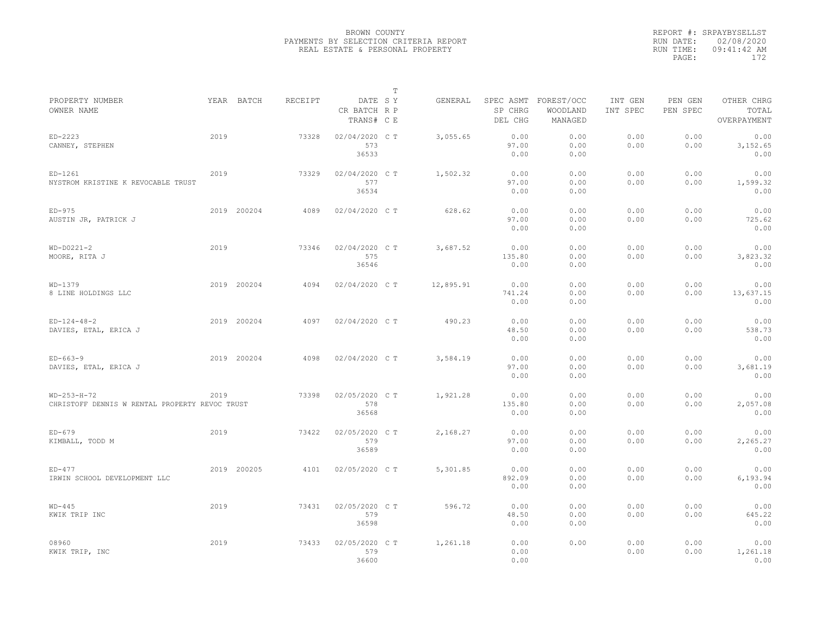|                                                |      |             |         |                                       | $\mathbb T$ |           |                                 |                                   |                     |                     |                                    |
|------------------------------------------------|------|-------------|---------|---------------------------------------|-------------|-----------|---------------------------------|-----------------------------------|---------------------|---------------------|------------------------------------|
| PROPERTY NUMBER<br>OWNER NAME                  |      | YEAR BATCH  | RECEIPT | DATE SY<br>CR BATCH R P<br>TRANS# C E |             | GENERAL   | SPEC ASMT<br>SP CHRG<br>DEL CHG | FOREST/OCC<br>WOODLAND<br>MANAGED | INT GEN<br>INT SPEC | PEN GEN<br>PEN SPEC | OTHER CHRG<br>TOTAL<br>OVERPAYMENT |
|                                                |      |             |         |                                       |             |           |                                 |                                   |                     |                     |                                    |
| $ED-2223$                                      | 2019 |             | 73328   | 02/04/2020 C T                        |             | 3,055.65  | 0.00                            | 0.00                              | 0.00                | 0.00                | 0.00                               |
| CANNEY, STEPHEN                                |      |             |         | 573<br>36533                          |             |           | 97.00<br>0.00                   | 0.00<br>0.00                      | 0.00                | 0.00                | 3, 152.65<br>0.00                  |
|                                                |      |             |         |                                       |             |           |                                 |                                   |                     |                     |                                    |
| $ED-1261$                                      | 2019 |             | 73329   | 02/04/2020 C T                        |             | 1,502.32  | 0.00                            | 0.00                              | 0.00                | 0.00                | 0.00                               |
| NYSTROM KRISTINE K REVOCABLE TRUST             |      |             |         | 577                                   |             |           | 97.00                           | 0.00                              | 0.00                | 0.00                | 1,599.32                           |
|                                                |      |             |         | 36534                                 |             |           | 0.00                            | 0.00                              |                     |                     | 0.00                               |
|                                                |      |             |         |                                       |             |           |                                 |                                   |                     |                     |                                    |
| $ED-975$                                       |      | 2019 200204 | 4089    | 02/04/2020 C T                        |             | 628.62    | 0.00                            | 0.00                              | 0.00                | 0.00                | 0.00                               |
| AUSTIN JR, PATRICK J                           |      |             |         |                                       |             |           | 97.00                           | 0.00                              | 0.00                | 0.00                | 725.62                             |
|                                                |      |             |         |                                       |             |           | 0.00                            | 0.00                              |                     |                     | 0.00                               |
| $WD-D0221-2$                                   | 2019 |             | 73346   | 02/04/2020 C T                        |             | 3,687.52  | 0.00                            | 0.00                              | 0.00                | 0.00                | 0.00                               |
| MOORE, RITA J                                  |      |             |         | 575                                   |             |           | 135.80                          | 0.00                              | 0.00                | 0.00                | 3,823.32                           |
|                                                |      |             |         | 36546                                 |             |           | 0.00                            | 0.00                              |                     |                     | 0.00                               |
|                                                |      |             |         |                                       |             |           |                                 |                                   |                     |                     |                                    |
| $WD-1379$                                      |      | 2019 200204 | 4094    | 02/04/2020 C T                        |             | 12,895.91 | 0.00                            | 0.00                              | 0.00                | 0.00                | 0.00                               |
| 8 LINE HOLDINGS LLC                            |      |             |         |                                       |             |           | 741.24                          | 0.00                              | 0.00                | 0.00                | 13,637.15                          |
|                                                |      |             |         |                                       |             |           | 0.00                            | 0.00                              |                     |                     | 0.00                               |
|                                                |      |             |         |                                       |             |           |                                 |                                   |                     |                     |                                    |
| $ED-124-48-2$                                  |      | 2019 200204 | 4097    | 02/04/2020 C T                        |             | 490.23    | 0.00                            | 0.00                              | 0.00                | 0.00                | 0.00                               |
| DAVIES, ETAL, ERICA J                          |      |             |         |                                       |             |           | 48.50                           | 0.00                              | 0.00                | 0.00                | 538.73                             |
|                                                |      |             |         |                                       |             |           | 0.00                            | 0.00                              |                     |                     | 0.00                               |
| $ED-663-9$                                     |      | 2019 200204 | 4098    | 02/04/2020 C T                        |             | 3,584.19  | 0.00                            | 0.00                              | 0.00                | 0.00                | 0.00                               |
| DAVIES, ETAL, ERICA J                          |      |             |         |                                       |             |           | 97.00                           | 0.00                              | 0.00                | 0.00                | 3,681.19                           |
|                                                |      |             |         |                                       |             |           | 0.00                            | 0.00                              |                     |                     | 0.00                               |
|                                                |      |             |         |                                       |             |           |                                 |                                   |                     |                     |                                    |
| $WD-253-H-72$                                  | 2019 |             | 73398   | 02/05/2020 C T                        |             | 1,921.28  | 0.00                            | 0.00                              | 0.00                | 0.00                | 0.00                               |
| CHRISTOFF DENNIS W RENTAL PROPERTY REVOC TRUST |      |             |         | 578                                   |             |           | 135.80                          | 0.00                              | 0.00                | 0.00                | 2,057.08                           |
|                                                |      |             |         | 36568                                 |             |           | 0.00                            | 0.00                              |                     |                     | 0.00                               |
|                                                |      |             |         |                                       |             |           |                                 |                                   |                     |                     |                                    |
| $ED-679$                                       | 2019 |             | 73422   | 02/05/2020 C T                        |             | 2,168.27  | 0.00                            | 0.00                              | 0.00                | 0.00                | 0.00                               |
| KIMBALL, TODD M                                |      |             |         | 579                                   |             |           | 97.00                           | 0.00                              | 0.00                | 0.00                | 2,265.27                           |
|                                                |      |             |         | 36589                                 |             |           | 0.00                            | 0.00                              |                     |                     | 0.00                               |
| $ED-477$                                       |      | 2019 200205 |         |                                       |             |           | 0.00                            | 0.00                              | 0.00                | 0.00                | 0.00                               |
| IRWIN SCHOOL DEVELOPMENT LLC                   |      |             | 4101    | 02/05/2020 C T                        |             | 5,301.85  | 892.09                          | 0.00                              | 0.00                | 0.00                | 6,193.94                           |
|                                                |      |             |         |                                       |             |           | 0.00                            | 0.00                              |                     |                     | 0.00                               |
|                                                |      |             |         |                                       |             |           |                                 |                                   |                     |                     |                                    |
| $WD-445$                                       | 2019 |             | 73431   | 02/05/2020 C T                        |             | 596.72    | 0.00                            | 0.00                              | 0.00                | 0.00                | 0.00                               |
| KWIK TRIP INC                                  |      |             |         | 579                                   |             |           | 48.50                           | 0.00                              | 0.00                | 0.00                | 645.22                             |
|                                                |      |             |         | 36598                                 |             |           | 0.00                            | 0.00                              |                     |                     | 0.00                               |
|                                                |      |             |         |                                       |             |           |                                 |                                   |                     |                     |                                    |
| 08960                                          | 2019 |             | 73433   | 02/05/2020 CT                         |             | 1,261.18  | 0.00                            | 0.00                              | 0.00                | 0.00                | 0.00                               |
| KWIK TRIP, INC                                 |      |             |         | 579                                   |             |           | 0.00                            |                                   | 0.00                | 0.00                | 1,261.18                           |
|                                                |      |             |         | 36600                                 |             |           | 0.00                            |                                   |                     |                     | 0.00                               |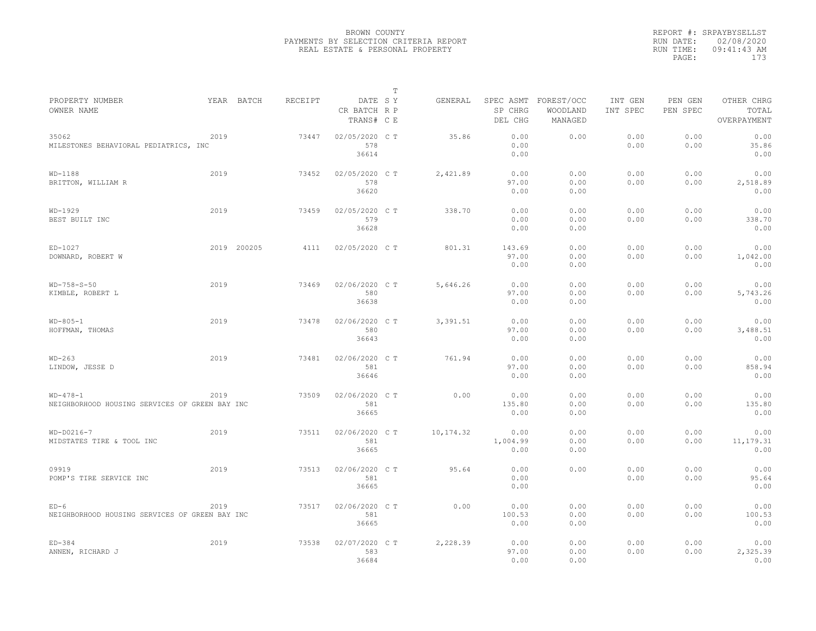|                                                              |      |             |         |                                       | $\mathbb T$ |           |                                 |                                   |                     |                     |                                    |
|--------------------------------------------------------------|------|-------------|---------|---------------------------------------|-------------|-----------|---------------------------------|-----------------------------------|---------------------|---------------------|------------------------------------|
| PROPERTY NUMBER<br>OWNER NAME                                |      | YEAR BATCH  | RECEIPT | DATE SY<br>CR BATCH R P<br>TRANS# C E |             | GENERAL   | SPEC ASMT<br>SP CHRG<br>DEL CHG | FOREST/OCC<br>WOODLAND<br>MANAGED | INT GEN<br>INT SPEC | PEN GEN<br>PEN SPEC | OTHER CHRG<br>TOTAL<br>OVERPAYMENT |
| 35062<br>MILESTONES BEHAVIORAL PEDIATRICS, INC               | 2019 |             | 73447   | 02/05/2020 C T<br>578<br>36614        |             | 35.86     | 0.00<br>0.00<br>0.00            | 0.00                              | 0.00<br>0.00        | 0.00<br>0.00        | 0.00<br>35.86<br>0.00              |
| $WD-1188$<br>BRITTON, WILLIAM R                              | 2019 |             | 73452   | 02/05/2020 C T<br>578<br>36620        |             | 2,421.89  | 0.00<br>97.00<br>0.00           | 0.00<br>0.00<br>0.00              | 0.00<br>0.00        | 0.00<br>0.00        | 0.00<br>2,518.89<br>0.00           |
| $WD-1929$<br>BEST BUILT INC                                  | 2019 |             | 73459   | 02/05/2020 C T<br>579<br>36628        |             | 338.70    | 0.00<br>0.00<br>0.00            | 0.00<br>0.00<br>0.00              | 0.00<br>0.00        | 0.00<br>0.00        | 0.00<br>338.70<br>0.00             |
| ED-1027<br>DOWNARD, ROBERT W                                 |      | 2019 200205 | 4111    | 02/05/2020 C T                        |             | 801.31    | 143.69<br>97.00<br>0.00         | 0.00<br>0.00<br>0.00              | 0.00<br>0.00        | 0.00<br>0.00        | 0.00<br>1,042.00<br>0.00           |
| $WD-758-S-50$<br>KIMBLE, ROBERT L                            | 2019 |             | 73469   | 02/06/2020 C T<br>580<br>36638        |             | 5,646.26  | 0.00<br>97.00<br>0.00           | 0.00<br>0.00<br>0.00              | 0.00<br>0.00        | 0.00<br>0.00        | 0.00<br>5,743.26<br>0.00           |
| $WD-805-1$<br>HOFFMAN, THOMAS                                | 2019 |             | 73478   | 02/06/2020 C T<br>580<br>36643        |             | 3,391.51  | 0.00<br>97.00<br>0.00           | 0.00<br>0.00<br>0.00              | 0.00<br>0.00        | 0.00<br>0.00        | 0.00<br>3,488.51<br>0.00           |
| $WD-263$<br>LINDOW, JESSE D                                  | 2019 |             | 73481   | 02/06/2020 C T<br>581<br>36646        |             | 761.94    | 0.00<br>97.00<br>0.00           | 0.00<br>0.00<br>0.00              | 0.00<br>0.00        | 0.00<br>0.00        | 0.00<br>858.94<br>0.00             |
| $WD-478-1$<br>NEIGHBORHOOD HOUSING SERVICES OF GREEN BAY INC | 2019 |             | 73509   | 02/06/2020 C T<br>581<br>36665        |             | 0.00      | 0.00<br>135.80<br>0.00          | 0.00<br>0.00<br>0.00              | 0.00<br>0.00        | 0.00<br>0.00        | 0.00<br>135.80<br>0.00             |
| $WD-D0216-7$<br>MIDSTATES TIRE & TOOL INC                    | 2019 |             | 73511   | 02/06/2020 C T<br>581<br>36665        |             | 10,174.32 | 0.00<br>1,004.99<br>0.00        | 0.00<br>0.00<br>0.00              | 0.00<br>0.00        | 0.00<br>0.00        | 0.00<br>11, 179.31<br>0.00         |
| 09919<br>POMP'S TIRE SERVICE INC                             | 2019 |             | 73513   | 02/06/2020 CT<br>581<br>36665         |             | 95.64     | 0.00<br>0.00<br>0.00            | 0.00                              | 0.00<br>0.00        | 0.00<br>0.00        | 0.00<br>95.64<br>0.00              |
| $ED-6$<br>NEIGHBORHOOD HOUSING SERVICES OF GREEN BAY INC     | 2019 |             | 73517   | 02/06/2020 C T<br>581<br>36665        |             | 0.00      | 0.00<br>100.53<br>0.00          | 0.00<br>0.00<br>0.00              | 0.00<br>0.00        | 0.00<br>0.00        | 0.00<br>100.53<br>0.00             |
| $ED-384$<br>ANNEN, RICHARD J                                 | 2019 |             | 73538   | 02/07/2020 CT<br>583<br>36684         |             | 2,228.39  | 0.00<br>97.00<br>0.00           | 0.00<br>0.00<br>0.00              | 0.00<br>0.00        | 0.00<br>0.00        | 0.00<br>2,325.39<br>0.00           |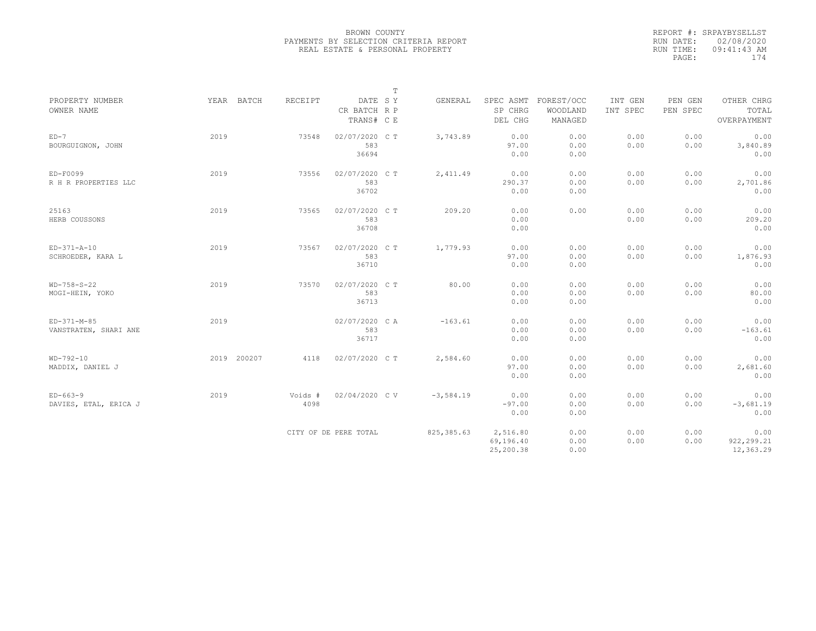|                                        |             |                 |                                       | $\mathbb T$ |             |                                    |                                   |                     |                     |                                    |
|----------------------------------------|-------------|-----------------|---------------------------------------|-------------|-------------|------------------------------------|-----------------------------------|---------------------|---------------------|------------------------------------|
| PROPERTY NUMBER<br>OWNER NAME          | YEAR BATCH  | RECEIPT         | DATE SY<br>CR BATCH R P<br>TRANS# C E |             | GENERAL     | SPEC ASMT<br>SP CHRG<br>DEL CHG    | FOREST/OCC<br>WOODLAND<br>MANAGED | INT GEN<br>INT SPEC | PEN GEN<br>PEN SPEC | OTHER CHRG<br>TOTAL<br>OVERPAYMENT |
| $ED-7$<br>BOURGUIGNON, JOHN            | 2019        | 73548           | 02/07/2020 C T<br>583<br>36694        |             | 3,743.89    | 0.00<br>97.00<br>0.00              | 0.00<br>0.00<br>0.00              | 0.00<br>0.00        | 0.00<br>0.00        | 0.00<br>3,840.89<br>0.00           |
| $ED-F0099$<br>R H R PROPERTIES LLC     | 2019        | 73556           | 02/07/2020 C T<br>583<br>36702        |             | 2,411.49    | 0.00<br>290.37<br>0.00             | 0.00<br>0.00<br>0.00              | 0.00<br>0.00        | 0.00<br>0.00        | 0.00<br>2,701.86<br>0.00           |
| 25163<br>HERB COUSSONS                 | 2019        | 73565           | 02/07/2020 C T<br>583<br>36708        |             | 209.20      | 0.00<br>0.00<br>0.00               | 0.00                              | 0.00<br>0.00        | 0.00<br>0.00        | 0.00<br>209.20<br>0.00             |
| $ED-371-A-10$<br>SCHROEDER, KARA L     | 2019        | 73567           | 02/07/2020 C T<br>583<br>36710        |             | 1,779.93    | 0.00<br>97.00<br>0.00              | 0.00<br>0.00<br>0.00              | 0.00<br>0.00        | 0.00<br>0.00        | 0.00<br>1,876.93<br>0.00           |
| $WD-758-S-22$<br>MOGI-HEIN, YOKO       | 2019        | 73570           | 02/07/2020 C T<br>583<br>36713        |             | 80.00       | 0.00<br>0.00<br>0.00               | 0.00<br>0.00<br>0.00              | 0.00<br>0.00        | 0.00<br>0.00        | 0.00<br>80.00<br>0.00              |
| $ED-371-M-85$<br>VANSTRATEN, SHARI ANE | 2019        |                 | 02/07/2020 CA<br>583<br>36717         |             | $-163.61$   | 0.00<br>0.00<br>0.00               | 0.00<br>0.00<br>0.00              | 0.00<br>0.00        | 0.00<br>0.00        | 0.00<br>$-163.61$<br>0.00          |
| $WD-792-10$<br>MADDIX, DANIEL J        | 2019 200207 | 4118            | 02/07/2020 C T                        |             | 2,584.60    | 0.00<br>97.00<br>0.00              | 0.00<br>0.00<br>0.00              | 0.00<br>0.00        | 0.00<br>0.00        | 0.00<br>2,681.60<br>0.00           |
| $ED-663-9$<br>DAVIES, ETAL, ERICA J    | 2019        | Voids #<br>4098 | 02/04/2020 CV                         |             | $-3,584.19$ | 0.00<br>$-97.00$<br>0.00           | 0.00<br>0.00<br>0.00              | 0.00<br>0.00        | 0.00<br>0.00        | 0.00<br>$-3,681.19$<br>0.00        |
|                                        |             |                 | CITY OF DE PERE TOTAL                 |             | 825, 385.63 | 2,516.80<br>69,196.40<br>25,200.38 | 0.00<br>0.00<br>0.00              | 0.00<br>0.00        | 0.00<br>0.00        | 0.00<br>922, 299.21<br>12,363.29   |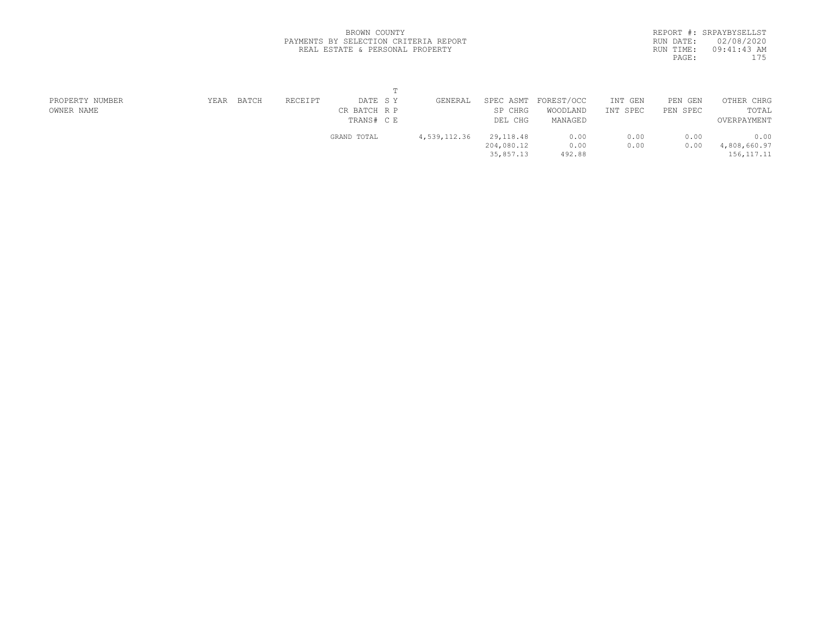|           | REPORT #: SRPAYBYSELLST |
|-----------|-------------------------|
| RUN DATE: | 02/08/2020              |
| RUN TIME: | $09:41:43$ AM           |
| PAGE:     | 175                     |
|           |                         |

| PROPERTY NUMBER | YEAR | BATCH | RECEIPT | DATE SY      | GENERAL      | SPEC ASMT  | FOREST/OCC | INT GEN  | PEN GEN  | OTHER CHRG   |  |
|-----------------|------|-------|---------|--------------|--------------|------------|------------|----------|----------|--------------|--|
| OWNER NAME      |      |       |         | CR BATCH R P |              | SP CHRG    | WOODLAND   | INT SPEC | PEN SPEC | TOTAL        |  |
|                 |      |       |         | TRANS# C E   |              | DEL CHG    | MANAGED    |          |          | OVERPAYMENT  |  |
|                 |      |       |         | GRAND TOTAL  | 4,539,112.36 | 29, 118.48 | 0.00       | 0.00     | 0.00     | 0.00         |  |
|                 |      |       |         |              |              | 204,080.12 | 0.00       | 0.00     | 0.00     | 4,808,660.97 |  |
|                 |      |       |         |              |              | 35,857.13  | 492.88     |          |          | 156, 117. 11 |  |